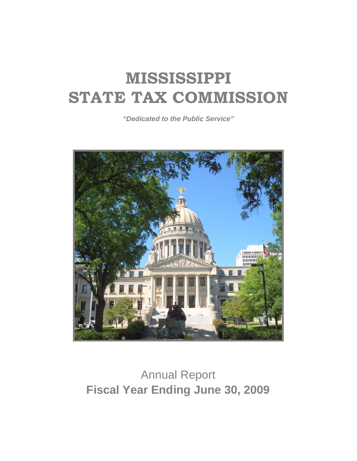*"Dedicated to the Public Service"* 



# Annual Report **Fiscal Year Ending June 30, 2009**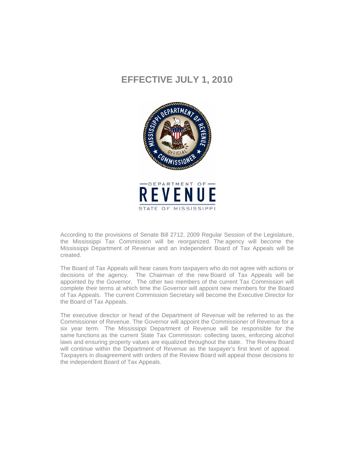## **EFFECTIVE JULY 1, 2010**



According to the provisions of Senate Bill 2712, 2009 Regular Session of the Legislature, the Mississippi Tax Commission will be reorganized. The agency will become the Mississippi Department of Revenue and an independent Board of Tax Appeals will be created.

The Board of Tax Appeals will hear cases from taxpayers who do not agree with actions or decisions of the agency. The Chairman of the new Board of Tax Appeals will be appointed by the Governor. The other two members of the current Tax Commission will complete their terms at which time the Governor will appoint new members for the Board of Tax Appeals. The current Commission Secretary will become the Executive Director for the Board of Tax Appeals.

The executive director or head of the Department of Revenue will be referred to as the Commissioner of Revenue. The Governor will appoint the Commissioner of Revenue for a six year term. The Mississippi Department of Revenue will be responsible for the same functions as the current State Tax Commission: collecting taxes, enforcing alcohol laws and ensuring property values are equalized throughout the state. The Review Board will continue within the Department of Revenue as the taxpayer's first level of appeal. Taxpayers in disagreement with orders of the Review Board will appeal those decisions to the independent Board of Tax Appeals.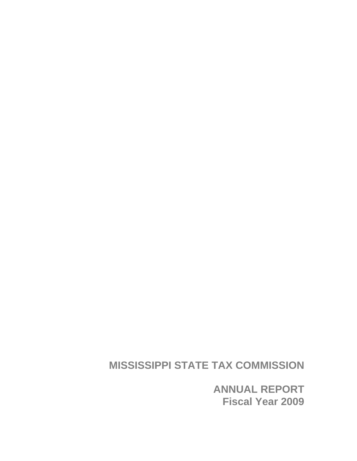**ANNUAL REPORT Fiscal Year 2009**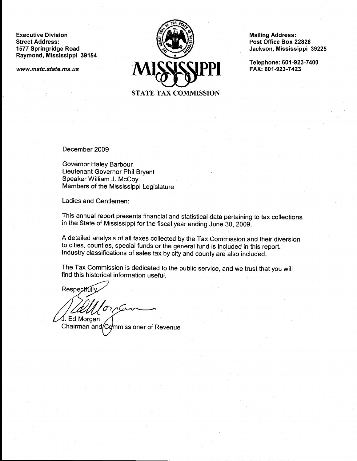**Executive Division Street Address:** 1577 Springridge Road Raymond, Mississippi 39154

www.mstc.state.ms.us



**Mailing Address:** Post Office Box 22828 Jackson, Mississippi 39225

Telephone: 601-923-7400 FAX: 601-923-7423

December 2009

Governor Haley Barbour Lieutenant Governor Phil Bryant Speaker William J. McCoy Members of the Mississippi Legislature

Ladies and Gentlemen:

This annual report presents financial and statistical data pertaining to tax collections in the State of Mississippi for the fiscal year ending June 30, 2009.

A detailed analysis of all taxes collected by the Tax Commission and their diversion to cities, counties, special funds or the general fund is included in this report. Industry classifications of sales tax by city and county are also included.

The Tax Commission is dedicated to the public service, and we trust that you will find this historical information useful.

Respectful ∕J. Ed Morgan

Chairman and/Commissioner of Revenue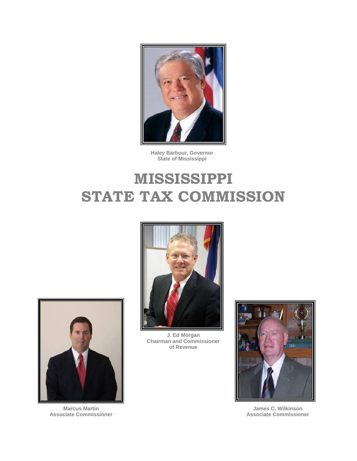

**Haley Barbour, Governor State of Mississippi**



**J. Ed Morgan Chairman and Commissioner of Revenue**



**James C. Wilkinson Associate Commissioner**



**Marcus Martin Associate Commissioner**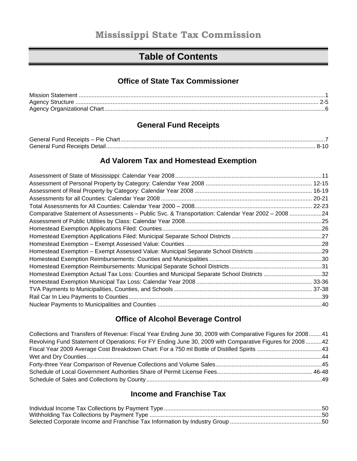# **Table of Contents**

### **Office of State Tax Commissioner**

| Mission Statement |  |
|-------------------|--|
|                   |  |
|                   |  |

### **General Fund Receipts**

| General Fund Receipts - Pie Chart. |      |
|------------------------------------|------|
| General Fund Receipts Detail       | 8-10 |

### **Ad Valorem Tax and Homestead Exemption**

| Comparative Statement of Assessments - Public Svc. & Transportation: Calendar Year 2002 - 2008 24 |  |
|---------------------------------------------------------------------------------------------------|--|
|                                                                                                   |  |
|                                                                                                   |  |
|                                                                                                   |  |
|                                                                                                   |  |
|                                                                                                   |  |
|                                                                                                   |  |
|                                                                                                   |  |
| Homestead Exemption Actual Tax Loss: Counties and Municipal Separate School Districts 32          |  |
|                                                                                                   |  |
|                                                                                                   |  |
|                                                                                                   |  |
|                                                                                                   |  |

### **Office of Alcohol Beverage Control**

| Collections and Transfers of Revenue: Fiscal Year Ending June 30, 2009 with Comparative Figures for 200841 |  |
|------------------------------------------------------------------------------------------------------------|--|
| Revolving Fund Statement of Operations: For FY Ending June 30, 2009 with Comparative Figures for 200842    |  |
|                                                                                                            |  |
|                                                                                                            |  |
|                                                                                                            |  |
|                                                                                                            |  |
|                                                                                                            |  |

## **Income and Franchise Tax**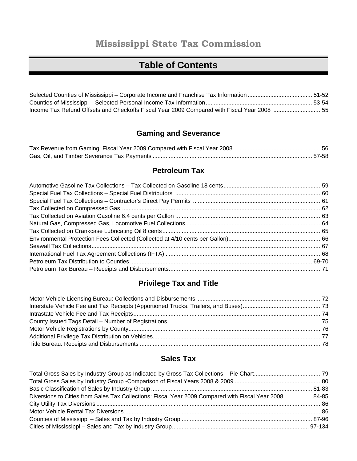# **Mississippi State Tax Commission**

# **Table of Contents**

| Income Tax Refund Offsets and Checkoffs Fiscal Year 2009 Compared with Fiscal Year 2008 55 |  |
|--------------------------------------------------------------------------------------------|--|

# **Gaming and Severance**

### **Petroleum Tax**

# **Privilege Tax and Title**

### **Sales Tax**

| Diversions to Cities from Sales Tax Collections: Fiscal Year 2009 Compared with Fiscal Year 2008  84-85 |  |
|---------------------------------------------------------------------------------------------------------|--|
|                                                                                                         |  |
|                                                                                                         |  |
|                                                                                                         |  |
|                                                                                                         |  |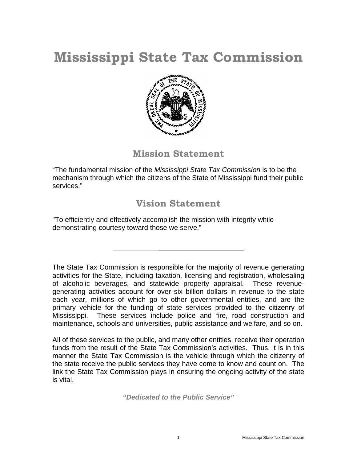# **Mississippi State Tax Commission**



## **Mission Statement**

"The fundamental mission of the *Mississippi State Tax Commission* is to be the mechanism through which the citizens of the State of Mississippi fund their public services."

## **Vision Statement**

"To efficiently and effectively accomplish the mission with integrity while demonstrating courtesy toward those we serve."

The State Tax Commission is responsible for the majority of revenue generating activities for the State, including taxation, licensing and registration, wholesaling of alcoholic beverages, and statewide property appraisal. These revenuegenerating activities account for over six billion dollars in revenue to the state each year, millions of which go to other governmental entities, and are the primary vehicle for the funding of state services provided to the citizenry of Mississippi. These services include police and fire, road construction and maintenance, schools and universities, public assistance and welfare, and so on.

All of these services to the public, and many other entities, receive their operation funds from the result of the State Tax Commission's activities. Thus, it is in this manner the State Tax Commission is the vehicle through which the citizenry of the state receive the public services they have come to know and count on. The link the State Tax Commission plays in ensuring the ongoing activity of the state is vital.

*"Dedicated to the Public Service"*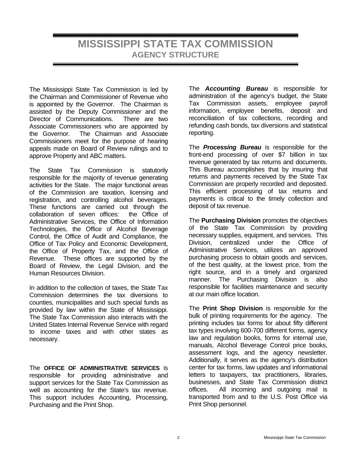The Mississippi State Tax Commission is led by the Chairman and Commissioner of Revenue who is appointed by the Governor. The Chairman is assisted by the Deputy Commissioner and the Director of Communications. There are two Associate Commissioners who are appointed by the Governor. The Chairman and Associate Commissioners meet for the purpose of hearing appeals made on Board of Review rulings and to approve Property and ABC matters.

The State Tax Commission is statutorily responsible for the majority of revenue generating activities for the State. The major functional areas of the Commission are taxation, licensing and registration, and controlling alcohol beverages. These functions are carried out through the collaboration of seven offices: the Office of Administrative Services, the Office of Information Technologies, the Office of Alcohol Beverage Control, the Office of Audit and Compliance, the Office of Tax Policy and Economic Development, the Office of Property Tax, and the Office of Revenue. These offices are supported by the Board of Review, the Legal Division, and the Human Resources Division.

In addition to the collection of taxes, the State Tax Commission determines the tax diversions to counties, municipalities and such special funds as provided by law within the State of Mississippi. The State Tax Commission also interacts with the United States Internal Revenue Service with regard to income taxes and with other states as necessary.

The **OFFICE OF ADMINISTRATIVE SERVICES** is responsible for providing administrative and support services for the State Tax Commission as well as accounting for the State's tax revenue. This support includes Accounting, Processing, Purchasing and the Print Shop.

The *Accounting Bureau* is responsible for administration of the agency's budget, the State Tax Commission assets, employee payroll information, employee benefits, deposit and reconciliation of tax collections, recording and refunding cash bonds, tax diversions and statistical reporting.

The *Processing Bureau* is responsible for the front-end processing of over \$7 billion in tax revenue generated by tax returns and documents. This Bureau accomplishes that by insuring that returns and payments received by the State Tax Commission are properly recorded and deposited. This efficient processing of tax returns and payments is critical to the timely collection and deposit of tax revenue.

The **Purchasing Division** promotes the objectives of the State Tax Commission by providing necessary supplies, equipment, and services. This Division, centralized under the Office of Administrative Services, utilizes an approved purchasing process to obtain goods and services, of the best quality, at the lowest price, from the right source, and in a timely and organized manner. The Purchasing Division is also responsible for facilities maintenance and security at our main office location.

The **Print Shop Division** is responsible for the bulk of printing requirements for the agency. The printing includes tax forms for about fifty different tax types involving 600-700 different forms, agency law and regulation books, forms for internal use, manuals, Alcohol Beverage Control price books, assessment logs, and the agency newsletter. Additionally, it serves as the agency's distribution center for tax forms, law updates and informational letters to taxpayers, tax practitioners, libraries, businesses, and State Tax Commission district offices. All incoming and outgoing mail is transported from and to the U.S. Post Office via Print Shop personnel.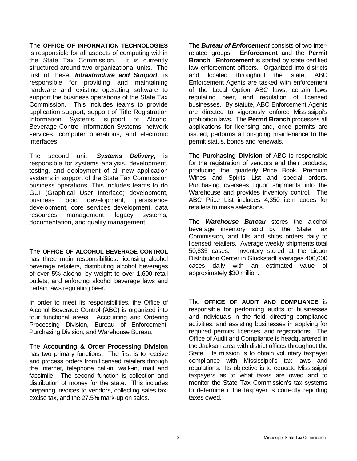The **OFFICE OF INFORMATION TECHNOLOGIES** is responsible for all aspects of computing within the State Tax Commission. It is currently structured around two organizational units. The first of these**,** *Infrastructure and Support*, is responsible for providing and maintaining hardware and existing operating software to support the business operations of the State Tax Commission. This includes teams to provide application support, support of Title Registration Information Systems, support of Alcohol Beverage Control Information Systems, network services, computer operations, and electronic interfaces.

The second unit, *Systems Delivery***,** is responsible for systems analysis, development, testing, and deployment of all new application systems in support of the State Tax Commission business operations. This includes teams to do GUI (Graphical User Interface) development, business logic development, persistence development, core services development, data resources management, legacy systems, documentation, and quality management

The **OFFICE OF ALCOHOL BEVERAGE CONTROL** has three main responsibilities: licensing alcohol beverage retailers, distributing alcohol beverages of over 5% alcohol by weight to over 1,600 retail outlets, and enforcing alcohol beverage laws and certain laws regulating beer.

In order to meet its responsibilities, the Office of Alcohol Beverage Control (ABC) is organized into four functional areas. Accounting and Ordering Processing Division, Bureau of Enforcement, Purchasing Division, and Warehouse Bureau.

The **Accounting & Order Processing Division** has two primary functions. The first is to receive and process orders from licensed retailers through the internet, telephone call-in, walk-in, mail and facsimile. The second function is collection and distribution of money for the state. This includes preparing invoices to vendors, collecting sales tax, excise tax, and the 27.5% mark-up on sales.

The *Bureau of Enforcement* consists of two interrelated groups: **Enforcement** and the **Permit Branch**. **Enforcement** is staffed by state certified law enforcement officers. Organized into districts and located throughout the state, ABC Enforcement Agents are tasked with enforcement of the Local Option ABC laws, certain laws regulating beer, and regulation of licensed businesses. By statute, ABC Enforcement Agents are directed to vigorously enforce Mississippi's prohibition laws. The **Permit Branch** processes all applications for licensing and, once permits are issued, performs all on-going maintenance to the permit status, bonds and renewals.

The **Purchasing Division** of ABC is responsible for the registration of vendors and their products, producing the quarterly Price Book, Premium Wines and Spirits List and special orders. Purchasing oversees liquor shipments into the Warehouse and provides inventory control. The ABC Price List includes 4,350 item codes for retailers to make selections.

The *Warehouse Bureau* stores the alcohol beverage inventory sold by the State Tax Commission, and fills and ships orders daily to licensed retailers. Average weekly shipments total 50,835 cases. Inventory stored at the Liquor Distribution Center in Gluckstadt averages 400,000 cases daily with an estimated value of approximately \$30 million.

The **OFFICE OF AUDIT AND COMPLIANCE** is responsible for performing audits of businesses and individuals in the field, directing compliance activities, and assisting businesses in applying for required permits, licenses, and registrations. The Office of Audit and Compliance is headquartered in the Jackson area with district offices throughout the State. Its mission is to obtain voluntary taxpayer compliance with Mississippi's tax laws and regulations. Its objective is to educate Mississippi taxpayers as to what taxes are owed and to monitor the State Tax Commission's tax systems to determine if the taxpayer is correctly reporting taxes owed.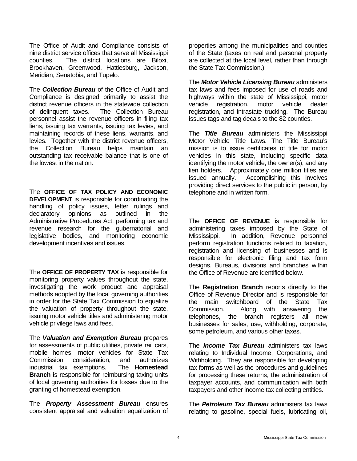The Office of Audit and Compliance consists of nine district service offices that serve all Mississippi counties. The district locations are Biloxi, Brookhaven, Greenwood, Hattiesburg, Jackson, Meridian, Senatobia, and Tupelo.

The *Collection Bureau* of the Office of Audit and Compliance is designed primarily to assist the district revenue officers in the statewide collection of delinquent taxes. The Collection Bureau personnel assist the revenue officers in filing tax liens, issuing tax warrants, issuing tax levies, and maintaining records of these liens, warrants, and levies. Together with the district revenue officers, the Collection Bureau helps maintain an outstanding tax receivable balance that is one of the lowest in the nation.

The **OFFICE OF TAX POLICY AND ECONOMIC DEVELOPMENT** is responsible for coordinating the handling of policy issues, letter rulings and declaratory opinions as outlined in the Administrative Procedures Act, performing tax and revenue research for the gubernatorial and legislative bodies, and monitoring economic development incentives and issues.

The **OFFICE OF PROPERTY TAX** is responsible for monitoring property values throughout the state, investigating the work product and appraisal methods adopted by the local governing authorities in order for the State Tax Commission to equalize the valuation of property throughout the state, issuing motor vehicle titles and administering motor vehicle privilege laws and fees.

The *Valuation and Exemption Bureau* prepares for assessments of public utilities, private rail cars, mobile homes, motor vehicles for State Tax Commission consideration, and authorizes industrial tax exemptions. The **Homestead Branch** is responsible for reimbursing taxing units of local governing authorities for losses due to the granting of homestead exemption.

The *Property Assessment Bureau* ensures consistent appraisal and valuation equalization of properties among the municipalities and counties of the State (taxes on real and personal property are collected at the local level, rather than through the State Tax Commission.)

The *Motor Vehicle Licensing Bureau* administers tax laws and fees imposed for use of roads and highways within the state of Mississippi, motor vehicle registration, motor vehicle dealer registration, and intrastate trucking. The Bureau issues tags and tag decals to the 82 counties.

The *Title Bureau* administers the Mississippi Motor Vehicle Title Laws. The Title Bureau's mission is to issue certificates of title for motor vehicles in this state, including specific data identifying the motor vehicle, the owner(s), and any lien holders. Approximately one million titles are issued annually. Accomplishing this involves providing direct services to the public in person, by telephone and in written form.

The **OFFICE OF REVENUE** is responsible for administering taxes imposed by the State of Mississippi. In addition, Revenue personnel perform registration functions related to taxation, registration and licensing of businesses and is responsible for electronic filing and tax form designs. Bureaus, divisions and branches within the Office of Revenue are identified below.

The **Registration Branch** reports directly to the Office of Revenue Director and is responsible for the main switchboard of the State Tax Commission. Along with answering the telephones, the branch registers all new businesses for sales, use, withholding, corporate, some petroleum, and various other taxes.

The *Income Tax Bureau* administers tax laws relating to Individual Income, Corporations, and Withholding. They are responsible for developing tax forms as well as the procedures and guidelines for processing these returns, the administration of taxpayer accounts, and communication with both taxpayers and other income tax collecting entities.

The *Petroleum Tax Bureau* administers tax laws relating to gasoline, special fuels, lubricating oil,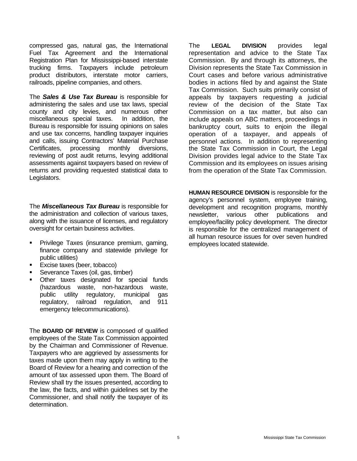compressed gas, natural gas, the International Fuel Tax Agreement and the International Registration Plan for Mississippi-based interstate trucking firms. Taxpayers include petroleum product distributors, interstate motor carriers, railroads, pipeline companies, and others.

The *Sales & Use Tax Bureau* is responsible for administering the sales and use tax laws, special county and city levies, and numerous other miscellaneous special taxes. In addition, the Bureau is responsible for issuing opinions on sales and use tax concerns, handling taxpayer inquiries and calls, issuing Contractors' Material Purchase Certificates, processing monthly diversions, reviewing of post audit returns, levying additional assessments against taxpayers based on review of returns and providing requested statistical data to Legislators.

The *Miscellaneous Tax Bureau* is responsible for the administration and collection of various taxes, along with the issuance of licenses, and regulatory oversight for certain business activities.

- **Privilege Taxes (insurance premium, gaming,** finance company and statewide privilege for public utilities)
- Excise taxes (beer, tobacco)
- Severance Taxes (oil, gas, timber)
- Other taxes designated for special funds (hazardous waste, non-hazardous waste, public utility regulatory, municipal gas regulatory, railroad regulation, and 911 emergency telecommunications).

The **BOARD OF REVIEW** is composed of qualified employees of the State Tax Commission appointed by the Chairman and Commissioner of Revenue. Taxpayers who are aggrieved by assessments for taxes made upon them may apply in writing to the Board of Review for a hearing and correction of the amount of tax assessed upon them. The Board of Review shall try the issues presented, according to the law, the facts, and within guidelines set by the Commissioner, and shall notify the taxpayer of its determination.

The **LEGAL DIVISION** provides legal representation and advice to the State Tax Commission. By and through its attorneys, the Division represents the State Tax Commission in Court cases and before various administrative bodies in actions filed by and against the State Tax Commission. Such suits primarily consist of appeals by taxpayers requesting a judicial review of the decision of the State Tax Commission on a tax matter, but also can include appeals on ABC matters, proceedings in bankruptcy court, suits to enjoin the illegal operation of a taxpayer, and appeals of personnel actions. In addition to representing the State Tax Commission in Court, the Legal Division provides legal advice to the State Tax Commission and its employees on issues arising from the operation of the State Tax Commission.

**HUMAN RESOURCE DIVISION** is responsible for the agency's personnel system, employee training, development and recognition programs, monthly newsletter, various other publications and employee/facility policy development. The director is responsible for the centralized management of all human resource issues for over seven hundred employees located statewide.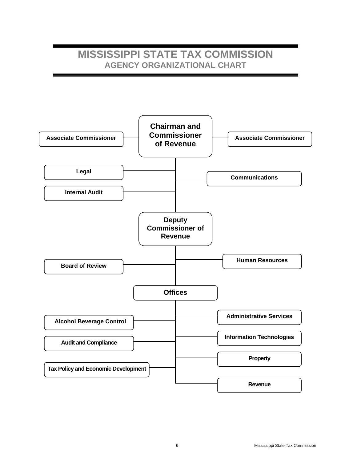# **MISSISSIPPI STATE TAX COMMISSION AGENCY ORGANIZATIONAL CHART**

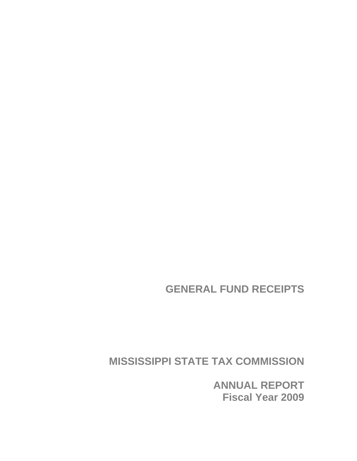**GENERAL FUND RECEIPTS** 

**MISSISSIPPI STATE TAX COMMISSION** 

**ANNUAL REPORT Fiscal Year 2009**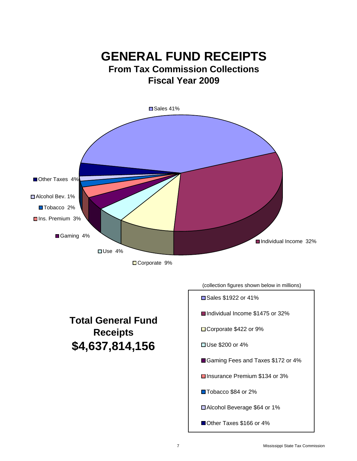

# **Total General Fund Receipts \$4,637,814,156**

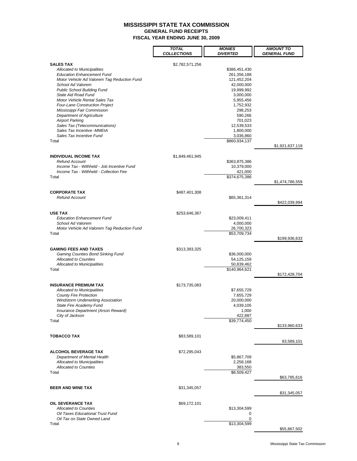**GENERAL FUND RECEIPTS**

**FISCAL YEAR ENDING JUNE 30, 2009**

|                                                                                      | <b>TOTAL</b><br><b>COLLECTIONS</b> | <b>MONIES</b><br><i><b>DIVERTED</b></i> | <b>AMOUNT TO</b><br>GENERAL FUND |
|--------------------------------------------------------------------------------------|------------------------------------|-----------------------------------------|----------------------------------|
|                                                                                      |                                    |                                         |                                  |
| <b>SALES TAX</b><br>Allocated to Municipalities<br><b>Education Enhancement Fund</b> | \$2,782,571,256                    | \$386,451,430<br>261,356,188            |                                  |
| Motor Vehicle Ad Valorem Tag Reduction Fund<br>School Ad Valorem                     |                                    | 121,452,204<br>42,000,000               |                                  |
| <b>Public School Building Fund</b>                                                   |                                    | 19,999,992                              |                                  |
| State Aid Road Fund                                                                  |                                    | 3,000,000                               |                                  |
| Motor Vehicle Rental Sales Tax                                                       |                                    | 5,955,456                               |                                  |
| <b>Four-Lane Construction Project</b><br>Mississippi Fair Commission                 |                                    | 1,752,932<br>298,253                    |                                  |
| <b>Department of Agriculture</b>                                                     |                                    | 590,266                                 |                                  |
| <b>Airport Parking</b>                                                               |                                    | 701,023                                 |                                  |
| Sales Tax (Telecommunications)<br>Sales Tax Incentive - MMEIA                        |                                    | 12,539,533<br>1,800,000                 |                                  |
| Sales Tax Incentive Fund                                                             |                                    | 3,036,860                               |                                  |
| Total                                                                                |                                    | \$860,934,137                           | \$1,921,637,119                  |
| <b>INDIVIDUAL INCOME TAX</b>                                                         | \$1,849,461,945                    |                                         |                                  |
| <b>Refund Account</b>                                                                |                                    | \$363,875,386                           |                                  |
| Income Tax - Withheld - Job Incentive Fund                                           |                                    | 10,379,000                              |                                  |
| Income Tax - Withheld - Collection Fee<br>Total                                      |                                    | 421,000<br>\$374,675,386                |                                  |
|                                                                                      |                                    |                                         | \$1,474,786,559                  |
| <b>CORPORATE TAX</b>                                                                 | \$487,401,308                      |                                         |                                  |
| <b>Refund Account</b>                                                                |                                    | \$65,361,314                            |                                  |
|                                                                                      |                                    |                                         | \$422,039,994                    |
| <b>USE TAX</b>                                                                       | \$253,646,367                      |                                         |                                  |
| <b>Education Enhancement Fund</b><br>School Ad Valorem                               |                                    | \$23,009,411<br>4,000,000               |                                  |
| Motor Vehicle Ad Valorem Tag Reduction Fund                                          |                                    | 26,700,323                              |                                  |
| Total                                                                                |                                    | \$53,709,734                            | \$199,936,633                    |
|                                                                                      |                                    |                                         |                                  |
| <b>GAMING FEES AND TAXES</b><br>Gaming Counties Bond Sinking Fund                    | \$313,393,325                      | \$36,000,000                            |                                  |
| <b>Allocated to Counties</b>                                                         |                                    | 54,125,159                              |                                  |
| Allocated to Municipalities                                                          |                                    | 50,839,462                              |                                  |
| Total                                                                                |                                    | \$140,964,621                           | \$172,428,704                    |
| <b>INSURANCE PREMIUM TAX</b>                                                         | \$173,735,083                      |                                         |                                  |
| Allocated to Municipalities                                                          |                                    | \$7,655,729                             |                                  |
| <b>County Fire Protection</b>                                                        |                                    | 7,655,729                               |                                  |
| <b>Windstorm Underwriting Association</b><br>State Fire Academy Fund                 |                                    | 20,000,000<br>4,039,105                 |                                  |
| Insurance Department (Arson Reward)                                                  |                                    | 1,000                                   |                                  |
| City of Jackson                                                                      |                                    | 422,887                                 |                                  |
| Total                                                                                |                                    | \$39,774,450                            | \$133,960,633                    |
| <b>TOBACCO TAX</b>                                                                   | \$83,589,101                       |                                         |                                  |
|                                                                                      |                                    |                                         | 83,589,101                       |
| <b>ALCOHOL BEVERAGE TAX</b>                                                          | \$72,295,043                       |                                         |                                  |
| Department of Mental Health                                                          |                                    | \$5,867,709                             |                                  |
| Allocated to Municipalities<br><b>Allocated to Counties</b>                          |                                    | 2,258,168<br>383,550                    |                                  |
| Total                                                                                |                                    | \$8,509,427                             |                                  |
|                                                                                      |                                    |                                         | \$63,785,616                     |
| <b>BEER AND WINE TAX</b>                                                             | \$31,345,057                       |                                         |                                  |
|                                                                                      |                                    |                                         | \$31,345,057                     |
| <b>OIL SEVERANCE TAX</b>                                                             | \$69,172,101                       |                                         |                                  |
| <b>Allocated to Counties</b><br>Oil Taxes Educational Trust Fund                     |                                    | \$13,304,599<br>0                       |                                  |
| Oil Tax on State Owned Land                                                          |                                    | 0                                       |                                  |
| Total                                                                                |                                    | \$13,304,599                            |                                  |
|                                                                                      |                                    |                                         | \$55,867,502                     |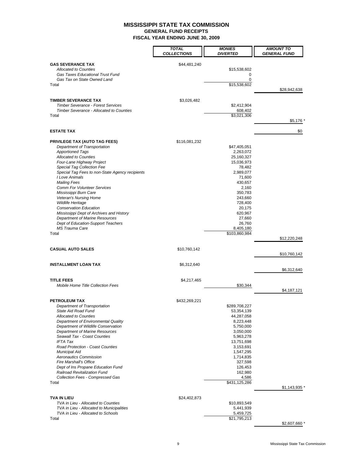**GENERAL FUND RECEIPTS**

**FISCAL YEAR ENDING JUNE 30, 2009**

|                                                                                 | <b>TOTAL</b><br><b>COLLECTIONS</b> | <b>MONIES</b><br><i><b>DIVERTED</b></i> | <b>AMOUNT TO</b><br><b>GENERAL FUND</b> |
|---------------------------------------------------------------------------------|------------------------------------|-----------------------------------------|-----------------------------------------|
| <b>GAS SEVERANCE TAX</b>                                                        | \$44,481,240                       |                                         |                                         |
| <b>Allocated to Counties</b><br>Gas Taxes Educational Trust Fund                |                                    | \$15,538,602<br>0                       |                                         |
| Gas Tax on State Owned Land                                                     |                                    | 0                                       |                                         |
| Total                                                                           |                                    | \$15,538,602                            | \$28,942,638                            |
|                                                                                 |                                    |                                         |                                         |
| <b>TIMBER SEVERANCE TAX</b><br><b>Timber Severance - Forest Services</b>        | \$3,026,482                        | \$2,412,904                             |                                         |
| Timber Severance - Allocated to Counties                                        |                                    | 608,402                                 |                                         |
| Total                                                                           |                                    | \$3,021,306                             | \$5,176 *                               |
| <b>ESTATE TAX</b>                                                               |                                    |                                         | \$0                                     |
| <b>PRIVILEGE TAX (AUTO TAG FEES)</b>                                            | \$116,081,232                      |                                         |                                         |
| Department of Transportation                                                    |                                    | \$47,405,051                            |                                         |
| <b>Apportioned Tags</b><br><b>Allocated to Counties</b>                         |                                    | 2,263,072<br>25,160,327                 |                                         |
| Four-Lane Highway Project                                                       |                                    | 15,036,973                              |                                         |
| Special Tag Collection Fee                                                      |                                    | 78,482                                  |                                         |
| Special Tag Fees to non-State Agency recipients                                 |                                    | 2,989,077                               |                                         |
| I Love Animals<br><b>Mailing Fees</b>                                           |                                    | 71,600<br>430,657                       |                                         |
| <b>Comm For Volunteer Services</b>                                              |                                    | 2,160                                   |                                         |
| Mississippi Burn Care                                                           |                                    | 350,783                                 |                                         |
| Veteran's Nursing Home                                                          |                                    | 243,660                                 |                                         |
| Wildlife Heritage<br><b>Conservation Education</b>                              |                                    | 728,400<br>20,175                       |                                         |
| Mississippi Dept of Archives and History                                        |                                    | 620,967                                 |                                         |
| Department of Marine Resources                                                  |                                    | 27,660                                  |                                         |
| Dept of Education-Support Teachers<br><b>MS Trauma Care</b>                     |                                    | 26,760                                  |                                         |
| Total                                                                           |                                    | 8,405,180<br>\$103,860,984              |                                         |
|                                                                                 |                                    |                                         | \$12,220,248                            |
| <b>CASUAL AUTO SALES</b>                                                        | \$10,760,142                       |                                         | \$10,760,142                            |
|                                                                                 |                                    |                                         |                                         |
| <b>INSTALLMENT LOAN TAX</b>                                                     | \$6,312,640                        |                                         | \$6,312,640                             |
| <b>TITLE FEES</b>                                                               | \$4,217,465                        |                                         |                                         |
| <b>Mobile Home Title Collection Fees</b>                                        |                                    | \$30,344                                |                                         |
|                                                                                 |                                    |                                         | \$4,187,121                             |
| <b>PETROLEUM TAX</b><br>Department of Transportation                            | \$432,269,221                      | \$289,708,227                           |                                         |
| State Aid Road Fund                                                             |                                    | 53,354,139                              |                                         |
| <b>Allocated to Counties</b>                                                    |                                    | 44,287,058                              |                                         |
| Department of Environmental Quality                                             |                                    | 8,223,448                               |                                         |
| Department of Wildlife Conservation<br>Department of Marine Resources           |                                    | 5,750,000<br>3,050,000                  |                                         |
| Seawall Tax - Coast Counties                                                    |                                    | 5,963,278                               |                                         |
| <b>IFTA Tax</b>                                                                 |                                    | 13,751,698                              |                                         |
| Road Protection - Coast Counties                                                |                                    | 3,153,691                               |                                         |
| <b>Municipal Aid</b><br><b>Aeronautics Commission</b>                           |                                    | 1,547,295<br>1,714,835                  |                                         |
| <b>Fire Marshall's Office</b>                                                   |                                    | 327,598                                 |                                         |
| Dept of Ins Propane Education Fund                                              |                                    | 126,453                                 |                                         |
| Railroad Revitalization Fund<br>Collection Fees - Compressed Gas                |                                    | 162,980                                 |                                         |
| Total                                                                           |                                    | 4,586<br>\$431,125,286                  |                                         |
|                                                                                 |                                    |                                         | \$1,143,935                             |
| TVA IN LIEU                                                                     | \$24,402,873                       |                                         |                                         |
| TVA in Lieu - Allocated to Counties                                             |                                    | \$10,893,549                            |                                         |
| TVA in Lieu - Allocated to Municipalities<br>TVA in Lieu - Allocated to Schools |                                    | 5,441,939<br>5,459,725                  |                                         |
| Total                                                                           |                                    | \$21,795,213                            |                                         |
|                                                                                 |                                    |                                         | \$2,607,660 *                           |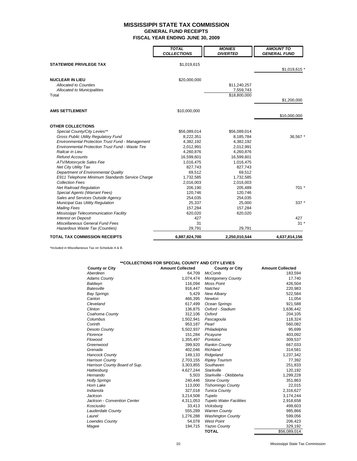**GENERAL FUND RECEIPTS**

**FISCAL YEAR ENDING JUNE 30, 2009**

|                                                         | <b>TOTAL</b><br><b>COLLECTIONS</b> | <b>MONIES</b><br><b>DIVERTED</b> | <b>AMOUNT TO</b><br><b>GENERAL FUND</b> |
|---------------------------------------------------------|------------------------------------|----------------------------------|-----------------------------------------|
| <b>STATEWIDE PRIVILEGE TAX</b>                          | \$1,019,615                        |                                  |                                         |
|                                                         |                                    |                                  | \$1,019,615 *                           |
| <b>NUCLEAR IN LIEU</b>                                  | \$20,000,000                       |                                  |                                         |
| <b>Allocated to Counties</b>                            |                                    | \$11,240,257                     |                                         |
| Allocated to Municipalities                             |                                    | 7,559,743                        |                                         |
| Total                                                   |                                    | \$18,800,000                     |                                         |
|                                                         |                                    |                                  | \$1,200,000                             |
| <b>AMS SETTLEMENT</b>                                   | \$10,000,000                       |                                  |                                         |
|                                                         |                                    |                                  | \$10,000,000                            |
| <b>OTHER COLLECTIONS</b>                                |                                    |                                  |                                         |
| Special County/City Levies**                            | \$56,089,014                       | \$56,089,014                     |                                         |
| Gross Public Utility Regulatory Fund                    | 8,222,351                          | 8,185,784                        | 36,567 *                                |
| <b>Environmental Protection Trust Fund - Management</b> | 4,382,192                          | 4,382,192                        |                                         |
| <b>Environmental Protection Trust Fund - Waste Tire</b> | 2,012,991                          | 2,012,991                        |                                         |
| Railcar in Lieu                                         | 4,260,876                          | 4,260,876                        |                                         |
| <b>Refund Accounts</b>                                  | 16,599,601                         | 16,599,601                       |                                         |
| ATV/Motorcycle Sales Fee                                | 1,016,475                          | 1,016,475                        |                                         |
| <b>Net City Utility Tax</b>                             | 827,743                            | 827,743                          |                                         |
| Department of Environmental Quality                     | 69,512                             | 69,512                           |                                         |
| E911 Telephone Minimum Standards Service Charge         | 1,732,585                          | 1,732,585                        |                                         |
| <b>Collection Fees</b>                                  | 2,016,003                          | 2,016,003                        |                                         |
| <b>Net Railroad Requlation</b>                          | 206,190                            | 205,489                          | $701*$                                  |
| Special Agents (Warrant Fees)                           | 120,746                            | 120,746                          |                                         |
| Sales and Services Outside Agency                       | 254,035                            | 254,035                          |                                         |
| <b>Municipal Gas Utility Regulation</b>                 | 25,337                             | 25,000                           | 337 *                                   |
| <b>Mailing Fees</b>                                     | 157,284                            | 157,284                          |                                         |
| Mississippi Telecommunication Facility                  | 620,020                            | 620,020                          |                                         |
| <b>Interest on Deposit</b>                              | 427                                |                                  | 427                                     |
| Miscellaneous General Fund Fees                         | 31                                 |                                  | $31 *$                                  |
| Hazardous Waste Tax (Counties)                          | 29,791                             | 29,791                           |                                         |
| <b>TOTAL TAX COMMISSION RECEIPTS</b>                    | 6,887,824,700                      | 2,250,010,544                    | 4,637,814,156                           |

\*Included in Miscellaneous Tax on Schedule A & B.

#### **\*\*COLLECTIONS FOR SPECIAL COUNTY AND CITY LEVIES**

| <b>County or City</b>         | <b>Amount Collected</b> | <b>County or City</b>          | <b>Amount Collected</b> |
|-------------------------------|-------------------------|--------------------------------|-------------------------|
| Aberdeen                      | 64,709                  | <b>McComb</b>                  | 183,594                 |
| <b>Adams County</b>           | 1,074,474               | <b>Montgomery County</b>       | 17,740                  |
| Baldwyn                       | 116,094                 | <b>Moss Point</b>              | 426,504                 |
| Batesville                    | 916,447                 | Natchez                        | 220,983                 |
| <b>Bay Springs</b>            | 5,429                   | New Albany                     | 522,584                 |
| Canton                        | 466,395                 | Newton                         | 11,054                  |
| Cleveland                     | 617,499                 | Ocean Springs                  | 921,588                 |
| Clinton                       | 136.875                 | Oxford - Stadium               | 1,636,442               |
| Coahoma County                | 312,106                 | Oxford                         | 204,105                 |
| Columbus                      | 1,502,941               | Pascagoula                     | 118,324                 |
| Corinth                       | 953,187                 | Pearl                          | 560,082                 |
| <b>Desoto County</b>          | 5,502,937               | Philadelphia                   | 95,699                  |
| Florence                      | 151,284                 | Picayune                       | 403,092                 |
| Flowood                       | 1,355,497               | Pontotoc                       | 309,537                 |
| Greenwood                     | 399,920                 | <b>Rankin County</b>           | 667,033                 |
| Grenada                       | 402,046                 | Richland                       | 314,581                 |
| <b>Hancock County</b>         | 149,133                 | Ridgeland                      | 1,237,342               |
| <b>Harrison County</b>        | 2,703,155               | <b>Ripley Tourism</b>          | 77,392                  |
| Harrison County Board of Sup. | 3,303,855               | Southaven                      | 251,833                 |
| Hattiesburg                   | 4,627,244               | Starkville                     | 120,192                 |
| Hernando                      | 5,503                   | Starkville - Oktibbeha         | 1,299,228               |
| <b>Holly Springs</b>          | 240,446                 | <b>Stone County</b>            | 351,863                 |
| Horn Lake                     | 113,000                 | <b>Tishomingo County</b>       | 22,015                  |
| Indianola                     | 327,018                 | <b>Tunica County</b>           | 2,316,627               |
| Jackson                       | 3,214,508               | Tupelo                         | 3,174,244               |
| Jackson - Convention Center   | 4,311,053               | <b>Tupelo Water Facilities</b> | 2,918,658               |
| Kosciusko                     | 33,413                  | Vicksburg                      | 499,603                 |
| Lauderdale County             | 555,289                 | <b>Warren County</b>           | 985,866                 |
| Laurel                        | 1,276,288               | <b>Washington County</b>       | 599,056                 |
| <b>Lowndes County</b>         | 54,078                  | <b>West Point</b>              | 206,423                 |
| Magee                         | 194,715                 | Yazoo County                   | 329,192                 |
|                               |                         | <b>TOTAL</b>                   | \$56,089,014            |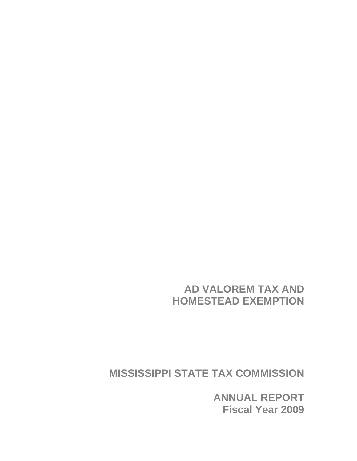**AD VALOREM TAX AND HOMESTEAD EXEMPTION** 

**MISSISSIPPI STATE TAX COMMISSION** 

**ANNUAL REPORT Fiscal Year 2009**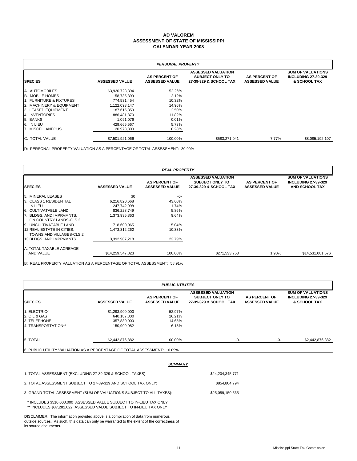#### **AD VALOREM CALENDAR YEAR 2008 ASSESSMENT OF STATE OF MISSISSIPPI**

| <b>PERSONAL PROPERTY</b>   |                       |                                               |                                                                               |                                               |                                                                        |  |  |
|----------------------------|-----------------------|-----------------------------------------------|-------------------------------------------------------------------------------|-----------------------------------------------|------------------------------------------------------------------------|--|--|
| <b>SPECIES</b>             | <b>ASSESSED VALUE</b> | <b>AS PERCENT OF</b><br><b>ASSESSED VALUE</b> | <b>ASSESSED VALUATION</b><br><b>SUBJECT ONLY TO</b><br>27-39-329 & SCHOOL TAX | <b>AS PERCENT OF</b><br><b>ASSESSED VALUE</b> | <b>SUM OF VALUATIONS</b><br><b>INCLUDING 27-39-329</b><br>& SCHOOL TAX |  |  |
| A. AUTOMOBILES             | \$3,920,728,394       | 52.26%                                        |                                                                               |                                               |                                                                        |  |  |
| <b>B. MOBILE HOMES</b>     | 158,735,399           | 2.12%                                         |                                                                               |                                               |                                                                        |  |  |
| 11. FURNITURE & FIXTURES   | 774,531,454           | 10.32%                                        |                                                                               |                                               |                                                                        |  |  |
| 2. MACHINERY & EQUIPMENT   | 1,122,093,147         | 14.96%                                        |                                                                               |                                               |                                                                        |  |  |
| <b>3. LEASED EQUIPMENT</b> | 187,615,859           | 2.50%                                         |                                                                               |                                               |                                                                        |  |  |
| <b>14. INVENTORIES</b>     | 886,481,870           | 11.82%                                        |                                                                               |                                               |                                                                        |  |  |
| 5. BANKS                   | 1,091,076             | 0.01%                                         |                                                                               |                                               |                                                                        |  |  |
| 6. IN LIEU                 | 429,665,567           | 5.73%                                         |                                                                               |                                               |                                                                        |  |  |
| 7. MISCELLANEOUS           | 20,978,300            | 0.28%                                         |                                                                               |                                               |                                                                        |  |  |
| <b>IC: TOTAL VALUE</b>     | \$7,501,921,066       | 100.00%                                       | \$583,271,041                                                                 | 7.77%                                         | \$8,085,192,107                                                        |  |  |
|                            |                       |                                               |                                                                               |                                               |                                                                        |  |  |

D: PERSONAL PROPERTY VALUATION AS A PERCENTAGE OF TOTAL ASSESSMENT: 30.99%

|                                                        | <b>REAL PROPERTY</b>  |                                               |                                                                               |                                               |                                                                                 |  |  |
|--------------------------------------------------------|-----------------------|-----------------------------------------------|-------------------------------------------------------------------------------|-----------------------------------------------|---------------------------------------------------------------------------------|--|--|
| <b>SPECIES</b>                                         | <b>ASSESSED VALUE</b> | <b>AS PERCENT OF</b><br><b>ASSESSED VALUE</b> | <b>ASSESSED VALUATION</b><br><b>SUBJECT ONLY TO</b><br>27-39-329 & SCHOOL TAX | <b>AS PERCENT OF</b><br><b>ASSESSED VALUE</b> | <b>SUM OF VALUATIONS</b><br><b>INCLUDING 27-39-329</b><br><b>AND SCHOOL TAX</b> |  |  |
| <b>5. MINERAL LEASES</b>                               | \$0                   | -0-                                           |                                                                               |                                               |                                                                                 |  |  |
| 3. CLASS 1 RESIDENTIAL                                 | 6,216,820,668         | 43.60%                                        |                                                                               |                                               |                                                                                 |  |  |
| IN LIEU                                                | 247,742,998           | 1.74%                                         |                                                                               |                                               |                                                                                 |  |  |
| 6. CULTIVATABLE LAND                                   | 836,228,749           | 5.86%                                         |                                                                               |                                               |                                                                                 |  |  |
| 7. BLDGS. AND IMPRVMNTS.<br>ON COUNTRY LANDS-CLS 2     | 1,373,935,863         | 9.64%                                         |                                                                               |                                               |                                                                                 |  |  |
| 9. UNCULTIVATABLE LAND                                 | 718,600,065           | 5.04%                                         |                                                                               |                                               |                                                                                 |  |  |
| 12. REAL ESTATE IN CITIES.<br>TOWNS AND VILLAGES-CLS 2 | 1,473,312,262         | 10.33%                                        |                                                                               |                                               |                                                                                 |  |  |
| 13.BLDGS, AND IMPRVMNTS.                               | 3,392,907,218         | 23.79%                                        |                                                                               |                                               |                                                                                 |  |  |
| IA. TOTAL TAXABLE ACREAGE                              |                       |                                               |                                                                               |                                               |                                                                                 |  |  |
| AND VALUE                                              | \$14,259,547,823      | 100.00%                                       | \$271,533,753                                                                 | 1.90%                                         | \$14,531,081,576                                                                |  |  |
|                                                        |                       |                                               |                                                                               |                                               |                                                                                 |  |  |

B: REAL PROPERTY VALUATION AS A PERCENTAGE OF TOTAL ASSESSMENT: 58.91%

| <b>PUBLIC UTILITIES</b>                                                 |                       |                                               |                                                                               |                                               |                                                                        |  |  |  |
|-------------------------------------------------------------------------|-----------------------|-----------------------------------------------|-------------------------------------------------------------------------------|-----------------------------------------------|------------------------------------------------------------------------|--|--|--|
| <b>SPECIES</b>                                                          | <b>ASSESSED VALUE</b> | <b>AS PERCENT OF</b><br><b>ASSESSED VALUE</b> | <b>ASSESSED VALUATION</b><br><b>SUBJECT ONLY TO</b><br>27-39-329 & SCHOOL TAX | <b>AS PERCENT OF</b><br><b>ASSESSED VALUE</b> | <b>SUM OF VALUATIONS</b><br><b>INCLUDING 27-39-329</b><br>& SCHOOL TAX |  |  |  |
| 1. ELECTRIC*                                                            | \$1,293,900,000       | 52.97%                                        |                                                                               |                                               |                                                                        |  |  |  |
| 2. OIL & GAS                                                            | 640,187,800           | 26.21%                                        |                                                                               |                                               |                                                                        |  |  |  |
| <b>3. TELEPHONE</b>                                                     | 357,880,000           | 14.65%                                        |                                                                               |                                               |                                                                        |  |  |  |
| 14. TRANSPORTATION**                                                    | 150,909,082           | 6.18%                                         |                                                                               |                                               |                                                                        |  |  |  |
| 5. TOTAL                                                                | \$2,442,876,882       | 100.00%                                       | $-0-$                                                                         | -0-                                           | \$2,442,876,882                                                        |  |  |  |
| 6. PUBLIC UTILITY VALUATION AS A PERCENTAGE OF TOTAL ASSESSMENT: 10.09% |                       |                                               |                                                                               |                                               |                                                                        |  |  |  |

|                                                                                                                                            | <b>SUMMARY</b>   |  |
|--------------------------------------------------------------------------------------------------------------------------------------------|------------------|--|
| 1. TOTAL ASSESSMENT (EXCLUDING 27-39-329 & SCHOOL TAXES)                                                                                   | \$24,204,345,771 |  |
| 2. TOTAL ASSESSMENT SUBJECT TO 27-39-329 AND SCHOOL TAX ONLY:                                                                              | \$854,804,794    |  |
| 3. GRAND TOTAL ASSESSMENT (SUM OF VALUATIONS SUBJECT TO ALL TAXES):                                                                        | \$25.059.150.565 |  |
| * INCLUDES \$510,000,000 ASSESSED VALUE SUBJECT TO IN-LIEU TAX ONLY<br>** INCLUDES \$37.282.022 ASSESSED VALUE SUBJECT TO IN-LIEU TAX ONLY |                  |  |

DISCLAIMER: The information provided above is a compilation of data from numerous outside sources. As such, this data can only be warranted to the extent of the correctness of its source documents.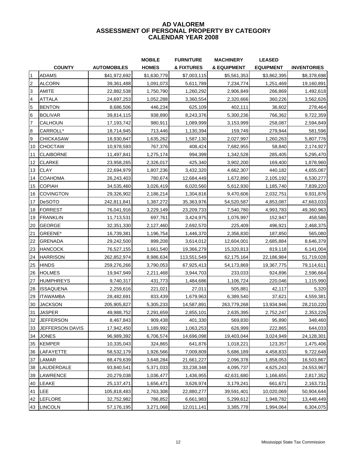#### **ASSESSMENT OF PERSONAL PROPERTY BY CATEGORY CALENDAR YEAR 2008 AD VALOREM**

|                         |                  |                    | <b>MOBILE</b> | <b>FURNITURE</b> | <b>MACHINERY</b>       | <b>LEASED</b>    |                    |
|-------------------------|------------------|--------------------|---------------|------------------|------------------------|------------------|--------------------|
|                         | <b>COUNTY</b>    | <b>AUTOMOBILES</b> | <b>HOMES</b>  | & FIXTURES       | <b>&amp; EQUIPMENT</b> | <b>EQUIPMENT</b> | <b>INVENTORIES</b> |
| $\overline{1}$          | <b>ADAMS</b>     | \$41,972,692       | \$1,630,779   | \$7,003,115      | \$5,561,353            | \$3,862,395      | \$8,378,698        |
| $\overline{c}$          | <b>ALCORN</b>    | 39,361,488         | 1,091,073     | 5,611,789        | 7,234,774              | 1,251,469        | 19,160,891         |
| 3                       | <b>AMITE</b>     | 22,882,538         | 1,750,790     | 1,260,292        | 2,906,849              | 266,869          | 1,492,618          |
| $\overline{\mathbf{4}}$ | <b>ATTALA</b>    | 24,697,253         | 1,052,288     | 3,360,554        | 2,320,666              | 360,226          | 3,562,626          |
| 5                       | <b>BENTON</b>    | 8,686,506          | 446,234       | 625,109          | 402,111                | 36,602           | 278,464            |
| 6                       | <b>BOLIVAR</b>   | 39,814,115         | 938,890       | 8,243,376        | 5,300,236              | 766,362          | 9,722,359          |
| 7                       | CALHOUN          | 17,193,742         | 980,911       | 1,089,999        | 3,153,999              | 258,087          | 2,594,849          |
| $\bf{8}$                | CARROLL*         | 18,714,945         | 713,446       | 1,130,394        | 159,749                | 279,944          | 581,596            |
| 9                       | <b>CHICKASAW</b> | 18,930,847         | 1,635,262     | 1,587,130        | 2,027,997              | 1,260,263        | 5,807,776          |
| 10                      | <b>CHOCTAW</b>   | 10,978,593         | 767,376       | 408,424          | 7,682,955              | 58,840           | 2,174,927          |
| 11                      | <b>CLAIBORNE</b> | 11,497,841         | 1,275,174     | 994,399          | 1,342,528              | 285,405          | 5,295,470          |
| 12                      | <b>CLARKE</b>    | 23,958,265         | 2,326,017     | 425,340          | 3,902,200              | 169,400          | 1,878,960          |
| 13                      | <b>CLAY</b>      | 22,694,979         | 1,807,236     | 3,432,320        | 4,662,307              | 440,182          | 4,655,087          |
| 14                      | <b>COAHOMA</b>   | 26,243,403         | 780,674       | 12,684,449       | 1,672,890              | 2,105,192        | 6,530,277          |
| 15                      | <b>COPIAH</b>    | 34,535,460         | 3,026,419     | 6,020,560        | 5,612,930              | 1,185,740        | 7,839,220          |
| 16                      | <b>COVINGTON</b> | 29,326,902         | 2,186,214     | 1,304,816        | 9,470,606              | 2,032,751        | 9,931,876          |
| 17                      | DeSOTO           | 242,811,841        | 1,387,272     | 35,363,976       | 54,520,587             | 4,853,087        | 47,663,033         |
| 18                      | <b>FORREST</b>   | 76,041,916         | 3,229,149     | 23,209,733       | 7,540,780              | 4,993,783        | 49,360,963         |
| 19                      | <b>FRANKLIN</b>  | 11,713,531         | 697,761       | 3,424,975        | 1,076,997              | 152,947          | 458,586            |
| 20                      | <b>GEORGE</b>    | 32,351,330         | 2,127,460     | 2,692,570        | 225,409                | 496,921          | 2,468,375          |
| 21                      | GREENE*          | 16,739,381         | 1,196,754     | 1,446,370        | 2,356,830              | 187,850          | 565,080            |
| 22                      | <b>GRENADA</b>   | 29,242,500         | 899,208       | 3,614,012        | 12,604,001             | 2,685,884        | 8,646,379          |
| 23                      | <b>HANCOCK</b>   | 76,527,155         | 1,661,540     | 19,366,279       | 15,320,813             | 819,118          | 6,141,004          |
| 24                      | <b>HARRISON</b>  | 262,852,974        | 8,986,634     | 113,551,549      | 62,175,164             | 22,186,984       | 51,719,028         |
| 25                      | <b>HINDS</b>     | 259,276,266        | 3,790,053     | 67,925,413       | 54,173,869             | 19,367,775       | 79,114,611         |
| 26                      | <b>HOLMES</b>    | 19,947,949         | 2,211,468     | 3,944,703        | 233,033                | 924,896          | 2,596,664          |
| 27                      | <b>HUMPHREYS</b> | 9,740,317          | 431,773       | 1,484,686        | 1,106,724              | 220,046          | 1,115,990          |
| 28                      | <b>ISSAQUENA</b> | 2,259,616          | 221,021       | 27,011           | 505,881                | 42,117           | 5,320              |
| 29                      | <b>ITAWAMBA</b>  | 28,482,691         | 833,439       | 1,679,963        | 6,389,540              | 37,621           | 4,559,381          |
| 30                      | <b>JACKSON</b>   | 205,905,827        | 5,305,233     | 14,587,891       | 263,779,268            | 13,934,946       | 28,210,220         |
| 31                      | <b>JASPER</b>    | 49,988,752         | 2,291,659     | 2,855,101        | 2,635,395              | 2,752,247        | 2,353,226          |
| 32                      | <b>JEFFERSON</b> | 8,467,843          | 909,438       | 401,330          | 569,830                | 95,890           | 348,460            |
| 33                      | JEFFERSON DAVIS  | 17,942,450         | 1,189,992     | 1,063,253        | 626,999                | 222,865          | 644,033            |
| 34                      | <b>JONES</b>     | 96,989,392         | 6,706,574     | 14,696,098       | 19,403,044             | 3,024,949        | 24,128,301         |
| 35                      | <b>KEMPER</b>    | 10,335,043         | 324,865       | 641,876          | 1,018,221              | 123,357          | 1,475,406          |
| 36                      | LAFAYETTE        | 58,532,179         | 1,926,566     | 7,009,809        | 5,686,189              | 4,458,833        | 9,722,648          |
| 37                      | LAMAR            | 88,479,639         | 3,648,284     | 21,661,227       | 2,096,378              | 1,858,053        | 16,503,867         |
| 38                      | LAUDERDALE       | 93,840,541         | 5,371,033     | 33,238,348       | 4,095,737              | 4,625,243        | 24,553,967         |
| 39                      | <b>LAWRENCE</b>  | 20,279,038         | 1,036,477     | 1,436,955        | 42,631,680             | 1,166,655        | 2,817,352          |
| 40                      | LEAKE            | 25, 137, 471       | 1,656,471     | 3,626,974        | 3,179,241              | 661,671          | 2,163,731          |
| 41                      | <b>LEE</b>       | 105,818,483        | 2,763,308     | 22,880,277       | 39,591,401             | 10,020,069       | 50,904,644         |
| 42                      | LEFLORE          | 32,752,982         | 786,852       | 6,661,983        | 5,299,612              | 1,948,782        | 13,448,449         |
| 43                      | <b>LINCOLN</b>   | 57,176,195         | 3,271,068     | 12,011,141       | 3,385,778              | 1,994,064        | 6,304,075          |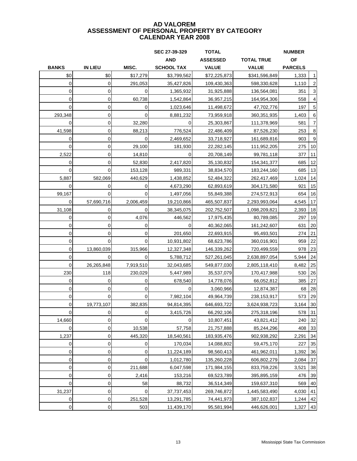|                |                |              | SEC 27-39-329     | <b>TOTAL</b>    |                   | <b>NUMBER</b>  |    |
|----------------|----------------|--------------|-------------------|-----------------|-------------------|----------------|----|
|                |                |              | <b>AND</b>        | <b>ASSESSED</b> | <b>TOTAL TRUE</b> | <b>OF</b>      |    |
| <b>BANKS</b>   | <b>IN LIEU</b> | MISC.        | <b>SCHOOL TAX</b> | <b>VALUE</b>    | <b>VALUE</b>      | <b>PARCELS</b> |    |
| \$0            | \$0            | \$17,279     | \$3,799,562       | \$72,225,873    | \$341,596,849     | 1,333          |    |
| $\mathbf 0$    | 0              | 291,053      | 35,427,826        | 109,430,363     | 598,330,628       | 1,110          |    |
| 0              | 0              | 0            | 1,365,932         | 31,925,888      | 136,564,081       | 351            |    |
| 0              | 0              | 60,738       | 1,542,864         | 36,957,215      | 164,954,306       | 558            |    |
| $\mathbf 0$    | 0              | $\mathbf 0$  | 1,023,646         | 11,498,672      | 47,702,776        | 197            | 5  |
| 293,348        | 0              | $\Omega$     | 8,881,232         | 73,959,918      | 360,351,935       | 1,403          | 6  |
| $\overline{0}$ | 0              | 32,280       | 0                 | 25,303,867      | 111,378,969       | 581            |    |
| 41,598         | $\mathbf 0$    | 88,213       | 776.524           | 22,486,409      | 87,526,230        | 253            | 8  |
| $\overline{0}$ | $\mathbf 0$    | $\Omega$     | 2,469,652         | 33,718,927      | 161,689,816       | 903            | 9  |
| $\Omega$       | 0              | 29,100       | 181,930           | 22,282,145      | 111,952,205       | 275            | 10 |
| 2,522          | 0              | 14,810       | 0                 | 20,708,149      | 99,781,118        | 377            | 11 |
| 0              | 0              | 52,830       | 2,417,820         | 35,130,832      | 154,341,377       | 685            | 12 |
| $\Omega$       | $\Omega$       | 153,128      | 989,331           | 38,834,570      | 183,244,160       | 685            | 13 |
| 5,887          | 582,069        | 440,629      | 1,438,852         | 52,484,322      | 262,417,469       | 1,024          | 14 |
| 0              | 0              | 0            | 4,673,290         | 62,893,619      | 304,171,580       | 921            | 15 |
| 99,167         | 0              | 0            | 1,497,056         | 55,849,388      | 274,572,913       | 654            | 16 |
| $\mathbf 0$    | 57,690,716     | 2,006,459    | 19,210,866        | 465,507,837     | 2,293,993,064     | 4,545          | 17 |
| 31,108         | 0              | 0            | 38,345,075        | 202,752,507     | 1,098,209,821     | 2,393          | 18 |
| 0              | 0              | 4,076        | 446,562           | 17,975,435      | 80,789,085        | 297            | 19 |
| 0              | 0              | 0            | 0                 | 40,362,065      | 161,242,607       | 631            | 20 |
| 0              | 0              | 0            | 201,650           | 22,693,915      | 95,493,501        | 274            | 21 |
| $\overline{0}$ | $\Omega$       | $\mathbf 0$  | 10,931,802        | 68,623,786      | 360,016,901       | 959            | 22 |
| 0              | 13,860,039     | 315,966      | 12,327,348        | 146,339,262     | 720,499,559       | 978            | 23 |
| 0              | 0              | $\Omega$     | 5,788,712         | 527,261,045     | 2,638,897,054     | 5,944          | 24 |
| 0              | 26,265,848     | 7,919,510    | 32,043,685        | 549,877,030     | 2,805,118,410     | 8,482          | 25 |
| 230            | 118            | 230,029      | 5,447,989         | 35,537,079      | 170,417,988       | 530            | 26 |
| 0              | 0              | 0            | 678,540           | 14,778,076      | 66,052,812        | 385            | 27 |
| 0              | 0              | 0            | 0                 | 3,060,966       | 12,874,387        | 68             | 28 |
| 0              | $\Omega$       | 0            | 7,982,104         | 49,964,739      | 238,153,917       | 573            | 29 |
| $\mathbf 0$    | 19,773,107     | 382,835      | 94,814,395        | 646,693,722     | 3,624,938,723     | 3,164          | 30 |
| $\overline{0}$ | $\overline{0}$ | $\mathbf{O}$ | 3,415,726         | 66,292,106      | 275,318,196       | 578            | 31 |
| 14,660         | 0              | $\Omega$     | $\Omega$          | 10,807,451      | 43,821,412        | 240            | 32 |
| $\overline{0}$ | 0              | 10,538       | 57,758            | 21,757,888      | 85,244,296        | 408            | 33 |
| 1,237          | 0              | 445,320      | 18,540,561        | 183,935,476     | 902,938,292       | 2,291          | 34 |
| 0              | 0              | 0            | 170,034           | 14,088,802      | 59,475,170        | 227            | 35 |
| $\overline{0}$ | 0              | 0            | 11,224,189        | 98,560,413      | 461,962,011       | 1,392          | 36 |
| $\overline{0}$ | 0              | 0            | 1,012,780         | 135,260,228     | 606,802,279       | 2,084          | 37 |
| $\overline{0}$ | 0              | 211,688      | 6,047,598         | 171,984,155     | 833,759,226       | 3,521          | 38 |
| $\overline{0}$ | 0              | 2,416        | 153,216           | 69,523,789      | 395,895,159       | 476            | 39 |
| $\overline{0}$ | 0              | 58           | 88,732            | 36,514,349      | 159,637,310       | 569            | 40 |
| 31,237         | 0              | 0            | 37,737,453        | 269,746,872     | 1,445,583,490     | 4,030          | 41 |
| 0              | 0              | 251,528      | 13,291,785        | 74,441,973      | 387,102,837       | 1,244          | 42 |
| $\overline{0}$ | $\pmb{0}$      | 503          | 11,439,170        | 95,581,994      | 446,626,001       | 1,327          | 43 |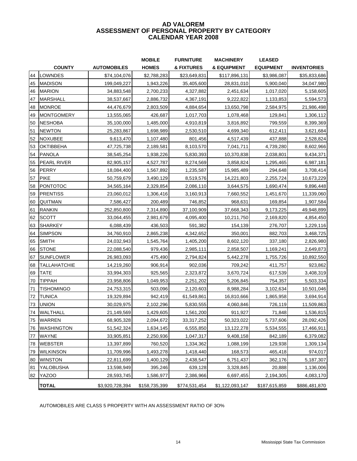#### **ASSESSMENT OF PERSONAL PROPERTY BY CATEGORY CALENDAR YEAR 2008 AD VALOREM**

|    |                     |                    | <b>MOBILE</b> | <b>FURNITURE</b> | <b>MACHINERY</b> | <b>LEASED</b>    |                    |
|----|---------------------|--------------------|---------------|------------------|------------------|------------------|--------------------|
|    | <b>COUNTY</b>       | <b>AUTOMOBILES</b> | <b>HOMES</b>  | & FIXTURES       | & EQUIPMENT      | <b>EQUIPMENT</b> | <b>INVENTORIES</b> |
| 44 | LOWNDES             | \$74,104,076       | \$2,788,283   | \$23,649,831     | \$117,896,131    | \$3,986,087      | \$35,833,686       |
| 45 | <b>MADISON</b>      | 199,049,227        | 1,943,226     | 35,405,600       | 28,831,010       | 5,900,040        | 34,047,980         |
| 46 | <b>MARION</b>       | 34,883,548         | 2,700,233     | 4,327,882        | 2,451,634        | 1,017,020        | 5,158,605          |
| 47 | <b>MARSHALL</b>     | 38,537,667         | 2,886,732     | 4,367,191        | 9,222,822        | 1,133,853        | 5,594,573          |
| 48 | <b>MONROE</b>       | 44,476,679         | 2,803,509     | 4,884,654        | 13,650,798       | 2,584,975        | 21,986,498         |
| 49 | <b>MONTGOMERY</b>   | 13,555,065         | 426,687       | 1,017,703        | 1,078,468        | 129,841          | 1,306,112          |
| 50 | <b>NESHOBA</b>      | 35,100,000         | 1,485,000     | 4,910,819        | 3,816,892        | 799,559          | 8,399,369          |
| 51 | <b>NEWTON</b>       | 25,283,867         | 1,698,989     | 2,530,510        | 4,699,340        | 612,411          | 3,621,684          |
| 52 | <b>NOXUBEE</b>      | 9,613,470          | 1,107,480     | 801,456          | 4,517,439        | 437,888          | 2,528,824          |
| 53 | <b>OKTIBBEHA</b>    | 47,725,738         | 2,189,581     | 8,103,570        | 7,041,711        | 4,739,280        | 8,602,966          |
| 54 | <b>PANOLA</b>       | 38,545,254         | 1,938,226     | 5,830,393        | 10,370,838       | 2,038,801        | 9,434,371          |
| 55 | <b>PEARL RIVER</b>  | 82,905,157         | 4,527,787     | 8,274,569        | 3,858,824        | 1,295,465        | 6,987,181          |
| 56 | <b>PERRY</b>        | 18,084,400         | 1,567,892     | 1,235,587        | 15,985,489       | 294,648          | 3,708,414          |
| 57 | <b>PIKE</b>         | 50,759,679         | 3,490,129     | 8,519,576        | 14,221,803       | 2,255,724        | 10,673,229         |
| 58 | <b>PONTOTOC</b>     | 34,565,164         | 2,329,854     | 2,086,110        | 3,644,575        | 1,690,474        | 9,896,448          |
| 59 | <b>PRENTISS</b>     | 23,060,012         | 1,306,416     | 3,160,913        | 7,660,552        | 1,451,670        | 11,339,060         |
| 60 | QUITMAN             | 7,586,427          | 200,489       | 746,852          | 968,631          | 169,854          | 1,907,584          |
| 61 | <b>RANKIN</b>       | 252,850,800        | 7,314,890     | 37,100,909       | 37,668,343       | 9,173,225        | 49,948,899         |
| 62 | <b>SCOTT</b>        | 33,064,455         | 2,981,679     | 4,095,400        | 10,211,750       | 2,169,820        | 4,854,450          |
| 63 | <b>SHARKEY</b>      | 6,088,439          | 436,503       | 591,382          | 154,139          | 276,707          | 1,229,116          |
| 64 | <b>SIMPSON</b>      | 34,760,910         | 2,865,238     | 4,342,652        | 350,001          | 882,703          | 3,468,725          |
| 65 | <b>SMITH</b>        | 24,032,943         | 1,545,764     | 1,405,200        | 8,602,120        | 337,180          | 2,826,980          |
| 66 | <b>STONE</b>        | 22,088,540         | 979,436       | 2,985,111        | 2,858,507        | 1,169,241        | 2,649,873          |
| 67 | <b>SUNFLOWER</b>    | 26,983,093         | 475,490       | 2,794,824        | 5,442,278        | 1,755,726        | 10,892,550         |
| 68 | <b>TALLAHATCHIE</b> | 14,219,260         | 906,914       | 902,036          | 709,242          | 411,757          | 923,862            |
| 69 | <b>TATE</b>         | 33,994,303         | 925,565       | 2,323,872        | 3,670,724        | 617,539          | 3,408,319          |
| 70 | <b>TIPPAH</b>       | 23,958,806         | 1,049,953     | 2,251,202        | 5,206,845        | 754,357          | 5,503,334          |
| 71 | <b>TISHOMINGO</b>   | 24,753,315         | 503,096       | 2,120,603        | 8,988,284        | 3,102,634        | 10,501,046         |
| 72 | <b>TUNICA</b>       | 19,329,894         | 942,419       | 61,549,861       | 16,810,666       | 1,865,958        | 3,694,914          |
| 73 | <b>UNION</b>        | 30,029,975         | 2,102,296     | 5,830,555        | 4,060,846        | 726,119          | 11,509,863         |
| 74 | WALTHALL            | 21,149,569         | 1,429,605     | 1,561,200        | 911,927          | 71,848           | 1,536,815          |
| 75 | WARREN              | 68,905,328         | 2,094,672     | 33,317,252       | 50,323,022       | 5,737,606        | 28,092,426         |
| 76 | <b>WASHINGTON</b>   | 51,542,324         | 1,634,145     | 6,555,850        | 13,122,278       | 5,534,555        | 17,466,911         |
| 77 | WAYNE               | 33,905,851         | 2,250,936     | 1,047,317        | 9,408,158        | 842,189          | 6,379,082          |
| 78 | <b>WEBSTER</b>      | 13,397,899         | 760,520       | 1,334,362        | 1,088,199        | 129,938          | 1,309,134          |
| 79 | <b>WILKINSON</b>    | 11,709,996         | 1,493,278     | 1,418,440        | 168,573          | 465,418          | 974,017            |
| 80 | <b>WINSTON</b>      | 22,811,699         | 1,400,129     | 2,438,547        | 6,751,437        | 362,176          | 5,187,307          |
| 81 | YALOBUSHA           | 13,598,949         | 395,246       | 639,128          | 3,328,845        | 20,888           | 1,136,006          |
| 82 | <b>YAZOO</b>        | 28,593,745         | 1,586,977     | 2,386,966        | 6,697,455        | 2,194,305        | 4,083,170          |
|    | <b>TOTAL</b>        | \$3,920,728,394    | \$158,735,399 | \$774,531,454    | \$1,122,093,147  | \$187,615,859    | \$886,481,870      |

AUTOMOBILES ARE CLASS 5 PROPERTY WITH AN ASSESSMENT RATIO OF 3O%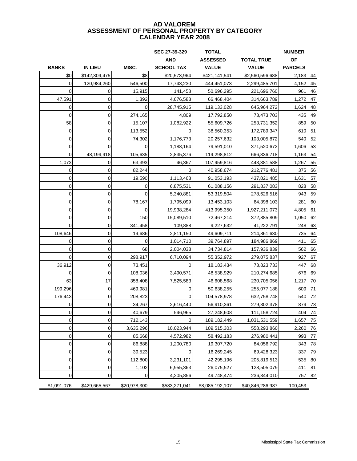|                |                |              | SEC 27-39-329     | <b>TOTAL</b>    |                   | <b>NUMBER</b>  |    |
|----------------|----------------|--------------|-------------------|-----------------|-------------------|----------------|----|
|                |                |              | <b>AND</b>        | <b>ASSESSED</b> | <b>TOTAL TRUE</b> | <b>OF</b>      |    |
| <b>BANKS</b>   | <b>IN LIEU</b> | MISC.        | <b>SCHOOL TAX</b> | <b>VALUE</b>    | <b>VALUE</b>      | <b>PARCELS</b> |    |
| \$0            | \$142,309,475  | \$8          | \$20,573,964      | \$421,141,541   | \$2,560,596,688   | 2,183          | 44 |
| $\overline{0}$ | 120,984,260    | 546,500      | 17,743,230        | 444,451,073     | 2,299,485,701     | 4,152          | 45 |
| $\Omega$       | 0              | 15,915       | 141,458           | 50,696,295      | 221,696,760       | 961            | 46 |
| 47,591         | $\mathbf 0$    | 1,392        | 4,676,583         | 66,468,404      | 314,663,789       | 1,272          | 47 |
| $\mathbf 0$    | $\mathbf 0$    | 0            | 28,745,915        | 119,133,028     | 645,964,272       | 1,624          | 48 |
| $\overline{0}$ | $\mathbf 0$    | 274,165      | 4,809             | 17,792,850      | 73,473,703        | 435            | 49 |
| 58             | $\mathbf 0$    | 15,107       | 1,082,922         | 55,609,726      | 253,731,352       | 859            | 50 |
| $\mathbf 0$    | $\mathbf 0$    | 113,552      | 0                 | 38,560,353      | 172,789,347       | 610            | 51 |
| 0              | $\mathbf 0$    | 74,302       | 1,176,773         | 20,257,632      | 103,005,872       | 540            | 52 |
| 0              | $\Omega$       | 0            | 1,188,164         | 79,591,010      | 371,520,672       | 1,606          | 53 |
| $\Omega$       | 48,199,918     | 105,635      | 2,835,376         | 119,298,812     | 666,836,718       | 1,163          | 54 |
| 1,073          | 0              | 63,393       | 46,367            | 107,959,816     | 443,381,588       | 1,267          | 55 |
| 0              | $\mathbf 0$    | 82,244       | 0                 | 40,958,674      | 212,776,481       | 375            | 56 |
| 0              | $\mathbf 0$    | 19,590       | 1,113,463         | 91,053,193      | 437,821,485       | 1,631          | 57 |
| $\mathbf 0$    | $\mathbf 0$    | 0            | 6,875,531         | 61,088,156      | 291,837,083       | 828            | 58 |
| $\mathbf 0$    | $\mathbf 0$    | 0            | 5,340,881         | 53,319,504      | 278,626,516       | 943            | 59 |
| $\mathbf 0$    | $\mathbf 0$    | 78,167       | 1,795,099         | 13,453,103      | 64,398,103        | 281            | 60 |
| $\overline{0}$ | 0              | 0            | 19,938,284        | 413,995,350     | 1,927,211,073     | 4,805          | 61 |
| $\overline{0}$ | $\mathbf 0$    | 150          | 15,089,510        | 72,467,214      | 372,885,809       | 1,050          | 62 |
| $\overline{0}$ | 0              | 341,458      | 109,888           | 9,227,632       | 41,222,791        | 248            | 63 |
| 108,646        | $\mathbf 0$    | 19,686       | 2,811,150         | 49,609,711      | 214,861,630       | 735            | 64 |
| $\overline{0}$ | $\mathbf 0$    | 0            | 1,014,710         | 39,764,897      | 184,986,869       | 411            | 65 |
| 0              | $\mathbf 0$    | 68           | 2,004,038         | 34,734,814      | 157,936,839       | 562            | 66 |
| $\Omega$       | $\mathbf 0$    | 298,917      | 6,710,094         | 55,352,972      | 279,075,837       | 927            | 67 |
| 36,912         | $\mathbf 0$    | 73,451       | 0                 | 18,183,434      | 73,823,733        | 447            | 68 |
| 0              | 0              | 108,036      | 3,490,571         | 48,538,929      | 210,274,685       | 676            | 69 |
| 63             | 17             | 358,408      | 7,525,583         | 46,608,568      | 230,705,056       | 1,217          | 70 |
| 199,296        | 0              | 469,981      | 0                 | 50,638,255      | 255,077,188       | 609            | 71 |
| 176,443        | $\mathbf 0$    | 208,823      | $\Omega$          | 104,578,978     | 632,758,748       | 540            | 72 |
| $\Omega$       | $\mathbf 0$    | 34,267       | 2,616,440         | 56,910,361      | 279,302,378       | 879            | 73 |
| $\overline{0}$ | $\overline{0}$ | 40,679       | 546,965           | 27,248,608      | 111,158,724       | 404 74         |    |
| $\overline{0}$ | $\mathbf 0$    | 712,143      | 0                 | 189, 182, 449   | 1,031,531,559     | 1,657          | 75 |
| $\overline{0}$ | 0              | 3,635,296    | 10,023,944        | 109,515,303     | 558,293,860       | 2,260          | 76 |
| $\pmb{0}$      | $\mathbf 0$    | 85,668       | 4,572,982         | 58,492,183      | 276,980,441       | 993            | 77 |
| 0              | 0              | 86,888       | 1,200,780         | 19,307,720      | 84,056,792        | 343            | 78 |
| 0              | $\mathbf 0$    | 39,523       | 0                 | 16,269,245      | 69,428,323        | 337            | 79 |
| 0              | 0              | 112,800      | 3,231,101         | 42,295,196      | 205,819,513       | 535            | 80 |
| 0              | 0              | 1,102        | 6,955,363         | 26,075,527      | 128,505,079       | 411            | 81 |
| 0              | 0              | 0            | 4,205,856         | 49,748,474      | 236,344,010       | 757            | 82 |
| \$1,091,076    | \$429,665,567  | \$20,978,300 | \$583,271,041     | \$8,085,192,107 | \$40,846,286,987  | 100,453        |    |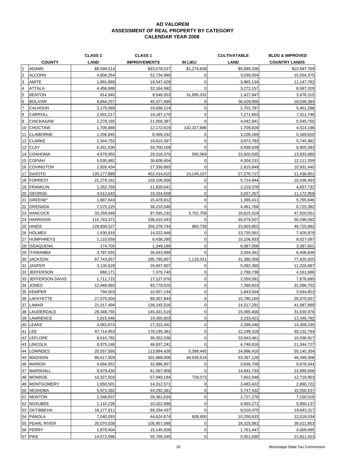|                |                  | <b>CLASS 1</b> | <b>CLASS 1</b>      |                | <b>CULTIVATABLE</b> | <b>BLDG &amp; IMPROVED</b> |
|----------------|------------------|----------------|---------------------|----------------|---------------------|----------------------------|
|                | <b>COUNTY</b>    | <b>LAND</b>    | <b>IMPROVEMENTS</b> | IN LIEU        | LAND                | <b>COUNTRY LANDS</b>       |
|                | <b>ADAMS</b>     | \$8,599,514    | \$43,578,537        | \$1,274,638    | \$5,899,336         | \$10,587,769               |
| $\overline{c}$ | <b>ALCORN</b>    | 4,804,254      | 52,734,999          | $\mathbf 0$    | 3,039,354           | 10,554,375                 |
| 3              | AMITE            | 1,891,889      | 19,547,429          | $\mathbf{O}$   | 3,965,134           | 11,147,782                 |
| 4              | ATTALA           | 4,456,688      | 32,164,992          | $\Omega$       | 3,272,157           | 8,587,329                  |
| 5              | <b>BENTON</b>    | 914,940        | 9,548,053           | 31,895,332     | 1,427,947           | 3,676,315                  |
| 6              | <b>BOLIVAR</b>   | 9,844,257      | 45,377,495          | $\mathbf 0$    | 36,429,956          | 18,036,384                 |
| 7              | CALHOUN          | 2,170,569      | 19,838,114          | $\overline{0}$ | 2,702,787           | 5,461,288                  |
| 8              | CARROLL          | 2,691,217      |                     | 0              |                     |                            |
|                |                  |                | 19,187,179          |                | 7,271,603           | 7,311,748                  |
| 9              | <b>CHICKASAW</b> | 2,278,165      | 21,058,397          | 0              | 4,042,941           | 5,545,750                  |
|                | 10 CHOCTAW       | 1,709,889      | 12,172,619          | 142,327,686    | 1,709,928           | 4,514,196                  |
| 11             | <b>CLAIBORNE</b> | 1,256,845      | 8,469,232           | $\mathbf 0$    | 3,228,169           | 5,189,810                  |
|                | 12 CLARKE        | 2,344,752      | 19,615,397          | $\mathbf 0$    | 3,973,783           | 5,745,982                  |
|                | 13 CLAY          | 6,451,530      | 34,700,169          | 0              | 4,938,639           | 8,900,393                  |
|                | 14 COAHOMA       | 4,679,955      | 29,316,370          | 582,069        | 23,920,635          | 13,933,880                 |
|                | 15 COPIAH        | 5,535,882      | 36,608,404          | $\Omega$       | 4,004,231           | 12,111,359                 |
|                | 16 COVINGTON     | 2,926,434      | 27,330,665          | $\mathbf 0$    | 2,815,849           | 10,931,440                 |
|                | 17 DeSOTO        | 120, 177, 889  | 452,414,010         | 10,145,107     | 27,278,717          | 11,438,851                 |
|                | 18 FORREST       | 21,278,161     | 103,106,556         | $\mathbf 0$    | 5,714,844           | 15,438,463                 |
|                | 19 FRANKLIN      | 1,262,769      | 11,628,641          | 0              | 2,219,378           | 4,657,732                  |
|                | 20 GEORGE        | 4,512,643      | 33,334,558          | $\mathbf 0$    | 3,027,257           | 11,172,958                 |
| 21             | GREENE*          | 1,687,643      | 15,478,912          | 0              | 1,385,411           | 5,765,646                  |
|                | 22 GRENADA       | 7,575,125      | 36,210,548          | $\mathbf 0$    | 4,461,768           | 6,725,382                  |
|                | 23 HANCOCK       | 33,258,949     | 97,595,232          | 3,752,759      | 16,615,319          | 47,820,051                 |
|                | 24 HARRISON      | 115,743,371    | 336,015,343         | $\overline{0}$ | 45,079,507          | 50,298,582                 |
|                | 25 HINDS         | 129,838,527    | 356,378,744         | 960,739        | 23,803,852          | 46,725,892                 |
|                | 26 HOLMES        | 1,930,918      | 14,022,448          | 0              | 13,735,561          | 7,426,979                  |
|                | 27 HUMPHREYS     | 1,110,659      | 8,438,285           | $\mathbf 0$    | 10,106,933          | 8,027,087                  |
| 28             | <b>ISSAQUENA</b> | 174,700        | 1,349,186           | $\mathbf 0$    | 6,087,058           | 3,387,601                  |
|                | 29 ITAWAMBA      | 3,787,555      | 30,043,999          | $\Omega$       |                     |                            |
|                |                  |                |                     |                | 3,434,361           | 6,406,836                  |
|                | 30 JACKSON       | 67,743,857     | 295,795,857         | 1,133,031      | 31,380,358          | 77,420,425                 |
|                | 31 JASPER        | 3,130,529      | 26,667,907          | $\mathbf 0$    | 5,092,360           | 11,320,687                 |
| 32             | <b>JEFFERSON</b> | 868,171        | 7,379,740           | $\overline{0}$ | 2,788,738           | 4,161,686                  |
| 33             | JEFFERSON DAVIS  | 1,711,722      | 17,127,076          | 0              | 2,559,581           | 7,676,685                  |
| 34             | <b>JONES</b>     | 12,448,893     | 93,779,525          | $\mathbf 0$    | 7,399,823           | 31,096,702                 |
|                | 35 KEMPER        | 794,003        | 10,557,134          | $\mathbf 0$    | 1,843,504           | 3,544,853                  |
|                | 36 LAFAYETTE     | 27,575,504     | 89,307,844          | $\mathbf 0$    | 15,780,165          | 26,570,937                 |
| 37             | LAMAR            | 21,017,494     | 139,245,516         | $\mathbf 0$    | 14,517,291          | 41,087,899                 |
|                | 38 LAUDERDALE    | 28,348,755     | 145,431,519         | $\mathbf 0$    | 15,065,400          | 31,630,976                 |
|                | 39 LAWRENCE      | 1,815,946      | 19,350,803          | $\mathbf 0$    | 3,233,421           | 12,349,782                 |
|                | 40 LEAKE         | 4,062,874      | 27,322,452          | $\mathbf 0$    | 3,398,046           | 14,358,235                 |
|                | 41 LEE           | 47,714,953     | 178,195,381         | $\mathbf 0$    | 12,199,318          | 40,132,794                 |
|                | 42 LEFLORE       | 8,610,782      | 36,352,036          | 0              | 23,943,461          | 16,536,917                 |
|                | 43 LINCOLN       | 8,975,246      | 48,937,241          | $\mathbf 0$    | 4,748,916           | 11,044,727                 |
|                | 44 LOWNDES       | 20,557,580     | 113,894,426         | 5,399,445      | 14,986,416          | 55,145,304                 |
|                | 45 MADISON       | 86,617,929     | 301,888,006         | 48,935,519     | 53,397,128          | 48,399,308                 |
|                | 46 MARION        | 4,094,952      | 32,886,957          | 0              | 3,636,709           | 9,676,544                  |
|                | 47 MARSHALL      | 9,979,430      | 61,567,858          | $\mathbf 0$    | 14,691,733          | 23,995,658                 |
|                | 48 MONROE        | 10,327,503     | 57,940,184          | 728,073        | 7,602,048           | 12,719,953                 |
|                | 49 MONTGOMERY    | 1,650,501      | 14,312,571          | $\mathbf 0$    | 3,483,422           | 2,890,722                  |
|                | 50 NESHOBA       | 5,973,282      | 44,292,381          | 0              | 3,747,432           | 15,550,537                 |
|                | 51 NEWTON        | 2,548,837      | 28,361,634          | 0              | 2,727,276           | 7,150,016                  |
|                | 52 NOXUBEE       | 1,110,226      | 10,322,998          | $\mathbf 0$    | 4,003,271           | 5,950,137                  |
|                | 53 OKTIBBEHA     | 16,177,811     | 69,334,437          | 0              | 9,018,475           | 19,643,317                 |
|                | 54 PANOLA        | 7,040,093      | 44,624,674          | 608,600        | 10,250,633          | 12,018,034                 |
|                | 55 PEARL RIVER   | 20,070,538     | 105,957,086         | $\mathbf 0$    | 18,325,081          | 36,011,853                 |
|                | 56 PERRY         | 1,870,404      | 15,145,826          | $\mathbf 0$    | 1,761,447           | 4,009,995                  |
|                | 57 PIKE          | 14,572,598     | 55,769,345          | $\overline{0}$ | 5,051,030           | 21,811,423                 |
|                |                  |                |                     |                |                     |                            |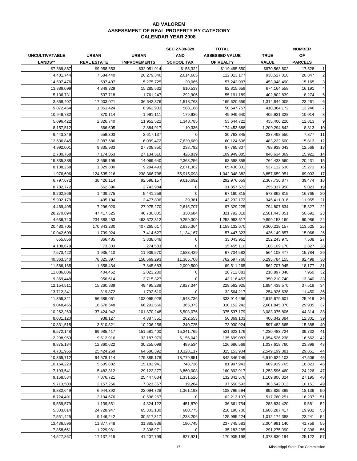|                       |                    |                     | SEC 27-39-329     | <b>TOTAL</b>          |               | <b>NUMBER</b>  |                |
|-----------------------|--------------------|---------------------|-------------------|-----------------------|---------------|----------------|----------------|
| <b>UNCULTIVATABLE</b> | <b>URBAN</b>       | <b>URBAN</b>        | <b>AND</b>        | <b>ASSESSED VALUE</b> | <b>TRUE</b>   | OF             |                |
| LANDS**               | <b>REAL ESTATE</b> | <b>IMPROVEMENTS</b> | <b>SCHOOL TAX</b> | OF REALTY             | <b>VALUE</b>  | <b>PARCELS</b> |                |
| \$7,389,867           | \$9,958,653        | \$32,051,914        | \$155,322         | \$119,495,550         | \$970,563,802 | 17,528         | $\mathbf{1}$   |
| 4,401,744             | 7,584,440          | 26,279,346          | 2,614,665         | 112,013,177           | 938,527,010   | 20,847         | $\overline{c}$ |
| 14,597,476            | 697,497            | 5,275,725           | 120,065           | 57,242,997            | 453,048,490   | 15,165         | 3              |
| 13,889,099            | 4,349,329          | 15,285,532          | 810,533           | 82,815,659            | 674,164,558   | 16,191         | $\overline{4}$ |
| 5,136,731             | 537,718            | 1,761,247           | 292,906           | 55,191,189            | 402,802,839   | 8,274          | $\sqrt{5}$     |
| 3,868,407             | 17,903,021         | 36,642,376          | 1,518,763         | 169,620,659           | 1,314,844,005 | 23,261         | 6              |
| 9,072,454             | 1,851,424          | 8,962,933           | 588,188           | 50,647,757            | 410,364,172   | 13,246         | $\overline{7}$ |
| 10,946,732            | 370,114            | 1,991,111           | 179,936           | 49,949,640            | 405,921,328   | 10,014         | 8              |
| 5,096,422             | 2,326,740          | 11,952,522          | 1,343,785         | 53,644,722            | 435,400,220   | 12,813         | 9              |
| 8,157,512             | 866,605            | 2,884,917           | 110,336           | 174,453,688           | 1,209,294,842 | 8,813          | 10             |
| 9,443,349             | 559,303            | 2,617,137           |                   | 30,763,845            | 237,498,550   | 7,877          | 11             |
| 12,636,845            | 2,087,686          | 6,099,472           | 7,620,689         | 60,124,606            | 483,232,600   | 15,813         | 12             |
| 4,992,001             | 9,835,933          | 27,708,350          | 238,792           | 97,765,807            | 788,938,043   | 12,568         | 13             |
| 2,780,768             | 7,174,853          | 27,134,516          | 426,839           | 109,949,885           | 846,634,369   | 15,922         | 14             |
| 15,335,388            | 3,565,195          | 14,069,640          | 2,368,256         | 93,598,355            | 764,433,560   | 20,431         | 15             |
| 8,138,258             | 1,329,830          | 9,294,493           | 2.671.362         | 65,438,331            | 537,112,530   | 15,273         | 16             |
| 1,976,696             | 124,635,216        | 238,366,798         | 55,915,098        | 1,042,348,382         | 8,857,659,951 | 69,003         | 17             |
| 6,797,672             | 38,426,114         | 92,598,157          | 9,616,692         | 292,976,659           | 2,367,736,877 | 39,474         | 18             |
| 8,782,772             | 562,396            | 2,743,984           | 0                 | 31,857,672            | 255,337,950   | 9,023          | 19             |
| 8,262,866             | 1,409,275          | 5,441,258           | $\Omega$          | 67,160,815            | 573,862,815   | 16,765         | 20             |
| 15,902,179            | 495,194            | 2,477,806           | 39,381            | 43,232,172            | 345,411,016   | 11,955         | 21             |
| 4,469,405             | 7.296.020          | 27,975,270          | 2,615,707         | 97,329,225            | 794,807,834   | 15,327         | 22             |
| 28,270,894            | 47,417,625         | 46,730,805          | 330,684           | 321,792,318           | 2,581,443,051 | 50,692         | 23             |
| 4,636,740             | 234,388,453        | 463,572,312         | 9,259,309         | 1,258,993,617         | 9,899,153,160 | 99,986         | 24             |
| 20,480,705            | 170,843,230        | 407,265,617         | 2,835,364         | 1,159,132,670         | 9,360,218,157 | 113,525        | 25             |
| 10,042,699            | 1,739,924          | 7,414,627           | 1,134,167         | 57,447,323            | 436,149,857   | 15,068         | 26             |
| 655,856               | 866,485            | 3,838,646           | 0                 | 33,043,951            | 252,243,975   | 7,508          | 27             |
| 4,108,679             | 73,303             | 274,583             |                   | 15,455,110            | 108,109,170   | 2,827          | 28             |
| 7,573,422             | 1,935,410          | 11,939,570          | 2,583,429         | 67,704,582            | 564,108,477   | 15,784         | 29             |
| 40,363,340            | 78,825,897         | 158,569,293         | 11,365,708        | 762,597,766           | 6,295,784,155 | 82,498         | 30             |
| 11,586,165            | 1,858,434          | 7,845,683           | 2,009,500         | 69,511,265            | 562,707,945   | 18,177         | 31             |
| 11,086,806            | 404,462            | 2,023,280           | 0                 | 28,712,883            | 218,897,040   | 7,950          | 32             |
| 9,369,448             | 956,614            | 3,715,327           | 0                 | 43,116,453            | 350,210,740   | 13,340         | 33             |
| 12,154,511            | 15,260,839         | 49,495,288          | 7,927,344         | 229,562,925           | 1,884,439,570 | 37,518         | 34             |
| 13,712,341            | 319,872            | 1,792,510           | $\Omega$          | 32,564,217            | 254,926,638   | 11,450         | 35             |
| 11,355,321            | 56,685,061         | 102,095,928         | 4,543,736         | 333,914,496           | 2,615,679,601 | 25,919         | 36             |
| 9,048,455             | 18,578,648         | 66,291,566          | 365,373           | 310,152,242           | 2,601,845,370 | 29,905         | 37             |
| 10,262,263            | 37,424,942         | 101,870,248         | 5,503,076         | 375,537,179           | 3,083,075,806 | 44,314         | 38             |
| 8,031,120             | 938,127            | 4,387,351           | 262,553           | 50,369,103            | 406,342,884   | 12,301         | 39             |
| 10,831,515            | 3,510,821          | 10,206,256          | 240,725           | 73,930,924            | 597,482,665   | 15,388         | 40             |
| 6,572,148             | 69,985,417         | 151,581,400         | 15,241,765        | 521,623,176           | 4,230,483,724 | 39,732         | 41             |
| 2,298,950             | 9,612,916          | 33,187,979          | 5,156,042         | 135,699,083           | 1,054,526,238 | 16,562         | 42             |
| 9,875,184             | 12,360,622         | 30,255,099          | 489,534           | 126,686,569           | 1,037,618,760 | 23,898         | 43             |
| 4,731,955             | 25,424,269         | 64,686,392          | 10,328,117        | 315,153,904           | 2,549,199,381 | 29,851         | 44             |
| 10,365,712            | 94,578,114         | 179,385,178         | 18,779,851        | 842,346,745           | 6,910,624,103 | 47,506         | 45             |
| 10,164,220            | 5,605,882          | 15,183,941          | 748,738           | 81,997,943            | 669,919,765   | 18,823         | 46             |
| 7,193,541             | 5,482,312          | 29,122,377          | 8,860,008         |                       |               | 24,226         | 47             |
|                       |                    |                     |                   | 160,892,917           | 1,253,596,460 |                |                |
| 9,168,534             | 7,076,721          | 25,447,034          | 1,331,526         | 132,341,576           | 1,109,806,324 | 27,195         | 48             |
| 5,713,500             | 2,157,256          | 7,323,357           | 19,264            | 37,550,593            | 303,542,013   | 10,151         | 49             |
| 8,832,649             | 6,944,392          | 22,094,728          | 1,361,193         | 108,796,594           | 892,825,399   | 18,136         | 50             |
| 8,724,491             | 2,104,676          | 10,596,267          |                   | 62,213,197            | 517,760,251   | 16,237         | 51             |
| 9,559,579             | 1,139,551          | 4,324,122           | 451,870           | 36,861,754            | 283,834,420   | 9,581          | 52             |
| 5,303,814             | 24,728,947         | 65,303,130          | 680,775           | 210,190,706           | 1,686,287,417 | 19,932         | 53             |
| 7,551,425             | 9,146,242          | 30,517,317          | 4,238,206         | 125,995,224           | 1,012,174,388 | 23,241         | 54             |
| 13,436,596            | 11,877,748         | 31,885,936          | 180,745           | 237,745,583           | 2,004,991,140 | 41,758         | 55             |
| 7,858,661             | 1,229,981          | 3,306,971           | $\mathbf 0$       | 35, 183, 285          | 291,275,990   | 10,396         | 56             |
| 14,527,867            | 17, 137, 215       | 41,207,799          | 827,921           | 170,905,198           | 1,373,830,194 | 25,122         | 57             |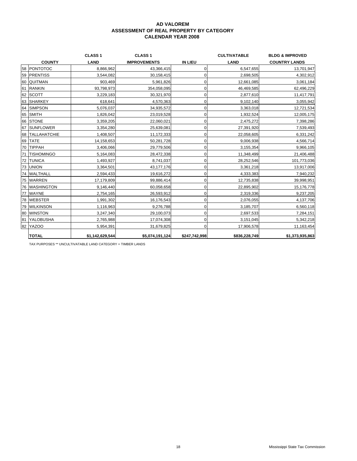|                      | <b>CLASS1</b>   | <b>CLASS1</b>       |                | <b>CULTIVATABLE</b> | <b>BLDG &amp; IMPROVED</b> |
|----------------------|-----------------|---------------------|----------------|---------------------|----------------------------|
| <b>COUNTY</b>        | <b>LAND</b>     | <b>IMPROVEMENTS</b> | <b>IN LIEU</b> | LAND                | <b>COUNTRY LANDS</b>       |
| 58 PONTOTOC          | 8,866,962       | 43,366,415          | $\mathbf 0$    | 6,547,655           | 13,701,947                 |
| 59 PRENTISS          | 3,544,082       | 30,158,415          | 0              | 2,698,505           | 4,302,912                  |
| 60 QUITMAN           | 903,469         | 5,961,826           |                | 12,661,085          | 3,061,184                  |
| 61 RANKIN            | 93,798,973      | 354,058,095         | $\Omega$       | 46,469,585          | 62,496,229                 |
| 62 SCOTT             | 3,229,183       | 30,321,970          |                | 2,877,610           | 11,417,791                 |
| 63 SHARKEY           | 618,641         | 4,570,363           |                | 9,102,140           | 3,055,942                  |
| 64 SIMPSON           | 5,076,037       | 34,935,572          |                | 3,363,018           | 12,721,534                 |
| 65 SMITH             | 1,826,042       | 23,019,528          | 0              | 1,932,524           | 12,005,175                 |
| 66 STONE             | 3,359,205       | 22,060,021          |                | 2,475,272           | 7,398,286                  |
| 67 SUNFLOWER         | 3,354,280       | 25,639,081          |                | 27,391,920          | 7,539,493                  |
| 68   TALLAHATCHIE    | 1,408,507       | 11,172,333          |                | 22,058,605          | 6,331,242                  |
| 69 TATE              | 14,158,653      | 50,281,728          | 0              | 9,006,938           | 4,566,714                  |
| 70 TIPPAH            | 3,406,066       | 29,779,506          |                | 3,155,354           | 9,966,105                  |
| 71 TISHOMINGO        | 5,164,083       | 28,472,338          |                | 11,348,499          | 21,406,488                 |
| 72 TUNICA            | 1,493,927       | 8,741,037           | 0              | 28,252,546          | 101,773,036                |
| 73 UNION             | 3,364,501       | 43,177,176          | 0              | 3,361,218           | 13,917,006                 |
| 74 WALTHALL          | 2,594,433       | 19,616,272          |                | 4,333,383           | 7,940,232                  |
| 75 WARREN            | 17,179,809      | 99,886,414          |                | 12,735,838          | 39,998,951                 |
| <b>76 WASHINGTON</b> | 9,146,440       | 60,058,658          |                | 22,895,902          | 15,176,778                 |
| 77 WAYNE             | 2,754,165       | 26,593,912          | 0              | 2,319,336           | 9,237,205                  |
| 78 WEBSTER           | 1,991,302       | 16,176,543          | O              | 2,076,055           | 4,137,706                  |
| 79 WILKINSON         | 1,116,963       | 9,276,788           |                | 3,185,707           | 6,560,118                  |
| 80 WINSTON           | 3,247,340       | 29,100,073          | 0              | 2,697,533           | 7,284,151                  |
| 81 YALOBUSHA         | 2,765,988       | 17,074,308          | 0              | 3,151,045           | 5,342,218                  |
| 82 YAZOO             | 5,954,391       | 31,679,825          | 0              | 17,906,578          | 11,163,454                 |
| <b>TOTAL</b>         | \$1,142,629,544 | \$5,074,191,124     | \$247,742,998  | \$836,228,749       | \$1,373,935,863            |

TAX PURPOSES \*\* UNCULTIVATABLE LAND CATEGORY = TIMBER LANDS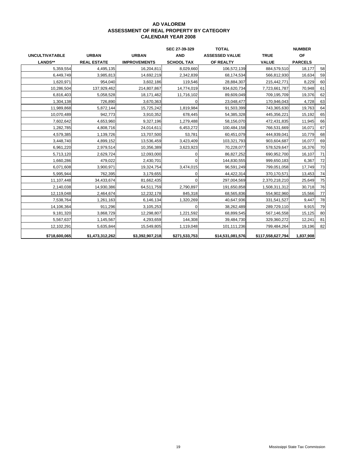|                       |                    |                     | SEC 27-39-329     | <b>TOTAL</b>          |                   | <b>NUMBER</b>  |    |
|-----------------------|--------------------|---------------------|-------------------|-----------------------|-------------------|----------------|----|
| <b>UNCULTIVATABLE</b> | <b>URBAN</b>       | <b>URBAN</b>        | <b>AND</b>        | <b>ASSESSED VALUE</b> | <b>TRUE</b>       | OF             |    |
| LANDS**               | <b>REAL ESTATE</b> | <b>IMPROVEMENTS</b> | <b>SCHOOL TAX</b> | OF REALTY             | <b>VALUE</b>      | <b>PARCELS</b> |    |
| 5,359,554             | 4,495,135          | 16,204,811          | 8,029,660         | 106,572,139           | 884,579,510       | 18,177         | 58 |
| 6,449,749             | 3,985,813          | 14,692,219          | 2,342,839         | 68,174,534            | 566,812,930       | 16,634         | 59 |
| 1,620,971             | 954,040            | 3,602,186           | 119,546           | 28,884,307            | 215,442,771       | 8,229          | 60 |
| 10,286,504            | 137,929,462        | 214,807,867         | 14,774,019        | 934,620,734           | 7,723,661,787     | 70,948         | 61 |
| 6,816,403             | 5,058,528          | 18,171,462          | 11,716,102        | 89,609,049            | 709,195,709       | 19,376         | 62 |
| 1,304,138             | 726,890            | 3,670,363           |                   | 23,048,477            | 170,946,043       | 4,728          | 63 |
| 11,989,868            | 5,872,144          | 15,725,242          | 1,819,984         | 91,503,399            | 743,365,630       | 19,763         | 64 |
| 10,070,489            | 942,773            | 3,910,352           | 678,445           | 54,385,328            | 445,356,221       | 15,192         | 65 |
| 7,602,642             | 4,653,960          | 9,327,196           | 1,279,488         | 58,156,070            | 472,431,835       | 11,945         | 66 |
| 1,282,785             | 4,808,716          | 24,014,611          | 6,453,272         | 100,484,158           | 766,531,669       | 16,071         | 67 |
| 4,579,385             | 1,139,726          | 13,707,500          | 53,781            | 60,451,079            | 444,939,041       | 10,779         | 68 |
| 3,448,740             | 4,899,152          | 13,536,459          | 3,423,409         | 103,321,793           | 903,604,687       | 16,077         | 69 |
| 6,961,220             | 2,979,514          | 10,356,389          | 3,623,923         | 70,228,077            | 578,529,647       | 16,376         | 70 |
| 5,713,120             | 2,629,724          | 12,093,000          |                   | 86,827,252            | 690,952,700       | 16,107         | 71 |
| 1,660,286             | 479,022            | 2,430,701           | O                 | 144,830,555           | 999,650,183       | 6,367          | 72 |
| 6,071,608             | 3,900,971          | 19,324,754          | 3,474,015         | 96,591,249            | 799,051,058       | 17,749         | 73 |
| 5,995,944             | 762,395            | 3,179,655           | 0                 | 44,422,314            | 370,170,571       | 13,453         | 74 |
| 11,107,448            | 34,433,674         | 81,662,435          | O                 | 297,004,569           | 2,370,218,210     | 25,649         | 75 |
| 2,140,038             | 14,930,386         | 64,511,759          | 2,790,897         | 191,650,858           | 1,508,311,312     | 30,718         | 76 |
| 12,119,048            | 2,464,674          | 12,232,178          | 845,318           | 68,565,836            | 554,902,960       | 15,566         | 77 |
| 7,538,764             | 1,261,163          | 6,146,134           | 1,320,269         | 40,647,936            | 331,541,527       | 9.447          | 78 |
| 14,106,364            | 911,296            | 3,105,253           |                   | 38,262,489            | 289,729,110       | 9,915          | 79 |
| 9,181,320             | 3,868,729          | 12,298,807          | 1,221,592         | 68,899,545            | 567,146,558       | 15,125         | 80 |
| 5,567,637             | 1,145,567          | 4,293,659           | 144,308           | 39,484,730            | 329,360,272       | 12,241         | 81 |
| 12,102,291            | 5,635,844          | 15,549,805          | 1,119,048         | 101,111,236           | 799,484,264       | 19,196         | 82 |
| \$718,600,065         | \$1,473,312,262    | \$3,392,907,218     | \$271,533,753     | \$14,531,081,576      | \$117,558,627,794 | 1,837,908      |    |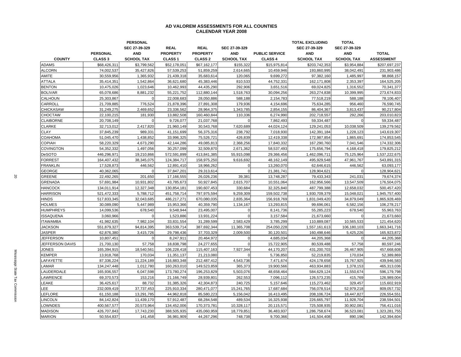#### **AD VALOREM ASSESSMENTS FOR ALL COUNTIES CALENDAR YEAR 2008**

|                  |                 | <b>PERSONAL</b>   |                    |                 |                   |                       | <b>TOTAL EXCLUDING</b> | <b>TOTAL</b>      |                   |
|------------------|-----------------|-------------------|--------------------|-----------------|-------------------|-----------------------|------------------------|-------------------|-------------------|
|                  |                 | SEC 27-39-329     | <b>REAL</b>        | <b>REAL</b>     | SEC 27-39-329     |                       | SEC 27-39-329          | SEC 27-39-329     |                   |
|                  | <b>PERSONAL</b> | <b>AND</b>        | <b>PROPERTY</b>    | <b>PROPERTY</b> | <b>AND</b>        | <b>PUBLIC SERVICE</b> | <b>AND</b>             | <b>AND</b>        | <b>TOTAL</b>      |
| <b>COUNTY</b>    | <b>CLASS 3</b>  | <b>SCHOOL TAX</b> | CLASS <sub>1</sub> | <b>CLASS 2</b>  | <b>SCHOOL TAX</b> | <b>CLASS 4</b>        | <b>SCHOOL TAX</b>      | <b>SCHOOL TAX</b> | <b>ASSESSMENT</b> |
| <b>ADAMS</b>     | \$68,426,311    | \$3,799,562       | \$52,178,051       | \$67,162,177    | \$155.322         | \$15,975,814          | \$203,742,353          | \$3.954.884       | \$207,697,237     |
| <b>ALCORN</b>    | 74,002,537      | 35,427,826        | 57,539,253         | 51,859,259      | 2,614,665         | 10,459,946            | 193,860,995            | 38,042,491        | 231,903,486       |
| AMITE            | 30,559,956      | 1,365,932         | 21,439,318         | 35,683,614      | 120,065           | 9,699,272             | 97,382,160             | 1,485,997         | 98,868,157        |
| <b>ATTALA</b>    | 35,414,351      | 1,542,864         | 36,621,680         | 45,383,446      | 810,533           | 44,752,331            | 162,171,808            | 2,353,397         | 164,525,205       |
| <b>BENTON</b>    | 10,475,026      | 1,023,646         | 10,462,993         | 44,435,290      | 292,906           | 3,651,516             | 69,024,825             | 1,316,552         | 70,341,377        |
| <b>BOLIVAR</b>   | 65,078,686      | 8,881,232         | 55,221,752         | 112,880,144     | 1,518,763         | 30,094,256            | 263,274,838            | 10,399,995        | 273,674,833       |
| CALHOUN          | 25,303,867      | $\Omega$          | 22,008,683         | 28,050,886      | 588,188           | 2,154,783             | 77,518,219             | 588,188           | 78,106,407        |
| CARROLL          | 21,709,885      | 776,524           | 21,878,396         | 27,891,308      | 179,936           | 4,154,696             | 75,634,285             | 956,460           | 76,590,745        |
| <b>CHICKASAW</b> | 31,249,275      | 2,469,652         | 23,336,562         | 28,964,375      | 1,343,785         | 2,854,155             | 86,404,367             | 3,813,437         | 90,217,804        |
| CHOCTAW          | 22,100,215      | 181,930           | 13,882,508         | 160,460,844     | 110,336           | 6,274,990             | 202,718,557            | 292,266           | 203,010,823       |
| <b>CLAIBORNE</b> | 20,708,149      | $\Omega$          | 9,726,077          | 21,037,768      | $\mathbf 0$       | 7,862,493             | 59,334,487             | $\mathbf{0}$      | 59,334,487        |
| <b>CLARKE</b>    | 32,713,012      | 2,417,820         | 21,960,149         | 30,543,768      | 7,620,689         | 44,024,124            | 129,241,053            | 10,038,509        | 139,279,562       |
| <b>CLAY</b>      | 37,845,239      | 989,331           | 41,151,699         | 56,375,316      | 238,792           | 7,018,930             | 142,391,184            | 1,228,123         | 143,619,307       |
| <b>COAHOMA</b>   | 51,045,470      | 1,438,852         | 33,996,325         | 75,526,721      | 426,839           | 12,419,338            | 172,987,854            | 1,865,691         | 174,853,545       |
| COPIAH           | 58,220,329      | 4,673,290         | 42,144,286         | 49,085,813      | 2,368,256         | 17,840,332            | 167,290,760            | 7,041,546         | 174,332,306       |
| <b>COVINGTON</b> | 54,352,332      | 1,497,056         | 30,257,099         | 32,509,870      | 2,671,362         | 58,537,493            | 175,656,794            | 4,168,418         | 179,825,212       |
| <b>DeSOTO</b>    | 446,296,971     | 19,210,866        | 572,591,899        | 413,841,385     | 55,915,098        | 29,366,456            | 1,462,096,711          | 75,125,964        | 1,537,222,675     |
| <b>FORREST</b>   | 164,407,432     | 38,345,075        | 124,384,717        | 158,975,250     | 9,616,692         | 48, 162, 149          | 495,929,548            | 47,961,767        | 543,891,315       |
| <b>FRANKLIN</b>  | 17,528,873      | 446,562           | 12,891,410         | 18,966,262      | $\mathbf 0$       | 13,260,070            | 62,646,615             | 446,562           | 63,093,177        |
| <b>GEORGE</b>    | 40,362,065      | $\Omega$          | 37,847,201         | 29,313,614      | $\mathbf 0$       | 21,381,741            | 128,904,621            | $\Omega$          | 128,904,621       |
| <b>GREENE</b>    | 22,492,265      | 201,650           | 17,166,555         | 26,026,236      | 39,381            | 13,748,287            | 79,433,343             | 241,031           | 79,674,374        |
| <b>GRENADA</b>   | 57,691,984      | 10,931,802        | 43,785,673         | 50,927,845      | 2,615,707         | 10,551,064            | 162,956,566            | 13,547,509        | 176,504,075       |
| <b>HANCOCK</b>   | 134,011,914     | 12,327,348        | 130,854,181        | 190,607,453     | 330,684           | 32,325,840            | 487,799,388            | 12,658,032        | 500,457,420       |
| <b>HARRISON</b>  | 521,472,333     | 5,788,712         | 451,758,714        | 797,975,594     | 9,259,309         | 159,502,738           | 1,930,709,379          | 15,048,021        | 1,945,757,400     |
| <b>HINDS</b>     | 517,833,345     | 32,043,685        | 486,217,271        | 670,080,035     | 2,835,364         | 156,918,769           | 1,831,049,420          | 34,879,049        | 1,865,928,469     |
| <b>HOLMES</b>    | 30,089,090      | 5,447,989         | 15,953,366         | 40,359,790      | 1,134,167         | 13,293,815            | 99,696,061             | 6,582,156         | 106,278,217       |
| <b>HUMPHREYS</b> | 14,099,536      | 678,540           | 9,548,944          | 23,495,007      | $\mathbf 0$       | 8,141,736             | 55,285,223             | 678,540           | 55,963,763        |
| <b>ISSAQUENA</b> | 3,060,966       | $\Omega$          | 1,523,886          | 13,931,224      | $\mathbf 0$       | 3,157,584             | 21,673,660             | $\Omega$          | 21,673,660        |
| <b>ITAWAMBA</b>  | 41,982,635      | 7,982,104         | 33,831,554         | 31,289,599      | 2,583,429         | 3,785,299             | 110,889,087            | 10,565,533        | 121,454,620       |
| <b>JACKSON</b>   | 551,879,327     | 94,814,395        | 363,539,714        | 387,692,344     | 11,365,708        | 254,050,228           | 1,557,161,613          | 106,180,103       | 1,663,341,716     |
| <b>JASPER</b>    | 62,876,380      | 3,415,726         | 29,798,436         | 37,703,329      | 2,009,500         | 30,120,501            | 160,498,646            | 5,425,226         | 165,923,872       |
| <b>JEFFERSON</b> | 10,807,451      | $\Omega$          | 8,247,911          | 20,464,972      | $\mathbf 0$       | 4,685,034             | 44,205,368             | $\mathbf{0}$      | 44,205,368        |
| JEFFERSON DAVIS  | 21,700,130      | 57,758            | 18,838,798         | 24,277,655      | $\mathbf 0$       | 15,722,905            | 80,539,488             | 57,758            | 80,597,246        |
| <b>JONES</b>     | 165,394,915     | 18,540,561        | 106,228,418        | 115,407,163     | 7,927,344         | 44,170,207            | 431,200,703            | 26,467,905        | 457,668,608       |
| KEMPER           | 13,918,768      | 170,034           | 11,351,137         | 21,213,080      | $\mathbf 0$       | 5,736,850             | 52,219,835             | 170,034           | 52,389,869        |
| LAFAYETTE        | 87,336,224      | 11,224,189        | 116,883,348        | 212,487,412     | 4,543,736         | 7,471,674             | 424,178,658            | 15,767,925        | 439,946,583       |
| <b>AMAR</b>      | 134,247,448     | 1,012,780         | 160,263,010        | 149,523,859     | 365,373           | 19,900,566            | 463,934,883            | 1,378,153         | 465,313,036       |
| LAUDERDALE       | 165,936,557     | 6,047,598         | 173,780,274        | 196,253,829     | 5,503,076         | 48,658,464            | 584,629,124            | 11,550,674        | 596,179,798       |
| LAWRENCE         | 69,370,573      | 153,216           | 21,166,749         | 28,939,801      | 262,553           | 7,096,112             | 126,573,235            | 415,769           | 126,989,004       |
| LEAKE            | 36,425,617      | 88,732            | 31,385,326         | 42,304,873      | 240,725           | 5,157,646             | 115,273,462            | 329,457           | 115,602,919       |
| <b>EE</b>        | 232,009,419     | 37,737,453        | 225,910,334        | 280,471,077     | 15,241,765        | 17,687,684            | 756,078,514            | 52,979,218        | 809,057,732       |
| LEFLORE          | 61,150,188      | 13,291,785        | 44,962,818         | 85,580,223      | 5,156,042         | 16,413,495            | 208,106,724            | 18,447,827        | 226,554,551       |
| LINCOLN          | 84,142,824      | 11,439,170        | 57,912,487         | 68,284,548      | 489,534           | 16,325,938            | 226,665,797            | 11,928,704        | 238,594,501       |
| LOWNDES          | 400,567,577     | 20,573,964        | 134,452,006        | 170,373,781     | 10,328,117        | 20,115,571            | 725,508,935            | 30,902,081        | 756,411,016       |
| <b>MADISON</b>   | 426,707,843     | 17,743,230        | 388,505,935        | 435,060,959     | 18,779,851        | 36,483,937            | 1,286,758,674          | 36,523,081        | 1,323,281,755     |
| <b>MARION</b>    | 50,554,837      | 141,458           | 36,981,909         | 44,267,296      | 748,738           | 9,700,366             | 141,504,408            | 890,196           | 142,394,604       |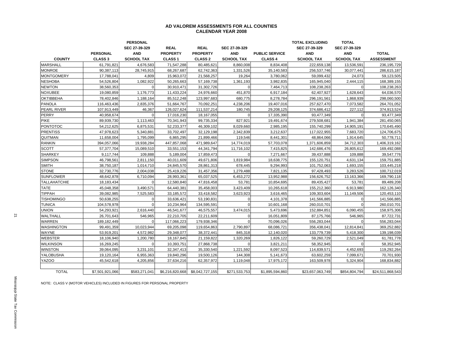#### **AD VALOREM ASSESSMENTS FOR ALL COUNTIES CALENDAR YEAR 2008**

|                     |                    | <b>PERSONAL</b>   |                    |                 |                   |                       | <b>TOTAL EXCLUDING</b> | <b>TOTAL</b>      |                   |
|---------------------|--------------------|-------------------|--------------------|-----------------|-------------------|-----------------------|------------------------|-------------------|-------------------|
|                     |                    | SEC 27-39-329     | <b>REAL</b>        | <b>REAL</b>     | SEC 27-39-329     |                       | SEC 27-39-329          | SEC 27-39-329     |                   |
|                     | <b>PERSONAL</b>    | <b>AND</b>        | <b>PROPERTY</b>    | <b>PROPERTY</b> | <b>AND</b>        | <b>PUBLIC SERVICE</b> | <b>AND</b>             | <b>AND</b>        | <b>TOTAL</b>      |
| <b>COUNTY</b>       | CLASS <sub>3</sub> | <b>SCHOOL TAX</b> | CLASS <sub>1</sub> | <b>CLASS 2</b>  | <b>SCHOOL TAX</b> | <b>CLASS 4</b>        | <b>SCHOOL TAX</b>      | <b>SCHOOL TAX</b> | <b>ASSESSMENT</b> |
| <b>MARSHALL</b>     | 61,791,821         | 4,676,583         | 71,547,288         | 80,485,621      | 8,860,008         | 8,834,408             | 222,659,138            | 13,536,591        | 236,195,729       |
| <b>MONROE</b>       | 90,387,113         | 28,745,915        | 68,267,687         | 62,742,363      | 1,331,526         | 35,140,583            | 256,537,746            | 30,077,441        | 286,615,187       |
| <b>MONTGOMERY</b>   | 17,788,041         | 4,809             | 15,963,072         | 21,568,257      | 19,264            | 3,780,062             | 59,099,432             | 24,073            | 59,123,505        |
| <b>NESHOBA</b>      | 54,526,804         | 1,082,922         | 50,265,663         | 57,169,738      | 1,361,193         | 3.982.835             | 165,945,040            | 2,444,115         | 168,389,155       |
| <b>NEWTON</b>       | 38,560,353         | $\Omega$          | 30,910,471         | 31,302,726      | $\Omega$          | 7,464,713             | 108,238,263            | $\Omega$          | 108,238,263       |
| <b>NOXUBEE</b>      | 19,080,859         | 1,176,773         | 11,433,224         | 24,976,660      | 451,870           | 6,917,184             | 62,407,927             | 1,628,643         | 64,036,570        |
| <b>OKTIBBEHA</b>    | 78,402,846         | 1,188,164         | 85,512,248         | 123,997,683     | 680,775           | 8,278,784             | 296,191,561            | 1,868,939         | 298,060,500       |
| <b>PANOLA</b>       | 116,463,436        | 2,835,376         | 51,664,767         | 70,092,251      | 4,238,206         | 19,407,016            | 257,627,470            | 7,073,582         | 264,701,052       |
| PEARL RIVER         | 107,913,449        | 46,367            | 126,027,624        | 111,537,214     | 180,745           | 29,208,125            | 374,686,412            | 227,112           | 374,913,524       |
| <b>PERRY</b>        | 40,958,674         |                   | 17,016,230         | 18,167,055      |                   | 17,335,390            | 93,477,349             | $\Omega$          | 93,477,349        |
| <b>PIKE</b>         | 89,939,730         | 1,113,463         | 70,341,943         | 99,735,334      | 827,921           | 19,491,674            | 279,508,681            | 1,941,384         | 281,450,065       |
| <b>PONTOTOC</b>     | 54,212,625         | 6,875,531         | 52,233,377         | 46,309,102      | 8,029,660         | 2,985,195             | 155,740,299            | 14,905,191        | 170,645,490       |
| <b>PRENTISS</b>     | 47,978,623         | 5,340,881         | 33,702,497         | 32,129,198      | 2,342,839         | 3,212,637             | 117,022,955            | 7,683,720         | 124,706,675       |
| QUITMAN             | 11,658,004         | 1,795,099         | 6,865,295          | 21,899,466      | 119,546           | 8,441,301             | 48,864,066             | 1,914,645         | 50,778,711        |
| <b>RANKIN</b>       | 394,057,066        | 19,938,284        | 447,857,068        | 471,989,647     | 14,774,019        | 57,703,078            | 1,371,606,859          | 34,712,303        | 1,406,319,162     |
| <b>SCOTT</b>        | 57,377,704         | 15,089,510        | 33,551,153         | 44,341,794      | 11,716,102        | 7,415,825             | 142,686,476            | 26,805,612        | 169,492,088       |
| <b>SHARKEY</b>      | 9,117,744          | 109,888           | 5,189,004          | 17,859,473      | $\Omega$          | 7,271,667             | 39,437,888             | 109,888           | 39,547,776        |
| <b>SIMPSON</b>      | 46,798,561         | 2,811,150         | 40,011,609         | 49,671,806      | 1,819,984         | 18,638,775            | 155,120,751            | 4,631,134         | 159,751,885       |
| <b>SMITH</b>        | 38,750,187         | 1,014,710         | 24,845,570         | 28,861,313      | 678,445           | 9,294,993             | 101,752,063            | 1,693,155         | 103,445,218       |
| <b>STONE</b>        | 32,730,776         | 2,004,038         | 25,419,226         | 31,457,356      | 1,279,488         | 7,821,135             | 97,428,493             | 3,283,526         | 100,712,019       |
| <b>SUNFLOWER</b>    | 48,642,878         | 6,710,094         | 28,993,361         | 65,037,525      | 6,453,272         | 13,952,988            | 156,626,752            | 13,163,366        | 169,790,118       |
| <b>TALLAHATCHIE</b> | 18,183,434         | $\Omega$          | 12,580,840         | 47,816,458      | 53,781            | 10,854,695            | 89,435,427             | 53,781            | 89,489,208        |
| <b>TATE</b>         | 45,048,358         | 3,490,571         | 64.440.381         | 35,458,003      | 3,423,409         | 10,265,618            | 155,212,360            | 6,913,980         | 162,126,340       |
| <b>TIPPAH</b>       | 39,082,985         | 7,525,583         | 33, 185, 572       | 33,418,582      | 3,623,923         | 3,616,465             | 109,303,604            | 11,149,506        | 120,453,110       |
| <b>TISHOMINGO</b>   | 50,638,255         | $\mathbf{0}$      | 33,636,421         | 53,190,831      | $\Omega$          | 4,101,378             | 141,566,885            | $\mathbf{0}$      | 141,566,885       |
| <b>TUNICA</b>       | 104,578,978        | $\Omega$          | 10,234,964         | 134,595,591     |                   | 10,601,168            | 260,010,701            | $\Omega$          | 260,010,701       |
| <b>UNION</b>        | 54,293,921         | 2,616,440         | 46,541,677         | 46,575,557      | 3,474,015         | 5,473,696             | 152,884,851            | 6,090,455         | 158,975,306       |
| WALTHALL            | 26,701,643         | 546,965           | 22,210,705         | 22,211,609      | 0                 | 16,051,809            | 87,175,766             | 546,965           | 87,722,731        |
| WARREN              | 189, 182, 449      | $\Omega$          | 117,066,223        | 179,938,346     |                   | 70,096,026            | 556,283,044            | $\Omega$          | 556,283,044       |
| <b>WASHINGTON</b>   | 99,491,359         | 10,023,944        | 69,205,098         | 119,654,863     | 2,790,897         | 68,086,721            | 356,438,041            | 12,814,841        | 369,252,882       |
| WAYNE               | 53,919,201         | 4,572,982         | 29,348,077         | 38,372,441      | 845,318           | 12,140,020            | 133,779,739            | 5,418,300         | 139,198,039       |
| <b>WEBSTER</b>      | 18,106,940         | 1,200,780         | 18,167,845         | 21,159,822      | 1,320,269         | 1,826,122             | 59,260,729             | 2,521,049         | 61,781,778        |
| <b>WILKINSON</b>    | 16,269,245         | $\mathbf 0$       | 10,393,751         | 27,868,738      | $\Omega$          | 3,821,211             | 58,352,945             | $\Omega$          | 58,352,945        |
| <b>WINSTON</b>      | 39,064,095         | 3,231,101         | 32,347,413         | 35,330,540      | 1,221,592         | 8,097,523             | 114,839,571            | 4,452,693         | 119,292,264       |
| YALOBUSHA           | 19,120,164         | 6,955,363         | 19,840,296         | 19,500,126      | 144,308           | 5,141,673             | 63,602,259             | 7,099,671         | 70,701,930        |
| <b>YAZOO</b>        | 45,542,618         | 4,205,856         | 37,634,216         | 62,357,972      | 1,119,048         | 17,975,172            | 163,509,978            | 5,324,904         | 168,834,882       |
|                     |                    |                   |                    |                 |                   |                       |                        |                   |                   |
| <b>TOTAL</b>        | \$7,501,921,066    | \$583,271,041     | \$6,216,820,668    | \$8,042,727,155 | \$271,533,753     | \$1,895,594,860       | \$23,657,063,749       | \$854,804,794     | \$24,511,868,543  |

NOTE: CLASS V (MOTOR VEHICLES) INCLUDED IN FIGURES FOR PERSONAL PROPERTY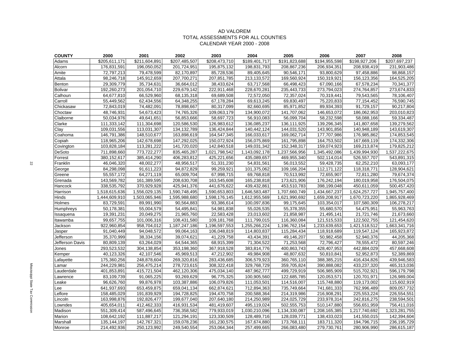#### AD VALOREM TOTAL ASSESSMENTS FOR ALL COUNTIES CALENDAR YEAR 2000 - 2008

| <b>COUNTY</b>   | 2000          | 2001                       | 2002          | 2003          | 2004          | 2005          | 2006          | 2007          | 2008          |
|-----------------|---------------|----------------------------|---------------|---------------|---------------|---------------|---------------|---------------|---------------|
| Adams           | \$205,611,171 | \$211,604,891              | \$207,485,507 | \$208,473,710 | \$189,401,717 | \$191,823,688 | \$194,955,598 | \$198,927,206 | \$207,697,237 |
| Alcorn          | 176,831,591   | 196,050,052                | 201,724,951   | 195,875,132   | 198,831,793   | 208,867,236   | 206,934,351   | 208,938,419   | 231,903,486   |
| Amite           | 72,797,213    | 79,478,599                 | 82,170,897    | 85,728,536    | 89,405,645    | 90,546,171    | 93,800,629    | 97,458,886    | 98,868,157    |
| Attala          | 98,246,718    | 145,912,659                | 207,700,271   | 207,851,785   | 213,133,572   | 169,560,924   | 150,319,921   | 156,123,356   | 164,525,205   |
| Benton          | 29,309,779    | 35,734,631                 | 36,664,012    | 38,433,624    | 63,717,568    | 66,498,423    | 67,090,166    | 67,578,234    | 70,341,377    |
| <b>Bolivar</b>  | 192,260,273   | 201,054,710                | 229,679,142   | 222,911,468   | 228,670,281   | 235,443,733   | 273,794,023   | 274,764,857   | 273,674,833   |
| Calhoun         | 64,677,810    | 66,529,960                 | 68,135,318    | 69,689,508    | 72,572,050    | 72,357,024    | 70,319,441    | 79,543,565    | 78,106,407    |
| Carroll         | 55,449,562    | 62,434,556                 | 64,348,255    | 67,178,284    | 69,613,245    | 69,830,497    | 75,220,833    | 77,154,452    | 76,590,745    |
| Chickasaw       | 72,843,019    | 74,482,091                 | 78,898,667    | 80,317,099    | 82,660,695    | 85,971,852    | 89,934,393    | 91,729,157    | 90,217,804    |
| Choctaw         | 48,746,931    | 54,673,423                 | 74,765,326    | 109,063,179   | 134,900,072   | 141,707,062   | 146,653,072   | 186,062,953   | 203,010,823   |
| Claiborne       | 50,034,976    | 49,641,651                 | 56,853,666    | 58,697,723    | 56,910,083    | 56,099,704    | 58,232,598    | 58,088,166    | 59,334,487    |
| Clarke          | 111,333,142   | 111,304,698                | 120,586,530   | 126,983,612   | 136,085,237   | 136,111,925   | 139,296,345   | 141,807,658   | 139,279,562   |
| Clay            | 109,031,556   | 113,031,307                | 134, 132, 789 | 136,424,844   | 140,442,124   | 144,031,520   | 143,901,856   | 140,948,189   | 143,619,307   |
| Coahoma         | 146,791,386   | 148,510,677                | 163,898,619   | 164,547,345   | 166,033,617   | 169,062,714   | 177,707,986   | 176,985,862   | 174,853,545   |
| Copiah          | 118,965,206   | 142,678,698                | 147,292,025   | 150,072,924   | 156,075,869   | 161,795,898   | 164,753,502   | 167,669,119   | 174,332,306   |
| Covington       | 103,828,184   | 113,281,222                | 141,720,020   | 142,840,518   | 149,031,342   | 152,348,317   | 159,074,923   | 169,213,874   | 179,825,212   |
| DeSoto          | 711,898,660   | 773,722,277                | 835,465,287   | 1,021,798,542 | 1,143,092,178 | 1,237,566,956 | 1,345,492,086 | 1,439,994,930 | 1,537,222,675 |
| Forrest         | 380,152,617   | 385,414,290                | 406,283,812   | 425,221,656   | 435,089,657   | 469,955,340   | 502,114,014   | 526,557,707   | 543,891,315   |
| Franklin        | 46,046,320    | 48,002,277                 | 48,956,517    | 51,331,230    | 54,831,561    | 56,013,552    | 59,428,735    | 62,252,210    | 63,093,177    |
| George          | 84,298,098    | 91,611,223                 | 94,872,829    | 99,259,921    | 101,375,062   | 109,166,204   | 112,171,122   | 118,318,771   | 128,904,621   |
| Greene          | 55,557,172    | $\overline{64}$ , 271, 119 | 65,009,704    | 67,998,715    | 69,768,818    | 70,513,992    | 72,655,907    | 72,811,280    | 79,674,374    |
| Grenada         | 143,569,782   | 161,389,595                | 208,630,708   | 163,545,608   | 165,238,818   | 173,621,906   | 176,242,194   | 180,019,958   | 176,504,075   |
| Hancock         | 338,535,792   | 370,929,928                | 425,941,376   | 441,676,622   | 439,432,861   | 453,510,783   | 398,199,048   | 450,611,059   | 500,457,420   |
| Harrison        | 1,518,615,636 | 1,556,029,135              | 1,590,748,495 | 1,590,653,803 | 1,646,583,487 | 1,707,660,749 | 1,434,667,237 | 1,624,257,727 | 1,945,757,400 |
| Hinds           | 1,444,609,910 | 1,503,065,946              | 1,595,988,680 | 1,598,176,145 | 1,612,955,569 | 1,621,990,692 | 1,659,208,917 | 1,670,723,220 | 1,865,928,469 |
| Holmes          | 83,729,591    | 89,991,990                 | 90,564,883    | 93,386,614    | 100,097,836   | 99,175,645    | 103,354,017   | 107,580,309   | 106,278,217   |
| Humphreys       | 50,178,381    | 55,004,579                 | 54,495,841    | 54,981,838    | 55,026,535    | 55,378,355    | 55,680,570    | 54,475,951    | 55,963,763    |
| Issaquena       | 19,391,231    | 20,049,275                 | 21,965,760    | 22,583,428    | 23,013,602    | 21,858,987    | 21,495,141    | 21,721,746    | 21,673,660    |
| Itawamba        | 99,657,755    | 101,006,316                | 108,431,580   | 109,181,768   | 111,799,015   | 116,360,084   | 121,515,533   | 122,502,755   | 121,454,620   |
| Jackson         | 922,960,854   | 958,704,012                | 1,187,247,186 | 1,196,597,553 | 1,255,266,224 | 1,196,762,154 | 1,233,639,653 | 1,421,518,512 | 1,663,341,716 |
| Jasper          | 91,040,449    | 94,048,572                 | 99,064,163    | 106,048,819   | 114,803,837   | 115,284,434   | 118,918,689   | 119,547,124   | 165,923,872   |
| Jefferson       | 35,370,999    | 38,334,156                 | 39,074,621    | 41,229,758    | 43,434,391    | 49,146,207    | 50,982,458    | 52,940,376    | 44,205,368    |
| Jefferson Davis | 80,809,139    | 63,264,029                 | 64,544,365    | 68,915,399    | 71,304,522    | 71,253,568    | 72,796,427    | 78,555,472    | 80,597,246    |
| Jones           | 293,523,532   | 304,138,854                | 353,198,360   | 367,918,528   | 383,814,776   | 400,863,743   | 428,407,953   | 442,884,029   | 457,668,608   |
| Kemper          | 40,123,326    | 42,107,546                 | 45,969,513    | 47,212,902    | 49,984,908    | 48,807,632    | 50,810,841    | 52,952,873    | 52,389,869    |
| Lafayette       | 175,360,256   | 248,878,604                | 269,320,816   | 283,436,685   | 306,579,923   | 360,765,110   | 388,385,215   | 416,434,826   | 439,946,583   |
| Lamar           | 244,229,981   | 256,475,214                | 278,723,615   | 308,322,418   | 329,768,729   | 359,705,824   | 390,888,082   | 433,237,320   | 465,313,036   |
| Lauderdale      | 401,853,891   | 415,721,504                | 462,120,306   | 475,034,140   | 487,962,777   | 499,729,919   | 506,985,909   | 515,702,921   | 596,179,798   |
| Lawrence        | 83,109,739    | 91,065,225                 | 93,269,629    | 96,775,325    | 100,905,560   | 122,685,785   | 120,053,571   | 120,701,971   | 126,989,004   |
| Leake           | 96,626,760    | 99,876,978                 | 103,387,886   | 106,079,826   | 111,053,501   | 114,516,007   | 115,748,880   | 119,173,002   | 115,602,919   |
| Lee             | 641,937,693   | 653,459,875                | 659,041,134   | 662,874,621   | 712,894,363   | 735,749,664   | 741,681,333   | 762,996,489   | 809,057,732   |
| Leflore         | 158,485,029   | 191,839,929                | 194,728,825   | 194,470,758   | 200,588,364   | 214,319,986   | 216,908,291   | 225,553,224   | 226,554,551   |
| Lincoln         | 163,998,876   | 192,826,477                | 199,677,040   | 207,640,180   | 214,250,989   | 224,025,729   | 233,978,314   | 242,816,275   | 238,594,501   |
| Lowndes         | 405,654,011   | 412,462,333                | 416,931,534   | 481,419,607   | 495,119,024   | 502,555,753   | 510,147,880   | 556,651,959   | 756,411,016   |
| Madison         | 551,309,414   | 587,496,645                | 736,358,582   | 779,933,019   | 1,030,210,096 | 1,134,330,087 | 1,208,165,385 | 1,217,740,692 | 1,323,281,755 |
| Marion          | 108,642,192   | 111,887,217                | 121,294,191   | 123,330,509   | 128,489,716   | 128,039,771   | 138,433,023   | 141,550,015   | 142,394,604   |
| Marshall        | 135, 144, 197 | 142,767,321                | 159,078,236   | 161,230,575   | 167,674,880   | 173,768,111   | 183,711,320   | 194,796,715   | 236,195,729   |
| Monroe          | 214,492,936   | 250,123,992                | 249,540,554   | 253,064,344   | 257,499,665   | 266,083,480   | 279,730,761   | 280,906,990   | 286,615,187   |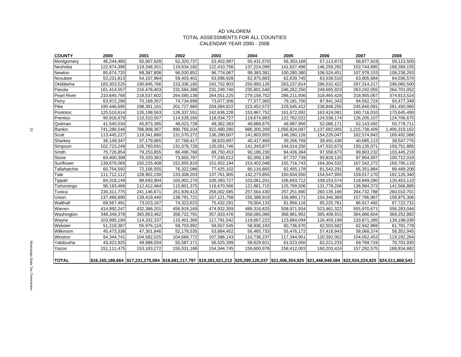#### AD VALOREM TOTAL ASSESSMENTS FOR ALL COUNTIES CALENDAR YEAR 2000 - 2008

| <b>COUNTY</b>      | 2000        | 2001                                                                                                                                                             | 2002        | 2003          | 2004        | 2005          | 2006          | 2007          | 2008          |
|--------------------|-------------|------------------------------------------------------------------------------------------------------------------------------------------------------------------|-------------|---------------|-------------|---------------|---------------|---------------|---------------|
| Montgomery         | 46,244,485  | 50,907,628                                                                                                                                                       | 52,320,737  | 53,402,997    | 55,431,570  | 56,353,168    | 57,113,873    | 58,877,919    | 59,123,505    |
| Neshoba            | 122,974,398 | 119,348,351                                                                                                                                                      | 119,634,182 | 122,410,756   | 137,224,099 | 141,637,496   | 146,259,282   | 152,744,685   | 168,389,155   |
| Newton             | 85,674,720  | 89,387,808                                                                                                                                                       | 96,030,852  | 96,774,067    | 99,383,381  | 100,280,380   | 106,524,451   | 107,978,153   | 108,238,263   |
| Noxubee            | 53,231,813  | 54,107,964                                                                                                                                                       | 59,403,401  | 63,596,928    | 62,975,883  | 62,639,745    | 63,539,510    | 63,905,684    | 64,036,570    |
| Oktibbeha          | 183,303,525 | 190,845,766                                                                                                                                                      | 233,336,180 | 242,752,903   | 250,993,126 | 263,237,814   | 286,532,422   | 297,314,217   | 298,060,500   |
| Panola             | 161,414,557 | 216,478,403                                                                                                                                                      | 231,584,388 | 231,249,740   | 235.801.540 | 246,262,250   | 249,665,923   | 263,192,055   | 264,701,052   |
| <b>Pearl River</b> | 210,645,768 | 218,537,602                                                                                                                                                      | 264,580,138 | 264,551,225   | 279,158,752 | 286,211,936   | 318,465,428   | 318,955,067   | 374,913,524   |
| Perry              | 63,972,290  | 70,169,357                                                                                                                                                       | 74,734,899  | 73,077,306    | 77,577,360  | 79,181,700    | 87,941,343    | 94,562,724    | 93,477,349    |
| Pike               | 190,446,695 | 198,391,161                                                                                                                                                      | 201,727,980 | 204,084,622   | 223,452,572 | 229,545,412   | 238,848,255   | 245.840.091   | 281,450,065   |
| Pontotoc           | 125,510,614 | 126,198,563                                                                                                                                                      | 126,337,551 | 142,636,228   | 153,967,752 | 161,672,092   | 163,424,081   | 160,716,010   | 170,645,490   |
| Prentiss           | 90,916,679  | 110,310,557                                                                                                                                                      | 114,528,160 | 118,034,727   | 119,674,993 | 122,762,022   | 124,538,174   | 126,205,107   | 124,706,675   |
| Quitman            | 41,540,534  | 45,873,385                                                                                                                                                       | 48,023,728  | 49,362,383    | 49,889,875  | 49,997,956    | 52,086,171    | 52,143,092    | 50,778,711    |
| Rankin             | 741,286,546 | 786,908,367                                                                                                                                                      | 890,765,104 | 922,480,280   | 986,300,269 | 1,056,824,097 | 1,137,682,005 | 1,215,738,409 | 1,406,319,162 |
| Scott              | 113,445,227 | 118,341,880                                                                                                                                                      | 131,570,272 | 136,290,007   | 141,803,855 | 148,260,126   | 154,226,047   | 162,574,842   | 169,492,088   |
| Sharkey            | 36,149,347  | 37,179,965                                                                                                                                                       | 37,768,417  | 38,833,897    | 40,417,469  | 39,256,769    | 39,491,436    | 40,085,113    | 39,547,776    |
| Simpson            | 102,723,249 | 126,760,691                                                                                                                                                      | 131,078,726 | 135,051,746   | 141,343,877 | 144,014,250   | 147,532,673   | 150,135,071   | 159,751,885   |
| Smith              | 75,726,854  | 79,253,855                                                                                                                                                       | 86,496,768  | 88,750,453    | 90,186,230  | 94,436,384    | 97,558,673    | 99,803,232    | 103,445,218   |
| Stone              | 60,400,398  | 70,320,363                                                                                                                                                       | 73,855,797  | 77,245,012    | 82,056,139  | 87,737,739    | 93,828,120    | 97,954,007    | 100,712,019   |
| Sunflower          | 139,676,069 | 150,225,408                                                                                                                                                      | 152,855,819 | 151,652,194   | 153,402,048 | 155,716,743   | 164,304,532   | 167,542,272   | 169,790,118   |
| Tallahatchie       | 60,754,592  | 72,156,555                                                                                                                                                       | 76,322,086  | 77,425,102    | 80,116,665  | 82,455,178    | 81,543,291    | 85,351,884    | 89,489,208    |
| Tate               | 111,712,112 | 128,902,230                                                                                                                                                      | 133,308,203 | 137,761,905   | 142,273,855 | 150,834,550   | 154,547,955   | 159,017,170   | 162,126,340   |
| Tippah             | 84,318,149  | 98,693,904                                                                                                                                                       | 100,902,270 | 100,393,727   | 103,061,201 | 106,693,712   | 109,153,574   | 118,849,280   | 120,453,110   |
| Tishomingo         | 96,193,466  | 112,412,484                                                                                                                                                      | 115,801,375 | 116,670,566   | 121,861,715 | 125,789,506   | 131,778,206   | 136,984,373   | 141,566,885   |
| Tunica             | 230,311,775 | 241,146,671                                                                                                                                                      | 261,839,413 | 256,002,585   | 257,564,430 | 257,251,890   | 260,135,166   | 264,732,788   | 260,010,701   |
| Union              | 137,466,890 | 139,419,440                                                                                                                                                      | 138,791,721 | 157, 121, 758 | 155,388,919 | 156,990,171   | 154,346,369   | 157,786,967   | 158,975,306   |
| Walthall           | 68,567,491  | 73,023,167                                                                                                                                                       | 74,323,623  | 75,432,291    | 79,004,133  | 81,958,116    | 85,225,761    | 86,917,492    | 87,722,731    |
| Warren             | 414,992,247 | 432,386,201                                                                                                                                                      | 456,919,169 | 474,932,359   | 489,316,825 | 508,971,934   | 523,461,322   | 555,970,671   | 556,283,044   |
| Washington         | 348,349,378 | 365,853,462                                                                                                                                                      | 358,722,791 | 357,933,476   | 358,065,066 | 368,981,952   | 365,408,915   | 364,866,604   | 369,252,882   |
| Wayne              | 103,995,194 | 114,332,337                                                                                                                                                      | 115,401,366 | 117,791,542   | 119,667,222 | 123,684,094   | 126,459,199   | 133,871,395   | 139,198,039   |
| Webster            | 51,218,387  | 55,976,124                                                                                                                                                       | 58,703,992  | 58,557,545    | 58,936,193  | 60,736,670    | 62,503,682    | 62,942,969    | 61,781,778    |
| Wilkinson          | 45,473,338  | 47,301,846                                                                                                                                                       | 52,178,535  | 53,884,452    | 56,465,733  | 55,476,172    | 57,418,943    | 58,068,374    | 58,352,945    |
| Winston            | 94,344,741  | 104,582,025                                                                                                                                                      | 104,669,772 | 107,586,143   | 110,736,237 | 117,344,951   | 120,392,002   | 104,052,453   | 119,292,264   |
| Yalobusha          | 43,422,925  | 49,988,034                                                                                                                                                       | 55,587,171  | 56,525,399    | 58,629,921  | 61,523,050    | 62,221,233    | 69,769,719    | 70,701,930    |
| Yazoo              | 151,111,475 | 153,183,272                                                                                                                                                      | 155,031,188 | 154,344,745   | 159,600,978 | 158,412,003   | 160,203,424   | 157,292,575   | 168,834,882   |
|                    |             |                                                                                                                                                                  |             |               |             |               |               |               |               |
| <b>TOTAL</b>       |             | \$16,165,188,664  \$17,231,275,084  \$18,681,117,797  \$19,281,021,213  \$20,299,126,037  \$21,006,354,925  \$21,448,949,584  \$22,534,224,825  \$24,511,868,543 |             |               |             |               |               |               |               |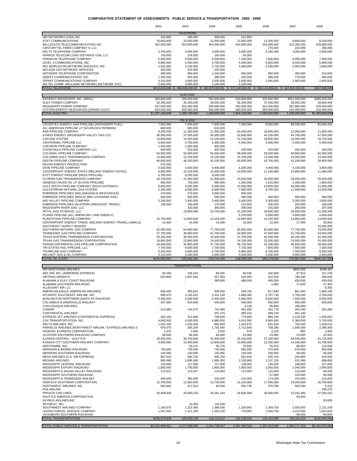#### **COMPARATIVE STATEMENT OF ASSESSMENTS - PUBLIC SERVICE & TRANSPORTATION 2002 - 2008**

| TELEPHONE<br>360 NETWORKS (USA) INC.<br>240,000<br>380,000<br>330,000<br>212,000<br>AT&T COMMUNICATIONS<br>20,000,000<br>12,800,000<br>8,100,000<br>19,800,000<br>21,000,000<br>11,400,000<br>8,800,000<br>BELLSOUTH TELECOMMUNICATIONS INC.<br>362,000,000<br>353,000,000<br>344,000,000<br>334,000,000<br>324,000,000<br>315,300,000<br>325,800,000<br>CENTURYTEL FIBER COMPANY II, LLC<br>270,000<br>230,000<br>280,000<br>DELTA TELEPHONE COMPANY<br>3,000,000<br>3,160,000<br>3,050,000<br>2,930,000<br>2,700,000<br>3,000,000<br>3,000,000<br>FRANCE TELECOM LONG DISTANCE USA, LLC<br>159,000<br>159,000<br>150,000<br>54,000<br>FRANKLIN TELEPHONE COMPANY<br>5,500,000<br>6,500,000<br>6,500,000<br>7,100,000<br>7,600,000<br>8,000,000<br>7.900.000<br>LEVEL 3 COMMUNICATIONS, INC.<br>6,800,000<br>5,400,000<br>4,700,000<br>4,200,000<br>5,820,000<br>6,430,000<br>5,680,000<br>MCI WORLDCOM NETWORK SERVICES, INC.<br>2,520,000<br>2,100,000<br>2,750,000<br>3,460,000<br>2,530,000<br>2,000,000<br>3,800,000<br>MCLEOD USA NETWORK SERVICES<br>400,000<br>220,000<br>220,000<br>NETWORK TELEPHONE CORPORATION<br>900,000<br>900,000<br>1,240,000<br>900,000<br>950,000<br>350,000<br>210,000<br>QWEST COMMUNICATIONS, INC.<br>1,300,000<br>600,000<br>380,000<br>320,000<br>380,000<br>770,000<br>580,000<br>SPRINT COMMUNICATIONS COMPANY<br>4,310,000<br>3,600,000<br>3,500,000<br>2,000,000<br>2,000,000<br>2,900,000<br>2,600,000<br>WILTEL COMM. (WILLIAMS NETWORK) (NETWORK SVC)<br>5,400,000<br>3,000,000<br>5,100,000<br>4,100,000<br><b>TOTAL TELEPHONE</b><br>\$412,029,000 \$ 398,859,000.00<br>\$358,110,000.00 \$347,830,000.00<br>\$392,870,000.00<br>\$372,146,000.00<br>\$357,880,000<br><b>ELECTRIC</b><br>ENTERGY MISSISSIPPI, INC. (MP&L)<br>280,000,000<br>304,000,000<br>324,800,000<br>\$365,600,000<br>265,800,000<br>325,600,000<br>\$351,600,000<br>GULF POWER COMPANY<br>34,300,000<br>35,400,000<br>36,000,000<br>36,300,000<br>37,500,000<br>39,900,000<br>39,900,000<br>MISSISSIPPI POWER COMPANY<br>347,000,000<br>353,300,000<br>359,000,000<br>363,000,000<br>361,500,000<br>367,800,000<br>378,400,000<br>SYSTEM ENERGY RESOURCES (GRAND GULF)<br>620,000,000<br>600,000,000<br>590,000,000<br>580,000,000<br>560,000,000<br>540,000,000<br>510,000,000<br><b>TOTAL ELECTRIC</b><br>\$1,267,100,000<br>1,268,700,000<br>1,289,000,000<br>1,304,100,000<br>1,284,600,000<br>1,299,300,000<br>\$1,293,900,000<br>OIL & GAS<br>CROSSTEX ENERGY (AIM PIPELINE) (MISSISSIPPI FUEL)<br>7,500,000<br>7,500,000<br>7,500,000<br>7,300,000<br>8,000,000<br>\$8,500,000<br>\$9,900,000<br>ALL AMERICAN PIPELINE LP (SCURLOCK PERMIAN)<br>680,000<br>660,000<br>610,000<br>ANR PIPELINE COMPANY<br>9,200,000<br>11,300,000<br>11,800,000<br>11,300,000<br>10,400,000<br>10,800,000<br>12,000,000<br>ATMOS ENERGY (MISSISSIPPI VALLEY GAS CO)<br>36,000,000<br>37,000,000<br>40,300,000<br>42,600,000<br>44,100,000<br>44,700,000<br>47,500,000<br><b>CAPLINE SYSTEM</b><br>14,300,000<br>14,100,000<br>14,700,000<br>18,800,000<br>18,000,000<br>16,700,000<br>14,800,000<br>CENTENNIAL PIPELINE LLC<br>5,400,000<br>5,600,000<br>5,400,000<br>5,400,000<br>6,600,000<br>5,700,000<br>5,300,000<br>CHEVRON PIPELINE COMPANY<br>1,440,000<br>1,300,000<br>900,000<br>CHUNCHULA PIPELINE COMPANY LLC<br>600,000<br>510,000<br>420,000<br>420.000<br>420.000<br>440,000<br>430.000<br>COLONIAL PIPELINE COMPANY<br>56,000,000<br>55,000,000<br>56,400,000<br>58,000,000<br>58,200,000<br>60,800,000<br>62,400,000<br>COLUMBIA GULF TRANSMISSION COMPANY<br>14,400,000<br>13,800,000<br>13,700,000<br>14,100,000<br>13,700,000<br>13,400,000<br>13,000,000<br>DESTIN PIPELINE COMPANY<br>46,600,000<br>46,200,000<br>43,100,000<br>40,000,000<br>42,700,000<br>41,200,000<br>39,400,000<br>DEVON ENERGY PRODUCTION<br>975,593<br>DIXIE PIPELINE COMPANY<br>4,530,000<br>4,500,000<br>4,400,000<br>4,300,000<br>4,100,000<br>3,800,000<br>4,000,000<br>CENTERPOINT ENERGY ENTEX (RELIANT ENERGY ENTEX)<br>9,900,000<br>10,100,000<br>10,400,000<br>10,900,000<br>11,100,000<br>10,800,000<br>11,080,000<br>EOTT ENERGY PIPELINE (HESS PIPELINE)<br>6,700,000<br>8,200,000<br>9,500,000<br>FLORIDA GAS TRANSMISSION COMPANY<br>25,500,000<br>19,700,000<br>21,400,000<br>21,900,000<br>25,600,000<br>26,000,000<br>26,000,000<br>GENESIS CRUDE OIL LP (EXXON PIPELINE)<br>720,000<br>690,000<br>1,250,000<br>1,610,000<br>2,200,000<br>2,850,000<br>900,000<br>GULF SOUTH PIPELINE COMPANY (KOCH GATEWAY)<br>9,200,000<br>14,000,000<br>16,800,000<br>26,000,000<br>51,000,000<br>8,600,000<br>9,300,000<br>GULFSTREAM NATURAL GAS SYSTEM<br>6,900,000<br>6,900,000<br>7,900,000<br>9,700,000<br>11,400,000<br>12,000,000<br>2,200,000<br>ENBRIDGE PIPELINES (MS) (MAGNOLIA RESOURCES)<br>470,000<br>470,000<br>2,000,000<br>830,000<br>ENBRIDGE PIPELINES (MIDLA) (MID LOUISIANA GAS)<br>590,000<br>500,000<br>590,000<br>490,000<br>660,000<br>590,000<br>580,000<br>MID VALLEY PIPELINE COMPANY<br>3,200,000<br>3,400,000<br>3,400,000<br>3,400,000<br>3,300,000<br>3,300,000<br>3,600,000<br>ENBRIDGE PIPELINES (ALATENN) (MIDCOAST TRANS.)<br>160,000<br>170,000<br>210,000<br>200,000<br>200,000<br>180,000<br>130,000<br>MISSISSIPPI RIVER GAS, LLC<br>330,000<br>290,000<br>316,000<br>280,000<br>350,000<br>297,000<br>21,000,000<br>PETAL GAS STORAGE, LLC<br>19,900,000<br>24,700,000<br>22,200,000<br>20,600,000<br>20,600,000<br>PLAINS PIPELINE (ALL AMERICAN / LINK ENERGY)<br>5,700,000<br>5,500,000<br>4,600,000<br>4,400,000<br>PLANTATION PIPELINE COMPANY<br>15,700,000<br>14,900,000<br>14,100,000<br>14,900,000<br>14,250,000<br>13,800,000<br>14,500,000<br>CENTERPOINT ENERGY TRANS. (RELIANT ENERGY TRANS.) (ARKLA)<br>14,400<br>14,400<br>14,400<br>18,000<br>22,500<br>27,000<br>30,800<br>SOUTHEAST SUPPLY HEADER<br>24,400,000<br>SOUTHERN NATURAL GAS COMPANY<br>64,800,000<br>82,000,000<br>82,600,000<br>77,700,000<br>79,000,000<br>62,500,000<br>77,700,000<br>TENNESSEE GAS PIPELINE COMPANY<br>37,700,000<br>36,900,000<br>41,700,000<br>44,000,000<br>47,600,000<br>51,700,000<br>53,000,000<br>TEXAS EASTERN TRANSMISSION CORPORATION<br>29,200,000<br>30,000,000<br>33,400,000<br>37,700,000<br>40,000,000<br>40,200,000<br>41,400,000<br>TEXAS GAS TRANSMISSION CORPORATION<br>19,600,000<br>22,800,000<br>24,000,000<br>24,100,000<br>23,200,000<br>23,500,000<br>25,500,000<br>TRANSCONTINENTAL GAS PIPELINE CORPORATION<br>34,000,000<br>34,900,000<br>37,700,000<br>38,700,000<br>42,200,000<br>40,800,000<br>39,600,000<br>TRI-STATES NGL PIPELINE, LLC<br>7,700,000<br>7,700,000<br>7,500,000<br>7,500,000<br>8,000,000<br>7,700,000<br>7,600,000<br><b>TRUNKLINE GAS COMPANY</b><br>5,200,000<br>5,800,000<br>6,700,000<br>6,900,000<br>6,700,000<br>7,500,000<br>8,200,000<br>WILLMUT GAS & OIL COMPANY<br>3,110,000<br>3,300,000<br>3,400,000<br>3,300,000<br>3,200,000<br>3,050,000<br>2,840,000<br>\$465,839,993<br><b>TOTAL OIL &amp; GAS</b><br>500,364,400<br>534,744,400<br>548,908,000<br>569,178,500<br>579,887,000<br>\$640,187,800<br><b>TRANSPORTATION</b><br>AIR WISCONSIN AIRLINES<br>\$602,830<br>\$196,320<br>ABX AIR, INC. (AIRBORNE EXPRESS)<br>69,530<br>102,600<br>87,910<br>107,230<br>92,440<br>106,210<br>69,200<br>257,050<br>185,500<br><b>AIRTRAN AIRWAYS</b><br>622,808<br>1,047,940<br>526,460<br>423,250<br>786,340<br>ALABAMA & GULF COAST RAILROAD<br>380,000<br>488,000<br>485,000<br>430,000<br>430,000<br>ALABAMA SOUTHERN RAILROAD<br>27,000<br>37,400<br>1,800<br>ALLEGIANT AIR LLC<br>8,350<br>AMERICAN EAGLE (AMERICAN AIRLINES)<br>630,490<br>365,810<br>409,050<br>549,760<br>617,840<br>851.950<br>1,684,190<br>ATLANTIC SOUTHEAST AIRLINE. INC.<br>999,370<br>2,193,510<br>2,331,130<br>1,868,360<br>2,767,740<br>2,760,030<br>2,765,620<br>BURLINGTON NORTHERN SANTA FE RAILROAD<br>6,360,000<br>6,300,000<br>6,400,000<br>6,300,000<br>6,600,000<br>7,500,000<br>8,500,000<br>COLUMBUS & GREENVILLE RAILWAY<br>610,000<br>540,000<br>540,000<br>600,000<br>597,000<br>550,000<br>550,000<br>CHAUTAUQUA AIRLINES<br>4,130<br>66,900<br>186,000<br><b>COMAIR</b><br>513,680<br>744,570<br>743,380<br>502,460<br>341,770<br>400,190<br>262,460<br>537,470<br>490,310<br>499,150<br><b>CONTINENTAL AIRLINES</b><br>401,160<br>EXPRESS JET AIRLINES (CONTINENTAL EXPRESS)<br>452,160<br>748,930<br>779,960<br>884,150<br>1,119,330<br>1,548,820<br>313,940<br>CSX TRANSPORTATION, INC.<br>4,840,000<br>4,500,000<br>4,980,000<br>4,910,000<br>4,900,000<br>5,380,000<br>5,700,000<br>1,049,010<br>DELTA AIRLINES, INC.<br>1,025,330<br>1,526,030<br>865,850<br>1,424,870<br>941,030<br>766,560<br>PINNACLE AIRLINES (NORTHWEST AIRLINK / EXPRESS AIRLINES I)<br>979,070<br>285,200<br>1,726,440<br>1,712,840<br>768,280<br>1,699,300<br>2,388,400<br>FEDERAL EXPRESS CORPORATION<br>1,370<br>1,900<br>2,020<br>670<br>2,510<br>800<br>2,900<br>GLOSTER SOUTHERN RAILROAD COMPANY<br>89,000<br>86,000<br>84,000<br>23,000<br>23,000<br>23,000<br>23,000<br>30,740,000<br>35,140,000<br>ILLINOIS CENTRAL - GULF R.R.<br>28,550,000<br>32,940,000<br>37.330.000<br>39,530,000<br>41,725,000<br>KANSAS CITY SOUTHERN RAILWAY COMPANY<br>9,900,000<br>10,400,000<br>12,600,000<br>13,900,000<br>12,350,000<br>14,100,000<br>15,700,000<br>110,560<br>MARTINAIRE, INC.<br>53,210<br>55,720<br>70,640<br>45,510<br>86,820<br>MERIDIAN & BIGBEE RAILROAD<br>730,000<br>730,000<br>730,000<br>560,000<br>570,000<br>670,000<br>650,000<br>MERIDIAN SOUTHERN RAILROAD<br>140,000<br>140,000<br>135,000<br>120,000<br>100,000<br>90,000<br>85,000<br>MESA AIRLINES (U.S. AIR EXPRESS)<br>897,010<br>680,730<br>646,760<br>624,440<br>240,960<br>423,620<br>532,100<br>2,128,900<br><b>MESABA AIRLINES</b><br>900,490<br>1,895,940<br>1,906,350<br>1,137,130<br>915,380<br>908,850<br>MISSISSIPPI CENTRAL RAILROAD<br>120,000<br>127,000<br>128,000<br>135,000<br>227,000<br>127,000<br>198,000<br>MISSISSIPPI EXPORT RAILROAD<br>1,700,000<br>1,800,000<br>2,840,000<br>1,800,000<br>1,600,000<br>2,050,000<br>2,340,000<br>MISSISSIPPI & SKUNA VALLEY RAILROAD<br>113,347<br>114,063<br>114,000<br>110,000<br>68,000<br>113,611<br>115,000<br>MISSISSIPPI SOUTHERN RAILROAD<br>57,000<br>420,000<br>85,000<br>MISSISSIPPI & TENNESSEE RAILNET<br>400,000<br>360,000<br>310,000<br>210,000<br>174,000<br>154,000<br>124,000<br>NORFOLK SOUTHERN CORPORATION<br>12,700,000<br>12,800,000<br>13,700,000<br>15,100,000<br>17,000,000<br>19,200,000<br>20,700,000<br>NORTHWEST AIRLINES, INC.<br>583,940<br>417,510<br>84,040<br>264,730<br>576,780<br>595,530<br>5,310<br>PSA AIRLINE<br>295,570<br>PRIVATE CAR LINES<br>37,282,022<br>30,408,949<br>28,690,253<br>30,261,164<br>29,836,568<br>30,860,945<br>33,332,485<br>SHUTTLE AMERICA CORPORATION<br>83,000<br>SKYBUS AIRLINES, INC.<br>50,600<br>SKYWEST, INC.<br>10,450<br>119,430<br>SOUTHWEST AIRLINES COMPANY<br>1,222,480<br>2,030,050<br>2,131,530<br>1,165,670<br>1,390,030<br>1,329,950<br>1,359,750<br>UNITED PARCEL SERVICE COMPANY<br>1,320,150<br>718,950<br>1,056,760<br>1,422,600<br>1,923,820<br>1,367,550<br>1,421,100<br>VICKSBURG SOUTHERN RAILROAD<br>69,000<br>84,000<br><b>TOTAL TRANSPORTATION</b><br>109,583,130<br>122,236,528<br>\$150,909,082<br>\$106,979,938<br>118,114,227<br>125,424,995<br>139,160,225<br>TOTAL PUBLIC SERVICE & TRANSPORTATION<br>\$2,251,948,931<br>2,277,506,530<br>2,334,728,627<br>2,347,390,528<br>2,337,313,495<br>2,366,177,225<br>\$2,442,876,882 | 2002 | 2003 | 2004 | 2005 | 2006 | 2007 | 2008 |
|------------------------------------------------------------------------------------------------------------------------------------------------------------------------------------------------------------------------------------------------------------------------------------------------------------------------------------------------------------------------------------------------------------------------------------------------------------------------------------------------------------------------------------------------------------------------------------------------------------------------------------------------------------------------------------------------------------------------------------------------------------------------------------------------------------------------------------------------------------------------------------------------------------------------------------------------------------------------------------------------------------------------------------------------------------------------------------------------------------------------------------------------------------------------------------------------------------------------------------------------------------------------------------------------------------------------------------------------------------------------------------------------------------------------------------------------------------------------------------------------------------------------------------------------------------------------------------------------------------------------------------------------------------------------------------------------------------------------------------------------------------------------------------------------------------------------------------------------------------------------------------------------------------------------------------------------------------------------------------------------------------------------------------------------------------------------------------------------------------------------------------------------------------------------------------------------------------------------------------------------------------------------------------------------------------------------------------------------------------------------------------------------------------------------------------------------------------------------------------------------------------------------------------------------------------------------------------------------------------------------------------------------------------------------------------------------------------------------------------------------------------------------------------------------------------------------------------------------------------------------------------------------------------------------------------------------------------------------------------------------------------------------------------------------------------------------------------------------------------------------------------------------------------------------------------------------------------------------------------------------------------------------------------------------------------------------------------------------------------------------------------------------------------------------------------------------------------------------------------------------------------------------------------------------------------------------------------------------------------------------------------------------------------------------------------------------------------------------------------------------------------------------------------------------------------------------------------------------------------------------------------------------------------------------------------------------------------------------------------------------------------------------------------------------------------------------------------------------------------------------------------------------------------------------------------------------------------------------------------------------------------------------------------------------------------------------------------------------------------------------------------------------------------------------------------------------------------------------------------------------------------------------------------------------------------------------------------------------------------------------------------------------------------------------------------------------------------------------------------------------------------------------------------------------------------------------------------------------------------------------------------------------------------------------------------------------------------------------------------------------------------------------------------------------------------------------------------------------------------------------------------------------------------------------------------------------------------------------------------------------------------------------------------------------------------------------------------------------------------------------------------------------------------------------------------------------------------------------------------------------------------------------------------------------------------------------------------------------------------------------------------------------------------------------------------------------------------------------------------------------------------------------------------------------------------------------------------------------------------------------------------------------------------------------------------------------------------------------------------------------------------------------------------------------------------------------------------------------------------------------------------------------------------------------------------------------------------------------------------------------------------------------------------------------------------------------------------------------------------------------------------------------------------------------------------------------------------------------------------------------------------------------------------------------------------------------------------------------------------------------------------------------------------------------------------------------------------------------------------------------------------------------------------------------------------------------------------------------------------------------------------------------------------------------------------------------------------------------------------------------------------------------------------------------------------------------------------------------------------------------------------------------------------------------------------------------------------------------------------------------------------------------------------------------------------------------------------------------------------------------------------------------------------------------------------------------------------------------------------------------------------------------------------------------------------------------------------------------------------------------------------------------------------------------------------------------------------------------------------------------------------------------------------------------------------------------------------------------------------------------------------------------------------------------------------------------------------------------------------------------------------------------------------------------------------------------------------------------------------------------------------------------------------------------------------------------------------------------------------------------------------------------------------------------------------------------------------------------------------------------------------------------------------------------------------------------------------------------------------------------------------------------------------------------------------------------------------------------------------------------------------------------------------------------------------------------------------------------------------------------------------------------------------------------------------------------------------------------------------------------------------------------------------------------------------------------------------------------------------------------------------------------------------------------------------------------------------------------------------------------------------------------------------------------------------------------------------------------------------------------------------------------------------------------------------------------------------------------------------------------------------------------------------------------------------------------------------------------------------------------------------------------------------------------------------------------------------------------------------------------------------------------------------------------------------------------------------------------------------------------------------------------------------------------------------------------------------------------------------------------------------------------------------------------------------------------------------------------------------------------------------------------------------------------------------------------------------------------------------------------------------------------------------------------------------------------------------------------------------------------------------------------------------------------------------------------------------------------------------------------------------------------------------------------------------------------------------------------------------------------------------------------------------------------------------------------------------------------------------------------------------------------------------------------------------------------------------------------------------------------------------------------------------------------------------------------------------------------------------------------------------------------------------------------------------------------------------------------------------------------------------------------------------------------------------------------------------------------------------------------------------------------------------------------------------------------------------------------------------------------------------------------------------------------------------------------------------------------------------------------------------------------------------------------------------------------------------------------------------------------------------------------------------------------------------------------|------|------|------|------|------|------|------|
|                                                                                                                                                                                                                                                                                                                                                                                                                                                                                                                                                                                                                                                                                                                                                                                                                                                                                                                                                                                                                                                                                                                                                                                                                                                                                                                                                                                                                                                                                                                                                                                                                                                                                                                                                                                                                                                                                                                                                                                                                                                                                                                                                                                                                                                                                                                                                                                                                                                                                                                                                                                                                                                                                                                                                                                                                                                                                                                                                                                                                                                                                                                                                                                                                                                                                                                                                                                                                                                                                                                                                                                                                                                                                                                                                                                                                                                                                                                                                                                                                                                                                                                                                                                                                                                                                                                                                                                                                                                                                                                                                                                                                                                                                                                                                                                                                                                                                                                                                                                                                                                                                                                                                                                                                                                                                                                                                                                                                                                                                                                                                                                                                                                                                                                                                                                                                                                                                                                                                                                                                                                                                                                                                                                                                                                                                                                                                                                                                                                                                                                                                                                                                                                                                                                                                                                                                                                                                                                                                                                                                                                                                                                                                                                                                                                                                                                                                                                                                                                                                                                                                                                                                                                                                                                                                                                                                                                                                                                                                                                                                                                                                                                                                                                                                                                                                                                                                                                                                                                                                                                                                                                                                                                                                                                                                                                                                                                                                                                                                                                                                                                                                                                                                                                                                                                                                                                                                                                                                                                                                                                                                                                                                                                                                                                                                                                                                                                                                                                                                                                                                                                                                                                                                                                                                                                                                                                                                                                                                                                                                                                                                                                                                                                                                                                                                                                                                                                                                                                                                                                                                                                                                                                                                                                                                                                                                                                                                                                                                                                                                                                                                                        |      |      |      |      |      |      |      |
|                                                                                                                                                                                                                                                                                                                                                                                                                                                                                                                                                                                                                                                                                                                                                                                                                                                                                                                                                                                                                                                                                                                                                                                                                                                                                                                                                                                                                                                                                                                                                                                                                                                                                                                                                                                                                                                                                                                                                                                                                                                                                                                                                                                                                                                                                                                                                                                                                                                                                                                                                                                                                                                                                                                                                                                                                                                                                                                                                                                                                                                                                                                                                                                                                                                                                                                                                                                                                                                                                                                                                                                                                                                                                                                                                                                                                                                                                                                                                                                                                                                                                                                                                                                                                                                                                                                                                                                                                                                                                                                                                                                                                                                                                                                                                                                                                                                                                                                                                                                                                                                                                                                                                                                                                                                                                                                                                                                                                                                                                                                                                                                                                                                                                                                                                                                                                                                                                                                                                                                                                                                                                                                                                                                                                                                                                                                                                                                                                                                                                                                                                                                                                                                                                                                                                                                                                                                                                                                                                                                                                                                                                                                                                                                                                                                                                                                                                                                                                                                                                                                                                                                                                                                                                                                                                                                                                                                                                                                                                                                                                                                                                                                                                                                                                                                                                                                                                                                                                                                                                                                                                                                                                                                                                                                                                                                                                                                                                                                                                                                                                                                                                                                                                                                                                                                                                                                                                                                                                                                                                                                                                                                                                                                                                                                                                                                                                                                                                                                                                                                                                                                                                                                                                                                                                                                                                                                                                                                                                                                                                                                                                                                                                                                                                                                                                                                                                                                                                                                                                                                                                                                                                                                                                                                                                                                                                                                                                                                                                                                                                                                                                                        |      |      |      |      |      |      |      |
|                                                                                                                                                                                                                                                                                                                                                                                                                                                                                                                                                                                                                                                                                                                                                                                                                                                                                                                                                                                                                                                                                                                                                                                                                                                                                                                                                                                                                                                                                                                                                                                                                                                                                                                                                                                                                                                                                                                                                                                                                                                                                                                                                                                                                                                                                                                                                                                                                                                                                                                                                                                                                                                                                                                                                                                                                                                                                                                                                                                                                                                                                                                                                                                                                                                                                                                                                                                                                                                                                                                                                                                                                                                                                                                                                                                                                                                                                                                                                                                                                                                                                                                                                                                                                                                                                                                                                                                                                                                                                                                                                                                                                                                                                                                                                                                                                                                                                                                                                                                                                                                                                                                                                                                                                                                                                                                                                                                                                                                                                                                                                                                                                                                                                                                                                                                                                                                                                                                                                                                                                                                                                                                                                                                                                                                                                                                                                                                                                                                                                                                                                                                                                                                                                                                                                                                                                                                                                                                                                                                                                                                                                                                                                                                                                                                                                                                                                                                                                                                                                                                                                                                                                                                                                                                                                                                                                                                                                                                                                                                                                                                                                                                                                                                                                                                                                                                                                                                                                                                                                                                                                                                                                                                                                                                                                                                                                                                                                                                                                                                                                                                                                                                                                                                                                                                                                                                                                                                                                                                                                                                                                                                                                                                                                                                                                                                                                                                                                                                                                                                                                                                                                                                                                                                                                                                                                                                                                                                                                                                                                                                                                                                                                                                                                                                                                                                                                                                                                                                                                                                                                                                                                                                                                                                                                                                                                                                                                                                                                                                                                                                                                                        |      |      |      |      |      |      |      |
|                                                                                                                                                                                                                                                                                                                                                                                                                                                                                                                                                                                                                                                                                                                                                                                                                                                                                                                                                                                                                                                                                                                                                                                                                                                                                                                                                                                                                                                                                                                                                                                                                                                                                                                                                                                                                                                                                                                                                                                                                                                                                                                                                                                                                                                                                                                                                                                                                                                                                                                                                                                                                                                                                                                                                                                                                                                                                                                                                                                                                                                                                                                                                                                                                                                                                                                                                                                                                                                                                                                                                                                                                                                                                                                                                                                                                                                                                                                                                                                                                                                                                                                                                                                                                                                                                                                                                                                                                                                                                                                                                                                                                                                                                                                                                                                                                                                                                                                                                                                                                                                                                                                                                                                                                                                                                                                                                                                                                                                                                                                                                                                                                                                                                                                                                                                                                                                                                                                                                                                                                                                                                                                                                                                                                                                                                                                                                                                                                                                                                                                                                                                                                                                                                                                                                                                                                                                                                                                                                                                                                                                                                                                                                                                                                                                                                                                                                                                                                                                                                                                                                                                                                                                                                                                                                                                                                                                                                                                                                                                                                                                                                                                                                                                                                                                                                                                                                                                                                                                                                                                                                                                                                                                                                                                                                                                                                                                                                                                                                                                                                                                                                                                                                                                                                                                                                                                                                                                                                                                                                                                                                                                                                                                                                                                                                                                                                                                                                                                                                                                                                                                                                                                                                                                                                                                                                                                                                                                                                                                                                                                                                                                                                                                                                                                                                                                                                                                                                                                                                                                                                                                                                                                                                                                                                                                                                                                                                                                                                                                                                                                                                                        |      |      |      |      |      |      |      |
|                                                                                                                                                                                                                                                                                                                                                                                                                                                                                                                                                                                                                                                                                                                                                                                                                                                                                                                                                                                                                                                                                                                                                                                                                                                                                                                                                                                                                                                                                                                                                                                                                                                                                                                                                                                                                                                                                                                                                                                                                                                                                                                                                                                                                                                                                                                                                                                                                                                                                                                                                                                                                                                                                                                                                                                                                                                                                                                                                                                                                                                                                                                                                                                                                                                                                                                                                                                                                                                                                                                                                                                                                                                                                                                                                                                                                                                                                                                                                                                                                                                                                                                                                                                                                                                                                                                                                                                                                                                                                                                                                                                                                                                                                                                                                                                                                                                                                                                                                                                                                                                                                                                                                                                                                                                                                                                                                                                                                                                                                                                                                                                                                                                                                                                                                                                                                                                                                                                                                                                                                                                                                                                                                                                                                                                                                                                                                                                                                                                                                                                                                                                                                                                                                                                                                                                                                                                                                                                                                                                                                                                                                                                                                                                                                                                                                                                                                                                                                                                                                                                                                                                                                                                                                                                                                                                                                                                                                                                                                                                                                                                                                                                                                                                                                                                                                                                                                                                                                                                                                                                                                                                                                                                                                                                                                                                                                                                                                                                                                                                                                                                                                                                                                                                                                                                                                                                                                                                                                                                                                                                                                                                                                                                                                                                                                                                                                                                                                                                                                                                                                                                                                                                                                                                                                                                                                                                                                                                                                                                                                                                                                                                                                                                                                                                                                                                                                                                                                                                                                                                                                                                                                                                                                                                                                                                                                                                                                                                                                                                                                                                                                                        |      |      |      |      |      |      |      |
|                                                                                                                                                                                                                                                                                                                                                                                                                                                                                                                                                                                                                                                                                                                                                                                                                                                                                                                                                                                                                                                                                                                                                                                                                                                                                                                                                                                                                                                                                                                                                                                                                                                                                                                                                                                                                                                                                                                                                                                                                                                                                                                                                                                                                                                                                                                                                                                                                                                                                                                                                                                                                                                                                                                                                                                                                                                                                                                                                                                                                                                                                                                                                                                                                                                                                                                                                                                                                                                                                                                                                                                                                                                                                                                                                                                                                                                                                                                                                                                                                                                                                                                                                                                                                                                                                                                                                                                                                                                                                                                                                                                                                                                                                                                                                                                                                                                                                                                                                                                                                                                                                                                                                                                                                                                                                                                                                                                                                                                                                                                                                                                                                                                                                                                                                                                                                                                                                                                                                                                                                                                                                                                                                                                                                                                                                                                                                                                                                                                                                                                                                                                                                                                                                                                                                                                                                                                                                                                                                                                                                                                                                                                                                                                                                                                                                                                                                                                                                                                                                                                                                                                                                                                                                                                                                                                                                                                                                                                                                                                                                                                                                                                                                                                                                                                                                                                                                                                                                                                                                                                                                                                                                                                                                                                                                                                                                                                                                                                                                                                                                                                                                                                                                                                                                                                                                                                                                                                                                                                                                                                                                                                                                                                                                                                                                                                                                                                                                                                                                                                                                                                                                                                                                                                                                                                                                                                                                                                                                                                                                                                                                                                                                                                                                                                                                                                                                                                                                                                                                                                                                                                                                                                                                                                                                                                                                                                                                                                                                                                                                                                                                                        |      |      |      |      |      |      |      |
|                                                                                                                                                                                                                                                                                                                                                                                                                                                                                                                                                                                                                                                                                                                                                                                                                                                                                                                                                                                                                                                                                                                                                                                                                                                                                                                                                                                                                                                                                                                                                                                                                                                                                                                                                                                                                                                                                                                                                                                                                                                                                                                                                                                                                                                                                                                                                                                                                                                                                                                                                                                                                                                                                                                                                                                                                                                                                                                                                                                                                                                                                                                                                                                                                                                                                                                                                                                                                                                                                                                                                                                                                                                                                                                                                                                                                                                                                                                                                                                                                                                                                                                                                                                                                                                                                                                                                                                                                                                                                                                                                                                                                                                                                                                                                                                                                                                                                                                                                                                                                                                                                                                                                                                                                                                                                                                                                                                                                                                                                                                                                                                                                                                                                                                                                                                                                                                                                                                                                                                                                                                                                                                                                                                                                                                                                                                                                                                                                                                                                                                                                                                                                                                                                                                                                                                                                                                                                                                                                                                                                                                                                                                                                                                                                                                                                                                                                                                                                                                                                                                                                                                                                                                                                                                                                                                                                                                                                                                                                                                                                                                                                                                                                                                                                                                                                                                                                                                                                                                                                                                                                                                                                                                                                                                                                                                                                                                                                                                                                                                                                                                                                                                                                                                                                                                                                                                                                                                                                                                                                                                                                                                                                                                                                                                                                                                                                                                                                                                                                                                                                                                                                                                                                                                                                                                                                                                                                                                                                                                                                                                                                                                                                                                                                                                                                                                                                                                                                                                                                                                                                                                                                                                                                                                                                                                                                                                                                                                                                                                                                                                                                                        |      |      |      |      |      |      |      |
|                                                                                                                                                                                                                                                                                                                                                                                                                                                                                                                                                                                                                                                                                                                                                                                                                                                                                                                                                                                                                                                                                                                                                                                                                                                                                                                                                                                                                                                                                                                                                                                                                                                                                                                                                                                                                                                                                                                                                                                                                                                                                                                                                                                                                                                                                                                                                                                                                                                                                                                                                                                                                                                                                                                                                                                                                                                                                                                                                                                                                                                                                                                                                                                                                                                                                                                                                                                                                                                                                                                                                                                                                                                                                                                                                                                                                                                                                                                                                                                                                                                                                                                                                                                                                                                                                                                                                                                                                                                                                                                                                                                                                                                                                                                                                                                                                                                                                                                                                                                                                                                                                                                                                                                                                                                                                                                                                                                                                                                                                                                                                                                                                                                                                                                                                                                                                                                                                                                                                                                                                                                                                                                                                                                                                                                                                                                                                                                                                                                                                                                                                                                                                                                                                                                                                                                                                                                                                                                                                                                                                                                                                                                                                                                                                                                                                                                                                                                                                                                                                                                                                                                                                                                                                                                                                                                                                                                                                                                                                                                                                                                                                                                                                                                                                                                                                                                                                                                                                                                                                                                                                                                                                                                                                                                                                                                                                                                                                                                                                                                                                                                                                                                                                                                                                                                                                                                                                                                                                                                                                                                                                                                                                                                                                                                                                                                                                                                                                                                                                                                                                                                                                                                                                                                                                                                                                                                                                                                                                                                                                                                                                                                                                                                                                                                                                                                                                                                                                                                                                                                                                                                                                                                                                                                                                                                                                                                                                                                                                                                                                                                                                                        |      |      |      |      |      |      |      |
|                                                                                                                                                                                                                                                                                                                                                                                                                                                                                                                                                                                                                                                                                                                                                                                                                                                                                                                                                                                                                                                                                                                                                                                                                                                                                                                                                                                                                                                                                                                                                                                                                                                                                                                                                                                                                                                                                                                                                                                                                                                                                                                                                                                                                                                                                                                                                                                                                                                                                                                                                                                                                                                                                                                                                                                                                                                                                                                                                                                                                                                                                                                                                                                                                                                                                                                                                                                                                                                                                                                                                                                                                                                                                                                                                                                                                                                                                                                                                                                                                                                                                                                                                                                                                                                                                                                                                                                                                                                                                                                                                                                                                                                                                                                                                                                                                                                                                                                                                                                                                                                                                                                                                                                                                                                                                                                                                                                                                                                                                                                                                                                                                                                                                                                                                                                                                                                                                                                                                                                                                                                                                                                                                                                                                                                                                                                                                                                                                                                                                                                                                                                                                                                                                                                                                                                                                                                                                                                                                                                                                                                                                                                                                                                                                                                                                                                                                                                                                                                                                                                                                                                                                                                                                                                                                                                                                                                                                                                                                                                                                                                                                                                                                                                                                                                                                                                                                                                                                                                                                                                                                                                                                                                                                                                                                                                                                                                                                                                                                                                                                                                                                                                                                                                                                                                                                                                                                                                                                                                                                                                                                                                                                                                                                                                                                                                                                                                                                                                                                                                                                                                                                                                                                                                                                                                                                                                                                                                                                                                                                                                                                                                                                                                                                                                                                                                                                                                                                                                                                                                                                                                                                                                                                                                                                                                                                                                                                                                                                                                                                                                                                                        |      |      |      |      |      |      |      |
|                                                                                                                                                                                                                                                                                                                                                                                                                                                                                                                                                                                                                                                                                                                                                                                                                                                                                                                                                                                                                                                                                                                                                                                                                                                                                                                                                                                                                                                                                                                                                                                                                                                                                                                                                                                                                                                                                                                                                                                                                                                                                                                                                                                                                                                                                                                                                                                                                                                                                                                                                                                                                                                                                                                                                                                                                                                                                                                                                                                                                                                                                                                                                                                                                                                                                                                                                                                                                                                                                                                                                                                                                                                                                                                                                                                                                                                                                                                                                                                                                                                                                                                                                                                                                                                                                                                                                                                                                                                                                                                                                                                                                                                                                                                                                                                                                                                                                                                                                                                                                                                                                                                                                                                                                                                                                                                                                                                                                                                                                                                                                                                                                                                                                                                                                                                                                                                                                                                                                                                                                                                                                                                                                                                                                                                                                                                                                                                                                                                                                                                                                                                                                                                                                                                                                                                                                                                                                                                                                                                                                                                                                                                                                                                                                                                                                                                                                                                                                                                                                                                                                                                                                                                                                                                                                                                                                                                                                                                                                                                                                                                                                                                                                                                                                                                                                                                                                                                                                                                                                                                                                                                                                                                                                                                                                                                                                                                                                                                                                                                                                                                                                                                                                                                                                                                                                                                                                                                                                                                                                                                                                                                                                                                                                                                                                                                                                                                                                                                                                                                                                                                                                                                                                                                                                                                                                                                                                                                                                                                                                                                                                                                                                                                                                                                                                                                                                                                                                                                                                                                                                                                                                                                                                                                                                                                                                                                                                                                                                                                                                                                                                                        |      |      |      |      |      |      |      |
|                                                                                                                                                                                                                                                                                                                                                                                                                                                                                                                                                                                                                                                                                                                                                                                                                                                                                                                                                                                                                                                                                                                                                                                                                                                                                                                                                                                                                                                                                                                                                                                                                                                                                                                                                                                                                                                                                                                                                                                                                                                                                                                                                                                                                                                                                                                                                                                                                                                                                                                                                                                                                                                                                                                                                                                                                                                                                                                                                                                                                                                                                                                                                                                                                                                                                                                                                                                                                                                                                                                                                                                                                                                                                                                                                                                                                                                                                                                                                                                                                                                                                                                                                                                                                                                                                                                                                                                                                                                                                                                                                                                                                                                                                                                                                                                                                                                                                                                                                                                                                                                                                                                                                                                                                                                                                                                                                                                                                                                                                                                                                                                                                                                                                                                                                                                                                                                                                                                                                                                                                                                                                                                                                                                                                                                                                                                                                                                                                                                                                                                                                                                                                                                                                                                                                                                                                                                                                                                                                                                                                                                                                                                                                                                                                                                                                                                                                                                                                                                                                                                                                                                                                                                                                                                                                                                                                                                                                                                                                                                                                                                                                                                                                                                                                                                                                                                                                                                                                                                                                                                                                                                                                                                                                                                                                                                                                                                                                                                                                                                                                                                                                                                                                                                                                                                                                                                                                                                                                                                                                                                                                                                                                                                                                                                                                                                                                                                                                                                                                                                                                                                                                                                                                                                                                                                                                                                                                                                                                                                                                                                                                                                                                                                                                                                                                                                                                                                                                                                                                                                                                                                                                                                                                                                                                                                                                                                                                                                                                                                                                                                                                                        |      |      |      |      |      |      |      |
|                                                                                                                                                                                                                                                                                                                                                                                                                                                                                                                                                                                                                                                                                                                                                                                                                                                                                                                                                                                                                                                                                                                                                                                                                                                                                                                                                                                                                                                                                                                                                                                                                                                                                                                                                                                                                                                                                                                                                                                                                                                                                                                                                                                                                                                                                                                                                                                                                                                                                                                                                                                                                                                                                                                                                                                                                                                                                                                                                                                                                                                                                                                                                                                                                                                                                                                                                                                                                                                                                                                                                                                                                                                                                                                                                                                                                                                                                                                                                                                                                                                                                                                                                                                                                                                                                                                                                                                                                                                                                                                                                                                                                                                                                                                                                                                                                                                                                                                                                                                                                                                                                                                                                                                                                                                                                                                                                                                                                                                                                                                                                                                                                                                                                                                                                                                                                                                                                                                                                                                                                                                                                                                                                                                                                                                                                                                                                                                                                                                                                                                                                                                                                                                                                                                                                                                                                                                                                                                                                                                                                                                                                                                                                                                                                                                                                                                                                                                                                                                                                                                                                                                                                                                                                                                                                                                                                                                                                                                                                                                                                                                                                                                                                                                                                                                                                                                                                                                                                                                                                                                                                                                                                                                                                                                                                                                                                                                                                                                                                                                                                                                                                                                                                                                                                                                                                                                                                                                                                                                                                                                                                                                                                                                                                                                                                                                                                                                                                                                                                                                                                                                                                                                                                                                                                                                                                                                                                                                                                                                                                                                                                                                                                                                                                                                                                                                                                                                                                                                                                                                                                                                                                                                                                                                                                                                                                                                                                                                                                                                                                                                                                                        |      |      |      |      |      |      |      |
|                                                                                                                                                                                                                                                                                                                                                                                                                                                                                                                                                                                                                                                                                                                                                                                                                                                                                                                                                                                                                                                                                                                                                                                                                                                                                                                                                                                                                                                                                                                                                                                                                                                                                                                                                                                                                                                                                                                                                                                                                                                                                                                                                                                                                                                                                                                                                                                                                                                                                                                                                                                                                                                                                                                                                                                                                                                                                                                                                                                                                                                                                                                                                                                                                                                                                                                                                                                                                                                                                                                                                                                                                                                                                                                                                                                                                                                                                                                                                                                                                                                                                                                                                                                                                                                                                                                                                                                                                                                                                                                                                                                                                                                                                                                                                                                                                                                                                                                                                                                                                                                                                                                                                                                                                                                                                                                                                                                                                                                                                                                                                                                                                                                                                                                                                                                                                                                                                                                                                                                                                                                                                                                                                                                                                                                                                                                                                                                                                                                                                                                                                                                                                                                                                                                                                                                                                                                                                                                                                                                                                                                                                                                                                                                                                                                                                                                                                                                                                                                                                                                                                                                                                                                                                                                                                                                                                                                                                                                                                                                                                                                                                                                                                                                                                                                                                                                                                                                                                                                                                                                                                                                                                                                                                                                                                                                                                                                                                                                                                                                                                                                                                                                                                                                                                                                                                                                                                                                                                                                                                                                                                                                                                                                                                                                                                                                                                                                                                                                                                                                                                                                                                                                                                                                                                                                                                                                                                                                                                                                                                                                                                                                                                                                                                                                                                                                                                                                                                                                                                                                                                                                                                                                                                                                                                                                                                                                                                                                                                                                                                                                                                                        |      |      |      |      |      |      |      |
|                                                                                                                                                                                                                                                                                                                                                                                                                                                                                                                                                                                                                                                                                                                                                                                                                                                                                                                                                                                                                                                                                                                                                                                                                                                                                                                                                                                                                                                                                                                                                                                                                                                                                                                                                                                                                                                                                                                                                                                                                                                                                                                                                                                                                                                                                                                                                                                                                                                                                                                                                                                                                                                                                                                                                                                                                                                                                                                                                                                                                                                                                                                                                                                                                                                                                                                                                                                                                                                                                                                                                                                                                                                                                                                                                                                                                                                                                                                                                                                                                                                                                                                                                                                                                                                                                                                                                                                                                                                                                                                                                                                                                                                                                                                                                                                                                                                                                                                                                                                                                                                                                                                                                                                                                                                                                                                                                                                                                                                                                                                                                                                                                                                                                                                                                                                                                                                                                                                                                                                                                                                                                                                                                                                                                                                                                                                                                                                                                                                                                                                                                                                                                                                                                                                                                                                                                                                                                                                                                                                                                                                                                                                                                                                                                                                                                                                                                                                                                                                                                                                                                                                                                                                                                                                                                                                                                                                                                                                                                                                                                                                                                                                                                                                                                                                                                                                                                                                                                                                                                                                                                                                                                                                                                                                                                                                                                                                                                                                                                                                                                                                                                                                                                                                                                                                                                                                                                                                                                                                                                                                                                                                                                                                                                                                                                                                                                                                                                                                                                                                                                                                                                                                                                                                                                                                                                                                                                                                                                                                                                                                                                                                                                                                                                                                                                                                                                                                                                                                                                                                                                                                                                                                                                                                                                                                                                                                                                                                                                                                                                                                                                                        |      |      |      |      |      |      |      |
|                                                                                                                                                                                                                                                                                                                                                                                                                                                                                                                                                                                                                                                                                                                                                                                                                                                                                                                                                                                                                                                                                                                                                                                                                                                                                                                                                                                                                                                                                                                                                                                                                                                                                                                                                                                                                                                                                                                                                                                                                                                                                                                                                                                                                                                                                                                                                                                                                                                                                                                                                                                                                                                                                                                                                                                                                                                                                                                                                                                                                                                                                                                                                                                                                                                                                                                                                                                                                                                                                                                                                                                                                                                                                                                                                                                                                                                                                                                                                                                                                                                                                                                                                                                                                                                                                                                                                                                                                                                                                                                                                                                                                                                                                                                                                                                                                                                                                                                                                                                                                                                                                                                                                                                                                                                                                                                                                                                                                                                                                                                                                                                                                                                                                                                                                                                                                                                                                                                                                                                                                                                                                                                                                                                                                                                                                                                                                                                                                                                                                                                                                                                                                                                                                                                                                                                                                                                                                                                                                                                                                                                                                                                                                                                                                                                                                                                                                                                                                                                                                                                                                                                                                                                                                                                                                                                                                                                                                                                                                                                                                                                                                                                                                                                                                                                                                                                                                                                                                                                                                                                                                                                                                                                                                                                                                                                                                                                                                                                                                                                                                                                                                                                                                                                                                                                                                                                                                                                                                                                                                                                                                                                                                                                                                                                                                                                                                                                                                                                                                                                                                                                                                                                                                                                                                                                                                                                                                                                                                                                                                                                                                                                                                                                                                                                                                                                                                                                                                                                                                                                                                                                                                                                                                                                                                                                                                                                                                                                                                                                                                                                                                                        |      |      |      |      |      |      |      |
|                                                                                                                                                                                                                                                                                                                                                                                                                                                                                                                                                                                                                                                                                                                                                                                                                                                                                                                                                                                                                                                                                                                                                                                                                                                                                                                                                                                                                                                                                                                                                                                                                                                                                                                                                                                                                                                                                                                                                                                                                                                                                                                                                                                                                                                                                                                                                                                                                                                                                                                                                                                                                                                                                                                                                                                                                                                                                                                                                                                                                                                                                                                                                                                                                                                                                                                                                                                                                                                                                                                                                                                                                                                                                                                                                                                                                                                                                                                                                                                                                                                                                                                                                                                                                                                                                                                                                                                                                                                                                                                                                                                                                                                                                                                                                                                                                                                                                                                                                                                                                                                                                                                                                                                                                                                                                                                                                                                                                                                                                                                                                                                                                                                                                                                                                                                                                                                                                                                                                                                                                                                                                                                                                                                                                                                                                                                                                                                                                                                                                                                                                                                                                                                                                                                                                                                                                                                                                                                                                                                                                                                                                                                                                                                                                                                                                                                                                                                                                                                                                                                                                                                                                                                                                                                                                                                                                                                                                                                                                                                                                                                                                                                                                                                                                                                                                                                                                                                                                                                                                                                                                                                                                                                                                                                                                                                                                                                                                                                                                                                                                                                                                                                                                                                                                                                                                                                                                                                                                                                                                                                                                                                                                                                                                                                                                                                                                                                                                                                                                                                                                                                                                                                                                                                                                                                                                                                                                                                                                                                                                                                                                                                                                                                                                                                                                                                                                                                                                                                                                                                                                                                                                                                                                                                                                                                                                                                                                                                                                                                                                                                                                                        |      |      |      |      |      |      |      |
|                                                                                                                                                                                                                                                                                                                                                                                                                                                                                                                                                                                                                                                                                                                                                                                                                                                                                                                                                                                                                                                                                                                                                                                                                                                                                                                                                                                                                                                                                                                                                                                                                                                                                                                                                                                                                                                                                                                                                                                                                                                                                                                                                                                                                                                                                                                                                                                                                                                                                                                                                                                                                                                                                                                                                                                                                                                                                                                                                                                                                                                                                                                                                                                                                                                                                                                                                                                                                                                                                                                                                                                                                                                                                                                                                                                                                                                                                                                                                                                                                                                                                                                                                                                                                                                                                                                                                                                                                                                                                                                                                                                                                                                                                                                                                                                                                                                                                                                                                                                                                                                                                                                                                                                                                                                                                                                                                                                                                                                                                                                                                                                                                                                                                                                                                                                                                                                                                                                                                                                                                                                                                                                                                                                                                                                                                                                                                                                                                                                                                                                                                                                                                                                                                                                                                                                                                                                                                                                                                                                                                                                                                                                                                                                                                                                                                                                                                                                                                                                                                                                                                                                                                                                                                                                                                                                                                                                                                                                                                                                                                                                                                                                                                                                                                                                                                                                                                                                                                                                                                                                                                                                                                                                                                                                                                                                                                                                                                                                                                                                                                                                                                                                                                                                                                                                                                                                                                                                                                                                                                                                                                                                                                                                                                                                                                                                                                                                                                                                                                                                                                                                                                                                                                                                                                                                                                                                                                                                                                                                                                                                                                                                                                                                                                                                                                                                                                                                                                                                                                                                                                                                                                                                                                                                                                                                                                                                                                                                                                                                                                                                                                                        |      |      |      |      |      |      |      |
|                                                                                                                                                                                                                                                                                                                                                                                                                                                                                                                                                                                                                                                                                                                                                                                                                                                                                                                                                                                                                                                                                                                                                                                                                                                                                                                                                                                                                                                                                                                                                                                                                                                                                                                                                                                                                                                                                                                                                                                                                                                                                                                                                                                                                                                                                                                                                                                                                                                                                                                                                                                                                                                                                                                                                                                                                                                                                                                                                                                                                                                                                                                                                                                                                                                                                                                                                                                                                                                                                                                                                                                                                                                                                                                                                                                                                                                                                                                                                                                                                                                                                                                                                                                                                                                                                                                                                                                                                                                                                                                                                                                                                                                                                                                                                                                                                                                                                                                                                                                                                                                                                                                                                                                                                                                                                                                                                                                                                                                                                                                                                                                                                                                                                                                                                                                                                                                                                                                                                                                                                                                                                                                                                                                                                                                                                                                                                                                                                                                                                                                                                                                                                                                                                                                                                                                                                                                                                                                                                                                                                                                                                                                                                                                                                                                                                                                                                                                                                                                                                                                                                                                                                                                                                                                                                                                                                                                                                                                                                                                                                                                                                                                                                                                                                                                                                                                                                                                                                                                                                                                                                                                                                                                                                                                                                                                                                                                                                                                                                                                                                                                                                                                                                                                                                                                                                                                                                                                                                                                                                                                                                                                                                                                                                                                                                                                                                                                                                                                                                                                                                                                                                                                                                                                                                                                                                                                                                                                                                                                                                                                                                                                                                                                                                                                                                                                                                                                                                                                                                                                                                                                                                                                                                                                                                                                                                                                                                                                                                                                                                                                                                                        |      |      |      |      |      |      |      |
|                                                                                                                                                                                                                                                                                                                                                                                                                                                                                                                                                                                                                                                                                                                                                                                                                                                                                                                                                                                                                                                                                                                                                                                                                                                                                                                                                                                                                                                                                                                                                                                                                                                                                                                                                                                                                                                                                                                                                                                                                                                                                                                                                                                                                                                                                                                                                                                                                                                                                                                                                                                                                                                                                                                                                                                                                                                                                                                                                                                                                                                                                                                                                                                                                                                                                                                                                                                                                                                                                                                                                                                                                                                                                                                                                                                                                                                                                                                                                                                                                                                                                                                                                                                                                                                                                                                                                                                                                                                                                                                                                                                                                                                                                                                                                                                                                                                                                                                                                                                                                                                                                                                                                                                                                                                                                                                                                                                                                                                                                                                                                                                                                                                                                                                                                                                                                                                                                                                                                                                                                                                                                                                                                                                                                                                                                                                                                                                                                                                                                                                                                                                                                                                                                                                                                                                                                                                                                                                                                                                                                                                                                                                                                                                                                                                                                                                                                                                                                                                                                                                                                                                                                                                                                                                                                                                                                                                                                                                                                                                                                                                                                                                                                                                                                                                                                                                                                                                                                                                                                                                                                                                                                                                                                                                                                                                                                                                                                                                                                                                                                                                                                                                                                                                                                                                                                                                                                                                                                                                                                                                                                                                                                                                                                                                                                                                                                                                                                                                                                                                                                                                                                                                                                                                                                                                                                                                                                                                                                                                                                                                                                                                                                                                                                                                                                                                                                                                                                                                                                                                                                                                                                                                                                                                                                                                                                                                                                                                                                                                                                                                                                                        |      |      |      |      |      |      |      |
|                                                                                                                                                                                                                                                                                                                                                                                                                                                                                                                                                                                                                                                                                                                                                                                                                                                                                                                                                                                                                                                                                                                                                                                                                                                                                                                                                                                                                                                                                                                                                                                                                                                                                                                                                                                                                                                                                                                                                                                                                                                                                                                                                                                                                                                                                                                                                                                                                                                                                                                                                                                                                                                                                                                                                                                                                                                                                                                                                                                                                                                                                                                                                                                                                                                                                                                                                                                                                                                                                                                                                                                                                                                                                                                                                                                                                                                                                                                                                                                                                                                                                                                                                                                                                                                                                                                                                                                                                                                                                                                                                                                                                                                                                                                                                                                                                                                                                                                                                                                                                                                                                                                                                                                                                                                                                                                                                                                                                                                                                                                                                                                                                                                                                                                                                                                                                                                                                                                                                                                                                                                                                                                                                                                                                                                                                                                                                                                                                                                                                                                                                                                                                                                                                                                                                                                                                                                                                                                                                                                                                                                                                                                                                                                                                                                                                                                                                                                                                                                                                                                                                                                                                                                                                                                                                                                                                                                                                                                                                                                                                                                                                                                                                                                                                                                                                                                                                                                                                                                                                                                                                                                                                                                                                                                                                                                                                                                                                                                                                                                                                                                                                                                                                                                                                                                                                                                                                                                                                                                                                                                                                                                                                                                                                                                                                                                                                                                                                                                                                                                                                                                                                                                                                                                                                                                                                                                                                                                                                                                                                                                                                                                                                                                                                                                                                                                                                                                                                                                                                                                                                                                                                                                                                                                                                                                                                                                                                                                                                                                                                                                                                                        |      |      |      |      |      |      |      |
|                                                                                                                                                                                                                                                                                                                                                                                                                                                                                                                                                                                                                                                                                                                                                                                                                                                                                                                                                                                                                                                                                                                                                                                                                                                                                                                                                                                                                                                                                                                                                                                                                                                                                                                                                                                                                                                                                                                                                                                                                                                                                                                                                                                                                                                                                                                                                                                                                                                                                                                                                                                                                                                                                                                                                                                                                                                                                                                                                                                                                                                                                                                                                                                                                                                                                                                                                                                                                                                                                                                                                                                                                                                                                                                                                                                                                                                                                                                                                                                                                                                                                                                                                                                                                                                                                                                                                                                                                                                                                                                                                                                                                                                                                                                                                                                                                                                                                                                                                                                                                                                                                                                                                                                                                                                                                                                                                                                                                                                                                                                                                                                                                                                                                                                                                                                                                                                                                                                                                                                                                                                                                                                                                                                                                                                                                                                                                                                                                                                                                                                                                                                                                                                                                                                                                                                                                                                                                                                                                                                                                                                                                                                                                                                                                                                                                                                                                                                                                                                                                                                                                                                                                                                                                                                                                                                                                                                                                                                                                                                                                                                                                                                                                                                                                                                                                                                                                                                                                                                                                                                                                                                                                                                                                                                                                                                                                                                                                                                                                                                                                                                                                                                                                                                                                                                                                                                                                                                                                                                                                                                                                                                                                                                                                                                                                                                                                                                                                                                                                                                                                                                                                                                                                                                                                                                                                                                                                                                                                                                                                                                                                                                                                                                                                                                                                                                                                                                                                                                                                                                                                                                                                                                                                                                                                                                                                                                                                                                                                                                                                                                                                                        |      |      |      |      |      |      |      |
|                                                                                                                                                                                                                                                                                                                                                                                                                                                                                                                                                                                                                                                                                                                                                                                                                                                                                                                                                                                                                                                                                                                                                                                                                                                                                                                                                                                                                                                                                                                                                                                                                                                                                                                                                                                                                                                                                                                                                                                                                                                                                                                                                                                                                                                                                                                                                                                                                                                                                                                                                                                                                                                                                                                                                                                                                                                                                                                                                                                                                                                                                                                                                                                                                                                                                                                                                                                                                                                                                                                                                                                                                                                                                                                                                                                                                                                                                                                                                                                                                                                                                                                                                                                                                                                                                                                                                                                                                                                                                                                                                                                                                                                                                                                                                                                                                                                                                                                                                                                                                                                                                                                                                                                                                                                                                                                                                                                                                                                                                                                                                                                                                                                                                                                                                                                                                                                                                                                                                                                                                                                                                                                                                                                                                                                                                                                                                                                                                                                                                                                                                                                                                                                                                                                                                                                                                                                                                                                                                                                                                                                                                                                                                                                                                                                                                                                                                                                                                                                                                                                                                                                                                                                                                                                                                                                                                                                                                                                                                                                                                                                                                                                                                                                                                                                                                                                                                                                                                                                                                                                                                                                                                                                                                                                                                                                                                                                                                                                                                                                                                                                                                                                                                                                                                                                                                                                                                                                                                                                                                                                                                                                                                                                                                                                                                                                                                                                                                                                                                                                                                                                                                                                                                                                                                                                                                                                                                                                                                                                                                                                                                                                                                                                                                                                                                                                                                                                                                                                                                                                                                                                                                                                                                                                                                                                                                                                                                                                                                                                                                                                                                                        |      |      |      |      |      |      |      |
|                                                                                                                                                                                                                                                                                                                                                                                                                                                                                                                                                                                                                                                                                                                                                                                                                                                                                                                                                                                                                                                                                                                                                                                                                                                                                                                                                                                                                                                                                                                                                                                                                                                                                                                                                                                                                                                                                                                                                                                                                                                                                                                                                                                                                                                                                                                                                                                                                                                                                                                                                                                                                                                                                                                                                                                                                                                                                                                                                                                                                                                                                                                                                                                                                                                                                                                                                                                                                                                                                                                                                                                                                                                                                                                                                                                                                                                                                                                                                                                                                                                                                                                                                                                                                                                                                                                                                                                                                                                                                                                                                                                                                                                                                                                                                                                                                                                                                                                                                                                                                                                                                                                                                                                                                                                                                                                                                                                                                                                                                                                                                                                                                                                                                                                                                                                                                                                                                                                                                                                                                                                                                                                                                                                                                                                                                                                                                                                                                                                                                                                                                                                                                                                                                                                                                                                                                                                                                                                                                                                                                                                                                                                                                                                                                                                                                                                                                                                                                                                                                                                                                                                                                                                                                                                                                                                                                                                                                                                                                                                                                                                                                                                                                                                                                                                                                                                                                                                                                                                                                                                                                                                                                                                                                                                                                                                                                                                                                                                                                                                                                                                                                                                                                                                                                                                                                                                                                                                                                                                                                                                                                                                                                                                                                                                                                                                                                                                                                                                                                                                                                                                                                                                                                                                                                                                                                                                                                                                                                                                                                                                                                                                                                                                                                                                                                                                                                                                                                                                                                                                                                                                                                                                                                                                                                                                                                                                                                                                                                                                                                                                                                                        |      |      |      |      |      |      |      |
|                                                                                                                                                                                                                                                                                                                                                                                                                                                                                                                                                                                                                                                                                                                                                                                                                                                                                                                                                                                                                                                                                                                                                                                                                                                                                                                                                                                                                                                                                                                                                                                                                                                                                                                                                                                                                                                                                                                                                                                                                                                                                                                                                                                                                                                                                                                                                                                                                                                                                                                                                                                                                                                                                                                                                                                                                                                                                                                                                                                                                                                                                                                                                                                                                                                                                                                                                                                                                                                                                                                                                                                                                                                                                                                                                                                                                                                                                                                                                                                                                                                                                                                                                                                                                                                                                                                                                                                                                                                                                                                                                                                                                                                                                                                                                                                                                                                                                                                                                                                                                                                                                                                                                                                                                                                                                                                                                                                                                                                                                                                                                                                                                                                                                                                                                                                                                                                                                                                                                                                                                                                                                                                                                                                                                                                                                                                                                                                                                                                                                                                                                                                                                                                                                                                                                                                                                                                                                                                                                                                                                                                                                                                                                                                                                                                                                                                                                                                                                                                                                                                                                                                                                                                                                                                                                                                                                                                                                                                                                                                                                                                                                                                                                                                                                                                                                                                                                                                                                                                                                                                                                                                                                                                                                                                                                                                                                                                                                                                                                                                                                                                                                                                                                                                                                                                                                                                                                                                                                                                                                                                                                                                                                                                                                                                                                                                                                                                                                                                                                                                                                                                                                                                                                                                                                                                                                                                                                                                                                                                                                                                                                                                                                                                                                                                                                                                                                                                                                                                                                                                                                                                                                                                                                                                                                                                                                                                                                                                                                                                                                                                                                                        |      |      |      |      |      |      |      |
|                                                                                                                                                                                                                                                                                                                                                                                                                                                                                                                                                                                                                                                                                                                                                                                                                                                                                                                                                                                                                                                                                                                                                                                                                                                                                                                                                                                                                                                                                                                                                                                                                                                                                                                                                                                                                                                                                                                                                                                                                                                                                                                                                                                                                                                                                                                                                                                                                                                                                                                                                                                                                                                                                                                                                                                                                                                                                                                                                                                                                                                                                                                                                                                                                                                                                                                                                                                                                                                                                                                                                                                                                                                                                                                                                                                                                                                                                                                                                                                                                                                                                                                                                                                                                                                                                                                                                                                                                                                                                                                                                                                                                                                                                                                                                                                                                                                                                                                                                                                                                                                                                                                                                                                                                                                                                                                                                                                                                                                                                                                                                                                                                                                                                                                                                                                                                                                                                                                                                                                                                                                                                                                                                                                                                                                                                                                                                                                                                                                                                                                                                                                                                                                                                                                                                                                                                                                                                                                                                                                                                                                                                                                                                                                                                                                                                                                                                                                                                                                                                                                                                                                                                                                                                                                                                                                                                                                                                                                                                                                                                                                                                                                                                                                                                                                                                                                                                                                                                                                                                                                                                                                                                                                                                                                                                                                                                                                                                                                                                                                                                                                                                                                                                                                                                                                                                                                                                                                                                                                                                                                                                                                                                                                                                                                                                                                                                                                                                                                                                                                                                                                                                                                                                                                                                                                                                                                                                                                                                                                                                                                                                                                                                                                                                                                                                                                                                                                                                                                                                                                                                                                                                                                                                                                                                                                                                                                                                                                                                                                                                                                                                                        |      |      |      |      |      |      |      |
|                                                                                                                                                                                                                                                                                                                                                                                                                                                                                                                                                                                                                                                                                                                                                                                                                                                                                                                                                                                                                                                                                                                                                                                                                                                                                                                                                                                                                                                                                                                                                                                                                                                                                                                                                                                                                                                                                                                                                                                                                                                                                                                                                                                                                                                                                                                                                                                                                                                                                                                                                                                                                                                                                                                                                                                                                                                                                                                                                                                                                                                                                                                                                                                                                                                                                                                                                                                                                                                                                                                                                                                                                                                                                                                                                                                                                                                                                                                                                                                                                                                                                                                                                                                                                                                                                                                                                                                                                                                                                                                                                                                                                                                                                                                                                                                                                                                                                                                                                                                                                                                                                                                                                                                                                                                                                                                                                                                                                                                                                                                                                                                                                                                                                                                                                                                                                                                                                                                                                                                                                                                                                                                                                                                                                                                                                                                                                                                                                                                                                                                                                                                                                                                                                                                                                                                                                                                                                                                                                                                                                                                                                                                                                                                                                                                                                                                                                                                                                                                                                                                                                                                                                                                                                                                                                                                                                                                                                                                                                                                                                                                                                                                                                                                                                                                                                                                                                                                                                                                                                                                                                                                                                                                                                                                                                                                                                                                                                                                                                                                                                                                                                                                                                                                                                                                                                                                                                                                                                                                                                                                                                                                                                                                                                                                                                                                                                                                                                                                                                                                                                                                                                                                                                                                                                                                                                                                                                                                                                                                                                                                                                                                                                                                                                                                                                                                                                                                                                                                                                                                                                                                                                                                                                                                                                                                                                                                                                                                                                                                                                                                                                                        |      |      |      |      |      |      |      |
|                                                                                                                                                                                                                                                                                                                                                                                                                                                                                                                                                                                                                                                                                                                                                                                                                                                                                                                                                                                                                                                                                                                                                                                                                                                                                                                                                                                                                                                                                                                                                                                                                                                                                                                                                                                                                                                                                                                                                                                                                                                                                                                                                                                                                                                                                                                                                                                                                                                                                                                                                                                                                                                                                                                                                                                                                                                                                                                                                                                                                                                                                                                                                                                                                                                                                                                                                                                                                                                                                                                                                                                                                                                                                                                                                                                                                                                                                                                                                                                                                                                                                                                                                                                                                                                                                                                                                                                                                                                                                                                                                                                                                                                                                                                                                                                                                                                                                                                                                                                                                                                                                                                                                                                                                                                                                                                                                                                                                                                                                                                                                                                                                                                                                                                                                                                                                                                                                                                                                                                                                                                                                                                                                                                                                                                                                                                                                                                                                                                                                                                                                                                                                                                                                                                                                                                                                                                                                                                                                                                                                                                                                                                                                                                                                                                                                                                                                                                                                                                                                                                                                                                                                                                                                                                                                                                                                                                                                                                                                                                                                                                                                                                                                                                                                                                                                                                                                                                                                                                                                                                                                                                                                                                                                                                                                                                                                                                                                                                                                                                                                                                                                                                                                                                                                                                                                                                                                                                                                                                                                                                                                                                                                                                                                                                                                                                                                                                                                                                                                                                                                                                                                                                                                                                                                                                                                                                                                                                                                                                                                                                                                                                                                                                                                                                                                                                                                                                                                                                                                                                                                                                                                                                                                                                                                                                                                                                                                                                                                                                                                                                                                                        |      |      |      |      |      |      |      |
|                                                                                                                                                                                                                                                                                                                                                                                                                                                                                                                                                                                                                                                                                                                                                                                                                                                                                                                                                                                                                                                                                                                                                                                                                                                                                                                                                                                                                                                                                                                                                                                                                                                                                                                                                                                                                                                                                                                                                                                                                                                                                                                                                                                                                                                                                                                                                                                                                                                                                                                                                                                                                                                                                                                                                                                                                                                                                                                                                                                                                                                                                                                                                                                                                                                                                                                                                                                                                                                                                                                                                                                                                                                                                                                                                                                                                                                                                                                                                                                                                                                                                                                                                                                                                                                                                                                                                                                                                                                                                                                                                                                                                                                                                                                                                                                                                                                                                                                                                                                                                                                                                                                                                                                                                                                                                                                                                                                                                                                                                                                                                                                                                                                                                                                                                                                                                                                                                                                                                                                                                                                                                                                                                                                                                                                                                                                                                                                                                                                                                                                                                                                                                                                                                                                                                                                                                                                                                                                                                                                                                                                                                                                                                                                                                                                                                                                                                                                                                                                                                                                                                                                                                                                                                                                                                                                                                                                                                                                                                                                                                                                                                                                                                                                                                                                                                                                                                                                                                                                                                                                                                                                                                                                                                                                                                                                                                                                                                                                                                                                                                                                                                                                                                                                                                                                                                                                                                                                                                                                                                                                                                                                                                                                                                                                                                                                                                                                                                                                                                                                                                                                                                                                                                                                                                                                                                                                                                                                                                                                                                                                                                                                                                                                                                                                                                                                                                                                                                                                                                                                                                                                                                                                                                                                                                                                                                                                                                                                                                                                                                                                                                                        |      |      |      |      |      |      |      |
|                                                                                                                                                                                                                                                                                                                                                                                                                                                                                                                                                                                                                                                                                                                                                                                                                                                                                                                                                                                                                                                                                                                                                                                                                                                                                                                                                                                                                                                                                                                                                                                                                                                                                                                                                                                                                                                                                                                                                                                                                                                                                                                                                                                                                                                                                                                                                                                                                                                                                                                                                                                                                                                                                                                                                                                                                                                                                                                                                                                                                                                                                                                                                                                                                                                                                                                                                                                                                                                                                                                                                                                                                                                                                                                                                                                                                                                                                                                                                                                                                                                                                                                                                                                                                                                                                                                                                                                                                                                                                                                                                                                                                                                                                                                                                                                                                                                                                                                                                                                                                                                                                                                                                                                                                                                                                                                                                                                                                                                                                                                                                                                                                                                                                                                                                                                                                                                                                                                                                                                                                                                                                                                                                                                                                                                                                                                                                                                                                                                                                                                                                                                                                                                                                                                                                                                                                                                                                                                                                                                                                                                                                                                                                                                                                                                                                                                                                                                                                                                                                                                                                                                                                                                                                                                                                                                                                                                                                                                                                                                                                                                                                                                                                                                                                                                                                                                                                                                                                                                                                                                                                                                                                                                                                                                                                                                                                                                                                                                                                                                                                                                                                                                                                                                                                                                                                                                                                                                                                                                                                                                                                                                                                                                                                                                                                                                                                                                                                                                                                                                                                                                                                                                                                                                                                                                                                                                                                                                                                                                                                                                                                                                                                                                                                                                                                                                                                                                                                                                                                                                                                                                                                                                                                                                                                                                                                                                                                                                                                                                                                                                                                                        |      |      |      |      |      |      |      |
|                                                                                                                                                                                                                                                                                                                                                                                                                                                                                                                                                                                                                                                                                                                                                                                                                                                                                                                                                                                                                                                                                                                                                                                                                                                                                                                                                                                                                                                                                                                                                                                                                                                                                                                                                                                                                                                                                                                                                                                                                                                                                                                                                                                                                                                                                                                                                                                                                                                                                                                                                                                                                                                                                                                                                                                                                                                                                                                                                                                                                                                                                                                                                                                                                                                                                                                                                                                                                                                                                                                                                                                                                                                                                                                                                                                                                                                                                                                                                                                                                                                                                                                                                                                                                                                                                                                                                                                                                                                                                                                                                                                                                                                                                                                                                                                                                                                                                                                                                                                                                                                                                                                                                                                                                                                                                                                                                                                                                                                                                                                                                                                                                                                                                                                                                                                                                                                                                                                                                                                                                                                                                                                                                                                                                                                                                                                                                                                                                                                                                                                                                                                                                                                                                                                                                                                                                                                                                                                                                                                                                                                                                                                                                                                                                                                                                                                                                                                                                                                                                                                                                                                                                                                                                                                                                                                                                                                                                                                                                                                                                                                                                                                                                                                                                                                                                                                                                                                                                                                                                                                                                                                                                                                                                                                                                                                                                                                                                                                                                                                                                                                                                                                                                                                                                                                                                                                                                                                                                                                                                                                                                                                                                                                                                                                                                                                                                                                                                                                                                                                                                                                                                                                                                                                                                                                                                                                                                                                                                                                                                                                                                                                                                                                                                                                                                                                                                                                                                                                                                                                                                                                                                                                                                                                                                                                                                                                                                                                                                                                                                                                                                                        |      |      |      |      |      |      |      |
|                                                                                                                                                                                                                                                                                                                                                                                                                                                                                                                                                                                                                                                                                                                                                                                                                                                                                                                                                                                                                                                                                                                                                                                                                                                                                                                                                                                                                                                                                                                                                                                                                                                                                                                                                                                                                                                                                                                                                                                                                                                                                                                                                                                                                                                                                                                                                                                                                                                                                                                                                                                                                                                                                                                                                                                                                                                                                                                                                                                                                                                                                                                                                                                                                                                                                                                                                                                                                                                                                                                                                                                                                                                                                                                                                                                                                                                                                                                                                                                                                                                                                                                                                                                                                                                                                                                                                                                                                                                                                                                                                                                                                                                                                                                                                                                                                                                                                                                                                                                                                                                                                                                                                                                                                                                                                                                                                                                                                                                                                                                                                                                                                                                                                                                                                                                                                                                                                                                                                                                                                                                                                                                                                                                                                                                                                                                                                                                                                                                                                                                                                                                                                                                                                                                                                                                                                                                                                                                                                                                                                                                                                                                                                                                                                                                                                                                                                                                                                                                                                                                                                                                                                                                                                                                                                                                                                                                                                                                                                                                                                                                                                                                                                                                                                                                                                                                                                                                                                                                                                                                                                                                                                                                                                                                                                                                                                                                                                                                                                                                                                                                                                                                                                                                                                                                                                                                                                                                                                                                                                                                                                                                                                                                                                                                                                                                                                                                                                                                                                                                                                                                                                                                                                                                                                                                                                                                                                                                                                                                                                                                                                                                                                                                                                                                                                                                                                                                                                                                                                                                                                                                                                                                                                                                                                                                                                                                                                                                                                                                                                                                                                                        |      |      |      |      |      |      |      |
|                                                                                                                                                                                                                                                                                                                                                                                                                                                                                                                                                                                                                                                                                                                                                                                                                                                                                                                                                                                                                                                                                                                                                                                                                                                                                                                                                                                                                                                                                                                                                                                                                                                                                                                                                                                                                                                                                                                                                                                                                                                                                                                                                                                                                                                                                                                                                                                                                                                                                                                                                                                                                                                                                                                                                                                                                                                                                                                                                                                                                                                                                                                                                                                                                                                                                                                                                                                                                                                                                                                                                                                                                                                                                                                                                                                                                                                                                                                                                                                                                                                                                                                                                                                                                                                                                                                                                                                                                                                                                                                                                                                                                                                                                                                                                                                                                                                                                                                                                                                                                                                                                                                                                                                                                                                                                                                                                                                                                                                                                                                                                                                                                                                                                                                                                                                                                                                                                                                                                                                                                                                                                                                                                                                                                                                                                                                                                                                                                                                                                                                                                                                                                                                                                                                                                                                                                                                                                                                                                                                                                                                                                                                                                                                                                                                                                                                                                                                                                                                                                                                                                                                                                                                                                                                                                                                                                                                                                                                                                                                                                                                                                                                                                                                                                                                                                                                                                                                                                                                                                                                                                                                                                                                                                                                                                                                                                                                                                                                                                                                                                                                                                                                                                                                                                                                                                                                                                                                                                                                                                                                                                                                                                                                                                                                                                                                                                                                                                                                                                                                                                                                                                                                                                                                                                                                                                                                                                                                                                                                                                                                                                                                                                                                                                                                                                                                                                                                                                                                                                                                                                                                                                                                                                                                                                                                                                                                                                                                                                                                                                                                                                                        |      |      |      |      |      |      |      |
|                                                                                                                                                                                                                                                                                                                                                                                                                                                                                                                                                                                                                                                                                                                                                                                                                                                                                                                                                                                                                                                                                                                                                                                                                                                                                                                                                                                                                                                                                                                                                                                                                                                                                                                                                                                                                                                                                                                                                                                                                                                                                                                                                                                                                                                                                                                                                                                                                                                                                                                                                                                                                                                                                                                                                                                                                                                                                                                                                                                                                                                                                                                                                                                                                                                                                                                                                                                                                                                                                                                                                                                                                                                                                                                                                                                                                                                                                                                                                                                                                                                                                                                                                                                                                                                                                                                                                                                                                                                                                                                                                                                                                                                                                                                                                                                                                                                                                                                                                                                                                                                                                                                                                                                                                                                                                                                                                                                                                                                                                                                                                                                                                                                                                                                                                                                                                                                                                                                                                                                                                                                                                                                                                                                                                                                                                                                                                                                                                                                                                                                                                                                                                                                                                                                                                                                                                                                                                                                                                                                                                                                                                                                                                                                                                                                                                                                                                                                                                                                                                                                                                                                                                                                                                                                                                                                                                                                                                                                                                                                                                                                                                                                                                                                                                                                                                                                                                                                                                                                                                                                                                                                                                                                                                                                                                                                                                                                                                                                                                                                                                                                                                                                                                                                                                                                                                                                                                                                                                                                                                                                                                                                                                                                                                                                                                                                                                                                                                                                                                                                                                                                                                                                                                                                                                                                                                                                                                                                                                                                                                                                                                                                                                                                                                                                                                                                                                                                                                                                                                                                                                                                                                                                                                                                                                                                                                                                                                                                                                                                                                                                                                                        |      |      |      |      |      |      |      |
|                                                                                                                                                                                                                                                                                                                                                                                                                                                                                                                                                                                                                                                                                                                                                                                                                                                                                                                                                                                                                                                                                                                                                                                                                                                                                                                                                                                                                                                                                                                                                                                                                                                                                                                                                                                                                                                                                                                                                                                                                                                                                                                                                                                                                                                                                                                                                                                                                                                                                                                                                                                                                                                                                                                                                                                                                                                                                                                                                                                                                                                                                                                                                                                                                                                                                                                                                                                                                                                                                                                                                                                                                                                                                                                                                                                                                                                                                                                                                                                                                                                                                                                                                                                                                                                                                                                                                                                                                                                                                                                                                                                                                                                                                                                                                                                                                                                                                                                                                                                                                                                                                                                                                                                                                                                                                                                                                                                                                                                                                                                                                                                                                                                                                                                                                                                                                                                                                                                                                                                                                                                                                                                                                                                                                                                                                                                                                                                                                                                                                                                                                                                                                                                                                                                                                                                                                                                                                                                                                                                                                                                                                                                                                                                                                                                                                                                                                                                                                                                                                                                                                                                                                                                                                                                                                                                                                                                                                                                                                                                                                                                                                                                                                                                                                                                                                                                                                                                                                                                                                                                                                                                                                                                                                                                                                                                                                                                                                                                                                                                                                                                                                                                                                                                                                                                                                                                                                                                                                                                                                                                                                                                                                                                                                                                                                                                                                                                                                                                                                                                                                                                                                                                                                                                                                                                                                                                                                                                                                                                                                                                                                                                                                                                                                                                                                                                                                                                                                                                                                                                                                                                                                                                                                                                                                                                                                                                                                                                                                                                                                                                                                                        |      |      |      |      |      |      |      |
|                                                                                                                                                                                                                                                                                                                                                                                                                                                                                                                                                                                                                                                                                                                                                                                                                                                                                                                                                                                                                                                                                                                                                                                                                                                                                                                                                                                                                                                                                                                                                                                                                                                                                                                                                                                                                                                                                                                                                                                                                                                                                                                                                                                                                                                                                                                                                                                                                                                                                                                                                                                                                                                                                                                                                                                                                                                                                                                                                                                                                                                                                                                                                                                                                                                                                                                                                                                                                                                                                                                                                                                                                                                                                                                                                                                                                                                                                                                                                                                                                                                                                                                                                                                                                                                                                                                                                                                                                                                                                                                                                                                                                                                                                                                                                                                                                                                                                                                                                                                                                                                                                                                                                                                                                                                                                                                                                                                                                                                                                                                                                                                                                                                                                                                                                                                                                                                                                                                                                                                                                                                                                                                                                                                                                                                                                                                                                                                                                                                                                                                                                                                                                                                                                                                                                                                                                                                                                                                                                                                                                                                                                                                                                                                                                                                                                                                                                                                                                                                                                                                                                                                                                                                                                                                                                                                                                                                                                                                                                                                                                                                                                                                                                                                                                                                                                                                                                                                                                                                                                                                                                                                                                                                                                                                                                                                                                                                                                                                                                                                                                                                                                                                                                                                                                                                                                                                                                                                                                                                                                                                                                                                                                                                                                                                                                                                                                                                                                                                                                                                                                                                                                                                                                                                                                                                                                                                                                                                                                                                                                                                                                                                                                                                                                                                                                                                                                                                                                                                                                                                                                                                                                                                                                                                                                                                                                                                                                                                                                                                                                                                                                                        |      |      |      |      |      |      |      |
|                                                                                                                                                                                                                                                                                                                                                                                                                                                                                                                                                                                                                                                                                                                                                                                                                                                                                                                                                                                                                                                                                                                                                                                                                                                                                                                                                                                                                                                                                                                                                                                                                                                                                                                                                                                                                                                                                                                                                                                                                                                                                                                                                                                                                                                                                                                                                                                                                                                                                                                                                                                                                                                                                                                                                                                                                                                                                                                                                                                                                                                                                                                                                                                                                                                                                                                                                                                                                                                                                                                                                                                                                                                                                                                                                                                                                                                                                                                                                                                                                                                                                                                                                                                                                                                                                                                                                                                                                                                                                                                                                                                                                                                                                                                                                                                                                                                                                                                                                                                                                                                                                                                                                                                                                                                                                                                                                                                                                                                                                                                                                                                                                                                                                                                                                                                                                                                                                                                                                                                                                                                                                                                                                                                                                                                                                                                                                                                                                                                                                                                                                                                                                                                                                                                                                                                                                                                                                                                                                                                                                                                                                                                                                                                                                                                                                                                                                                                                                                                                                                                                                                                                                                                                                                                                                                                                                                                                                                                                                                                                                                                                                                                                                                                                                                                                                                                                                                                                                                                                                                                                                                                                                                                                                                                                                                                                                                                                                                                                                                                                                                                                                                                                                                                                                                                                                                                                                                                                                                                                                                                                                                                                                                                                                                                                                                                                                                                                                                                                                                                                                                                                                                                                                                                                                                                                                                                                                                                                                                                                                                                                                                                                                                                                                                                                                                                                                                                                                                                                                                                                                                                                                                                                                                                                                                                                                                                                                                                                                                                                                                                                                                        |      |      |      |      |      |      |      |
|                                                                                                                                                                                                                                                                                                                                                                                                                                                                                                                                                                                                                                                                                                                                                                                                                                                                                                                                                                                                                                                                                                                                                                                                                                                                                                                                                                                                                                                                                                                                                                                                                                                                                                                                                                                                                                                                                                                                                                                                                                                                                                                                                                                                                                                                                                                                                                                                                                                                                                                                                                                                                                                                                                                                                                                                                                                                                                                                                                                                                                                                                                                                                                                                                                                                                                                                                                                                                                                                                                                                                                                                                                                                                                                                                                                                                                                                                                                                                                                                                                                                                                                                                                                                                                                                                                                                                                                                                                                                                                                                                                                                                                                                                                                                                                                                                                                                                                                                                                                                                                                                                                                                                                                                                                                                                                                                                                                                                                                                                                                                                                                                                                                                                                                                                                                                                                                                                                                                                                                                                                                                                                                                                                                                                                                                                                                                                                                                                                                                                                                                                                                                                                                                                                                                                                                                                                                                                                                                                                                                                                                                                                                                                                                                                                                                                                                                                                                                                                                                                                                                                                                                                                                                                                                                                                                                                                                                                                                                                                                                                                                                                                                                                                                                                                                                                                                                                                                                                                                                                                                                                                                                                                                                                                                                                                                                                                                                                                                                                                                                                                                                                                                                                                                                                                                                                                                                                                                                                                                                                                                                                                                                                                                                                                                                                                                                                                                                                                                                                                                                                                                                                                                                                                                                                                                                                                                                                                                                                                                                                                                                                                                                                                                                                                                                                                                                                                                                                                                                                                                                                                                                                                                                                                                                                                                                                                                                                                                                                                                                                                                                                                        |      |      |      |      |      |      |      |
|                                                                                                                                                                                                                                                                                                                                                                                                                                                                                                                                                                                                                                                                                                                                                                                                                                                                                                                                                                                                                                                                                                                                                                                                                                                                                                                                                                                                                                                                                                                                                                                                                                                                                                                                                                                                                                                                                                                                                                                                                                                                                                                                                                                                                                                                                                                                                                                                                                                                                                                                                                                                                                                                                                                                                                                                                                                                                                                                                                                                                                                                                                                                                                                                                                                                                                                                                                                                                                                                                                                                                                                                                                                                                                                                                                                                                                                                                                                                                                                                                                                                                                                                                                                                                                                                                                                                                                                                                                                                                                                                                                                                                                                                                                                                                                                                                                                                                                                                                                                                                                                                                                                                                                                                                                                                                                                                                                                                                                                                                                                                                                                                                                                                                                                                                                                                                                                                                                                                                                                                                                                                                                                                                                                                                                                                                                                                                                                                                                                                                                                                                                                                                                                                                                                                                                                                                                                                                                                                                                                                                                                                                                                                                                                                                                                                                                                                                                                                                                                                                                                                                                                                                                                                                                                                                                                                                                                                                                                                                                                                                                                                                                                                                                                                                                                                                                                                                                                                                                                                                                                                                                                                                                                                                                                                                                                                                                                                                                                                                                                                                                                                                                                                                                                                                                                                                                                                                                                                                                                                                                                                                                                                                                                                                                                                                                                                                                                                                                                                                                                                                                                                                                                                                                                                                                                                                                                                                                                                                                                                                                                                                                                                                                                                                                                                                                                                                                                                                                                                                                                                                                                                                                                                                                                                                                                                                                                                                                                                                                                                                                                                                                        |      |      |      |      |      |      |      |
|                                                                                                                                                                                                                                                                                                                                                                                                                                                                                                                                                                                                                                                                                                                                                                                                                                                                                                                                                                                                                                                                                                                                                                                                                                                                                                                                                                                                                                                                                                                                                                                                                                                                                                                                                                                                                                                                                                                                                                                                                                                                                                                                                                                                                                                                                                                                                                                                                                                                                                                                                                                                                                                                                                                                                                                                                                                                                                                                                                                                                                                                                                                                                                                                                                                                                                                                                                                                                                                                                                                                                                                                                                                                                                                                                                                                                                                                                                                                                                                                                                                                                                                                                                                                                                                                                                                                                                                                                                                                                                                                                                                                                                                                                                                                                                                                                                                                                                                                                                                                                                                                                                                                                                                                                                                                                                                                                                                                                                                                                                                                                                                                                                                                                                                                                                                                                                                                                                                                                                                                                                                                                                                                                                                                                                                                                                                                                                                                                                                                                                                                                                                                                                                                                                                                                                                                                                                                                                                                                                                                                                                                                                                                                                                                                                                                                                                                                                                                                                                                                                                                                                                                                                                                                                                                                                                                                                                                                                                                                                                                                                                                                                                                                                                                                                                                                                                                                                                                                                                                                                                                                                                                                                                                                                                                                                                                                                                                                                                                                                                                                                                                                                                                                                                                                                                                                                                                                                                                                                                                                                                                                                                                                                                                                                                                                                                                                                                                                                                                                                                                                                                                                                                                                                                                                                                                                                                                                                                                                                                                                                                                                                                                                                                                                                                                                                                                                                                                                                                                                                                                                                                                                                                                                                                                                                                                                                                                                                                                                                                                                                                                                                        |      |      |      |      |      |      |      |
|                                                                                                                                                                                                                                                                                                                                                                                                                                                                                                                                                                                                                                                                                                                                                                                                                                                                                                                                                                                                                                                                                                                                                                                                                                                                                                                                                                                                                                                                                                                                                                                                                                                                                                                                                                                                                                                                                                                                                                                                                                                                                                                                                                                                                                                                                                                                                                                                                                                                                                                                                                                                                                                                                                                                                                                                                                                                                                                                                                                                                                                                                                                                                                                                                                                                                                                                                                                                                                                                                                                                                                                                                                                                                                                                                                                                                                                                                                                                                                                                                                                                                                                                                                                                                                                                                                                                                                                                                                                                                                                                                                                                                                                                                                                                                                                                                                                                                                                                                                                                                                                                                                                                                                                                                                                                                                                                                                                                                                                                                                                                                                                                                                                                                                                                                                                                                                                                                                                                                                                                                                                                                                                                                                                                                                                                                                                                                                                                                                                                                                                                                                                                                                                                                                                                                                                                                                                                                                                                                                                                                                                                                                                                                                                                                                                                                                                                                                                                                                                                                                                                                                                                                                                                                                                                                                                                                                                                                                                                                                                                                                                                                                                                                                                                                                                                                                                                                                                                                                                                                                                                                                                                                                                                                                                                                                                                                                                                                                                                                                                                                                                                                                                                                                                                                                                                                                                                                                                                                                                                                                                                                                                                                                                                                                                                                                                                                                                                                                                                                                                                                                                                                                                                                                                                                                                                                                                                                                                                                                                                                                                                                                                                                                                                                                                                                                                                                                                                                                                                                                                                                                                                                                                                                                                                                                                                                                                                                                                                                                                                                                                                                                        |      |      |      |      |      |      |      |
|                                                                                                                                                                                                                                                                                                                                                                                                                                                                                                                                                                                                                                                                                                                                                                                                                                                                                                                                                                                                                                                                                                                                                                                                                                                                                                                                                                                                                                                                                                                                                                                                                                                                                                                                                                                                                                                                                                                                                                                                                                                                                                                                                                                                                                                                                                                                                                                                                                                                                                                                                                                                                                                                                                                                                                                                                                                                                                                                                                                                                                                                                                                                                                                                                                                                                                                                                                                                                                                                                                                                                                                                                                                                                                                                                                                                                                                                                                                                                                                                                                                                                                                                                                                                                                                                                                                                                                                                                                                                                                                                                                                                                                                                                                                                                                                                                                                                                                                                                                                                                                                                                                                                                                                                                                                                                                                                                                                                                                                                                                                                                                                                                                                                                                                                                                                                                                                                                                                                                                                                                                                                                                                                                                                                                                                                                                                                                                                                                                                                                                                                                                                                                                                                                                                                                                                                                                                                                                                                                                                                                                                                                                                                                                                                                                                                                                                                                                                                                                                                                                                                                                                                                                                                                                                                                                                                                                                                                                                                                                                                                                                                                                                                                                                                                                                                                                                                                                                                                                                                                                                                                                                                                                                                                                                                                                                                                                                                                                                                                                                                                                                                                                                                                                                                                                                                                                                                                                                                                                                                                                                                                                                                                                                                                                                                                                                                                                                                                                                                                                                                                                                                                                                                                                                                                                                                                                                                                                                                                                                                                                                                                                                                                                                                                                                                                                                                                                                                                                                                                                                                                                                                                                                                                                                                                                                                                                                                                                                                                                                                                                                                                                        |      |      |      |      |      |      |      |
|                                                                                                                                                                                                                                                                                                                                                                                                                                                                                                                                                                                                                                                                                                                                                                                                                                                                                                                                                                                                                                                                                                                                                                                                                                                                                                                                                                                                                                                                                                                                                                                                                                                                                                                                                                                                                                                                                                                                                                                                                                                                                                                                                                                                                                                                                                                                                                                                                                                                                                                                                                                                                                                                                                                                                                                                                                                                                                                                                                                                                                                                                                                                                                                                                                                                                                                                                                                                                                                                                                                                                                                                                                                                                                                                                                                                                                                                                                                                                                                                                                                                                                                                                                                                                                                                                                                                                                                                                                                                                                                                                                                                                                                                                                                                                                                                                                                                                                                                                                                                                                                                                                                                                                                                                                                                                                                                                                                                                                                                                                                                                                                                                                                                                                                                                                                                                                                                                                                                                                                                                                                                                                                                                                                                                                                                                                                                                                                                                                                                                                                                                                                                                                                                                                                                                                                                                                                                                                                                                                                                                                                                                                                                                                                                                                                                                                                                                                                                                                                                                                                                                                                                                                                                                                                                                                                                                                                                                                                                                                                                                                                                                                                                                                                                                                                                                                                                                                                                                                                                                                                                                                                                                                                                                                                                                                                                                                                                                                                                                                                                                                                                                                                                                                                                                                                                                                                                                                                                                                                                                                                                                                                                                                                                                                                                                                                                                                                                                                                                                                                                                                                                                                                                                                                                                                                                                                                                                                                                                                                                                                                                                                                                                                                                                                                                                                                                                                                                                                                                                                                                                                                                                                                                                                                                                                                                                                                                                                                                                                                                                                                                                                        |      |      |      |      |      |      |      |
|                                                                                                                                                                                                                                                                                                                                                                                                                                                                                                                                                                                                                                                                                                                                                                                                                                                                                                                                                                                                                                                                                                                                                                                                                                                                                                                                                                                                                                                                                                                                                                                                                                                                                                                                                                                                                                                                                                                                                                                                                                                                                                                                                                                                                                                                                                                                                                                                                                                                                                                                                                                                                                                                                                                                                                                                                                                                                                                                                                                                                                                                                                                                                                                                                                                                                                                                                                                                                                                                                                                                                                                                                                                                                                                                                                                                                                                                                                                                                                                                                                                                                                                                                                                                                                                                                                                                                                                                                                                                                                                                                                                                                                                                                                                                                                                                                                                                                                                                                                                                                                                                                                                                                                                                                                                                                                                                                                                                                                                                                                                                                                                                                                                                                                                                                                                                                                                                                                                                                                                                                                                                                                                                                                                                                                                                                                                                                                                                                                                                                                                                                                                                                                                                                                                                                                                                                                                                                                                                                                                                                                                                                                                                                                                                                                                                                                                                                                                                                                                                                                                                                                                                                                                                                                                                                                                                                                                                                                                                                                                                                                                                                                                                                                                                                                                                                                                                                                                                                                                                                                                                                                                                                                                                                                                                                                                                                                                                                                                                                                                                                                                                                                                                                                                                                                                                                                                                                                                                                                                                                                                                                                                                                                                                                                                                                                                                                                                                                                                                                                                                                                                                                                                                                                                                                                                                                                                                                                                                                                                                                                                                                                                                                                                                                                                                                                                                                                                                                                                                                                                                                                                                                                                                                                                                                                                                                                                                                                                                                                                                                                                                                                        |      |      |      |      |      |      |      |
|                                                                                                                                                                                                                                                                                                                                                                                                                                                                                                                                                                                                                                                                                                                                                                                                                                                                                                                                                                                                                                                                                                                                                                                                                                                                                                                                                                                                                                                                                                                                                                                                                                                                                                                                                                                                                                                                                                                                                                                                                                                                                                                                                                                                                                                                                                                                                                                                                                                                                                                                                                                                                                                                                                                                                                                                                                                                                                                                                                                                                                                                                                                                                                                                                                                                                                                                                                                                                                                                                                                                                                                                                                                                                                                                                                                                                                                                                                                                                                                                                                                                                                                                                                                                                                                                                                                                                                                                                                                                                                                                                                                                                                                                                                                                                                                                                                                                                                                                                                                                                                                                                                                                                                                                                                                                                                                                                                                                                                                                                                                                                                                                                                                                                                                                                                                                                                                                                                                                                                                                                                                                                                                                                                                                                                                                                                                                                                                                                                                                                                                                                                                                                                                                                                                                                                                                                                                                                                                                                                                                                                                                                                                                                                                                                                                                                                                                                                                                                                                                                                                                                                                                                                                                                                                                                                                                                                                                                                                                                                                                                                                                                                                                                                                                                                                                                                                                                                                                                                                                                                                                                                                                                                                                                                                                                                                                                                                                                                                                                                                                                                                                                                                                                                                                                                                                                                                                                                                                                                                                                                                                                                                                                                                                                                                                                                                                                                                                                                                                                                                                                                                                                                                                                                                                                                                                                                                                                                                                                                                                                                                                                                                                                                                                                                                                                                                                                                                                                                                                                                                                                                                                                                                                                                                                                                                                                                                                                                                                                                                                                                                                                                        |      |      |      |      |      |      |      |
|                                                                                                                                                                                                                                                                                                                                                                                                                                                                                                                                                                                                                                                                                                                                                                                                                                                                                                                                                                                                                                                                                                                                                                                                                                                                                                                                                                                                                                                                                                                                                                                                                                                                                                                                                                                                                                                                                                                                                                                                                                                                                                                                                                                                                                                                                                                                                                                                                                                                                                                                                                                                                                                                                                                                                                                                                                                                                                                                                                                                                                                                                                                                                                                                                                                                                                                                                                                                                                                                                                                                                                                                                                                                                                                                                                                                                                                                                                                                                                                                                                                                                                                                                                                                                                                                                                                                                                                                                                                                                                                                                                                                                                                                                                                                                                                                                                                                                                                                                                                                                                                                                                                                                                                                                                                                                                                                                                                                                                                                                                                                                                                                                                                                                                                                                                                                                                                                                                                                                                                                                                                                                                                                                                                                                                                                                                                                                                                                                                                                                                                                                                                                                                                                                                                                                                                                                                                                                                                                                                                                                                                                                                                                                                                                                                                                                                                                                                                                                                                                                                                                                                                                                                                                                                                                                                                                                                                                                                                                                                                                                                                                                                                                                                                                                                                                                                                                                                                                                                                                                                                                                                                                                                                                                                                                                                                                                                                                                                                                                                                                                                                                                                                                                                                                                                                                                                                                                                                                                                                                                                                                                                                                                                                                                                                                                                                                                                                                                                                                                                                                                                                                                                                                                                                                                                                                                                                                                                                                                                                                                                                                                                                                                                                                                                                                                                                                                                                                                                                                                                                                                                                                                                                                                                                                                                                                                                                                                                                                                                                                                                                                                                        |      |      |      |      |      |      |      |
|                                                                                                                                                                                                                                                                                                                                                                                                                                                                                                                                                                                                                                                                                                                                                                                                                                                                                                                                                                                                                                                                                                                                                                                                                                                                                                                                                                                                                                                                                                                                                                                                                                                                                                                                                                                                                                                                                                                                                                                                                                                                                                                                                                                                                                                                                                                                                                                                                                                                                                                                                                                                                                                                                                                                                                                                                                                                                                                                                                                                                                                                                                                                                                                                                                                                                                                                                                                                                                                                                                                                                                                                                                                                                                                                                                                                                                                                                                                                                                                                                                                                                                                                                                                                                                                                                                                                                                                                                                                                                                                                                                                                                                                                                                                                                                                                                                                                                                                                                                                                                                                                                                                                                                                                                                                                                                                                                                                                                                                                                                                                                                                                                                                                                                                                                                                                                                                                                                                                                                                                                                                                                                                                                                                                                                                                                                                                                                                                                                                                                                                                                                                                                                                                                                                                                                                                                                                                                                                                                                                                                                                                                                                                                                                                                                                                                                                                                                                                                                                                                                                                                                                                                                                                                                                                                                                                                                                                                                                                                                                                                                                                                                                                                                                                                                                                                                                                                                                                                                                                                                                                                                                                                                                                                                                                                                                                                                                                                                                                                                                                                                                                                                                                                                                                                                                                                                                                                                                                                                                                                                                                                                                                                                                                                                                                                                                                                                                                                                                                                                                                                                                                                                                                                                                                                                                                                                                                                                                                                                                                                                                                                                                                                                                                                                                                                                                                                                                                                                                                                                                                                                                                                                                                                                                                                                                                                                                                                                                                                                                                                                                                                                        |      |      |      |      |      |      |      |
|                                                                                                                                                                                                                                                                                                                                                                                                                                                                                                                                                                                                                                                                                                                                                                                                                                                                                                                                                                                                                                                                                                                                                                                                                                                                                                                                                                                                                                                                                                                                                                                                                                                                                                                                                                                                                                                                                                                                                                                                                                                                                                                                                                                                                                                                                                                                                                                                                                                                                                                                                                                                                                                                                                                                                                                                                                                                                                                                                                                                                                                                                                                                                                                                                                                                                                                                                                                                                                                                                                                                                                                                                                                                                                                                                                                                                                                                                                                                                                                                                                                                                                                                                                                                                                                                                                                                                                                                                                                                                                                                                                                                                                                                                                                                                                                                                                                                                                                                                                                                                                                                                                                                                                                                                                                                                                                                                                                                                                                                                                                                                                                                                                                                                                                                                                                                                                                                                                                                                                                                                                                                                                                                                                                                                                                                                                                                                                                                                                                                                                                                                                                                                                                                                                                                                                                                                                                                                                                                                                                                                                                                                                                                                                                                                                                                                                                                                                                                                                                                                                                                                                                                                                                                                                                                                                                                                                                                                                                                                                                                                                                                                                                                                                                                                                                                                                                                                                                                                                                                                                                                                                                                                                                                                                                                                                                                                                                                                                                                                                                                                                                                                                                                                                                                                                                                                                                                                                                                                                                                                                                                                                                                                                                                                                                                                                                                                                                                                                                                                                                                                                                                                                                                                                                                                                                                                                                                                                                                                                                                                                                                                                                                                                                                                                                                                                                                                                                                                                                                                                                                                                                                                                                                                                                                                                                                                                                                                                                                                                                                                                                                                                        |      |      |      |      |      |      |      |
|                                                                                                                                                                                                                                                                                                                                                                                                                                                                                                                                                                                                                                                                                                                                                                                                                                                                                                                                                                                                                                                                                                                                                                                                                                                                                                                                                                                                                                                                                                                                                                                                                                                                                                                                                                                                                                                                                                                                                                                                                                                                                                                                                                                                                                                                                                                                                                                                                                                                                                                                                                                                                                                                                                                                                                                                                                                                                                                                                                                                                                                                                                                                                                                                                                                                                                                                                                                                                                                                                                                                                                                                                                                                                                                                                                                                                                                                                                                                                                                                                                                                                                                                                                                                                                                                                                                                                                                                                                                                                                                                                                                                                                                                                                                                                                                                                                                                                                                                                                                                                                                                                                                                                                                                                                                                                                                                                                                                                                                                                                                                                                                                                                                                                                                                                                                                                                                                                                                                                                                                                                                                                                                                                                                                                                                                                                                                                                                                                                                                                                                                                                                                                                                                                                                                                                                                                                                                                                                                                                                                                                                                                                                                                                                                                                                                                                                                                                                                                                                                                                                                                                                                                                                                                                                                                                                                                                                                                                                                                                                                                                                                                                                                                                                                                                                                                                                                                                                                                                                                                                                                                                                                                                                                                                                                                                                                                                                                                                                                                                                                                                                                                                                                                                                                                                                                                                                                                                                                                                                                                                                                                                                                                                                                                                                                                                                                                                                                                                                                                                                                                                                                                                                                                                                                                                                                                                                                                                                                                                                                                                                                                                                                                                                                                                                                                                                                                                                                                                                                                                                                                                                                                                                                                                                                                                                                                                                                                                                                                                                                                                                                                                        |      |      |      |      |      |      |      |
|                                                                                                                                                                                                                                                                                                                                                                                                                                                                                                                                                                                                                                                                                                                                                                                                                                                                                                                                                                                                                                                                                                                                                                                                                                                                                                                                                                                                                                                                                                                                                                                                                                                                                                                                                                                                                                                                                                                                                                                                                                                                                                                                                                                                                                                                                                                                                                                                                                                                                                                                                                                                                                                                                                                                                                                                                                                                                                                                                                                                                                                                                                                                                                                                                                                                                                                                                                                                                                                                                                                                                                                                                                                                                                                                                                                                                                                                                                                                                                                                                                                                                                                                                                                                                                                                                                                                                                                                                                                                                                                                                                                                                                                                                                                                                                                                                                                                                                                                                                                                                                                                                                                                                                                                                                                                                                                                                                                                                                                                                                                                                                                                                                                                                                                                                                                                                                                                                                                                                                                                                                                                                                                                                                                                                                                                                                                                                                                                                                                                                                                                                                                                                                                                                                                                                                                                                                                                                                                                                                                                                                                                                                                                                                                                                                                                                                                                                                                                                                                                                                                                                                                                                                                                                                                                                                                                                                                                                                                                                                                                                                                                                                                                                                                                                                                                                                                                                                                                                                                                                                                                                                                                                                                                                                                                                                                                                                                                                                                                                                                                                                                                                                                                                                                                                                                                                                                                                                                                                                                                                                                                                                                                                                                                                                                                                                                                                                                                                                                                                                                                                                                                                                                                                                                                                                                                                                                                                                                                                                                                                                                                                                                                                                                                                                                                                                                                                                                                                                                                                                                                                                                                                                                                                                                                                                                                                                                                                                                                                                                                                                                                                                        |      |      |      |      |      |      |      |
|                                                                                                                                                                                                                                                                                                                                                                                                                                                                                                                                                                                                                                                                                                                                                                                                                                                                                                                                                                                                                                                                                                                                                                                                                                                                                                                                                                                                                                                                                                                                                                                                                                                                                                                                                                                                                                                                                                                                                                                                                                                                                                                                                                                                                                                                                                                                                                                                                                                                                                                                                                                                                                                                                                                                                                                                                                                                                                                                                                                                                                                                                                                                                                                                                                                                                                                                                                                                                                                                                                                                                                                                                                                                                                                                                                                                                                                                                                                                                                                                                                                                                                                                                                                                                                                                                                                                                                                                                                                                                                                                                                                                                                                                                                                                                                                                                                                                                                                                                                                                                                                                                                                                                                                                                                                                                                                                                                                                                                                                                                                                                                                                                                                                                                                                                                                                                                                                                                                                                                                                                                                                                                                                                                                                                                                                                                                                                                                                                                                                                                                                                                                                                                                                                                                                                                                                                                                                                                                                                                                                                                                                                                                                                                                                                                                                                                                                                                                                                                                                                                                                                                                                                                                                                                                                                                                                                                                                                                                                                                                                                                                                                                                                                                                                                                                                                                                                                                                                                                                                                                                                                                                                                                                                                                                                                                                                                                                                                                                                                                                                                                                                                                                                                                                                                                                                                                                                                                                                                                                                                                                                                                                                                                                                                                                                                                                                                                                                                                                                                                                                                                                                                                                                                                                                                                                                                                                                                                                                                                                                                                                                                                                                                                                                                                                                                                                                                                                                                                                                                                                                                                                                                                                                                                                                                                                                                                                                                                                                                                                                                                                                                                        |      |      |      |      |      |      |      |
|                                                                                                                                                                                                                                                                                                                                                                                                                                                                                                                                                                                                                                                                                                                                                                                                                                                                                                                                                                                                                                                                                                                                                                                                                                                                                                                                                                                                                                                                                                                                                                                                                                                                                                                                                                                                                                                                                                                                                                                                                                                                                                                                                                                                                                                                                                                                                                                                                                                                                                                                                                                                                                                                                                                                                                                                                                                                                                                                                                                                                                                                                                                                                                                                                                                                                                                                                                                                                                                                                                                                                                                                                                                                                                                                                                                                                                                                                                                                                                                                                                                                                                                                                                                                                                                                                                                                                                                                                                                                                                                                                                                                                                                                                                                                                                                                                                                                                                                                                                                                                                                                                                                                                                                                                                                                                                                                                                                                                                                                                                                                                                                                                                                                                                                                                                                                                                                                                                                                                                                                                                                                                                                                                                                                                                                                                                                                                                                                                                                                                                                                                                                                                                                                                                                                                                                                                                                                                                                                                                                                                                                                                                                                                                                                                                                                                                                                                                                                                                                                                                                                                                                                                                                                                                                                                                                                                                                                                                                                                                                                                                                                                                                                                                                                                                                                                                                                                                                                                                                                                                                                                                                                                                                                                                                                                                                                                                                                                                                                                                                                                                                                                                                                                                                                                                                                                                                                                                                                                                                                                                                                                                                                                                                                                                                                                                                                                                                                                                                                                                                                                                                                                                                                                                                                                                                                                                                                                                                                                                                                                                                                                                                                                                                                                                                                                                                                                                                                                                                                                                                                                                                                                                                                                                                                                                                                                                                                                                                                                                                                                                                                                                        |      |      |      |      |      |      |      |
|                                                                                                                                                                                                                                                                                                                                                                                                                                                                                                                                                                                                                                                                                                                                                                                                                                                                                                                                                                                                                                                                                                                                                                                                                                                                                                                                                                                                                                                                                                                                                                                                                                                                                                                                                                                                                                                                                                                                                                                                                                                                                                                                                                                                                                                                                                                                                                                                                                                                                                                                                                                                                                                                                                                                                                                                                                                                                                                                                                                                                                                                                                                                                                                                                                                                                                                                                                                                                                                                                                                                                                                                                                                                                                                                                                                                                                                                                                                                                                                                                                                                                                                                                                                                                                                                                                                                                                                                                                                                                                                                                                                                                                                                                                                                                                                                                                                                                                                                                                                                                                                                                                                                                                                                                                                                                                                                                                                                                                                                                                                                                                                                                                                                                                                                                                                                                                                                                                                                                                                                                                                                                                                                                                                                                                                                                                                                                                                                                                                                                                                                                                                                                                                                                                                                                                                                                                                                                                                                                                                                                                                                                                                                                                                                                                                                                                                                                                                                                                                                                                                                                                                                                                                                                                                                                                                                                                                                                                                                                                                                                                                                                                                                                                                                                                                                                                                                                                                                                                                                                                                                                                                                                                                                                                                                                                                                                                                                                                                                                                                                                                                                                                                                                                                                                                                                                                                                                                                                                                                                                                                                                                                                                                                                                                                                                                                                                                                                                                                                                                                                                                                                                                                                                                                                                                                                                                                                                                                                                                                                                                                                                                                                                                                                                                                                                                                                                                                                                                                                                                                                                                                                                                                                                                                                                                                                                                                                                                                                                                                                                                                                                                        |      |      |      |      |      |      |      |
|                                                                                                                                                                                                                                                                                                                                                                                                                                                                                                                                                                                                                                                                                                                                                                                                                                                                                                                                                                                                                                                                                                                                                                                                                                                                                                                                                                                                                                                                                                                                                                                                                                                                                                                                                                                                                                                                                                                                                                                                                                                                                                                                                                                                                                                                                                                                                                                                                                                                                                                                                                                                                                                                                                                                                                                                                                                                                                                                                                                                                                                                                                                                                                                                                                                                                                                                                                                                                                                                                                                                                                                                                                                                                                                                                                                                                                                                                                                                                                                                                                                                                                                                                                                                                                                                                                                                                                                                                                                                                                                                                                                                                                                                                                                                                                                                                                                                                                                                                                                                                                                                                                                                                                                                                                                                                                                                                                                                                                                                                                                                                                                                                                                                                                                                                                                                                                                                                                                                                                                                                                                                                                                                                                                                                                                                                                                                                                                                                                                                                                                                                                                                                                                                                                                                                                                                                                                                                                                                                                                                                                                                                                                                                                                                                                                                                                                                                                                                                                                                                                                                                                                                                                                                                                                                                                                                                                                                                                                                                                                                                                                                                                                                                                                                                                                                                                                                                                                                                                                                                                                                                                                                                                                                                                                                                                                                                                                                                                                                                                                                                                                                                                                                                                                                                                                                                                                                                                                                                                                                                                                                                                                                                                                                                                                                                                                                                                                                                                                                                                                                                                                                                                                                                                                                                                                                                                                                                                                                                                                                                                                                                                                                                                                                                                                                                                                                                                                                                                                                                                                                                                                                                                                                                                                                                                                                                                                                                                                                                                                                                                                                                                        |      |      |      |      |      |      |      |
|                                                                                                                                                                                                                                                                                                                                                                                                                                                                                                                                                                                                                                                                                                                                                                                                                                                                                                                                                                                                                                                                                                                                                                                                                                                                                                                                                                                                                                                                                                                                                                                                                                                                                                                                                                                                                                                                                                                                                                                                                                                                                                                                                                                                                                                                                                                                                                                                                                                                                                                                                                                                                                                                                                                                                                                                                                                                                                                                                                                                                                                                                                                                                                                                                                                                                                                                                                                                                                                                                                                                                                                                                                                                                                                                                                                                                                                                                                                                                                                                                                                                                                                                                                                                                                                                                                                                                                                                                                                                                                                                                                                                                                                                                                                                                                                                                                                                                                                                                                                                                                                                                                                                                                                                                                                                                                                                                                                                                                                                                                                                                                                                                                                                                                                                                                                                                                                                                                                                                                                                                                                                                                                                                                                                                                                                                                                                                                                                                                                                                                                                                                                                                                                                                                                                                                                                                                                                                                                                                                                                                                                                                                                                                                                                                                                                                                                                                                                                                                                                                                                                                                                                                                                                                                                                                                                                                                                                                                                                                                                                                                                                                                                                                                                                                                                                                                                                                                                                                                                                                                                                                                                                                                                                                                                                                                                                                                                                                                                                                                                                                                                                                                                                                                                                                                                                                                                                                                                                                                                                                                                                                                                                                                                                                                                                                                                                                                                                                                                                                                                                                                                                                                                                                                                                                                                                                                                                                                                                                                                                                                                                                                                                                                                                                                                                                                                                                                                                                                                                                                                                                                                                                                                                                                                                                                                                                                                                                                                                                                                                                                                                                                        |      |      |      |      |      |      |      |
|                                                                                                                                                                                                                                                                                                                                                                                                                                                                                                                                                                                                                                                                                                                                                                                                                                                                                                                                                                                                                                                                                                                                                                                                                                                                                                                                                                                                                                                                                                                                                                                                                                                                                                                                                                                                                                                                                                                                                                                                                                                                                                                                                                                                                                                                                                                                                                                                                                                                                                                                                                                                                                                                                                                                                                                                                                                                                                                                                                                                                                                                                                                                                                                                                                                                                                                                                                                                                                                                                                                                                                                                                                                                                                                                                                                                                                                                                                                                                                                                                                                                                                                                                                                                                                                                                                                                                                                                                                                                                                                                                                                                                                                                                                                                                                                                                                                                                                                                                                                                                                                                                                                                                                                                                                                                                                                                                                                                                                                                                                                                                                                                                                                                                                                                                                                                                                                                                                                                                                                                                                                                                                                                                                                                                                                                                                                                                                                                                                                                                                                                                                                                                                                                                                                                                                                                                                                                                                                                                                                                                                                                                                                                                                                                                                                                                                                                                                                                                                                                                                                                                                                                                                                                                                                                                                                                                                                                                                                                                                                                                                                                                                                                                                                                                                                                                                                                                                                                                                                                                                                                                                                                                                                                                                                                                                                                                                                                                                                                                                                                                                                                                                                                                                                                                                                                                                                                                                                                                                                                                                                                                                                                                                                                                                                                                                                                                                                                                                                                                                                                                                                                                                                                                                                                                                                                                                                                                                                                                                                                                                                                                                                                                                                                                                                                                                                                                                                                                                                                                                                                                                                                                                                                                                                                                                                                                                                                                                                                                                                                                                                                                                        |      |      |      |      |      |      |      |
|                                                                                                                                                                                                                                                                                                                                                                                                                                                                                                                                                                                                                                                                                                                                                                                                                                                                                                                                                                                                                                                                                                                                                                                                                                                                                                                                                                                                                                                                                                                                                                                                                                                                                                                                                                                                                                                                                                                                                                                                                                                                                                                                                                                                                                                                                                                                                                                                                                                                                                                                                                                                                                                                                                                                                                                                                                                                                                                                                                                                                                                                                                                                                                                                                                                                                                                                                                                                                                                                                                                                                                                                                                                                                                                                                                                                                                                                                                                                                                                                                                                                                                                                                                                                                                                                                                                                                                                                                                                                                                                                                                                                                                                                                                                                                                                                                                                                                                                                                                                                                                                                                                                                                                                                                                                                                                                                                                                                                                                                                                                                                                                                                                                                                                                                                                                                                                                                                                                                                                                                                                                                                                                                                                                                                                                                                                                                                                                                                                                                                                                                                                                                                                                                                                                                                                                                                                                                                                                                                                                                                                                                                                                                                                                                                                                                                                                                                                                                                                                                                                                                                                                                                                                                                                                                                                                                                                                                                                                                                                                                                                                                                                                                                                                                                                                                                                                                                                                                                                                                                                                                                                                                                                                                                                                                                                                                                                                                                                                                                                                                                                                                                                                                                                                                                                                                                                                                                                                                                                                                                                                                                                                                                                                                                                                                                                                                                                                                                                                                                                                                                                                                                                                                                                                                                                                                                                                                                                                                                                                                                                                                                                                                                                                                                                                                                                                                                                                                                                                                                                                                                                                                                                                                                                                                                                                                                                                                                                                                                                                                                                                                                                        |      |      |      |      |      |      |      |
|                                                                                                                                                                                                                                                                                                                                                                                                                                                                                                                                                                                                                                                                                                                                                                                                                                                                                                                                                                                                                                                                                                                                                                                                                                                                                                                                                                                                                                                                                                                                                                                                                                                                                                                                                                                                                                                                                                                                                                                                                                                                                                                                                                                                                                                                                                                                                                                                                                                                                                                                                                                                                                                                                                                                                                                                                                                                                                                                                                                                                                                                                                                                                                                                                                                                                                                                                                                                                                                                                                                                                                                                                                                                                                                                                                                                                                                                                                                                                                                                                                                                                                                                                                                                                                                                                                                                                                                                                                                                                                                                                                                                                                                                                                                                                                                                                                                                                                                                                                                                                                                                                                                                                                                                                                                                                                                                                                                                                                                                                                                                                                                                                                                                                                                                                                                                                                                                                                                                                                                                                                                                                                                                                                                                                                                                                                                                                                                                                                                                                                                                                                                                                                                                                                                                                                                                                                                                                                                                                                                                                                                                                                                                                                                                                                                                                                                                                                                                                                                                                                                                                                                                                                                                                                                                                                                                                                                                                                                                                                                                                                                                                                                                                                                                                                                                                                                                                                                                                                                                                                                                                                                                                                                                                                                                                                                                                                                                                                                                                                                                                                                                                                                                                                                                                                                                                                                                                                                                                                                                                                                                                                                                                                                                                                                                                                                                                                                                                                                                                                                                                                                                                                                                                                                                                                                                                                                                                                                                                                                                                                                                                                                                                                                                                                                                                                                                                                                                                                                                                                                                                                                                                                                                                                                                                                                                                                                                                                                                                                                                                                                                                                        |      |      |      |      |      |      |      |
|                                                                                                                                                                                                                                                                                                                                                                                                                                                                                                                                                                                                                                                                                                                                                                                                                                                                                                                                                                                                                                                                                                                                                                                                                                                                                                                                                                                                                                                                                                                                                                                                                                                                                                                                                                                                                                                                                                                                                                                                                                                                                                                                                                                                                                                                                                                                                                                                                                                                                                                                                                                                                                                                                                                                                                                                                                                                                                                                                                                                                                                                                                                                                                                                                                                                                                                                                                                                                                                                                                                                                                                                                                                                                                                                                                                                                                                                                                                                                                                                                                                                                                                                                                                                                                                                                                                                                                                                                                                                                                                                                                                                                                                                                                                                                                                                                                                                                                                                                                                                                                                                                                                                                                                                                                                                                                                                                                                                                                                                                                                                                                                                                                                                                                                                                                                                                                                                                                                                                                                                                                                                                                                                                                                                                                                                                                                                                                                                                                                                                                                                                                                                                                                                                                                                                                                                                                                                                                                                                                                                                                                                                                                                                                                                                                                                                                                                                                                                                                                                                                                                                                                                                                                                                                                                                                                                                                                                                                                                                                                                                                                                                                                                                                                                                                                                                                                                                                                                                                                                                                                                                                                                                                                                                                                                                                                                                                                                                                                                                                                                                                                                                                                                                                                                                                                                                                                                                                                                                                                                                                                                                                                                                                                                                                                                                                                                                                                                                                                                                                                                                                                                                                                                                                                                                                                                                                                                                                                                                                                                                                                                                                                                                                                                                                                                                                                                                                                                                                                                                                                                                                                                                                                                                                                                                                                                                                                                                                                                                                                                                                                                                                        |      |      |      |      |      |      |      |
|                                                                                                                                                                                                                                                                                                                                                                                                                                                                                                                                                                                                                                                                                                                                                                                                                                                                                                                                                                                                                                                                                                                                                                                                                                                                                                                                                                                                                                                                                                                                                                                                                                                                                                                                                                                                                                                                                                                                                                                                                                                                                                                                                                                                                                                                                                                                                                                                                                                                                                                                                                                                                                                                                                                                                                                                                                                                                                                                                                                                                                                                                                                                                                                                                                                                                                                                                                                                                                                                                                                                                                                                                                                                                                                                                                                                                                                                                                                                                                                                                                                                                                                                                                                                                                                                                                                                                                                                                                                                                                                                                                                                                                                                                                                                                                                                                                                                                                                                                                                                                                                                                                                                                                                                                                                                                                                                                                                                                                                                                                                                                                                                                                                                                                                                                                                                                                                                                                                                                                                                                                                                                                                                                                                                                                                                                                                                                                                                                                                                                                                                                                                                                                                                                                                                                                                                                                                                                                                                                                                                                                                                                                                                                                                                                                                                                                                                                                                                                                                                                                                                                                                                                                                                                                                                                                                                                                                                                                                                                                                                                                                                                                                                                                                                                                                                                                                                                                                                                                                                                                                                                                                                                                                                                                                                                                                                                                                                                                                                                                                                                                                                                                                                                                                                                                                                                                                                                                                                                                                                                                                                                                                                                                                                                                                                                                                                                                                                                                                                                                                                                                                                                                                                                                                                                                                                                                                                                                                                                                                                                                                                                                                                                                                                                                                                                                                                                                                                                                                                                                                                                                                                                                                                                                                                                                                                                                                                                                                                                                                                                                                                                                        |      |      |      |      |      |      |      |
|                                                                                                                                                                                                                                                                                                                                                                                                                                                                                                                                                                                                                                                                                                                                                                                                                                                                                                                                                                                                                                                                                                                                                                                                                                                                                                                                                                                                                                                                                                                                                                                                                                                                                                                                                                                                                                                                                                                                                                                                                                                                                                                                                                                                                                                                                                                                                                                                                                                                                                                                                                                                                                                                                                                                                                                                                                                                                                                                                                                                                                                                                                                                                                                                                                                                                                                                                                                                                                                                                                                                                                                                                                                                                                                                                                                                                                                                                                                                                                                                                                                                                                                                                                                                                                                                                                                                                                                                                                                                                                                                                                                                                                                                                                                                                                                                                                                                                                                                                                                                                                                                                                                                                                                                                                                                                                                                                                                                                                                                                                                                                                                                                                                                                                                                                                                                                                                                                                                                                                                                                                                                                                                                                                                                                                                                                                                                                                                                                                                                                                                                                                                                                                                                                                                                                                                                                                                                                                                                                                                                                                                                                                                                                                                                                                                                                                                                                                                                                                                                                                                                                                                                                                                                                                                                                                                                                                                                                                                                                                                                                                                                                                                                                                                                                                                                                                                                                                                                                                                                                                                                                                                                                                                                                                                                                                                                                                                                                                                                                                                                                                                                                                                                                                                                                                                                                                                                                                                                                                                                                                                                                                                                                                                                                                                                                                                                                                                                                                                                                                                                                                                                                                                                                                                                                                                                                                                                                                                                                                                                                                                                                                                                                                                                                                                                                                                                                                                                                                                                                                                                                                                                                                                                                                                                                                                                                                                                                                                                                                                                                                                                                                        |      |      |      |      |      |      |      |
|                                                                                                                                                                                                                                                                                                                                                                                                                                                                                                                                                                                                                                                                                                                                                                                                                                                                                                                                                                                                                                                                                                                                                                                                                                                                                                                                                                                                                                                                                                                                                                                                                                                                                                                                                                                                                                                                                                                                                                                                                                                                                                                                                                                                                                                                                                                                                                                                                                                                                                                                                                                                                                                                                                                                                                                                                                                                                                                                                                                                                                                                                                                                                                                                                                                                                                                                                                                                                                                                                                                                                                                                                                                                                                                                                                                                                                                                                                                                                                                                                                                                                                                                                                                                                                                                                                                                                                                                                                                                                                                                                                                                                                                                                                                                                                                                                                                                                                                                                                                                                                                                                                                                                                                                                                                                                                                                                                                                                                                                                                                                                                                                                                                                                                                                                                                                                                                                                                                                                                                                                                                                                                                                                                                                                                                                                                                                                                                                                                                                                                                                                                                                                                                                                                                                                                                                                                                                                                                                                                                                                                                                                                                                                                                                                                                                                                                                                                                                                                                                                                                                                                                                                                                                                                                                                                                                                                                                                                                                                                                                                                                                                                                                                                                                                                                                                                                                                                                                                                                                                                                                                                                                                                                                                                                                                                                                                                                                                                                                                                                                                                                                                                                                                                                                                                                                                                                                                                                                                                                                                                                                                                                                                                                                                                                                                                                                                                                                                                                                                                                                                                                                                                                                                                                                                                                                                                                                                                                                                                                                                                                                                                                                                                                                                                                                                                                                                                                                                                                                                                                                                                                                                                                                                                                                                                                                                                                                                                                                                                                                                                                                                                        |      |      |      |      |      |      |      |
|                                                                                                                                                                                                                                                                                                                                                                                                                                                                                                                                                                                                                                                                                                                                                                                                                                                                                                                                                                                                                                                                                                                                                                                                                                                                                                                                                                                                                                                                                                                                                                                                                                                                                                                                                                                                                                                                                                                                                                                                                                                                                                                                                                                                                                                                                                                                                                                                                                                                                                                                                                                                                                                                                                                                                                                                                                                                                                                                                                                                                                                                                                                                                                                                                                                                                                                                                                                                                                                                                                                                                                                                                                                                                                                                                                                                                                                                                                                                                                                                                                                                                                                                                                                                                                                                                                                                                                                                                                                                                                                                                                                                                                                                                                                                                                                                                                                                                                                                                                                                                                                                                                                                                                                                                                                                                                                                                                                                                                                                                                                                                                                                                                                                                                                                                                                                                                                                                                                                                                                                                                                                                                                                                                                                                                                                                                                                                                                                                                                                                                                                                                                                                                                                                                                                                                                                                                                                                                                                                                                                                                                                                                                                                                                                                                                                                                                                                                                                                                                                                                                                                                                                                                                                                                                                                                                                                                                                                                                                                                                                                                                                                                                                                                                                                                                                                                                                                                                                                                                                                                                                                                                                                                                                                                                                                                                                                                                                                                                                                                                                                                                                                                                                                                                                                                                                                                                                                                                                                                                                                                                                                                                                                                                                                                                                                                                                                                                                                                                                                                                                                                                                                                                                                                                                                                                                                                                                                                                                                                                                                                                                                                                                                                                                                                                                                                                                                                                                                                                                                                                                                                                                                                                                                                                                                                                                                                                                                                                                                                                                                                                                                                        |      |      |      |      |      |      |      |
|                                                                                                                                                                                                                                                                                                                                                                                                                                                                                                                                                                                                                                                                                                                                                                                                                                                                                                                                                                                                                                                                                                                                                                                                                                                                                                                                                                                                                                                                                                                                                                                                                                                                                                                                                                                                                                                                                                                                                                                                                                                                                                                                                                                                                                                                                                                                                                                                                                                                                                                                                                                                                                                                                                                                                                                                                                                                                                                                                                                                                                                                                                                                                                                                                                                                                                                                                                                                                                                                                                                                                                                                                                                                                                                                                                                                                                                                                                                                                                                                                                                                                                                                                                                                                                                                                                                                                                                                                                                                                                                                                                                                                                                                                                                                                                                                                                                                                                                                                                                                                                                                                                                                                                                                                                                                                                                                                                                                                                                                                                                                                                                                                                                                                                                                                                                                                                                                                                                                                                                                                                                                                                                                                                                                                                                                                                                                                                                                                                                                                                                                                                                                                                                                                                                                                                                                                                                                                                                                                                                                                                                                                                                                                                                                                                                                                                                                                                                                                                                                                                                                                                                                                                                                                                                                                                                                                                                                                                                                                                                                                                                                                                                                                                                                                                                                                                                                                                                                                                                                                                                                                                                                                                                                                                                                                                                                                                                                                                                                                                                                                                                                                                                                                                                                                                                                                                                                                                                                                                                                                                                                                                                                                                                                                                                                                                                                                                                                                                                                                                                                                                                                                                                                                                                                                                                                                                                                                                                                                                                                                                                                                                                                                                                                                                                                                                                                                                                                                                                                                                                                                                                                                                                                                                                                                                                                                                                                                                                                                                                                                                                                                                        |      |      |      |      |      |      |      |
|                                                                                                                                                                                                                                                                                                                                                                                                                                                                                                                                                                                                                                                                                                                                                                                                                                                                                                                                                                                                                                                                                                                                                                                                                                                                                                                                                                                                                                                                                                                                                                                                                                                                                                                                                                                                                                                                                                                                                                                                                                                                                                                                                                                                                                                                                                                                                                                                                                                                                                                                                                                                                                                                                                                                                                                                                                                                                                                                                                                                                                                                                                                                                                                                                                                                                                                                                                                                                                                                                                                                                                                                                                                                                                                                                                                                                                                                                                                                                                                                                                                                                                                                                                                                                                                                                                                                                                                                                                                                                                                                                                                                                                                                                                                                                                                                                                                                                                                                                                                                                                                                                                                                                                                                                                                                                                                                                                                                                                                                                                                                                                                                                                                                                                                                                                                                                                                                                                                                                                                                                                                                                                                                                                                                                                                                                                                                                                                                                                                                                                                                                                                                                                                                                                                                                                                                                                                                                                                                                                                                                                                                                                                                                                                                                                                                                                                                                                                                                                                                                                                                                                                                                                                                                                                                                                                                                                                                                                                                                                                                                                                                                                                                                                                                                                                                                                                                                                                                                                                                                                                                                                                                                                                                                                                                                                                                                                                                                                                                                                                                                                                                                                                                                                                                                                                                                                                                                                                                                                                                                                                                                                                                                                                                                                                                                                                                                                                                                                                                                                                                                                                                                                                                                                                                                                                                                                                                                                                                                                                                                                                                                                                                                                                                                                                                                                                                                                                                                                                                                                                                                                                                                                                                                                                                                                                                                                                                                                                                                                                                                                                                                                        |      |      |      |      |      |      |      |
|                                                                                                                                                                                                                                                                                                                                                                                                                                                                                                                                                                                                                                                                                                                                                                                                                                                                                                                                                                                                                                                                                                                                                                                                                                                                                                                                                                                                                                                                                                                                                                                                                                                                                                                                                                                                                                                                                                                                                                                                                                                                                                                                                                                                                                                                                                                                                                                                                                                                                                                                                                                                                                                                                                                                                                                                                                                                                                                                                                                                                                                                                                                                                                                                                                                                                                                                                                                                                                                                                                                                                                                                                                                                                                                                                                                                                                                                                                                                                                                                                                                                                                                                                                                                                                                                                                                                                                                                                                                                                                                                                                                                                                                                                                                                                                                                                                                                                                                                                                                                                                                                                                                                                                                                                                                                                                                                                                                                                                                                                                                                                                                                                                                                                                                                                                                                                                                                                                                                                                                                                                                                                                                                                                                                                                                                                                                                                                                                                                                                                                                                                                                                                                                                                                                                                                                                                                                                                                                                                                                                                                                                                                                                                                                                                                                                                                                                                                                                                                                                                                                                                                                                                                                                                                                                                                                                                                                                                                                                                                                                                                                                                                                                                                                                                                                                                                                                                                                                                                                                                                                                                                                                                                                                                                                                                                                                                                                                                                                                                                                                                                                                                                                                                                                                                                                                                                                                                                                                                                                                                                                                                                                                                                                                                                                                                                                                                                                                                                                                                                                                                                                                                                                                                                                                                                                                                                                                                                                                                                                                                                                                                                                                                                                                                                                                                                                                                                                                                                                                                                                                                                                                                                                                                                                                                                                                                                                                                                                                                                                                                                                                                                        |      |      |      |      |      |      |      |
|                                                                                                                                                                                                                                                                                                                                                                                                                                                                                                                                                                                                                                                                                                                                                                                                                                                                                                                                                                                                                                                                                                                                                                                                                                                                                                                                                                                                                                                                                                                                                                                                                                                                                                                                                                                                                                                                                                                                                                                                                                                                                                                                                                                                                                                                                                                                                                                                                                                                                                                                                                                                                                                                                                                                                                                                                                                                                                                                                                                                                                                                                                                                                                                                                                                                                                                                                                                                                                                                                                                                                                                                                                                                                                                                                                                                                                                                                                                                                                                                                                                                                                                                                                                                                                                                                                                                                                                                                                                                                                                                                                                                                                                                                                                                                                                                                                                                                                                                                                                                                                                                                                                                                                                                                                                                                                                                                                                                                                                                                                                                                                                                                                                                                                                                                                                                                                                                                                                                                                                                                                                                                                                                                                                                                                                                                                                                                                                                                                                                                                                                                                                                                                                                                                                                                                                                                                                                                                                                                                                                                                                                                                                                                                                                                                                                                                                                                                                                                                                                                                                                                                                                                                                                                                                                                                                                                                                                                                                                                                                                                                                                                                                                                                                                                                                                                                                                                                                                                                                                                                                                                                                                                                                                                                                                                                                                                                                                                                                                                                                                                                                                                                                                                                                                                                                                                                                                                                                                                                                                                                                                                                                                                                                                                                                                                                                                                                                                                                                                                                                                                                                                                                                                                                                                                                                                                                                                                                                                                                                                                                                                                                                                                                                                                                                                                                                                                                                                                                                                                                                                                                                                                                                                                                                                                                                                                                                                                                                                                                                                                                                                                                        |      |      |      |      |      |      |      |
|                                                                                                                                                                                                                                                                                                                                                                                                                                                                                                                                                                                                                                                                                                                                                                                                                                                                                                                                                                                                                                                                                                                                                                                                                                                                                                                                                                                                                                                                                                                                                                                                                                                                                                                                                                                                                                                                                                                                                                                                                                                                                                                                                                                                                                                                                                                                                                                                                                                                                                                                                                                                                                                                                                                                                                                                                                                                                                                                                                                                                                                                                                                                                                                                                                                                                                                                                                                                                                                                                                                                                                                                                                                                                                                                                                                                                                                                                                                                                                                                                                                                                                                                                                                                                                                                                                                                                                                                                                                                                                                                                                                                                                                                                                                                                                                                                                                                                                                                                                                                                                                                                                                                                                                                                                                                                                                                                                                                                                                                                                                                                                                                                                                                                                                                                                                                                                                                                                                                                                                                                                                                                                                                                                                                                                                                                                                                                                                                                                                                                                                                                                                                                                                                                                                                                                                                                                                                                                                                                                                                                                                                                                                                                                                                                                                                                                                                                                                                                                                                                                                                                                                                                                                                                                                                                                                                                                                                                                                                                                                                                                                                                                                                                                                                                                                                                                                                                                                                                                                                                                                                                                                                                                                                                                                                                                                                                                                                                                                                                                                                                                                                                                                                                                                                                                                                                                                                                                                                                                                                                                                                                                                                                                                                                                                                                                                                                                                                                                                                                                                                                                                                                                                                                                                                                                                                                                                                                                                                                                                                                                                                                                                                                                                                                                                                                                                                                                                                                                                                                                                                                                                                                                                                                                                                                                                                                                                                                                                                                                                                                                                                                                        |      |      |      |      |      |      |      |
|                                                                                                                                                                                                                                                                                                                                                                                                                                                                                                                                                                                                                                                                                                                                                                                                                                                                                                                                                                                                                                                                                                                                                                                                                                                                                                                                                                                                                                                                                                                                                                                                                                                                                                                                                                                                                                                                                                                                                                                                                                                                                                                                                                                                                                                                                                                                                                                                                                                                                                                                                                                                                                                                                                                                                                                                                                                                                                                                                                                                                                                                                                                                                                                                                                                                                                                                                                                                                                                                                                                                                                                                                                                                                                                                                                                                                                                                                                                                                                                                                                                                                                                                                                                                                                                                                                                                                                                                                                                                                                                                                                                                                                                                                                                                                                                                                                                                                                                                                                                                                                                                                                                                                                                                                                                                                                                                                                                                                                                                                                                                                                                                                                                                                                                                                                                                                                                                                                                                                                                                                                                                                                                                                                                                                                                                                                                                                                                                                                                                                                                                                                                                                                                                                                                                                                                                                                                                                                                                                                                                                                                                                                                                                                                                                                                                                                                                                                                                                                                                                                                                                                                                                                                                                                                                                                                                                                                                                                                                                                                                                                                                                                                                                                                                                                                                                                                                                                                                                                                                                                                                                                                                                                                                                                                                                                                                                                                                                                                                                                                                                                                                                                                                                                                                                                                                                                                                                                                                                                                                                                                                                                                                                                                                                                                                                                                                                                                                                                                                                                                                                                                                                                                                                                                                                                                                                                                                                                                                                                                                                                                                                                                                                                                                                                                                                                                                                                                                                                                                                                                                                                                                                                                                                                                                                                                                                                                                                                                                                                                                                                                                                                        |      |      |      |      |      |      |      |
|                                                                                                                                                                                                                                                                                                                                                                                                                                                                                                                                                                                                                                                                                                                                                                                                                                                                                                                                                                                                                                                                                                                                                                                                                                                                                                                                                                                                                                                                                                                                                                                                                                                                                                                                                                                                                                                                                                                                                                                                                                                                                                                                                                                                                                                                                                                                                                                                                                                                                                                                                                                                                                                                                                                                                                                                                                                                                                                                                                                                                                                                                                                                                                                                                                                                                                                                                                                                                                                                                                                                                                                                                                                                                                                                                                                                                                                                                                                                                                                                                                                                                                                                                                                                                                                                                                                                                                                                                                                                                                                                                                                                                                                                                                                                                                                                                                                                                                                                                                                                                                                                                                                                                                                                                                                                                                                                                                                                                                                                                                                                                                                                                                                                                                                                                                                                                                                                                                                                                                                                                                                                                                                                                                                                                                                                                                                                                                                                                                                                                                                                                                                                                                                                                                                                                                                                                                                                                                                                                                                                                                                                                                                                                                                                                                                                                                                                                                                                                                                                                                                                                                                                                                                                                                                                                                                                                                                                                                                                                                                                                                                                                                                                                                                                                                                                                                                                                                                                                                                                                                                                                                                                                                                                                                                                                                                                                                                                                                                                                                                                                                                                                                                                                                                                                                                                                                                                                                                                                                                                                                                                                                                                                                                                                                                                                                                                                                                                                                                                                                                                                                                                                                                                                                                                                                                                                                                                                                                                                                                                                                                                                                                                                                                                                                                                                                                                                                                                                                                                                                                                                                                                                                                                                                                                                                                                                                                                                                                                                                                                                                                                                                        |      |      |      |      |      |      |      |
|                                                                                                                                                                                                                                                                                                                                                                                                                                                                                                                                                                                                                                                                                                                                                                                                                                                                                                                                                                                                                                                                                                                                                                                                                                                                                                                                                                                                                                                                                                                                                                                                                                                                                                                                                                                                                                                                                                                                                                                                                                                                                                                                                                                                                                                                                                                                                                                                                                                                                                                                                                                                                                                                                                                                                                                                                                                                                                                                                                                                                                                                                                                                                                                                                                                                                                                                                                                                                                                                                                                                                                                                                                                                                                                                                                                                                                                                                                                                                                                                                                                                                                                                                                                                                                                                                                                                                                                                                                                                                                                                                                                                                                                                                                                                                                                                                                                                                                                                                                                                                                                                                                                                                                                                                                                                                                                                                                                                                                                                                                                                                                                                                                                                                                                                                                                                                                                                                                                                                                                                                                                                                                                                                                                                                                                                                                                                                                                                                                                                                                                                                                                                                                                                                                                                                                                                                                                                                                                                                                                                                                                                                                                                                                                                                                                                                                                                                                                                                                                                                                                                                                                                                                                                                                                                                                                                                                                                                                                                                                                                                                                                                                                                                                                                                                                                                                                                                                                                                                                                                                                                                                                                                                                                                                                                                                                                                                                                                                                                                                                                                                                                                                                                                                                                                                                                                                                                                                                                                                                                                                                                                                                                                                                                                                                                                                                                                                                                                                                                                                                                                                                                                                                                                                                                                                                                                                                                                                                                                                                                                                                                                                                                                                                                                                                                                                                                                                                                                                                                                                                                                                                                                                                                                                                                                                                                                                                                                                                                                                                                                                                                                                        |      |      |      |      |      |      |      |
|                                                                                                                                                                                                                                                                                                                                                                                                                                                                                                                                                                                                                                                                                                                                                                                                                                                                                                                                                                                                                                                                                                                                                                                                                                                                                                                                                                                                                                                                                                                                                                                                                                                                                                                                                                                                                                                                                                                                                                                                                                                                                                                                                                                                                                                                                                                                                                                                                                                                                                                                                                                                                                                                                                                                                                                                                                                                                                                                                                                                                                                                                                                                                                                                                                                                                                                                                                                                                                                                                                                                                                                                                                                                                                                                                                                                                                                                                                                                                                                                                                                                                                                                                                                                                                                                                                                                                                                                                                                                                                                                                                                                                                                                                                                                                                                                                                                                                                                                                                                                                                                                                                                                                                                                                                                                                                                                                                                                                                                                                                                                                                                                                                                                                                                                                                                                                                                                                                                                                                                                                                                                                                                                                                                                                                                                                                                                                                                                                                                                                                                                                                                                                                                                                                                                                                                                                                                                                                                                                                                                                                                                                                                                                                                                                                                                                                                                                                                                                                                                                                                                                                                                                                                                                                                                                                                                                                                                                                                                                                                                                                                                                                                                                                                                                                                                                                                                                                                                                                                                                                                                                                                                                                                                                                                                                                                                                                                                                                                                                                                                                                                                                                                                                                                                                                                                                                                                                                                                                                                                                                                                                                                                                                                                                                                                                                                                                                                                                                                                                                                                                                                                                                                                                                                                                                                                                                                                                                                                                                                                                                                                                                                                                                                                                                                                                                                                                                                                                                                                                                                                                                                                                                                                                                                                                                                                                                                                                                                                                                                                                                                                                                        |      |      |      |      |      |      |      |
|                                                                                                                                                                                                                                                                                                                                                                                                                                                                                                                                                                                                                                                                                                                                                                                                                                                                                                                                                                                                                                                                                                                                                                                                                                                                                                                                                                                                                                                                                                                                                                                                                                                                                                                                                                                                                                                                                                                                                                                                                                                                                                                                                                                                                                                                                                                                                                                                                                                                                                                                                                                                                                                                                                                                                                                                                                                                                                                                                                                                                                                                                                                                                                                                                                                                                                                                                                                                                                                                                                                                                                                                                                                                                                                                                                                                                                                                                                                                                                                                                                                                                                                                                                                                                                                                                                                                                                                                                                                                                                                                                                                                                                                                                                                                                                                                                                                                                                                                                                                                                                                                                                                                                                                                                                                                                                                                                                                                                                                                                                                                                                                                                                                                                                                                                                                                                                                                                                                                                                                                                                                                                                                                                                                                                                                                                                                                                                                                                                                                                                                                                                                                                                                                                                                                                                                                                                                                                                                                                                                                                                                                                                                                                                                                                                                                                                                                                                                                                                                                                                                                                                                                                                                                                                                                                                                                                                                                                                                                                                                                                                                                                                                                                                                                                                                                                                                                                                                                                                                                                                                                                                                                                                                                                                                                                                                                                                                                                                                                                                                                                                                                                                                                                                                                                                                                                                                                                                                                                                                                                                                                                                                                                                                                                                                                                                                                                                                                                                                                                                                                                                                                                                                                                                                                                                                                                                                                                                                                                                                                                                                                                                                                                                                                                                                                                                                                                                                                                                                                                                                                                                                                                                                                                                                                                                                                                                                                                                                                                                                                                                                                                                        |      |      |      |      |      |      |      |
|                                                                                                                                                                                                                                                                                                                                                                                                                                                                                                                                                                                                                                                                                                                                                                                                                                                                                                                                                                                                                                                                                                                                                                                                                                                                                                                                                                                                                                                                                                                                                                                                                                                                                                                                                                                                                                                                                                                                                                                                                                                                                                                                                                                                                                                                                                                                                                                                                                                                                                                                                                                                                                                                                                                                                                                                                                                                                                                                                                                                                                                                                                                                                                                                                                                                                                                                                                                                                                                                                                                                                                                                                                                                                                                                                                                                                                                                                                                                                                                                                                                                                                                                                                                                                                                                                                                                                                                                                                                                                                                                                                                                                                                                                                                                                                                                                                                                                                                                                                                                                                                                                                                                                                                                                                                                                                                                                                                                                                                                                                                                                                                                                                                                                                                                                                                                                                                                                                                                                                                                                                                                                                                                                                                                                                                                                                                                                                                                                                                                                                                                                                                                                                                                                                                                                                                                                                                                                                                                                                                                                                                                                                                                                                                                                                                                                                                                                                                                                                                                                                                                                                                                                                                                                                                                                                                                                                                                                                                                                                                                                                                                                                                                                                                                                                                                                                                                                                                                                                                                                                                                                                                                                                                                                                                                                                                                                                                                                                                                                                                                                                                                                                                                                                                                                                                                                                                                                                                                                                                                                                                                                                                                                                                                                                                                                                                                                                                                                                                                                                                                                                                                                                                                                                                                                                                                                                                                                                                                                                                                                                                                                                                                                                                                                                                                                                                                                                                                                                                                                                                                                                                                                                                                                                                                                                                                                                                                                                                                                                                                                                                                                                        |      |      |      |      |      |      |      |
|                                                                                                                                                                                                                                                                                                                                                                                                                                                                                                                                                                                                                                                                                                                                                                                                                                                                                                                                                                                                                                                                                                                                                                                                                                                                                                                                                                                                                                                                                                                                                                                                                                                                                                                                                                                                                                                                                                                                                                                                                                                                                                                                                                                                                                                                                                                                                                                                                                                                                                                                                                                                                                                                                                                                                                                                                                                                                                                                                                                                                                                                                                                                                                                                                                                                                                                                                                                                                                                                                                                                                                                                                                                                                                                                                                                                                                                                                                                                                                                                                                                                                                                                                                                                                                                                                                                                                                                                                                                                                                                                                                                                                                                                                                                                                                                                                                                                                                                                                                                                                                                                                                                                                                                                                                                                                                                                                                                                                                                                                                                                                                                                                                                                                                                                                                                                                                                                                                                                                                                                                                                                                                                                                                                                                                                                                                                                                                                                                                                                                                                                                                                                                                                                                                                                                                                                                                                                                                                                                                                                                                                                                                                                                                                                                                                                                                                                                                                                                                                                                                                                                                                                                                                                                                                                                                                                                                                                                                                                                                                                                                                                                                                                                                                                                                                                                                                                                                                                                                                                                                                                                                                                                                                                                                                                                                                                                                                                                                                                                                                                                                                                                                                                                                                                                                                                                                                                                                                                                                                                                                                                                                                                                                                                                                                                                                                                                                                                                                                                                                                                                                                                                                                                                                                                                                                                                                                                                                                                                                                                                                                                                                                                                                                                                                                                                                                                                                                                                                                                                                                                                                                                                                                                                                                                                                                                                                                                                                                                                                                                                                                                                                        |      |      |      |      |      |      |      |
|                                                                                                                                                                                                                                                                                                                                                                                                                                                                                                                                                                                                                                                                                                                                                                                                                                                                                                                                                                                                                                                                                                                                                                                                                                                                                                                                                                                                                                                                                                                                                                                                                                                                                                                                                                                                                                                                                                                                                                                                                                                                                                                                                                                                                                                                                                                                                                                                                                                                                                                                                                                                                                                                                                                                                                                                                                                                                                                                                                                                                                                                                                                                                                                                                                                                                                                                                                                                                                                                                                                                                                                                                                                                                                                                                                                                                                                                                                                                                                                                                                                                                                                                                                                                                                                                                                                                                                                                                                                                                                                                                                                                                                                                                                                                                                                                                                                                                                                                                                                                                                                                                                                                                                                                                                                                                                                                                                                                                                                                                                                                                                                                                                                                                                                                                                                                                                                                                                                                                                                                                                                                                                                                                                                                                                                                                                                                                                                                                                                                                                                                                                                                                                                                                                                                                                                                                                                                                                                                                                                                                                                                                                                                                                                                                                                                                                                                                                                                                                                                                                                                                                                                                                                                                                                                                                                                                                                                                                                                                                                                                                                                                                                                                                                                                                                                                                                                                                                                                                                                                                                                                                                                                                                                                                                                                                                                                                                                                                                                                                                                                                                                                                                                                                                                                                                                                                                                                                                                                                                                                                                                                                                                                                                                                                                                                                                                                                                                                                                                                                                                                                                                                                                                                                                                                                                                                                                                                                                                                                                                                                                                                                                                                                                                                                                                                                                                                                                                                                                                                                                                                                                                                                                                                                                                                                                                                                                                                                                                                                                                                                                                                                        |      |      |      |      |      |      |      |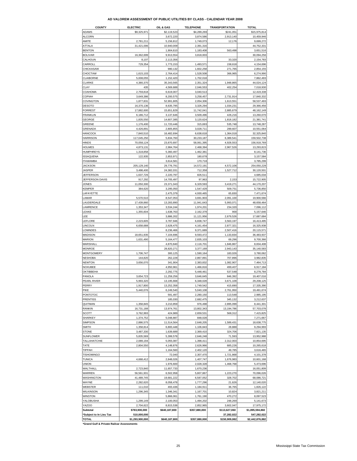#### **AD VALOREM ASSESSMENT OF PUBLIC UTILITIES BY CLASS - CALENDAR YEAR 2008**

| <b>COUNTY</b>           | <b>ELECTRIC</b> | OIL & GAS     | <b>TELEPHONE</b> | <b>TRANSPORTATION</b> | <b>TOTAL</b>    |
|-------------------------|-----------------|---------------|------------------|-----------------------|-----------------|
| ADAMS                   | \$9,325,971     | \$2,119,523   | \$4,289,269      | \$241,051             | \$15,975,814    |
| <b>ALCORN</b>           |                 | 3,672,220     | 3,874,586        | 2,913,140             | 10,459,946      |
| AMITE                   | 2,781,211       | 5,156,812     | 1,749,073        | 12,176                | 9,699,272       |
| ATTALA                  | 31,421,006      | 10,940,009    | 2,391,316        |                       | 44,752,331      |
| <b>BENTON</b>           |                 | 1,904,610     | 1,183,408        | 563,498               | 3,651,516       |
| <b>BOLIVAR</b>          | 16,362,699      | 9,913,554     | 3,818,003        |                       | 30,094,256      |
| CALHOUN                 | 8,107           | 2,113,356     |                  | 33,320                | 2,154,783       |
| CARROLL                 | 729,354         | 1,773,153     | 1,493,571        | 158,618               | 4,154,696       |
| CHICKASAW               |                 | 980,132       | 1,602,258        | 271,765               | 2,854,155       |
| CHOCTAW                 | 1,615,103       | 2,764,414     | 1,528,508        | 366,965               | 6,274,990       |
|                         |                 |               |                  |                       |                 |
| CLAIBORNE               | 5,008,055       | 1,152,420     | 1,702,018        |                       | 7,862,493       |
| CLARKE                  | 4,380,370       | 35,343,565    | 2,351,324        | 1,948,865             | 44,024,124      |
| CLAY                    | 435             | 4,569,688     | 2,046,553        | 402,254               | 7,018,930       |
| COAHOMA                 | 2,759,818       | 6,619,007     | 3,040,513        |                       | 12,419,338      |
| COPIAH                  | 3,649,386       | 8,200,575     | 3,258,457        | 2,731,914             | 17,840,332      |
| COVINGTON               | 1,877,831       | 52,991,805    | 2,054,306        | 1,613,551             | 58,537,493      |
| <b>DESOTO</b>           | 16,370,136      | 8,635,795     | 3,326,294        | 1,034,231             | 29,366,456      |
| <b>FORREST</b>          | 17,882,600      | 15,651,829    | 11,742,041       | 2,885,679             | 48, 162, 149    |
| <b>FRANKLIN</b>         | 6,186,712       | 3,137,646     | 3,509,496        | 426,216               | 13,260,070      |
| GEORGE                  | 1,835,550       | 14,607,385    | 3,120,624        | 1,818,182             | 21,381,741      |
| <b>GREENE</b>           | 1,176,400       | 11,720,446    | 315,693          | 535,748               | 13,748,287      |
| GRENADA                 | 4,426,891       | 2,805,855     | 3,028,711        | 289,607               | 10,551,064      |
| <b>HANCOCK</b>          |                 |               |                  |                       |                 |
|                         | 7,840,510       | 16,482,694    | 6,638,618        | 1,364,018             | 32,325,840      |
| <b>HARRISON</b>         | 117,045,250     | 5,834,760     | 30,233,187       | 6,389,541             | 159,502,738     |
| <b>HINDS</b>            | 70,058,124      | 23,870,697    | 58,061,395       | 4,928,553             | 156,918,769     |
| <b>HOLMES</b>           | 4,873,131       | 2,984,764     | 2,468,394        | 2,967,526             | 13,293,815      |
| <b>HUMPHREYS</b>        | 1,318,858       | 5,360,497     | 1,462,381        |                       | 8,141,736       |
| <b>ISSAQUENA</b>        | 122,935         | 2,853,971     | 180,678          |                       | 3,157,584       |
| <b>ITAWAMBA</b>         |                 | 3,614,581     | 170,718          |                       | 3,785,299       |
| <b>JACKSON</b>          | 205,129,140     | 29,776,791    | 14,572,191       | 4,572,106             | 254,050,228     |
| <b>JASPER</b>           | 3.498.400       | 24,382,031    | 712,358          | 1,527,712             | 30,120,501      |
| <b>JEFFERSON</b>        | 1,637,726       | 2,220,797     | 826,511          |                       | 4,685,034       |
| JEFFERSON DAVIS         | 917,292         | 14,705,497    | 97,963           | 2,153                 | 15,722,905      |
| <b>JONES</b>            | 11,050,300      | 23,371,043    | 6,329,593        | 3,419,271             | 44,170,207      |
| KEMPER                  | 384,620         | 3,295,050     |                  |                       |                 |
|                         |                 |               | 1,547,429        | 509,751               | 5,736,850       |
| LAFAYETTE               |                 | 2,475,379     | 4,930,465        | 65,830                | 7,471,674       |
| LAMAR                   | 5,570,510       | 8,547,053     | 3,691,903        | 2,091,100             | 19,900,566      |
| LAUDERDALE              | 17,439,860      | 13,283,890    | 11,941,643       | 5,993,071             | 48,658,464      |
| LAWRENCE                | 1,353,347       | 3,534,244     | 1,974,201        | 234,320               | 7,096,112       |
| LEAKE                   | 1,355,604       | 1,638,763     | 2,162,379        | 900                   | 5,157,646       |
| LEE                     |                 | 3,886,202     | 11,121,956       | 2,679,526             | 17,687,684      |
| LEFLORE                 | 2,223,605       | 3,787,946     | 6,838,747        | 3,563,197             | 16,413,495      |
| LINCOLN                 | 6,658,688       | 2,628,475     | 4,161,454        | 2,877,321             | 16,325,938      |
| LOWNDES                 |                 | 8,236,466     | 9,371,689        | 2,507,416             | 20,115,571      |
| <b>MADISON</b>          | 18,651,935      | 7,104,696     | 9,593,472        | 1,133,834             | 36,483,937      |
| <b>MARION</b>           | 1,631,490       | 5,164,477     | 2,835,103        | 69,296                | 9,700,366       |
| MARSHALL                |                 | 4,870,840     | 2,116,701        | 1,846,867             | 8,834,408       |
| <b>MONROE</b>           |                 | 28,820,271    | 3,377,169        | 2,943,143             | 35,140,583      |
|                         |                 |               |                  | 183,026               | 3,780,062       |
| <b>MONTGOMERY</b>       | 1,706,747       | 300,125       | 1,590,164        |                       |                 |
| <b>NESHOBA</b>          | 144,820         | 262,228       | 2,867,891        | 707,896               | 3,982,835       |
| <b>NEWTON</b>           | 3,656,070       | 341,904       | 2,383,832        | 1,082,907             | 7,464,713       |
| NOXUBEE                 |                 | 4,950,961     | 1,466,816        | 499.407               | 6,917,184       |
| OKTIBBEHA               |                 | 2,292,775     | 5,448,461        | 537,548               | 8,278,784       |
| PANOLA                  | 3,654,723       | 11,259,256    | 3,646,645        | 846,392               | 19,407,016      |
| PEARL RIVER             | 5,993,320       | 13,195,668    | 6,348,028        | 3,671,109             | 29,208,125      |
| PERRY                   | 1.917.800       | 13.252.358    | 1.749.542        | 415,690               | 17.335.390      |
| PIKE                    | 5,440,076       | 6,249,540     | 5,040,108        | 2,761,950             | 19,491,674      |
| PONTOTOC                |                 | 591,497       | 2,280,150        | 113,548               | 2,985,195       |
| <b>PRENTISS</b>         |                 | 185,030       | 2,682,475        | 345,132               | 3,212,637       |
| QUITMAN                 | 1,358,845       | 3,210,859     | 976,498          | 2,895,099             | 8,441,301       |
| RANKIN                  | 16,731,188      | 13,974,761    | 13,802,343       | 13,194,786            | 57,703,078      |
| SCOTT                   | 3,762,993       | 424,989       | 2,659,531        | 568,312               | 7,415,825       |
|                         | 1,374,752       |               |                  |                       |                 |
| SHARKEY                 |                 | 5,048,887     | 848,028          |                       | 7,271,667       |
| SIMPSON                 | 2,886,575       | 11,514,564    | 2,648,205        | 1,589,431             | 18,638,775      |
| SMITH                   | 1,358,814       | 6,800,448     | 1,106,843        | 28,888                | 9,294,993       |
| <b>STONE</b>            | 3,487,330       | 1,639,689     | 2,369,410        | 324,706               | 7,821,135       |
| SUNFLOWER               | 5,835,569       | 5,399,578     | 2,646,248        | 71,593                | 13,952,988      |
| TALLAHATCHIE            | 2,089,194       | 5,055,087     | 1,398,411        | 2,312,003             | 10,854,695      |
| TATE                    | 2,804,550       | 4,148,876     | 2,626,966        | 685,226               | 10,265,618      |
| <b>TIPPAH</b>           |                 | 1,164,560     | 2,402,120        | 49,785                | 3,616,465       |
| <b>TISHOMINGO</b>       |                 | 72,040        | 2,307,470        | 1,721,868             | 4,101,378       |
| TUNICA                  | 4,668,412       | 2,848,026     | 1,407,747        | 1,676,983             | 10,601,168      |
| UNION                   |                 | 1,976,600     | 2,028,328        | 1,468,768             | 5,473,696       |
|                         |                 |               |                  |                       |                 |
| WALTHALL                | 2,723,840       | 11,657,733    | 1,670,236        |                       | 16,051,809      |
| WARREN                  | 56,561,931      | 6,502,958     | 5,807,867        | 1,223,270             | 70,096,026      |
| WASHINGTON              | 41,489,745      | 19,681,222    | 6,587,052        | 328,702               | 68,086,721      |
| WAYNE                   | 2,282,620       | 8,058,478     | 1,777,296        | 21,626                | 12,140,020      |
| WEBSTER                 | 111,010         | 493,436       | 1,184,911        | 36,765                | 1,826,122       |
| WILKINSON               | 1,296,345       | 1,346,341     | 1,167,701        | 10,824                | 3,821,211       |
| WINSTON                 |                 | 5,866,061     | 1,761,190        | 470,272               | 8,097,523       |
| YALOBUSHA               | 1,299,149       | 2,100,053     | 1,494,202        | 248,269               | 5,141,673       |
| YAZOO                   | 2,704,622       | 8,815,538     | 2,852,965        | 3,602,047             | 17,975,172      |
| Subtotal                | \$783,900,000   | \$640,187,800 | \$357,880,000    | \$113,627,060         | \$1,895,594,860 |
| *Subject to In Lieu Tax | 510,000,000     |               |                  | 37,282,022            | 547,282,022     |
| TOTAL                   | \$1,293,900,000 | \$640,187,800 | \$357,880,000    | \$150,909,082         | \$2,442,876,882 |
|                         |                 |               |                  |                       |                 |

**\*Grand Gulf & Private Railcar Assessments**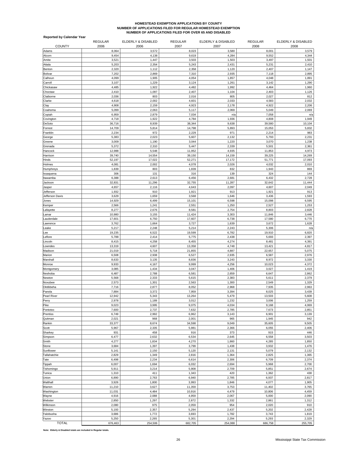# **HOMESTEAD EXEMPTION APPLICATIONS BY COUNTY NUMBER OF APPLICATIONS FILED FOR REGULAR HOMESTEAD EXEMPTION NUMBER OF APPLICATIONS FILED FOR OVER 65 AND DISABLED**

| <b>Reported by Calendar Year</b> | <b>REGULAR</b>  | ELDERLY & DISABLED | <b>REGULAR</b>  | ELDERLY & DISABLED | <b>REGULAR</b>  | ELDERLY & DISABLED |
|----------------------------------|-----------------|--------------------|-----------------|--------------------|-----------------|--------------------|
| <b>COUNTY</b>                    | 2006            | 2006               | 2007            | 2007               | 2008            | 2008               |
| Adams                            | 8,064           | 3,572              | 8,023           | 3,580              | 8,001           | 3,579              |
| Alcorn                           | 9,454           | 4,138              | 9,619           | 4,284              | 9,552           | 4,344              |
| Amite                            | 3,521           | 1,447              | 3,503           | 1,503              | 3,497           | 1,501              |
| Attala                           | 5,203           | 2,354              | 5,243           | 2,431              | 5,231           | 2,410              |
| Benton                           | 2,320           | 1,112              | 2,358           | 1,120              | 2,407           | 1,147              |
| Bolivar                          | 7,202           | 2,869              | 7,310           | 2,935              | 7,118           | 2,895              |
| Calhoun                          | 4,099           | 1,905              | 4,054           | 1,857              | 4,048           | 1,891              |
| Carroll                          | 3,107           | 1,229              | 3,124           | 1,261              | 3,142           | 1,290              |
| Chickasaw                        | 4,485           | 1,922              | 4,482           | 1,992              | 4,464           | 1,960              |
| Choctaw                          | 2,410           | 1,097              | 2,407           | 1,104              | 2,403           | 1,126              |
| Claiborne                        | 2,036           | 803                | 2,016           | 805                | 2,027           | 812                |
| Clarke                           | 4,618           | 2,002              | 4,601           | 2,033              | 4,583           | 2,032              |
| Clay                             | 4,908           | 2,159              | 4,923           | 2,178              | 4,922           | 2,206              |
| Coahoma                          | 5,099           | 2,063              | 5,117           | 2,069              | 5,049           | 2,069              |
| Copiah                           | 6,959           | 2,879              | 7,034           | n/a                | 7,058           | n/a                |
| Covington                        | 4,718           | 1,922              | 4,784           | 1,936              | 4,808           | 1,949              |
| DeSoto                           | 36,716          | 8,939              | 38,344          | 9,638              | 39,580          | 10,104             |
| Forrest                          | 14,709          | 5,814              | 14,798          | 5,893              | 15,053          | 5,832              |
| Franklin                         | 2,234           | 972                | 2,229           | 971                | 2,214           | 983                |
| George                           | 5,383           | 2,023              | 5,607           | 2,132              | 5,793           | 2,231              |
| Greene                           | 3,009           | 1,190              | 3,044           | 1,220              | 3,070           | 1,238              |
| Grenada                          | 5,372           | 2,310              | 5,447           | 2,339              | 5,501           | 2,361              |
| Hancock                          | 12,988          | 5,548              | 11,952          | 4,935              | 11,853          | 4,973              |
| Harrison                         | 39,740          | 14,554             | 39,150          | 14,159             | 39,225          | 14,269             |
| Hinds                            | 52,197          | 17,022             | 52,271          | 17,172             | 51,771          | 17,093             |
| Holmes                           | 4,081           | 2,002              | 4,078           | 2,026              | 4,032           | 2,010              |
| Humphreys                        | 1,839           | 803                | 1,839           | 832                | 1,943           | 869                |
| Issaquena                        | 306             | 131                | 316             | 139                | 324             | 144                |
| Itawamba                         | 6,388           | 2,613              | 6,456           | 2,681              | 6,432           | 2,728              |
| Jackson                          | 32,831          | 11,296             | 32,755          | 11,287             | 32,642          | 11,444             |
| Jasper                           | 4,657           | 2,116              | 4,643           | 2,097              | 4,607           | 2,049              |
| Jefferson                        | 1,932           | 910                | 1,921           | 913                | 1,921           | 913                |
| Jefferson Davis                  | 3,629           | 1,659              | 3,568           | 1,646              | 3,436           | 1,593              |
| Jones                            | 14,929          | 6,499              | 15,101          | 6,598              | 15,098          | 6,595              |
| Kemper                           | 2,566           | 1,241              | 2,551           | 1,250              | 2,527           | 1,253              |
| Lafayette                        | 8,277           | 2,676              | 8,581           | 2,754              | 8,803           | 2,828              |
| _amar                            | 10,980          | 3,155              | 11,424          | 3,303              | 11,846          | 3,446              |
| auderdale                        | 17,601          | 6,750              | 17,607          | 6,738              | 17,580          | 6,770              |
| awrence                          | 3,762           | 1,664              | 3,727           | 1,639              | 3,672           | 1,628              |
| eake                             | 5,217           | 2,248              | 5,214           | 2,243              | 5,306           | n/a                |
| .ee                              | 19,235          | 6,522              | 19,599          | 6,782              | 19,910          | 6,820              |
| _eflore                          | 5,788           | 2,414              | 5,775           | 2,438              | 5,693           | 2,397              |
| .incoln                          | 8,415           | 4,258              | 8,455           | 4,274              | 8,481           | 4,391              |
| owndes                           | 13,319          | 4,607              | 13,358          | 4,748              | 13,421          | 4,817              |
| Madison                          | 21,019          | 5,718              | 21,855          | 4,887              | 22,657          | 5,075              |
| Marion                           | 6,508           | 2,938              | 6,527           | 2,935              | 6,587           | 2,976              |
| Marshall                         | 8,633           | 3,135              | 8,836           | 3,243              | 8,972           | 3,330              |
| Monroe                           | 9,933           | 4,167              | 9,999           | 4,256              | 10,023          | 4,372              |
| Montgomery                       | 3,085           | 1,434              | 3,047           | 1,406              | 3,027           | 1,419              |
| Neshoba                          | 6,487           | 2,788              | 6,581           | 2,659              | 6,647           | 2,862              |
| Newton                           | 5,568           | 2,333              | 5,615           | 2,383              | 5,611           | 2,379              |
| Noxubee                          | 2,573           | 1,301              | 2,563           | 1,300              | 2,549           | 1,329              |
| Oktibbeha                        | 7,716           | 2,877              | 8,052           | 2,968              | 7,935           | 2,963              |
|                                  |                 |                    |                 |                    |                 |                    |
| Panola                           | 7,884           | 3,372              | 7,959           | 3,394              | 8,025           | 3,439              |
| Pearl River<br>Perry             | 12,942<br>2,978 | 5,343<br>1,189     | 13,264<br>3,012 | 5,479<br>1,232     | 13,503<br>3,006 | 5,608<br>1,259     |
| Pike                             | 9,023           | 3,995              | 9,075           | 4,034              | 9,168           | 4,069              |
| Pontotoc                         | 7,600           | 2,737              | 7,632           | 2,785              | 7,673           | 2,851              |
| Prentiss                         | 6,749           | 2,992              | 6,962           | 3,143              | 6,901           | 3,139              |
| Quitman                          | 2,021           | 968                | 2,001           | 965                | 1,945           | 942                |
| Rankin                           | 33,377          | 8,674              | 34,598          | 9,049              | 35,605          | 9,505              |
|                                  | 5,967           | 2,335              | 5,981           | 2,366              | 6,055           | 2,406              |
| Scott                            | 931             | 458                | 916             | 373                | 915             | 446                |
| Sharkey<br>Simpson               | 6,477           | 2,632              | 6,534           | 2,645              | 6,558           | 3,503              |
| Smith                            | 4,277           | 1,834              | 4,270           | 1,860              | 4,285           | 1,850              |
|                                  |                 |                    |                 |                    |                 |                    |
| Stone                            | 3,684           | 1,397              | 3,799           | 1,438              | 3,932           | 1,476              |
| Sunflower                        | 5,141           | 2,150              | 5,120           | 2,131              | 5,079           | 2,132              |
| Tallahatchie<br>Tate             | 2,829<br>6,498  | 1,349<br>2,234     | 2,816<br>6,614  | 1,364<br>2,306     | 2,825<br>6,709  | 1,365<br>2,374     |
|                                  |                 |                    |                 |                    |                 |                    |
| Tippah                           | 6,007           | 1,694              | 6,032           | 2,694              | 5,968           | 2,700              |
| Tishomingo                       | 5,911           | 3,214              | 5,908           | 2,709              | 5,851           | 2,674              |
| Tunica                           | 1,310           | 411                | 1,343           | 420                | 1,362           | 438                |
| Union                            | 6,890           | 2,763              | 6,940           | 2,785              | 6,937           | 2,817              |
| Walthall                         | 3,926           | 1,800              | 3,993           | 1,846              | 4,077           | 1,905              |
| Warren                           | 11,210          | 3,627              | 11,359          | 3,753              | 11,402          | 3,765              |
| Washington                       | 11,031          | 4,484              | 10,916          | 4,479              | 10,806          | 4,459              |
| Wayne                            | 4,916           | 2,088              | 4,959           | 2,067              | 5,000           | 2,090              |
| Webster                          | 2,850           | 1,297              | 2,872           | 1,332              | 2,861           | 1,312              |
| Wilkinson                        | 2,080           | 975                | 2,059           | 954                | 2,020           | 910                |
| Winston                          | 5,193           | 2,357              | 5,294           | 2,437              | 5,202           | 2,428              |
| Yalobusha                        | 3,686           | 1,772              | 3,693           | 1,782              | 3,743           | 1,819              |
| Yazoo                            | 5,250           | 2,265              | 5,301           | 2,294              | 5,293           | 2,329              |
| <b>TOTAL</b>                     | 676,463         | 254,506            | 682,705         | 254,088            | 686,758         | 255,705            |

**Note: Elderly & Disabled totals are included in Regular totals.**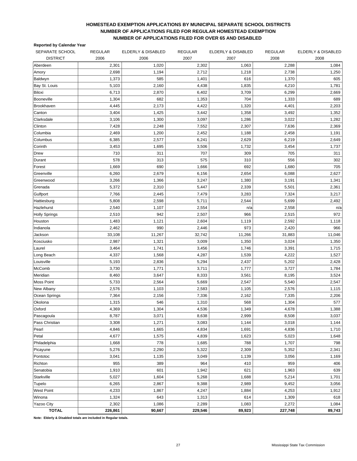#### **HOMESTEAD EXEMPTION APPLICATIONS BY MUNICIPAL SEPARATE SCHOOL DISTRICTS NUMBER OF APPLICATIONS FILED FOR REGULAR HOMESTEAD EXEMPTION NUMBER OF APPLICATIONS FILED FOR OVER 65 AND DISABLED**

|  | <b>Reported by Calendar Year</b> |  |
|--|----------------------------------|--|
|--|----------------------------------|--|

| SEPARATE SCHOOL      | <b>REGULAR</b> | ELDERLY & DISABLED | <b>REGULAR</b> | ELDERLY & DISABLED | <b>REGULAR</b> | ELDERLY & DISABLED |
|----------------------|----------------|--------------------|----------------|--------------------|----------------|--------------------|
| <b>DISTRICT</b>      | 2006           | 2006               | 2007           | 2007               | 2008           | 2008               |
| Aberdeen             | 2,301          | 1,020              | 2,302          | 1,063              | 2,288          | 1,084              |
| Amory                | 2,698          | 1,194              | 2,712          | 1,218              | 2,738          | 1,250              |
| Baldwyn              | 1,373          | 585                | 1,401          | 616                | 1,370          | 605                |
| Bay St. Louis        | 5,103          | 2,160              | 4,438          | 1,835              | 4,210          | 1,781              |
| Biloxi               | 6,713          | 2,870              | 6,402          | 3,709              | 6,299          | 2,669              |
| Booneville           | 1,304          | 682                | 1,353          | 704                | 1,333          | 689                |
| <b>Brookhaven</b>    | 4,445          | 2,173              | 4,422          | 1,320              | 4,401          | 2,203              |
| Canton               | 3,404          | 1,425              | 3,442          | 1,358              | 3,492          | 1,352              |
| Clarksdale           | 3,106          | 1,300              | 3,097          | 1,286              | 3,022          | 1,282              |
| Clinton              | 7,428          | 2,248              | 7,552          | 2,307              | 7,636          | 2,369              |
| Columbia             | 2,469          | 1,200              | 2,452          | 1,188              | 2,458          | 1,191              |
| Columbus             | 6,385          | 2,577              | 6,241          | 2,629              | 6,219          | 2,649              |
| Corinth              | 3,453          | 1,695              | 3,506          | 1,732              | 3,454          | 1,737              |
| Drew                 | 710            | 311                | 707            | 309                | 705            | 311                |
| Durant               | 578            | 313                | 575            | 310                | 556            | 302                |
| Forest               | 1,669          | 690                | 1,666          | 692                | 1,680          | 705                |
| Greenville           | 6,260          | 2,679              | 6,156          | 2,654              | 6,088          | 2,627              |
| Greenwood            | 3,266          | 1,366              | 3,247          | 1,380              | 3,191          | 1,341              |
| Grenada              | 5,372          | 2,310              | 5,447          | 2,339              | 5,501          | 2,361              |
| Gulfport             | 7,766          | 2,445              | 7,479          | 3,283              | 7,324          | 3,217              |
| Hattiesburg          | 5,808          | 2,598              | 5,711          | 2,544              | 5,699          | 2,492              |
| Hazlehurst           | 2,540          | 1,107              | 2,554          | n/a                | 2,558          | n/a                |
| <b>Holly Springs</b> | 2,510          | 942                | 2,507          | 966                | 2,515          | 972                |
| Houston              | 1,483          | 1,121              | 2,604          | 1,119              | 2,592          | 1,118              |
| Indianola            | 2,462          | 990                | 2,446          | 973                | 2,420          | 966                |
| Jackson              | 33,108         | 11,267             | 32,742         | 11,266             | 31,883         | 11,046             |
| Kosciusko            | 2,987          | 1,321              | 3,009          | 1,350              | 3,024          | 1,350              |
| Laurel               | 3,464          | 1,741              | 3,456          | 1,746              | 3,391          | 1,715              |
| Long Beach           | 4,337          | 1,568              | 4,287          | 1,539              | 4,222          | 1,527              |
| Louisville           | 5,193          | 2,836              | 5,294          | 2,437              | 5,202          | 2,428              |
| McComb               | 3,730          | 1,771              | 3,711          | 1,777              | 3,727          | 1,784              |
| Meridian             | 8,460          | 3,647              | 8,333          | 3,561              | 8,195          | 3,524              |
| Moss Point           | 5,733          | 2,564              | 5,669          | 2,547              | 5,540          | 2,547              |
| New Albany           | 2,576          | 1,103              | 2,583          | 1,105              | 2,576          | 1,115              |
| Ocean Springs        | 7,364          | 2,156              | 7,336          | 2,162              | 7,335          | 2,206              |
| Okolona              | 1,315          | 546                | 1,310          | 568                | 1,304          | 577                |
| Oxford               | 4,369          | 1,304              | 4,536          | 1,349              | 4,678          | 1,388              |
| Pascagoula           | 8,787          | 3,071              | 8,638          | 2,999              | 8,508          | 3,037              |
| Pass Christian       | 3,308          | 1,271              | 3,083          | 1,144              | 3,018          | 1,144              |
| Pearl                | 4,846          | 1,665              | 4,834          | 1,691              | 4,836          | 1,710              |
| Petal                | 4,677          | 1,575              | 4,839          | 1,623              | 5,023          | 1,648              |
| Philadelphia         | 1,668          | 778                | 1,685          | 788                | 1,707          | 798                |
| Picayune             | 5,276          | 2,290              | 5,322          | 2,309              | 5,352          | 2,341              |
| Pontotoc             | 3,041          | 1,135              | 3,049          | 1,139              | 3,056          | 1,169              |
| Richton              | 955            | 389                | 964            | 410                | 959            | 406                |
| Senatobia            | 1,910          | 601                | 1,942          | 621                | 1,963          | 639                |
| Starkville           | 5,027          | 1,604              | 5,268          | 1,688              | 5,214          | 1,701              |
| Tupelo               | 6,265          | 2,867              | 9,388          | 2,989              | 9,452          | 3,056              |
| <b>West Point</b>    | 4,233          | 1,867              | 4,247          | 1,884              | 4,253          | 1,912              |
| Winona               | 1,324          | 643                | 1,313          | 614                | 1,309          | 618                |
| Yazoo City           | 2,302          | 1,086              | 2,289          | 1,083              | 2,272          | 1,084              |
| <b>TOTAL</b>         | 226,861        | 90,667             | 229,546        | 89,923             | 227,748        | 89,743             |

**Note: Elderly & Disabled totals are included in Regular totals.**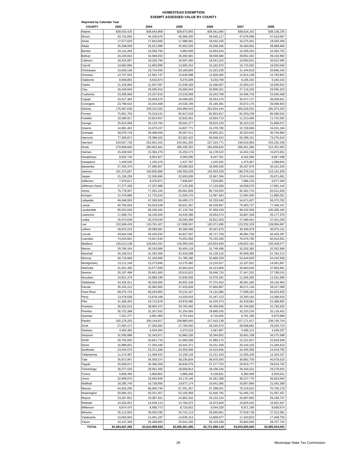# HOMESTEAD EXEMPTION<br>EXEMPT ASSESSED VALUE BY COUNTY

| <b>Reported by Calendar Year</b> |                          |                            |                          |                          |                          |                           |
|----------------------------------|--------------------------|----------------------------|--------------------------|--------------------------|--------------------------|---------------------------|
| <b>COUNTY</b>                    | 2003                     | 2004                       | 2005                     | 2006                     | 2007                     | 2008                      |
| Adams                            | \$38,033,425             | \$38,643,908               | \$38,873,955             | \$38,581,865             | \$38,624,242             | \$39,138,235              |
| Alcorn                           | 43,724,092               | 44,106,676                 | 46,368,335               | 46,645,117               | 47,678,589               | 47,618,667                |
| Amite<br>Attala                  | 17,677,620<br>25,338,009 | 17,843,606<br>25,612,086   | 17,988,991<br>25,652,525 | 18,032,435<br>25,938,265 | 18,275,401<br>26,483,091 | 18,593,406<br>28,989,660  |
| Benton                           | 10,141,266               | 10,056,766                 | 9,983,668                | 10,064,544               | 10,295,053               | 10,363,702                |
| Bolivar                          | 34,100,816               | 34,586,933                 | 35,392,681               | 39,039,586               | 39,852,302               | 39,234,960                |
| Calhoun                          | 18,315,067               | 18,329,794                 | 18,497,450               | 18,541,422               | 19,930,501               | 20,022,585                |
| Carroll                          | 14,662,866               | 14,903,990                 | 14,950,254               | 15,162,970               | 16,715,062               | 16,920,040                |
| Chickasaw                        | 19,628,136               | 19,734,450                 | 20,180,840               | 21,023,236               | 21,444,819               | 20,896,240                |
| Choctaw                          | 12,747,553               | 12,562,747                 | 12,639,588               | 12,826,082               | 12,914,138               | 12,782,852                |
| Claiborne                        | 8.568.853                | 8,615,674                  | 8,376,309                | 9,233,709                | 9,105,342                | 9,160,102                 |
| Clarke                           | 21,318,994               | 21,507,097                 | 21,549,328               | 22,446,007               | 22,593,237               | 22,646,552                |
| Clay                             | 26,449,840               | 26,596,914                 | 26,666,944               | 26,806,201               | 27.116.202               | 29,595,323                |
| Coahoma                          | 23,295,068               | 23,237,616                 | 23,233,069               | 24,243,708               | 24,406,743               | 24,346,468                |
| Copiah                           | 33,517,384               | 33,959,670                 | 34,099,925               | 35,054,270               | 35,672,727               | 36,058,941                |
| Covington                        | 23,796,624               | 24,343,408                 | 24,536,199               | 25, 165, 391             | 25,872,175               | 26,090,903                |
| DeSoto                           | 170,487,638              | 229,310,332                | 240,969,543              | 252,834,194              | 265,534,031              | 281,974,325               |
| Forrest                          | 75,851,793               | 76,219,242                 | 80,917,018               | 82,823,917               | 84,253,239               | 86,480,542                |
| Franklin                         | 10,080,917               | 10,824,557                 | 10,623,451               | 10,834,713               | 11,213,484               | 11,741,091                |
| George<br>Greene                 | 25,814,958<br>14,681,402 | 26, 133, 765<br>15,070,437 | 28,001,277<br>14,827,771 | 28,815,220<br>15,378,790 | 30,153,223<br>15,728,906 | 31,868,071<br>16,331,194  |
| Grenada                          | 28,078,718               | 28,488,506                 | 29,387,511               | 29,802,321               | 30,323,943               | 30,754,884                |
| Hancock                          | 77,406,871               | 79.398.424                 | 83,362,422               | 66,948,422               | 65,298,151               | 73,276,910                |
| Harrison                         | 243,567,728              | 252,651,015                | 254,661,265              | 227,103,771              | 230,019,953              | 253,232,256               |
| Hinds                            | 279,808,602              | 280.652.841                | 280,330,252              | 284,008,820              | 286,651,956              | 312,351,003               |
| Holmes                           | 15,439,592               | 15,384,279                 | 15,253,173               | 16,178,522               | 16,452,134               | 15,873,651                |
| Humphreys                        | 8,942,745                | 8,654,927                  | 8,365,096                | 8,447,761                | 8,442,566                | 8,667,499                 |
| Issaquena                        | 1,426,535                | 1,425,478                  | 1,437,787                | 1,425,532                | 1,473,367                | 1,598,845                 |
| Itawamba                         | 27,334,370               | 27,999,957                 | 28,589,263               | 29,846,206               | 30,297,979               | 30,421,520                |
| Jackson                          | 191,374,067              | 194,830,886                | 199,556,528              | 192,503,329              | 196,378,216              | 214,141,926               |
| Jasper                           | 21,136,259               | 22,300,695                 | 22,650,838               | 22,967,394               | 23,674,630               | 25,871,661                |
| Jefferson                        | 7,979,617                | 8,076,871                  | 7,938,687                | 7,918,881                | 7,968,120                | 8,077,269                 |
| Jefferson Davis                  | 17,277,438               | 17,237,988                 | 17,133,306               | 17,133,838               | 18,558,570               | 17,991,144                |
| Jones                            | 75,778,947               | 77,052,183                 | 80,681,609               | 80,744,055               | 82,462,715               | 83,521,928                |
| Kemper                           | 11,579,886               | 11,715,616                 | 11,545,176               | 12,067,463               | 12,054,400               | 11,980,051                |
| Lafayette                        | 46,048,593               | 47,393,929                 | 50,490,172               | 52,233,540               | 54,671,627               | 56,373,762                |
| Lamar<br>Lauderdale              | 60,794,826<br>95,522,628 | 63,533,538<br>96,246,162   | 66,921,367<br>97,133,704 | 69,229,857<br>97,959,229 | 73,483,727<br>98,432,559 | 77,348,247<br>105,305,160 |
| Lawrence                         | 17,928,731               | 18,135,028                 | 19,435,586               | 19,654,574               | 19,667,328               | 20,177,370                |
| Leake                            | 25,074,638               | 26,379,040                 | 26,590,308               | 26,812,453               | 27,098,461               | 27,441,039                |
| Lee                              | 110,308,418              | 115,761,427                | 117,858,267              | 120,371,695              | 123,252,103              | 128,956,687               |
| Leflore                          | 28,870,224               | 29,085,691                 | 30,286,598               | 30,347,676               | 30,408,979               | 30,070,131                |
| Lincoln                          | 43,844,538               | 45,200,034                 | 44,827,597               | 45,717,709               | 46,084,700               | 46,403,287                |
| Lowndes                          | 74,523,661               | 74,647,630                 | 75,452,956               | 76, 153, 346             | 76,676,785               | 82,910,831                |
| Madison                          | 125,013,138              | 129,662,031                | 135,955,546              | 143,554,693              | 149,822,181              | 155,428,577               |
| Marion                           | 29,784,104               | 30,193,080                 | 30,404,118               | 31.748.498               | 32,032,382               | 32,352,906                |
| Marshall                         | 40,168,515               | 41,342,406                 | 42,434,598               | 44,128,216               | 45,949,366               | 51,784,212                |
| Monroe                           | 50,715,666               | 51,184,895                 | 51,786,180               | 52,669,229               | 53,444,828               | 54,242,506                |
| Montgomery                       | 13,111,149               | 13,273,840                 | 13,275,482               | 13,216,527               | 13,197,922               | 14,061,667                |
| Neshoba                          | 31,631,495               | 33.577.839                 | 33,963,816               | 34,413,608               | 35,663,645               | 37.864.891                |
| Newton                           | 25,197,496               | 25,651,683                 | 25,910,622               | 26,946,730               | 27,447,252               | 27,780,015                |
| Noxubee                          | 10,821,379               | 10,890,198                 | 10,936,056               | 10,976,281               | 11,056,355               | 11,031,990                |
| Oktibbeha<br>Panola              | 44,326,911<br>35,325,212 | 45,039,005<br>35,992,682   | 45,952,439<br>37,420,628 | 47,374,452<br>37,804,867 | 48,591,405<br>38,571,134 | 49,145,994<br>39,317,089  |
| Pearl River                      | 69,275,724               | 69,294,855                 | 70,132,107               | 74,131,685               | 77,008,252               | 84,053,920                |
| Perry                            | 13,478,536               | 13,678,168                 | 14,020,616               | 15,187,123               | 15,340,162               | 15,386,616                |
| Pike                             | 41,306,453               | 43,712,876                 | 43,878,480               | 44,425,473               | 45,419,981               | 51,488,852                |
| Pontotoc                         | 36,552,516               | 38,905,372                 | 39,750,492               | 40,359,050               | 40,794,683               | 41,790,925                |
| Prentiss                         | 30,722,388               | 31,307,932                 | 31,254,083               | 29,895,535               | 32,220,234               | 32,118,452                |
| Quitman                          | 7,021,277                | 6,861,900                  | 6,751,644                | 6,716,625                | 6,791,338                | 6,675,989                 |
| Rankin                           | 192,276,202              | 200,144,817                | 208,880,640              | 217,915,139              | 227, 171, 617            | 238,740,744               |
| Scott                            | 27,063,171               | 27,392,083                 | 27,784,040               | 28,325,474               | 28,598,981               | 29,255,724                |
| Sharkey                          | 4,462,462                | 4,424,494                  | 4,375,224                | 4,387,807                | 4,458,121                | 4,436,297                 |
| Simpson                          | 31,935,888               | 32,343,871                 | 32,860,230               | 33,344,952               | 33,841,338               | 34,275,588                |
| Smith                            | 20,702,055               | 20,841,710                 | 21,660,508               | 21,980,175               | 22,221,657               | 22,818,948                |
| Stone                            | 16,888,651               | 17,250,439                 | 18,441,371               | 19,151,358               | 20,154,155               | 21,284,610                |
| Sunflower                        | 23,545,576               | 23,371,286                 | 23,303,930               | 24,415,836               | 24,445,358               | 24,419,755                |
| Tallahatchie<br>Tate             | 11,274,487<br>35,872,967 | 11,398,442<br>36,559,374   | 12,159,134<br>38,235,834 | 12,212,163<br>38,975,550 | 12,265,435<br>39,892,759 | 12,324,247<br>40,678,525  |
| Tippah                           | 25,839,671               | 26,366,359                 | 26,846,579               | 27, 177, 753             | 29,915,777               | 29,618,742                |
| Tishomingo                       | 28,377,033               | 28,561,406                 | 28,659,814               | 29,106,226               | 29,340,321               | 29,278,815                |
| Tunica                           | 5,606,494                | 5,809,802                  | 5,886,406                | 6,109,831                | 6,360,599                | 6,556,631                 |
| Union                            | 32,899,870               | 33,693,949                 | 34,179,146               | 34,281,288               | 36,227,770               | 36,563,093                |
| Walthall                         | 18,285,740               | 18,738,856                 | 19,877,174               | 19,941,085               | 20,857,868               | 21,043,399                |
| Warren                           | 64,820,290               | 66,009,749                 | 67,251,357               | 67,298,051               | 70,218,923               | 70,700,179                |
| Washington                       | 50,984,151               | 50,251,357                 | 52,165,959               | 51,646,765               | 51,405,742               | 51,287,437                |
| Wayne                            | 23,267,831               | 23,387,401                 | 24,862,342               | 25, 122, 134             | 25,697,962               | 26,166,737                |
| Webster                          | 14,632,652               | 14,639,123                 | 14,760,672               | 15,673,608               | 15,825,933               | 15,831,567                |
| Wilkinson                        | 8,874,475                | 8,858,773                  | 8,716,552                | 9,044,328                | 8,971,186                | 9,058,974                 |
| Winston                          | 26,114,504               | 26,055,035                 | 26,731,113               | 26,940,661               | 27,618,739               | 27,312,081                |
| Yalobusha                        | 14,063,843               | 14,491,187                 | 14,636,314               | 14,809,977               | 17,443,823               | 17,408,755                |
| Yazoo                            | 24,147,340               | 25,288,850                 | 25,041,250               | 25,419,330               | 25,844,945               | 28,757,722                |
| <b>TOTAL</b>                     | \$3,484,667,265          | \$3,610,898,938            | \$3,695,361,085          | \$3,721,896,119          | \$3,815,825,605          | \$3,995,944,091           |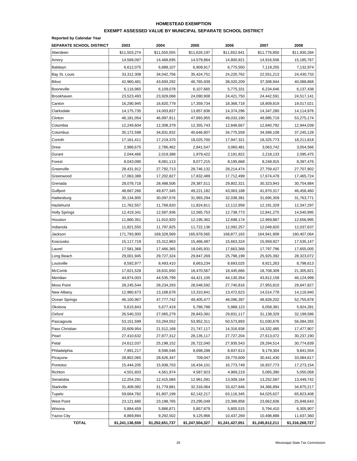#### **HOMESTEAD EXEMPTION**

#### **EXEMPT ASSESSED VALUE BY MUNICIPAL SEPARATE SCHOOL DISTRICT**

**Reported by Calendar Year**

| <b>SEPARATE SCHOOL DISTRICT</b> | 2003            | 2004            | 2005            | 2006            | 2007            | 2008            |
|---------------------------------|-----------------|-----------------|-----------------|-----------------|-----------------|-----------------|
| Aberdeen                        | \$11,503,274    | \$11,550,555    | \$11,626,197    | \$11,652,841    | \$11,776,850    | \$11,930,284    |
| Amory                           | 14,569,097      | 14,468,695      | 14,579,864      | 14,800,921      | 14,916,506      | 15,185,767      |
| Baldwyn                         | 6,612,075       | 6,888,107       | 6,909,917       | 6,775,550       | 7,119,255       | 7,132,974       |
| Bay St. Louis                   | 33,312,308      | 34,042,756      | 35,424,751      | 24,220,762      | 22,551,213      | 24,430,733      |
| Biloxi                          | 42,960,481      | 43,693,292      | 46,765,939      | 38,020,209      | 37,308,944      | 40,088,868      |
| Booneville                      | 6,116,965       | 6,109,078       | 6,107,665       | 5,775,331       | 6,234,646       | 6,137,438       |
| Brookhaven                      | 23,523,493      | 23,929,068      | 24,090,908      | 24,421,750      | 24,442,591      | 24,517,141      |
| Canton                          | 16,290,945      | 16,820,779      | 17,359,734      | 18,368,718      | 18,809,819      | 19,017,021      |
| Clarksdale                      | 14,175,735      | 14,003,837      | 13,857,836      | 14,374,296      | 14,347,280      | 14,114,976      |
| Clinton                         | 46,181,054      | 46,997,911      | 47,893,955      | 49,033,190      | 49,985,719      | 53,275,174      |
| Columbia                        | 12,249,604      | 12,308,379      | 12,355,743      | 12,848,667      | 12,840,792      | 12,944,039      |
| Columbus                        | 35,172,598      | 34,831,932      | 40,646,807      | 34,775,559      | 34,589,108      | 37,245,128      |
| Corinth                         | 17,161,411      | 17,219,370      | 18,025,700      | 17,947,321      | 18,325,773      | 18,211,818      |
| Drew                            | 2,986,675       | 2,786,462       | 2,841,547       | 3,060,481       | 3,063,742       | 3,054,566       |
| Durant                          | 2,044,466       | 2,019,388       | 1,979,422       | 2,191,822       | 2,218,133       | 2,095,475       |
| Forest                          | 8,043,090       | 8,081,113       | 8,077,215       | 8,195,668       | 8,248,915       | 8,397,476       |
| Greenville                      | 28,431,912      | 27,792,713      | 28,746,132      | 28,214,474      | 27,759,427      | 27,707,902      |
| Greenwood                       | 17,063,388      | 17,202,827      | 17,832,489      | 17,712,499      | 17,674,478      | 17,465,724      |
| Grenada                         | 28,078,718      | 28,488,506      | 29,387,511      | 29,802,321      | 30,323,943      | 30,754,884      |
| Gulfport                        | 48,667,266      | 49,877,345      | 49,221,182      | 43,063,188      | 41,870,317      | 46,456,460      |
| Hattiesburg                     | 30,134,905      | 30,097,576      | 31,993,294      | 32,038,381      | 31,695,309      | 31,763,771      |
| Hazlehurst                      | 11,762,557      | 11,769,820      | 11,824,811      | 12,112,958      | 12,191,329      | 12,347,297      |
| <b>Holly Springs</b>            | 12,419,341      | 12,587,936      | 12,565,753      | 12,738,773      | 12,841,275      | 14,540,995      |
| Houston                         | 11,860,351      | 11,910,920      | 12,195,362      | 12,698,174      | 12,969,887      | 12,656,995      |
| Indianola                       | 11,821,550      | 11,797,825      | 11,722,136      | 12,092,257      | 12,049,820      | 12,037,637      |
| Jackson                         | 171,793,900     | 169,328,569     | 165,978,565     | 168,877,163     | 164,941,909     | 180,407,064     |
| Kosciusko                       | 15,117,719      | 15,312,963      | 15,466,487      | 15,663,324      | 15,958,927      | 17,535,147      |
| Laurel                          | 17,581,368      | 17,466,365      | 18,045,931      | 17,663,368      | 17,797,796      | 17,655,005      |
| Long Beach                      | 29,001,945      | 29,727,324      | 29,847,269      | 25,798,199      | 25,925,392      | 28,323,072      |
| Louisville                      | 8,592,977       | 8,493,410       | 8,663,234       | 8,693,025       | 8,921,263       | 8,798,613       |
| McComb                          | 17,821,528      | 18,631,650      | 18,470,567      | 18,445,666      | 18,708,309      | 21,305,821      |
| Meridian                        | 44,874,003      | 44,535,799      | 44,421,105      | 44,130,354      | 43,812,158      | 46,124,999      |
| Moss Point                      | 28,245,544      | 28,234,293      | 28,548,592      | 27,740,816      | 27,955,810      | 29,847,827      |
| New Albany                      | 12,980,673      | 13,168,678      | 13,310,841      | 13,472,623      | 14,014,778      | 14,116,940      |
| Ocean Springs                   | 46,100,967      | 47,777,742      | 49,405,477      | 48,096,397      | 48,928,202      | 52,755,878      |
| Okolona                         | 5,615,843       | 5,677,419       | 5,786,788       | 5,988,123       | 6,058,381       | 5,924,281       |
| Oxford                          | 26,540,333      | 27,065,279      | 28,843,391      | 29,831,117      | 31,138,329      | 32,199,586      |
| Pascagoula                      | 53,151,599      | 53,264,552      | 53,952,311      | 50,573,893      | 51,030,676      | 56,084,355      |
| Pass Christian                  | 20,609,954      | 21,512,168      | 21,747,117      | 14,316,938      | 14,332,485      | 17,477,907      |
| Pearl                           | 27,410,632      | 27,877,312      | 28,135,117      | 27,727,204      | 27,613,072      | 30,237,190      |
| Petal                           | 24,612,037      | 25,198,152      | 26,722,040      | 27,935,543      | 29,294,514      | 30,774,839      |
| Philadelphia                    | 7,991,217       | 8,596,546       | 8,698,288       | 8,837,613       | 9,179,304       | 9,841,554       |
| Picayune                        | 28,802,065      | 28,626,347      | 709,047         | 29,770,609      | 30,441,430      | 33,084,617      |
| Pontotoc                        | 15,444,205      | 15,938,703      | 16,434,101      | 16,773,749      | 16,937,773      | 17,273,154      |
| Richton                         | 4,501,603       | 4,561,974       | 4,587,923       | 4,969,219       | 5,065,390       | 5,050,058       |
| Senatobia                       | 12,254,291      | 12,415,084      | 12,961,091      | 13,009,164      | 13,252,587      | 13,449,742      |
| Starkville                      | 31,408,082      | 31,779,881      | 32,316,064      | 33,427,846      | 34,366,894      | 34,875,217      |
| Tupelo                          | 59,664,782      | 61,807,199      | 62,142,217      | 63,116,345      | 64,025,627      | 65,823,408      |
| West Point                      | 23,121,680      | 23,198,765      | 23,295,049      | 23,389,858      | 23,662,836      | 25,848,643      |
| Winona                          | 5,884,459       | 5,886,871       | 5,857,879       | 5,805,515       | 5,794,410       | 6,305,907       |
| Yazoo City                      | 8,869,894       | 9,292,502       | 9,125,966       | 10,437,269      | 10,498,888      | 11,637,360      |
| <b>TOTAL</b>                    | \$1,241,136,559 | \$1,252,651,737 | \$1,247,504,327 | \$1,241,427,051 | \$1,245,812,211 | \$1,316,268,727 |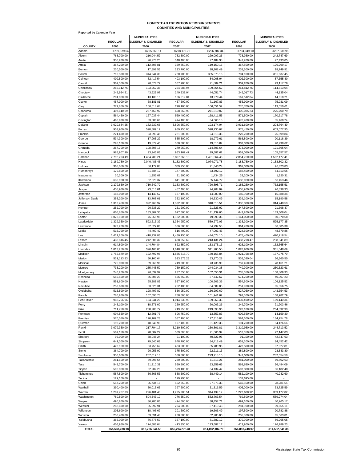# **HOMESTEAD EXEMPTION REIMBURSEMENTS COUNTIES AND MUNICIPALITIES**

| <b>Reported by Calendar Year</b> |                               |                                             |                               |                                             |                               |                                             |
|----------------------------------|-------------------------------|---------------------------------------------|-------------------------------|---------------------------------------------|-------------------------------|---------------------------------------------|
|                                  | <b>REGULAR</b>                | <b>MUNICIPALITIES</b><br>ELDERLY & DISABLED | <b>REGULAR</b>                | <b>MUNICIPALITIES</b><br>ELDERLY & DISABLED | <b>REGULAR</b>                | <b>MUNICIPALITIES</b><br>ELDERLY & DISABLED |
| <b>COUNTY</b><br>Adams           | 2006<br>\$799,379.64          | 2006                                        | 2007<br>\$798,172.72          | 2007                                        | 2008<br>\$794,049.10          | 2008                                        |
| Alcorn                           | 768,700.00                    | \$295,863.14<br>216,044.59                  | 782,300.00                    | \$296,787.34<br>229,007.26                  | 778,950.00                    | \$297,938.95<br>242,747.69                  |
| Amite                            | 350,200.00                    | 26.276.25                                   | 348,400.00                    | 27,484.38                                   | 347,200.00                    | 27,493.05                                   |
| Attala                           | 367,200.00                    | 112,405.81                                  | 369,850.00                    | 119,150.16                                  | 367,800.00                    | 126,299.17                                  |
| Benton<br>Bolivar                | 230,500.00<br>710,500.00      | 17,892.55<br>344,944.39                     | 233,700.00<br>720,700.00      | 18,208.49<br>355,875.16                     | 238,500.00<br>704,100.00      | 18,749.91<br>351,637.45                     |
| Calhoun                          | 409,500.00                    | 82,417.54                                   | 403,100.00                    | 84,008.94                                   | 402,300.00                    | 87,355.40                                   |
| Carroll                          | 307,300.00                    | 20,574.72                                   | 307,900.00                    | 21,809.21                                   | 309,200.00                    | 23,117.76                                   |
| Chickasaw                        | 266,112.75                    | 103,252.36                                  | 264,986.94                    | 109,364.62                                  | 264,812.76                    | 114,613.04                                  |
| Choctaw<br>Claiborne             | 249,954.51<br>201,000.00      | 43,625.97<br>13,188.15                      | 249,538.04<br>166,512.84      | 44,051.74<br>13.979.44                      | 249,017.73<br>167,512.84      | 44,135.04<br>14.818.21                      |
| Clarke                           | 457,000.00                    | 68,181.81                                   | 457,600.00                    | 71,167.83                                   | 455,900.00                    | 75,031.09                                   |
| Clay                             | 277,850.00                    | 100,614.64                                  | 278,100.00                    | 106,651.52                                  | 276,700.00                    | 113,050.61                                  |
| Coahoma                          | 407,610.99                    | 267,460.92                                  | 408,860.99                    | 271,619.02                                  | 405,035.23                    | 275,700.79                                  |
| Copiah<br>Covington              | 564,450.00<br>466,900.00      | 167,037.44<br>33,806.66                     | 569,400.00<br>474,400.00      | 168,411.55<br>34,660.13                     | 571,500.00<br>476,400.00      | 170,317.78<br>35,460.24                     |
| DeSoto                           | 3,620,684.25                  | 182,239.66                                  | 3,806,550.00                  | 193,174.04                                  | 3,931,600.00                  | 204,764.49                                  |
| Forrest                          | 953,900.00                    | 598,889.12                                  | 959,750.00                    | 598,230.67                                  | 975,450.00                    | 603,077.95                                  |
| Franklin                         | 221,400.00                    | 23,993.45                                   | 221,000.00                    | 24,618.36                                   | 220,200.00                    | 25,599.84                                   |
| George<br>Greene                 | 534,300.00<br>298,100.00      | 17,905.29<br>19,379.45                      | 555,300.00<br>300,600.00      | 18,979.61<br>19,810.02                      | 568,800.00<br>303,300.00      | 20,118.39<br>20.998.62                      |
| Grenada                          | 267,700.00                    | 108,308.15                                  | 270,950.00                    | 114,806.64                                  | 273,900.00                    | 121,695.04                                  |
| Hancock                          | 985,907.99                    | 93,945.86                                   | 953,162.47                    | 99,582.62                                   | 951,050.00                    | 105,557.57                                  |
| Harrison                         | 2,792,293.49                  | 1,464,783.21                                | 2,807,369.10                  | 1,491,064.46                                | 2,854,700.00                  | 1,582,177.41                                |
| Hinds                            | 3,169,750.00                  | 2,040,486.46                                | 3,182,300.00                  | 2,074,071.78                                | 3,183,750.00                  | 2,153,802.32                                |
| Holmes<br>Humphreys              | 368,050.00<br>179,800,00      | 86,172.88<br>51,784.12                      | 369,250.00<br>177,300.00      | 91,343.24<br>53,792.12                      | 367,300.00<br>188,400.00      | 96,823.83<br>54,313.55                      |
| ssaquena                         | 30,300.00                     | 1,353.07                                    | 31,500.00                     | 1,434.25                                    | 32,200.00                     | 1,520.31                                    |
| Itawamba                         | 636,900.00                    | 52,023.37                                   | 641,500.00                    | 55,144.77                                   | 638,900.00                    | 58,453.46                                   |
| Jackson                          | 2,179,650.00                  | 710,642.72                                  | 2,183,800.00                  | 720,898.71                                  | 2,185,250.00                  | 762.155.51                                  |
| Jasper<br>Jefferson              | 458,900.00<br>188,000.00      | 23,510.01<br>14,140.57                      | 457,400.00<br>187,100.00      | 24,904.09<br>14,989.00                      | 455,900.00<br>186,900.00      | 26,398.33<br>15,888.34                      |
| Jefferson Davis                  | 358,200.00                    | 13,708.01                                   | 352,100.00                    | 14,530.49                                   | 339,100.00                    | 15,190.58                                   |
| Jones                            | 1,313,450.00                  | 322,768.97                                  | 1,332,200.00                  | 340,015.51                                  | 1,336,300.00                  | 314,740.58                                  |
| Kemper                           | 252,700.00                    | 20,638.29                                   | 251,200.00                    | 21,325.92                                   | 247,800.00                    | 21,698.47                                   |
| Lafayette<br>Lamar               | 605,850.00<br>1,078,100.00    | 133,302.30<br>76,065.95                     | 627,600.00<br>1,122,600.00    | 141,139.66<br>79,999.36                     | 643,200.00<br>1,164,050.00    | 149,608.04<br>80,070.68                     |
| Lauderdale                       | 1,329,350.00                  | 592,613.39                                  | 1,334,950.00                  | 589,272.03                                  | 1,338,300.00                  | 595,177.35                                  |
| Lawrence                         | 373,200.00                    | 32,827.86                                   | 366,500.00                    | 34,797.53                                   | 364,700.00                    | 36,885.38                                   |
| _eake                            | 515,700.00                    | 44,400.42                                   | 516,400.00                    | 47,007.43                                   | 524,600.00                    | 48,570.86                                   |
| Lee<br>Leflore                   | 1,417,200.00<br>438,816.45    | 418,937.83<br>242,206.32                    | 1,450,150.00<br>438,052.62    | 444,074.10<br>243,431.24                    | 1,478,400.00<br>433,798.47    | 470,718.54<br>238,941.89                    |
| incoln                           | 614,800.00                    | 144,704.84                                  | 622.850.00                    | 153,175.13                                  | 626,100.00                    | 162,365.64                                  |
| Lowndes                          | 1,013,250.00                  | 326,466.05                                  | 1,018,500.00                  | 341,265.55                                  | 1,028,900.00                  | 361,548.69                                  |
| Madison                          | 1,752,879.99                  | 122,797.96                                  | 1,835,316.79                  | 130,165.84                                  | 1,921,758.80                  | 137,975.79                                  |
| Marion<br>Marshall               | 531,113.83<br>725,000.00      | 50,160.64<br>69,960.96                      | 533,576.25<br>749,300.00      | 53,170.28<br>73,736.99                      | 536,020.04<br>759,450.00      | 56,360.50<br>78,161.21                      |
| Monroe                           | 733,200.00                    | 235.445.50                                  | 739,150.00                    | 244,034.38                                  | 740,900.00                    | 250,523.61                                  |
| Montgomery                       | 240,200.00                    | 96,839.92                                   | 237,050.00                    | 102,650.31                                  | 235,050.00                    | 108,809.33                                  |
| Neshoba                          | 559,550.00                    | 35,606.29                                   | 566,750.00                    | 37,742.67                                   | 574,250.00                    | 40,007.23                                   |
| Newton<br>Noxubee                | 551,600.00<br>253,600.00      | 95,388.85<br>83,625.31                      | 557,100.00<br>252,400.00      | 100,906.36<br>84,689.05                     | 554,500.00<br>251,900.00      | 106,125.52<br>85,856.75                     |
| oktibbena                        | 515,500.00                    | 128,497.82                                  | 536,950.00                    | 136,207.69                                  | 527,050.00                    | 143,354.53                                  |
| Panola                           | 780,200.00                    | 157,590.78                                  | 788,500.00                    | 161,941.62                                  | 793,300.00                    | 168,982.79                                  |
| Pearl River                      | 982,766.96                    | 154,241.20                                  | 1,014,833.98                  | 159,566.35                                  | 1,039,490.02                  | 169,140.34                                  |
| Perry<br>Pike                    | 248,100.00<br>711,750.00      | 18,871.00<br>238,200.77                     | 250,250.00<br>719,250.00      | 20,003.26<br>249,898.96                     | 249,700.00<br>728,100.00      | 21,203.46<br>264,892.90                     |
| Pontotoc                         | 604,550.00                    | 12,601.73                                   | 606,750.00                    | 13,357.83                                   | 609,550.00                    | 14,159.30                                   |
| Prentiss                         | 570,550.00                    | 120,109.28                                  | 587,100.00                    | 127,315.83                                  | 584,600.00                    | 134,954.78                                  |
| Quitman                          | 198,200.00                    | 48,540.99                                   | 197,400.00                    | 51,420.38                                   | 194,700.00                    | 54,126.66                                   |
| Rankin<br>Scott                  | 3,079,350.00<br>507,150.00    | 217,794.17<br>70,607.22                     | 3,210,300.00<br>509,600.00    | 230,861.81<br>71,566.32                     | 3,310,950.00<br>518,050.00    | 244,713.52<br>72,147.03                     |
| Sharkey                          | 92,000.00                     | 38,045.24                                   | 91,100.00                     | 40,327.95                                   | 91,100.00                     | 42,747.63                                   |
| Simpson                          | 641,300.00                    | 79,640.08                                   | 648,700.00                    | 84,418.49                                   | 651,100.00                    | 84,452.42                                   |
| Smith                            | 423,100.00                    | 33,755.62                                   | 423,500.00                    | 35,780.96                                   | 423,500.00                    | 37,927.81                                   |
| Stone<br>Sunflower               | 364,700.00<br>350,600.00      | 20,953.90<br>267,012.10                     | 375,500.00<br>350,500.00      | 22,211.13<br>273,918.15                     | 389,800.00<br>347,000.00      | 23,543.80<br>282,554.58                     |
| Tallahatchie                     | 281,600.00                    | 69,296.64                                   | 280,600.00                    | 71,513.21                                   | 281,000.00                    | 69,802.63                                   |
| Tate                             | 549,700.00                    | 51,210.31                                   | 560,500.00                    | 53,959.65                                   | 568,650.00                    | 56,484.09                                   |
| Tippah                           | 596,000.00                    | 32,202.28                                   | 599,100.00                    | 34,134.42                                   | 593,300.00                    | 36,182.48                                   |
| Tishomingo<br>Tunica             | 587,800.00<br>129,100.00      | 36,865.53<br>$\overline{\phantom{a}}$       | 588,500.00<br>129,995.06      | 38,449.14                                   | 582,100.00<br>132,695.06      | 40,242.60                                   |
| Union                            | 557,250.00                    | 26,734.16                                   | 562,350.00                    | 27,575.33                                   | 560,850.00                    | 28,281.55                                   |
| Walthall                         | 390,400.00                    | 30,015.65                                   | 397,600.00                    | 31,816.59                                   | 405,000.00                    | 33,725.59                                   |
| Narren                           | 1,207,767.33                  | 296,481.43                                  | 1,225,200.51                  | 314,139.12                                  | 1,222,608.92                  | 309,177.82                                  |
| Washington                       | 780,500.00                    | 594,543.10<br>36,280.86                     | 776,350.00                    | 582,763.54                                  | 769,800.00                    | 589,274.04                                  |
| Wayne<br>Nebster                 | 490,200.00<br>282,600.00      | 35,292.91                                   | 494,600.00<br>284,600.00      | 38,457.71<br>37,410.48                      | 499,100.00<br>281,900.00      | 40,765.17<br>39,655.11                      |
| Wilkinson                        | 203,600.00                    | 18,496.69                                   | 201,600.00                    | 19,606.49                                   | 197,500.00                    | 20,782.88                                   |
| Winston                          | 256,400.00                    | 59,691.48                                   | 260,500.00                    | 62,205.00                                   | 255,800.00                    | 65,563.81                                   |
| Yalobusha                        | 366,000.00                    | 76,775.59                                   | 367,100.00                    | 81,382.12                                   | 370,900.00                    | 86,265.05                                   |
| Yazoo<br><b>TOTAL</b>            | 406,950.00<br>\$55,533,238.18 | 174,686.04<br>\$13,706,644.56               | 413,350.00<br>\$56,294,278.31 | 173,687.17<br>\$14,092,107.70               | 413,900.00<br>\$56,818,748.97 | 176,289.23<br>\$14,582,541.38               |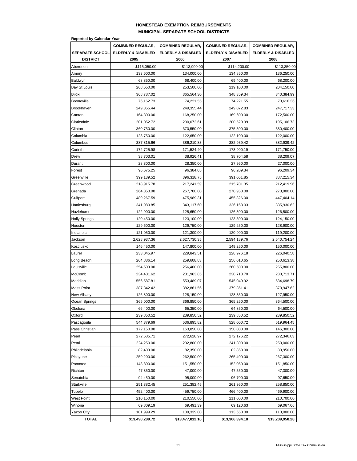### **HOMESTEAD EXEMPTION REIMBURSEMENTS MUNICIPAL SEPARATE SCHOOL DISTRICTS**

|                        | <b>Reported by Calendar Year</b> |                          |                               |                               |  |  |  |  |
|------------------------|----------------------------------|--------------------------|-------------------------------|-------------------------------|--|--|--|--|
|                        | <b>COMBINED REGULAR,</b>         | <b>COMBINED REGULAR,</b> | <b>COMBINED REGULAR,</b>      | <b>COMBINED REGULAR,</b>      |  |  |  |  |
| <b>SEPARATE SCHOOL</b> | <b>ELDERLY &amp; DISABLED</b>    | ELDERLY & DISABLED       | <b>ELDERLY &amp; DISABLED</b> | <b>ELDERLY &amp; DISABLED</b> |  |  |  |  |
| <b>DISTRICT</b>        | 2005                             | 2006                     | 2007                          | 2008                          |  |  |  |  |
| Aberdeen               | \$115,050.00                     | \$113,900.00             | \$114,200.00                  | \$113,350.00                  |  |  |  |  |
| Amory                  | 133,600.00                       | 134,000.00               | 134,850.00                    | 136,250.00                    |  |  |  |  |
| Baldwyn                | 68,850.00                        | 68,400.00                | 69,400.00                     | 68,200.00                     |  |  |  |  |
| Bay St Louis           | 268,650.00                       | 253,500.00               | 219,100.00                    | 204,150.00                    |  |  |  |  |
| Biloxi                 | 368,787.02                       | 365,564.30               | 348,359.34                    | 340,384.99                    |  |  |  |  |
| Booneville             | 76,162.73                        | 74,221.55                | 74,221.55                     | 73,616.36                     |  |  |  |  |
| Brookhaven             | 249,355.44                       | 249,355.44               | 249,072.83                    | 247,717.33                    |  |  |  |  |
| Canton                 | 164,300.00                       | 168,250.00               | 169,600.00                    | 172,500.00                    |  |  |  |  |
| Clarksdale             | 201,052.72                       | 200,072.61               | 200,529.99                    | 195,106.73                    |  |  |  |  |
| Clinton                | 360,750.00                       | 370,550.00               | 375,300.00                    | 380,400.00                    |  |  |  |  |
| Columbia               | 123,750.00                       | 122,650.00               | 122,100.00                    | 122,000.00                    |  |  |  |  |
| Columbus               | 387,815.66                       | 386,210.83               | 382,939.42                    | 382,939.42                    |  |  |  |  |
| Corinth                | 172,725.98                       | 171,524.40               | 173,900.19                    | 171,750.00                    |  |  |  |  |
| Drew                   | 38,703.01                        | 38,926.41                | 38,704.58                     | 38,209.07                     |  |  |  |  |
| Durant                 | 28,300.00                        | 28,350.00                | 27,950.00                     | 27,000.00                     |  |  |  |  |
| Forest                 | 96,675.25                        | 96,384.05                | 96,209.34                     | 96,209.34                     |  |  |  |  |
| Greenville             | 399,139.52                       | 396,318.75               | 391,061.85                    | 387,215.34                    |  |  |  |  |
| Greenwood              | 218,915.78                       | 217,241.59               | 215,701.35                    | 212,419.96                    |  |  |  |  |
| Grenada                | 264,350.00                       | 267,700.00               | 270,950.00                    | 273,900.00                    |  |  |  |  |
| Gulfport               | 489,267.59                       | 475,989.31               | 455,826.00                    | 447,404.14                    |  |  |  |  |
| Hattiesburg            | 341,980.85                       | 343,117.60               | 336,168.03                    | 335,930.62                    |  |  |  |  |
| Hazlehurst             | 122,900.00                       | 125,650.00               | 126,300.00                    | 126,500.00                    |  |  |  |  |
| <b>Holly Springs</b>   | 120,450.00                       | 123,100.00               | 123,300.00                    | 124,150.00                    |  |  |  |  |
| Houston                | 129,600.00                       | 129,750.00               | 129,250.00                    | 128,900.00                    |  |  |  |  |
| Indianola              | 121,050.00                       | 121,300.00               | 120,900.00                    | 119,200.00                    |  |  |  |  |
| Jackson                | 2,628,937.36                     | 2,627,730.35             | 2,594,189.76                  | 2,540,754.24                  |  |  |  |  |
| Kosciusko              | 146,450.00                       | 147,800.00               | 149,250.00                    | 150,000.00                    |  |  |  |  |
| Laurel                 | 233,045.97                       | 229,843.51               | 228,976.18                    | 226,040.58                    |  |  |  |  |
| Long Beach             | 264,886.14                       | 259,608.83               | 256,010.65                    | 250,613.38                    |  |  |  |  |
| Louisville             | 254,500.00                       | 256,400.00               | 260,500.00                    | 255,800.00                    |  |  |  |  |
| McComb                 | 234,401.62                       | 231,963.85               | 230,713.70                    | 230,713.71                    |  |  |  |  |
| Meridian               | 556,587.81                       | 553,489.07               | 545,049.92                    | 534,698.79                    |  |  |  |  |
| Moss Point             | 387,842.42                       | 382,861.56               | 379,361.41                    | 370,947.62                    |  |  |  |  |
|                        |                                  |                          |                               |                               |  |  |  |  |
| New Albany             | 126,800.00<br>365,000.00         | 128,150.00               | 128,350.00<br>365,250.00      | 127,950.00                    |  |  |  |  |
| Ocean Springs          |                                  | 366,850.00               | 64,850.00                     | 364,500.00<br>64,500.00       |  |  |  |  |
| Okolona                | 66,400.00                        | 65,350.00                |                               |                               |  |  |  |  |
| Oxford                 | 239,850.52                       | 239,850.52               | 239,850.52                    | 239,850.52                    |  |  |  |  |
| Pascagoula             | 544,379.69                       | 536,895.82               | 528,000.72                    | 519,964.45                    |  |  |  |  |
| Pass Christian         | 172,150.00                       | 163,850.00               | 150,000.00                    | 146,300.00                    |  |  |  |  |
| Pearl                  | 272,685.71                       | 272,628.97               | 272,176.22                    | 272,346.03                    |  |  |  |  |
| Petal                  | 224,250.00                       | 232,800.00               | 241,300.00                    | 250,000.00                    |  |  |  |  |
| Philadelphia           | 82,400.00                        | 82,350.00                | 82,850.00                     | 83,950.00                     |  |  |  |  |
| Picayune               | 259,200.00                       | 262,500.00               | 265,400.00                    | 267,300.00                    |  |  |  |  |
| Pontotoc               | 148,800.00                       | 151,550.00               | 152,050.00                    | 151,850.00                    |  |  |  |  |
| Richton                | 47,350.00                        | 47,000.00                | 47,550.00                     | 47,300.00                     |  |  |  |  |
| Senatobia              | 94,450.00                        | 95,000.00                | 96,700.00                     | 97,650.00                     |  |  |  |  |
| Starkville             | 251,382.45                       | 251,382.45               | 261,950.00                    | 258,850.00                    |  |  |  |  |
| Tupelo                 | 452,400.00                       | 459,750.00               | 466,400.00                    | 469,900.00                    |  |  |  |  |
| West Point             | 210,150.00                       | 210,550.00               | 211,000.00                    | 210,700.00                    |  |  |  |  |
| Winona                 | 69,809.19                        | 69,491.39                | 69,120.63                     | 69,067.66                     |  |  |  |  |
| <b>Yazoo City</b>      | 101,999.29                       | 109,339.00               | 113,650.00                    | 113,000.00                    |  |  |  |  |
| <b>TOTAL</b>           | \$13,498,289.72                  | \$13,477,012.16          | \$13,366,394.18               | \$13,239,950.28               |  |  |  |  |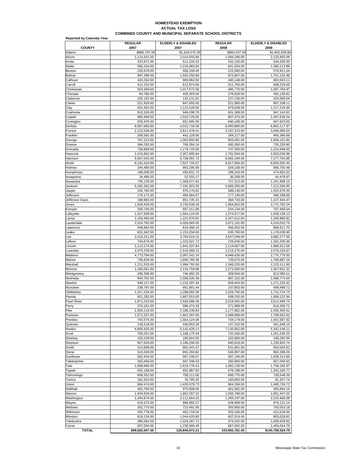#### **ACTUAL TAX LOSS COMBINED COUNTY AND MUNICIPAL SEPARATE SCHOOL DISTRICTS HOMESTEAD EXEMPTION**

| <b>Reported by Calendar Year</b> |                              |                              |                              |                              |
|----------------------------------|------------------------------|------------------------------|------------------------------|------------------------------|
| <b>COUNTY</b>                    | <b>REGULAR</b><br>2007       | ELDERLY & DISABLED<br>2007   | <b>REGULAR</b><br>2008       | ELDERLY & DISABLED<br>2008   |
| Adams                            | \$886,707.00                 | \$1,916,575.28               | \$894,537.00                 | \$1,942,658.86               |
| Alcorn                           | 1,114,331.00                 | 2,014,555.80                 | 1,094,246.00                 | 2,125,950.09                 |
| Amite                            | 423,972.00                   | 511,226.33                   | 432,155.00                   | 544,328.00                   |
| Attala                           | 590,154.00                   | 1,216,483.04                 | 641,934.00                   | 1,360,113.89                 |
| Benton<br>Bolivar                | 220,878.00<br>997,398.00     | 556,109.45<br>1,592,250.84   | 222,060.00<br>973,807.00     | 570,911.04                   |
| Calhoun                          | 443,262.00                   | 909,962.60                   | 440,148.00                   | 1,701,132.46<br>963,503.11   |
| Carroll                          | 412,152.00                   | 612,874.90                   | 411,750.00                   | 668,229.66                   |
| Chickasaw                        | 503,309.00                   | 1,017,572.58                 | 485,770.00                   | 1,087,764.97                 |
| Choctaw                          | 84.760.00                    | 459,303.00                   | 276.828.00                   | 491,130.81                   |
| Claiborne                        | 225,192.00                   | 142,131.81                   | 227.236.00                   | 324,069.04                   |
| Clarke                           | 521,929.00                   | 847,655.50                   | 521.980.00                   | 907,108.11                   |
| Clay<br>Coahoma                  | 631,602.00<br>610,326.00     | 1,122,429.00<br>949,290.79   | 679,038.00<br>601,308.00     | 1,217,216.00<br>947,142.81   |
| Copiah                           | 865,968.00                   | 1,520,720.00                 | 867,473.00                   | 1,497,639.54                 |
| Covington                        | 635,425.00                   | 651,685.00                   | 640,168.00                   | 667,923.00                   |
| DeSoto                           | 8,067,060.00                 | 4,031,718.58                 | 8,495,880.00                 | 6,883,117.97                 |
| Forrest                          | 2,122,536.00                 | 3,811,478.41                 | 2,197,415.00                 | 3,946,690.03                 |
| Franklin                         | 258,581.00                   | 442,228.00                   | 269,217.00                   | 465,366.89                   |
| George                           | 767,223.00                   | 1,002,850.80                 | 803,091.00                   | 1,056,101.82                 |
| Greene<br>Grenada                | 384,762.00<br>736,899.00     | 709,284.24<br>1,179,725.00   | 400,350.00<br>747,350.00     | 735,235.80<br>1,224,648.00   |
| Hancock                          | 1,615,662.00                 | 2,267,905.84                 | 1,791,594.00                 | 2,503,039.99                 |
| Harrison                         | 6,067,042.00                 | 6.728.091.72                 | 6,605,199.00                 | 7,377,704.86                 |
| Hinds                            | 8,191,410.00                 | 7,937,726.07                 | 8,817,084.00                 | 8,694,550.45                 |
| Holmes                           | 344,460.00                   | 863,295.58                   | 329,238.00                   | 866,750.48                   |
| Humphreys                        | 196,006.00                   | 455,831.73                   | 199,243.00                   | 474,603.32                   |
| Issaquena                        | 34.466.00                    | 52,555.17                    | 36,268.00                    | 64,478.97                    |
| Itawamba<br>Jackson              | 735.135.00<br>5,282,262.00   | 1.308.071.91<br>7,191,923.26 | 727,313.00<br>5,665,356.00   | 1,341,958.15<br>7,212,290.90 |
| Jasper                           | 535.760.00                   | 976,176.62                   | 588.130.00                   | 1,024,676.55                 |
| Jefferson                        | 176,171.00                   | 484,964.07                   | 177,140.00                   | 496,298.89                   |
| Jefferson Davis                  | 198,983.00                   | 851,745.41                   | 384,733.00                   | 1.107.404.47                 |
| Jones                            | 1,928,426.00                 | 3,730,538.28                 | 1,954,602.00                 | 3,772,782.54                 |
| Kemper                           | 250,740.00                   | 697,311.89                   | 244,134.00                   | 707,468.04                   |
| Lafayette                        | 1,527,938.00                 | 1,564,124.95                 | 1,574,517.00                 | 1,636,138.13                 |
| Lamar<br>Lauderdale              | 2,156,466.00<br>2,524,783.00 | 1,221,976.82<br>4,026,065.00 | 2,257,012.00<br>2,671,191.00 | 1,289,885.81<br>4,318,032.76 |
| Lawrence                         | 448,892.00                   | 810,499.15                   | 456,932.00                   | 868,811.70                   |
| Leake                            | 631,942.00                   | 1,153,204.00                 | 635,790.00                   | 1,178,038.90                 |
| Lee                              | 3,415,151.00                 | 3,704,919.10                 | 3,547,049.00                 | 3,985,277.00                 |
| Leflore                          | 734,676.00                   | 1,315,021.72                 | 726,036.00                   | 1,302,209.30                 |
| Lincoln                          | 1,113,174.00                 | 1,841,337.84                 | 1,114,667.00                 | 1,989,911.56                 |
| Lowndes                          | 2,075,378.00                 | 2,519,360.21                 | 2,215,270.00                 | 2,576,226.67                 |
| Madison<br>Marion                | 4,773,794.00<br>736,826.00   | 2,097,541.14<br>1.690.785.38 | 4,946,426.00<br>739,570.00   | 2,775,775.50<br>1,790,887.24 |
| Marshall                         | 1,211,515.00                 | 1,994,792.00                 | 1,346,235.00                 | 2,123,111.93                 |
| Monroe                           | 1,280,561.00                 | 2,134,759.88                 | 1,273,300.00                 | 2,307,651.32                 |
| Montgomery                       | 295,308.00                   | 746,992.29                   | 309,594.00                   | 812,086.51                   |
| Neshoba                          | 844,762.00                   | 1,508,335.39                 | 887,102.00                   | 1,588,774.64                 |
| Newton                           | 649,127.00                   | 1,232,287.34                 | 658,404.00                   | 1,271,233.42                 |
| Noxubee<br>Oktibbeha             | 238,787.00<br>1,317,234.00   | 661,801.44<br>1,298,002.58   | 237,803.00<br>1,329,755.00   | 698.489.72<br>1,712,724.73   |
| Panola                           | 921,282.00                   | 1,807,553.00                 | 938,250.00                   | 1,958,122.84                 |
| Pearl River                      | 1,871,233.00                 | 2,535,096.49                 | 2,018,492.00                 | 3,512,469.74                 |
| Perry                            | 374,181.00                   | 586,474.33                   | 371,889.00                   | 616,269.72                   |
| Pike                             | 1,050,119.00                 | 2,186,239.83                 | 1,177,962.00                 | 2,356,350.61                 |
| Pontotoc                         | 1,071,257.00                 | 1,601,297.00                 | 1,089,089.00                 | 1,758,502.62                 |
| Prentiss                         | 743,575.00                   | 1,564,124.06                 | 734,179.00                   | 1,501,697.92<br>461,546.15   |
| Quitman<br>Rankin                | 139,518.00<br>6,855,925.00   | 430,853.35<br>5,142,428.11   | 137,232.00<br>7,135,952.00   | 5,342,146.11                 |
| Scott                            | 705,051.00                   | 1,108,175.59                 | 720,266.00                   | 1,251,535.25                 |
| Sharkey                          | 103,228.00                   | 195,814.55                   | 102,906.00                   | 199,282.00                   |
| Simpson                          | 827,633.00                   | 1,186,206.03                 | 840,818.00                   | 1,230,820.74                 |
| Smith                            | 513,608.00                   | 902,441.67                   | 531,861.00                   | 954,004.81                   |
| Stone                            | 515,046.00                   | 891,204.82                   | 546,897.00                   | 962,288.26                   |
| Sunflower                        | 592,434.00                   | 907,248.07                   | 587,190.00                   | 1,009,313.89                 |
| Tallahatchie<br>Tate             | 263,466.00<br>1,068,990.00   | 607,206.53<br>1,619,776.41   | 265,800.00<br>1,082,130.00   | 607,056.50<br>1,758,165.97   |
| Tippah                           | 691,188.00                   | 852,987.83                   | 676,788.00                   | 1,283,160.77                 |
| Tishomingo                       | 658,352.00                   | 758,111.00                   | 656,775.00                   | 730,548.39                   |
| Tunica                           | 182,322.00                   | 78,785.35                    | 184,950.00                   | 91,357.74                    |
| Union                            | 904,474.00                   | 1,435,579.73                 | 904,284.00                   | 1,490,726.72                 |
| Walthall                         | 461,760.00                   | 975,908.00                   | 461,562.00                   | 995,694.16                   |
| Warren                           | 1,934,928.00                 | 1,852,287.52                 | 1,936,788.00                 | 1,951,447.02                 |
| Washington<br>Wayne              | 1,294,874.00<br>619,472.00   | 2,111,664.23<br>890,955.27   | 1,283,197.00<br>628,808.00   | 2,215,466.08<br>879,121.14   |
| Webster                          | 352,770.00                   | 723,491.85                   | 355,950.00                   | 755,053.18                   |
| Wilkinson                        | 202,778.00                   | 403,718.04                   | 203,100.00                   | 412,618.00                   |
| Winston                          | 619,134.00                   | 1,044,420.60                 | 607,014.00                   | 903,028.82                   |
| Yalobusha                        | 380,082.00                   | 1,029,287.73                 | 374,532.00                   | 1,009,428.50                 |
| Yazoo                            | 607,004.00                   | 1,230,580.49                 | 667,692.00                   | 1,404,044.79                 |
| <b>TOTAL</b>                     | \$99,562,947.00              | 128,945,972.21               | 103,992,781.00               | \$140,798,524.79             |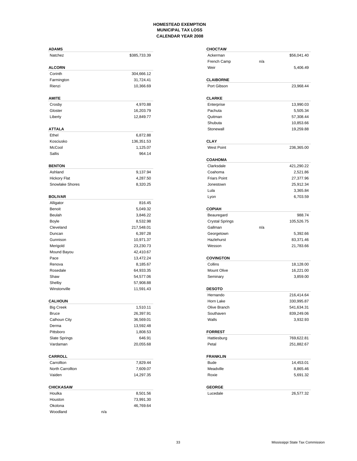| <b>ADAMS</b>         |                        | <b>CHOCTAW</b>         |     |             |
|----------------------|------------------------|------------------------|-----|-------------|
| Natchez              | \$385,733.39           | Ackerman               |     | \$56,041.40 |
|                      |                        | French Camp            | n/a |             |
| <b>ALCORN</b>        |                        | Weir                   |     | 5,406.49    |
| Corinth              | 304,666.12             |                        |     |             |
| Farmington           | 31,724.41              | <b>CLAIBORNE</b>       |     |             |
| Rienzi               | 10,366.69              | Port Gibson            |     | 23,968.44   |
| <b>AMITE</b>         |                        | <b>CLARKE</b>          |     |             |
| Crosby               | 4,970.88               | Enterprise             |     | 13,990.03   |
| Gloster              | 16,203.79              | Pachuta                |     | 5,505.34    |
| Liberty              | 12,849.77              | Quitman                |     | 57,308.44   |
|                      |                        | Shubuta                |     | 10,853.66   |
| <b>ATTALA</b>        |                        | Stonewall              |     | 19,259.88   |
| Ethel                | 6,872.88               |                        |     |             |
| Kosciusko            | 136,351.53             | <b>CLAY</b>            |     |             |
| McCool               | 1,125.07               | West Point             |     | 236,365.00  |
| Sallis               | 964.14                 |                        |     |             |
|                      |                        | <b>COAHOMA</b>         |     |             |
| <b>BENTON</b>        |                        | Clarksdale             |     | 421,290.22  |
| Ashland              | 9,137.94               | Coahoma                |     | 2,521.86    |
| <b>Hickory Flat</b>  | 4,287.50               | <b>Friars Point</b>    |     | 27,377.96   |
| Snowlake Shores      | 8,320.25               | Jonestown              |     | 25,912.34   |
|                      |                        | Lula                   |     | 3,365.84    |
| <b>BOLIVAR</b>       |                        | Lyon                   |     | 6,703.59    |
| Alligator            | 816.45                 |                        |     |             |
| Benoit               | 5,049.32               | <b>COPIAH</b>          |     |             |
| Beulah               | 3,846.22               | Beauregard             |     | 988.74      |
| Boyle                | 8,532.98               | <b>Crystal Springs</b> |     | 105,526.75  |
| Cleveland            | 217,548.01             | Gallman                | n/a |             |
| Duncan               | 6,397.28               | Georgetown             |     | 5,392.66    |
| Gunnison             | 10,971.37              | Hazlehurst             |     | 83,371.46   |
| Merigold             | 23,230.73<br>42,410.67 | Wesson                 |     | 21,783.66   |
| Mound Bayou<br>Pace  | 13,472.24              | <b>COVINGTON</b>       |     |             |
| Renova               | 8,185.67               | Collins                |     | 18,128.00   |
| Rosedale             | 64,933.35              | Mount Olive            |     | 16,221.00   |
| Shaw                 | 54,577.06              | Seminary               |     | 3,859.00    |
| Shelby               | 57,908.88              |                        |     |             |
| Winstonville         | 11,591.43              | <b>DESOTO</b>          |     |             |
|                      |                        | Hernando               |     | 216,414.64  |
| <b>CALHOUN</b>       |                        | Horn Lake              |     | 330,995.87  |
| <b>Big Creek</b>     | 1,510.11               | Olive Branch           |     | 541,634.31  |
| <b>Bruce</b>         | 26,397.91              | Southaven              |     | 839,249.06  |
| Calhoun City         | 36,569.01              | Walls                  |     | 3,932.93    |
| Derma                | 13,592.48              |                        |     |             |
| Pittsboro            | 1,808.53               | <b>FORREST</b>         |     |             |
| <b>Slate Springs</b> | 646.91                 | Hattiesburg            |     | 769,622.81  |
| Vardaman             | 20,055.68              | Petal                  |     | 251,882.67  |
| <b>CARROLL</b>       |                        | <b>FRANKLIN</b>        |     |             |
| Carrollton           | 7,829.44               | <b>Bude</b>            |     | 14,453.01   |
| North Carrollton     | 7,609.07               | Meadville              |     | 8,865.46    |
| Vaiden               | 14,297.35              | Roxie                  |     | 5,691.32    |
| <b>CHICKASAW</b>     |                        | <b>GEORGE</b>          |     |             |
| Houlka               | 8,501.56               | Lucedale               |     | 26,577.32   |
| Houston              | 73,991.30              |                        |     |             |
| Okolona              | 46,769.64              |                        |     |             |
| Woodland             | n/a                    |                        |     |             |
|                      |                        |                        |     |             |

| <b>CHOCTAW</b>               |                          |
|------------------------------|--------------------------|
| Ackerman                     | \$56,041.40              |
| French Camp                  | n/a                      |
| Weir                         | 5,406.49                 |
|                              |                          |
| <b>CLAIBORNE</b>             |                          |
| Port Gibson                  | 23,968.44                |
|                              |                          |
| <b>CLARKE</b>                |                          |
| Enterprise                   | 13,990.03                |
| Pachuta                      | 5,505.34                 |
| Quitman                      | 57,308.44                |
| Shubuta                      | 10,853.66                |
| Stonewall                    | 19,259.88                |
| CLAY                         |                          |
| <b>West Point</b>            | 236,365.00               |
|                              |                          |
| <b>COAHOMA</b><br>Clarksdale | 421,290.22               |
| Coahoma                      | 2,521.86                 |
| <b>Friars Point</b>          | 27,377.96                |
| Jonestown                    | 25,912.34                |
| Lula                         | 3,365.84                 |
| Lyon                         | 6,703.59                 |
|                              |                          |
| <b>COPIAH</b>                |                          |
| Beauregard                   | 988.74                   |
| <b>Crystal Springs</b>       | 105,526.75               |
| Gallman                      | n/a                      |
| Georgetown                   | 5,392.66                 |
| Hazlehurst                   | 83,371.46                |
| Wesson                       | 21,783.66                |
| <b>COVINGTON</b>             |                          |
| Collins                      | 18,128.00                |
| <b>Mount Olive</b>           | 16,221.00                |
| Seminary                     | 3,859.00                 |
|                              |                          |
| <b>DESOTO</b>                |                          |
| Hernando                     | 216,414.64               |
| Horn Lake                    | 330,995.87               |
| Olive Branch                 | 541,634.31               |
| Southaven                    | 839,249.06               |
| Walls                        |                          |
|                              | 3,932.93                 |
| <b>FORREST</b>               |                          |
| Hattiesburg                  |                          |
| Petal                        | 769,622.81<br>251,882.67 |
|                              |                          |
| <b>FRANKLIN</b>              |                          |
| <b>Bude</b>                  | 14,453.01                |
| Meadville                    | 8,865.46                 |
| Roxie                        | 5,691.32                 |
| <b>GEORGE</b>                |                          |
| Lucedale                     | 26,577.32                |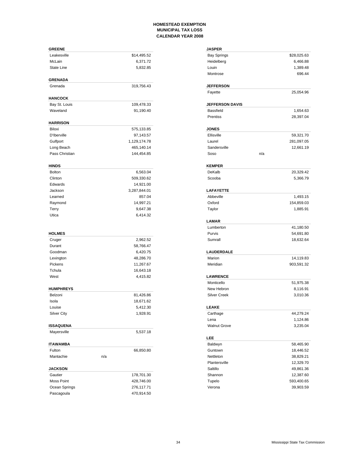| <b>GREENE</b>             |              | <b>JASPER</b>          |             |
|---------------------------|--------------|------------------------|-------------|
| Leakesville               | \$14,495.52  | <b>Bay Springs</b>     | \$28,025.63 |
| McLain                    | 6,371.72     | Heidelberg             | 6,466.88    |
| State Line                | 5,832.85     | Louin                  | 1,389.48    |
|                           |              | Montrose               | 696.44      |
| <b>GRENADA</b><br>Grenada | 319,756.43   | <b>JEFFERSON</b>       |             |
|                           |              | Fayette                | 25,054.96   |
| <b>HANCOCK</b>            |              |                        |             |
| Bay St. Louis             | 109,478.33   | <b>JEFFERSON DAVIS</b> |             |
| Waveland                  | 91,190.40    | <b>Bassfield</b>       | 1,654.63    |
| <b>HARRISON</b>           |              | Prentiss               | 28,397.04   |
| Biloxi                    | 575,133.85   | <b>JONES</b>           |             |
| D'Iberville               | 97,143.57    | Ellisville             | 59,321.70   |
| Gulfport                  | 1,129,174.78 | Laurel                 | 281,097.05  |
| Long Beach                | 465,140.14   | Sandersville           | 12,661.19   |
| Pass Christian            | 144,454.85   | Soso                   | n/a         |
|                           |              |                        |             |
| <b>HINDS</b>              |              | <b>KEMPER</b>          |             |
| <b>Bolton</b>             | 6,563.04     | DeKalb                 | 20,329.42   |
| Clinton                   | 509,330.62   | Scooba                 | 5,366.79    |
| Edwards                   | 14,921.00    |                        |             |
| Jackson                   | 3,287,844.01 | <b>LAFAYETTE</b>       |             |
| Learned                   | 857.04       | Abbeville              | 1,493.15    |
| Raymond                   | 14,997.21    | Oxford                 | 154,859.03  |
| Terry                     | 9,647.38     | Taylor                 | 1,885.91    |
| Utica                     | 6,414.32     | <b>LAMAR</b>           |             |
|                           |              | Lumberton              | 41,180.50   |
| <b>HOLMES</b>             |              | Purvis                 | 54,691.80   |
| Cruger                    | 2,962.52     | Sumrall                | 18,632.64   |
| Durant                    | 58,766.47    |                        |             |
| Goodman                   | 6,420.75     | <b>LAUDERDALE</b>      |             |
| Lexington                 | 48,286.70    | Marion                 | 14,119.83   |
| Pickens                   | 11,267.67    | Meridian               | 903,591.32  |
| Tchula                    | 16,643.18    |                        |             |
| West                      | 4,415.82     | <b>LAWRENCE</b>        |             |
|                           |              | Monticello             | 51,975.38   |
| <b>HUMPHREYS</b>          |              | New Hebron             | 8,116.91    |
| Belzoni                   | 81,426.86    | <b>Silver Creek</b>    | 3,010.36    |
| Isola                     | 18,671.62    |                        |             |
| Louise                    | 5,412.30     | <b>LEAKE</b>           |             |
| <b>Silver City</b>        | 1,928.91     | Carthage               | 44,279.24   |
|                           |              | Lena                   | 1,124.86    |
| <b>ISSAQUENA</b>          |              | <b>Walnut Grove</b>    | 3,235.04    |
| Mayersville               | 5,537.18     |                        |             |
| <b>ITAWAMBA</b>           |              | LEE<br>Baldwyn         | 58,465.90   |
| Fulton                    | 66,850.80    | Guntown                | 18,446.52   |
| Mantachie                 | n/a          | Nettleton              | 38,829.21   |
|                           |              | Plantersville          | 12,329.70   |
| <b>JACKSON</b>            |              | Saltillo               | 49,861.36   |
| Gautier                   | 178,701.30   | Shannon                | 12,387.60   |
| Moss Point                | 428,746.00   | Tupelo                 | 593,400.65  |
| Ocean Springs             | 276,117.71   | Verona                 | 39,903.59   |
| Pascagoula                | 470,914.50   |                        |             |
|                           |              |                        |             |

| <b>JASPER</b>                 |                        |
|-------------------------------|------------------------|
| <b>Bay Springs</b>            | \$28,025.63            |
| Heidelberg                    | 6,466.88               |
| Louin                         | 1,389.48               |
| Montrose                      | 696.44                 |
|                               |                        |
| <b>JEFFERSON</b>              |                        |
| Fayette                       | 25,054.96              |
| <b>JEFFERSON DAVIS</b>        |                        |
| Bassfield                     | 1,654.63               |
| Prentiss                      | 28,397.04              |
| <b>JONES</b>                  |                        |
| Ellisville                    | 59,321.70              |
| Laurel                        | 281,097.05             |
| Sandersville                  |                        |
| Soso<br>n/a                   | 12,661.19              |
|                               |                        |
| <b>KEMPER</b>                 |                        |
| DeKalb                        | 20,329.42              |
| Scooba                        | 5,366.79               |
|                               |                        |
| <b>LAFAYETTE</b><br>Abbeville |                        |
| Oxford                        | 1,493.15<br>154,859.03 |
|                               |                        |
| Taylor                        | 1,885.91               |
| LAMAR                         |                        |
| Lumberton                     | 41,180.50              |
| Purvis                        | 54,691.80              |
| Sumrall                       | 18,632.64              |
| LAUDERDALE                    |                        |
| Marion                        | 14,119.83              |
| Meridian                      | 903,591.32             |
| <b>LAWRENCE</b>               |                        |
| Monticello                    | 51,975.38              |
| New Hebron                    | 8,116.91               |
| <b>Silver Creek</b>           | 3,010.36               |
|                               |                        |
| <b>LEAKE</b>                  | 44,279.24              |
| Carthage                      |                        |
| Lena                          | 1,124.86<br>3,235.04   |
| <b>Walnut Grove</b>           |                        |
| LEE                           |                        |
| Baldwyn                       | 58,465.90              |
| Guntown                       | 18,446.52              |
| Nettleton                     | 38,829.21              |
| Plantersville                 | 12,329.70              |
| Saltillo                      | 49,861.36              |
| Shannon                       | 12,387.60              |
| Tupelo                        | 593,400.65             |
| Verona                        | 39,903.59              |
|                               |                        |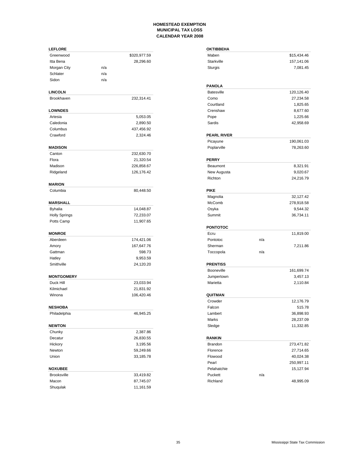| <b>LEFLORE</b>                 |              | <b>OKTIBBEHA</b>   |     |             |
|--------------------------------|--------------|--------------------|-----|-------------|
| Greenwood                      | \$320,977.59 | Maben              |     | \$15,434.46 |
| Itta Bena                      | 28,296.60    | Starkville         |     | 157,141.06  |
| Morgan City                    | n/a          | Sturgis            |     | 7,081.45    |
| Schlater                       | n/a          |                    |     |             |
| Sidon                          | n/a          |                    |     |             |
|                                |              | <b>PANOLA</b>      |     |             |
| <b>LINCOLN</b>                 |              | <b>Batesville</b>  |     | 120,126.40  |
| Brookhaven                     | 232,314.41   | Como               |     | 27,234.58   |
|                                |              | Courtland          |     | 1,825.65    |
| <b>LOWNDES</b>                 |              | Crenshaw           |     | 8,677.60    |
| Artesia                        | 5,053.05     | Pope               |     | 1,225.66    |
| Caledonia                      | 2,890.50     | Sardis             |     | 42,958.69   |
| Columbus                       | 437,456.92   |                    |     |             |
| Crawford                       | 2,324.46     | <b>PEARL RIVER</b> |     |             |
|                                |              | Picayune           |     | 190,061.03  |
| <b>MADISON</b>                 |              | Poplarville        |     | 78,263.60   |
| Canton                         | 232,630.70   |                    |     |             |
| Flora                          | 21,320.54    | <b>PERRY</b>       |     |             |
| Madison                        | 226,858.67   | Beaumont           |     | 8,321.91    |
| Ridgeland                      | 126,176.42   | New Augusta        |     | 9,020.67    |
|                                |              | Richton            |     | 24,216.79   |
| <b>MARION</b>                  |              |                    |     |             |
| Columbia                       | 80,448.50    | <b>PIKE</b>        |     |             |
|                                |              | Magnolia           |     | 32,127.42   |
| <b>MARSHALL</b>                |              | McComb             |     | 278,918.58  |
| <b>Byhalia</b>                 | 14,048.87    | Osyka              |     | 9,544.32    |
| <b>Holly Springs</b>           | 72,233.07    | Summit             |     | 36,734.11   |
| Potts Camp                     | 11,907.65    |                    |     |             |
|                                |              | <b>PONTOTOC</b>    |     |             |
| <b>MONROE</b>                  |              | Ecru               |     | 11,819.00   |
| Aberdeen                       | 174,421.06   | Pontotoc           | n/a |             |
| Amory                          | 167,647.76   | Sherman            |     | 7,211.86    |
| Gattman                        | 598.73       | Toccopola          | n/a |             |
| Hatley                         | 9,953.59     |                    |     |             |
| Smithville                     | 24,120.20    | <b>PRENTISS</b>    |     |             |
|                                |              | Booneville         |     | 161,699.74  |
| <b>MONTGOMERY</b>              |              | Jumpertown         |     | 3,457.13    |
| Duck Hill                      | 23,033.94    | Marietta           |     | 2,110.84    |
| Kilmichael                     | 21,831.92    |                    |     |             |
| Winona                         | 106,420.46   | QUITMAN            |     |             |
|                                |              | Crowder            |     | 12,176.79   |
|                                |              |                    |     |             |
| <b>NESHOBA</b><br>Philadelphia |              | Falcon             |     | 515.78      |
|                                | 46,945.25    | Lambert<br>Marks   |     | 36,898.93   |
|                                |              |                    |     | 28,237.09   |
| <b>NEWTON</b>                  |              | Sledge             |     | 11,332.85   |
| Chunky                         | 2,387.86     |                    |     |             |
| Decatur                        | 26,830.55    | <b>RANKIN</b>      |     |             |
| Hickory                        | 3,195.56     | Brandon            |     | 273,471.82  |
| Newton                         | 59,249.66    | Florence           |     | 27,714.65   |
| Union                          | 33,185.78    | Flowood            |     | 40,024.38   |
|                                |              | Pearl              |     | 250,997.11  |
| <b>NOXUBEE</b>                 |              | Pelahatchie        |     | 15,127.94   |
| Brooksville                    | 33,419.82    | Puckett            | n/a |             |
| Macon                          | 87,745.07    | Richland           |     | 48,995.09   |
| Shuqulak                       | 11,161.59    |                    |     |             |

| <b>OKTIBBEHA</b>   |     |             |
|--------------------|-----|-------------|
| Maben              |     | \$15,434.46 |
| <b>Starkville</b>  |     | 157,141.06  |
| Sturgis            |     | 7,081.45    |
|                    |     |             |
| <b>PANOLA</b>      |     |             |
| <b>Batesville</b>  |     | 120,126.40  |
| Como               |     | 27,234.58   |
| Courtland          |     | 1,825.65    |
| Crenshaw           |     | 8,677.60    |
| Pope               |     | 1,225.66    |
| Sardis             |     | 42,958.69   |
|                    |     |             |
| <b>PEARL RIVER</b> |     |             |
| Picayune           |     | 190,061.03  |
| Poplarville        |     | 78,263.60   |
| <b>PERRY</b>       |     |             |
| Beaumont           |     | 8,321.91    |
| New Augusta        |     | 9,020.67    |
| Richton            |     | 24,216.79   |
|                    |     |             |
| <b>PIKE</b>        |     |             |
| Magnolia           |     | 32,127.42   |
| McComb             |     | 278,918.58  |
| Osyka              |     | 9,544.32    |
| Summit             |     | 36,734.11   |
|                    |     |             |
| <b>PONTOTOC</b>    |     |             |
| Ecru               |     | 11,819.00   |
| Pontotoc           | n/a |             |
| Sherman            |     | 7,211.86    |
| Toccopola          | n/a |             |
| <b>PRENTISS</b>    |     |             |
| <b>Booneville</b>  |     | 161,699.74  |
| Jumpertown         |     | 3,457.13    |
| Marietta           |     | 2,110.84    |
|                    |     |             |
| QUITMAN            |     |             |
| Crowder            |     | 12,176.79   |
| Falcon             |     | 515.78      |
| Lambert            |     | 36,898.93   |
| Marks              |     | 28,237.09   |
| Sledge             |     | 11,332.85   |
| <b>RANKIN</b>      |     |             |
| Brandon            |     | 273,471.82  |
| Florence           |     | 27,714.65   |
| Flowood            |     | 40,024.38   |
| Pearl              |     | 250,997.11  |
| Pelahatchie        |     | 15,127.94   |
| Puckett            | n/a |             |
| Richland           |     | 48,995.09   |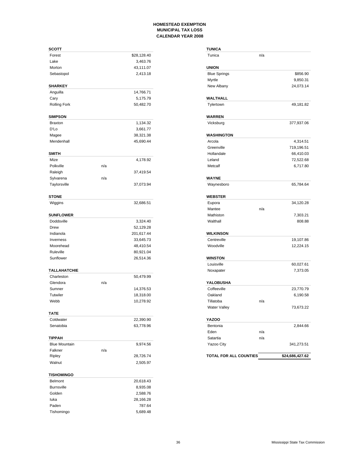| <b>SCOTT</b>         |     |             | <b>TUNICA</b>          |     |                 |
|----------------------|-----|-------------|------------------------|-----|-----------------|
| Forest               |     | \$28,128.40 | Tunica                 | n/a |                 |
| Lake                 |     | 3,463.76    |                        |     |                 |
| Morton               |     | 43,111.07   | <b>UNION</b>           |     |                 |
| Sebastopol           |     | 2,413.18    | <b>Blue Springs</b>    |     | \$856.90        |
|                      |     |             | Myrtle                 |     | 9,850.31        |
| <b>SHARKEY</b>       |     |             | New Albany             |     | 24,073.14       |
| Anguilla             |     | 14,766.71   |                        |     |                 |
| Cary                 |     | 5,175.79    | WALTHALL               |     |                 |
| <b>Rolling Fork</b>  |     | 50,482.70   | Tylertown              |     | 49,181.82       |
| <b>SIMPSON</b>       |     |             | <b>WARREN</b>          |     |                 |
| <b>Braxton</b>       |     | 1,134.32    | Vicksburg              |     | 377,937.06      |
| D'Lo                 |     | 3,661.77    |                        |     |                 |
| Magee                |     | 38,321.38   | <b>WASHINGTON</b>      |     |                 |
| Mendenhall           |     | 45,690.44   | Arcola                 |     | 4,314.51        |
|                      |     |             | Greenville             |     | 719,196.51      |
| <b>SMITH</b>         |     |             | Hollandale             |     | 66,410.03       |
| Mize                 |     | 4,178.92    | Leland                 |     | 72,522.68       |
| Polkville            | n/a |             | Metcalf                |     | 6,717.80        |
| Raleigh              |     | 37,419.54   |                        |     |                 |
| Sylvarena            | n/a |             | <b>WAYNE</b>           |     |                 |
| Taylorsville         |     | 37,073.94   | Waynesboro             |     | 65,784.64       |
| <b>STONE</b>         |     |             | <b>WEBSTER</b>         |     |                 |
| Wiggins              |     | 32,686.51   | Eupora                 |     | 34,120.28       |
|                      |     |             | Mantee                 | n/a |                 |
| <b>SUNFLOWER</b>     |     |             | Mathiston              |     | 7,303.21        |
| Doddsville           |     | 3,324.40    | Walthall               |     | 808.88          |
| Drew                 |     | 52,129.28   |                        |     |                 |
| Indianola            |     | 201,617.44  | <b>WILKINSON</b>       |     |                 |
| Inverness            |     | 33,645.73   | Centreville            |     | 19,107.86       |
| Moorehead            |     | 48,410.54   | Woodville              |     | 12,224.15       |
| Ruleville            |     | 80,921.04   |                        |     |                 |
| Sunflower            |     | 26,514.36   | <b>WINSTON</b>         |     |                 |
|                      |     |             | Louisville             |     | 60,027.61       |
| TALLAHATCHIE         |     |             | Noxapater              |     | 7,373.05        |
| Charleston           |     | 50,479.99   |                        |     |                 |
| Glendora             | n/a |             | YALOBUSHA              |     |                 |
| Sumner               |     | 14,376.53   | Coffeeville            |     | 23,770.79       |
| Tutwiler             |     | 18,318.00   | Oakland                |     | 6,190.58        |
| Webb                 |     | 10,278.92   | Tillatoba              | n/a |                 |
|                      |     |             | Water Valley           |     | 73,673.22       |
| <b>TATE</b>          |     |             |                        |     |                 |
| Coldwater            |     | 22,390.90   | YAZOO                  |     |                 |
| Senatobia            |     | 63,778.96   | Bentonia               |     | 2,844.66        |
|                      |     |             | Eden                   | n/a |                 |
| <b>TIPPAH</b>        |     |             | Satartia               | n/a |                 |
| <b>Blue Mountain</b> |     | 9,974.56    | Yazoo City             |     | 341,273.51      |
| Falkner              | n/a |             |                        |     |                 |
| Ripley               |     | 28,726.74   | TOTAL FOR ALL COUNTIES |     | \$24,686,427.62 |
| Walnut               |     | 2,505.97    |                        |     |                 |
| <b>TISHOMINGO</b>    |     |             |                        |     |                 |
| <b>Belmont</b>       |     | 20,618.43   |                        |     |                 |
| <b>Burnsville</b>    |     | 8,935.08    |                        |     |                 |
| Golden               |     | 2,588.76    |                        |     |                 |
| luka                 |     | 28,166.28   |                        |     |                 |
| Paden                |     | 787.64      |                        |     |                 |
| Tishomingo           |     | 5,689.48    |                        |     |                 |

| TUNICA                 |     |                 |
|------------------------|-----|-----------------|
| Tunica                 | n/a |                 |
| <b>UNION</b>           |     |                 |
| <b>Blue Springs</b>    |     | \$856.90        |
| Myrtle                 |     | 9,850.31        |
| New Albany             |     | 24,073.14       |
| WALTHALL               |     |                 |
| Tylertown              |     | 49,181.82       |
| <b>WARREN</b>          |     |                 |
| Vicksburg              |     | 377,937.06      |
| WASHINGTON             |     |                 |
| Arcola                 |     | 4,314.51        |
| Greenville             |     | 719,196.51      |
| Hollandale             |     | 66,410.03       |
| Leland                 |     | 72,522.68       |
| Metcalf                |     | 6,717.80        |
| <b>WAYNE</b>           |     |                 |
| Waynesboro             |     | 65,784.64       |
| <b>WEBSTER</b>         |     |                 |
| Eupora                 |     | 34,120.28       |
| Mantee                 | n/a |                 |
| Mathiston              |     | 7,303.21        |
| Walthall               |     | 808.88          |
| <b>WILKINSON</b>       |     |                 |
| Centreville            |     | 19,107.86       |
| Woodville              |     | 12,224.15       |
| <b>WINSTON</b>         |     |                 |
| Louisville             |     | 60,027.61       |
| Noxapater              |     | 7,373.05        |
| YALOBUSHA              |     |                 |
| Coffeeville            |     | 23,770.79       |
| Oakland                |     | 6,190.58        |
| Tillatoba              | n/a |                 |
| Water Valley           |     | 73,673.22       |
| YAZOO                  |     |                 |
| Bentonia               |     | 2,844.66        |
| Eden                   | n/a |                 |
| Satartia               | n/a |                 |
| Yazoo City             |     | 341,273.51      |
| TOTAL FOR ALL COUNTIES |     | \$24,686,427.62 |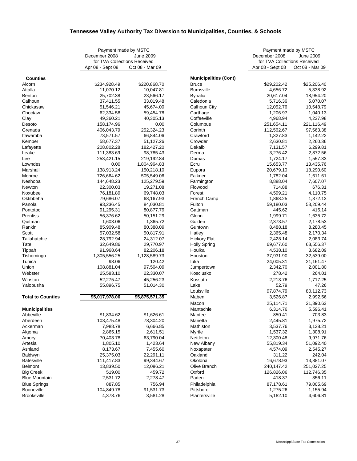# **Tennessee Valley Authority Tax Diversion to Municipalities, Counties, & Schools**

|                          | Payment made by MSTC         |                  |                              | Payment made by MSTC         |                 |
|--------------------------|------------------------------|------------------|------------------------------|------------------------------|-----------------|
|                          | December 2008                | <b>June 2009</b> |                              | December 2008                | June 2009       |
|                          | for TVA Collections Received |                  |                              | for TVA Collections Received |                 |
|                          | Apr 08 - Sept 08             | Oct 08 - Mar 09  |                              | Apr 08 - Sept 08             | Oct 08 - Mar 09 |
| <b>Counties</b>          |                              |                  | <b>Municipalities (Cont)</b> |                              |                 |
| Alcorn                   | \$234,928.49                 | \$220,868.70     | <b>Bruce</b>                 | \$29,202.42                  | \$25,206.40     |
| Attalla                  | 11,070.12                    | 10,047.81        | <b>Burnsville</b>            | 4,656.72                     | 5,338.92        |
| <b>Benton</b>            | 25,702.38                    | 23,566.17        | <b>Byhalia</b>               | 20,617.04                    | 18,954.20       |
| Calhoun                  | 37,411.55                    | 33,019.48        | Caledonia                    | 5,716.36                     | 5,070.07        |
| Chickasaw                | 51,546.21                    | 45,674.00        | Calhoun City                 | 12,052.76                    | 10,548.79       |
| Choctaw                  | 62,334.58                    | 59,454.78        | Carthage                     | 1,206.97                     | 1,040.13        |
| Clay                     | 49,360.21                    | 40,305.13        | Coffeeville                  | 4,968.94                     | 4,237.98        |
| Desoto                   | 158,174.96                   | 0.00             | Columbus                     | 251,654.11                   | 221,116.49      |
| Grenada                  | 406,043.79                   | 252,324.23       | Corinth                      | 112,562.67                   | 97,563.38       |
| Itawamba                 | 73,571.57                    | 66,844.06        | Crawford                     | 1,327.83                     | 1,142.22        |
| Kemper                   | 58,677.37                    | 51,127.26        | Crowder                      | 2,630.81                     | 2,260.36        |
| Lafayette                | 208,802.28                   | 182,427.20       | Dekalb                       | 7,131.57                     | 6,299.81        |
| Leake                    | 111,383.69                   | 98,785.43        | Derma                        | 3,276.42                     | 2,872.56        |
| Lee                      | 253,421.15                   | 219,192.84       | Dumas                        | 1,724.17                     | 1,557.33        |
| Lowndes                  | 0.00                         | 1,804,964.83     | Ecru                         | 15,653.77                    | 13,435.76       |
| Marshall                 | 138,913.24                   | 150,218.10       | Eupora                       | 20,679.10                    | 18,290.60       |
| Monroe                   | 726,664.62                   | 505,549.06       | Falkner                      | 1,782.04                     | 1,611.61        |
| Neshoba                  | 144,648.23                   | 125,279.59       | Farmington                   | 8,888.04                     | 7,607.07        |
| Newton                   | 22,300.03                    | 19,271.08        | Flowood                      | 714.88                       | 676.31          |
| Noxubee                  | 76,181.89                    | 69,748.03        | Forest                       | 4,599.21                     | 4,110.75        |
| Oktibbeha                | 79,686.07                    | 68,167.93        | French Camp                  | 1,868.25                     | 1,372.13        |
| Panola                   | 93,236.45                    | 84,030.81        | Fulton                       | 59,180.03                    | 53,209.44       |
| Pontotoc                 | 91,295.31                    | 80,877.79        | Gattman                      | 445.62                       | 415.14          |
| <b>Prentiss</b>          | 56,376.62                    | 50,151.29        | Glenn                        | 1,999.71                     | 1,635.72        |
| Quitman                  | 1,603.06                     | 1,365.72         | Golden                       | 2,373.57                     | 2,178.53        |
| Rankin                   | 85,909.48                    | 80,388.09        | Guntown                      | 8,488.18                     | 8,280.45        |
| Scott                    | 57,032.58                    | 50,817.91        | Hatley                       | 2,365.48                     | 2,170.34        |
| Tallahatchie             | 28,792.94                    | 24,312.07        | <b>Hickory Flat</b>          | 2,428.14                     | 2,083.74        |
| Tate                     | 32,649.86                    | 29,770.97        | <b>Holly Spring</b>          | 69,677.60                    | 63,556.37       |
| Tippah                   | 91,968.64                    | 82,206.18        | Houlka                       | 4,538.10                     | 3,682.09        |
| Tishomingo               | 1,305,556.25                 | 1,128,589.73     | Houston                      | 37,931.90                    | 32,539.00       |
| Tunica                   | 98.06                        | 120.42           | luka                         | 24,005.31                    | 21,161.47       |
| Union                    | 108,881.04                   | 97,504.09        | Jumpertown                   | 2,342.70                     | 2,001.80        |
| Webster                  | 25,583.10                    | 22,330.07        | Kosciusko                    | 278.42                       | 264.01          |
| Winston                  | 52,275.47                    | 45,256.23        | Kossuth                      | 2,213.76                     | 1,717.25        |
| Yalobusha                | 55,896.75                    | 51,014.30        | Lake                         | 52.79                        | 47.26           |
|                          |                              |                  | Louisville                   | 97,874.79                    | 80,112.73       |
| <b>Total to Counties</b> | \$5,017,978.06               | \$5,875,571.35   | Maben                        | 3,526.87                     | 2,992.56        |
|                          |                              |                  | Macon                        | 25,114.71                    | 21,390.63       |
| <b>Municipalities</b>    |                              |                  | Mantachie                    | 6,314.76                     | 5,596.41        |
| Abbeville                | \$1,834.62                   | \$1,626.61       | Mantee                       | 850.41                       | 703.83          |
| Aberdeen                 | 103,475.48                   | 78,304.20        | Marietta                     | 2,445.81                     | 1,975.72        |
| Ackerman                 | 7,988.78                     | 6,666.85         | Mathiston                    | 3,537.76                     | 3,138.21        |
| Algoma                   | 2,865.15                     | 2,611.51         | Myrtle                       | 1,537.32                     | 1,308.91        |
| Amory                    | 70,403.78                    | 63,790.04        | Nettleton                    | 12,300.48                    | 9,971.76        |
| Artesia                  | 1,805.10                     | 1,423.64         | New Albany                   | 55,819.34                    | 51,092.40       |
| Ashland                  | 8,173.67                     | 7,455.60         | Noxapater                    | 4,574.09                     | 2,545.27        |
| Baldwyn                  | 25,375.03                    | 22,291.11        | Oakland                      | 311.22                       | 242.04          |
| <b>Batesville</b>        | 111,417.83                   | 99,344.67        | Okolona                      | 16,678.93                    | 13,881.07       |
| <b>Belmont</b>           | 13,839.50                    | 12,086.21        | Olive Branch                 | 240,147.42                   | 251,027.25      |
| <b>Big Creek</b>         | 519.00                       | 459.72           | Oxford                       | 126,826.06                   | 112,746.35      |
| <b>Blue Mountain</b>     | 2,531.72                     | 2,278.47         | Paden                        | 418.37                       | 356.11          |
| <b>Blue Springs</b>      | 887.85                       | 756.94           | Philadelphia                 | 87,178.61                    | 79,005.69       |
| <b>Booneville</b>        | 104,849.78                   | 91,531.73        | Pittsboro                    | 1,275.26                     | 1,155.94        |
| Brooksville              | 4,378.76                     | 3,581.28         | Plantersville                | 5,182.10                     | 4,606.81        |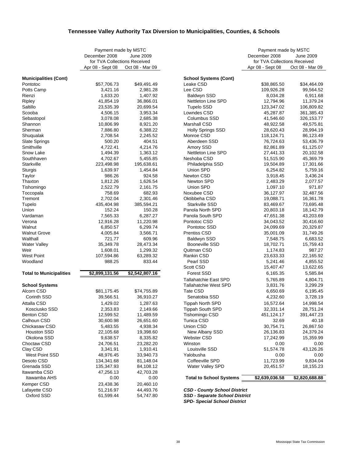### **Tennessee Valley Authority Tax Diversion to Municipalities, Counties, & Schools**

|                                   | Payment made by MSTC         |                        |                                       | Payment made by MSTC         |                 |
|-----------------------------------|------------------------------|------------------------|---------------------------------------|------------------------------|-----------------|
|                                   | December 2008                | <b>June 2009</b>       |                                       | December 2008                | June 2009       |
|                                   | for TVA Collections Received |                        |                                       | for TVA Collections Received |                 |
|                                   | Apr 08 - Sept 08             | Oct 08 - Mar 09        |                                       | Apr 08 - Sept 08             | Oct 08 - Mar 09 |
| <b>Municipalities (Cont)</b>      |                              |                        | School Systems (Cont)                 |                              |                 |
| Pontotoc                          | \$57,706.73                  | \$49,491.49            | Leake CSD                             | \$38,865.50                  | \$34,464.09     |
| Potts Camp                        | 3,421.16                     | 2,981.28               | Lee CSD                               | 109,926.28                   | 99,564.52       |
| Rienzi                            | 1,633.20                     | 1,407.92               | Baldwyn SSD                           | 8,034.28                     | 6,911.68        |
| Ripley                            | 41,854.19                    | 36,866.01              | <b>Nettleton Line SPD</b>             | 12,794.96                    | 11,379.24       |
| Saltillo                          | 23,535.39                    | 20,699.54              | <b>Tupelo SSD</b>                     | 123,347.02                   | 106,809.82      |
| Scooba                            | 4,506.15                     | 3,953.34               | Lowndes CSD                           | 45,287.87                    | 361,385.43      |
| Sebastopol                        | 3,078.08                     | 2,685.38               | Columbus SSD                          | 41,546.60                    | 326, 153. 77    |
| Shannon                           | 10,806.99                    | 8,921.20               | <b>Marshall CSD</b>                   | 48,922.58                    | 49,575.81       |
| Sherman                           | 7,886.80                     | 6,388.22               | <b>Holly Springs SSD</b>              | 28,620.43                    | 28,994.19       |
| Shuqualak                         | 2,708.54                     | 2,245.52               | Monroe CSD                            | 118,124.71                   | 86,123.49       |
| Slate Springs                     | 500.20                       | 404.51                 | Aberdeen SSD                          | 76,724.63                    | 53,436.79       |
| Smithville                        | 4,722.41                     | 4,214.76               | Amory SSD                             | 82,861.89                    | 61,125.07       |
| Snow Lake                         | 1,494.39                     | 1,363.12               | <b>Nettleton Line SPD</b>             | 27,441.33                    | 20,102.58       |
| Southhaven                        | 4,702.67                     | 5,455.85               | Neshoba CSD                           | 51,515.90                    | 45,369.79       |
| Starkville                        | 223,498.98                   | 195,638.61             | Philadelphia SSD                      | 19,504.89                    | 17,301.66       |
| Sturgis                           | 1,639.97                     | 1,454.84               | Union SPD                             | 6,254.82                     | 5,759.16        |
| Taylor                            | 986.26                       | 924.58                 | <b>Newton CSD</b>                     | 3,918.45                     | 3,436.24        |
| Thaxton                           | 1,812.26                     | 1,626.54               | Newton SPD                            | 2,483.29                     | 2,077.57        |
| Tishomingo                        | 2,522.79                     | 2,161.75               | <b>Union SPD</b>                      | 1,097.10                     | 971.87          |
| Toccopala                         | 758.69                       | 682.93                 | Noxubee CSD                           | 36,127.97                    | 32,487.56       |
| Tremont                           | 2,702.04                     | 2,301.46               | Oktibbeha CSD                         | 19,088.71                    | 16,361.78       |
| Tupelo                            | 435,404.98                   | 385,594.21             | Starkville SSD                        | 83,469.67                    | 73,695.48       |
| Union                             | 152.24                       | 150.28                 | Panola North SPD                      | 20,803.18                    | 18,142.79       |
| Vardaman                          | 7,565.33                     | 6,287.27               | Panola South SPD                      | 47,651.38                    | 43,203.69       |
| Verona                            | 12,916.28                    | 11,220.98              | Pontotoc CSD                          | 34,043.52                    | 30,416.60       |
| Walnut                            | 6,850.57                     | 6,299.74               | Pontotoc SSD                          | 24,099.69                    | 20,329.87       |
| <b>Walnut Grove</b>               | 4,005.84                     | 3,566.71               | <b>Prentiss CSD</b>                   | 35,001.09                    | 31,749.26       |
| Walthall                          | 721.77                       | 609.96                 | Baldwyn SSD                           | 7,548.75                     | 6,683.52        |
| <b>Water Valley</b>               | 35,349.78                    | 28,473.34              | Booneville SSD                        | 18,702.71                    | 15,759.43       |
| Weir                              | 1,608.01                     | 1,299.32               | Quitman CSD                           | 1,174.83                     | 987.27          |
| <b>West Point</b>                 | 107,594.86                   | 63,289.32              | <b>Rankin CSD</b>                     | 23,633.33                    | 22,165.92       |
| Woodland                          | 988.25                       | 833.44                 | Pearl SSD                             | 5,241.46                     | 4,855.52        |
|                                   |                              |                        | Scott CSD                             | 15,407.47                    | 13,622.65       |
| <b>Total to Municipalities</b>    | \$2,899,131.56               | \$2,542,807.16         | <b>Forest SSD</b>                     | 6,165.35                     | 5,585.84        |
|                                   |                              |                        | <b>Tallahatchie East SPD</b>          | 5,765.89                     | 4,804.71        |
| <b>School Systems</b>             |                              |                        | <b>Tallahatchie West SPD</b>          | 3,831.76                     | 3,299.29        |
| Alcorn CSD                        | \$81,175.45                  | \$74,755.89            | Tate CSD                              | 6,650.69                     | 6,195.45        |
| Corinth SSD                       | 39,566.51                    | 36,910.27              | Senatobia SSD                         | 4,232.60                     | 3,728.19        |
| <b>Attalla CSD</b>                | 1,429.02                     | 1,287.63               | <b>Tippah North SPD</b>               | 16,572.64                    | 14,998.54       |
| Kosciusko SSD                     | 2,353.83                     |                        |                                       |                              |                 |
| Benton CSD                        |                              | 2,149.66               | <b>Tippah South SPD</b>               | 32,331.14                    | 28,751.24       |
|                                   | 12,599.52                    | 11,489.59<br>26,651.60 | Tishomingo CSD<br><b>Tunica CSD</b>   | 451,124.17                   | 391,447.23      |
| Calhoun CSD                       | 30,600.98                    |                        | Union CSD                             | 32.69                        | 40.18           |
| Chickasaw CSD                     | 5,483.55                     | 4,938.34               |                                       | 30,754.71                    | 26,867.50       |
| <b>Houston SSD</b><br>Okolona SSD | 22,105.68                    | 19,398.60              | New Albany SSD                        | 26,136.83                    | 24,379.24       |
|                                   | 9,638.57<br>24,706.51        | 8,335.82               | <b>Webster CSD</b>                    | 17,242.99                    | 15,359.99       |
| Choctaw CSD                       |                              | 23,282.20              | Winston                               | 0.00                         | 0.00            |
| Clay CSD                          | 3,341.91                     | 1,910.41               | Louisville SSD                        | 51,574.78                    | 43,126.26       |
| West Point SSD                    | 48,976.45                    | 33,940.73              | Yalobusha                             | 0.00                         | 0.00            |
| Desoto CSD                        | 134,341.68                   | 81,148.04              | Coffeeville SPD                       | 11,723.99                    | 9,834.04        |
| Grenada SSD                       | 135,347.93                   | 84,108.12              | Water Valley SPD                      | 20,451.57                    | 18,155.23       |
| Itawamba CSD                      | 47,256.13                    | 42,703.28              |                                       |                              |                 |
| Itawamba AHS                      | 0.00                         | 0.00                   | <b>Total to School Systems</b>        | \$2,639,036.58               | \$2,820,688.88  |
| Kemper CSD                        | 23,438.36                    | 20,460.10              |                                       |                              |                 |
| Lafayette CSD                     | 51,216.97                    | 44,493.76              | <b>CSD - County School District</b>   |                              |                 |
| Oxford SSD                        | 61,599.44                    | 54,747.80              | <b>SSD - Separate School District</b> |                              |                 |

*SPD- Special School District*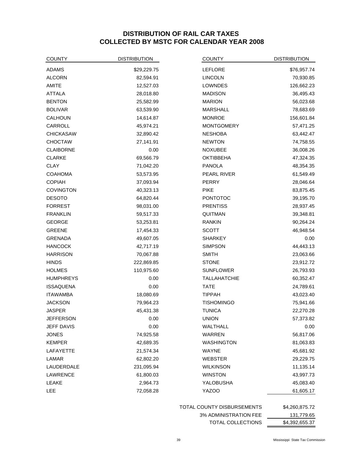# **DISTRIBUTION OF RAIL CAR TAXES COLLECTED BY MSTC FOR CALENDAR YEAR 2008**

| <b>COUNTY</b>     | <b>DISTRIBUTION</b> | <b>COUNTY</b>       | <b>DISTRIBUTION</b> |
|-------------------|---------------------|---------------------|---------------------|
| ADAMS             | \$29,229.75         | <b>LEFLORE</b>      | \$76,957.74         |
| <b>ALCORN</b>     | 82,594.91           | <b>LINCOLN</b>      | 70,930.85           |
| <b>AMITE</b>      | 12,527.03           | LOWNDES             | 126,662.23          |
| <b>ATTALA</b>     | 28,018.80           | <b>MADISON</b>      | 36,495.43           |
| <b>BENTON</b>     | 25,582.99           | <b>MARION</b>       | 56,023.68           |
| <b>BOLIVAR</b>    | 63,539.90           | <b>MARSHALL</b>     | 78,683.69           |
| CALHOUN           | 14,614.87           | <b>MONROE</b>       | 156,601.84          |
| CARROLL           | 45,974.21           | <b>MONTGOMERY</b>   | 57,471.25           |
| <b>CHICKASAW</b>  | 32,890.42           | <b>NESHOBA</b>      | 63,442.47           |
| <b>CHOCTAW</b>    | 27,141.91           | <b>NEWTON</b>       | 74,758.55           |
| <b>CLAIBORNE</b>  | 0.00                | <b>NOXUBEE</b>      | 36,008.26           |
| <b>CLARKE</b>     | 69,566.79           | <b>OKTIBBEHA</b>    | 47,324.35           |
| <b>CLAY</b>       | 71,042.20           | <b>PANOLA</b>       | 48,354.35           |
| <b>COAHOMA</b>    | 53,573.95           | PEARL RIVER         | 61,549.49           |
| <b>COPIAH</b>     | 37,093.94           | <b>PERRY</b>        | 28,046.64           |
| <b>COVINGTON</b>  | 40,323.13           | <b>PIKE</b>         | 83,875.45           |
| <b>DESOTO</b>     | 64,820.44           | <b>PONTOTOC</b>     | 39,195.70           |
| <b>FORREST</b>    | 98,031.00           | <b>PRENTISS</b>     | 28,937.45           |
| <b>FRANKLIN</b>   | 59,517.33           | QUITMAN             | 39,348.81           |
| <b>GEORGE</b>     | 53,253.81           | <b>RANKIN</b>       | 90,264.24           |
| <b>GREENE</b>     | 17,454.33           | <b>SCOTT</b>        | 46,948.54           |
| <b>GRENADA</b>    | 49,607.05           | <b>SHARKEY</b>      | 0.00                |
| <b>HANCOCK</b>    | 42,717.19           | <b>SIMPSON</b>      | 44,443.13           |
| <b>HARRISON</b>   | 70,067.88           | <b>SMITH</b>        | 23,063.66           |
| <b>HINDS</b>      | 222,869.85          | <b>STONE</b>        | 23,912.72           |
| <b>HOLMES</b>     | 110,975.60          | <b>SUNFLOWER</b>    | 26,793.93           |
| <b>HUMPHREYS</b>  | 0.00                | <b>TALLAHATCHIE</b> | 60,352.47           |
| <b>ISSAQUENA</b>  | 0.00                | <b>TATE</b>         | 24,789.61           |
| <b>ITAWAMBA</b>   | 18,080.69           | <b>TIPPAH</b>       | 43,023.40           |
| <b>JACKSON</b>    | 79,964.23           | <b>TISHOMINGO</b>   | 75,941.66           |
| JASPER            | 45,431.38           | <b>TUNICA</b>       | 22,270.28           |
| JEFFERSON         | 0.00                | <b>UNION</b>        | 57,373.82           |
| <b>JEFF DAVIS</b> | 0.00                | WALTHALL            | 0.00                |
| <b>JONES</b>      | 74,925.58           | WARREN              | 56,817.06           |
| <b>KEMPER</b>     | 42,689.35           | <b>WASHINGTON</b>   | 81,063.83           |
| LAFAYETTE         | 21,574.34           | WAYNE               | 45,681.92           |
| LAMAR             | 62,802.20           | <b>WEBSTER</b>      | 29,229.75           |
| LAUDERDALE        | 231,095.94          | <b>WILKINSON</b>    | 11,135.14           |
| LAWRENCE          | 61,800.03           | <b>WINSTON</b>      | 43,997.73           |
| LEAKE             | 2,964.73            | YALOBUSHA           | 45,083.40           |
| LEE               | 72,058.28           | YAZOO               | 61,605.17           |
|                   |                     |                     |                     |

TOTAL COUNTY DISBURSEMENTS \$4,260,875.72

3% ADMINISTRATION FEE 131,779.65

TOTAL COLLECTIONS 54,392,655.37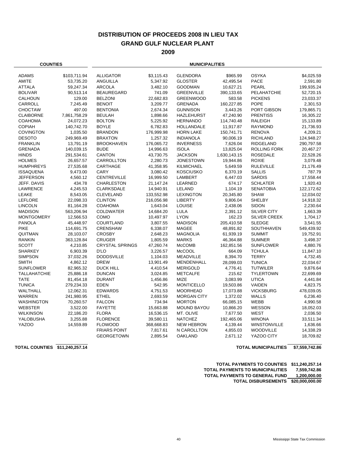# **DISTRIBUTION OF PROCEEDS 2008 IN LIEU TAX GRAND GULF NUCLEAR PLANT**

**2009**

| <b>COUNTIES</b>     |              | <b>MUNICIPALITIES</b>  |            |                    |              |                     |            |
|---------------------|--------------|------------------------|------------|--------------------|--------------|---------------------|------------|
| <b>ADAMS</b>        | \$103,711.94 | <b>ALLIGATOR</b>       | \$3,115.43 | <b>GLENDORA</b>    | \$965.99     | <b>OSYKA</b>        | \$4,025.59 |
| AMITE               | 53,735.20    | ANGUILLA               | 5,347.92   | <b>GLOSTER</b>     | 42,495.54    | <b>PACE</b>         | 2,591.80   |
| <b>ATTALA</b>       | 59,247.34    | <b>ARCOLA</b>          | 3,482.10   | <b>GOODMAN</b>     | 10,627.21    | <b>PEARL</b>        | 199,935.24 |
| <b>BOLIVAR</b>      | 90,513.14    | <b>BEAUREGARD</b>      | 741.09     | <b>GREENVILLE</b>  | 390,133.65   | PELAHATCHIE         | 52,720.15  |
| CALHOUN             | 129.00       | <b>BELZONI</b>         | 22,682.83  | <b>GREENWOOD</b>   | 583.58       | <b>PICKENS</b>      | 23,033.37  |
| CARROLL             | 7,245.49     | <b>BENOIT</b>          | 3,209.77   | <b>GRENADA</b>     | 160,227.85   | <b>POPE</b>         | 2,301.53   |
| <b>CHOCTAW</b>      | 497.00       | <b>BENTONIA</b>        | 2,674.34   | <b>GUNNISON</b>    | 3,443.26     | PORT GIBSON         | 179,865.71 |
| <b>CLAIBORNE</b>    | 7,861,758.29 | <b>BEULAH</b>          | 1,898.66   | <b>HAZLEHURST</b>  | 47,240.90    | <b>PRENTISS</b>     | 16,305.22  |
| <b>COAHOMA</b>      | 24,072.23    | <b>BOLTON</b>          | 5,225.92   | <b>HERNANDO</b>    | 114,740.48   | <b>RALEIGH</b>      | 15,133.89  |
| <b>COPIAH</b>       | 140,742.70   | <b>BOYLE</b>           | 6,782.83   | <b>HOLLANDALE</b>  | 11,917.87    | <b>RAYMOND</b>      | 21,736.93  |
| <b>COVINGTON</b>    | 1,035.50     | <b>BRANDON</b>         | 176,999.98 | <b>HORN LAKE</b>   | 150,741.71   | <b>RENOVA</b>       | 4,209.21   |
| <b>DESOTO</b>       | 249,969.49   | <b>BRAXTON</b>         | 1,257.32   | <b>INDIANOLA</b>   | 90,006.19    | <b>RICHLAND</b>     | 124,948.27 |
| <b>FRANKLIN</b>     | 13,791.19    | <b>BROOKHAVEN</b>      | 176,065.72 | <b>INVERNESS</b>   | 7,626.04     | <b>RIDGELAND</b>    | 290,797.58 |
| <b>GRENADA</b>      | 140,039.15   | <b>BUDE</b>            | 14,996.63  | <b>ISOLA</b>       | 13,825.04    | <b>ROLLING FORK</b> | 20,467.27  |
| <b>HINDS</b>        | 291,534.61   | <b>CANTON</b>          | 43,730.75  | <b>JACKSON</b>     | 1,630,143.15 | <b>ROSEDALE</b>     | 22,528.26  |
| <b>HOLMES</b>       | 26,657.57    | CARROLLTON             | 2,280.73   | <b>JONESTOWN</b>   | 19,944.86    | <b>ROXIE</b>        | 3,079.48   |
| <b>HUMPHREYS</b>    | 27,535.68    | CARTHAGE               | 41,358.95  | <b>KILMICHAEL</b>  | 5,649.59     | <b>RULEVILLE</b>    | 21,176.49  |
| <b>ISSAQUENA</b>    | 9,473.00     | CARY                   | 3,080.42   | <b>KOSCIUSKO</b>   | 6,370.19     | <b>SALLIS</b>       | 787.79     |
| <b>JEFFERSON</b>    | 4,560.12     | <b>CENTREVILLE</b>     | 16,999.50  | <b>LAMBERT</b>     | 6,447.03     | <b>SARDIS</b>       | 17,558.44  |
| JEFF. DAVIS         | 434.78       | <b>CHARLESTON</b>      | 21,147.24  | LEARNED            | 674.17       | <b>SCHLATER</b>     | 1,920.43   |
| <b>LAWRENCE</b>     | 4,245.53     | <b>CLARKSDALE</b>      | 14,940.91  | LELAND             | 1,104.19     | <b>SENATOBIA</b>    | 122,172.62 |
| LEAKE               | 8,543.05     | <b>CLEVELAND</b>       | 133,552.98 | <b>LEXINGTON</b>   | 20,345.80    | <b>SHAW</b>         | 12,034.02  |
| <b>LEFLORE</b>      | 22,098.33    | <b>CLINTON</b>         | 216,056.98 | <b>LIBERTY</b>     | 9,806.04     | <b>SHELBY</b>       | 14,918.32  |
| <b>LINCOLN</b>      | 81,164.28    | COAHOMA                | 1,643.04   | <b>LOUISE</b>      | 2,438.06     | <b>SIDON</b>        | 2,230.64   |
| <b>MADISON</b>      | 563,206.94   | <b>COLDWATER</b>       | 14,684.20  | <b>LULA</b>        | 2,391.12     | SILVER CITY         | 1,663.39   |
| <b>MONTGOMERY</b>   | 12,566.53    | COMO                   | 10,497.97  | <b>LYON</b>        | 162.23       | <b>SILVER CREEK</b> | 1,704.17   |
| <b>PANOLA</b>       | 45,448.97    | COURTLAND              | 3,807.55   | <b>MADISON</b>     | 205,410.58   | <b>SLEDGE</b>       | 3,541.55   |
| <b>PIKE</b>         | 114,691.75   | <b>CRENSHAW</b>        | 6,338.07   | <b>MAGEE</b>       | 48,891.82    | SOUTHHAVEN          | 549,439.92 |
| QUITMAN             | 28,103.07    | <b>CROSBY</b>          | 2,648.23   | <b>MAGNOLIA</b>    | 61,939.19    | <b>SUMMIT</b>       | 19,752.91  |
| <b>RANKIN</b>       | 363,128.84   | CRUGER                 | 1,805.59   | <b>MARKS</b>       | 46,364.88    | <b>SUMNER</b>       | 3,498.37   |
| <b>SCOTT</b>        | 4,210.85     | <b>CRYSTAL SPRINGS</b> | 47,260.74  | <b>McCOMB</b>      | 162,851.56   | <b>SUNFLOWER</b>    | 4,880.76   |
| <b>SHARKEY</b>      | 6,903.39     | D'LO                   | 3,226.57   | <b>McCOOL</b>      | 664.09       | <b>TCHULA</b>       | 11,847.10  |
| <b>SIMPSON</b>      | 37,032.26    | <b>DODDSVILLE</b>      | 1,104.03   | <b>MEADVILLE</b>   | 8,394.70     | <b>TERRY</b>        | 4,732.45   |
| <b>SMITH</b>        | 4,862.12     | <b>DREW</b>            | 13,901.49  | <b>MENDENHALL</b>  | 28,099.03    | <b>TUNICA</b>       | 22,034.67  |
| <b>SUNFLOWER</b>    | 82,965.32    | <b>DUCK HILL</b>       | 4,410.54   | <b>MERIGOLD</b>    | 4,776.41     | <b>TUTWILER</b>     | 9,876.64   |
| <b>TALLAHATCHIE</b> | 25,886.18    | <b>DUNCAN</b>          | 3,024.85   | <b>METCALFE</b>    | 215.62       | <b>TYLERTOWN</b>    | 22,699.69  |
| <b>TATE</b>         | 81,454.18    | <b>DURANT</b>          | 1,456.86   | <b>MIZE</b>        | 3,083.99     | <b>UTICA</b>        | 4,441.84   |
| <b>TUNICA</b>       | 279,234.33   | <b>EDEN</b>            | 542.95     | <b>MONTICELLO</b>  | 19,503.86    | VAIDEN              | 4,823.75   |
| WALTHALL            | 12,062.31    | <b>EDWARDS</b>         | 4,751.53   | <b>MOORHEAD</b>    | 17,073.88    | <b>VICKSBURG</b>    | 478,039.05 |
| WARREN              | 241,980.95   | <b>ETHEL</b>           | 2,693.59   | <b>MORGAN CITY</b> | 1,372.02     | WALLS               | 6,236.40   |
| <b>WASHINGTON</b>   | 70,260.57    | <b>FALCON</b>          | 734.94     | <b>MORTON</b>      | 66,085.15    | <b>WEBB</b>         | 4,990.58   |
| <b>WEBSTER</b>      | 3,522.00     | <b>FAYETTE</b>         | 15,663.88  | <b>MOUND BAYOU</b> | 10,866.20    | WESSON              | 18,052.03  |
| <b>WILKINSON</b>    | 22,186.20    | <b>FLORA</b>           | 16,536.15  | MT. OLIVE          | 7,677.50     | <b>WEST</b>         | 2,036.50   |
| YALOBUSHA           | 3,255.88     | <b>FLORENCE</b>        | 39,580.11  | <b>NATCHEZ</b>     | 192,465.06   | <b>WINONA</b>       | 33,511.34  |
| YAZOO               | 14,559.89    | <b>FLOWOOD</b>         | 368,668.83 | <b>NEW HEBRON</b>  | 4,139.44     | <b>WINSTONVILLE</b> | 1,636.66   |
|                     |              | <b>FRIARS POINT</b>    | 7,817.61   | N CAROLLTON        | 4,855.03     | <b>WOODVILLE</b>    | 14,338.29  |
|                     |              | <b>GEORGETOWN</b>      | 2,895.54   | <b>OAKLAND</b>     | 2,671.12     | YAZOO CITY          | 18,709.82  |

**TOTAL COUNTIES \$11,240,257.14 TOTAL MUNICIPALITIES \$7,559,742.86**

| <b>TOTAL PAYMENTS TO COUNTIES</b>       | \$11.240.257.14 |
|-----------------------------------------|-----------------|
| <b>TOTAL PAYMENTS TO MUNICIPALITIES</b> | 7.559.742.86    |
| <b>TOTAL PAYMENTS TO GENERAL FUND</b>   | 1.200.000.00    |
| <b>TOTAL DISBURSEMENTS</b>              | \$20.000.000.00 |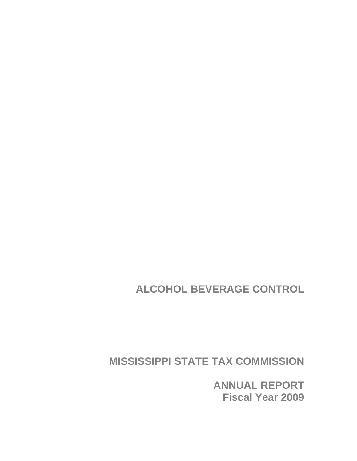**ALCOHOL BEVERAGE CONTROL** 

**MISSISSIPPI STATE TAX COMMISSION** 

**ANNUAL REPORT Fiscal Year 2009**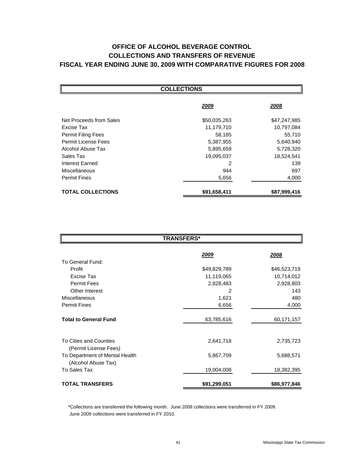# **OFFICE OF ALCOHOL BEVERAGE CONTROL COLLECTIONS AND TRANSFERS OF REVENUE FISCAL YEAR ENDING JUNE 30, 2009 WITH COMPARATIVE FIGURES FOR 2008**

| <b>COLLECTIONS</b>        |              |              |  |  |
|---------------------------|--------------|--------------|--|--|
|                           | 2009         | 2008         |  |  |
| Net Proceeds from Sales   | \$50,035,263 | \$47,247,985 |  |  |
| Excise Tax                | 11,179,710   | 10,797,084   |  |  |
| <b>Permit Filing Fees</b> | 58,185       | 55,710       |  |  |
| Permit License Fees       | 5,387,955    | 5,640,940    |  |  |
| Alcohol Abuse Tax         | 5,895,659    | 5,728,320    |  |  |
| Sales Tax                 | 19,095,037   | 18,524,541   |  |  |
| Interest Earned           | 2            | 139          |  |  |
| Miscellaneous             | 944          | 697          |  |  |
| <b>Permit Fines</b>       | 5,656        | 4,000        |  |  |
| <b>TOTAL COLLECTIONS</b>  | \$91,658,411 | \$87,999,416 |  |  |

| <b>TRANSFERS*</b>                                     |              |               |  |  |
|-------------------------------------------------------|--------------|---------------|--|--|
|                                                       | <u> 2009</u> | <u> 2008 </u> |  |  |
| To General Fund:                                      |              |               |  |  |
| Profit                                                | \$49,829,789 | \$46,523,719  |  |  |
| Excise Tax                                            | 11,119,065   | 10,714,012    |  |  |
| <b>Permit Fees</b>                                    | 2,828,483    | 2,928,803     |  |  |
| Other Interest                                        | 2            | 143           |  |  |
| <b>Miscellaneous</b>                                  | 1,621        | 480           |  |  |
| <b>Permit Fines</b>                                   | 6,656        | 4,000         |  |  |
| <b>Total to General Fund</b>                          | 63,785,616   | 60,171,157    |  |  |
| To Cities and Counties<br>(Permit License Fees)       | 2,641,718    | 2,735,723     |  |  |
| To Department of Mental Health<br>(Alcohol Abuse Tax) | 5,867,709    | 5,688,571     |  |  |
| To Sales Tax                                          | 19,004,008   | 18,382,395    |  |  |
| <b>TOTAL TRANSFERS</b>                                | \$91,299,051 | \$86,977,846  |  |  |

 \*Collections are transferred the following month. June 2008 collections were transferred in FY 2009. June 2009 collections were transferred in FY 2010.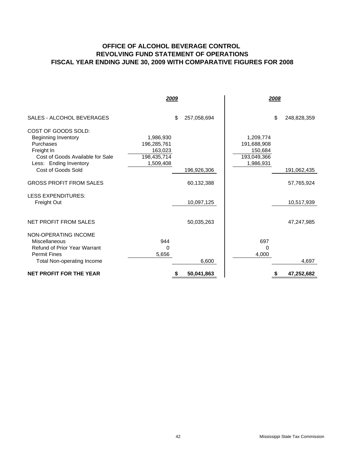## **OFFICE OF ALCOHOL BEVERAGE CONTROL REVOLVING FUND STATEMENT OF OPERATIONS FISCAL YEAR ENDING JUNE 30, 2009 WITH COMPARATIVE FIGURES FOR 2008**

|                                                                                                                                            | 2009                                                            |             |                                                                 | 2008              |
|--------------------------------------------------------------------------------------------------------------------------------------------|-----------------------------------------------------------------|-------------|-----------------------------------------------------------------|-------------------|
| SALES - ALCOHOL BEVERAGES                                                                                                                  | \$                                                              | 257,058,694 |                                                                 | \$<br>248,828,359 |
| COST OF GOODS SOLD:<br><b>Beginning Inventory</b><br>Purchases<br>Freight In<br>Cost of Goods Available for Sale<br>Less: Ending Inventory | 1,986,930<br>196,285,761<br>163,023<br>198,435,714<br>1,509,408 |             | 1,209,774<br>191,688,908<br>150,684<br>193,049,366<br>1,986,931 |                   |
| Cost of Goods Sold                                                                                                                         |                                                                 | 196,926,306 |                                                                 | 191,062,435       |
| <b>GROSS PROFIT FROM SALES</b>                                                                                                             |                                                                 | 60,132,388  |                                                                 | 57,765,924        |
| <b>LESS EXPENDITURES:</b><br>Freight Out                                                                                                   |                                                                 | 10,097,125  |                                                                 | 10,517,939        |
| NET PROFIT FROM SALES                                                                                                                      |                                                                 | 50,035,263  |                                                                 | 47,247,985        |
| NON-OPERATING INCOME<br>Miscellaneous<br><b>Refund of Prior Year Warrant</b><br><b>Permit Fines</b><br>Total Non-operating Income          | 944<br>$\Omega$<br>5,656                                        | 6,600       | 697<br>0<br>4,000                                               | 4,697             |
| <b>NET PROFIT FOR THE YEAR</b>                                                                                                             | S                                                               | 50,041,863  |                                                                 | 47,252,682        |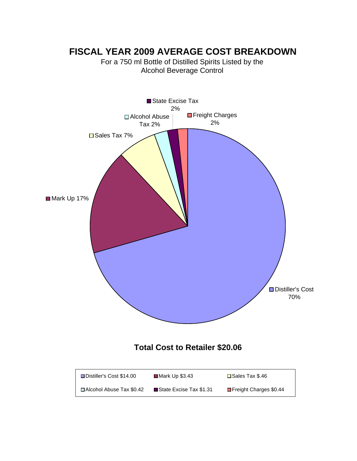# **FISCAL YEAR 2009 AVERAGE COST BREAKDOWN**

For a 750 ml Bottle of Distilled Spirits Listed by the Alcohol Beverage Control

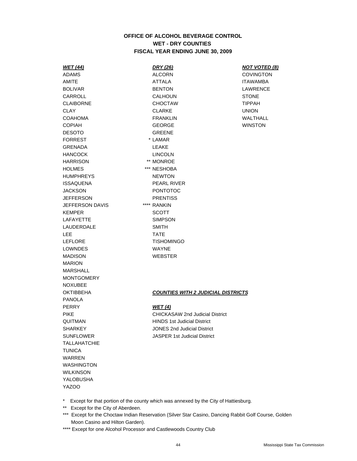### **OFFICE OF ALCOHOL BEVERAGE CONTROL WET - DRY COUNTIES FISCAL YEAR ENDING JUNE 30, 2009**

ADAMS ALCORN ALCORN COVINGTON DESOTO GREENE FORREST  $*$  LAMAR GRENADA LEAKE HANCOCK LINCOLN HARRISON \*\* MONROE HOLMES \*\*\* NESHOBA HUMPHREYS NEWTON ISSAQUENA PEARL RIVER JACKSON PONTOTOC JEFFERSON PRENTISS JEFFERSON DAVIS \*\*\*\* RANKIN KEMPER SCOTT LAFAYETTE SIMPSON LAUDERDALE SMITH LEE TATE LEFLORE TISHOMINGO LOWNDES WAYNE MADISON WEBSTER MARION MARSHALL MONTGOMERY NOXUBEE PANOLA PERRY *WET (4)* **TALLAHATCHIE TUNICA** WARREN WASHINGTON **WILKINSON** YALOBUSHA YAZOO

AMITE ATTALA ITAWAMBA BOLIVAR BENTON BENTON LAWRENCE CARROLL CALHOUN CALHOUN STONE CLAIBORNE CHOCTAW TIPPAH CLAY CLARKE UNION COAHOMA FRANKLIN WALTHALL COPIAH GEORGE WINSTON

#### *WET (44) DRY (26) NOT VOTED (8)*

#### OKTIBBEHA *COUNTIES WITH 2 JUDICIAL DISTRICTS*

PIKE CHICKASAW 2nd Judicial District QUITMAN HINDS 1st Judicial District SHARKEY JONES 2nd Judicial District SUNFLOWER JASPER 1st Judicial District

- \* Except for that portion of the county which was annexed by the City of Hattiesburg.
- \*\* Except for the City of Aberdeen.
- \*\*\* Except for the Choctaw Indian Reservation (Silver Star Casino, Dancing Rabbit Golf Course, Golden Moon Casino and Hilton Garden).
- \*\*\*\* Except for one Alcohol Processor and Castlewoods Country Club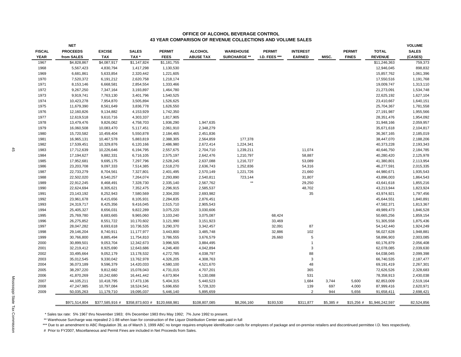#### **OFFICE OF ALCOHOL BEVERAGE CONTROL43 YEAR COMPARISON OF REVENUE COLLECTIONS AND VOLUME SALES**

|               | <b>NET</b>      |                 |                                 |               |                  |                     |               |                 |           |               |                              | <b>VOLUME</b> |
|---------------|-----------------|-----------------|---------------------------------|---------------|------------------|---------------------|---------------|-----------------|-----------|---------------|------------------------------|---------------|
| <b>FISCAL</b> | <b>PROCEEDS</b> | <b>EXCISE</b>   | <b>SALES</b>                    | <b>PERMIT</b> | <b>ALCOHOL</b>   | <b>WAREHOUSE</b>    | <b>PERMIT</b> | <b>INTEREST</b> |           | <b>PERMIT</b> | <b>TOTAL</b>                 | <b>SALES</b>  |
| <b>YEAR</b>   | from SALES      | <b>TAX</b>      | TAX *                           | <b>FEES</b>   | <b>ABUSE TAX</b> | <b>SURCHARGE **</b> | I.D. FEES *** | <b>EARNED</b>   | MISC.     | <b>FINES</b>  | <b>REVENUE</b>               | (CASES)       |
| 1967          | \$4,828,867     | \$4,087,917     | \$1,147,824                     | \$1,181,755   |                  |                     |               |                 |           |               | \$11,246,363                 | 759,373       |
| 1968          | 5,567,423       | 4,830,794       | 1,417,298                       | 1,130,530     |                  |                     |               |                 |           |               | 12,946,045                   | 898,832       |
| 1969          | 6,681,861       | 5,633,854       | 2,320,442                       | 1,221,605     |                  |                     |               |                 |           |               | 15,857,762                   | 1,061,396     |
| 1970          | 7,520,372       | 6,191,212       | 2,620,758                       | 1,218,174     |                  |                     |               |                 |           |               | 17,550,516                   | 1,191,768     |
| 1971          | 8,153,146       | 6,668,581       | 2,854,554                       | 1,333,466     |                  |                     |               |                 |           |               | 19,009,747                   | 1,313,110     |
| 1972          | 9,267,250       | 7,347,164       | 3,193,897                       | 1,464,780     |                  |                     |               |                 |           |               | 21,273,091                   | 1,534,748     |
| 1973          | 9,919,741       | 7,763,130       | 3,401,796                       | 1,540,525     |                  |                     |               |                 |           |               | 22,625,192                   | 1,627,104     |
| 1974          | 10,423,278      | 7,954,870       | 3,505,894                       | 1,526,625     |                  |                     |               |                 |           |               | 23,410,667                   | 1,640,151     |
| 1975          | 11,679,390      | 8,561,649       | 3,836,778                       | 1,626,550     |                  |                     |               |                 |           |               | 25,704,367                   | 1,781,558     |
| 1976          | 12,160,826      | 9,134,882       | 4,153,929                       | 1,742,350     |                  |                     |               |                 |           |               | 27, 191, 987                 | 1,955,566     |
| 1977          | 12,619,518      | 9,610,716       | 4,303,337                       | 1,817,905     |                  |                     |               |                 |           |               | 28,351,476                   | 1,954,092     |
| 1978          | 13,479,476      | 9,826,062       | 4,758,703                       | 1,936,290     | 1,947,635        |                     |               |                 |           |               | 31,948,166                   | 2,059,957     |
| 1979          | 16,060,508      | 10,083,470      | 5,117,451                       | 2,061,910     | 2,348,279        |                     |               |                 |           |               | 35,671,618                   | 2,104,817     |
| 1980          | 15,720,582      | 10,459,404      | 5,550,878                       | 2,184,465     | 2,451,836        |                     |               |                 |           |               | 36,367,165                   | 2,185,019     |
| 1981          | 16,965,131      | 10,467,578      | 5,883,819                       | 2,388,305     | 2,564,859        | 177,378             |               |                 |           |               | 38,447,070                   | 2,188,206     |
| 1982          | 17,539,451      | 10,329,876      | 6,120,166                       | 2,486,980     | 2,672,414        | 1,224,341           |               |                 |           |               | 40,373,228                   | 2,193,343     |
| 1983          | 17,712,639      | 10,226,646      | 6,194,795                       | 2,557,675     | 2,704,710        | 1,239,211           |               | 11,074          |           |               | 40,646,750                   | 2,184,785     |
| 1984          | 17,194,627      | 9,882,331       | 6,716,105                       | 2,575,197     | 2,642,476        | 1,210,797           |               | 58,887          |           |               | 40,280,420                   | 2,125,978     |
| 1985          | 17,952,681      | 9,695,175       | 7,297,796                       | 2,528,245     | 2,637,088        | 1,216,727           |               | 53,089          |           |               | 41,380,801                   | 2,113,954     |
| 1986          | 23,203,708      | 9,097,333       | 7,514,385                       | 2,518,270     | 2,636,743        | 1,252,836           |               | 54,316          |           |               | 46,277,591                   | 2,015,335     |
| 1987          | 22,733,279      | 8,704,561       | 7,327,801                       | 2,401,495     | 2,570,149        | 1,221,726           |               | 21,660          |           |               | 44,980,671                   | 1,935,543     |
| 1988          | 22,502,020      | 8,540,257       | 7,264,074                       | 2,293,890     | 2,540,811        | 723,144             |               | 31,807          |           |               | 43,896,003                   | 1,864,543     |
| 1989          | 22,912,245      | 8,468,491       | 7,328,730                       | 2,335,140     | 2,567,762        | $\star\star$        |               | 29,250          |           |               | 43,641,618                   | 1,855,216     |
| 1990          | 22,624,694      | 8,305,621       | 7,352,475                       | 2,296,915     | 2,585,537        |                     |               | 48,702          |           |               | 43,213,944                   | 1,823,924     |
| 1991          | 23, 143, 192    | 8,252,943       | 7,580,569                       | 2,304,200     | 2,693,982        |                     |               | 35              |           |               | 43,974,921                   | 1,797,456     |
| 1992          | 23,961,678      | 8,415,656       | 8,105,931                       | 2,284,835     | 2,876,451        |                     |               |                 |           |               | 45,644,551                   | 1,840,891     |
| 1993          | 24,319,717      | 8,425,356       | 9,416,045                       | 2,515,710     | 2,905,543        |                     |               |                 |           |               | 47,582,371                   | 1,813,367     |
| 1994          | 25,405,327      | 8,656,031       | 9,822,289                       | 3,075,220     | 3,030,606        |                     |               |                 |           |               | 49,989,473                   | 1,846,528     |
| 1995          | 25,769,780      | 8,683,665       | 9,965,060                       | 3,103,240     | 3,075,087        |                     | 68,424        |                 |           |               | 50,665,256                   | 1,859,154     |
| 1996          | 26,275,852      | 8,551,722       | 10,170,602                      | 3,121,990     | 3,151,923        |                     | 33,469        |                 |           |               | 51,305,558                   | 1,875,436     |
| 1997          | 28,047,282      | 8,693,618       | 10,736,535                      | 3,290,370     | 3,342,457        |                     | 32,091        | 87              |           |               | 54,142,440                   | 1,924,249     |
| 1998          | 29,146,204      | 8,740,911       | 11,177,977                      | 3,443,800     | 3,485,748        |                     | 32,886        | 102             |           |               | 56,027,628                   | 1,948,881     |
| 1999          | 30,766,800      | 8,885,494       | 11,754,810                      | 3,786,555     | 3,676,579        |                     | 26,660        | 5               |           |               | 58,896,903                   | 2,003,085     |
| 2000          | 30,899,501      | 9,053,704       | 12,342,673                      | 3,996,505     | 3,884,495        |                     |               | $\overline{1}$  |           |               | 60,176,879                   | 2,056,408     |
| 2001          | 32,219,412      | 8,925,690       | 12,643,686                      | 4,246,400     | 4,042,894        |                     |               | 3               |           |               | 62,078,085                   | 2,039,630     |
| 2002          | 33,495,664      | 9,052,179       | 13,178,532                      | 4,272,785     | 4,038,797        |                     |               | 88              |           |               | 64,038,045                   | 2,099,398     |
| 2003          | 35,012,545      | 9,330,042       | 13,762,978                      | 4,326,205     | 4,308,763        |                     |               | 3               |           |               | 66,740,535                   | 2,187,477     |
| 2004          | 36,073,189      | 9,596,379       | 14,420,033                      | 4,580,100     | 4,521,670        |                     |               | 48              |           |               | 69,191,419                   | 2,267,301     |
| 2005          | 38,297,220      | 9,812,682       | 15,078,043                      | 4,731,015     | 4,707,201        |                     |               | 365             |           |               | 72,626,526                   | 2,328,683     |
| 2006          | 41,870,269      | 10,242,680      | 16,441,442                      | 4,673,904     | 5,130,088        |                     |               | 531             |           |               | 78,358,913                   | 2,430,038     |
| 2007          | 44,105,211      | 10,418,795      | 17,473,136                      | 5,404,315     | 5,440,523        |                     |               | 1,684           | 3,744     | 5,600         | 82,853,009                   | 2,519,164     |
| 2008          | 47,247,985      | 10,797,084      | 18,524,541                      | 5,696,650     | 5,728,320        |                     |               | 139             | 697       | 4,000         | 87,999,416                   | 2,620,971     |
| 2009          | 50,035,263      | 11,179,710      | 19,095,037                      | 5,446,140     | 5,895,659        |                     |               | $\overline{2}$  | 944       | 5,656         | 91,658,411                   | 2,698,421     |
|               |                 |                 |                                 |               |                  |                     |               |                 |           |               |                              |               |
|               | \$971,514,804   | \$377,585,916 # | $$358,873,603 \#$ \$120,668,981 |               | \$108,807,085    | \$8,266,160         | \$193,530     | \$311,877       | \$5,385 # |               | $$15,256 \#$ \$1,946,242,597 | 82,524,856    |

\* Sales tax rate: 5% 1967 thru November 1983; 6% December 1983 thru May 1992; 7% June 1992 to present.

\*\* Warehouse Surcharge was repealed 2-1-88 when loan for construction of the Liquor Distribution Center was paid in full

\*\*\* Due to an amendment to ABC Regulation 39, as of March 3, 1999 ABC no longer requires employee identification cards for employees of package and on-premise retailers and discontinued permittee I.D. fees respectively.

# Prior to FY2007, Miscellaneous and Permit Fines are included in Net Proceeds from Sales.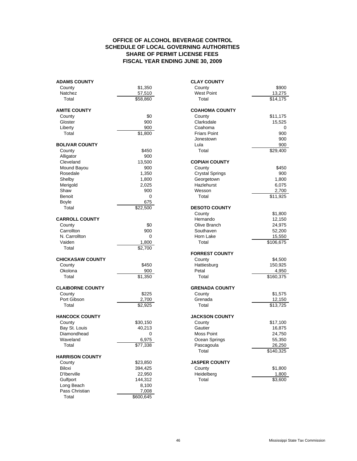### **FISCAL YEAR ENDING JUNE 30, 2009 OFFICE OF ALCOHOL BEVERAGE CONTROL SCHEDULE OF LOCAL GOVERNING AUTHORITIES SHARE OF PERMIT LICENSE FEES**

| <b>ADAMS COUNTY</b>     |                     | <b>CLAY COUNTY</b>     |           |
|-------------------------|---------------------|------------------------|-----------|
| County                  | \$1,350             | County                 | \$900     |
| Natchez                 | 57,510              | <b>West Point</b>      | 13,275    |
| Total                   | \$58,860            | Total                  | \$14,175  |
| <b>AMITE COUNTY</b>     |                     | <b>COAHOMA COUNTY</b>  |           |
| County                  | \$0                 | County                 | \$11,175  |
| Gloster                 | 900                 | Clarksdale             | 15,525    |
| Liberty                 | 900                 | Coahoma                | 0         |
| Total                   | \$1,800             | <b>Friars Point</b>    | 900       |
|                         |                     | Jonestown              | 900       |
| <b>BOLIVAR COUNTY</b>   |                     | Lula                   | 900       |
| County                  | \$450               | Total                  | \$29,400  |
| Alligator               | 900                 |                        |           |
| Cleveland               | 13,500              | <b>COPIAH COUNTY</b>   |           |
| Mound Bayou             | 900                 | County                 | \$450     |
| Rosedale                | 1,350               | <b>Crystal Springs</b> | 900       |
| Shelby                  | 1,800               | Georgetown             | 1,800     |
| Merigold                | 2,025               | Hazlehurst             | 6,075     |
| Shaw                    | 900                 | Wesson                 | 2,700     |
| Benoit                  | 0                   | Total                  | \$11,925  |
| Boyle                   | 675                 |                        |           |
| Total                   | \$22,500            | <b>DESOTO COUNTY</b>   |           |
|                         |                     | County                 | \$1,800   |
| <b>CARROLL COUNTY</b>   |                     | Hernando               | 12,150    |
| County                  | \$0                 | Olive Branch           | 24,975    |
| Carrollton              | 900                 | Southaven              | 52,200    |
| N. Carrollton           | $\mathbf 0$         | Horn Lake              | 15,550    |
| Vaiden                  | 1,800               | Total                  | \$106,675 |
| Total                   | \$2,700             |                        |           |
|                         |                     | <b>FORREST COUNTY</b>  |           |
| <b>CHICKASAW COUNTY</b> |                     | County                 | \$4,500   |
| County                  | \$450               | Hattiesburg            | 150,925   |
| Okolona                 | 900                 | Petal                  | 4,950     |
| Total                   | $\overline{$}1,350$ | Total                  | \$160,375 |
| <b>CLAIBORNE COUNTY</b> |                     | <b>GRENADA COUNTY</b>  |           |
| County                  | \$225               | County                 | \$1,575   |
| Port Gibson             | 2,700               | Grenada                | 12,150    |
| Total                   | $\overline{$}2,925$ | Total                  | \$13,725  |
| <b>HANCOCK COUNTY</b>   |                     | <b>JACKSON COUNTY</b>  |           |
| County                  | \$30,150            | County                 | \$17,100  |
| Bay St. Louis           | 40,213              | Gautier                | 16,875    |
| Diamondhead             | 0                   | Moss Point             | 24,750    |
| Waveland                | 6,975               | Ocean Springs          | 55,350    |
| Total                   | \$77,338            | Pascagoula             | 26,250    |
|                         |                     | Total                  | \$140,325 |
| <b>HARRISON COUNTY</b>  |                     |                        |           |
| County                  | \$23,850            | <b>JASPER COUNTY</b>   |           |
| Biloxi                  | 394,425             | County                 | \$1,800   |
| D'Iberville             | 22,950              | Heidelberg             | 1,800     |
| Gulfport                | 144,312             | Total                  | \$3,600   |
| Long Beach              | 8,100               |                        |           |
| Pass Christian          | 7,008               |                        |           |
| Total                   | \$600,645           |                        |           |

| <b>AMS COUNTY</b>     |                      | <b>CLAY COUNTY</b>     |                       |
|-----------------------|----------------------|------------------------|-----------------------|
| ounty                 | \$1,350              | County                 | \$900                 |
| atchez                | 57,510               | <b>West Point</b>      | 13,275                |
| Total                 | \$58,860             | Total                  | \$14,175              |
| <b>ITE COUNTY</b>     |                      | <b>COAHOMA COUNTY</b>  |                       |
| ounty                 | \$0                  | County                 | \$11,175              |
| loster                | 900                  | Clarksdale             | 15,525                |
| berty                 | 900                  | Coahoma                | 0                     |
| Total                 | \$1,800              | <b>Friars Point</b>    | 900                   |
|                       |                      | Jonestown              | 900                   |
| <b>LIVAR COUNTY</b>   |                      | Lula                   | 900                   |
| ounty                 | \$450                | Total                  | \$29,400              |
| ligator               | 900                  |                        |                       |
| leveland              | 13,500               | <b>COPIAH COUNTY</b>   |                       |
| ound Bayou            | 900                  | County                 | \$450                 |
| osedale               | 1,350                | <b>Crystal Springs</b> | 900                   |
| helby                 | 1,800                | Georgetown             | 1,800                 |
| erigold               | 2,025                | Hazlehurst             | 6,075                 |
| haw                   | 900                  | Wesson                 | 2,700                 |
| enoit                 | 0                    | Total                  | \$11,925              |
| oyle                  | 675                  |                        |                       |
| Total                 | \$22,500             | <b>DESOTO COUNTY</b>   |                       |
|                       |                      | County                 | \$1,800               |
| <b>RROLL COUNTY</b>   |                      | Hernando               | 12,150                |
| ounty                 | \$0                  | Olive Branch           | 24,975                |
| arrollton             | 900                  | Southaven              | 52,200                |
| . Carrollton          | 0                    | Horn Lake              | 15,550                |
| aiden                 | 1,800                | Total                  | $\overline{$}106,675$ |
| Total                 | \$2,700              |                        |                       |
|                       |                      | <b>FORREST COUNTY</b>  |                       |
| <b>CKASAW COUNTY</b>  |                      | County                 | \$4,500               |
| ounty                 | \$450                | Hattiesburg            | 150,925               |
| kolona                | 900                  | Petal                  | 4,950                 |
| Total                 | \$1,350              | Total                  | \$160,375             |
|                       |                      |                        |                       |
| <b>NIBORNE COUNTY</b> |                      | <b>GRENADA COUNTY</b>  |                       |
| ounty                 | \$225                | County                 | \$1,575               |
| ort Gibson            | 2,700                | Grenada                | 12,150                |
| Total                 | \$2,925              | Total                  | \$13,725              |
| <b>NCOCK COUNTY</b>   |                      | <b>JACKSON COUNTY</b>  |                       |
| ounty                 | \$30,150             | County                 | \$17,100              |
| ay St. Louis          | 40,213               | Gautier                | 16,875                |
| iamondhead            | 0                    | Moss Point             | 24,750                |
| aveland               | 6,975                | Ocean Springs          | 55,350                |
| Total                 | $\overline{$}77,338$ | Pascagoula             | 26,250                |
|                       |                      | Total                  | \$140,325             |
| <b>RRISON COUNTY</b>  |                      |                        |                       |
| ounty                 | \$23,850             | <b>JASPER COUNTY</b>   |                       |
| loxi                  | 394,425              | County                 | \$1,800               |
| 'Iberville            | 22,950               | Heidelberg             | 1,800                 |
| ulfnort               | 144.312              | Total                  | \$3.600               |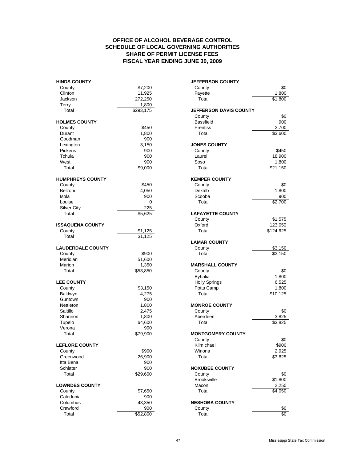### **FISCAL YEAR ENDING JUNE 30, 2009 OFFICE OF ALCOHOL BEVERAGE CONTROL SCHEDULE OF LOCAL GOVERNING AUTHORITIES SHARE OF PERMIT LICENSE FEES**

| <b>HINDS COUNTY</b>      |                      | <b>JEFFERSON COUNTY</b>       |           |
|--------------------------|----------------------|-------------------------------|-----------|
| County                   | \$7,200              | County                        | \$0       |
| Clinton                  | 11,925               | Fayette                       | 1,800     |
| Jackson                  | 272,250              | Total                         | \$1,800   |
| Terry                    | 1,800                |                               |           |
| Total                    | $\sqrt{$293,175}$    | <b>JEFFERSON DAVIS COUNTY</b> |           |
|                          |                      | County                        | \$0       |
| <b>HOLMES COUNTY</b>     |                      | <b>Bassfield</b>              | 900       |
| County                   | \$450                | <b>Prentiss</b>               | 2,700     |
| Durant                   | 1,800                | Total                         | \$3,600   |
| Goodman                  | 900                  |                               |           |
| Lexington                | 3,150                | <b>JONES COUNTY</b>           |           |
| Pickens                  | 900                  | County                        | \$450     |
| Tchula                   | 900                  | Laurel                        | 18,900    |
| West                     | 900                  | Soso                          | 1,800     |
| Total                    | \$9,000              | Total                         | \$21,150  |
| <b>HUMPHREYS COUNTY</b>  |                      | <b>KEMPER COUNTY</b>          |           |
| County                   | \$450                | County                        | \$0       |
| Belzoni                  | 4,050                | Dekalb                        | 1,800     |
| Isola                    | 900                  | Scooba                        | 900       |
|                          |                      |                               |           |
| Louise                   | 0                    | Total                         | \$2,700   |
| <b>Silver City</b>       | 225                  |                               |           |
| Total                    | \$5,625              | <b>LAFAYETTE COUNTY</b>       |           |
|                          |                      | County                        | \$1,575   |
| <b>ISSAQUENA COUNTY</b>  |                      | Oxford                        | 123,050   |
| County                   | \$1,125              | Total                         | \$124,625 |
| Total                    | \$1,125              |                               |           |
|                          |                      | <b>LAMAR COUNTY</b>           |           |
| <b>LAUDERDALE COUNTY</b> |                      | County                        | \$3,150   |
| County                   | \$900                | Total                         | \$3,150   |
| Meridian                 | 51,600               |                               |           |
| Marion                   | 1,350                | <b>MARSHALL COUNTY</b>        |           |
| Total                    | \$53,850             | County                        | \$0       |
|                          |                      | <b>Byhalia</b>                | 1,800     |
| <b>LEE COUNTY</b>        |                      | <b>Holly Springs</b>          | 6,525     |
| County                   | \$3,150              | Potts Camp                    | 1,800     |
| Baldwyn                  | 4,275                | Total                         | \$10,125  |
| Guntown                  | 900                  |                               |           |
| Nettleton                | 1,800                | <b>MONROE COUNTY</b>          |           |
| Saltillo                 | 2,475                | County                        | \$0       |
| Shannon                  | 1,800                | Aberdeen                      | 3,825     |
| Tupelo                   | 64,600               | Total                         | 3,825     |
| Verona                   | 900                  |                               |           |
| Total                    | $\overline{$}79,900$ | <b>MONTGOMERY COUNTY</b>      |           |
|                          |                      | County                        | \$0       |
| <b>LEFLORE COUNTY</b>    |                      | Kilmichael                    | \$900     |
| County                   | \$900                | Winona                        | 2,925     |
| Greenwood                | 26,900               | Total                         | \$3,825   |
| Itta Bena                | 900                  |                               |           |
| Schlater                 | 900                  | <b>NOXUBEE COUNTY</b>         |           |
|                          |                      |                               |           |
| Total                    | \$29,600             | County                        | \$0       |
|                          |                      | <b>Brooksville</b>            | \$1,800   |
| <b>LOWNDES COUNTY</b>    |                      | Macon                         | 2,250     |
| County                   | \$7,650              | Total                         | \$4,050   |
| Caledonia                | 900                  |                               |           |
| Columbus                 | 43,350               | <b>NESHOBA COUNTY</b>         |           |
| Crawford                 | 900                  | County                        | \$0       |
| Total                    | \$52,800             | Total                         | \$0       |

| County                       | \$0                     |
|------------------------------|-------------------------|
| Fayette                      | 1,800                   |
| Total                        | $\overline{$1,800}$     |
| <b>EFFERSON DAVIS COUNTY</b> |                         |
| County                       | \$0                     |
| <b>Bassfield</b>             | 900                     |
| Prentiss                     | 2,700                   |
| Total                        | \$3,600                 |
| <b>ONES COUNTY</b>           |                         |
| County                       | \$450                   |
| Laurel                       | 18,900                  |
| Soso                         | 1,800                   |
| Total                        | \$21,150                |
|                              |                         |
| <b>EMPER COUNTY</b>          |                         |
| County<br>Dekalb             | \$0<br>1,800            |
| Scooba                       | 900                     |
| Total                        | $\sqrt{$2,700}$         |
|                              |                         |
| <b>AFAYETTE COUNTY</b>       |                         |
| County                       | \$1,575                 |
| Oxford                       | 123,050                 |
| Total                        | \$124,625               |
| <b>AMAR COUNTY</b>           |                         |
| County                       | \$3,150                 |
| Total                        | \$3,150                 |
|                              |                         |
| <b>IARSHALL COUNTY</b>       |                         |
| County<br><b>Byhalia</b>     | \$0<br>1,800            |
| <b>Holly Springs</b>         | 6,525                   |
| Potts Camp                   | 1,800                   |
| Total                        | \$10,125                |
|                              |                         |
| <b>IONROE COUNTY</b>         |                         |
| County                       | \$0                     |
| Aberdeen                     | 3,825<br>$\sqrt{3,825}$ |
| Total                        |                         |
| <b>IONTGOMERY COUNTY</b>     |                         |
| County                       | \$0                     |
| Kilmichael                   | \$900                   |
| Winona                       | 2,925                   |
| Total                        | \$3,825                 |
| <b>OXUBEE COUNTY</b>         |                         |
| County                       | \$0                     |
| Brooksville                  | \$1,800                 |
| Macon                        | 2,250                   |
| Total                        | \$4,050                 |
|                              |                         |
| <b>ESHOBA COUNTY</b>         |                         |
| County<br>Total              | \$0<br>ፍሰ               |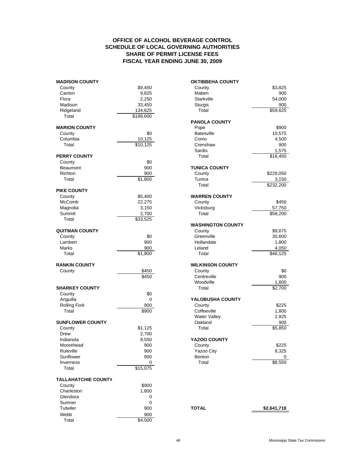### **FISCAL YEAR ENDING JUNE 30, 2009 OFFICE OF ALCOHOL BEVERAGE CONTROL SCHEDULE OF LOCAL GOVERNING AUTHORITIES SHARE OF PERMIT LICENSE FEES**

| <b>MADISON COUNTY</b>      |                       | <b>OKTIBBEHA COUNTY</b>  |                       |
|----------------------------|-----------------------|--------------------------|-----------------------|
| County                     | \$9,450               | County                   | \$3,825               |
| Canton                     | 9,825                 | Maben                    | 900                   |
| Flora                      | 2,250                 | Starkville               | 54,000                |
| Madison                    | 33,450                | Sturgis                  | 900                   |
| Ridgeland                  | 134,625               | Total                    | \$59,625              |
| Total                      | $\overline{$}189,600$ |                          |                       |
|                            |                       | <b>PANOLA COUNTY</b>     |                       |
| <b>MARION COUNTY</b>       |                       | Pope                     | \$900                 |
| County                     | \$0                   | <b>Batesville</b>        | 10,575                |
| Columbia                   | 10,125                | Como                     | 4,500                 |
| Total                      | \$10,125              | Crenshaw                 | 900                   |
|                            |                       | Sardis                   | 1,575                 |
| <b>PERRY COUNTY</b>        |                       | Total                    | \$18,450              |
| County                     | \$0                   |                          |                       |
| <b>Beaumont</b>            | 900                   | <b>TUNICA COUNTY</b>     |                       |
| Richton                    | 900                   | County                   | \$229,050             |
| Total                      | \$1,800               | Tunica                   | 3,150                 |
|                            |                       | Total                    | $\overline{$}232,200$ |
| <b>PIKE COUNTY</b>         |                       |                          |                       |
| County                     | \$5,400               | <b>WARREN COUNTY</b>     |                       |
| McComb                     | 22,275                | County                   | \$450                 |
| Magnolia                   | 3,150                 | Vicksburg                | 57,750                |
| Summit                     | 2,700                 | Total                    | \$58,200              |
| Total                      | \$33,525              |                          |                       |
|                            |                       | <b>WASHINGTON COUNTY</b> |                       |
| <b>QUITMAN COUNTY</b>      |                       | County                   | \$9,675               |
| County                     | \$0                   | Greenville               | 30,600                |
| Lambert                    | 900                   | Hollandale               | 1,800                 |
| <b>Marks</b>               | 900                   | Leland                   | 4,050                 |
| Total                      | $\overline{$}1,800$   | Total                    | \$46,125              |
|                            |                       |                          |                       |
| <b>RANKIN COUNTY</b>       |                       | <b>WILKINSON COUNTY</b>  |                       |
| County                     | \$450                 | County                   | \$0                   |
|                            | \$450                 | Centreville              | 900                   |
|                            |                       | Woodville                | 1,800                 |
| <b>SHARKEY COUNTY</b>      |                       | Total                    | \$2,700               |
| County                     | \$0                   |                          |                       |
|                            |                       |                          |                       |
| Anguilla                   | $\mathbf 0$           | YALOBUSHA COUNTY         |                       |
| <b>Rolling Fork</b>        | 900                   | County                   | \$225                 |
| Total                      | \$900                 | Coffeeville              | 1,800                 |
|                            |                       | <b>Water Valley</b>      | 2,925                 |
| <b>SUNFLOWER COUNTY</b>    |                       | Oakland                  | 900                   |
| County                     | \$1,125               | Total                    | \$5,850               |
| Drew                       | 2,700                 |                          |                       |
| Indianola                  | 8,550                 | YAZOO COUNTY             |                       |
| Moorehead                  | 900                   | County                   | \$225                 |
| Ruleville                  | 900                   | Yazoo City               | 8,325                 |
| Sunflower                  | 900                   | Benton                   | 0                     |
| Inverness                  | 0                     | Total                    | \$8,550               |
| Total                      | \$15,075              |                          |                       |
|                            |                       |                          |                       |
| <b>TALLAHATCHIE COUNTY</b> |                       |                          |                       |
| County                     | \$900                 |                          |                       |
| Charleston                 | 1,800                 |                          |                       |
| Glendora                   | 0                     |                          |                       |
| Sumner                     | 0                     |                          |                       |
| Tutwiler                   | 900                   | <b>TOTAL</b>             | \$2,641,718           |
| Webb                       | 900                   |                          |                       |
| Total                      | \$4,500               |                          |                       |

| <b>DISON COUNTY</b>   |                           | <b>OKTIBBEHA COUNTY</b>  |                       |
|-----------------------|---------------------------|--------------------------|-----------------------|
| ounty                 | \$9,450                   | County                   | \$3,825               |
| anton                 | 9,825                     | Maben                    | 900                   |
| ora                   | 2,250                     | Starkville               | 54,000                |
| adison                | 33,450                    | Sturgis                  | 900                   |
| dgeland               | 134,625                   | Total                    | \$59,625              |
| Total                 | \$189,600                 |                          |                       |
|                       |                           | <b>PANOLA COUNTY</b>     |                       |
| <b>RION COUNTY</b>    |                           | Pope                     | \$900                 |
| ounty                 | \$0                       | <b>Batesville</b>        | 10,575                |
| olumbia               | 10,125                    | Como                     | 4,500                 |
| Total                 | \$10,125                  | Crenshaw                 | 900                   |
|                       |                           | Sardis                   | 1,575                 |
| <b>RY COUNTY</b>      |                           | Total                    | \$18,450              |
| ounty                 | \$0                       |                          |                       |
| eaumont               | 900                       | <b>TUNICA COUNTY</b>     |                       |
| chton                 | 900                       | County                   | \$229,050             |
| Total                 | \$1,800                   | Tunica                   | 3,150                 |
|                       |                           | Total                    | $\overline{$}232,200$ |
| <b>E COUNTY</b>       |                           |                          |                       |
| ounty                 | \$5,400                   | <b>WARREN COUNTY</b>     |                       |
| cComb                 | 22,275                    | County                   | \$450                 |
| agnolia               | 3,150                     | Vicksburg                | 57,750                |
| ummit                 | 2,700                     | Total                    | \$58,200              |
| Total                 | \$33,525                  |                          |                       |
|                       |                           | <b>WASHINGTON COUNTY</b> |                       |
| <b>TMAN COUNTY</b>    |                           | County                   | \$9,675               |
| ounty                 | \$0                       | Greenville               | 30,600                |
| ambert                | 900                       | Hollandale               | 1,800                 |
| arks                  | 900                       | Leland                   | 4,050                 |
| Total                 | \$1,800                   | Total                    | \$46,125              |
|                       |                           |                          |                       |
| <b>NKIN COUNTY</b>    |                           | <b>WILKINSON COUNTY</b>  |                       |
| ounty                 | \$450                     | County                   | \$0                   |
|                       | \$450                     | Centreville              | 900                   |
|                       |                           | Woodville                | 1,800                 |
| <b>ARKEY COUNTY</b>   |                           | Total                    | \$2,700               |
| ounty                 | \$0                       |                          |                       |
| าguilla               | 0                         | YALOBUSHA COUNTY         |                       |
| olling Fork           | 900                       | County                   | \$225                 |
| Total                 | \$900                     | Coffeeville              | 1,800                 |
|                       |                           | <b>Water Valley</b>      | 2,925                 |
| <b>NFLOWER COUNTY</b> |                           | Oakland                  | 900                   |
| ounty                 | \$1,125                   | Total                    | \$5,850               |
| rew                   | 2,700                     |                          |                       |
| dianola               | 8,550                     | YAZOO COUNTY             |                       |
| oorehead              | 900                       | County                   | \$225                 |
| uleville              | 900                       | Yazoo City               | 8,325                 |
| unflower              | 900                       | Benton                   | 0                     |
|                       |                           |                          |                       |
| verness<br>Total      | 0<br>$\overline{$15,075}$ | Total                    | \$8,550               |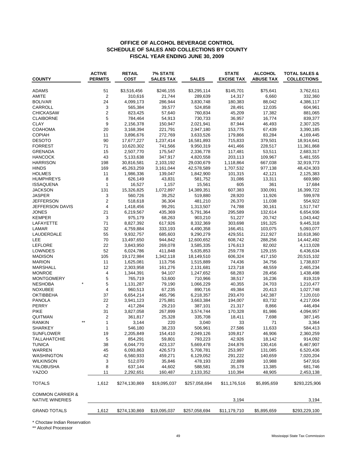### **OFFICE OF ALCOHOL BEVERAGE CONTROL SCHEDULE OF SALES AND COLLECTIONS BY COUNTY FISCAL YEAR ENDING JUNE 30, 2009**

| <b>COUNTY</b>                                         | <b>ACTIVE</b><br><b>PERMITS</b> | <b>RETAIL</b><br><b>COST</b> | <b>7% STATE</b><br><b>SALES TAX</b> | <b>SALES</b>         | <b>STATE</b><br><b>EXCISE TAX</b> | <b>ALCOHOL</b><br><b>ABUSE TAX</b> | <b>TOTAL SALES &amp;</b><br><b>COLLECTIONS</b> |
|-------------------------------------------------------|---------------------------------|------------------------------|-------------------------------------|----------------------|-----------------------------------|------------------------------------|------------------------------------------------|
| ADAMS                                                 | 51                              | \$3,516,456                  | \$246,155                           | \$3,295,114          | \$145,701                         | \$75,641                           | 3,762,611                                      |
| AMITE                                                 | $\overline{2}$                  | 310,616                      | 21,744                              | 289,639              | 14,317                            | 6,660                              | 332,360                                        |
| <b>BOLIVAR</b>                                        | 24                              | 4,099,173                    | 286,944                             | 3,830,748            | 180,383                           | 88,042                             | 4,386,117                                      |
| CARROLL                                               | 3                               | 565,384                      | 39,577                              | 524,858              | 28,491                            | 12,035                             | 604,961                                        |
| <b>CHICKASAW</b>                                      | $\overline{\mathbf{c}}$         | 823,425                      | 57,640                              | 760,834              | 45,209                            | 17,382                             | 881,065                                        |
| <b>CLAIBORNE</b>                                      | 5                               | 784,464                      | 54,913                              | 730,733              | 36,957                            | 16,774                             | 839,377                                        |
| <b>CLAY</b>                                           | 9                               | 2,156,378                    | 150,947                             | 2,021,941            | 87,944                            | 46,493                             | 2,307,325                                      |
| COAHOMA                                               | 20                              | 3,168,394                    | 221,791                             | 2,947,180            | 153,775                           | 67,439                             | 3,390,185                                      |
| <b>COPIAH</b>                                         | 11                              | 3,896,676                    | 272,769                             | 3,633,526            | 179,866                           | 83,284                             | 4,169,445                                      |
| <b>DESOTO</b>                                         | 90                              | 17,677,227                   | 1,237,414                           | 16,581,893           | 715,833                           | 379,501                            | 18,914,641                                     |
| <b>FORREST</b>                                        | 71                              | 10,620,302                   | 741,566                             | 9,950,319            | 441,466                           | 228,517                            | 11,361,868                                     |
| <b>GRENADA</b>                                        | 15                              | 2,507,770                    | 175,547                             | 2,336,778            | 117,481                           | 53,511                             | 2,683,317                                      |
| <b>HANCOCK</b>                                        | 43                              | 5,133,638                    | 347,917                             | 4,820,558            | 203,113                           | 109,967                            | 5,481,555                                      |
| <b>HARRISON</b>                                       | 198                             | 30,816,581                   | 2,103,192                           | 29,030,679           | 1,118,864                         | 667,038                            | 32,919,773                                     |
| <b>HINDS</b>                                          | 169                             | 45,263,259                   | 3,161,044                           | 42,578,589           | 1,707,532                         | 977,138                            | 48,424,303                                     |
| <b>HOLMES</b>                                         | 11                              | 1,986,336                    | 139,047                             | 1,842,900            | 101,315                           | 42,121                             | 2,125,383                                      |
| <b>HUMPHREYS</b>                                      | 8                               | 626,149                      | 43,831                              | 581,752              | 31,086                            | 13,311                             | 669,980                                        |
| <b>ISSAQUENA</b>                                      | $\mathbf{1}$                    | 16,527                       | 1,157                               | 15,561               | 605                               | 361                                | 17,684                                         |
| JACKSON                                               | 131                             | 15,326,825                   | 1,072,897                           | 14,389,351           | 607,383                           | 330,091                            | 16,399,722                                     |
| JASPER                                                | 3                               | 560,726                      | 39,252                              | 519,880              | 28,920                            | 11,926                             | 599,978                                        |
| JEFFERSON                                             | $\overline{2}$                  | 518,618                      | 36,304                              | 481,210              | 26,370                            | 11,038                             | 554,922                                        |
| JEFFERSON DAVIS                                       | 4                               | 1,418,456                    | 99,291                              | 1,313,507            | 74,788                            | 30,161                             | 1,517,747                                      |
| <b>JONES</b>                                          | 21                              | 6,219,567                    | 435,369                             | 5,791,364            | 295,589                           | 132,614                            | 6,654,936                                      |
| <b>KEMPER</b>                                         | 3                               | 975,179                      | 68,263                              | 903,210              | 51,227                            | 20,742                             | 1,043,442                                      |
| LAFAYETTE                                             | 71                              | 8,827,392                    | 617,926                             | 8,332,369            | 303,698                           | 191,325                            | 9,445,318                                      |
| LAMAR                                                 | 32                              | 4,759,884                    | 333,193                             | 4,490,358            | 166,451                           | 103,075                            | 5,093,077                                      |
| LAUDERDALE                                            | 55                              | 9,932,757                    | 685,603                             | 9,290,279            | 429,551                           | 212,927                            | 10,618,360                                     |
| <b>LEE</b>                                            | 70                              | 13,497,650                   | 944,842                             | 12,600,652           | 608,742                           | 288,256                            | 14,442,492                                     |
| LEFLORE                                               | 22                              | 3,843,950                    | 269,078                             | 3,585,335            | 176,613                           | 82,002                             | 4,113,028                                      |
| LOWNDES                                               | 52                              | 6,024,786                    | 411,848                             | 5,635,853            | 259,778                           | 129,155                            | 6,436,634                                      |
| <b>MADISON</b>                                        | 105                             | 19,172,984                   | 1,342,118                           | 18,149,510           | 606,324                           | 417,150                            | 20,515,102                                     |
| <b>MARION</b>                                         | 11                              | 1,625,081                    | 113,756                             | 1,515,889            | 74,436                            | 34,756                             | 1,738,837                                      |
| <b>MARSHALL</b>                                       | 12                              | 2,303,958                    | 161,276                             | 2,131,681            | 123,718                           | 48,559                             | 2,465,234                                      |
| <b>MONROE</b>                                         | 4                               | 1,344,391                    | 94,107                              | 1,247,652            | 68,283                            | 28,456                             | 1,438,498                                      |
| <b>MONTGOMERY</b><br><b>NESHOBA</b>                   | 5<br>5                          | 765,719                      | 53,600<br>79,190                    | 710,966<br>1,066,229 | 38,517<br>40,355                  | 16,236<br>24,703                   | 819,319<br>1,210,477                           |
| <b>NOXUBEE</b>                                        | 4                               | 1,131,287<br>960,513         | 67,235                              | 890,716              | 49,384                            | 20,413                             | 1,027,748                                      |
| <b>OKTIBBEHA</b>                                      | 37                              | 6,654,214                    | 465,796                             | 6,218,357            | 293,470                           | 142,387                            | 7,120,010                                      |
| <b>PANOLA</b>                                         | 22                              | 3,941,123                    | 275,881                             | 3,663,384            | 194,007                           | 83,732                             | 4,217,004                                      |
| PERRY                                                 | $\overline{2}$                  | 417,284                      | 29,210                              | 387,101              | 21,317                            | 8,866                              | 446,494                                        |
| <b>PIKE</b>                                           | 31                              | 3,827,058                    | 267,899                             | 3,574,744            | 170,328                           | 81,986                             | 4,094,957                                      |
| QUITMAN                                               | 2                               | 361,817                      | 25,328                              | 335,708              | 18,411                            | 7,698                              | 387,145                                        |
| $**$<br><b>RANKIN</b>                                 | 1                               | 3,144                        | 220                                 | 3,040                | 33                                | 71                                 | 3,364                                          |
| SHARKEY                                               | $\mathbf{1}$                    | 546,180                      | 38,233                              | 506,961              | 27,586                            | 11,633                             | 584,413                                        |
| <b>SUNFLOWER</b>                                      | 19                              | 2,205,849                    | 154,410                             | 2,049,126            | 109,817                           | 46,906                             | 2,360,259                                      |
| <b>TALLAHATCHIE</b>                                   | 5                               | 854,291                      | 59,801                              | 793,223              | 42,926                            | 18,142                             | 914,092                                        |
| <b>TUNICA</b>                                         | 38                              | 6,044,770                    | 423,137                             | 5,669,478            | 244,876                           | 130,416                            | 6,467,907                                      |
| WARREN                                                | 45                              | 6,093,863                    | 426,573                             | 5,708,781            | 253,997                           | 131,085                            | 6,520,436                                      |
| WASHINGTON                                            | 42                              | 6,560,933                    | 459,271                             | 6,129,052            | 291,222                           | 140,659                            | 7,020,204                                      |
| <b>WILKINSON</b>                                      | 3                               | 512,070                      | 35,846                              | 478,193              | 22,889                            | 10,988                             | 547,916                                        |
| YALOBUSHA                                             | 8                               | 637,144                      | 44,602                              | 588,581              | 35,178                            | 13,385                             | 681,746                                        |
| YAZOO                                                 | 11                              | 2,292,651                    | 160,487                             | 2,133,352            | 110,394                           | 48,905                             | 2,453,138                                      |
| <b>TOTALS</b>                                         | 1,612                           | \$274,130,869                | \$19,095,037                        | \$257,058,694        | \$11,176,516                      | \$5,895,659                        | \$293,225,906                                  |
| <b>COMMON CARRIER &amp;</b><br><b>NATIVE WINERIES</b> |                                 |                              |                                     |                      | 3,194                             |                                    | 3,194                                          |
| <b>GRAND TOTALS</b>                                   | 1,612                           | \$274,130,869                | \$19,095,037                        | \$257,058,694        | \$11,179,710                      | \$5,895,659                        | \$293,229,100                                  |

\* Choctaw Indian Reservation

\*\* Alcohol Processor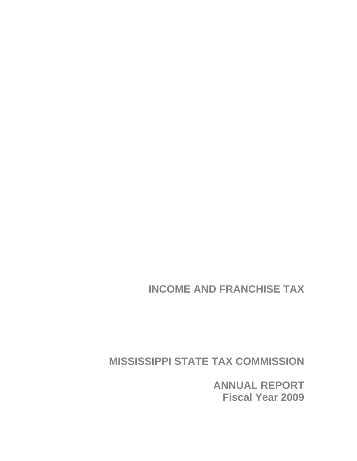**INCOME AND FRANCHISE TAX** 

**MISSISSIPPI STATE TAX COMMISSION** 

**ANNUAL REPORT Fiscal Year 2009**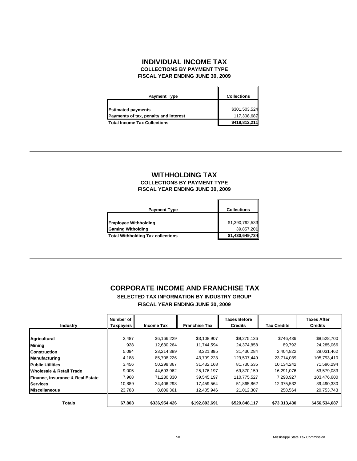### **INDIVIDUAL INCOME TAX FISCAL YEAR ENDING JUNE 30, 2009 COLLECTIONS BY PAYMENT TYPE**

| <b>Payment Type</b>                   | <b>Collections</b> |
|---------------------------------------|--------------------|
| <b>Estimated payments</b>             | \$301,503,524      |
| Payments of tax, penalty and interest | 117,308,687        |
| <b>Total Income Tax Collections</b>   | \$418,812,211      |

### **COLLECTIONS BY PAYMENT TYPE FISCAL YEAR ENDING JUNE 30, 2009 WITHHOLDING TAX**

| <b>Payment Type</b>                      | <b>Collections</b> |
|------------------------------------------|--------------------|
|                                          |                    |
| <b>Employee Withholding</b>              | \$1,390,792,533    |
| <b>Gaming Witholding</b>                 | 39,857,201         |
| <b>Total Withholding Tax collections</b> | \$1,430,649,734    |

# **CORPORATE INCOME AND FRANCHISE TAX**

**SELECTED TAX INFORMATION BY INDUSTRY GROUP FISCAL YEAR ENDING JUNE 30, 2009**

|                                     | Number of |                   |                      | <b>Taxes Before</b> |                    | <b>Taxes After</b> |
|-------------------------------------|-----------|-------------------|----------------------|---------------------|--------------------|--------------------|
| <b>Industry</b>                     | Taxpayers | <b>Income Tax</b> | <b>Franchise Tax</b> | <b>Credits</b>      | <b>Tax Credits</b> | <b>Credits</b>     |
|                                     |           |                   |                      |                     |                    |                    |
| <b>Agricultural</b>                 | 2,487     | \$6,166,229       | \$3,108,907          | \$9,275,136         | \$746,436          | \$8,528,700        |
| <b>Mining</b>                       | 928       | 12.630.264        | 11.744.594           | 24.374.858          | 89.792             | 24,285,066         |
| <b>Construction</b>                 | 5,094     | 23.214.389        | 8.221.895            | 31,436,284          | 2,404,822          | 29,031,462         |
| <b>Manufacturing</b>                | 4,188     | 85,708,226        | 43,799,223           | 129,507,449         | 23,714,039         | 105,793,410        |
| <b>Public Utilities</b>             | 3,456     | 50,298,367        | 31,432,168           | 81,730,535          | 10,134,242         | 71,596,294         |
| <b>Wholesale &amp; Retail Trade</b> | 9,005     | 44,693,962        | 25,176,197           | 69,870,159          | 16,291,076         | 53,579,083         |
| Finance, Insurance & Real Estate    | 7.968     | 71.230.330        | 39,545,197           | 110,775,527         | 7,298,927          | 103,476,600        |
| <b>Services</b>                     | 10.889    | 34.406.298        | 17.459.564           | 51,865,862          | 12,375,532         | 39,490,330         |
| <b>Miscellaneous</b>                | 23,788    | 8,606,361         | 12,405,946           | 21,012,307          | 258,564            | 20,753,743         |
|                                     |           |                   |                      |                     |                    |                    |
| <b>Totals</b>                       | 67,803    | \$336,954,426     | \$192,893,691        | \$529,848,117       | \$73,313,430       | \$456,534,687      |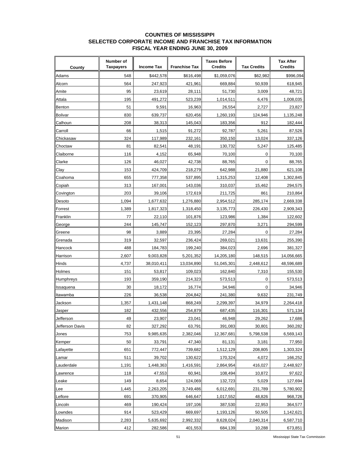### **COUNTIES OF MISSISSIPPI SELECTED CORPORATE INCOME AND FRANCHISE TAX INFORMATION FISCAL YEAR ENDING JUNE 30, 2009**

| County          | Number of<br><b>Taxpayers</b> | <b>Income Tax</b> | <b>Franchise Tax</b> | <b>Taxes Before</b><br><b>Credits</b> | <b>Tax Credits</b> | <b>Tax After</b><br><b>Credits</b> |
|-----------------|-------------------------------|-------------------|----------------------|---------------------------------------|--------------------|------------------------------------|
| Adams           | 548                           | \$442,578         | \$616,498            | \$1,059,076                           | \$62,982           | \$996,094                          |
| Alcorn          | 564                           | 247,923           | 421,961              | 669,884                               | 50,939             | 618,945                            |
| Amite           | 95                            | 23,619            | 28,111               | 51,730                                | 3,009              | 48,721                             |
| Attala          | 195                           | 491,272           | 523,239              | 1,014,511                             | 6,476              | 1,008,035                          |
| Benton          | 51                            | 9,591             | 16,963               | 26,554                                | 2,727              | 23,827                             |
| <b>Bolivar</b>  | 830                           | 639,737           | 620,456              | 1,260,193                             | 124,946            | 1,135,248                          |
| Calhoun         | 208                           | 38,313            | 145,043              | 183,356                               | 912                | 182,444                            |
| Carroll         | 66                            | 1,515             | 91,272               | 92,787                                | 5,261              | 87,526                             |
| Chickasaw       | 324                           | 117,989           | 232,161              | 350,150                               | 13,024             | 337,126                            |
| Choctaw         | 81                            | 82,541            | 48,191               | 130,732                               | 5,247              | 125,485                            |
| Claiborne       | 116                           | 4,152             | 65,948               | 70,100                                | 0                  | 70,100                             |
| Clarke          | 126                           | 46,027            | 42,738               | 88,765                                | 0                  | 88,765                             |
| Clay            | 153                           | 424.709           | 218,279              | 642,988                               | 21,880             | 621,108                            |
| Coahoma         | 655                           | 777,358           | 537,895              | 1,315,253                             | 12,408             | 1,302,845                          |
| Copiah          | 313                           | 167,001           | 143,036              | 310,037                               | 15,462             | 294,575                            |
| Covington       | 203                           | 39,106            | 172,619              | 211,725                               | 861                | 210,864                            |
| Desoto          | 1,094                         | 1,677,632         | 1,276,880            | 2,954,512                             | 285,174            | 2,669,338                          |
| Forrest         | 1,389                         | 1,817,323         | 1,318,450            | 3,135,773                             | 226,430            | 2,909,343                          |
| Franklin        | 77                            | 22,110            | 101,876              | 123,986                               | 1,384              | 122,602                            |
| George          | 244                           | 145,747           | 152,123              | 297,870                               | 3,271              | 294,599                            |
| Greene          | 98                            | 3,889             | 23,395               | 27,284                                | 0                  | 27,284                             |
| Grenada         | 319                           | 32,597            | 236,424              | 269,021                               | 13,631             | 255,390                            |
| Hancock         | 488                           | 184,783           | 199,240              | 384,023                               | 2,696              | 381,327                            |
| Harrison        | 2,607                         | 9,003,828         | 5,201,352            | 14,205,180                            | 148,515            | 14,056,665                         |
| Hinds           | 4,737                         | 38,010,411        | 13,034,890           | 51,045,301                            | 2,448,612          | 48,596,689                         |
| Holmes          | 151                           | 53,817            | 109,023              | 162,840                               | 7,310              | 155,530                            |
| Humphreys       | 193                           | 359,190           | 214,323              | 573,513                               | 0                  | 573,513                            |
| Issaquena       | 30                            | 18,172            | 16,774               | 34,946                                | $\mathbf 0$        | 34,946                             |
| Itawamba        | 226                           | 36,538            | 204,842              | 241,380                               | 9,632              | 231,749                            |
| Jackson         | 1,357                         | 1,431,148         | 868,249              | 2,299,397                             | 34,979             | 2,264,418                          |
| Jasper          | 182                           | 432,556           | 254,879              | 687,435                               | 116,301            | 571,134                            |
| Jefferson       | 49                            | 23,907            | 23,041               | 46,948                                | 29,262             | 17,686                             |
| Jefferson Davis | 82                            | 327,292           | 63,791               | 391,083                               | 30,801             | 360,282                            |
| Jones           | 753                           | 9,985,635         | 2,382,046            | 12,367,681                            | 5,798,538          | 6,569,143                          |
| Kemper          | 50                            | 33,791            | 47,340               | 81,131                                | 3,181              | 77,950                             |
| Lafayette       | 651                           | 772,447           | 739,682              | 1,512,129                             | 208,805            | 1,303,324                          |
| Lamar           | 511                           | 39,702            | 130,622              | 170,324                               | 4,072              | 166,252                            |
| Lauderdale      | 1,191                         | 1,448,363         | 1,416,591            | 2,864,954                             | 416,027            | 2,448,927                          |
| Lawrence        | 118                           | 47,553            | 60,941               | 108,494                               | 10,872             | 97,622                             |
| Leake           | 149                           | 8,654             | 124,069              | 132,723                               | 5,029              | 127,694                            |
| Lee             | 1,445                         | 2,263,205         | 3,749,486            | 6,012,691                             | 231,789            | 5,780,902                          |
| Leflore         | 691                           | 370,905           | 646,647              | 1,017,552                             | 48,826             | 968,726                            |
| Lincoln         | 469                           | 190,424           | 197,106              | 387,530                               | 22,953             | 364,577                            |
| Lowndes         | 914                           | 523,429           | 669,697              | 1,193,126                             | 50,505             | 1,142,621                          |
| Madison         | 2,283                         | 5,635,692         | 2,992,332            | 8,628,024                             | 2,040,314          | 6,587,710                          |
| Marion          | 412                           | 282,586           | 401,553              | 684,139                               | 10,288             | 673,851                            |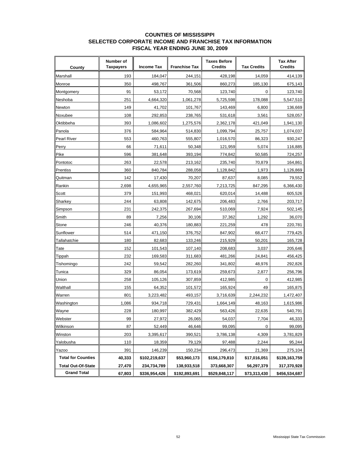### **COUNTIES OF MISSISSIPPI SELECTED CORPORATE INCOME AND FRANCHISE TAX INFORMATION FISCAL YEAR ENDING JUNE 30, 2009**

| County                    | Number of<br><b>Taxpayers</b> | <b>Income Tax</b> | <b>Franchise Tax</b> | <b>Taxes Before</b><br><b>Credits</b> | <b>Tax Credits</b> | <b>Tax After</b><br><b>Credits</b> |
|---------------------------|-------------------------------|-------------------|----------------------|---------------------------------------|--------------------|------------------------------------|
| Marshall                  | 193                           | 184,047           | 244,151              | 428,198                               | 14,059             | 414,139                            |
| Monroe                    | 350                           | 498,767           | 361,506              | 860,273                               | 185,130            | 675,143                            |
| Montgomery                | 91                            | 53,172            | 70,568               | 123,740                               | 0                  | 123,740                            |
| Neshoba                   | 251                           | 4,664,320         | 1,061,278            | 5,725,598                             | 178,088            | 5,547,510                          |
| Newton                    | 149                           | 41,702            | 101,767              | 143,469                               | 6,800              | 136,669                            |
| Noxubee                   | 108                           | 292,853           | 238,765              | 531,618                               | 3,561              | 528,057                            |
| Oktibbeha                 | 393                           | 1,086,602         | 1,275,576            | 2,362,178                             | 421,049            | 1,941,130                          |
| Panola                    | 376                           | 584,964           | 514,830              | 1,099,794                             | 25,757             | 1,074,037                          |
| <b>Pearl River</b>        | 553                           | 460,763           | 555,807              | 1,016,570                             | 86,323             | 930,247                            |
| Perry                     | 66                            | 71,611            | 50,348               | 121,959                               | 5,074              | 116,885                            |
| Pike                      | 596                           | 381,648           | 393,194              | 774,842                               | 50,585             | 724,257                            |
| Pontotoc                  | 263                           | 22,578            | 213,162              | 235,740                               | 70,879             | 164,861                            |
| <b>Prentiss</b>           | 360                           | 840,784           | 288.058              | 1,128,842                             | 1,973              | 1,126,869                          |
| Quitman                   | 142                           | 17,430            | 70,207               | 87,637                                | 8,085              | 79,552                             |
| Rankin                    | 2,698                         | 4,655,965         | 2,557,760            | 7,213,725                             | 847,295            | 6,366,430                          |
| Scott                     | 379                           | 151,993           | 468,021              | 620,014                               | 14,488             | 605,526                            |
| Sharkey                   | 244                           | 63,808            | 142,675              | 206,483                               | 2,766              | 203,717                            |
| Simpson                   | 231                           | 242,375           | 267,694              | 510,069                               | 7,924              | 502,145                            |
| Smith                     | 89                            | 7,256             | 30,106               | 37,362                                | 1,292              | 36,070                             |
| Stone                     | 246                           | 40,376            | 180,883              | 221,259                               | 478                | 220,781                            |
| Sunflower                 | 514                           | 471,150           | 376,752              | 847,902                               | 68,477             | 779,425                            |
| Tallahatchie              | 180                           | 82,683            | 133,246              | 215,929                               | 50,201             | 165,728                            |
| Tate                      | 152                           | 101,543           | 107,140              | 208,683                               | 3,037              | 205,646                            |
| Tippah                    | 232                           | 169,583           | 311,683              | 481,266                               | 24,841             | 456,425                            |
| Tishomingo                | 242                           | 59,542            | 282,260              | 341,802                               | 48,976             | 292,826                            |
| Tunica                    | 329                           | 86,054            | 173,619              | 259,673                               | 2,877              | 256,796                            |
| Union                     | 258                           | 105,126           | 307,859              | 412,985                               | 0                  | 412,985                            |
| Walthall                  | 155                           | 64,352            | 101,572              | 165,924                               | 49                 | 165,875                            |
| Warren                    | 801                           | 3,223,482         | 493,157              | 3,716,639                             | 2,244,232          | 1,472,407                          |
| Washington                | 1,086                         | 934,718           | 729,431              | 1,664,149                             | 48,163             | 1,615,986                          |
| Wayne                     | 228                           | 180,997           | 382,429              | 563,426                               | 22,635             | 540,791                            |
| Webster                   | 99                            | 27,972            | 26,065               | 54,037                                | 7,704              | 46,333                             |
| Wilkinson                 | 87                            | 52,449            | 46,646               | 99,095                                | 0                  | 99,095                             |
| Winston                   | 203                           | 3,395,617         | 390,521              | 3,786,138                             | 4,309              | 3,781,829                          |
| Yalobusha                 | 110                           | 18,359            | 79,129               | 97,488                                | 2,244              | 95,244                             |
| Yazoo                     | 391                           | 146,239           | 150,234              | 296,473                               | 21,369             | 275,104                            |
| <b>Total for Counties</b> | 40,333                        | \$102,219,637     | \$53,960,173         | \$156,179,810                         | \$17,016,051       | \$139,163,759                      |
| <b>Total Out-Of-State</b> | 27,470                        | 234,734,789       | 138,933,518          | 373,668,307                           | 56,297,379         | 317,370,928                        |
| <b>Grand Total</b>        | 67,803                        | \$336,954,426     | \$192,893,691        | \$529,848,117                         | \$73,313,430       | \$456,534,687                      |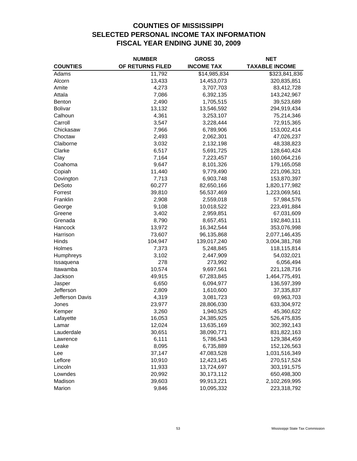# **COUNTIES OF MISSISSIPPI SELECTED PERSONAL INCOME TAX INFORMATION FISCAL YEAR ENDING JUNE 30, 2009**

|                 | <b>NUMBER</b>    | <b>GROSS</b>      | <b>NET</b>            |
|-----------------|------------------|-------------------|-----------------------|
| <b>COUNTIES</b> | OF RETURNS FILED | <b>INCOME TAX</b> | <b>TAXABLE INCOME</b> |
| Adams           | 11,792           | \$14,985,834      | \$323,841,836         |
| Alcorn          | 13,433           | 14,453,073        | 320,835,851           |
| Amite           | 4,273            | 3,707,703         | 83,412,728            |
| Attala          | 7,086            | 6,392,135         | 143,242,967           |
| <b>Benton</b>   | 2,490            | 1,705,515         | 39,523,689            |
| <b>Bolivar</b>  | 13,132           | 13,546,592        | 294,919,434           |
| Calhoun         | 4,361            | 3,253,107         | 75,214,346            |
| Carroll         | 3,547            | 3,228,444         | 72,915,365            |
| Chickasaw       | 7,966            | 6,789,906         | 153,002,414           |
| Choctaw         | 2,493            | 2,062,301         | 47,026,237            |
| Claiborne       | 3,032            | 2,132,198         | 48,338,823            |
| Clarke          | 6,517            | 5,691,725         | 128,640,424           |
| Clay            | 7,164            | 7,223,457         | 160,064,216           |
| Coahoma         | 9,647            | 8,101,326         | 179,165,058           |
| Copiah          | 11,440           | 9,779,490         | 221,096,321           |
| Covington       | 7,713            | 6,903,748         | 153,870,397           |
| DeSoto          | 60,277           | 82,650,166        | 1,820,177,982         |
| Forrest         | 39,810           | 56,537,469        | 1,223,069,561         |
| Franklin        | 2,908            | 2,559,018         | 57,984,576            |
| George          | 9,108            | 10,018,522        | 223,491,884           |
| Greene          | 3,402            | 2,959,851         | 67,031,609            |
| Grenada         | 8,790            | 8,657,451         | 192,840,111           |
| Hancock         | 13,972           | 16,342,544        | 353,076,998           |
| Harrison        | 73,607           | 96,135,868        | 2,077,146,435         |
| Hinds           | 104,947          | 139,017,240       | 3,004,381,768         |
| Holmes          | 7,373            | 5,248,845         | 118,115,814           |
| Humphreys       | 3,102            | 2,447,909         | 54,032,021            |
| Issaquena       | 278              | 273,992           | 6,056,494             |
| Itawamba        | 10,574           | 9,697,561         | 221,128,716           |
| Jackson         | 49,915           | 67,283,845        | 1,464,775,491         |
| Jasper          | 6,650            | 6,094,977         | 136,597,399           |
| Jefferson       | 2,809            | 1,610,600         | 37,335,837            |
| Jefferson Davis | 4,319            | 3,081,723         | 69,963,703            |
| Jones           | 23,977           | 28,806,030        | 633,304,972           |
| Kemper          | 3,260            | 1,940,525         | 45,360,622            |
| Lafayette       | 16,053           | 24,385,925        | 526,475,835           |
| Lamar           | 12,024           | 13,635,169        | 302,392,143           |
| Lauderdale      | 30,651           | 38,090,771        | 831,822,163           |
| Lawrence        | 6,111            | 5,786,543         | 129,384,459           |
| Leake           | 8,095            | 6,735,889         | 152,126,563           |
| Lee             | 37,147           | 47,083,528        | 1,031,516,349         |
| Leflore         | 10,910           | 12,423,145        | 270,517,524           |
| Lincoln         | 11,933           | 13,724,697        | 303,191,575           |
| Lowndes         | 20,992           | 30,173,112        | 650,498,300           |
| Madison         | 39,603           | 99,913,221        | 2,102,269,995         |
| Marion          | 9,846            | 10,095,332        | 223,318,792           |
|                 |                  |                   |                       |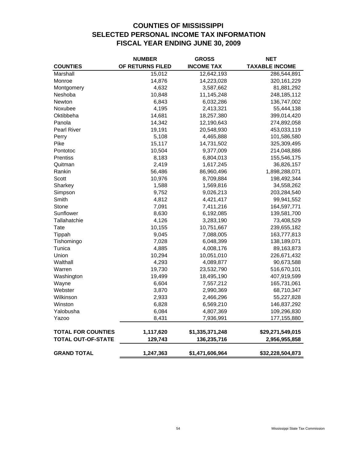# **COUNTIES OF MISSISSIPPI SELECTED PERSONAL INCOME TAX INFORMATION FISCAL YEAR ENDING JUNE 30, 2009**

|                           | <b>NUMBER</b>    | <b>GROSS</b>      | NET                   |
|---------------------------|------------------|-------------------|-----------------------|
| <b>COUNTIES</b>           | OF RETURNS FILED | <b>INCOME TAX</b> | <b>TAXABLE INCOME</b> |
| Marshall                  | 15,012           | 12,642,193        | 286,544,891           |
| Monroe                    | 14,876           | 14,223,028        | 320, 161, 229         |
| Montgomery                | 4,632            | 3,587,662         | 81,881,292            |
| Neshoba                   | 10,848           | 11,145,248        | 248,185,112           |
| Newton                    | 6,843            | 6,032,286         | 136,747,002           |
| Noxubee                   | 4,195            | 2,413,321         | 55,444,138            |
| Oktibbeha                 | 14,681           | 18,257,380        | 399,014,420           |
| Panola                    | 14,342           | 12,190,643        | 274,892,058           |
| <b>Pearl River</b>        | 19,191           | 20,548,930        | 453,033,119           |
| Perry                     | 5,108            | 4,465,888         | 101,586,580           |
| Pike                      | 15,117           | 14,731,502        | 325,309,495           |
| Pontotoc                  | 10,504           | 9,377,009         | 214,048,886           |
| Prentiss                  | 8,183            | 6,804,013         | 155,546,175           |
| Quitman                   | 2,419            | 1,617,245         | 36,826,157            |
| Rankin                    | 56,486           | 86,960,496        | 1,898,288,071         |
| Scott                     | 10,976           | 8,709,884         | 198,492,344           |
| Sharkey                   | 1,588            | 1,569,816         | 34,558,262            |
| Simpson                   | 9,752            | 9,026,213         | 203,284,540           |
| Smith                     | 4,812            | 4,421,417         | 99,941,552            |
| Stone                     | 7,091            | 7,411,216         | 164,597,771           |
| Sunflower                 | 8,630            | 6,192,085         | 139,581,700           |
| Tallahatchie              | 4,126            | 3,283,190         | 73,408,529            |
| Tate                      | 10,155           | 10,751,667        | 239,655,182           |
| Tippah                    | 9,045            | 7,088,005         | 163,777,813           |
| Tishomingo                | 7,028            | 6,048,399         | 138,189,071           |
| Tunica                    | 4,885            | 4,008,176         | 89,163,873            |
| Union                     | 10,294           | 10,051,010        | 226,671,432           |
| Walthall                  | 4,293            | 4,089,877         | 90,673,588            |
| Warren                    | 19,730           | 23,532,790        | 516,670,101           |
| Washington                | 19,499           | 18,495,190        | 407,919,599           |
| Wayne                     | 6,604            | 7,557,212         | 165,731,061           |
| Webster                   | 3,870            | 2,990,369         | 68,710,347            |
| Wilkinson                 | 2,933            | 2,466,296         | 55,227,828            |
| Winston                   | 6,828            | 6,569,210         | 146,837,292           |
| Yalobusha                 | 6,084            | 4,807,369         | 109,296,830           |
| Yazoo                     | 8,431            | 7,936,991         | 177,155,880           |
| <b>TOTAL FOR COUNTIES</b> | 1,117,620        | \$1,335,371,248   | \$29,271,549,015      |
| <b>TOTAL OUT-OF-STATE</b> | 129,743          | 136,235,716       | 2,956,955,858         |
| <b>GRAND TOTAL</b>        | 1,247,363        | \$1,471,606,964   | \$32,228,504,873      |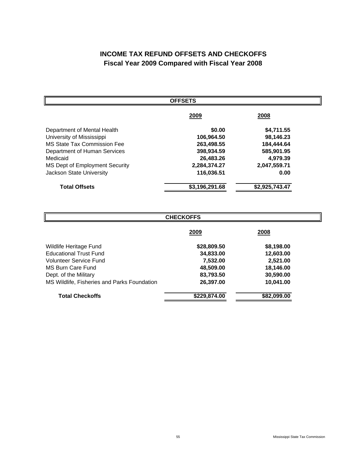# **INCOME TAX REFUND OFFSETS AND CHECKOFFS Fiscal Year 2009 Compared with Fiscal Year 2008**

| <b>OFFSETS</b>                     |                |                |  |  |  |
|------------------------------------|----------------|----------------|--|--|--|
|                                    | 2009           | 2008           |  |  |  |
| Department of Mental Health        | \$0.00         | \$4,711.55     |  |  |  |
| University of Mississippi          | 106,964.50     | 98,146.23      |  |  |  |
| <b>MS State Tax Commission Fee</b> | 263,498.55     | 184,444.64     |  |  |  |
| Department of Human Services       | 398,934.59     | 585,901.95     |  |  |  |
| Medicaid                           | 26,483.26      | 4,979.39       |  |  |  |
| MS Dept of Employment Security     | 2,284,374.27   | 2,047,559.71   |  |  |  |
| Jackson State University           | 116,036.51     | 0.00           |  |  |  |
| <b>Total Offsets</b>               | \$3,196,291.68 | \$2,925,743.47 |  |  |  |

| <b>CHECKOFFS</b>                            |              |              |  |  |  |
|---------------------------------------------|--------------|--------------|--|--|--|
|                                             | <u> 2009</u> | <u> 2008</u> |  |  |  |
| Wildlife Heritage Fund                      | \$28,809.50  | \$8,198.00   |  |  |  |
| <b>Educational Trust Fund</b>               | 34,833.00    | 12,603.00    |  |  |  |
| Volunteer Service Fund                      | 7,532.00     | 2,521.00     |  |  |  |
| MS Burn Care Fund                           | 48,509.00    | 18,146.00    |  |  |  |
| Dept. of the Military                       | 83,793.50    | 30,590.00    |  |  |  |
| MS Wildlife, Fisheries and Parks Foundation | 26,397.00    | 10,041.00    |  |  |  |
| <b>Total Checkoffs</b>                      | \$229,874.00 | \$82,099.00  |  |  |  |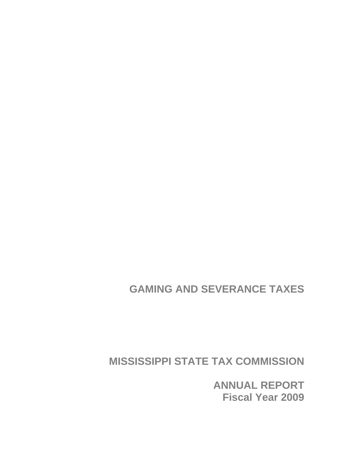# **GAMING AND SEVERANCE TAXES**

**MISSISSIPPI STATE TAX COMMISSION** 

**ANNUAL REPORT Fiscal Year 2009**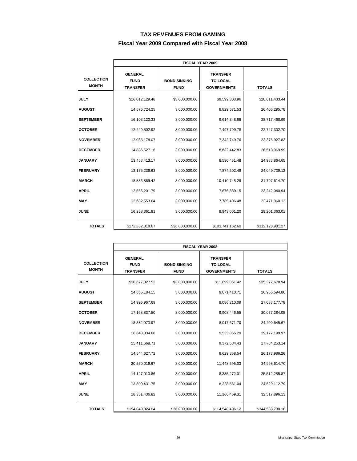### **TAX REVENUES FROM GAMING**

### **Fiscal Year 2009 Compared with Fiscal Year 2008**

|                                   | <b>FISCAL YEAR 2009</b>                          |                                    |                                                          |                  |  |  |
|-----------------------------------|--------------------------------------------------|------------------------------------|----------------------------------------------------------|------------------|--|--|
| <b>COLLECTION</b><br><b>MONTH</b> | <b>GENERAL</b><br><b>FUND</b><br><b>TRANSFER</b> | <b>BOND SINKING</b><br><b>FUND</b> | <b>TRANSFER</b><br><b>TO LOCAL</b><br><b>GOVERNMENTS</b> | <b>TOTALS</b>    |  |  |
| <b>JULY</b>                       | \$3,000,000.00<br>\$16,012,129.48                |                                    | \$9,599,303.96                                           | \$28,611,433.44  |  |  |
| <b>AUGUST</b>                     | 14,576,724.25                                    | 3,000,000.00                       | 8,829,571.53                                             | 26,406,295.78    |  |  |
| <b>SEPTEMBER</b>                  | 16,103,120.33                                    | 3,000,000.00                       | 9,614,348.66                                             | 28,717,468.99    |  |  |
| <b>OCTOBER</b>                    | 12,249,502.92                                    | 3,000,000.00                       | 7,497,799.78                                             | 22,747,302.70    |  |  |
| <b>NOVEMBER</b>                   | 12,033,178.07                                    |                                    | 7,342,749.76                                             | 22,375,927.83    |  |  |
| <b>DECEMBER</b>                   | 3,000,000.00<br>14,886,527.16                    |                                    | 8,632,442.83                                             | 26,518,969.99    |  |  |
| <b>JANUARY</b>                    | 13,453,413.17                                    | 3,000,000.00                       | 8,530,451.48                                             | 24,983,864.65    |  |  |
| <b>FEBRUARY</b>                   | 13,175,236.63                                    | 3,000,000.00                       | 7,874,502.49                                             | 24,049,739.12    |  |  |
| <b>MARCH</b>                      | 18,386,869.42                                    | 3,000,000.00                       | 10,410,745.28                                            | 31,797,614.70    |  |  |
| <b>APRIL</b>                      | 12,565,201.79                                    | 3,000,000.00                       | 7,676,839.15                                             | 23,242,040.94    |  |  |
| <b>MAY</b>                        | 12,682,553.64<br>3,000,000.00                    |                                    | 7,789,406.48                                             | 23,471,960.12    |  |  |
| <b>JUNE</b>                       | 16,258,361.81                                    | 3,000,000.00                       | 9,943,001.20                                             | 29,201,363.01    |  |  |
| <b>TOTALS</b>                     | \$172,382,818.67                                 | \$36,000,000.00                    | \$103,741,162.60                                         | \$312,123,981.27 |  |  |

|                                   | <b>FISCAL YEAR 2008</b>                          |                                    |                                                          |                  |  |  |
|-----------------------------------|--------------------------------------------------|------------------------------------|----------------------------------------------------------|------------------|--|--|
| <b>COLLECTION</b><br><b>MONTH</b> | <b>GENERAL</b><br><b>FUND</b><br><b>TRANSFER</b> | <b>BOND SINKING</b><br><b>FUND</b> | <b>TRANSFER</b><br><b>TO LOCAL</b><br><b>GOVERNMENTS</b> | <b>TOTALS</b>    |  |  |
| <b>JULY</b>                       | \$20,677,827.52                                  | \$3,000,000.00                     | \$11,699,851.42                                          | \$35,377,678.94  |  |  |
| <b>AUGUST</b>                     | 14,885,184.15                                    | 3,000,000.00                       | 9,071,410.71                                             | 26,956,594.86    |  |  |
| <b>SEPTEMBER</b>                  | 14,996,967.69                                    | 3,000,000.00                       | 9,086,210.09                                             | 27,083,177.78    |  |  |
| <b>OCTOBER</b>                    | 17,168,837.50                                    | 3,000,000.00                       | 9,908,446.55                                             | 30,077,284.05    |  |  |
| <b>NOVEMBER</b>                   | 13,382,973.97                                    | 3,000,000.00                       | 8,017,671.70                                             | 24,400,645.67    |  |  |
| <b>DECEMBER</b>                   | 16,643,334.68                                    | 3,000,000.00                       | 9,533,865.29                                             | 29,177,199.97    |  |  |
| <b>JANUARY</b>                    | 15,411,668.71                                    | 3,000,000.00                       | 9,372,584.43                                             | 27,784,253.14    |  |  |
| <b>FEBRUARY</b>                   | 14,544,627.72                                    | 3,000,000.00                       | 8,629,358.54                                             | 26,173,986.26    |  |  |
| <b>MARCH</b>                      | 20,550,019.67                                    | 3,000,000.00                       | 11,448,595.03                                            | 34,998,614.70    |  |  |
| <b>APRIL</b>                      | 14,127,013.86                                    | 3,000,000.00                       | 8,385,272.01                                             | 25,512,285.87    |  |  |
| <b>MAY</b>                        | 13,300,431.75                                    | 3,000,000.00                       | 8,228,681.04                                             | 24,529,112.79    |  |  |
| <b>JUNE</b>                       | 18,351,436.82                                    | 3,000,000.00                       | 11,166,459.31                                            | 32,517,896.13    |  |  |
| <b>TOTALS</b>                     | \$194,040,324.04                                 | \$36,000,000.00                    | \$114,548,406.12                                         | \$344,588,730.16 |  |  |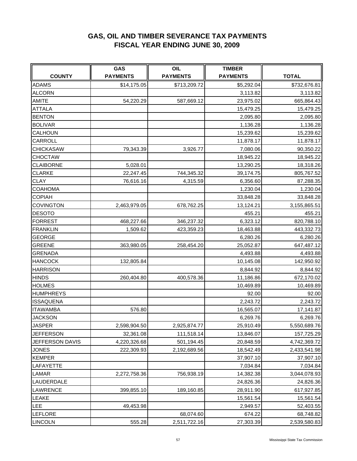# **GAS, OIL AND TIMBER SEVERANCE TAX PAYMENTS FISCAL YEAR ENDING JUNE 30, 2009**

|                  | <b>GAS</b>      | OIL             | <b>TIMBER</b>   |              |  |
|------------------|-----------------|-----------------|-----------------|--------------|--|
| <b>COUNTY</b>    | <b>PAYMENTS</b> | <b>PAYMENTS</b> | <b>PAYMENTS</b> | <b>TOTAL</b> |  |
| <b>ADAMS</b>     | \$14,175.05     | \$713,209.72    | \$5,292.04      | \$732,676.81 |  |
| <b>ALCORN</b>    |                 |                 | 3,113.82        | 3,113.82     |  |
| <b>AMITE</b>     | 54,220.29       | 587,669.12      | 23,975.02       | 665,864.43   |  |
| <b>ATTALA</b>    |                 |                 | 15,479.25       | 15,479.25    |  |
| <b>BENTON</b>    |                 |                 | 2,095.80        | 2,095.80     |  |
| <b>BOLIVAR</b>   |                 |                 | 1,136.28        | 1,136.28     |  |
| CALHOUN          |                 |                 | 15,239.62       | 15,239.62    |  |
| CARROLL          |                 |                 | 11,878.17       | 11,878.17    |  |
| <b>CHICKASAW</b> | 79,343.39       | 3,926.77        | 7,080.06        | 90,350.22    |  |
| <b>CHOCTAW</b>   |                 |                 | 18,945.22       | 18,945.22    |  |
| <b>CLAIBORNE</b> | 5,028.01        |                 | 13,290.25       | 18,318.26    |  |
| <b>CLARKE</b>    | 22,247.45       | 744,345.32      | 39,174.75       | 805,767.52   |  |
| <b>CLAY</b>      | 76,616.16       | 4,315.59        | 6,356.60        | 87,288.35    |  |
| COAHOMA          |                 |                 | 1,230.04        | 1,230.04     |  |
| <b>COPIAH</b>    |                 |                 | 33,848.28       | 33,848.28    |  |
| <b>COVINGTON</b> | 2,463,979.05    | 678,762.25      | 13,124.21       | 3,155,865.51 |  |
| <b>DESOTO</b>    |                 |                 | 455.21          | 455.21       |  |
| <b>FORREST</b>   | 468,227.66      | 346,237.32      | 6,323.12        | 820,788.10   |  |
| <b>FRANKLIN</b>  | 1,509.62        | 423,359.23      | 18,463.88       | 443,332.73   |  |
| <b>GEORGE</b>    |                 |                 | 6,280.26        | 6,280.26     |  |
| <b>GREENE</b>    | 363,980.05      | 258,454.20      | 25,052.87       | 647,487.12   |  |
| <b>GRENADA</b>   |                 |                 | 4,493.88        | 4,493.88     |  |
| <b>HANCOCK</b>   | 132,805.84      |                 | 10,145.08       | 142,950.92   |  |
| <b>HARRISON</b>  |                 |                 | 8,844.92        | 8,844.92     |  |
| <b>HINDS</b>     | 260,404.80      | 400,578.36      | 11,186.86       | 672,170.02   |  |
| <b>HOLMES</b>    |                 |                 | 10,469.89       | 10,469.89    |  |
| <b>HUMPHREYS</b> |                 |                 | 92.00           | 92.00        |  |
| <b>ISSAQUENA</b> |                 |                 | 2,243.72        | 2,243.72     |  |
| <b>ITAWAMBA</b>  | 576.80          |                 | 16,565.07       | 17,141.87    |  |
| <b>JACKSON</b>   |                 |                 | 6,269.76        | 6,269.76     |  |
| <b>JASPER</b>    | 2,598,904.50    | 2,925,874.77    | 25,910.49       | 5,550,689.76 |  |
| <b>JEFFERSON</b> | 32,361.08       | 111,518.14      | 13,846.07       | 157,725.29   |  |
| JEFFERSON DAVIS  | 4,220,326.68    | 501,194.45      | 20,848.59       | 4,742,369.72 |  |
| <b>JONES</b>     | 222,309.93      | 2,192,689.56    | 18,542.49       | 2,433,541.98 |  |
| <b>KEMPER</b>    |                 |                 | 37,907.10       | 37,907.10    |  |
| LAFAYETTE        |                 |                 | 7,034.84        | 7,034.84     |  |
| LAMAR            | 2,272,758.36    | 756,938.19      | 14,382.38       | 3,044,078.93 |  |
| LAUDERDALE       |                 |                 | 24,826.36       | 24,826.36    |  |
| <b>LAWRENCE</b>  | 399,855.10      | 189,160.85      | 28,911.90       | 617,927.85   |  |
| <b>LEAKE</b>     |                 |                 | 15,561.54       | 15,561.54    |  |
| <b>LEE</b>       | 49,453.98       |                 | 2,949.57        | 52,403.55    |  |
| <b>LEFLORE</b>   |                 | 68,074.60       | 674.22          | 68,748.82    |  |
| <b>LINCOLN</b>   | 555.28          | 2,511,722.16    | 27,303.39       | 2,539,580.83 |  |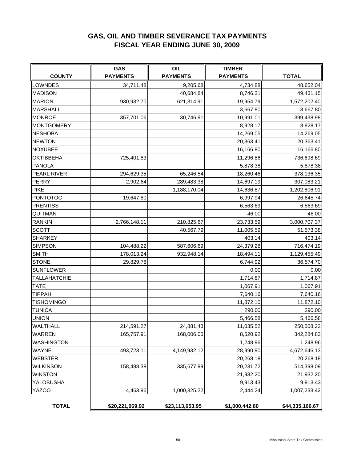# **GAS, OIL AND TIMBER SEVERANCE TAX PAYMENTS FISCAL YEAR ENDING JUNE 30, 2009**

| <b>COUNTY</b>       | GAS<br><b>PAYMENTS</b> | <b>OIL</b><br><b>PAYMENTS</b> | <b>TIMBER</b><br><b>PAYMENTS</b> | <b>TOTAL</b>    |  |
|---------------------|------------------------|-------------------------------|----------------------------------|-----------------|--|
| <b>LOWNDES</b>      | 34,711.48              | 9,205.68                      | 4,734.88                         | 48,652.04       |  |
| <b>MADISON</b>      |                        | 40,684.84                     | 8,746.31                         | 49,431.15       |  |
| <b>MARION</b>       | 930,932.70             | 621,314.91                    | 19,954.79                        | 1,572,202.40    |  |
| <b>MARSHALL</b>     |                        |                               | 3,667.80                         | 3,667.80        |  |
| <b>MONROE</b>       | 357,701.06             | 30,746.91                     | 10,991.01                        | 399,438.98      |  |
| <b>MONTGOMERY</b>   |                        |                               | 8,928.17                         | 8,928.17        |  |
| <b>NESHOBA</b>      |                        |                               | 14,269.05                        | 14,269.05       |  |
| <b>NEWTON</b>       |                        |                               | 20,363.41                        | 20,363.41       |  |
| <b>NOXUBEE</b>      |                        |                               | 16,166.80                        | 16,166.80       |  |
| <b>OKTIBBEHA</b>    | 725,401.83             |                               | 11,296.86                        | 736,698.69      |  |
| <b>PANOLA</b>       |                        |                               | 5,878.38                         | 5,878.38        |  |
| PEARL RIVER         | 294,629.35             | 65,246.54                     | 18,260.46                        | 378,136.35      |  |
| PERRY               | 2,902.64               | 289,483.38                    | 14,697.19                        | 307,083.21      |  |
| <b>PIKE</b>         |                        | 1,188,170.04                  | 14,636.87                        | 1,202,806.91    |  |
| <b>PONTOTOC</b>     | 19,647.80              |                               | 6,997.94                         | 26,645.74       |  |
| <b>PRENTISS</b>     |                        |                               | 6,563.69                         | 6,563.69        |  |
| QUITMAN             |                        |                               | 46.00                            | 46.00           |  |
| <b>RANKIN</b>       | 2,766,148.11           | 210,825.67                    | 23,733.59                        | 3,000,707.37    |  |
| <b>SCOTT</b>        |                        | 40,567.79                     | 11,005.59                        | 51,573.38       |  |
| <b>SHARKEY</b>      |                        |                               | 403.14                           | 403.14          |  |
| <b>SIMPSON</b>      | 104,488.22             | 587,606.69                    | 24,379.28                        | 716,474.19      |  |
| <b>SMITH</b>        | 178,013.24             | 932,948.14                    | 18,494.11                        | 1,129,455.49    |  |
| <b>STONE</b>        | 29,829.78              |                               | 6,744.92                         | 36,574.70       |  |
| <b>SUNFLOWER</b>    |                        |                               | 0.00                             | 0.00            |  |
| <b>TALLAHATCHIE</b> |                        |                               | 1,714.87                         | 1,714.87        |  |
| <b>TATE</b>         |                        |                               | 1,067.91                         | 1,067.91        |  |
| <b>TIPPAH</b>       |                        |                               | 7,640.16                         | 7,640.16        |  |
| <b>TISHOMINGO</b>   |                        |                               | 11,872.10                        | 11,872.10       |  |
| <b>TUNICA</b>       |                        |                               | 290.00                           | 290.00          |  |
| <b>UNION</b>        |                        |                               | 5,466.58                         | 5,466.58        |  |
| <b>WALTHALL</b>     | 214,591.27             | 24,881.43                     | 11,035.52                        | 250,508.22      |  |
| <b>WARREN</b>       | 165,757.91             | 168,006.00                    | 8,520.92                         | 342,284.83      |  |
| <b>WASHINGTON</b>   |                        |                               | 1,248.96                         | 1,248.96        |  |
| <b>WAYNE</b>        | 493,723.11             | 4,149,932.12                  | 28,990.90                        | 4,672,646.13    |  |
| <b>WEBSTER</b>      |                        |                               | 20,268.18                        | 20,268.18       |  |
| <b>WILKINSON</b>    | 158,488.38             | 335,677.99                    | 20,231.72                        | 514,398.09      |  |
| <b>WINSTON</b>      |                        |                               | 21,932.20                        | 21,932.20       |  |
| YALOBUSHA           |                        |                               | 9,913.43                         | 9,913.43        |  |
| YAZOO               | 4,463.96               | 1,000,325.22                  | 2,444.24                         | 1,007,233.42    |  |
| <b>TOTAL</b>        | \$20,221,069.92        | \$23,113,653.95               | \$1,000,442.80                   | \$44,335,166.67 |  |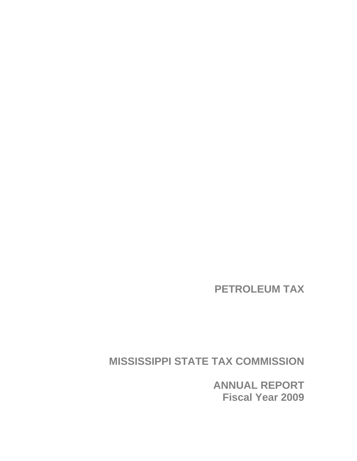**PETROLEUM TAX** 

**MISSISSIPPI STATE TAX COMMISSION** 

**ANNUAL REPORT Fiscal Year 2009**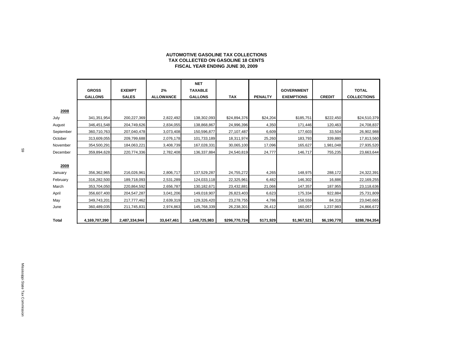| AUTOMOTIVE GASOLINE TAX COLLECTIONS     |
|-----------------------------------------|
| TAX COLLECTED ON GASOLINE 18 CENTS      |
| <b>FISCAL YEAR ENDING JUNE 30, 2009</b> |

|              |                |               |                  | <b>NET</b>     |               |                |                   |               |                    |
|--------------|----------------|---------------|------------------|----------------|---------------|----------------|-------------------|---------------|--------------------|
|              | <b>GROSS</b>   | <b>EXEMPT</b> | 2%               | <b>TAXABLE</b> |               |                | <b>GOVERNMENT</b> |               | <b>TOTAL</b>       |
|              | <b>GALLONS</b> | <b>SALES</b>  | <b>ALLOWANCE</b> | <b>GALLONS</b> | <b>TAX</b>    | <b>PENALTY</b> | <b>EXEMPTIONS</b> | <b>CREDIT</b> | <b>COLLECTIONS</b> |
|              |                |               |                  |                |               |                |                   |               |                    |
| 2008         |                |               |                  |                |               |                |                   |               |                    |
| July         | 341, 351, 954  | 200,227,369   | 2,822,492        | 138,302,093    | \$24,894,376  | \$24,204       | \$185,751         | \$222,450     | \$24,510,379       |
| August       | 346,451,548    | 204,749,626   | 2,834,055        | 138,868,867    | 24,996,396    | 4,350          | 171,446           | 120,463       | 24,708,837         |
| September    | 360,710,763    | 207,040,478   | 3,073,408        | 150,596,877    | 27,107,487    | 6,609          | 177,603           | 33,504        | 26,902,988         |
| October      | 313,609,055    | 209,799,688   | 2,076,178        | 101,733,189    | 18,311,974    | 25,260         | 183,793           | 339,880       | 17,813,560         |
| November     | 354,500,291    | 184,063,221   | 3,408,739        | 167,028,331    | 30,065,100    | 17,096         | 165,627           | 1,981,048     | 27,935,520         |
| December     | 359,894,628    | 220,774,336   | 2,782,408        | 136,337,884    | 24,540,819    | 24,777         | 146,717           | 755,235       | 23,663,644         |
|              |                |               |                  |                |               |                |                   |               |                    |
| 2009         |                |               |                  |                |               |                |                   |               |                    |
| January      | 356,362,965    | 216,026,961   | 2,806,717        | 137,529,287    | 24,755,272    | 4,265          | 148,975           | 288,172       | 24,322,391         |
| February     | 316,282,500    | 189,718,093   | 2,531,289        | 124,033,118    | 22,325,961    | 6,482          | 146,302           | 16,886        | 22,169,255         |
| March        | 353,704,050    | 220,864,592   | 2,656,787        | 130, 182, 671  | 23,432,881    | 21,066         | 147,357           | 187,955       | 23,118,636         |
| April        | 356,607,400    | 204,547,287   | 3,041,206        | 149,018,907    | 26,823,403    | 6,623          | 175,334           | 922,884       | 25,731,809         |
| May          | 349,743,201    | 217,777,462   | 2,639,319        | 129,326,420    | 23,278,755    | 4,786          | 158,559           | 84,316        | 23,040,665         |
| June         | 360,489,035    | 211,745,831   | 2,974,863        | 145,768,339    | 26,238,301    | 26,412         | 160,057           | 1,237,983     | 24,866,672         |
|              |                |               |                  |                |               |                |                   |               |                    |
| <b>Total</b> | 4,169,707,390  | 2,487,334,944 | 33,647,461       | 1,648,725,983  | \$296,770,724 | \$171,929      | \$1,967,521       | \$6,190,778   | \$288,784,354      |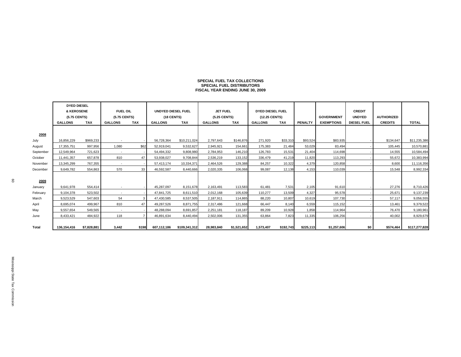# **SPECIAL FUEL TAX COLLECTIONSSPECIAL FUEL DISTRIBUTORS FISCAL YEAR ENDING JUNE 30, 2009**

|           | <b>DYED DIESEL</b> |             |                          |            |                    |               |                 |             |                  |            |                |                   |                    |                   |               |
|-----------|--------------------|-------------|--------------------------|------------|--------------------|---------------|-----------------|-------------|------------------|------------|----------------|-------------------|--------------------|-------------------|---------------|
|           | & KEROSENE         |             | <b>FUEL OIL</b>          |            | UNDYED DIESEL FUEL |               | <b>JET FUEL</b> |             | DYED DIESEL FUEL |            |                |                   | <b>CREDIT</b>      |                   |               |
|           | (5.75 CENTS)       |             | (5.75 CENTS)             |            | (18 CENTS)         |               | (5.25 CENTS)    |             | (12.25 CENTS)    |            |                | <b>GOVERNMENT</b> | <b>UNDYED</b>      | <b>AUTHORIZED</b> |               |
|           | <b>GALLONS</b>     | TAX         | <b>GALLONS</b>           | <b>TAX</b> | <b>GALLONS</b>     | <b>TAX</b>    | <b>GALLONS</b>  | <b>TAX</b>  | <b>GALLONS</b>   | <b>TAX</b> | <b>PENALTY</b> | <b>EXEMPTIONS</b> | <b>DIESEL FUEL</b> | <b>CREDITS</b>    | <b>TOTAL</b>  |
|           |                    |             |                          |            |                    |               |                 |             |                  |            |                |                   |                    |                   |               |
| 2008      |                    |             |                          |            |                    |               |                 |             |                  |            |                |                   |                    |                   |               |
| July      | 16.856.229         | \$969,233   |                          |            | 56,728,364         | \$10,211,024  | 2.797.643       | \$146,876   | 271.920          | \$33,310   | \$93,524       | \$83,935          |                    | \$134,647         | \$11,235,386  |
| August    | 17,355,751         | 997.956     | 1.080                    | \$62       | 52.919.041         | 9.532.627     | 2.945.921       | 154.661     | 175.383          | 21,484     | 53.029         | 83.494            |                    | 105.445           | 10,570,881    |
| September | 12,549,964         | 721,623     | $\sim$                   |            | 54,494,332         | 9,808,980     | 2,784,953       | 146,210     | 126,783          | 15,531     | 21,404         | 114,698           |                    | 14,555            | 10,584,494    |
| October   | 11,441,357         | 657.878     | 810                      | 47         | 53.938.027         | 9.708.844     | 2,536,219       | 133,152     | 336.479          | 41,219     | 11,820         | 113.293           |                    | 55.672            | 10,383,994    |
| November  | 13,345,299         | 767,355     | $\sim$                   |            | 57,413,174         | 10,334,371    | 2,464,526       | 129,388     | 84,257           | 10,322     | 4,379          | 120,858           |                    | 8,600             | 11,116,356    |
| December  | 9.649.782          | 554.863     | 570                      | 33         | 46.592.587         | 8.440.666     | 2,020,335       | 106,068     | 99.087           | 12,138     | 4,153          | 110.039           |                    | 15,548            | 8,992,334     |
|           |                    |             |                          |            |                    |               |                 |             |                  |            |                |                   |                    |                   |               |
| 2009      |                    |             |                          |            |                    |               |                 |             |                  |            |                |                   |                    |                   |               |
| January   | 9.641.978          | 554.414     | $\overline{\phantom{a}}$ |            | 45.287.097         | 8.151.678     | 2,163,491       | 113,583     | 61,481           | 7,531      | 2,105          | 91.610            |                    | 27.276            | 8,710,426     |
| February  | 9,104,378          | 523,502     | $\overline{\phantom{a}}$ |            | 47,841,725         | 8.611.510     | 2,012,168       | 105,639     | 110.277          | 13.509     | 4,327          | 95.578            |                    | 25.671            | 9,137,239     |
| March     | 9.523.529          | 547.603     | 54                       |            | 47,430,585         | 8,537,505     | 2,187,911       | 114,865     | 88,220           | 10,807     | 10,619         | 107.730           |                    | 57.117            | 9,056,555     |
| April     | 8,695,074          | 499,967     | 810                      | 47         | 49,287,526         | 8,871,755     | 2,317,486       | 121,668     | 66,447           | 8,140      | 6,559          | 115,152           |                    | 13,461            | 9,379,522     |
| May       | 9.557.654          | 549.565     | $\sim$                   |            | 48.288.094         | 8.691.857     | 2.251.181       | 118,187     | 89.209           | 10,928     | 1,858          | 114.964           |                    | 76.470            | 9,180,961     |
| June      | 8,433,421          | 484,922     | 118                      |            | 46,891,634         | 8,440,494     | 2,502,006       | 131,355     | 63,864           | 7,823      | 11,335         | 106,256           |                    | 40,002            | 8,929,679     |
|           |                    |             |                          |            |                    |               |                 |             |                  |            |                |                   |                    |                   |               |
| Total     | 136,154,416        | \$7,828,881 | 3,442                    | \$198      | 607,112,186        | \$109,341,312 | 28,983,840      | \$1,521,652 | 1,573,407        | \$192,743  | \$225,113      | \$1,257,606       | \$0                | \$574,464         | \$117,277,828 |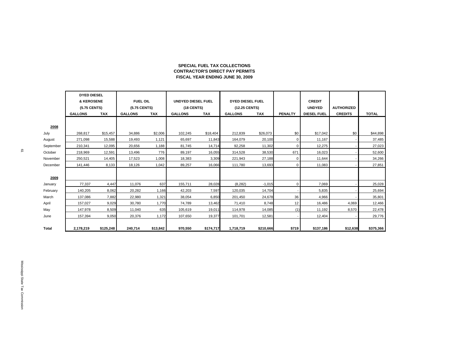### **SPECIAL FUEL TAX COLLECTIONS CONTRACTOR'S DIRECT PAY PERMITSFISCAL YEAR ENDING JUNE 30, 2009**

|           | <b>DYED DIESEL</b> |           |                 |            |                           |            |                         |           |                |                    |                   |              |
|-----------|--------------------|-----------|-----------------|------------|---------------------------|------------|-------------------------|-----------|----------------|--------------------|-------------------|--------------|
|           | & KEROSENE         |           | <b>FUEL OIL</b> |            | <b>UNDYED DIESEL FUEL</b> |            | <b>DYED DIESEL FUEL</b> |           |                | <b>CREDIT</b>      |                   |              |
|           | (5.75 CENTS)       |           | (5.75 CENTS)    |            | (18 CENTS)                |            | (12.25 CENTS)           |           |                | <b>UNDYED</b>      | <b>AUTHORIZED</b> |              |
|           | <b>GALLONS</b>     | TAX       | <b>GALLONS</b>  | <b>TAX</b> | <b>GALLONS</b>            | <b>TAX</b> | <b>GALLONS</b>          | TAX       | <b>PENALTY</b> | <b>DIESEL FUEL</b> | <b>CREDITS</b>    | <b>TOTAL</b> |
|           |                    |           |                 |            |                           |            |                         |           |                |                    |                   |              |
| 2008      |                    |           |                 |            |                           |            |                         |           |                |                    |                   |              |
| July      | 268.817            | \$15,457  | 34,886          | \$2,006    | 102,245                   | \$18,404   | 212,839                 | \$26,073  | \$0            | \$17,042           | \$0               | \$44,898     |
| August    | 271,098            | 15,588    | 19,493          | 1,121      | 65,697                    | 11,843     | 164,079                 | 20,100    | $\mathbf 0$    | 11,167             |                   | 37,485       |
| September | 210,341            | 12,095    | 20,656          | 1,188      | 81,745                    | 14,714     | 92,258                  | 11,302    | 0              | 12,275             |                   | 27,023       |
| October   | 218,969            | 12,591    | 13,496          | 776        | 89,197                    | 16,055     | 314,528                 | 38,530    | 671            | 16,023             |                   | 52,600       |
| November  | 250,521            | 14,405    | 17,523          | 1,008      | 18,383                    | 3,309      | 221,943                 | 27,188    | $\mathbf 0$    | 11,644             |                   | 34,266       |
| December  | 141,446            | 8,133     | 18,126          | 1,042      | 89,257                    | 16,066     | 111,780                 | 13,693    | 0              | 11,083             |                   | 27,851       |
|           |                    |           |                 |            |                           |            |                         |           |                |                    |                   |              |
| 2009      |                    |           |                 |            |                           |            |                         |           |                |                    |                   |              |
| January   | 77,337             | 4,447     | 11,076          | 637        | 155,711                   | 28,028     | (8, 282)                | $-1,015$  | 0              | 7,069              |                   | 25,028       |
| February  | 140,205            | 8,062     | 20,282          | 1.166      | 42,203                    | 7,597      | 120,035                 | 14,704    |                | 5,835              |                   | 25,694       |
| March     | 137,086            | 7,882     | 22,980          | 1,321      | 38,054                    | 6,850      | 201,450                 | 24,678    | 36             | 4,966              |                   | 35,801       |
| April     | 157,027            | 9,029     | 30,780          | 1.770      | 74,789                    | 13,462     | 71,410                  | 8,748     | 12             | 16,486             | 4,069             | 12,466       |
| May       | 147,978            | 8,509     | 11,040          | 635        | 105,619                   | 19,011     | 114,978                 | 14,085    | (1)            | 11,192             | 8,570             | 22,478       |
| June      | 157,394            | 9,050     | 20,376          | 1,172      | 107,650                   | 19,377     | 101,701                 | 12,581    |                | 12,404             |                   | 29,776       |
|           |                    |           |                 |            |                           |            |                         |           |                |                    |                   |              |
| Total     | 2,178,219          | \$125,248 | 240,714         | \$13,842   | 970,550                   | \$174,717  | 1,718,719               | \$210,666 | \$719          | \$137,186          | \$12,638          | \$375,366    |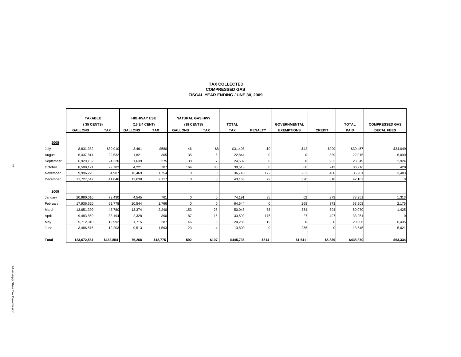### **TAX COLLECTED COMPRESSED GASFISCAL YEAR ENDING JUNE 30, 2009**

|           | <b>TAXABLE</b><br>(35 CENTS)<br><b>GALLONS</b> | <b>TAX</b> | <b>HIGHWAY USE</b><br>(16 3/4 CENT)<br><b>GALLONS</b> | <b>TAX</b> | <b>NATURAL GAS HWY</b><br>(18 CENTS)<br><b>GALLONS</b> | TAX            | <b>TOTAL</b><br><b>TAX</b> | <b>PENALTY</b> | <b>GOVERNMENTAL</b><br><b>EXEMPTIONS</b> | <b>CREDIT</b> | <b>TOTAL</b><br><b>PAID</b> | <b>COMPRESSED GAS</b><br><b>DECAL FEES</b> |
|-----------|------------------------------------------------|------------|-------------------------------------------------------|------------|--------------------------------------------------------|----------------|----------------------------|----------------|------------------------------------------|---------------|-----------------------------|--------------------------------------------|
| 2008      |                                                |            |                                                       |            |                                                        |                |                            |                |                                          |               |                             |                                            |
| July      | 8,831,332                                      | \$30,910   | 3,461                                                 | \$580      | 46                                                     | \$8            | \$31,498                   | \$0            | \$42                                     | \$999         | \$30,457                    | \$34,049                                   |
| August    | 6,437,814                                      | 22,532     | 1,821                                                 | 305        | 35                                                     | 6              | 22,844                     |                |                                          | 829           | 22,015                      | 6,090                                      |
| September | 6,920,132                                      | 24,220     | 1,639                                                 | 275        | 38                                                     | $\overline{7}$ | 24,502                     |                |                                          | 952           | 23,549                      | 2,924                                      |
| October   | 8,509,121                                      | 29,782     | 4,221                                                 | 707        | 164                                                    | 30             | 30,518                     |                | 60                                       | 243           | 30,216                      | 420                                        |
| November  | 9,996,225                                      | 34,987     | 10,469                                                | 1,754      | $\mathbf 0$                                            | 0              | 36,740                     | 172            | 252                                      | 460           | 36,201                      | 3,483                                      |
| December  | 11,727,517                                     | 41,046     | 12,638                                                | 2,117      | 0                                                      | 0              | 43,163                     | 79             | 320                                      | 816           | 42,107                      | $\Omega$                                   |
| 2009      |                                                |            |                                                       |            |                                                        |                |                            |                |                                          |               |                             |                                            |
| January   | 20,980,016                                     | 73,430     | 4,545                                                 | 761        | $\mathbf 0$                                            | $\Omega$       | 74,191                     | 95             | 62                                       | 973           | 73,251                      | 1,313                                      |
| February  | 17,936,620                                     | 62,778     | 10,544                                                | 1,766      | $\mathbf 0$                                            | 0              | 64,544                     |                | 268                                      | 373           | 63,903                      | 2,175                                      |
| March     | 13,651,399                                     | 47,780     | 13,374                                                | 2,240      | 153                                                    | 28             | 50,048                     | 73             | 354                                      | $-304$        | 50,070                      | 1,425                                      |
| April     | 9,483,859                                      | 33,194     | 2,328                                                 | 390        | 87                                                     | 16             | 33,599                     | 176            | 27                                       | 497           | 33,251                      | $\Omega$                                   |
| May       | 5,712,010                                      | 19,992     | 1,715                                                 | 287        | 46                                                     | 8              | 20,288                     | 19             |                                          |               | 20,306                      | 6,435                                      |
| June      | 3,486,516                                      | 12,203     | 9,513                                                 | 1,593      | 23                                                     | $\overline{4}$ | 13,800                     |                | 256                                      |               | 13,545                      | 5,021                                      |
| Total     | 123,672,561                                    | \$432,854  | 76,268                                                | \$12,775   | 592                                                    | \$107          | \$445,736                  | \$614          | \$1,641                                  | \$5,839       | \$438,870                   | \$63,334                                   |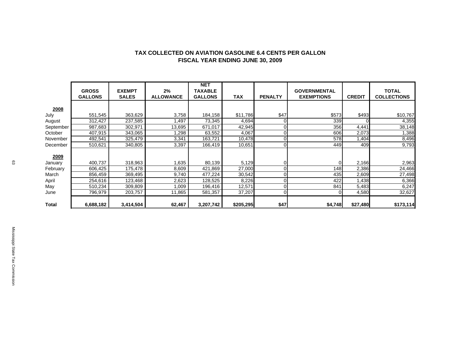|              | <b>GROSS</b><br><b>GALLONS</b> | <b>EXEMPT</b><br><b>SALES</b> | 2%<br><b>ALLOWANCE</b> | <b>NET</b><br><b>TAXABLE</b><br><b>GALLONS</b> | <b>TAX</b> | <b>PENALTY</b> | <b>GOVERNMENTAL</b><br><b>EXEMPTIONS</b> | <b>CREDIT</b> | <b>TOTAL</b><br><b>COLLECTIONS</b> |
|--------------|--------------------------------|-------------------------------|------------------------|------------------------------------------------|------------|----------------|------------------------------------------|---------------|------------------------------------|
| 2008         |                                |                               |                        |                                                |            |                |                                          |               |                                    |
| July         | 551,545                        | 363,629                       | 3,758                  | 184,158                                        | \$11,786   | \$47           | \$573                                    | \$493         | \$10,767                           |
| August       | 312,427                        | 237,585                       | ,497                   | 73,345                                         | 4,694      | 0              | 339                                      |               | 4,355                              |
| September    | 987,683                        | 302,971                       | 13,695                 | 671,017                                        | 42,945     | 0              | 356                                      | 4,441         | 38,148                             |
| October      | 407,915                        | 343,065                       | .298                   | 63,552                                         | 4,067      | 0              | 606                                      | 2,073         | 1,388                              |
| November     | 492,541                        | 325,479                       | 3,341                  | 163,721                                        | 10,478     |                | 578                                      | 1,404         | 8,496                              |
| December     | 510,621                        | 340,805                       | 3,397                  | 166,419                                        | 10,651     |                | 449                                      | 409           | 9,793                              |
| 2009         |                                |                               |                        |                                                |            |                |                                          |               |                                    |
| January      | 400,737                        | 318,963                       | .635                   | 80,139                                         | 5,129      |                |                                          | 2,166         | 2,963                              |
| February     | 606,425                        | 175,478                       | 8,609                  | 421,869                                        | 27,000     |                | 148                                      | 2,386         | 24,466                             |
| March        | 856,459                        | 369,495                       | 9,740                  | 477,224                                        | 30,542     |                | 435                                      | 2,609         | 27,498                             |
| April        | 254,616                        | 123,468                       | 2,623                  | 128,525                                        | 8,226      | 0              | 422                                      | 1,438         | 6,366                              |
| May          | 510,234                        | 309,809                       | 1,009                  | 196,416                                        | 12,571     |                | 841                                      | 5,483         | 6,247                              |
| June         | 796,979                        | 203,757                       | 11,865                 | 581,357                                        | 37,207     | 0              |                                          | 4,580         | 32,627                             |
| <b>Total</b> | 6,688,182                      | 3,414,504                     | 62,467                 | 3,207,742                                      | \$205,295  | \$47           | \$4,748                                  | \$27,480      | \$173,114                          |

### **TAX COLLECTED ON AVIATION GASOLINE 6.4 CENTS PER GALLON FISCAL YEAR ENDING JUNE 30, 2009**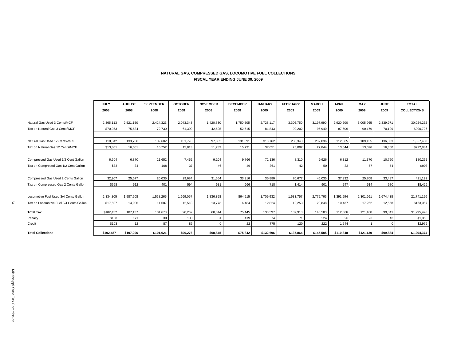### **NATURAL GAS, COMPRESSED GAS, LOCOMOTIVE FUEL COLLECTIONS FISCAL YEAR ENDING JUNE 30, 2009**

|    |                                         | <b>JULY</b><br>2008 | <b>AUGUST</b><br>2008 | <b>SEPTEMBER</b><br>2008 | <b>OCTOBER</b><br>2008 | <b>NOVEMBER</b><br>2008 | <b>DECEMBER</b><br>2008 | <b>JANUARY</b><br>2009 | <b>FEBRUARY</b><br>2009 | <b>MARCH</b><br>2009 | <b>APRIL</b><br>2009 | <b>MAY</b><br>2009 | <b>JUNE</b><br>2009 | <b>TOTAL</b><br><b>COLLECTIONS</b> |
|----|-----------------------------------------|---------------------|-----------------------|--------------------------|------------------------|-------------------------|-------------------------|------------------------|-------------------------|----------------------|----------------------|--------------------|---------------------|------------------------------------|
|    | Natural Gas Used 3 Cents\MCF            | 2,365,113           | 2,521,150             | 2,424,323                | 2,043,348              | 1,420,830               | 1,750,505               | 2,728,117              | 3,306,750               | 3,197,990            | 2,920,200            | 3,005,965          | 2,339,971           | 30,024,262                         |
|    | Tax on Natural Gas 3 Cents\MCF          | \$70,953            | 75,634                | 72.730                   | 61,300                 | 42,625                  | 52,515                  | 81,843                 | 99,202                  | 95,940               | 87,606               | 90,179             | 70,199              | \$900,726                          |
|    |                                         |                     |                       |                          |                        |                         |                         |                        |                         |                      |                      |                    |                     |                                    |
|    | Natural Gas Used 12 Cents\MCF           | 110.842             | 133,756               | 139.602                  | 131,778                | 97,882                  | 131,091                 | 313.762                | 208.348                 | 232,036              | 112,865              | 109,135            | 136,333             | 1,857,430                          |
|    | Tax on Natural Gas 12 Cents\MCF         | \$13,301            | 16,051                | 16,752                   | 15,813                 | 11,739                  | 15,731                  | 37,651                 | 25,002                  | 27,844               | 13,544               | 13,096             | 16,360              | \$222,884                          |
|    |                                         |                     |                       |                          |                        |                         |                         |                        |                         |                      |                      |                    |                     |                                    |
|    | Compressed Gas Used 1/2 Cent Gallon     | 6.604               | 6,870                 | 21.652                   | 7,452                  | 9,104                   | 9,766                   | 72.136                 | 8,310                   | 9,926                | 6,312                | 11,370             | 10,750              | 180,252                            |
|    | Tax on Compresed Gas 1/2 Cent Gallon    | \$33                | 34                    | 108                      | 37                     | 46                      | 49                      | 361                    | 42                      | 50                   | 32                   | 57                 | 54                  | \$903                              |
|    |                                         |                     |                       |                          |                        |                         |                         |                        |                         |                      |                      |                    |                     |                                    |
|    | Compressed Gas Used 2 Cents Gallon      | 32,907              | 25,577                | 20,035                   | 29,684                 | 31,554                  | 33,316                  | 35,880                 | 70,677                  | 45,035               | 37,332               | 25,708             | 33,487              | 421,192                            |
|    | Tax on Compressed Gas 2 Cents Gallon    | \$658               | 512                   | 401                      | 594                    | 631                     | 666                     | 718                    | 1,414                   | 901                  | 747                  | 514                | 670                 | \$8,426                            |
|    |                                         |                     |                       |                          |                        |                         |                         |                        |                         |                      |                      |                    |                     |                                    |
|    | Locomotive Fuel Used 3/4 Cents Gallon   | 2,334,305           | 1,987,508             | 1,558,265                | 1,669,097              | 1,836,358               | 864,515                 | 1,709,932              | 1,633,757               | 2,779,766            | 1,391,594            | 2,301,661          | 1,674,438           | 21,741,196                         |
| 54 | Tax on Locomotive Fuel 3/4 Cents Gallon | \$17,507            | 14,906                | 11,687                   | 12,518                 | 13,773                  | 6,484                   | 12,824                 | 12,253                  | 20,848               | 10,437               | 17,262             | 12,558              | \$163,057                          |
|    | <b>Total Tax</b>                        | \$102,452           | 107,137               | 101,678                  | 90,262                 | 68,814                  | 75,445                  | 133,397                | 137,913                 | 145,583              | 112,366              | 121,108            | 99,841              | \$1,295,996                        |
|    | Penalty                                 | \$138               | 171                   | 30                       | 100                    | 31                      | 419                     | 74                     | 71                      | 224                  | 26                   | 23                 | 43                  | \$1,350                            |
|    | Credit                                  | \$103               | 12                    | 87                       | 86                     | $\Omega$                | 22                      | 775                    | 120                     | 222                  | 1.544                |                    | $\mathbf 0$         | \$2,972                            |
|    | <b>Total Collections</b>                | \$102,487           | \$107,296             | \$101,621                | \$90,276               | \$68,845                | \$75,842                | \$132,696              | \$137,864               | \$145,585            | \$110,848            | \$121,130          | \$99,884            | \$1,294,374                        |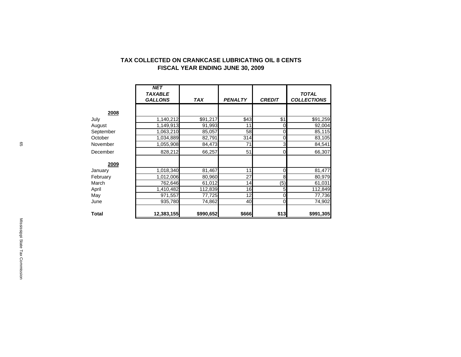|              | <b>NET</b><br><b>TAXABLE</b><br><b>GALLONS</b> | <b>TAX</b> | <b>PENALTY</b> | <b>CREDIT</b>  | <b>TOTAL</b><br><b>COLLECTIONS</b> |
|--------------|------------------------------------------------|------------|----------------|----------------|------------------------------------|
| 2008         |                                                |            |                |                |                                    |
| July         | 1,140,212                                      | \$91,217   | \$43           | \$1            | \$91,259                           |
| August       | 1,149,913                                      | 91,993     | 11             | 0              | 92,004                             |
| September    | 1,063,210                                      | 85,057     | 58             | 0              | 85,115                             |
| October      | 1,034,889                                      | 82,791     | 314            | 0              | 83,105                             |
| November     | 1,055,908                                      | 84,473     | 71             | $\overline{3}$ | 84,541                             |
| December     | 828,212                                        | 66,257     | 51             | $\Omega$       | 66,307                             |
| 2009         |                                                |            |                |                |                                    |
| January      | 1,018,340                                      | 81,467     | 11             | $\overline{0}$ | 81,477                             |
| February     | 1,012,006                                      | 80,960     | 27             | 8              | 80,979                             |
| March        | 762,646                                        | 61,012     | 14             | (5)            | 61,031                             |
| April        | 1,410,482                                      | 112,839    | 16             | 5              | 112,849                            |
| May          | 971,557                                        | 77,725     | 12             | 0              | 77,736                             |
| June         | 935,780                                        | 74,862     | 40             | $\overline{0}$ | 74,902                             |
| <b>Total</b> | 12,383,155                                     | \$990,652  | <b>\$666</b>   | \$13]          | \$991,305                          |

### **TAX COLLECTED ON CRANKCASE LUBRICATING OIL 8 CENTS FISCAL YEAR ENDING JUNE 30, 2009**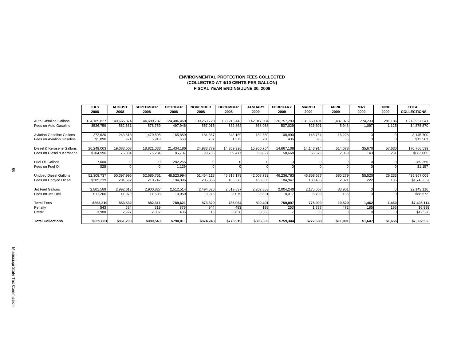### **ENVIRONMENTAL PROTECTION FEES COLLECTED(COLLECTED AT 4/10 CENTS PER GALLON) FISCAL YEAR ENDING JUNE 30, 2009**

|                                  | <b>JULY</b> | <b>AUGUST</b> | <b>SEPTEMBER</b> | <b>OCTOBER</b> | <b>NOVEMBER</b> | <b>DECEMBER</b> | <b>JANUARY</b> | <b>FEBRUARY</b> | <b>MARCH</b> | <b>APRIL</b> | <b>MAY</b> | <b>JUNE</b> | <b>TOTAL</b>       |
|----------------------------------|-------------|---------------|------------------|----------------|-----------------|-----------------|----------------|-----------------|--------------|--------------|------------|-------------|--------------------|
|                                  | 2008        | 2008          | 2008             | 2008           | 2008            | 2008            | 2009           | 2009            | 2009         | 2009         | 2009       | 2009        | <b>COLLECTIONS</b> |
|                                  |             |               |                  |                |                 |                 |                |                 |              |              |            |             |                    |
| Auto Gasoline Gallons            | 134,189,827 | 140,665,374   | 144,689,787      | 124,486,459    | 139,253,723     | 133,215,448     | 142,017,034    | 126,757,293     | 131,650,40   | 1,487,076    | 274,233    | 281,186     | 1,218,967,841      |
| Fees on Auto Gasoline            | \$536,759   | 562,661       | 578,759          | 497,946        | 557,015         | 532,862         | 568,068        | 507,029         | 526,60       | 5,948        | 1,097      | 1.125       | \$4,875,870        |
|                                  |             |               |                  |                |                 |                 |                |                 |              |              |            |             |                    |
| <b>Aviation Gasoline Gallons</b> | 272,620     | 243,618       | 1,479,505        | 165,859        | 184,367         | 343,189         | 182,560        | 108,990         | 148,764      | 16,228       |            |             | 3,145,700          |
| Fees on Aviation Gasoline        | \$1,090     | 974           | 5,918            | 663            | 737             | 1,373           | 730            | 436             | 595          | 65           |            |             | \$12,583           |
|                                  |             |               |                  |                |                 |                 |                |                 |              |              |            |             |                    |
| Diesel & Kerosene Gallons        | 26,249,003  | 19,083,508    | 18,821,033       | 21,434,186     | 24,933,779      | 14,869,326      | 15,956,764     | 14,667,108      | 14,143,914   | 514,678      | 35,670     | 57,630      | 170,766,599        |
| Fees on Diesel & Kerosene        | \$104,996   | 76,334        | 75,284           | 85,737         | 99,735          | 59,477          | 63,827         | 58,668          | 56,576       | 2,059        | 143        | 231         | \$683,065          |
|                                  |             |               |                  |                |                 |                 |                |                 |              |              |            |             |                    |
| Fuel Oil Gallons                 | 7,000       |               |                  | 282,255        |                 |                 |                |                 |              |              |            |             | 289,255            |
| Fees on Fuel Oil                 | \$28        |               |                  | 1.129          |                 |                 |                |                 |              |              |            |             | \$1,157            |
|                                  |             |               |                  |                |                 |                 |                |                 |              |              |            |             |                    |
| <b>Undyed Diesel Gallons</b>     | 52,309,737  | 50,397,995    | 52,686,751       | 48,523,994     | 51,464,118      | 45,818,179      | 42,008,732     | 46,236,783      | 45,858,687   | 580,279      | 55,520     | 26,233      | 435,967,008        |
| Fees on Undyed Diesel            | \$209,239   | 201,592       | 210,747          | 194,096        | 205,856         | 183,273         | 168,035        | 184,947         | 183,435      | 2,321        | 222        | 105         | \$1,743,867        |
|                                  |             |               |                  |                |                 |                 |                |                 |              |              |            |             |                    |
| Jet Fuel Gallons                 | 2,801,589   | 2,992,612     | 2,900,827        | 2,512,514      | 2,494,026       | 2,019,837       | 2,207,863      | 2,004,240       | 2,175,657    | 33,951       |            |             | 22,143,116         |
| Fees on Jet Fuel                 | \$11,206    | 11,970        | 11,603           | 10,050         | 9,976           | 8,079           | 8,831          | 8,017           | 8,703        | 136          |            |             | \$88,572           |
|                                  |             |               |                  |                |                 |                 |                |                 |              |              |            |             |                    |
| <b>Total Fees</b>                | \$863,319   | 853,532       | 882,311          | 789,621        | 873,320         | 785,064         | 809,491        | 759,097         | 775,909      | 10,529       | 1,462      | 1,460       | \$7,405,114        |
| Penalty                          | 543         | 684           | 319              | 876            | 944             | 493             | 198            | 253             | 1,837        | 472          | 185        | 195         | \$6,999            |
| Credit                           | 3,980       | 2,927         | 2,087            | 486            |                 | 6,638           | 3,383          |                 | 58           |              |            |             | \$19,580           |
|                                  |             |               |                  |                |                 |                 |                |                 |              |              |            |             |                    |
| <b>Total Collections</b>         | \$859,881   | \$851,290     | \$880,543        | \$790,011      | \$874,248       | \$778,919       | \$806,306      | \$759,344       | \$777,688    | \$11,001     | \$1,647    | \$1,655     | \$7,392,533        |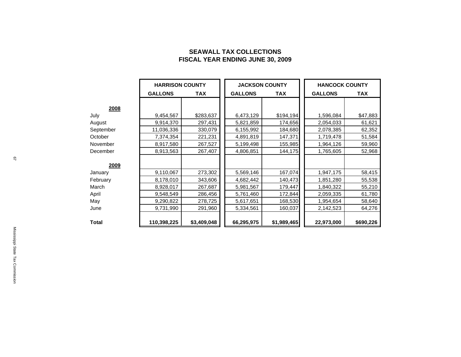# **SEAWALL TAX COLLECTIONS FISCAL YEAR ENDING JUNE 30, 2009**

|              | <b>HARRISON COUNTY</b> |             | <b>JACKSON COUNTY</b> |             | <b>HANCOCK COUNTY</b> |            |  |
|--------------|------------------------|-------------|-----------------------|-------------|-----------------------|------------|--|
|              | <b>GALLONS</b>         | TAX         | <b>GALLONS</b>        | <b>TAX</b>  | <b>GALLONS</b>        | <b>TAX</b> |  |
| 2008         |                        |             |                       |             |                       |            |  |
| July         | 9,454,567              | \$283,637   | 6,473,129             | \$194,194   | 1,596,084             | \$47,883   |  |
| August       | 9,914,370              | 297,431     | 5,821,859             | 174,656     | 2,054,033             | 61,621     |  |
| September    | 11,036,336             | 330,079     | 6,155,992             | 184,680     | 2,078,385             | 62,352     |  |
| October      | 7,374,354              | 221,231     | 4,891,819             | 147,371     | 1,719,478             | 51,584     |  |
| November     | 8,917,580              | 267,527     | 5,199,498             | 155,985     | 1,964,126             | 59,960     |  |
| December     | 8,913,563              | 267,407     | 4,806,851             | 144,175     | 1,765,605             | 52,968     |  |
| 2009         |                        |             |                       |             |                       |            |  |
| January      | 9,110,067              | 273,302     | 5,569,146             | 167,074     | 1,947,175             | 58,415     |  |
| February     | 8,178,010              | 343,606     | 4,682,442             | 140,473     | 1,851,280             | 55,538     |  |
| March        | 8,928,017              | 267,687     | 5,981,567             | 179,447     | 1,840,322             | 55,210     |  |
| April        | 9,548,549              | 286,456     | 5,761,460             | 172,844     | 2,059,335             | 61,780     |  |
| May          | 9,290,822              | 278,725     | 5,617,651             | 168,530     | 1,954,654             | 58,640     |  |
| June         | 9,731,990              | 291,960     | 5,334,561             | 160,037     | 2,142,523             | 64,276     |  |
| <b>Total</b> | 110,398,225            | \$3,409,048 | 66,295,975            | \$1,989,465 | 22,973,000            | \$690,226  |  |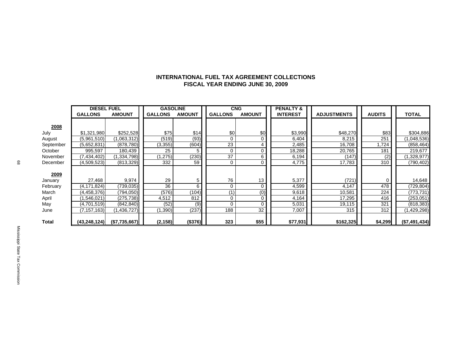### **INTERNATIONAL FUEL TAX AGREEMENT COLLECTIONS FISCAL YEAR ENDING JUNE 30, 2009**

|              | <b>DIESEL FUEL</b> |               | <b>GASOLINE</b> |               | <b>CNG</b>     |                 | <b>PENALTY &amp;</b> |                    |               |               |
|--------------|--------------------|---------------|-----------------|---------------|----------------|-----------------|----------------------|--------------------|---------------|---------------|
|              | <b>GALLONS</b>     | <b>AMOUNT</b> | <b>GALLONS</b>  | <b>AMOUNT</b> | <b>GALLONS</b> | <b>AMOUNT</b>   | <b>INTEREST</b>      | <b>ADJUSTMENTS</b> | <b>AUDITS</b> | <b>TOTAL</b>  |
|              |                    |               |                 |               |                |                 |                      |                    |               |               |
| 2008         |                    |               |                 |               |                |                 |                      |                    |               |               |
| July         | \$1,321,980        | \$252,528     | \$75            | \$14          | \$0            | \$0             | \$3,990              | \$48,270           | \$83          | \$304,886     |
| August       | (5,961,510)        | (1,063,312)   | (519)           | (93)          | 0              | $\mathbf 0$     | 6,404                | 8,215              | 251           | (1,048,536)   |
| September    | (5,652,831)        | (878, 780)    | (3, 355)        | (604)         | 23             | 4               | 2,485                | 16,708             | 1,724         | (858, 464)    |
| October      | 995,597            | 180,439       | 25              |               | $\Omega$       | $\mathbf 0$     | 18,288               | 20,765             | 181           | 219,677       |
| November     | (7, 434, 402)      | (1,334,798)   | ,275)           | (230)         | 37             | 6               | 6,194                | (147)              | (2)           | 1,328,977)    |
| December     | (4,509,523)        | (813, 329)    | 332             | 59            | $\mathbf 0$    | $\mathbf 0$     | 4,775                | 17,783             | 310           | (790, 402)    |
|              |                    |               |                 |               |                |                 |                      |                    |               |               |
| 2009         |                    |               |                 |               |                |                 |                      |                    |               |               |
| January      | 27,468             | 9,974         | 29              | 5             | 76             | 13              | 5,377                | (721)              |               | 14,648        |
| February     | (4,171,824)        | (739, 035)    | 36              | 6             | 0              | $\mathbf 0$     | 4,599                | 4,147              | 478           | (729, 804)    |
| March        | (4,458,376)        | (794, 050)    | (576)           | (104)         | (1)            | (0)             | 9,618                | 10,581             | 224           | (773, 731)    |
| April        | (1,546,021)        | (275, 738)    | 4,512           | 812           | 0              | 0               | 4,164                | 17,295             | 416           | (253, 051)    |
| May          | (4,701,519)        | (842, 840)    | (52)            | (9)           |                | 0               | 5,031                | 19,115             | 321           | (818, 383)    |
| June         | (7, 157, 163)      | (1,436,727)   | ,390)           | (237)         | 188            | $\overline{32}$ | 7,007                | 315                | 312           | (1,429,298)   |
|              |                    |               |                 |               |                |                 |                      |                    |               |               |
| <b>Total</b> | (43, 248, 124)     | (\$7,735,667) | (2, 158)        | (\$376)       | 323            | \$55            | \$77,931             | \$162,325          | \$4,299       | (\$7,491,434) |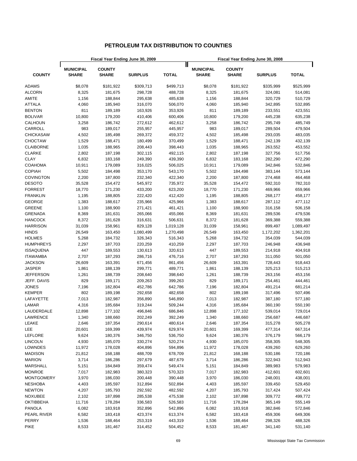# **PETROLEUM TAX DISTRIBUTION TO COUNTIES**

| Fiscal Year Ending June 30, 2009 |                                  |                               |                |              | Fiscal Year Ending June 30, 2008 |                               |                    |              |  |  |
|----------------------------------|----------------------------------|-------------------------------|----------------|--------------|----------------------------------|-------------------------------|--------------------|--------------|--|--|
|                                  |                                  |                               |                |              |                                  |                               |                    |              |  |  |
| <b>COUNTY</b>                    | <b>MUNICIPAL</b><br><b>SHARE</b> | <b>COUNTY</b><br><b>SHARE</b> | <b>SURPLUS</b> | <b>TOTAL</b> | <b>MUNICIPAL</b><br><b>SHARE</b> | <b>COUNTY</b><br><b>SHARE</b> | <b>SURPLUS</b>     | <b>TOTAL</b> |  |  |
| ADAMS                            | \$8,078                          | \$181,922                     | \$309,713      | \$499,713    | \$8,078                          | \$181,922                     | \$335,999          | \$525,999    |  |  |
| <b>ALCORN</b>                    | 8,325                            | 181,675                       | 298,728        | 488,728      | 8,325                            | 181,675                       | 324,081            | 514,081      |  |  |
| AMITE                            | 1,156                            | 188,844                       | 295,638        | 485,638      | 1,156                            | 188,844                       | 320,729            | 510,729      |  |  |
| <b>ATTALA</b>                    | 4,060                            | 185,940                       | 316,070        | 506,070      | 4,060                            | 185,940                       | 342,895            | 532,895      |  |  |
| <b>BENTON</b>                    | 811                              | 189,189                       | 163,926        | 353,926      | 811                              | 189,189                       | 233,551            | 423,551      |  |  |
| <b>BOLIVAR</b>                   | 10,800                           | 179,200                       | 410,406        | 600,406      | 10,800                           | 179,200                       | 445,238            | 635,238      |  |  |
| CALHOUN                          | 3,258                            | 186,742                       | 272,612        | 462,612      | 3,258                            | 186,742                       | 295,749            | 485,749      |  |  |
| CARROLL                          | 983                              | 189,017                       | 255,957        | 445,957      | 983                              | 189,017                       | 289,504            | 479,504      |  |  |
| <b>CHICKASAW</b>                 | 4,502                            | 185,498                       | 269,372        | 459,372      | 4,502                            | 185,498                       | 293,035            | 483,035      |  |  |
| <b>CHOCTAW</b>                   | 1,529                            | 188,471                       | 180,499        | 370,499      | 1,529                            | 188,471                       | 242,139            | 432,139      |  |  |
| <b>CLAIBORNE</b>                 | 1,035                            | 188,965                       | 208,443        | 398,443      | 1,035                            | 188,965                       | 263,552            | 453,552      |  |  |
| <b>CLARKE</b>                    | 2,802                            | 187,198                       | 302,115        | 492,115      | 2,802                            | 187,198                       | 327,756            | 517,756      |  |  |
| <b>CLAY</b>                      | 6,832                            | 183,168                       | 249,390        | 439,390      | 6,832                            | 183,168                       | 282,290            | 472,290      |  |  |
| <b>COAHOMA</b>                   | 10,911                           | 179,089                       | 316,025        | 506,025      | 10,911                           | 179,089                       | 342,846            | 532,846      |  |  |
| <b>COPIAH</b>                    | 5,502                            | 184,498                       | 353,170        | 543,170      | 5,502                            | 184,498                       | 383,144            | 573,144      |  |  |
| <b>COVINGTON</b>                 | 2,200                            | 187,800                       | 232,340        | 422,340      | 2,200                            | 187,800                       | 274,468            | 464,468      |  |  |
| <b>DESOTO</b>                    | 35,528                           | 154,472                       | 545,972        | 735,972      | 35,528                           | 154,472                       | 592,310            | 782,310      |  |  |
| <b>FORREST</b>                   | 18,770                           | 171,230                       | 433,200        | 623,200      | 18,770                           | 171,230                       | 469,966            | 659,966      |  |  |
| <b>FRANKLIN</b>                  | 1,195                            | 188,805                       | 222,420        | 412,420      | 1,195                            | 188,805                       | 268,177            | 458,177      |  |  |
| <b>GEORGE</b>                    | 1,383                            | 188,617                       | 235,966        | 425,966      | 1,383                            | 188,617                       | 287,112            | 477,112      |  |  |
| <b>GREENE</b>                    | 1,100                            | 188,900                       | 271,421        | 461,421      | 1,100                            | 188,900                       | 316,158            | 506,158      |  |  |
| <b>GRENADA</b>                   |                                  |                               |                |              |                                  |                               |                    |              |  |  |
| <b>HANCOCK</b>                   | 8,369<br>8,372                   | 181,631                       | 265,066        | 455,066      | 8,369<br>8,372                   | 181,631                       | 289,536            | 479,536      |  |  |
| <b>HARRISON</b>                  |                                  | 181,628                       | 316,631        | 506,631      |                                  | 181,628                       | 369,388<br>899,497 | 559,388      |  |  |
|                                  | 31,039                           | 158,961                       | 829,128        | 1,019,128    | 31,039                           | 158,961                       |                    | 1,089,497    |  |  |
| <b>HINDS</b>                     | 26,549                           | 163,450                       | 1,080,499      | 1,270,498    | 26,549                           | 163,450                       | 1,172,202          | 1,362,201    |  |  |
| <b>HOLMES</b>                    | 5,268                            | 184,732                       | 326,343        | 516,343      | 5,268                            | 184,732                       | 354,039            | 544,039      |  |  |
| <b>HUMPHREYS</b>                 | 2,297                            | 187,703                       | 220,259        | 410,259      | 2,297                            | 187,703                       | 246,948            | 436,948      |  |  |
| <b>ISSAQUENA</b>                 | 447                              | 189,553                       | 130,613        | 320,613      | 447                              | 189,553                       | 214,918            | 404,918      |  |  |
| <b>ITAWAMBA</b>                  | 2,707                            | 187,293                       | 286,716        | 476,716      | 2,707                            | 187,293                       | 311,050            | 501,050      |  |  |
| <b>JACKSON</b>                   | 26,609                           | 163,391                       | 671,456        | 861,456      | 26,609                           | 163,391                       | 728,443            | 918,443      |  |  |
| <b>JASPER</b>                    | 1,861                            | 188,139                       | 299,771        | 489,771      | 1,861                            | 188,139                       | 325,213            | 515,213      |  |  |
| <b>JEFFERSON</b>                 | 1,261                            | 188,739                       | 208,640        | 398,640      | 1,261                            | 188,739                       | 263,156            | 453,156      |  |  |
| JEFF. DAVIS                      | 829                              | 189,171                       | 209,263        | 399,263      | 829                              | 189,171                       | 254,461            | 444,461      |  |  |
| <b>JONES</b>                     | 7,196                            | 182,804                       | 452,786        | 642,786      | 7,196                            | 182,804                       | 491,214            | 681,214      |  |  |
| <b>KEMPER</b>                    | 802                              | 189,198                       | 292,658        | 482,658      | 802                              | 189,198                       | 317,496            | 507,496      |  |  |
| LAFAYETTE                        | 7,013                            | 182,987                       | 356,890        | 546,890      | 7,013                            | 182,987                       | 387,180            | 577,180      |  |  |
| LAMAR                            | 4,316                            | 185,684                       | 319,244        | 509,244      | 4,316                            | 185,684                       | 360,190            | 550,190      |  |  |
| LAUDERDALE                       | 12,898                           | 177,102                       | 496,846        | 686,846      | 12,898                           | 177,102                       | 539,014            | 729,014      |  |  |
| LAWRENCE                         | 1,340                            | 188,660                       | 202,249        | 392,249      | 1,340                            | 188,660                       | 256,687            | 446,687      |  |  |
| LEAKE                            | 2,646                            | 187,354                       | 290,614        | 480,614      | 2,646                            | 187,354                       | 315,278            | 505,278      |  |  |
| LEE                              | 20,601                           | 169,399                       | 439,974        | 629,974      | 20,601                           | 169,399                       | 477,314            | 667,314      |  |  |
| <b>LEFLORE</b>                   | 9,624                            | 180,376                       | 346,750        | 536,750      | 9,624                            | 180,376                       | 376,179            | 566,179      |  |  |
| <b>LINCOLN</b>                   | 4,930                            | 185,070                       | 330,274        | 520,274      | 4,930                            | 185,070                       | 358,305            | 548,305      |  |  |
| LOWNDES                          | 11,972                           | 178,028                       | 404,896        | 594,896      | 11,972                           | 178,028                       | 439,260            | 629,260      |  |  |
| <b>MADISON</b>                   | 21,812                           | 168,188                       | 488,709        | 678,709      | 21,812                           | 168,188                       | 530,186            | 720,186      |  |  |
| <b>MARION</b>                    | 3,714                            | 186,286                       | 297,679        | 487,679      | 3,714                            | 186,286                       | 322,943            | 512,943      |  |  |
| <b>MARSHALL</b>                  | 5,151                            | 184,849                       | 359,474        | 549,474      | 5,151                            | 184,849                       | 389,983            | 579,983      |  |  |
| <b>MONROE</b>                    | 7,017                            | 182,983                       | 380,323        | 570,323      | 7,017                            | 182,983                       | 412,601            | 602,601      |  |  |
| <b>MONTGOMERY</b>                | 3,970                            | 186,030                       | 200,448        | 390,448      | 3,970                            | 186,030                       | 248,001            | 438,001      |  |  |
| <b>NESHOBA</b>                   | 4,403                            | 185,597                       | 312,894        | 502,894      | 4,403                            | 185,597                       | 339,450            | 529,450      |  |  |
| <b>NEWTON</b>                    | 4,207                            | 185,793                       | 292,592        | 482,592      | 4,207                            | 185,793                       | 317,424            | 507,424      |  |  |
| <b>NOXUBEE</b>                   | 2,102                            | 187,898                       | 285,538        | 475,538      | 2,102                            | 187,898                       | 309,772            | 499,772      |  |  |
| <b>OKTIBBEHA</b>                 | 11,716                           | 178,284                       | 336,583        | 526,583      | 11,716                           | 178,284                       | 365,149            | 555,149      |  |  |
| <b>PANOLA</b>                    | 6,082                            | 183,918                       | 352,896        | 542,896      | 6,082                            | 183,918                       | 382,846            | 572,846      |  |  |
| PEARL RIVER                      | 6,582                            | 183,418                       | 423,374        | 613,374      | 6,582                            | 183,418                       | 459,306            | 649,306      |  |  |
| PERRY                            | 1,536                            | 188,464                       | 253,319        | 443,319      | 1,536                            | 188,464                       | 298,326            | 488,326      |  |  |
| <b>PIKE</b>                      | 8,533                            | 181,467                       | 314,452        | 504,452      | 8,533                            | 181,467                       | 341,140            | 531,140      |  |  |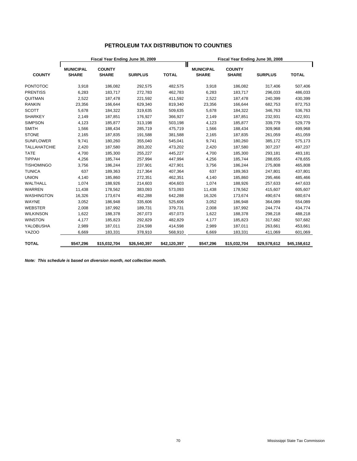# **PETROLEUM TAX DISTRIBUTION TO COUNTIES**

|                     |                                  |                               | Fiscal Year Ending June 30, 2009 |              | Fiscal Year Ending June 30, 2008 |                               |                |              |  |  |
|---------------------|----------------------------------|-------------------------------|----------------------------------|--------------|----------------------------------|-------------------------------|----------------|--------------|--|--|
| <b>COUNTY</b>       | <b>MUNICIPAL</b><br><b>SHARE</b> | <b>COUNTY</b><br><b>SHARE</b> | <b>SURPLUS</b>                   | <b>TOTAL</b> | <b>MUNICIPAL</b><br><b>SHARE</b> | <b>COUNTY</b><br><b>SHARE</b> | <b>SURPLUS</b> | <b>TOTAL</b> |  |  |
| <b>PONTOTOC</b>     | 3,918                            | 186,082                       | 292,575                          | 482,575      | 3,918                            | 186,082                       | 317,406        | 507,406      |  |  |
| <b>PRENTISS</b>     | 6,283                            | 183,717                       | 272,783                          | 462,783      | 6,283                            | 183,717                       | 296,033        | 486,033      |  |  |
| QUITMAN             | 2,522                            | 187,478                       | 221,592                          | 411,592      | 2,522                            | 187,478                       | 240,399        | 430,399      |  |  |
| <b>RANKIN</b>       | 23,356                           | 166,644                       | 629,340                          | 819,340      | 23,356                           | 166,644                       | 682,753        | 872,753      |  |  |
| <b>SCOTT</b>        | 5,678                            | 184,322                       | 319,635                          | 509,635      | 5,678                            | 184,322                       | 346,763        | 536,763      |  |  |
| <b>SHARKEY</b>      | 2,149                            | 187,851                       | 176,927                          | 366,927      | 2,149                            | 187,851                       | 232,931        | 422,931      |  |  |
| <b>SIMPSON</b>      | 4,123                            | 185,877                       | 313,198                          | 503,198      | 4,123                            | 185,877                       | 339,779        | 529,779      |  |  |
| <b>SMITH</b>        | 1,566                            | 188,434                       | 285,719                          | 475,719      | 1,566                            | 188,434                       | 309,968        | 499,968      |  |  |
| <b>STONE</b>        | 2,165                            | 187,835                       | 191,588                          | 381,588      | 2,165                            | 187,835                       | 261,059        | 451,059      |  |  |
| <b>SUNFLOWER</b>    | 9,741                            | 180,260                       | 355,040                          | 545,041      | 9,741                            | 180,260                       | 385,172        | 575,173      |  |  |
| <b>TALLAHATCHIE</b> | 2,420                            | 187,580                       | 283,202                          | 473,202      | 2,420                            | 187,580                       | 307,237        | 497,237      |  |  |
| <b>TATE</b>         | 4,700                            | 185,300                       | 255,227                          | 445,227      | 4,700                            | 185,300                       | 293,181        | 483,181      |  |  |
| <b>TIPPAH</b>       | 4,256                            | 185,744                       | 257,994                          | 447,994      | 4,256                            | 185,744                       | 288,655        | 478,655      |  |  |
| <b>TISHOMINGO</b>   | 3,756                            | 186,244                       | 237,901                          | 427,901      | 3,756                            | 186,244                       | 275,808        | 465,808      |  |  |
| <b>TUNICA</b>       | 637                              | 189,363                       | 217,364                          | 407,364      | 637                              | 189,363                       | 247,801        | 437,801      |  |  |
| <b>UNION</b>        | 4,140                            | 185,860                       | 272,351                          | 462,351      | 4,140                            | 185,860                       | 295,466        | 485,466      |  |  |
| WALTHALL            | 1,074                            | 188,926                       | 214,603                          | 404,603      | 1,074                            | 188,926                       | 257,633        | 447,633      |  |  |
| <b>WARREN</b>       | 11,438                           | 178,562                       | 383,093                          | 573,093      | 11,438                           | 178,562                       | 415,607        | 605,607      |  |  |
| <b>WASHINGTON</b>   | 16,326                           | 173,674                       | 452,288                          | 642,288      | 16,326                           | 173,674                       | 490,674        | 680,674      |  |  |
| WAYNE               | 3,052                            | 186,948                       | 335,606                          | 525,606      | 3,052                            | 186,948                       | 364,089        | 554,089      |  |  |
| <b>WEBSTER</b>      | 2,008                            | 187,992                       | 189,731                          | 379,731      | 2,008                            | 187,992                       | 244,774        | 434,774      |  |  |
| <b>WILKINSON</b>    | 1,622                            | 188,378                       | 267,073                          | 457,073      | 1,622                            | 188,378                       | 298,218        | 488,218      |  |  |
| <b>WINSTON</b>      | 4,177                            | 185,823                       | 292,829                          | 482,829      | 4,177                            | 185,823                       | 317,682        | 507,682      |  |  |
| YALOBUSHA           | 2,989                            | 187,011                       | 224,598                          | 414,598      | 2,989                            | 187,011                       | 263,661        | 453,661      |  |  |
| <b>YAZOO</b>        | 6,669                            | 183,331                       | 378,910                          | 568,910      | 6,669                            | 183,331                       | 411,069        | 601,069      |  |  |
| <b>TOTAL</b>        | \$547,296                        | \$15,032,704                  | \$26,540,397                     | \$42,120,397 | \$547,296                        | \$15,032,704                  | \$29,578,612   | \$45,158,612 |  |  |

*Note: This schedule is based on diversion month, not collection month.*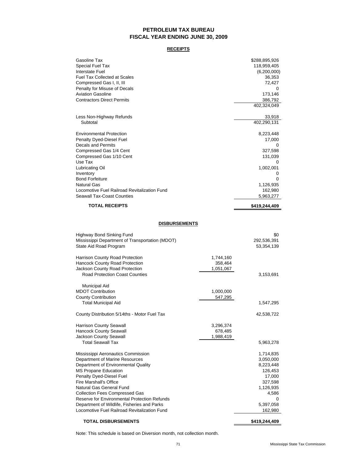# **PETROLEUM TAX BUREAU FISCAL YEAR ENDING JUNE 30, 2009**

### **RECEIPTS**

| Gasoline Tax                                 | \$288,895,926 |
|----------------------------------------------|---------------|
| Special Fuel Tax                             | 118,959,405   |
| Interstate Fuel                              | (6,200,000)   |
| <b>Fuel Tax Collected at Scales</b>          | 36,353        |
| Compressed Gas I, II, III                    | 72,427        |
| Penalty for Misuse of Decals                 |               |
| <b>Aviation Gasoline</b>                     | 173,146       |
| <b>Contractors Direct Permits</b>            | 386,792       |
|                                              | 402,324,049   |
| Less Non-Highway Refunds                     | 33,918        |
| Subtotal                                     | 402,290,131   |
| <b>Environmental Protection</b>              | 8,223,448     |
| Penalty Dyed-Diesel Fuel                     | 17,000        |
| Decals and Permits                           | $\Omega$      |
| Compressed Gas 1/4 Cent                      | 327,598       |
| Compressed Gas 1/10 Cent                     | 131,039       |
| Use Tax                                      | 0             |
| Lubricating Oil                              | 1,002,001     |
| Inventory                                    | 0             |
| <b>Bond Forfeiture</b>                       | $\Omega$      |
| <b>Natural Gas</b>                           | 1,126,935     |
| Locomotive Fuel Railroad Revitalization Fund | 162,980       |
| <b>Seawall Tax-Coast Counties</b>            | 5,963,277     |
| <b>TOTAL RECEIPTS</b>                        | \$419,244,409 |

### **DISBURSEMENTS**

| <b>Highway Bond Sinking Fund</b><br>Mississippi Department of Transportation (MDOT)<br>State Aid Road Program |           | \$0<br>292,536,391<br>53,354,139 |
|---------------------------------------------------------------------------------------------------------------|-----------|----------------------------------|
| Harrison County Road Protection                                                                               | 1,744,160 |                                  |
| <b>Hancock County Road Protection</b>                                                                         | 358,464   |                                  |
| Jackson County Road Protection                                                                                | 1,051,067 |                                  |
| Road Protection Coast Counties                                                                                |           | 3,153,691                        |
| Municipal Aid                                                                                                 |           |                                  |
| <b>MDOT Contribution</b>                                                                                      | 1,000,000 |                                  |
| <b>County Contribution</b>                                                                                    | 547,295   |                                  |
| <b>Total Municipal Aid</b>                                                                                    |           | 1,547,295                        |
| County Distribution 5/14ths - Motor Fuel Tax                                                                  |           | 42,538,722                       |
| <b>Harrison County Seawall</b>                                                                                | 3,296,374 |                                  |
| <b>Hancock County Seawall</b>                                                                                 | 678,485   |                                  |
| <b>Jackson County Seawall</b>                                                                                 | 1,988,419 |                                  |
| <b>Total Seawall Tax</b>                                                                                      |           | 5,963,278                        |
| Mississippi Aeronautics Commission                                                                            |           | 1,714,835                        |
| Department of Marine Resources                                                                                |           | 3,050,000                        |
| Department of Environmental Quality                                                                           |           | 8,223,448                        |
| <b>MS Propane Education</b>                                                                                   |           | 126,453                          |
| Penalty Dyed-Diesel Fuel                                                                                      |           | 17,000                           |
| Fire Marshall's Office                                                                                        |           | 327,598                          |
| Natural Gas General Fund                                                                                      |           | 1,126,935                        |
| <b>Collection Fees Compressed Gas</b>                                                                         |           | 4,586                            |
| Reserve for Environmental Protection Refunds                                                                  |           | $\Omega$                         |
| Department of Wildlife, Fisheries and Parks                                                                   |           | 5,397,058                        |
| Locomotive Fuel Railroad Revitalization Fund                                                                  |           | 162,980                          |
| <b>TOTAL DISBURSEMENTS</b>                                                                                    |           | \$419,244,409                    |

Note: This schedule is based on Diversion month, not collection month.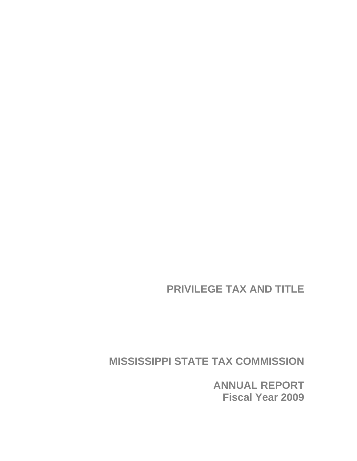**PRIVILEGE TAX AND TITLE** 

**MISSISSIPPI STATE TAX COMMISSION** 

**ANNUAL REPORT Fiscal Year 2009**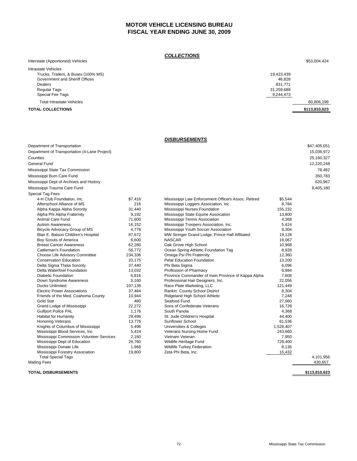# **MOTOR VEHICLE LICENSING BUREAU FISCAL YEAR ENDING JUNE 30, 2009**

### *COLLECTIONS*

| Interstate (Apportioned) Vehicles   | ---------<br>\$53,004,424 |
|-------------------------------------|---------------------------|
| Intrastate Vehicles                 |                           |
| Trucks, Trailers, & Buses (100% MS) | 19,423,439                |
| Government and Sheriff Offices      | 46.828                    |
| <b>Dealers</b>                      | 831,771                   |
| Regular Tags                        | 31,259,688                |
| Special Fee Tags                    | 9,244,473                 |
| <b>Total Intrastate Vehicles</b>    | 60,806,199                |
| <b>TOTAL COLLECTIONS</b>            | \$113,810,623             |

### *DISBURSEMENTS*

| Department of Transportation                  |         |                                                     |           | \$47,405,051 |
|-----------------------------------------------|---------|-----------------------------------------------------|-----------|--------------|
| Department of Transportation (4-Lane Project) |         |                                                     |           | 15,036,972   |
| Counties                                      |         |                                                     |           | 25,160,327   |
| General Fund                                  |         |                                                     |           | 12,220,248   |
| Mississippi State Tax Commission              |         |                                                     |           | 78,482       |
| Mississippi Burn Care Fund                    |         |                                                     |           | 350,783      |
|                                               |         |                                                     |           |              |
| Mississippi Dept of Archives and History      |         |                                                     |           | 620,967      |
| Mississippi Trauma Care Fund                  |         |                                                     |           | 8,405,180    |
| Special Tag Fees                              |         |                                                     |           |              |
| 4-H Club Foundation, Inc.                     | \$7,416 | Mississippi Law Enforcement Officers Assoc. Retired | \$5,544   |              |
| Afterschool Alliance of MS                    | 216     | Mississippi Loggers Association, Inc.               | 8,784     |              |
| Alpha Kappa Alpha Sorority                    | 31,440  | Mississippi Nurses Foundation                       | 155,232   |              |
| Alpha Phi Alpha Fraternity                    | 9,192   | Mississippi State Equine Assoication                | 13,800    |              |
| Animal Care Fund                              | 71,600  | Mississippi Tennis Association                      | 4,368     |              |
| <b>Autism Awareness</b>                       | 16,152  | Mississippi Troopers Association, Inc.              | 5,424     |              |
| Bicycle Advocacy Group of MS                  | 4,776   | Mississippi Youth Soccer Association                | 8,304     |              |
| Blair E. Batson Children's Hospital           | 87,672  | MW Stringer Grand Lodge, Prince Hall Affiliated     | 19,128    |              |
| Boy Scouts of America                         | 6,600   | <b>NASCAR</b>                                       | 16,067    |              |
| <b>Breast Cancer Awareness</b>                | 62,280  | Oak Grove High School                               | 10,968    |              |
| Cattleman's Foundation                        | 56,772  | Ocean Spring Athletic Foundation Tag                | 8,928     |              |
| Choose Life Advisory Committee                | 234,336 | Omega Psi Phi Fraternity                            | 12,360    |              |
| <b>Conservation Education</b>                 | 20,175  | <b>Petal Education Foundation</b>                   | 13,200    |              |
| Delta Sigma Theta Sorority                    | 37,440  | Phi Beta Sigma                                      | 6,096     |              |
| Delta Waterfowl Foundation                    | 13,032  | Profession of Pharmacy                              | 6,984     |              |
| <b>Diabetic Foundation</b>                    | 6,816   | Province Commander of Irwin Province of Kappa Alpha | 7,608     |              |
| Down Syndrome Awareness                       | 5,160   | Professional Hair Designers, Inc.                   | 22,056    |              |
| <b>Ducks Unlimited</b>                        | 107,136 | Race Plate Marketing, LLC                           | 121,449   |              |
| <b>Electric Power Associations</b>            | 37,464  | Rankin County School District                       | 8,304     |              |
| Friends of the Med, Coahoma County            | 10,944  | Ridgeland High School Athletic                      | 7,248     |              |
| Gold Star                                     | 480     | Seafood Fund                                        | 27,660    |              |
| Grand Lodge of Mississippi                    | 22,272  | Sons of Confederate Veterans                        | 16,728    |              |
| <b>Gulfport Police PAL</b>                    | 1,176   | South Panola                                        | 4,368     |              |
| Habitat for Humanity                          | 29,496  | St. Jude Children's Hospital                        | 44,400    |              |
| <b>Honoring Veterans</b>                      | 13,776  | Sunflower School                                    | 61,536    |              |
| Knights of Columbus of Mississippi            | 5,496   | Universities & Colleges                             | 1,526,407 |              |
| Mississippi Blood Services, Inc.              | 5,424   | Veterans Nursing Home Fund                          | 243,660   |              |
| Mississippi Commission Volunteer Services     | 2,160   | Vietnam Veteran                                     | 7,950     |              |
| Mississippi Dept of Education                 | 26,760  | Wildlife Heritage Fund                              | 728,400   |              |
| Mississippi Donate Life                       | 1,968   | <b>Wildlife Turkey Federation</b>                   | 8,136     |              |
| Mississippi Forestry Association              | 19,800  | Zeta Phi Beta, Inc.                                 | 15,432    |              |
| <b>Total Special Tags</b>                     |         |                                                     |           | 4,101,956    |

Mailing Fees 430,657

**TOTAL DISBURSEMENTS \$113,810,623**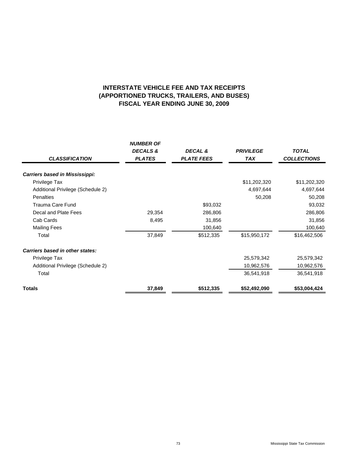# **(APPORTIONED TRUCKS, TRAILERS, AND BUSES) FISCAL YEAR ENDING JUNE 30, 2009 INTERSTATE VEHICLE FEE AND TAX RECEIPTS**

| <b>CLASSIFICATION</b>             | <b>NUMBER OF</b><br><b>DECALS &amp;</b><br><b>PLATES</b> | DECAL &<br><b>PLATE FEES</b> | <b>PRIVILEGE</b><br><b>TAX</b> | <b>TOTAL</b><br><b>COLLECTIONS</b> |
|-----------------------------------|----------------------------------------------------------|------------------------------|--------------------------------|------------------------------------|
| Carriers based in Mississippi:    |                                                          |                              |                                |                                    |
| Privilege Tax                     |                                                          |                              | \$11,202,320                   | \$11,202,320                       |
| Additional Privilege (Schedule 2) |                                                          |                              | 4,697,644                      | 4,697,644                          |
| <b>Penalties</b>                  |                                                          |                              | 50,208                         | 50,208                             |
| Trauma Care Fund                  |                                                          | \$93,032                     |                                | 93,032                             |
| Decal and Plate Fees              | 29,354                                                   | 286,806                      |                                | 286,806                            |
| Cab Cards                         | 8,495                                                    | 31,856                       |                                | 31,856                             |
| <b>Mailing Fees</b>               |                                                          | 100,640                      |                                | 100,640                            |
| Total                             | 37,849                                                   | \$512,335                    | \$15,950,172                   | \$16,462,506                       |
| Carriers based in other states:   |                                                          |                              |                                |                                    |
| Privilege Tax                     |                                                          |                              | 25,579,342                     | 25,579,342                         |
| Additional Privilege (Schedule 2) |                                                          |                              | 10,962,576                     | 10,962,576                         |
| Total                             |                                                          |                              | 36,541,918                     | 36,541,918                         |
| <b>Totals</b>                     | 37,849                                                   | \$512,335                    | \$52,492,090                   | \$53,004,424                       |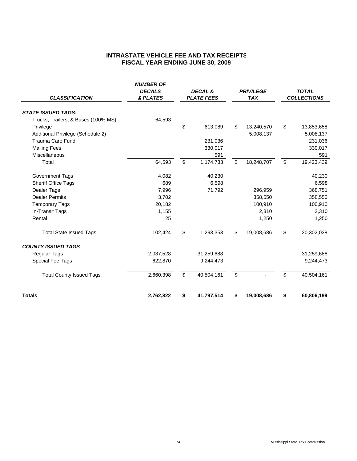# **INTRASTATE VEHICLE FEE AND TAX RECEIPTS FISCAL YEAR ENDING JUNE 30, 2009**

| <b>CLASSIFICATION</b>               | <b>NUMBER OF</b><br><b>DECALS</b><br>& PLATES |              | DECAL &<br><b>PLATE FEES</b> |              | <b>PRIVILEGE</b><br><b>TAX</b> |                | <b>TOTAL</b><br><b>COLLECTIONS</b> |
|-------------------------------------|-----------------------------------------------|--------------|------------------------------|--------------|--------------------------------|----------------|------------------------------------|
| <b>STATE ISSUED TAGS:</b>           |                                               |              |                              |              |                                |                |                                    |
| Trucks, Trailers, & Buses (100% MS) | 64,593                                        |              |                              |              |                                |                |                                    |
| Privilege                           |                                               | \$           | 613,089                      | \$           | 13,240,570                     | \$             | 13,853,658                         |
| Additional Privilege (Schedule 2)   |                                               |              |                              |              | 5,008,137                      |                | 5,008,137                          |
| <b>Trauma Care Fund</b>             |                                               |              | 231,036                      |              |                                |                | 231,036                            |
| <b>Mailing Fees</b>                 |                                               |              | 330,017                      |              |                                |                | 330,017                            |
| Miscellaneous                       |                                               |              | 591                          |              |                                |                | 591                                |
| Total                               | 64,593                                        | $\mathbb{S}$ | 1,174,733                    | $\mathbb{S}$ | 18,248,707                     | $\mathfrak{S}$ | 19,423,439                         |
| <b>Government Tags</b>              | 4,082                                         |              | 40,230                       |              |                                |                | 40,230                             |
| Sheriff Office Tags                 | 689                                           |              | 6,598                        |              |                                |                | 6,598                              |
| Dealer Tags                         | 7,996                                         |              | 71,792                       |              | 296,959                        |                | 368,751                            |
| <b>Dealer Permits</b>               | 3,702                                         |              |                              |              | 358,550                        |                | 358,550                            |
| <b>Temporary Tags</b>               | 20,182                                        |              |                              |              | 100,910                        |                | 100,910                            |
| In-Transit Tags                     | 1,155                                         |              |                              |              | 2,310                          |                | 2,310                              |
| Rental                              | 25                                            |              |                              |              | 1,250                          |                | 1,250                              |
| <b>Total State Issued Tags</b>      | 102,424                                       | \$           | 1,293,353                    | \$           | 19,008,686                     | \$             | 20,302,038                         |
| <b>COUNTY ISSUED TAGS</b>           |                                               |              |                              |              |                                |                |                                    |
| <b>Regular Tags</b>                 | 2,037,528                                     |              | 31,259,688                   |              |                                |                | 31,259,688                         |
| Special Fee Tags                    | 622,870                                       |              | 9,244,473                    |              |                                |                | 9,244,473                          |
| <b>Total County Issued Tags</b>     | 2,660,398                                     | $\mathbb{S}$ | 40,504,161                   | \$           |                                | \$             | 40,504,161                         |
| <b>Totals</b>                       | 2,762,822                                     |              | 41,797,514                   | \$           | 19,008,686                     |                | 60,806,199                         |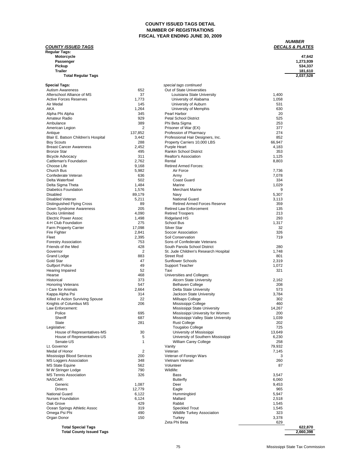### **COUNTY ISSUED TAGS DETAIL NUMBER OF REGISTRATIONS FISCAL YEAR ENDING JUNE 30, 2009**

# **COUNTY ISSUED TAGS Regular Tags:**

# **NUMBER**<br><u>DECALS & PLATES</u>

| Motorcycle                | 47.642    |
|---------------------------|-----------|
| Passenger                 | 1,273,939 |
| Pickup                    | 534.337   |
| Trailer                   | 181.610   |
| <b>Total Regular Tags</b> | 2,037,528 |

| <b>Autism Awareness</b><br>652<br>Out of State Universities<br>Afterschool Alliance of MS<br>37<br>1,400<br>Louisiana State University<br><b>Active Forces Reserves</b><br>1,773<br>1,058<br>University of Alabama<br>Air Medal<br>145<br>531<br>University of Auburn<br>1,264<br>630<br>AKA<br>University of Memphis<br>Pearl Harbor<br>20<br>Alpha Phi Alpha<br>345<br>929<br>525<br>Amateur Radio<br><b>Petal School District</b><br>389<br>253<br>Ambulance<br>Phi Beta Sigma<br>2<br>377<br>American Legion<br>Prisoner of War (EX)<br>274<br>137,852<br>Profession of Pharmacy<br>Antique<br>Blair E. Batson Children's Hospital<br>3,442<br>Professional Hair Designers, Inc.<br>852<br>288<br>66,947<br><b>Boy Scouts</b><br>Property Carriers 10,000 LBS<br>Purple Heart<br>4,183<br><b>Breast Cancer Awareness</b><br>2,452<br><b>Bronze Star</b><br>495<br>Rankin School District<br>353<br>311<br>1,125<br><b>Bicycle Advocacy</b><br>Realtor's Association<br>Cattleman's Foundation<br>2,762<br>Rental<br>8,803<br>Choose Life<br>9,168<br><b>Retired Armed Forces:</b><br>Church Bus<br>5,982<br>Air Force<br>7,736<br>Confederate Veteran<br>636<br>7,078<br>Army<br>Delta Waterfowl<br>502<br>Coast Guard<br>334<br>Delta Sigma Theta<br>1,484<br>Marine<br>1,029<br>1,576<br><b>Merchant Marine</b><br>Diabetics Foundation<br>9<br><b>Disabled</b><br>89,179<br>5,307<br>Navy<br><b>Disabled Veteran</b><br>5,211<br><b>National Guard</b><br>3,113<br>89<br><b>Retired Armed Forces Reserve</b><br>359<br>Distinguished Flying Cross<br>205<br><b>Retired Law Enforcement</b><br>135<br>Down Syndrome Awareness<br><b>Ducks Unlimited</b><br>4,090<br><b>Retired Troopers</b><br>213<br>293<br><b>Electric Power Assoc</b><br>1,498<br>Ridgeland HS<br>1,317<br>4-H Club Foundation<br>275<br>School Bus<br>Farm Property Carrier<br>17,098<br><b>Silver Star</b><br>32<br>2,841<br>326<br>Fire Fighter<br>Soccer Association<br>Fleet<br>2,395<br>Soil Conservation<br>719<br>753<br>Sons of Confederate Veterans<br><b>Forestry Association</b><br>Friends of the Med<br>428<br>280<br>South Panola School District<br>$\overline{2}$<br>Governor<br>St. Jude Children's Research Hospital<br>1,748<br><b>Grand Lodge</b><br>883<br><b>Street Rod</b><br>801<br>Gold Star<br>47<br><b>Sunflower Schools</b><br>2,319<br><b>Gulfport Police</b><br>49<br>1,072<br><b>Support Teacher</b><br>52<br>Taxi<br>321<br>Hearing Impaired<br>Hearse<br>468<br>Universities and Colleges:<br>373<br><b>Alcorn State University</b><br>2,162<br>Historical<br>547<br><b>Belhaven College</b><br>208<br><b>Honoring Veterans</b><br>I Care for Animals<br>2,664<br>Delta State University<br>573<br>314<br>Jackson State University<br>3,784<br>Kappa Alpha Psi<br>Killed in Action Surviving Spouse<br>22<br>Millsaps College<br>302<br>Knights of Columbus MS<br>206<br>Mississippi College<br>460<br>Law Enforcement:<br>14,267<br>Mississippi State University<br>Police<br>695<br>Mississippi University for Women<br>200<br>Sheriff<br>687<br>Mississippi Valley State University<br>1,039<br><b>State</b><br>281<br><b>Rust College</b><br>202<br>725<br>Tougaloo College<br>Legislative:<br>30<br>University of Mississippi<br>13,649<br>House of Representatives-MS<br>5<br>House of Representatives-US<br>University of Southern Mississippi<br>6,230<br>1<br>William Carey College<br>258<br>Senate-US<br>Vanity<br>79,932<br>Lt. Governor<br>Medal of Honor<br>2<br>Veteran<br>7,145<br>Mississippi Blood Services<br>200<br>Veteran of Foreign Wars<br>3<br><b>MS Loggers Association</b><br>Vietnam Veteran<br>260<br>348<br><b>MS State Equine</b><br>562<br>Volunteer<br>87<br>790<br>Wildlife:<br>M W Stringer Lodge<br><b>MS Tennis Association</b><br>326<br>3,547<br>Bass<br>NASCAR:<br>6,060<br><b>Butterfly</b><br>1,087<br>Generic<br>Deer<br>9,453<br><b>Drivers</b><br>12,779<br>Eagle<br>965<br><b>National Guard</b><br>6,122<br>5,947<br>Hummingbird<br><b>Nurses Foundation</b><br>6,124<br>Mallard<br>2,518<br>Oak Grove<br>429<br>Rabbit<br>1,545<br>Ocean Springs Athletic Assoc<br>319<br><b>Speckled Trout</b><br>1,545<br>Omega Psi Phi<br>490<br><b>Wildlife Turkey Association</b><br>323<br>Organ Donor<br>150<br>3,378<br>Turkey<br>Zeta Phi Beta<br>629<br><b>Total Special Tags</b><br>622,870<br>2,660,398<br><b>Total County Issued Tags</b> | <b>Special Tags:</b> | special tags continued |  |
|---------------------------------------------------------------------------------------------------------------------------------------------------------------------------------------------------------------------------------------------------------------------------------------------------------------------------------------------------------------------------------------------------------------------------------------------------------------------------------------------------------------------------------------------------------------------------------------------------------------------------------------------------------------------------------------------------------------------------------------------------------------------------------------------------------------------------------------------------------------------------------------------------------------------------------------------------------------------------------------------------------------------------------------------------------------------------------------------------------------------------------------------------------------------------------------------------------------------------------------------------------------------------------------------------------------------------------------------------------------------------------------------------------------------------------------------------------------------------------------------------------------------------------------------------------------------------------------------------------------------------------------------------------------------------------------------------------------------------------------------------------------------------------------------------------------------------------------------------------------------------------------------------------------------------------------------------------------------------------------------------------------------------------------------------------------------------------------------------------------------------------------------------------------------------------------------------------------------------------------------------------------------------------------------------------------------------------------------------------------------------------------------------------------------------------------------------------------------------------------------------------------------------------------------------------------------------------------------------------------------------------------------------------------------------------------------------------------------------------------------------------------------------------------------------------------------------------------------------------------------------------------------------------------------------------------------------------------------------------------------------------------------------------------------------------------------------------------------------------------------------------------------------------------------------------------------------------------------------------------------------------------------------------------------------------------------------------------------------------------------------------------------------------------------------------------------------------------------------------------------------------------------------------------------------------------------------------------------------------------------------------------------------------------------------------------------------------------------------------------------------------------------------------------------------------------------------------------------------------------------------------------------------------------------------------------------------------------------------------------------------------------------------------------------------------------------------------------------------------------------------------------------------------------------------------------------------------------------------------------------------------------------------------------------------------------------------------------------------------------------------------------------------|----------------------|------------------------|--|
|                                                                                                                                                                                                                                                                                                                                                                                                                                                                                                                                                                                                                                                                                                                                                                                                                                                                                                                                                                                                                                                                                                                                                                                                                                                                                                                                                                                                                                                                                                                                                                                                                                                                                                                                                                                                                                                                                                                                                                                                                                                                                                                                                                                                                                                                                                                                                                                                                                                                                                                                                                                                                                                                                                                                                                                                                                                                                                                                                                                                                                                                                                                                                                                                                                                                                                                                                                                                                                                                                                                                                                                                                                                                                                                                                                                                                                                                                                                                                                                                                                                                                                                                                                                                                                                                                                                                                                                                   |                      |                        |  |
|                                                                                                                                                                                                                                                                                                                                                                                                                                                                                                                                                                                                                                                                                                                                                                                                                                                                                                                                                                                                                                                                                                                                                                                                                                                                                                                                                                                                                                                                                                                                                                                                                                                                                                                                                                                                                                                                                                                                                                                                                                                                                                                                                                                                                                                                                                                                                                                                                                                                                                                                                                                                                                                                                                                                                                                                                                                                                                                                                                                                                                                                                                                                                                                                                                                                                                                                                                                                                                                                                                                                                                                                                                                                                                                                                                                                                                                                                                                                                                                                                                                                                                                                                                                                                                                                                                                                                                                                   |                      |                        |  |
|                                                                                                                                                                                                                                                                                                                                                                                                                                                                                                                                                                                                                                                                                                                                                                                                                                                                                                                                                                                                                                                                                                                                                                                                                                                                                                                                                                                                                                                                                                                                                                                                                                                                                                                                                                                                                                                                                                                                                                                                                                                                                                                                                                                                                                                                                                                                                                                                                                                                                                                                                                                                                                                                                                                                                                                                                                                                                                                                                                                                                                                                                                                                                                                                                                                                                                                                                                                                                                                                                                                                                                                                                                                                                                                                                                                                                                                                                                                                                                                                                                                                                                                                                                                                                                                                                                                                                                                                   |                      |                        |  |
|                                                                                                                                                                                                                                                                                                                                                                                                                                                                                                                                                                                                                                                                                                                                                                                                                                                                                                                                                                                                                                                                                                                                                                                                                                                                                                                                                                                                                                                                                                                                                                                                                                                                                                                                                                                                                                                                                                                                                                                                                                                                                                                                                                                                                                                                                                                                                                                                                                                                                                                                                                                                                                                                                                                                                                                                                                                                                                                                                                                                                                                                                                                                                                                                                                                                                                                                                                                                                                                                                                                                                                                                                                                                                                                                                                                                                                                                                                                                                                                                                                                                                                                                                                                                                                                                                                                                                                                                   |                      |                        |  |
|                                                                                                                                                                                                                                                                                                                                                                                                                                                                                                                                                                                                                                                                                                                                                                                                                                                                                                                                                                                                                                                                                                                                                                                                                                                                                                                                                                                                                                                                                                                                                                                                                                                                                                                                                                                                                                                                                                                                                                                                                                                                                                                                                                                                                                                                                                                                                                                                                                                                                                                                                                                                                                                                                                                                                                                                                                                                                                                                                                                                                                                                                                                                                                                                                                                                                                                                                                                                                                                                                                                                                                                                                                                                                                                                                                                                                                                                                                                                                                                                                                                                                                                                                                                                                                                                                                                                                                                                   |                      |                        |  |
|                                                                                                                                                                                                                                                                                                                                                                                                                                                                                                                                                                                                                                                                                                                                                                                                                                                                                                                                                                                                                                                                                                                                                                                                                                                                                                                                                                                                                                                                                                                                                                                                                                                                                                                                                                                                                                                                                                                                                                                                                                                                                                                                                                                                                                                                                                                                                                                                                                                                                                                                                                                                                                                                                                                                                                                                                                                                                                                                                                                                                                                                                                                                                                                                                                                                                                                                                                                                                                                                                                                                                                                                                                                                                                                                                                                                                                                                                                                                                                                                                                                                                                                                                                                                                                                                                                                                                                                                   |                      |                        |  |
|                                                                                                                                                                                                                                                                                                                                                                                                                                                                                                                                                                                                                                                                                                                                                                                                                                                                                                                                                                                                                                                                                                                                                                                                                                                                                                                                                                                                                                                                                                                                                                                                                                                                                                                                                                                                                                                                                                                                                                                                                                                                                                                                                                                                                                                                                                                                                                                                                                                                                                                                                                                                                                                                                                                                                                                                                                                                                                                                                                                                                                                                                                                                                                                                                                                                                                                                                                                                                                                                                                                                                                                                                                                                                                                                                                                                                                                                                                                                                                                                                                                                                                                                                                                                                                                                                                                                                                                                   |                      |                        |  |
|                                                                                                                                                                                                                                                                                                                                                                                                                                                                                                                                                                                                                                                                                                                                                                                                                                                                                                                                                                                                                                                                                                                                                                                                                                                                                                                                                                                                                                                                                                                                                                                                                                                                                                                                                                                                                                                                                                                                                                                                                                                                                                                                                                                                                                                                                                                                                                                                                                                                                                                                                                                                                                                                                                                                                                                                                                                                                                                                                                                                                                                                                                                                                                                                                                                                                                                                                                                                                                                                                                                                                                                                                                                                                                                                                                                                                                                                                                                                                                                                                                                                                                                                                                                                                                                                                                                                                                                                   |                      |                        |  |
|                                                                                                                                                                                                                                                                                                                                                                                                                                                                                                                                                                                                                                                                                                                                                                                                                                                                                                                                                                                                                                                                                                                                                                                                                                                                                                                                                                                                                                                                                                                                                                                                                                                                                                                                                                                                                                                                                                                                                                                                                                                                                                                                                                                                                                                                                                                                                                                                                                                                                                                                                                                                                                                                                                                                                                                                                                                                                                                                                                                                                                                                                                                                                                                                                                                                                                                                                                                                                                                                                                                                                                                                                                                                                                                                                                                                                                                                                                                                                                                                                                                                                                                                                                                                                                                                                                                                                                                                   |                      |                        |  |
|                                                                                                                                                                                                                                                                                                                                                                                                                                                                                                                                                                                                                                                                                                                                                                                                                                                                                                                                                                                                                                                                                                                                                                                                                                                                                                                                                                                                                                                                                                                                                                                                                                                                                                                                                                                                                                                                                                                                                                                                                                                                                                                                                                                                                                                                                                                                                                                                                                                                                                                                                                                                                                                                                                                                                                                                                                                                                                                                                                                                                                                                                                                                                                                                                                                                                                                                                                                                                                                                                                                                                                                                                                                                                                                                                                                                                                                                                                                                                                                                                                                                                                                                                                                                                                                                                                                                                                                                   |                      |                        |  |
|                                                                                                                                                                                                                                                                                                                                                                                                                                                                                                                                                                                                                                                                                                                                                                                                                                                                                                                                                                                                                                                                                                                                                                                                                                                                                                                                                                                                                                                                                                                                                                                                                                                                                                                                                                                                                                                                                                                                                                                                                                                                                                                                                                                                                                                                                                                                                                                                                                                                                                                                                                                                                                                                                                                                                                                                                                                                                                                                                                                                                                                                                                                                                                                                                                                                                                                                                                                                                                                                                                                                                                                                                                                                                                                                                                                                                                                                                                                                                                                                                                                                                                                                                                                                                                                                                                                                                                                                   |                      |                        |  |
|                                                                                                                                                                                                                                                                                                                                                                                                                                                                                                                                                                                                                                                                                                                                                                                                                                                                                                                                                                                                                                                                                                                                                                                                                                                                                                                                                                                                                                                                                                                                                                                                                                                                                                                                                                                                                                                                                                                                                                                                                                                                                                                                                                                                                                                                                                                                                                                                                                                                                                                                                                                                                                                                                                                                                                                                                                                                                                                                                                                                                                                                                                                                                                                                                                                                                                                                                                                                                                                                                                                                                                                                                                                                                                                                                                                                                                                                                                                                                                                                                                                                                                                                                                                                                                                                                                                                                                                                   |                      |                        |  |
|                                                                                                                                                                                                                                                                                                                                                                                                                                                                                                                                                                                                                                                                                                                                                                                                                                                                                                                                                                                                                                                                                                                                                                                                                                                                                                                                                                                                                                                                                                                                                                                                                                                                                                                                                                                                                                                                                                                                                                                                                                                                                                                                                                                                                                                                                                                                                                                                                                                                                                                                                                                                                                                                                                                                                                                                                                                                                                                                                                                                                                                                                                                                                                                                                                                                                                                                                                                                                                                                                                                                                                                                                                                                                                                                                                                                                                                                                                                                                                                                                                                                                                                                                                                                                                                                                                                                                                                                   |                      |                        |  |
|                                                                                                                                                                                                                                                                                                                                                                                                                                                                                                                                                                                                                                                                                                                                                                                                                                                                                                                                                                                                                                                                                                                                                                                                                                                                                                                                                                                                                                                                                                                                                                                                                                                                                                                                                                                                                                                                                                                                                                                                                                                                                                                                                                                                                                                                                                                                                                                                                                                                                                                                                                                                                                                                                                                                                                                                                                                                                                                                                                                                                                                                                                                                                                                                                                                                                                                                                                                                                                                                                                                                                                                                                                                                                                                                                                                                                                                                                                                                                                                                                                                                                                                                                                                                                                                                                                                                                                                                   |                      |                        |  |
|                                                                                                                                                                                                                                                                                                                                                                                                                                                                                                                                                                                                                                                                                                                                                                                                                                                                                                                                                                                                                                                                                                                                                                                                                                                                                                                                                                                                                                                                                                                                                                                                                                                                                                                                                                                                                                                                                                                                                                                                                                                                                                                                                                                                                                                                                                                                                                                                                                                                                                                                                                                                                                                                                                                                                                                                                                                                                                                                                                                                                                                                                                                                                                                                                                                                                                                                                                                                                                                                                                                                                                                                                                                                                                                                                                                                                                                                                                                                                                                                                                                                                                                                                                                                                                                                                                                                                                                                   |                      |                        |  |
|                                                                                                                                                                                                                                                                                                                                                                                                                                                                                                                                                                                                                                                                                                                                                                                                                                                                                                                                                                                                                                                                                                                                                                                                                                                                                                                                                                                                                                                                                                                                                                                                                                                                                                                                                                                                                                                                                                                                                                                                                                                                                                                                                                                                                                                                                                                                                                                                                                                                                                                                                                                                                                                                                                                                                                                                                                                                                                                                                                                                                                                                                                                                                                                                                                                                                                                                                                                                                                                                                                                                                                                                                                                                                                                                                                                                                                                                                                                                                                                                                                                                                                                                                                                                                                                                                                                                                                                                   |                      |                        |  |
|                                                                                                                                                                                                                                                                                                                                                                                                                                                                                                                                                                                                                                                                                                                                                                                                                                                                                                                                                                                                                                                                                                                                                                                                                                                                                                                                                                                                                                                                                                                                                                                                                                                                                                                                                                                                                                                                                                                                                                                                                                                                                                                                                                                                                                                                                                                                                                                                                                                                                                                                                                                                                                                                                                                                                                                                                                                                                                                                                                                                                                                                                                                                                                                                                                                                                                                                                                                                                                                                                                                                                                                                                                                                                                                                                                                                                                                                                                                                                                                                                                                                                                                                                                                                                                                                                                                                                                                                   |                      |                        |  |
|                                                                                                                                                                                                                                                                                                                                                                                                                                                                                                                                                                                                                                                                                                                                                                                                                                                                                                                                                                                                                                                                                                                                                                                                                                                                                                                                                                                                                                                                                                                                                                                                                                                                                                                                                                                                                                                                                                                                                                                                                                                                                                                                                                                                                                                                                                                                                                                                                                                                                                                                                                                                                                                                                                                                                                                                                                                                                                                                                                                                                                                                                                                                                                                                                                                                                                                                                                                                                                                                                                                                                                                                                                                                                                                                                                                                                                                                                                                                                                                                                                                                                                                                                                                                                                                                                                                                                                                                   |                      |                        |  |
|                                                                                                                                                                                                                                                                                                                                                                                                                                                                                                                                                                                                                                                                                                                                                                                                                                                                                                                                                                                                                                                                                                                                                                                                                                                                                                                                                                                                                                                                                                                                                                                                                                                                                                                                                                                                                                                                                                                                                                                                                                                                                                                                                                                                                                                                                                                                                                                                                                                                                                                                                                                                                                                                                                                                                                                                                                                                                                                                                                                                                                                                                                                                                                                                                                                                                                                                                                                                                                                                                                                                                                                                                                                                                                                                                                                                                                                                                                                                                                                                                                                                                                                                                                                                                                                                                                                                                                                                   |                      |                        |  |
|                                                                                                                                                                                                                                                                                                                                                                                                                                                                                                                                                                                                                                                                                                                                                                                                                                                                                                                                                                                                                                                                                                                                                                                                                                                                                                                                                                                                                                                                                                                                                                                                                                                                                                                                                                                                                                                                                                                                                                                                                                                                                                                                                                                                                                                                                                                                                                                                                                                                                                                                                                                                                                                                                                                                                                                                                                                                                                                                                                                                                                                                                                                                                                                                                                                                                                                                                                                                                                                                                                                                                                                                                                                                                                                                                                                                                                                                                                                                                                                                                                                                                                                                                                                                                                                                                                                                                                                                   |                      |                        |  |
|                                                                                                                                                                                                                                                                                                                                                                                                                                                                                                                                                                                                                                                                                                                                                                                                                                                                                                                                                                                                                                                                                                                                                                                                                                                                                                                                                                                                                                                                                                                                                                                                                                                                                                                                                                                                                                                                                                                                                                                                                                                                                                                                                                                                                                                                                                                                                                                                                                                                                                                                                                                                                                                                                                                                                                                                                                                                                                                                                                                                                                                                                                                                                                                                                                                                                                                                                                                                                                                                                                                                                                                                                                                                                                                                                                                                                                                                                                                                                                                                                                                                                                                                                                                                                                                                                                                                                                                                   |                      |                        |  |
|                                                                                                                                                                                                                                                                                                                                                                                                                                                                                                                                                                                                                                                                                                                                                                                                                                                                                                                                                                                                                                                                                                                                                                                                                                                                                                                                                                                                                                                                                                                                                                                                                                                                                                                                                                                                                                                                                                                                                                                                                                                                                                                                                                                                                                                                                                                                                                                                                                                                                                                                                                                                                                                                                                                                                                                                                                                                                                                                                                                                                                                                                                                                                                                                                                                                                                                                                                                                                                                                                                                                                                                                                                                                                                                                                                                                                                                                                                                                                                                                                                                                                                                                                                                                                                                                                                                                                                                                   |                      |                        |  |
|                                                                                                                                                                                                                                                                                                                                                                                                                                                                                                                                                                                                                                                                                                                                                                                                                                                                                                                                                                                                                                                                                                                                                                                                                                                                                                                                                                                                                                                                                                                                                                                                                                                                                                                                                                                                                                                                                                                                                                                                                                                                                                                                                                                                                                                                                                                                                                                                                                                                                                                                                                                                                                                                                                                                                                                                                                                                                                                                                                                                                                                                                                                                                                                                                                                                                                                                                                                                                                                                                                                                                                                                                                                                                                                                                                                                                                                                                                                                                                                                                                                                                                                                                                                                                                                                                                                                                                                                   |                      |                        |  |
|                                                                                                                                                                                                                                                                                                                                                                                                                                                                                                                                                                                                                                                                                                                                                                                                                                                                                                                                                                                                                                                                                                                                                                                                                                                                                                                                                                                                                                                                                                                                                                                                                                                                                                                                                                                                                                                                                                                                                                                                                                                                                                                                                                                                                                                                                                                                                                                                                                                                                                                                                                                                                                                                                                                                                                                                                                                                                                                                                                                                                                                                                                                                                                                                                                                                                                                                                                                                                                                                                                                                                                                                                                                                                                                                                                                                                                                                                                                                                                                                                                                                                                                                                                                                                                                                                                                                                                                                   |                      |                        |  |
|                                                                                                                                                                                                                                                                                                                                                                                                                                                                                                                                                                                                                                                                                                                                                                                                                                                                                                                                                                                                                                                                                                                                                                                                                                                                                                                                                                                                                                                                                                                                                                                                                                                                                                                                                                                                                                                                                                                                                                                                                                                                                                                                                                                                                                                                                                                                                                                                                                                                                                                                                                                                                                                                                                                                                                                                                                                                                                                                                                                                                                                                                                                                                                                                                                                                                                                                                                                                                                                                                                                                                                                                                                                                                                                                                                                                                                                                                                                                                                                                                                                                                                                                                                                                                                                                                                                                                                                                   |                      |                        |  |
|                                                                                                                                                                                                                                                                                                                                                                                                                                                                                                                                                                                                                                                                                                                                                                                                                                                                                                                                                                                                                                                                                                                                                                                                                                                                                                                                                                                                                                                                                                                                                                                                                                                                                                                                                                                                                                                                                                                                                                                                                                                                                                                                                                                                                                                                                                                                                                                                                                                                                                                                                                                                                                                                                                                                                                                                                                                                                                                                                                                                                                                                                                                                                                                                                                                                                                                                                                                                                                                                                                                                                                                                                                                                                                                                                                                                                                                                                                                                                                                                                                                                                                                                                                                                                                                                                                                                                                                                   |                      |                        |  |
|                                                                                                                                                                                                                                                                                                                                                                                                                                                                                                                                                                                                                                                                                                                                                                                                                                                                                                                                                                                                                                                                                                                                                                                                                                                                                                                                                                                                                                                                                                                                                                                                                                                                                                                                                                                                                                                                                                                                                                                                                                                                                                                                                                                                                                                                                                                                                                                                                                                                                                                                                                                                                                                                                                                                                                                                                                                                                                                                                                                                                                                                                                                                                                                                                                                                                                                                                                                                                                                                                                                                                                                                                                                                                                                                                                                                                                                                                                                                                                                                                                                                                                                                                                                                                                                                                                                                                                                                   |                      |                        |  |
|                                                                                                                                                                                                                                                                                                                                                                                                                                                                                                                                                                                                                                                                                                                                                                                                                                                                                                                                                                                                                                                                                                                                                                                                                                                                                                                                                                                                                                                                                                                                                                                                                                                                                                                                                                                                                                                                                                                                                                                                                                                                                                                                                                                                                                                                                                                                                                                                                                                                                                                                                                                                                                                                                                                                                                                                                                                                                                                                                                                                                                                                                                                                                                                                                                                                                                                                                                                                                                                                                                                                                                                                                                                                                                                                                                                                                                                                                                                                                                                                                                                                                                                                                                                                                                                                                                                                                                                                   |                      |                        |  |
|                                                                                                                                                                                                                                                                                                                                                                                                                                                                                                                                                                                                                                                                                                                                                                                                                                                                                                                                                                                                                                                                                                                                                                                                                                                                                                                                                                                                                                                                                                                                                                                                                                                                                                                                                                                                                                                                                                                                                                                                                                                                                                                                                                                                                                                                                                                                                                                                                                                                                                                                                                                                                                                                                                                                                                                                                                                                                                                                                                                                                                                                                                                                                                                                                                                                                                                                                                                                                                                                                                                                                                                                                                                                                                                                                                                                                                                                                                                                                                                                                                                                                                                                                                                                                                                                                                                                                                                                   |                      |                        |  |
|                                                                                                                                                                                                                                                                                                                                                                                                                                                                                                                                                                                                                                                                                                                                                                                                                                                                                                                                                                                                                                                                                                                                                                                                                                                                                                                                                                                                                                                                                                                                                                                                                                                                                                                                                                                                                                                                                                                                                                                                                                                                                                                                                                                                                                                                                                                                                                                                                                                                                                                                                                                                                                                                                                                                                                                                                                                                                                                                                                                                                                                                                                                                                                                                                                                                                                                                                                                                                                                                                                                                                                                                                                                                                                                                                                                                                                                                                                                                                                                                                                                                                                                                                                                                                                                                                                                                                                                                   |                      |                        |  |
|                                                                                                                                                                                                                                                                                                                                                                                                                                                                                                                                                                                                                                                                                                                                                                                                                                                                                                                                                                                                                                                                                                                                                                                                                                                                                                                                                                                                                                                                                                                                                                                                                                                                                                                                                                                                                                                                                                                                                                                                                                                                                                                                                                                                                                                                                                                                                                                                                                                                                                                                                                                                                                                                                                                                                                                                                                                                                                                                                                                                                                                                                                                                                                                                                                                                                                                                                                                                                                                                                                                                                                                                                                                                                                                                                                                                                                                                                                                                                                                                                                                                                                                                                                                                                                                                                                                                                                                                   |                      |                        |  |
|                                                                                                                                                                                                                                                                                                                                                                                                                                                                                                                                                                                                                                                                                                                                                                                                                                                                                                                                                                                                                                                                                                                                                                                                                                                                                                                                                                                                                                                                                                                                                                                                                                                                                                                                                                                                                                                                                                                                                                                                                                                                                                                                                                                                                                                                                                                                                                                                                                                                                                                                                                                                                                                                                                                                                                                                                                                                                                                                                                                                                                                                                                                                                                                                                                                                                                                                                                                                                                                                                                                                                                                                                                                                                                                                                                                                                                                                                                                                                                                                                                                                                                                                                                                                                                                                                                                                                                                                   |                      |                        |  |
|                                                                                                                                                                                                                                                                                                                                                                                                                                                                                                                                                                                                                                                                                                                                                                                                                                                                                                                                                                                                                                                                                                                                                                                                                                                                                                                                                                                                                                                                                                                                                                                                                                                                                                                                                                                                                                                                                                                                                                                                                                                                                                                                                                                                                                                                                                                                                                                                                                                                                                                                                                                                                                                                                                                                                                                                                                                                                                                                                                                                                                                                                                                                                                                                                                                                                                                                                                                                                                                                                                                                                                                                                                                                                                                                                                                                                                                                                                                                                                                                                                                                                                                                                                                                                                                                                                                                                                                                   |                      |                        |  |
|                                                                                                                                                                                                                                                                                                                                                                                                                                                                                                                                                                                                                                                                                                                                                                                                                                                                                                                                                                                                                                                                                                                                                                                                                                                                                                                                                                                                                                                                                                                                                                                                                                                                                                                                                                                                                                                                                                                                                                                                                                                                                                                                                                                                                                                                                                                                                                                                                                                                                                                                                                                                                                                                                                                                                                                                                                                                                                                                                                                                                                                                                                                                                                                                                                                                                                                                                                                                                                                                                                                                                                                                                                                                                                                                                                                                                                                                                                                                                                                                                                                                                                                                                                                                                                                                                                                                                                                                   |                      |                        |  |
|                                                                                                                                                                                                                                                                                                                                                                                                                                                                                                                                                                                                                                                                                                                                                                                                                                                                                                                                                                                                                                                                                                                                                                                                                                                                                                                                                                                                                                                                                                                                                                                                                                                                                                                                                                                                                                                                                                                                                                                                                                                                                                                                                                                                                                                                                                                                                                                                                                                                                                                                                                                                                                                                                                                                                                                                                                                                                                                                                                                                                                                                                                                                                                                                                                                                                                                                                                                                                                                                                                                                                                                                                                                                                                                                                                                                                                                                                                                                                                                                                                                                                                                                                                                                                                                                                                                                                                                                   |                      |                        |  |
|                                                                                                                                                                                                                                                                                                                                                                                                                                                                                                                                                                                                                                                                                                                                                                                                                                                                                                                                                                                                                                                                                                                                                                                                                                                                                                                                                                                                                                                                                                                                                                                                                                                                                                                                                                                                                                                                                                                                                                                                                                                                                                                                                                                                                                                                                                                                                                                                                                                                                                                                                                                                                                                                                                                                                                                                                                                                                                                                                                                                                                                                                                                                                                                                                                                                                                                                                                                                                                                                                                                                                                                                                                                                                                                                                                                                                                                                                                                                                                                                                                                                                                                                                                                                                                                                                                                                                                                                   |                      |                        |  |
|                                                                                                                                                                                                                                                                                                                                                                                                                                                                                                                                                                                                                                                                                                                                                                                                                                                                                                                                                                                                                                                                                                                                                                                                                                                                                                                                                                                                                                                                                                                                                                                                                                                                                                                                                                                                                                                                                                                                                                                                                                                                                                                                                                                                                                                                                                                                                                                                                                                                                                                                                                                                                                                                                                                                                                                                                                                                                                                                                                                                                                                                                                                                                                                                                                                                                                                                                                                                                                                                                                                                                                                                                                                                                                                                                                                                                                                                                                                                                                                                                                                                                                                                                                                                                                                                                                                                                                                                   |                      |                        |  |
|                                                                                                                                                                                                                                                                                                                                                                                                                                                                                                                                                                                                                                                                                                                                                                                                                                                                                                                                                                                                                                                                                                                                                                                                                                                                                                                                                                                                                                                                                                                                                                                                                                                                                                                                                                                                                                                                                                                                                                                                                                                                                                                                                                                                                                                                                                                                                                                                                                                                                                                                                                                                                                                                                                                                                                                                                                                                                                                                                                                                                                                                                                                                                                                                                                                                                                                                                                                                                                                                                                                                                                                                                                                                                                                                                                                                                                                                                                                                                                                                                                                                                                                                                                                                                                                                                                                                                                                                   |                      |                        |  |
|                                                                                                                                                                                                                                                                                                                                                                                                                                                                                                                                                                                                                                                                                                                                                                                                                                                                                                                                                                                                                                                                                                                                                                                                                                                                                                                                                                                                                                                                                                                                                                                                                                                                                                                                                                                                                                                                                                                                                                                                                                                                                                                                                                                                                                                                                                                                                                                                                                                                                                                                                                                                                                                                                                                                                                                                                                                                                                                                                                                                                                                                                                                                                                                                                                                                                                                                                                                                                                                                                                                                                                                                                                                                                                                                                                                                                                                                                                                                                                                                                                                                                                                                                                                                                                                                                                                                                                                                   |                      |                        |  |
|                                                                                                                                                                                                                                                                                                                                                                                                                                                                                                                                                                                                                                                                                                                                                                                                                                                                                                                                                                                                                                                                                                                                                                                                                                                                                                                                                                                                                                                                                                                                                                                                                                                                                                                                                                                                                                                                                                                                                                                                                                                                                                                                                                                                                                                                                                                                                                                                                                                                                                                                                                                                                                                                                                                                                                                                                                                                                                                                                                                                                                                                                                                                                                                                                                                                                                                                                                                                                                                                                                                                                                                                                                                                                                                                                                                                                                                                                                                                                                                                                                                                                                                                                                                                                                                                                                                                                                                                   |                      |                        |  |
|                                                                                                                                                                                                                                                                                                                                                                                                                                                                                                                                                                                                                                                                                                                                                                                                                                                                                                                                                                                                                                                                                                                                                                                                                                                                                                                                                                                                                                                                                                                                                                                                                                                                                                                                                                                                                                                                                                                                                                                                                                                                                                                                                                                                                                                                                                                                                                                                                                                                                                                                                                                                                                                                                                                                                                                                                                                                                                                                                                                                                                                                                                                                                                                                                                                                                                                                                                                                                                                                                                                                                                                                                                                                                                                                                                                                                                                                                                                                                                                                                                                                                                                                                                                                                                                                                                                                                                                                   |                      |                        |  |
|                                                                                                                                                                                                                                                                                                                                                                                                                                                                                                                                                                                                                                                                                                                                                                                                                                                                                                                                                                                                                                                                                                                                                                                                                                                                                                                                                                                                                                                                                                                                                                                                                                                                                                                                                                                                                                                                                                                                                                                                                                                                                                                                                                                                                                                                                                                                                                                                                                                                                                                                                                                                                                                                                                                                                                                                                                                                                                                                                                                                                                                                                                                                                                                                                                                                                                                                                                                                                                                                                                                                                                                                                                                                                                                                                                                                                                                                                                                                                                                                                                                                                                                                                                                                                                                                                                                                                                                                   |                      |                        |  |
|                                                                                                                                                                                                                                                                                                                                                                                                                                                                                                                                                                                                                                                                                                                                                                                                                                                                                                                                                                                                                                                                                                                                                                                                                                                                                                                                                                                                                                                                                                                                                                                                                                                                                                                                                                                                                                                                                                                                                                                                                                                                                                                                                                                                                                                                                                                                                                                                                                                                                                                                                                                                                                                                                                                                                                                                                                                                                                                                                                                                                                                                                                                                                                                                                                                                                                                                                                                                                                                                                                                                                                                                                                                                                                                                                                                                                                                                                                                                                                                                                                                                                                                                                                                                                                                                                                                                                                                                   |                      |                        |  |
|                                                                                                                                                                                                                                                                                                                                                                                                                                                                                                                                                                                                                                                                                                                                                                                                                                                                                                                                                                                                                                                                                                                                                                                                                                                                                                                                                                                                                                                                                                                                                                                                                                                                                                                                                                                                                                                                                                                                                                                                                                                                                                                                                                                                                                                                                                                                                                                                                                                                                                                                                                                                                                                                                                                                                                                                                                                                                                                                                                                                                                                                                                                                                                                                                                                                                                                                                                                                                                                                                                                                                                                                                                                                                                                                                                                                                                                                                                                                                                                                                                                                                                                                                                                                                                                                                                                                                                                                   |                      |                        |  |
|                                                                                                                                                                                                                                                                                                                                                                                                                                                                                                                                                                                                                                                                                                                                                                                                                                                                                                                                                                                                                                                                                                                                                                                                                                                                                                                                                                                                                                                                                                                                                                                                                                                                                                                                                                                                                                                                                                                                                                                                                                                                                                                                                                                                                                                                                                                                                                                                                                                                                                                                                                                                                                                                                                                                                                                                                                                                                                                                                                                                                                                                                                                                                                                                                                                                                                                                                                                                                                                                                                                                                                                                                                                                                                                                                                                                                                                                                                                                                                                                                                                                                                                                                                                                                                                                                                                                                                                                   |                      |                        |  |
|                                                                                                                                                                                                                                                                                                                                                                                                                                                                                                                                                                                                                                                                                                                                                                                                                                                                                                                                                                                                                                                                                                                                                                                                                                                                                                                                                                                                                                                                                                                                                                                                                                                                                                                                                                                                                                                                                                                                                                                                                                                                                                                                                                                                                                                                                                                                                                                                                                                                                                                                                                                                                                                                                                                                                                                                                                                                                                                                                                                                                                                                                                                                                                                                                                                                                                                                                                                                                                                                                                                                                                                                                                                                                                                                                                                                                                                                                                                                                                                                                                                                                                                                                                                                                                                                                                                                                                                                   |                      |                        |  |
|                                                                                                                                                                                                                                                                                                                                                                                                                                                                                                                                                                                                                                                                                                                                                                                                                                                                                                                                                                                                                                                                                                                                                                                                                                                                                                                                                                                                                                                                                                                                                                                                                                                                                                                                                                                                                                                                                                                                                                                                                                                                                                                                                                                                                                                                                                                                                                                                                                                                                                                                                                                                                                                                                                                                                                                                                                                                                                                                                                                                                                                                                                                                                                                                                                                                                                                                                                                                                                                                                                                                                                                                                                                                                                                                                                                                                                                                                                                                                                                                                                                                                                                                                                                                                                                                                                                                                                                                   |                      |                        |  |
|                                                                                                                                                                                                                                                                                                                                                                                                                                                                                                                                                                                                                                                                                                                                                                                                                                                                                                                                                                                                                                                                                                                                                                                                                                                                                                                                                                                                                                                                                                                                                                                                                                                                                                                                                                                                                                                                                                                                                                                                                                                                                                                                                                                                                                                                                                                                                                                                                                                                                                                                                                                                                                                                                                                                                                                                                                                                                                                                                                                                                                                                                                                                                                                                                                                                                                                                                                                                                                                                                                                                                                                                                                                                                                                                                                                                                                                                                                                                                                                                                                                                                                                                                                                                                                                                                                                                                                                                   |                      |                        |  |
|                                                                                                                                                                                                                                                                                                                                                                                                                                                                                                                                                                                                                                                                                                                                                                                                                                                                                                                                                                                                                                                                                                                                                                                                                                                                                                                                                                                                                                                                                                                                                                                                                                                                                                                                                                                                                                                                                                                                                                                                                                                                                                                                                                                                                                                                                                                                                                                                                                                                                                                                                                                                                                                                                                                                                                                                                                                                                                                                                                                                                                                                                                                                                                                                                                                                                                                                                                                                                                                                                                                                                                                                                                                                                                                                                                                                                                                                                                                                                                                                                                                                                                                                                                                                                                                                                                                                                                                                   |                      |                        |  |
|                                                                                                                                                                                                                                                                                                                                                                                                                                                                                                                                                                                                                                                                                                                                                                                                                                                                                                                                                                                                                                                                                                                                                                                                                                                                                                                                                                                                                                                                                                                                                                                                                                                                                                                                                                                                                                                                                                                                                                                                                                                                                                                                                                                                                                                                                                                                                                                                                                                                                                                                                                                                                                                                                                                                                                                                                                                                                                                                                                                                                                                                                                                                                                                                                                                                                                                                                                                                                                                                                                                                                                                                                                                                                                                                                                                                                                                                                                                                                                                                                                                                                                                                                                                                                                                                                                                                                                                                   |                      |                        |  |
|                                                                                                                                                                                                                                                                                                                                                                                                                                                                                                                                                                                                                                                                                                                                                                                                                                                                                                                                                                                                                                                                                                                                                                                                                                                                                                                                                                                                                                                                                                                                                                                                                                                                                                                                                                                                                                                                                                                                                                                                                                                                                                                                                                                                                                                                                                                                                                                                                                                                                                                                                                                                                                                                                                                                                                                                                                                                                                                                                                                                                                                                                                                                                                                                                                                                                                                                                                                                                                                                                                                                                                                                                                                                                                                                                                                                                                                                                                                                                                                                                                                                                                                                                                                                                                                                                                                                                                                                   |                      |                        |  |
|                                                                                                                                                                                                                                                                                                                                                                                                                                                                                                                                                                                                                                                                                                                                                                                                                                                                                                                                                                                                                                                                                                                                                                                                                                                                                                                                                                                                                                                                                                                                                                                                                                                                                                                                                                                                                                                                                                                                                                                                                                                                                                                                                                                                                                                                                                                                                                                                                                                                                                                                                                                                                                                                                                                                                                                                                                                                                                                                                                                                                                                                                                                                                                                                                                                                                                                                                                                                                                                                                                                                                                                                                                                                                                                                                                                                                                                                                                                                                                                                                                                                                                                                                                                                                                                                                                                                                                                                   |                      |                        |  |
|                                                                                                                                                                                                                                                                                                                                                                                                                                                                                                                                                                                                                                                                                                                                                                                                                                                                                                                                                                                                                                                                                                                                                                                                                                                                                                                                                                                                                                                                                                                                                                                                                                                                                                                                                                                                                                                                                                                                                                                                                                                                                                                                                                                                                                                                                                                                                                                                                                                                                                                                                                                                                                                                                                                                                                                                                                                                                                                                                                                                                                                                                                                                                                                                                                                                                                                                                                                                                                                                                                                                                                                                                                                                                                                                                                                                                                                                                                                                                                                                                                                                                                                                                                                                                                                                                                                                                                                                   |                      |                        |  |
|                                                                                                                                                                                                                                                                                                                                                                                                                                                                                                                                                                                                                                                                                                                                                                                                                                                                                                                                                                                                                                                                                                                                                                                                                                                                                                                                                                                                                                                                                                                                                                                                                                                                                                                                                                                                                                                                                                                                                                                                                                                                                                                                                                                                                                                                                                                                                                                                                                                                                                                                                                                                                                                                                                                                                                                                                                                                                                                                                                                                                                                                                                                                                                                                                                                                                                                                                                                                                                                                                                                                                                                                                                                                                                                                                                                                                                                                                                                                                                                                                                                                                                                                                                                                                                                                                                                                                                                                   |                      |                        |  |
|                                                                                                                                                                                                                                                                                                                                                                                                                                                                                                                                                                                                                                                                                                                                                                                                                                                                                                                                                                                                                                                                                                                                                                                                                                                                                                                                                                                                                                                                                                                                                                                                                                                                                                                                                                                                                                                                                                                                                                                                                                                                                                                                                                                                                                                                                                                                                                                                                                                                                                                                                                                                                                                                                                                                                                                                                                                                                                                                                                                                                                                                                                                                                                                                                                                                                                                                                                                                                                                                                                                                                                                                                                                                                                                                                                                                                                                                                                                                                                                                                                                                                                                                                                                                                                                                                                                                                                                                   |                      |                        |  |
|                                                                                                                                                                                                                                                                                                                                                                                                                                                                                                                                                                                                                                                                                                                                                                                                                                                                                                                                                                                                                                                                                                                                                                                                                                                                                                                                                                                                                                                                                                                                                                                                                                                                                                                                                                                                                                                                                                                                                                                                                                                                                                                                                                                                                                                                                                                                                                                                                                                                                                                                                                                                                                                                                                                                                                                                                                                                                                                                                                                                                                                                                                                                                                                                                                                                                                                                                                                                                                                                                                                                                                                                                                                                                                                                                                                                                                                                                                                                                                                                                                                                                                                                                                                                                                                                                                                                                                                                   |                      |                        |  |
|                                                                                                                                                                                                                                                                                                                                                                                                                                                                                                                                                                                                                                                                                                                                                                                                                                                                                                                                                                                                                                                                                                                                                                                                                                                                                                                                                                                                                                                                                                                                                                                                                                                                                                                                                                                                                                                                                                                                                                                                                                                                                                                                                                                                                                                                                                                                                                                                                                                                                                                                                                                                                                                                                                                                                                                                                                                                                                                                                                                                                                                                                                                                                                                                                                                                                                                                                                                                                                                                                                                                                                                                                                                                                                                                                                                                                                                                                                                                                                                                                                                                                                                                                                                                                                                                                                                                                                                                   |                      |                        |  |
|                                                                                                                                                                                                                                                                                                                                                                                                                                                                                                                                                                                                                                                                                                                                                                                                                                                                                                                                                                                                                                                                                                                                                                                                                                                                                                                                                                                                                                                                                                                                                                                                                                                                                                                                                                                                                                                                                                                                                                                                                                                                                                                                                                                                                                                                                                                                                                                                                                                                                                                                                                                                                                                                                                                                                                                                                                                                                                                                                                                                                                                                                                                                                                                                                                                                                                                                                                                                                                                                                                                                                                                                                                                                                                                                                                                                                                                                                                                                                                                                                                                                                                                                                                                                                                                                                                                                                                                                   |                      |                        |  |
|                                                                                                                                                                                                                                                                                                                                                                                                                                                                                                                                                                                                                                                                                                                                                                                                                                                                                                                                                                                                                                                                                                                                                                                                                                                                                                                                                                                                                                                                                                                                                                                                                                                                                                                                                                                                                                                                                                                                                                                                                                                                                                                                                                                                                                                                                                                                                                                                                                                                                                                                                                                                                                                                                                                                                                                                                                                                                                                                                                                                                                                                                                                                                                                                                                                                                                                                                                                                                                                                                                                                                                                                                                                                                                                                                                                                                                                                                                                                                                                                                                                                                                                                                                                                                                                                                                                                                                                                   |                      |                        |  |
|                                                                                                                                                                                                                                                                                                                                                                                                                                                                                                                                                                                                                                                                                                                                                                                                                                                                                                                                                                                                                                                                                                                                                                                                                                                                                                                                                                                                                                                                                                                                                                                                                                                                                                                                                                                                                                                                                                                                                                                                                                                                                                                                                                                                                                                                                                                                                                                                                                                                                                                                                                                                                                                                                                                                                                                                                                                                                                                                                                                                                                                                                                                                                                                                                                                                                                                                                                                                                                                                                                                                                                                                                                                                                                                                                                                                                                                                                                                                                                                                                                                                                                                                                                                                                                                                                                                                                                                                   |                      |                        |  |
|                                                                                                                                                                                                                                                                                                                                                                                                                                                                                                                                                                                                                                                                                                                                                                                                                                                                                                                                                                                                                                                                                                                                                                                                                                                                                                                                                                                                                                                                                                                                                                                                                                                                                                                                                                                                                                                                                                                                                                                                                                                                                                                                                                                                                                                                                                                                                                                                                                                                                                                                                                                                                                                                                                                                                                                                                                                                                                                                                                                                                                                                                                                                                                                                                                                                                                                                                                                                                                                                                                                                                                                                                                                                                                                                                                                                                                                                                                                                                                                                                                                                                                                                                                                                                                                                                                                                                                                                   |                      |                        |  |
|                                                                                                                                                                                                                                                                                                                                                                                                                                                                                                                                                                                                                                                                                                                                                                                                                                                                                                                                                                                                                                                                                                                                                                                                                                                                                                                                                                                                                                                                                                                                                                                                                                                                                                                                                                                                                                                                                                                                                                                                                                                                                                                                                                                                                                                                                                                                                                                                                                                                                                                                                                                                                                                                                                                                                                                                                                                                                                                                                                                                                                                                                                                                                                                                                                                                                                                                                                                                                                                                                                                                                                                                                                                                                                                                                                                                                                                                                                                                                                                                                                                                                                                                                                                                                                                                                                                                                                                                   |                      |                        |  |
|                                                                                                                                                                                                                                                                                                                                                                                                                                                                                                                                                                                                                                                                                                                                                                                                                                                                                                                                                                                                                                                                                                                                                                                                                                                                                                                                                                                                                                                                                                                                                                                                                                                                                                                                                                                                                                                                                                                                                                                                                                                                                                                                                                                                                                                                                                                                                                                                                                                                                                                                                                                                                                                                                                                                                                                                                                                                                                                                                                                                                                                                                                                                                                                                                                                                                                                                                                                                                                                                                                                                                                                                                                                                                                                                                                                                                                                                                                                                                                                                                                                                                                                                                                                                                                                                                                                                                                                                   |                      |                        |  |
|                                                                                                                                                                                                                                                                                                                                                                                                                                                                                                                                                                                                                                                                                                                                                                                                                                                                                                                                                                                                                                                                                                                                                                                                                                                                                                                                                                                                                                                                                                                                                                                                                                                                                                                                                                                                                                                                                                                                                                                                                                                                                                                                                                                                                                                                                                                                                                                                                                                                                                                                                                                                                                                                                                                                                                                                                                                                                                                                                                                                                                                                                                                                                                                                                                                                                                                                                                                                                                                                                                                                                                                                                                                                                                                                                                                                                                                                                                                                                                                                                                                                                                                                                                                                                                                                                                                                                                                                   |                      |                        |  |
|                                                                                                                                                                                                                                                                                                                                                                                                                                                                                                                                                                                                                                                                                                                                                                                                                                                                                                                                                                                                                                                                                                                                                                                                                                                                                                                                                                                                                                                                                                                                                                                                                                                                                                                                                                                                                                                                                                                                                                                                                                                                                                                                                                                                                                                                                                                                                                                                                                                                                                                                                                                                                                                                                                                                                                                                                                                                                                                                                                                                                                                                                                                                                                                                                                                                                                                                                                                                                                                                                                                                                                                                                                                                                                                                                                                                                                                                                                                                                                                                                                                                                                                                                                                                                                                                                                                                                                                                   |                      |                        |  |
|                                                                                                                                                                                                                                                                                                                                                                                                                                                                                                                                                                                                                                                                                                                                                                                                                                                                                                                                                                                                                                                                                                                                                                                                                                                                                                                                                                                                                                                                                                                                                                                                                                                                                                                                                                                                                                                                                                                                                                                                                                                                                                                                                                                                                                                                                                                                                                                                                                                                                                                                                                                                                                                                                                                                                                                                                                                                                                                                                                                                                                                                                                                                                                                                                                                                                                                                                                                                                                                                                                                                                                                                                                                                                                                                                                                                                                                                                                                                                                                                                                                                                                                                                                                                                                                                                                                                                                                                   |                      |                        |  |
|                                                                                                                                                                                                                                                                                                                                                                                                                                                                                                                                                                                                                                                                                                                                                                                                                                                                                                                                                                                                                                                                                                                                                                                                                                                                                                                                                                                                                                                                                                                                                                                                                                                                                                                                                                                                                                                                                                                                                                                                                                                                                                                                                                                                                                                                                                                                                                                                                                                                                                                                                                                                                                                                                                                                                                                                                                                                                                                                                                                                                                                                                                                                                                                                                                                                                                                                                                                                                                                                                                                                                                                                                                                                                                                                                                                                                                                                                                                                                                                                                                                                                                                                                                                                                                                                                                                                                                                                   |                      |                        |  |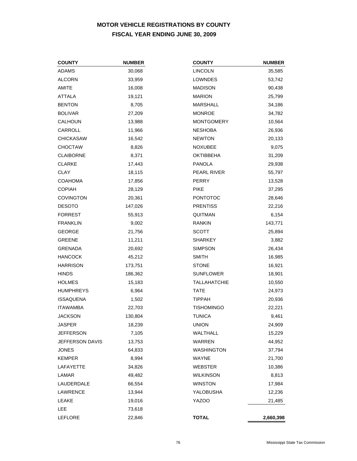# **MOTOR VEHICLE REGISTRATIONS BY COUNTY FISCAL YEAR ENDING JUNE 30, 2009**

| <b>COUNTY</b>    | <b>NUMBER</b> | <b>COUNTY</b>       | <b>NUMBER</b> |
|------------------|---------------|---------------------|---------------|
| <b>ADAMS</b>     | 30,068        | <b>LINCOLN</b>      | 35,585        |
| <b>ALCORN</b>    | 33,959        | LOWNDES             | 53,742        |
| AMITE            | 16,008        | <b>MADISON</b>      | 90,438        |
| <b>ATTALA</b>    | 19,121        | <b>MARION</b>       | 25,799        |
| <b>BENTON</b>    | 8,705         | MARSHALL            | 34,186        |
| <b>BOLIVAR</b>   | 27,209        | <b>MONROE</b>       | 34,782        |
| <b>CALHOUN</b>   | 13,988        | <b>MONTGOMERY</b>   | 10,564        |
| CARROLL          | 11,966        | <b>NESHOBA</b>      | 26,936        |
| <b>CHICKASAW</b> | 16,542        | <b>NEWTON</b>       | 20,133        |
| <b>CHOCTAW</b>   | 8,826         | <b>NOXUBEE</b>      | 9,075         |
| <b>CLAIBORNE</b> | 8,371         | <b>OKTIBBEHA</b>    | 31,209        |
| <b>CLARKE</b>    | 17,443        | <b>PANOLA</b>       | 29,938        |
| <b>CLAY</b>      | 18,115        | PEARL RIVER         | 55,797        |
| <b>COAHOMA</b>   | 17,856        | <b>PERRY</b>        | 13,528        |
| <b>COPIAH</b>    | 28,129        | <b>PIKE</b>         | 37,295        |
| <b>COVINGTON</b> | 20,361        | <b>PONTOTOC</b>     | 28,646        |
| <b>DESOTO</b>    | 147,026       | <b>PRENTISS</b>     | 22,216        |
| <b>FORREST</b>   | 55,913        | QUITMAN             | 6,154         |
| <b>FRANKLIN</b>  | 9,002         | <b>RANKIN</b>       | 143,771       |
| <b>GEORGE</b>    | 21,756        | <b>SCOTT</b>        | 25,894        |
| <b>GREENE</b>    | 11,211        | <b>SHARKEY</b>      | 3,882         |
| <b>GRENADA</b>   | 20,692        | <b>SIMPSON</b>      | 26,434        |
| <b>HANCOCK</b>   | 45,212        | <b>SMITH</b>        | 16,985        |
| <b>HARRISON</b>  | 173,751       | <b>STONE</b>        | 16,921        |
| <b>HINDS</b>     | 186,362       | <b>SUNFLOWER</b>    | 18,901        |
| <b>HOLMES</b>    | 15,183        | <b>TALLAHATCHIE</b> | 10,550        |
| <b>HUMPHREYS</b> | 6,964         | TATE                | 24,973        |
| <b>ISSAQUENA</b> | 1,502         | <b>TIPPAH</b>       | 20,936        |
| <b>ITAWAMBA</b>  | 22,703        | <b>TISHOMINGO</b>   | 22,221        |
| <b>JACKSON</b>   | 130,804       | <b>TUNICA</b>       | 9,461         |
| JASPER           | 18,239        | <b>UNION</b>        | 24,909        |
| <b>JEFFERSON</b> | 7,105         | WALTHALL            | 15,229        |
| JEFFERSON DAVIS  | 13,753        | WARREN              | 44,952        |
| <b>JONES</b>     | 64,833        | <b>WASHINGTON</b>   | 37,794        |
| <b>KEMPER</b>    | 8,994         | WAYNE               | 21,700        |
| <b>LAFAYETTE</b> | 34,826        | <b>WEBSTER</b>      | 10,386        |
| LAMAR            | 49,482        | <b>WILKINSON</b>    | 8,813         |
| LAUDERDALE       | 66,554        | <b>WINSTON</b>      | 17,984        |
| LAWRENCE         | 13,944        | YALOBUSHA           | 12,236        |
| LEAKE            | 19,016        | <b>YAZOO</b>        | 21,485        |
| LEE              | 73,618        |                     |               |
| <b>LEFLORE</b>   | 22,846        | <b>TOTAL</b>        | 2,660,398     |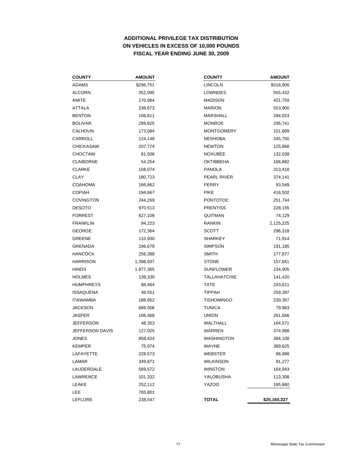# **ADDITIONAL PRIVILEGE TAX DISTRIBUTION ON VEHICLES IN EXCESS OF 10,000 POUNDS FISCAL YEAR ENDING JUNE 30, 2009**

| <b>COUNTY</b>    | <b>AMOUNT</b> | <b>COUNTY</b>       | <b>AMOUNT</b> |
|------------------|---------------|---------------------|---------------|
| ADAMS            | \$296,751     | <b>LINCOLN</b>      | \$316,906     |
| ALCORN           | 352,085       | LOWNDES             | 555,432       |
| AMITE            | 170,964       | <b>MADISON</b>      | 431,759       |
| ATTALA           | 238,673       | <b>MARION</b>       | 553,900       |
| <b>BENTON</b>    | 106,611       | <b>MARSHALL</b>     | 294,024       |
| BOLIVAR          | 289,825       | <b>MONROE</b>       | 295,741       |
| CALHOUN          | 173,084       | <b>MONTGOMERY</b>   | 101,699       |
| CARROLL          | 124,149       | <b>NESHOBA</b>      | 245,750       |
| CHICKASAW        | 207,774       | <b>NEWTON</b>       | 125,868       |
| CHOCTAW          | 81,506        | NOXUBEE             | 132,038       |
| <b>CLAIBORNE</b> | 54,254        | <b>OKTIBBEHA</b>    | 166,882       |
| CLARKE           | 158,074       | <b>PANOLA</b>       | 313,418       |
| CLAY             | 180,723       | PEARL RIVER         | 374,141       |
| COAHOMA          | 166,862       | PERRY               | 93,549        |
| COPIAH           | 194,667       | <b>PIKE</b>         | 416,502       |
| <b>COVINGTON</b> | 244,269       | <b>PONTOTOC</b>     | 251,744       |
| DESOTO           | 970,513       | <b>PRENTISS</b>     | 228,155       |
| FORREST          | 627,108       | QUITMAN             | 74,129        |
| <b>FRANKLIN</b>  | 94,223        | <b>RANKIN</b>       | 2,125,225     |
| GEORGE           | 172,364       | <b>SCOTT</b>        | 296,318       |
| GREENE           | 110,930       | <b>SHARKEY</b>      | 71,914        |
| GRENADA          | 196,679       | <b>SIMPSON</b>      | 191,185       |
| <b>HANCOCK</b>   | 256,388       | <b>SMITH</b>        | 177,877       |
| HARRISON         | 1,398,937     | <b>STONE</b>        | 157,651       |
| HINDS            | 1,977,365     | <b>SUNFLOWER</b>    | 234,905       |
| HOLMES           | 139,330       | <b>TALLAHATCHIE</b> | 141,420       |
| HUMPHREYS        | 88,464        | <b>TATE</b>         | 243,611       |
| <b>ISSAQUENA</b> | 48,551        | <b>TIPPAH</b>       | 259,397       |
| <b>ITAWAMBA</b>  | 188,952       | <b>TISHOMINGO</b>   | 230,357       |
| JACKSON          | 689,506       | <b>TUNICA</b>       | 79,963        |
| JASPER           | 166,468       | <b>UNION</b>        | 261,566       |
| JEFFERSON        | 48,353        | WALTHALL            | 164,571       |
| JEFFERSON DAVIS  | 127,025       | WARREN              | 374,988       |
| JONES            | 858,424       | <b>WASHINGTON</b>   | 364,108       |
| KEMPER           | 75,974        | WAYNE               | 389,625       |
| LAFAYETTE        | 228,573       | WEBSTER             | 86,988        |
| LAMAR            | 349,871       | <b>WILKINSON</b>    | 91,277        |
| LAUDERDALE       | 569,572       | <b>WINSTON</b>      | 164,943       |
| LAWRENCE         | 101,332       | YALOBUSHA           | 113,308       |
| LEAKE            | 252,112       | <b>YAZOO</b>        | 185,860       |
| LEE              | 765,801       |                     |               |
| LEFLORE          | 238,547       | <b>TOTAL</b>        | \$25,160,327  |

| <b>COUNTY</b>       | <b>AMOUNT</b> |
|---------------------|---------------|
| LINCOLN             | \$316,906     |
| LOWNDES             | 555,432       |
| MADISON             | 431,759       |
| <b>MARION</b>       | 553,900       |
| MARSHALL            | 294,024       |
| MONROE              | 295,741       |
| <b>MONTGOMERY</b>   | 101,699       |
| NESHOBA             | 245,750       |
| NEWTON              | 125,868       |
| NOXUBEE             | 132,038       |
| <b>OKTIBBEHA</b>    | 166,882       |
| <b>PANOLA</b>       | 313,418       |
| PEARL RIVER         | 374,141       |
| PERRY               | 93,549        |
| PIKE                | 416,502       |
| PONTOTOC            | 251,744       |
| <b>PRENTISS</b>     | 228,155       |
| QUITMAN             | 74,129        |
| RANKIN              | 2,125,225     |
| SCOTT               | 296,318       |
| SHARKEY             | 71,914        |
| <b>SIMPSON</b>      | 191,185       |
| SMITH               | 177,877       |
| STONE               | 157,651       |
| <b>SUNFLOWER</b>    | 234,905       |
| <b>TALLAHATCHIE</b> | 141,420       |
| TATE                | 243,611       |
| <b>TIPPAH</b>       | 259,397       |
| <b>TISHOMINGO</b>   | 230,357       |
| <b>TUNICA</b>       | 79,963        |
| UNION               | 261,566       |
| WALTHALL            | 164,571       |
| WARREN              | 374,988       |
| WASHINGTON          | 364,108       |
| WAYNE               | 389,625       |
| WEBSTER             | 86,988        |
| <b>WILKINSON</b>    | 91,277        |
| WINSTON             | 164,943       |
| YALOBUSHA           | 113,308       |
| <b>YAZOO</b>        | 185,860       |
|                     |               |
| <b>TOTAL</b>        | \$25,160,327  |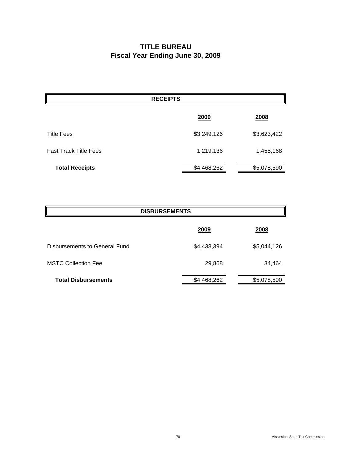# **TITLE BUREAU Fiscal Year Ending June 30, 2009**

| <b>RECEIPTS</b>              |             |             |  |  |
|------------------------------|-------------|-------------|--|--|
|                              | 2009        | 2008        |  |  |
| <b>Title Fees</b>            | \$3,249,126 | \$3,623,422 |  |  |
| <b>Fast Track Title Fees</b> | 1,219,136   | 1,455,168   |  |  |
| <b>Total Receipts</b>        | \$4,468,262 | \$5,078,590 |  |  |

| <b>DISBURSEMENTS</b>          |             |             |  |  |
|-------------------------------|-------------|-------------|--|--|
|                               | 2009        | 2008        |  |  |
| Disbursements to General Fund | \$4,438,394 | \$5,044,126 |  |  |
| <b>MSTC Collection Fee</b>    | 29,868      | 34,464      |  |  |
| <b>Total Disbursements</b>    | \$4,468,262 | \$5,078,590 |  |  |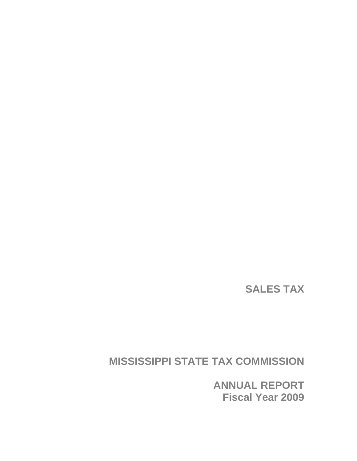**SALES TAX** 

**MISSISSIPPI STATE TAX COMMISSION** 

**ANNUAL REPORT Fiscal Year 2009**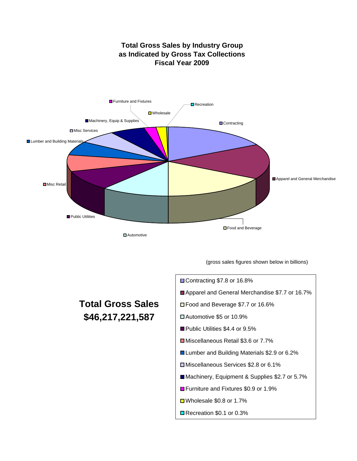

**Total Gross Sales by Industry Group as Indicated by Gross Tax Collections Fiscal Year 2009**

**□** Automotive

(gross sales figures shown below in billions)

# **Total Gross Sales \$46,217,221,587**

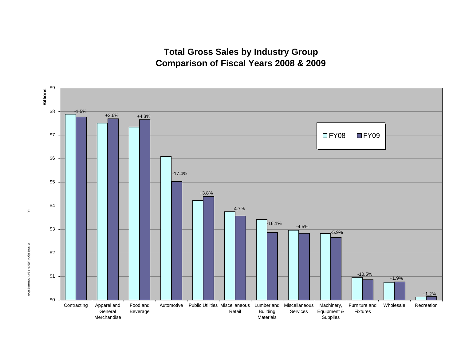**Total Gross Sales by Industry Group Comparison of Fiscal Years 2008 & 2009**



80

Mississippi State Tax Commission Mississippi State Tax Commission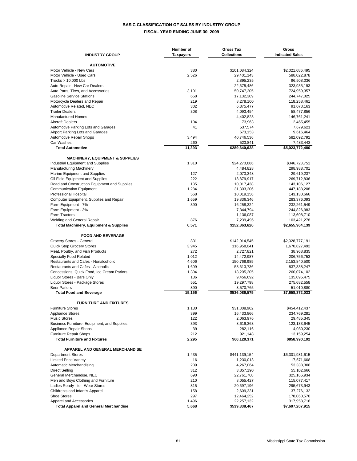### **BASIC CLASSIFICATION OF SALES BY INDUSTRY GROUP FISCAL YEAR ENDING JUNE 30, 2009**

| <b>INDUSTRY GROUP</b>                                                          | Number of<br><b>Taxpayers</b> | <b>Gross Tax</b><br><b>Collections</b> | Gross<br><b>Indicated Sales</b> |
|--------------------------------------------------------------------------------|-------------------------------|----------------------------------------|---------------------------------|
|                                                                                |                               |                                        |                                 |
| <b>AUTOMOTIVE</b>                                                              |                               |                                        |                                 |
| Motor Vehicle - New Cars                                                       | 380                           | \$101,084,324                          | \$2,021,686,495                 |
| Motor Vehicle - Used Cars<br>Trucks $> 10,000$ Lbs                             | 2,526                         | 29,401,143<br>2,895,235                | 588,022,878<br>96,508,036       |
| Auto Repair - New Car Dealers                                                  |                               | 22,675,486                             | 323,935,193                     |
| Auto Parts, Tires, and Accessories                                             | 3,101                         | 50,747,205                             | 724,959,357                     |
| <b>Gasoline Service Stations</b>                                               | 658                           | 17,132,309                             | 244,747,025                     |
| Motorcycle Dealers and Repair                                                  | 219                           | 8,278,100                              | 118,258,461                     |
| Automotive Related, NEC                                                        | 302                           | 6,375,477                              | 91,078,163                      |
| <b>Trailer Dealers</b><br><b>Manufactured Homes</b>                            | 308                           | 4,093,454<br>4,402,828                 | 58,477,856<br>146,761,241       |
| <b>Aircraft Dealers</b>                                                        | 104                           | 73,963                                 | 2,465,455                       |
| Automotive Parking Lots and Garages                                            | 41                            | 537,574                                | 7,679,621                       |
| Airport Parking Lots and Garages                                               |                               | 673,153                                | 9,616,464                       |
| <b>Automotive Repair Shops</b>                                                 | 3,494                         | 40,746,536                             | 582,092,792                     |
| Car Washes                                                                     | 260                           | 523,841                                | 7,483,443                       |
| <b>Total Automotive</b>                                                        | 11,393                        | \$289,640,628                          | \$5,023,772,480                 |
| <b>MACHINERY, EQUIPMENT &amp; SUPPLIES</b>                                     |                               |                                        |                                 |
| Industrial Equipment and Supplies                                              | 1,310                         | \$24,270,686                           | \$346,723,751                   |
| <b>Manufacturing Machinery</b>                                                 |                               | 4,484,828                              | 298,988,701                     |
| Marine Equipment and Supplies                                                  | 127                           | 2,073,348                              | 29,619,237                      |
| Oil Field Equipment and Supplies                                               | 222                           | 18,879,917                             | 269,712,836                     |
| Road and Construction Equipment and Supplies<br><b>Communication Equipment</b> | 135<br>1,284                  | 10,017,438<br>31,303,206               | 143,106,127<br>447,188,208      |
| Professional Hospital                                                          | 568                           | 10,019,156                             | 143,130,666                     |
| Computer Equipment, Supplies and Repair                                        | 1,659                         | 19,836,346                             | 283,376,093                     |
| Farm Equipment - 7%                                                            | 390                           | 16,258,324                             | 232,261,549                     |
| Farm Equipment - 3%                                                            |                               | 7,344,794                              | 244,826,983                     |
| <b>Farm Tractors</b>                                                           |                               | 1,136,087                              | 113,608,710                     |
| Welding and General Repair                                                     | 876                           | 7,239,496                              | 103,421,278                     |
| <b>Total Machinery, Equipment &amp; Supplies</b>                               | 6,571                         | \$152,863,626                          | \$2,655,964,139                 |
| <b>FOOD AND BEVERAGE</b>                                                       |                               |                                        |                                 |
| Grocery Stores - General                                                       | 831                           | \$142,014,545                          | \$2,028,777,191                 |
| <b>Quick Stop Grocery Stores</b>                                               | 3,945                         | 116,958,041                            | 1,670,827,492                   |
| Meat, Poultry, and Fish Products                                               | 272                           | 2,727,821                              | 38,968,835                      |
| Specialty Food Related<br>Restaurants and Cafes - Nonalcoholic                 | 1,012<br>4,606                | 14,472,987<br>150,768,985              | 206,756,753                     |
| Restaurants and Cafes - Alcoholic                                              | 1,609                         | 58,613,736                             | 2,153,840,500<br>837,338,247    |
| Concessions, Quick Food, Ice Cream Parlors                                     | 1,304                         | 18,205,205                             | 260,074,102                     |
| Liquor Stores - Bars Only                                                      | 136                           | 9,456,692                              | 135,095,475                     |
| Liquor Stores - Package Stores                                                 | 551                           | 19,297,798                             | 275,682,558                     |
| <b>Beer Parlors</b>                                                            | 890                           | 3,570,765                              | 51,010,880                      |
| <b>Total Food and Beverage</b>                                                 | 15,156                        | \$536,086,575                          | \$7,658,372,033                 |
| <b>FURNITURE AND FIXTURES</b>                                                  |                               |                                        |                                 |
| <b>Furniture Stores</b>                                                        | 1,130                         | \$31,808,902                           | \$454,412,437                   |
| <b>Appliance Stores</b>                                                        | 399                           | 16,433,866                             | 234,769,281                     |
| <b>Music Stores</b>                                                            | 122                           | 2,063,976                              | 29,485,345                      |
| Business Furniture, Equipment, and Supplies                                    | 393                           | 8,619,363                              | 123,133,645                     |
| Appliance Repair Shops<br><b>Furniture Repair Shops</b>                        | 39                            | 282,116                                | 4,030,230                       |
| <b>Total Furniture and Fixtures</b>                                            | 212<br>2,295                  | 921,148<br>\$60,129,371                | 13,159,254<br>\$858,990,192     |
|                                                                                |                               |                                        |                                 |
| APPAREL AND GENERAL MERCHANDISE                                                |                               |                                        |                                 |
| <b>Department Stores</b>                                                       | 1,435                         | \$441,139,154                          | \$6,301,981,615                 |
| <b>Limited Price Variety</b>                                                   | 16                            | 1,230,013<br>4,267,064                 | 17,571,608                      |
| Automatic Merchandising<br><b>Direct Selling</b>                               | 239<br>312                    | 3,857,190                              | 53,338,308<br>55,102,666        |
| General Merchandise, NEC                                                       | 690                           | 22,761,708                             | 325,166,934                     |
| Men and Boys Clothing and Furniture                                            | 210                           | 8,055,427                              | 115,077,417                     |
| Ladies Ready - to - Wear Stores                                                | 815                           | 20,697,196                             | 295,673,943                     |
| Children's and Infant's Apparel                                                | 158                           | 2,609,331                              | 37,276,132                      |
| <b>Shoe Stores</b>                                                             | 297                           | 12,464,252                             | 178,060,576                     |
| Apparel and Accessories                                                        | 1,496                         | 22,257,132                             | 317,958,716                     |
| <b>Total Apparel and General Merchandise</b>                                   | 5,668                         | \$539,338,467                          | \$7,697,207,915                 |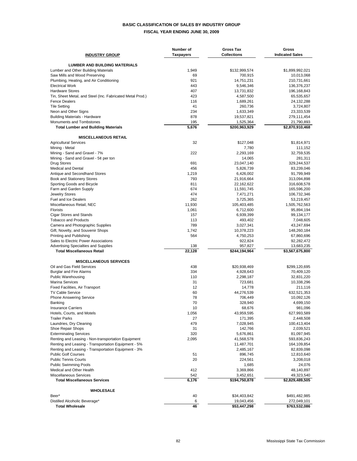### **BASIC CLASSIFICATION OF SALES BY INDUSTRY GROUP FISCAL YEAR ENDING JUNE 30, 2009**

| <b>LUMBER AND BUILDING MATERIALS</b><br>1,949<br>Lumber and Other Building Materials<br>\$132,999,574<br>\$1,899,992,021<br>Saw Mills and Wood Preserving<br>69<br>700,915<br>10,013,068<br>921<br>Plumbing, Heating, and Air Conditioning<br>14,751,231<br>210,731,661<br><b>Electrical Work</b><br>443<br>9,546,346<br>136,376,237<br><b>Hardware Stores</b><br>407<br>13,731,832<br>196,168,843<br>Tin, Sheet Metal, and Steel (Inc. Fabricated Metal Prod.)<br>423<br>4,587,500<br>65,535,657<br>116<br>1,689,261<br><b>Fence Dealers</b><br>24,132,288<br>41<br><b>Tile Setting</b><br>260,736<br>3,724,807<br>234<br>Neon and Other Signs<br>1,633,349<br>23,333,539<br>878<br><b>Building Materials - Hardware</b><br>19,537,821<br>279,111,454<br>195<br>Monuments and Tombstones<br>1,525,364<br>21,790,893<br>5,676<br><b>Total Lumber and Building Materials</b><br>\$200,963,929<br>\$2,870,910,468<br><b>MISCELLANEOUS RETAIL</b><br>32<br><b>Agricultural Services</b><br>\$127,048<br>\$1,814,971<br>Mining - Metal<br>7,780<br>111,152<br>Mining - Sand and Gravel - 7%<br>222<br>2,293,169<br>32,759,535<br>Mining - Sand and Gravel - $5¢$ per ton<br>14,065<br>281,311<br><b>Drug Stores</b><br>691<br>23,047,140<br>329,244,537<br>456<br><b>Medical and Dental</b><br>5,826,739<br>83,239,046<br>Antique and Secondhand Stores<br>1,219<br>6,426,002<br>91,799,949<br>793<br>Book and Stationery Stores<br>313,094,898<br>21,916,664<br>811<br>Sporting Goods and Bicycle<br>22,162,622<br>316,608,578<br>Farm and Garden Supply<br>674<br>11,591,745<br>165,596,200<br>474<br><b>Jewelry Stores</b><br>7,471,271<br>106,732,346<br>262<br><b>Fuel and Ice Dealers</b><br>3,725,365<br>53,219,457<br>11,930<br>Miscellaneous Retail, NEC<br>105,403,485<br>1,505,762,563<br><b>Florists</b><br>1,061<br>6,712,600<br>95,894,194<br><b>Cigar Stores and Stands</b><br>157<br>6,939,399<br>99,134,177<br><b>Tobacco and Products</b><br>113<br>493,402<br>7,048,605<br>789<br>Camera and Photographic Supplies<br>3,027,341<br>43,247,694<br>Gift, Novelty, and Souvenir Shops<br>1,742<br>10,378,223<br>148,260,184<br>564<br>Printing and Publishing<br>4,750,253<br>67,860,696<br>Sales to Electric Power Associations<br>922,824<br>92,282,472<br><b>Advertising Specialties and Supplies</b><br>138<br>957,827<br>13,683,235<br>22,128<br><b>Total Miscellaneous Retail</b><br>\$244,194,964<br>\$3,567,675,800<br><b>MISCELLANEOUS SERVICES</b><br>Oil and Gas Field Services<br>438<br>\$20,938,469<br>\$299,120,695<br>334<br><b>Burglar and Fire Alarms</b><br>4,928,643<br>70,409,120<br><b>Public Warehousing</b><br>110<br>2,298,187<br>32,831,220<br>31<br><b>Marina Services</b><br>723,681<br>10,338,296<br>12<br>Fixed Facilities, Air Transport<br>14,778<br>211,116<br>60<br>44,276,539<br><b>TV Cable Service</b><br>632,521,353<br>78<br><b>Phone Answering Service</b><br>706,449<br>10,092,126<br>70<br>328,940<br>4,699,150<br>Banking<br>10<br>68,676<br>981,096<br><b>Insurance Carriers</b><br>1,056<br>43,959,595<br>627,993,589<br>Hotels, Courts, and Motels<br><b>Trailer Parks</b><br>27<br>171,395<br>2,448,508<br>Laundries, Dry Cleaning<br>479<br>7,028,945<br>100,413,404<br>Shoe Repair Shops<br>31<br>142,766<br>2,039,521<br>320<br><b>Exterminating Services</b><br>5,676,861<br>81,097,945<br>Renting and Leasing - Non-transportation Equipment<br>2,095<br>41,568,578<br>593,836,243<br>Renting and Leasing - Transportation Equipment - 5%<br>11,487,701<br>164,109,854<br>Renting and Leasing - Transportation Equipment - 3%<br>2,485,167<br>82,839,098<br><b>Public Golf Courses</b><br>51<br>896,745<br>12,810,640<br><b>Public Tennis Courts</b><br>20<br>3,208,018<br>224,561<br><b>Public Swimming Pools</b><br>1,685<br>24,076<br>Medical and Other Health<br>412<br>3,369,866<br>48,140,897<br><b>Miscellaneous Services</b><br>542<br>3,452,651<br>49,323,540<br>6,176<br>\$194,750,878<br><b>Total Miscellaneous Services</b><br>\$2,829,489,505<br><b>WHOLESALE</b><br>Beer*<br>40<br>\$34,403,842<br>\$491,482,985<br>Distilled Alcoholic Beverage*<br>6<br>19,043,456<br>272,049,101<br>46<br><b>Total Wholesale</b><br>\$53,447,298<br>\$763,532,086 | <b>INDUSTRY GROUP</b> | Number of<br><b>Taxpayers</b> | <b>Gross Tax</b><br><b>Collections</b> | Gross<br><b>Indicated Sales</b> |
|------------------------------------------------------------------------------------------------------------------------------------------------------------------------------------------------------------------------------------------------------------------------------------------------------------------------------------------------------------------------------------------------------------------------------------------------------------------------------------------------------------------------------------------------------------------------------------------------------------------------------------------------------------------------------------------------------------------------------------------------------------------------------------------------------------------------------------------------------------------------------------------------------------------------------------------------------------------------------------------------------------------------------------------------------------------------------------------------------------------------------------------------------------------------------------------------------------------------------------------------------------------------------------------------------------------------------------------------------------------------------------------------------------------------------------------------------------------------------------------------------------------------------------------------------------------------------------------------------------------------------------------------------------------------------------------------------------------------------------------------------------------------------------------------------------------------------------------------------------------------------------------------------------------------------------------------------------------------------------------------------------------------------------------------------------------------------------------------------------------------------------------------------------------------------------------------------------------------------------------------------------------------------------------------------------------------------------------------------------------------------------------------------------------------------------------------------------------------------------------------------------------------------------------------------------------------------------------------------------------------------------------------------------------------------------------------------------------------------------------------------------------------------------------------------------------------------------------------------------------------------------------------------------------------------------------------------------------------------------------------------------------------------------------------------------------------------------------------------------------------------------------------------------------------------------------------------------------------------------------------------------------------------------------------------------------------------------------------------------------------------------------------------------------------------------------------------------------------------------------------------------------------------------------------------------------------------------------------------------------------------------------------------------------------------------------------------------------------------------------------------------------------------------------------------------------------------------------------------------------------------------------------------------------------------------------------------------------------------------------------------------------------------------------------------------------------------------------------------------------------------------------------------------------------------------------------------------------------------------|-----------------------|-------------------------------|----------------------------------------|---------------------------------|
|                                                                                                                                                                                                                                                                                                                                                                                                                                                                                                                                                                                                                                                                                                                                                                                                                                                                                                                                                                                                                                                                                                                                                                                                                                                                                                                                                                                                                                                                                                                                                                                                                                                                                                                                                                                                                                                                                                                                                                                                                                                                                                                                                                                                                                                                                                                                                                                                                                                                                                                                                                                                                                                                                                                                                                                                                                                                                                                                                                                                                                                                                                                                                                                                                                                                                                                                                                                                                                                                                                                                                                                                                                                                                                                                                                                                                                                                                                                                                                                                                                                                                                                                                                                                                                    |                       |                               |                                        |                                 |
|                                                                                                                                                                                                                                                                                                                                                                                                                                                                                                                                                                                                                                                                                                                                                                                                                                                                                                                                                                                                                                                                                                                                                                                                                                                                                                                                                                                                                                                                                                                                                                                                                                                                                                                                                                                                                                                                                                                                                                                                                                                                                                                                                                                                                                                                                                                                                                                                                                                                                                                                                                                                                                                                                                                                                                                                                                                                                                                                                                                                                                                                                                                                                                                                                                                                                                                                                                                                                                                                                                                                                                                                                                                                                                                                                                                                                                                                                                                                                                                                                                                                                                                                                                                                                                    |                       |                               |                                        |                                 |
|                                                                                                                                                                                                                                                                                                                                                                                                                                                                                                                                                                                                                                                                                                                                                                                                                                                                                                                                                                                                                                                                                                                                                                                                                                                                                                                                                                                                                                                                                                                                                                                                                                                                                                                                                                                                                                                                                                                                                                                                                                                                                                                                                                                                                                                                                                                                                                                                                                                                                                                                                                                                                                                                                                                                                                                                                                                                                                                                                                                                                                                                                                                                                                                                                                                                                                                                                                                                                                                                                                                                                                                                                                                                                                                                                                                                                                                                                                                                                                                                                                                                                                                                                                                                                                    |                       |                               |                                        |                                 |
|                                                                                                                                                                                                                                                                                                                                                                                                                                                                                                                                                                                                                                                                                                                                                                                                                                                                                                                                                                                                                                                                                                                                                                                                                                                                                                                                                                                                                                                                                                                                                                                                                                                                                                                                                                                                                                                                                                                                                                                                                                                                                                                                                                                                                                                                                                                                                                                                                                                                                                                                                                                                                                                                                                                                                                                                                                                                                                                                                                                                                                                                                                                                                                                                                                                                                                                                                                                                                                                                                                                                                                                                                                                                                                                                                                                                                                                                                                                                                                                                                                                                                                                                                                                                                                    |                       |                               |                                        |                                 |
|                                                                                                                                                                                                                                                                                                                                                                                                                                                                                                                                                                                                                                                                                                                                                                                                                                                                                                                                                                                                                                                                                                                                                                                                                                                                                                                                                                                                                                                                                                                                                                                                                                                                                                                                                                                                                                                                                                                                                                                                                                                                                                                                                                                                                                                                                                                                                                                                                                                                                                                                                                                                                                                                                                                                                                                                                                                                                                                                                                                                                                                                                                                                                                                                                                                                                                                                                                                                                                                                                                                                                                                                                                                                                                                                                                                                                                                                                                                                                                                                                                                                                                                                                                                                                                    |                       |                               |                                        |                                 |
|                                                                                                                                                                                                                                                                                                                                                                                                                                                                                                                                                                                                                                                                                                                                                                                                                                                                                                                                                                                                                                                                                                                                                                                                                                                                                                                                                                                                                                                                                                                                                                                                                                                                                                                                                                                                                                                                                                                                                                                                                                                                                                                                                                                                                                                                                                                                                                                                                                                                                                                                                                                                                                                                                                                                                                                                                                                                                                                                                                                                                                                                                                                                                                                                                                                                                                                                                                                                                                                                                                                                                                                                                                                                                                                                                                                                                                                                                                                                                                                                                                                                                                                                                                                                                                    |                       |                               |                                        |                                 |
|                                                                                                                                                                                                                                                                                                                                                                                                                                                                                                                                                                                                                                                                                                                                                                                                                                                                                                                                                                                                                                                                                                                                                                                                                                                                                                                                                                                                                                                                                                                                                                                                                                                                                                                                                                                                                                                                                                                                                                                                                                                                                                                                                                                                                                                                                                                                                                                                                                                                                                                                                                                                                                                                                                                                                                                                                                                                                                                                                                                                                                                                                                                                                                                                                                                                                                                                                                                                                                                                                                                                                                                                                                                                                                                                                                                                                                                                                                                                                                                                                                                                                                                                                                                                                                    |                       |                               |                                        |                                 |
|                                                                                                                                                                                                                                                                                                                                                                                                                                                                                                                                                                                                                                                                                                                                                                                                                                                                                                                                                                                                                                                                                                                                                                                                                                                                                                                                                                                                                                                                                                                                                                                                                                                                                                                                                                                                                                                                                                                                                                                                                                                                                                                                                                                                                                                                                                                                                                                                                                                                                                                                                                                                                                                                                                                                                                                                                                                                                                                                                                                                                                                                                                                                                                                                                                                                                                                                                                                                                                                                                                                                                                                                                                                                                                                                                                                                                                                                                                                                                                                                                                                                                                                                                                                                                                    |                       |                               |                                        |                                 |
|                                                                                                                                                                                                                                                                                                                                                                                                                                                                                                                                                                                                                                                                                                                                                                                                                                                                                                                                                                                                                                                                                                                                                                                                                                                                                                                                                                                                                                                                                                                                                                                                                                                                                                                                                                                                                                                                                                                                                                                                                                                                                                                                                                                                                                                                                                                                                                                                                                                                                                                                                                                                                                                                                                                                                                                                                                                                                                                                                                                                                                                                                                                                                                                                                                                                                                                                                                                                                                                                                                                                                                                                                                                                                                                                                                                                                                                                                                                                                                                                                                                                                                                                                                                                                                    |                       |                               |                                        |                                 |
|                                                                                                                                                                                                                                                                                                                                                                                                                                                                                                                                                                                                                                                                                                                                                                                                                                                                                                                                                                                                                                                                                                                                                                                                                                                                                                                                                                                                                                                                                                                                                                                                                                                                                                                                                                                                                                                                                                                                                                                                                                                                                                                                                                                                                                                                                                                                                                                                                                                                                                                                                                                                                                                                                                                                                                                                                                                                                                                                                                                                                                                                                                                                                                                                                                                                                                                                                                                                                                                                                                                                                                                                                                                                                                                                                                                                                                                                                                                                                                                                                                                                                                                                                                                                                                    |                       |                               |                                        |                                 |
|                                                                                                                                                                                                                                                                                                                                                                                                                                                                                                                                                                                                                                                                                                                                                                                                                                                                                                                                                                                                                                                                                                                                                                                                                                                                                                                                                                                                                                                                                                                                                                                                                                                                                                                                                                                                                                                                                                                                                                                                                                                                                                                                                                                                                                                                                                                                                                                                                                                                                                                                                                                                                                                                                                                                                                                                                                                                                                                                                                                                                                                                                                                                                                                                                                                                                                                                                                                                                                                                                                                                                                                                                                                                                                                                                                                                                                                                                                                                                                                                                                                                                                                                                                                                                                    |                       |                               |                                        |                                 |
|                                                                                                                                                                                                                                                                                                                                                                                                                                                                                                                                                                                                                                                                                                                                                                                                                                                                                                                                                                                                                                                                                                                                                                                                                                                                                                                                                                                                                                                                                                                                                                                                                                                                                                                                                                                                                                                                                                                                                                                                                                                                                                                                                                                                                                                                                                                                                                                                                                                                                                                                                                                                                                                                                                                                                                                                                                                                                                                                                                                                                                                                                                                                                                                                                                                                                                                                                                                                                                                                                                                                                                                                                                                                                                                                                                                                                                                                                                                                                                                                                                                                                                                                                                                                                                    |                       |                               |                                        |                                 |
|                                                                                                                                                                                                                                                                                                                                                                                                                                                                                                                                                                                                                                                                                                                                                                                                                                                                                                                                                                                                                                                                                                                                                                                                                                                                                                                                                                                                                                                                                                                                                                                                                                                                                                                                                                                                                                                                                                                                                                                                                                                                                                                                                                                                                                                                                                                                                                                                                                                                                                                                                                                                                                                                                                                                                                                                                                                                                                                                                                                                                                                                                                                                                                                                                                                                                                                                                                                                                                                                                                                                                                                                                                                                                                                                                                                                                                                                                                                                                                                                                                                                                                                                                                                                                                    |                       |                               |                                        |                                 |
|                                                                                                                                                                                                                                                                                                                                                                                                                                                                                                                                                                                                                                                                                                                                                                                                                                                                                                                                                                                                                                                                                                                                                                                                                                                                                                                                                                                                                                                                                                                                                                                                                                                                                                                                                                                                                                                                                                                                                                                                                                                                                                                                                                                                                                                                                                                                                                                                                                                                                                                                                                                                                                                                                                                                                                                                                                                                                                                                                                                                                                                                                                                                                                                                                                                                                                                                                                                                                                                                                                                                                                                                                                                                                                                                                                                                                                                                                                                                                                                                                                                                                                                                                                                                                                    |                       |                               |                                        |                                 |
|                                                                                                                                                                                                                                                                                                                                                                                                                                                                                                                                                                                                                                                                                                                                                                                                                                                                                                                                                                                                                                                                                                                                                                                                                                                                                                                                                                                                                                                                                                                                                                                                                                                                                                                                                                                                                                                                                                                                                                                                                                                                                                                                                                                                                                                                                                                                                                                                                                                                                                                                                                                                                                                                                                                                                                                                                                                                                                                                                                                                                                                                                                                                                                                                                                                                                                                                                                                                                                                                                                                                                                                                                                                                                                                                                                                                                                                                                                                                                                                                                                                                                                                                                                                                                                    |                       |                               |                                        |                                 |
|                                                                                                                                                                                                                                                                                                                                                                                                                                                                                                                                                                                                                                                                                                                                                                                                                                                                                                                                                                                                                                                                                                                                                                                                                                                                                                                                                                                                                                                                                                                                                                                                                                                                                                                                                                                                                                                                                                                                                                                                                                                                                                                                                                                                                                                                                                                                                                                                                                                                                                                                                                                                                                                                                                                                                                                                                                                                                                                                                                                                                                                                                                                                                                                                                                                                                                                                                                                                                                                                                                                                                                                                                                                                                                                                                                                                                                                                                                                                                                                                                                                                                                                                                                                                                                    |                       |                               |                                        |                                 |
|                                                                                                                                                                                                                                                                                                                                                                                                                                                                                                                                                                                                                                                                                                                                                                                                                                                                                                                                                                                                                                                                                                                                                                                                                                                                                                                                                                                                                                                                                                                                                                                                                                                                                                                                                                                                                                                                                                                                                                                                                                                                                                                                                                                                                                                                                                                                                                                                                                                                                                                                                                                                                                                                                                                                                                                                                                                                                                                                                                                                                                                                                                                                                                                                                                                                                                                                                                                                                                                                                                                                                                                                                                                                                                                                                                                                                                                                                                                                                                                                                                                                                                                                                                                                                                    |                       |                               |                                        |                                 |
|                                                                                                                                                                                                                                                                                                                                                                                                                                                                                                                                                                                                                                                                                                                                                                                                                                                                                                                                                                                                                                                                                                                                                                                                                                                                                                                                                                                                                                                                                                                                                                                                                                                                                                                                                                                                                                                                                                                                                                                                                                                                                                                                                                                                                                                                                                                                                                                                                                                                                                                                                                                                                                                                                                                                                                                                                                                                                                                                                                                                                                                                                                                                                                                                                                                                                                                                                                                                                                                                                                                                                                                                                                                                                                                                                                                                                                                                                                                                                                                                                                                                                                                                                                                                                                    |                       |                               |                                        |                                 |
|                                                                                                                                                                                                                                                                                                                                                                                                                                                                                                                                                                                                                                                                                                                                                                                                                                                                                                                                                                                                                                                                                                                                                                                                                                                                                                                                                                                                                                                                                                                                                                                                                                                                                                                                                                                                                                                                                                                                                                                                                                                                                                                                                                                                                                                                                                                                                                                                                                                                                                                                                                                                                                                                                                                                                                                                                                                                                                                                                                                                                                                                                                                                                                                                                                                                                                                                                                                                                                                                                                                                                                                                                                                                                                                                                                                                                                                                                                                                                                                                                                                                                                                                                                                                                                    |                       |                               |                                        |                                 |
|                                                                                                                                                                                                                                                                                                                                                                                                                                                                                                                                                                                                                                                                                                                                                                                                                                                                                                                                                                                                                                                                                                                                                                                                                                                                                                                                                                                                                                                                                                                                                                                                                                                                                                                                                                                                                                                                                                                                                                                                                                                                                                                                                                                                                                                                                                                                                                                                                                                                                                                                                                                                                                                                                                                                                                                                                                                                                                                                                                                                                                                                                                                                                                                                                                                                                                                                                                                                                                                                                                                                                                                                                                                                                                                                                                                                                                                                                                                                                                                                                                                                                                                                                                                                                                    |                       |                               |                                        |                                 |
|                                                                                                                                                                                                                                                                                                                                                                                                                                                                                                                                                                                                                                                                                                                                                                                                                                                                                                                                                                                                                                                                                                                                                                                                                                                                                                                                                                                                                                                                                                                                                                                                                                                                                                                                                                                                                                                                                                                                                                                                                                                                                                                                                                                                                                                                                                                                                                                                                                                                                                                                                                                                                                                                                                                                                                                                                                                                                                                                                                                                                                                                                                                                                                                                                                                                                                                                                                                                                                                                                                                                                                                                                                                                                                                                                                                                                                                                                                                                                                                                                                                                                                                                                                                                                                    |                       |                               |                                        |                                 |
|                                                                                                                                                                                                                                                                                                                                                                                                                                                                                                                                                                                                                                                                                                                                                                                                                                                                                                                                                                                                                                                                                                                                                                                                                                                                                                                                                                                                                                                                                                                                                                                                                                                                                                                                                                                                                                                                                                                                                                                                                                                                                                                                                                                                                                                                                                                                                                                                                                                                                                                                                                                                                                                                                                                                                                                                                                                                                                                                                                                                                                                                                                                                                                                                                                                                                                                                                                                                                                                                                                                                                                                                                                                                                                                                                                                                                                                                                                                                                                                                                                                                                                                                                                                                                                    |                       |                               |                                        |                                 |
|                                                                                                                                                                                                                                                                                                                                                                                                                                                                                                                                                                                                                                                                                                                                                                                                                                                                                                                                                                                                                                                                                                                                                                                                                                                                                                                                                                                                                                                                                                                                                                                                                                                                                                                                                                                                                                                                                                                                                                                                                                                                                                                                                                                                                                                                                                                                                                                                                                                                                                                                                                                                                                                                                                                                                                                                                                                                                                                                                                                                                                                                                                                                                                                                                                                                                                                                                                                                                                                                                                                                                                                                                                                                                                                                                                                                                                                                                                                                                                                                                                                                                                                                                                                                                                    |                       |                               |                                        |                                 |
|                                                                                                                                                                                                                                                                                                                                                                                                                                                                                                                                                                                                                                                                                                                                                                                                                                                                                                                                                                                                                                                                                                                                                                                                                                                                                                                                                                                                                                                                                                                                                                                                                                                                                                                                                                                                                                                                                                                                                                                                                                                                                                                                                                                                                                                                                                                                                                                                                                                                                                                                                                                                                                                                                                                                                                                                                                                                                                                                                                                                                                                                                                                                                                                                                                                                                                                                                                                                                                                                                                                                                                                                                                                                                                                                                                                                                                                                                                                                                                                                                                                                                                                                                                                                                                    |                       |                               |                                        |                                 |
|                                                                                                                                                                                                                                                                                                                                                                                                                                                                                                                                                                                                                                                                                                                                                                                                                                                                                                                                                                                                                                                                                                                                                                                                                                                                                                                                                                                                                                                                                                                                                                                                                                                                                                                                                                                                                                                                                                                                                                                                                                                                                                                                                                                                                                                                                                                                                                                                                                                                                                                                                                                                                                                                                                                                                                                                                                                                                                                                                                                                                                                                                                                                                                                                                                                                                                                                                                                                                                                                                                                                                                                                                                                                                                                                                                                                                                                                                                                                                                                                                                                                                                                                                                                                                                    |                       |                               |                                        |                                 |
|                                                                                                                                                                                                                                                                                                                                                                                                                                                                                                                                                                                                                                                                                                                                                                                                                                                                                                                                                                                                                                                                                                                                                                                                                                                                                                                                                                                                                                                                                                                                                                                                                                                                                                                                                                                                                                                                                                                                                                                                                                                                                                                                                                                                                                                                                                                                                                                                                                                                                                                                                                                                                                                                                                                                                                                                                                                                                                                                                                                                                                                                                                                                                                                                                                                                                                                                                                                                                                                                                                                                                                                                                                                                                                                                                                                                                                                                                                                                                                                                                                                                                                                                                                                                                                    |                       |                               |                                        |                                 |
|                                                                                                                                                                                                                                                                                                                                                                                                                                                                                                                                                                                                                                                                                                                                                                                                                                                                                                                                                                                                                                                                                                                                                                                                                                                                                                                                                                                                                                                                                                                                                                                                                                                                                                                                                                                                                                                                                                                                                                                                                                                                                                                                                                                                                                                                                                                                                                                                                                                                                                                                                                                                                                                                                                                                                                                                                                                                                                                                                                                                                                                                                                                                                                                                                                                                                                                                                                                                                                                                                                                                                                                                                                                                                                                                                                                                                                                                                                                                                                                                                                                                                                                                                                                                                                    |                       |                               |                                        |                                 |
|                                                                                                                                                                                                                                                                                                                                                                                                                                                                                                                                                                                                                                                                                                                                                                                                                                                                                                                                                                                                                                                                                                                                                                                                                                                                                                                                                                                                                                                                                                                                                                                                                                                                                                                                                                                                                                                                                                                                                                                                                                                                                                                                                                                                                                                                                                                                                                                                                                                                                                                                                                                                                                                                                                                                                                                                                                                                                                                                                                                                                                                                                                                                                                                                                                                                                                                                                                                                                                                                                                                                                                                                                                                                                                                                                                                                                                                                                                                                                                                                                                                                                                                                                                                                                                    |                       |                               |                                        |                                 |
|                                                                                                                                                                                                                                                                                                                                                                                                                                                                                                                                                                                                                                                                                                                                                                                                                                                                                                                                                                                                                                                                                                                                                                                                                                                                                                                                                                                                                                                                                                                                                                                                                                                                                                                                                                                                                                                                                                                                                                                                                                                                                                                                                                                                                                                                                                                                                                                                                                                                                                                                                                                                                                                                                                                                                                                                                                                                                                                                                                                                                                                                                                                                                                                                                                                                                                                                                                                                                                                                                                                                                                                                                                                                                                                                                                                                                                                                                                                                                                                                                                                                                                                                                                                                                                    |                       |                               |                                        |                                 |
|                                                                                                                                                                                                                                                                                                                                                                                                                                                                                                                                                                                                                                                                                                                                                                                                                                                                                                                                                                                                                                                                                                                                                                                                                                                                                                                                                                                                                                                                                                                                                                                                                                                                                                                                                                                                                                                                                                                                                                                                                                                                                                                                                                                                                                                                                                                                                                                                                                                                                                                                                                                                                                                                                                                                                                                                                                                                                                                                                                                                                                                                                                                                                                                                                                                                                                                                                                                                                                                                                                                                                                                                                                                                                                                                                                                                                                                                                                                                                                                                                                                                                                                                                                                                                                    |                       |                               |                                        |                                 |
|                                                                                                                                                                                                                                                                                                                                                                                                                                                                                                                                                                                                                                                                                                                                                                                                                                                                                                                                                                                                                                                                                                                                                                                                                                                                                                                                                                                                                                                                                                                                                                                                                                                                                                                                                                                                                                                                                                                                                                                                                                                                                                                                                                                                                                                                                                                                                                                                                                                                                                                                                                                                                                                                                                                                                                                                                                                                                                                                                                                                                                                                                                                                                                                                                                                                                                                                                                                                                                                                                                                                                                                                                                                                                                                                                                                                                                                                                                                                                                                                                                                                                                                                                                                                                                    |                       |                               |                                        |                                 |
|                                                                                                                                                                                                                                                                                                                                                                                                                                                                                                                                                                                                                                                                                                                                                                                                                                                                                                                                                                                                                                                                                                                                                                                                                                                                                                                                                                                                                                                                                                                                                                                                                                                                                                                                                                                                                                                                                                                                                                                                                                                                                                                                                                                                                                                                                                                                                                                                                                                                                                                                                                                                                                                                                                                                                                                                                                                                                                                                                                                                                                                                                                                                                                                                                                                                                                                                                                                                                                                                                                                                                                                                                                                                                                                                                                                                                                                                                                                                                                                                                                                                                                                                                                                                                                    |                       |                               |                                        |                                 |
|                                                                                                                                                                                                                                                                                                                                                                                                                                                                                                                                                                                                                                                                                                                                                                                                                                                                                                                                                                                                                                                                                                                                                                                                                                                                                                                                                                                                                                                                                                                                                                                                                                                                                                                                                                                                                                                                                                                                                                                                                                                                                                                                                                                                                                                                                                                                                                                                                                                                                                                                                                                                                                                                                                                                                                                                                                                                                                                                                                                                                                                                                                                                                                                                                                                                                                                                                                                                                                                                                                                                                                                                                                                                                                                                                                                                                                                                                                                                                                                                                                                                                                                                                                                                                                    |                       |                               |                                        |                                 |
|                                                                                                                                                                                                                                                                                                                                                                                                                                                                                                                                                                                                                                                                                                                                                                                                                                                                                                                                                                                                                                                                                                                                                                                                                                                                                                                                                                                                                                                                                                                                                                                                                                                                                                                                                                                                                                                                                                                                                                                                                                                                                                                                                                                                                                                                                                                                                                                                                                                                                                                                                                                                                                                                                                                                                                                                                                                                                                                                                                                                                                                                                                                                                                                                                                                                                                                                                                                                                                                                                                                                                                                                                                                                                                                                                                                                                                                                                                                                                                                                                                                                                                                                                                                                                                    |                       |                               |                                        |                                 |
|                                                                                                                                                                                                                                                                                                                                                                                                                                                                                                                                                                                                                                                                                                                                                                                                                                                                                                                                                                                                                                                                                                                                                                                                                                                                                                                                                                                                                                                                                                                                                                                                                                                                                                                                                                                                                                                                                                                                                                                                                                                                                                                                                                                                                                                                                                                                                                                                                                                                                                                                                                                                                                                                                                                                                                                                                                                                                                                                                                                                                                                                                                                                                                                                                                                                                                                                                                                                                                                                                                                                                                                                                                                                                                                                                                                                                                                                                                                                                                                                                                                                                                                                                                                                                                    |                       |                               |                                        |                                 |
|                                                                                                                                                                                                                                                                                                                                                                                                                                                                                                                                                                                                                                                                                                                                                                                                                                                                                                                                                                                                                                                                                                                                                                                                                                                                                                                                                                                                                                                                                                                                                                                                                                                                                                                                                                                                                                                                                                                                                                                                                                                                                                                                                                                                                                                                                                                                                                                                                                                                                                                                                                                                                                                                                                                                                                                                                                                                                                                                                                                                                                                                                                                                                                                                                                                                                                                                                                                                                                                                                                                                                                                                                                                                                                                                                                                                                                                                                                                                                                                                                                                                                                                                                                                                                                    |                       |                               |                                        |                                 |
|                                                                                                                                                                                                                                                                                                                                                                                                                                                                                                                                                                                                                                                                                                                                                                                                                                                                                                                                                                                                                                                                                                                                                                                                                                                                                                                                                                                                                                                                                                                                                                                                                                                                                                                                                                                                                                                                                                                                                                                                                                                                                                                                                                                                                                                                                                                                                                                                                                                                                                                                                                                                                                                                                                                                                                                                                                                                                                                                                                                                                                                                                                                                                                                                                                                                                                                                                                                                                                                                                                                                                                                                                                                                                                                                                                                                                                                                                                                                                                                                                                                                                                                                                                                                                                    |                       |                               |                                        |                                 |
|                                                                                                                                                                                                                                                                                                                                                                                                                                                                                                                                                                                                                                                                                                                                                                                                                                                                                                                                                                                                                                                                                                                                                                                                                                                                                                                                                                                                                                                                                                                                                                                                                                                                                                                                                                                                                                                                                                                                                                                                                                                                                                                                                                                                                                                                                                                                                                                                                                                                                                                                                                                                                                                                                                                                                                                                                                                                                                                                                                                                                                                                                                                                                                                                                                                                                                                                                                                                                                                                                                                                                                                                                                                                                                                                                                                                                                                                                                                                                                                                                                                                                                                                                                                                                                    |                       |                               |                                        |                                 |
|                                                                                                                                                                                                                                                                                                                                                                                                                                                                                                                                                                                                                                                                                                                                                                                                                                                                                                                                                                                                                                                                                                                                                                                                                                                                                                                                                                                                                                                                                                                                                                                                                                                                                                                                                                                                                                                                                                                                                                                                                                                                                                                                                                                                                                                                                                                                                                                                                                                                                                                                                                                                                                                                                                                                                                                                                                                                                                                                                                                                                                                                                                                                                                                                                                                                                                                                                                                                                                                                                                                                                                                                                                                                                                                                                                                                                                                                                                                                                                                                                                                                                                                                                                                                                                    |                       |                               |                                        |                                 |
|                                                                                                                                                                                                                                                                                                                                                                                                                                                                                                                                                                                                                                                                                                                                                                                                                                                                                                                                                                                                                                                                                                                                                                                                                                                                                                                                                                                                                                                                                                                                                                                                                                                                                                                                                                                                                                                                                                                                                                                                                                                                                                                                                                                                                                                                                                                                                                                                                                                                                                                                                                                                                                                                                                                                                                                                                                                                                                                                                                                                                                                                                                                                                                                                                                                                                                                                                                                                                                                                                                                                                                                                                                                                                                                                                                                                                                                                                                                                                                                                                                                                                                                                                                                                                                    |                       |                               |                                        |                                 |
|                                                                                                                                                                                                                                                                                                                                                                                                                                                                                                                                                                                                                                                                                                                                                                                                                                                                                                                                                                                                                                                                                                                                                                                                                                                                                                                                                                                                                                                                                                                                                                                                                                                                                                                                                                                                                                                                                                                                                                                                                                                                                                                                                                                                                                                                                                                                                                                                                                                                                                                                                                                                                                                                                                                                                                                                                                                                                                                                                                                                                                                                                                                                                                                                                                                                                                                                                                                                                                                                                                                                                                                                                                                                                                                                                                                                                                                                                                                                                                                                                                                                                                                                                                                                                                    |                       |                               |                                        |                                 |
|                                                                                                                                                                                                                                                                                                                                                                                                                                                                                                                                                                                                                                                                                                                                                                                                                                                                                                                                                                                                                                                                                                                                                                                                                                                                                                                                                                                                                                                                                                                                                                                                                                                                                                                                                                                                                                                                                                                                                                                                                                                                                                                                                                                                                                                                                                                                                                                                                                                                                                                                                                                                                                                                                                                                                                                                                                                                                                                                                                                                                                                                                                                                                                                                                                                                                                                                                                                                                                                                                                                                                                                                                                                                                                                                                                                                                                                                                                                                                                                                                                                                                                                                                                                                                                    |                       |                               |                                        |                                 |
|                                                                                                                                                                                                                                                                                                                                                                                                                                                                                                                                                                                                                                                                                                                                                                                                                                                                                                                                                                                                                                                                                                                                                                                                                                                                                                                                                                                                                                                                                                                                                                                                                                                                                                                                                                                                                                                                                                                                                                                                                                                                                                                                                                                                                                                                                                                                                                                                                                                                                                                                                                                                                                                                                                                                                                                                                                                                                                                                                                                                                                                                                                                                                                                                                                                                                                                                                                                                                                                                                                                                                                                                                                                                                                                                                                                                                                                                                                                                                                                                                                                                                                                                                                                                                                    |                       |                               |                                        |                                 |
|                                                                                                                                                                                                                                                                                                                                                                                                                                                                                                                                                                                                                                                                                                                                                                                                                                                                                                                                                                                                                                                                                                                                                                                                                                                                                                                                                                                                                                                                                                                                                                                                                                                                                                                                                                                                                                                                                                                                                                                                                                                                                                                                                                                                                                                                                                                                                                                                                                                                                                                                                                                                                                                                                                                                                                                                                                                                                                                                                                                                                                                                                                                                                                                                                                                                                                                                                                                                                                                                                                                                                                                                                                                                                                                                                                                                                                                                                                                                                                                                                                                                                                                                                                                                                                    |                       |                               |                                        |                                 |
|                                                                                                                                                                                                                                                                                                                                                                                                                                                                                                                                                                                                                                                                                                                                                                                                                                                                                                                                                                                                                                                                                                                                                                                                                                                                                                                                                                                                                                                                                                                                                                                                                                                                                                                                                                                                                                                                                                                                                                                                                                                                                                                                                                                                                                                                                                                                                                                                                                                                                                                                                                                                                                                                                                                                                                                                                                                                                                                                                                                                                                                                                                                                                                                                                                                                                                                                                                                                                                                                                                                                                                                                                                                                                                                                                                                                                                                                                                                                                                                                                                                                                                                                                                                                                                    |                       |                               |                                        |                                 |
|                                                                                                                                                                                                                                                                                                                                                                                                                                                                                                                                                                                                                                                                                                                                                                                                                                                                                                                                                                                                                                                                                                                                                                                                                                                                                                                                                                                                                                                                                                                                                                                                                                                                                                                                                                                                                                                                                                                                                                                                                                                                                                                                                                                                                                                                                                                                                                                                                                                                                                                                                                                                                                                                                                                                                                                                                                                                                                                                                                                                                                                                                                                                                                                                                                                                                                                                                                                                                                                                                                                                                                                                                                                                                                                                                                                                                                                                                                                                                                                                                                                                                                                                                                                                                                    |                       |                               |                                        |                                 |
|                                                                                                                                                                                                                                                                                                                                                                                                                                                                                                                                                                                                                                                                                                                                                                                                                                                                                                                                                                                                                                                                                                                                                                                                                                                                                                                                                                                                                                                                                                                                                                                                                                                                                                                                                                                                                                                                                                                                                                                                                                                                                                                                                                                                                                                                                                                                                                                                                                                                                                                                                                                                                                                                                                                                                                                                                                                                                                                                                                                                                                                                                                                                                                                                                                                                                                                                                                                                                                                                                                                                                                                                                                                                                                                                                                                                                                                                                                                                                                                                                                                                                                                                                                                                                                    |                       |                               |                                        |                                 |
|                                                                                                                                                                                                                                                                                                                                                                                                                                                                                                                                                                                                                                                                                                                                                                                                                                                                                                                                                                                                                                                                                                                                                                                                                                                                                                                                                                                                                                                                                                                                                                                                                                                                                                                                                                                                                                                                                                                                                                                                                                                                                                                                                                                                                                                                                                                                                                                                                                                                                                                                                                                                                                                                                                                                                                                                                                                                                                                                                                                                                                                                                                                                                                                                                                                                                                                                                                                                                                                                                                                                                                                                                                                                                                                                                                                                                                                                                                                                                                                                                                                                                                                                                                                                                                    |                       |                               |                                        |                                 |
|                                                                                                                                                                                                                                                                                                                                                                                                                                                                                                                                                                                                                                                                                                                                                                                                                                                                                                                                                                                                                                                                                                                                                                                                                                                                                                                                                                                                                                                                                                                                                                                                                                                                                                                                                                                                                                                                                                                                                                                                                                                                                                                                                                                                                                                                                                                                                                                                                                                                                                                                                                                                                                                                                                                                                                                                                                                                                                                                                                                                                                                                                                                                                                                                                                                                                                                                                                                                                                                                                                                                                                                                                                                                                                                                                                                                                                                                                                                                                                                                                                                                                                                                                                                                                                    |                       |                               |                                        |                                 |
|                                                                                                                                                                                                                                                                                                                                                                                                                                                                                                                                                                                                                                                                                                                                                                                                                                                                                                                                                                                                                                                                                                                                                                                                                                                                                                                                                                                                                                                                                                                                                                                                                                                                                                                                                                                                                                                                                                                                                                                                                                                                                                                                                                                                                                                                                                                                                                                                                                                                                                                                                                                                                                                                                                                                                                                                                                                                                                                                                                                                                                                                                                                                                                                                                                                                                                                                                                                                                                                                                                                                                                                                                                                                                                                                                                                                                                                                                                                                                                                                                                                                                                                                                                                                                                    |                       |                               |                                        |                                 |
|                                                                                                                                                                                                                                                                                                                                                                                                                                                                                                                                                                                                                                                                                                                                                                                                                                                                                                                                                                                                                                                                                                                                                                                                                                                                                                                                                                                                                                                                                                                                                                                                                                                                                                                                                                                                                                                                                                                                                                                                                                                                                                                                                                                                                                                                                                                                                                                                                                                                                                                                                                                                                                                                                                                                                                                                                                                                                                                                                                                                                                                                                                                                                                                                                                                                                                                                                                                                                                                                                                                                                                                                                                                                                                                                                                                                                                                                                                                                                                                                                                                                                                                                                                                                                                    |                       |                               |                                        |                                 |
|                                                                                                                                                                                                                                                                                                                                                                                                                                                                                                                                                                                                                                                                                                                                                                                                                                                                                                                                                                                                                                                                                                                                                                                                                                                                                                                                                                                                                                                                                                                                                                                                                                                                                                                                                                                                                                                                                                                                                                                                                                                                                                                                                                                                                                                                                                                                                                                                                                                                                                                                                                                                                                                                                                                                                                                                                                                                                                                                                                                                                                                                                                                                                                                                                                                                                                                                                                                                                                                                                                                                                                                                                                                                                                                                                                                                                                                                                                                                                                                                                                                                                                                                                                                                                                    |                       |                               |                                        |                                 |
|                                                                                                                                                                                                                                                                                                                                                                                                                                                                                                                                                                                                                                                                                                                                                                                                                                                                                                                                                                                                                                                                                                                                                                                                                                                                                                                                                                                                                                                                                                                                                                                                                                                                                                                                                                                                                                                                                                                                                                                                                                                                                                                                                                                                                                                                                                                                                                                                                                                                                                                                                                                                                                                                                                                                                                                                                                                                                                                                                                                                                                                                                                                                                                                                                                                                                                                                                                                                                                                                                                                                                                                                                                                                                                                                                                                                                                                                                                                                                                                                                                                                                                                                                                                                                                    |                       |                               |                                        |                                 |
|                                                                                                                                                                                                                                                                                                                                                                                                                                                                                                                                                                                                                                                                                                                                                                                                                                                                                                                                                                                                                                                                                                                                                                                                                                                                                                                                                                                                                                                                                                                                                                                                                                                                                                                                                                                                                                                                                                                                                                                                                                                                                                                                                                                                                                                                                                                                                                                                                                                                                                                                                                                                                                                                                                                                                                                                                                                                                                                                                                                                                                                                                                                                                                                                                                                                                                                                                                                                                                                                                                                                                                                                                                                                                                                                                                                                                                                                                                                                                                                                                                                                                                                                                                                                                                    |                       |                               |                                        |                                 |
|                                                                                                                                                                                                                                                                                                                                                                                                                                                                                                                                                                                                                                                                                                                                                                                                                                                                                                                                                                                                                                                                                                                                                                                                                                                                                                                                                                                                                                                                                                                                                                                                                                                                                                                                                                                                                                                                                                                                                                                                                                                                                                                                                                                                                                                                                                                                                                                                                                                                                                                                                                                                                                                                                                                                                                                                                                                                                                                                                                                                                                                                                                                                                                                                                                                                                                                                                                                                                                                                                                                                                                                                                                                                                                                                                                                                                                                                                                                                                                                                                                                                                                                                                                                                                                    |                       |                               |                                        |                                 |
|                                                                                                                                                                                                                                                                                                                                                                                                                                                                                                                                                                                                                                                                                                                                                                                                                                                                                                                                                                                                                                                                                                                                                                                                                                                                                                                                                                                                                                                                                                                                                                                                                                                                                                                                                                                                                                                                                                                                                                                                                                                                                                                                                                                                                                                                                                                                                                                                                                                                                                                                                                                                                                                                                                                                                                                                                                                                                                                                                                                                                                                                                                                                                                                                                                                                                                                                                                                                                                                                                                                                                                                                                                                                                                                                                                                                                                                                                                                                                                                                                                                                                                                                                                                                                                    |                       |                               |                                        |                                 |
|                                                                                                                                                                                                                                                                                                                                                                                                                                                                                                                                                                                                                                                                                                                                                                                                                                                                                                                                                                                                                                                                                                                                                                                                                                                                                                                                                                                                                                                                                                                                                                                                                                                                                                                                                                                                                                                                                                                                                                                                                                                                                                                                                                                                                                                                                                                                                                                                                                                                                                                                                                                                                                                                                                                                                                                                                                                                                                                                                                                                                                                                                                                                                                                                                                                                                                                                                                                                                                                                                                                                                                                                                                                                                                                                                                                                                                                                                                                                                                                                                                                                                                                                                                                                                                    |                       |                               |                                        |                                 |
|                                                                                                                                                                                                                                                                                                                                                                                                                                                                                                                                                                                                                                                                                                                                                                                                                                                                                                                                                                                                                                                                                                                                                                                                                                                                                                                                                                                                                                                                                                                                                                                                                                                                                                                                                                                                                                                                                                                                                                                                                                                                                                                                                                                                                                                                                                                                                                                                                                                                                                                                                                                                                                                                                                                                                                                                                                                                                                                                                                                                                                                                                                                                                                                                                                                                                                                                                                                                                                                                                                                                                                                                                                                                                                                                                                                                                                                                                                                                                                                                                                                                                                                                                                                                                                    |                       |                               |                                        |                                 |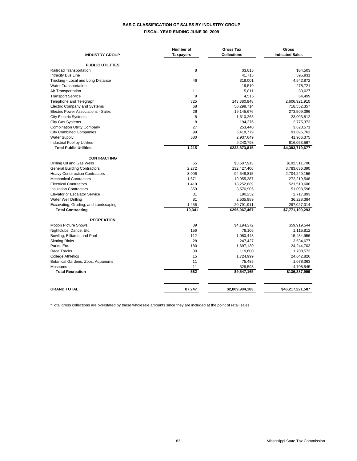### **BASIC CLASSIFICATION OF SALES BY INDUSTRY GROUP FISCAL YEAR ENDING JUNE 30, 2009**

| <b>INDUSTRY GROUP</b>                 | Number of<br><b>Taxpayers</b> | <b>Gross Tax</b><br><b>Collections</b> | Gross<br><b>Indicated Sales</b> |
|---------------------------------------|-------------------------------|----------------------------------------|---------------------------------|
| <b>PUBLIC UTILITIES</b>               |                               |                                        |                                 |
| Railroad Transportation               | 8                             | \$3,815                                | \$54.503                        |
| <b>Intracity Bus Line</b>             |                               | 41,715                                 | 595,931                         |
| Trucking - Local and Long Distance    | 46                            | 318,001                                | 4,542,872                       |
| <b>Water Transportation</b>           |                               | 19,510                                 | 278,721                         |
| Air Transportation                    | 11                            | 5,811                                  | 83,027                          |
| <b>Transport Service</b>              | 9                             | 4,515                                  | 64,499                          |
| Telephone and Telegraph               | 325                           | 143,380,848                            | 2,606,921,910                   |
| <b>Electric Company and Systems</b>   | 68                            | 50,298,714                             | 718,552,357                     |
| Electric Power Associations - Sales   | 26                            | 19,145,676                             | 273,509,396                     |
| <b>City Electric Systems</b>          | 8                             | 1,610,268                              | 23,003,812                      |
| <b>City Gas Systems</b>               | 8                             | 194,276                                | 2,775,373                       |
| <b>Combination Utility Company</b>    | 27                            | 253,440                                | 3,620,571                       |
| <b>City Combined Companies</b>        | 99                            | 6,418,779                              | 91,696,763                      |
| <b>Water Supply</b>                   | 580                           | 2,937,649                              | 41,966,375                      |
| <b>Industrial Fuel by Utilities</b>   |                               | 9,240,798                              | 616,053,567                     |
| <b>Total Public Utilities</b>         | 1,215                         | \$233,873,815                          | \$4,383,719,677                 |
| <b>CONTRACTING</b>                    |                               |                                        |                                 |
| Drilling Oil and Gas Wells            | 55                            | \$3,587,913                            | \$102,511,706                   |
| <b>General Building Contractors</b>   | 2,272                         | 132,427,406                            | 3,783,636,390                   |
| <b>Heavy Construction Contractors</b> | 3.006                         | 94,648,815                             | 2,704,249,156                   |
| <b>Mechanical Contractors</b>         | 1,671                         | 19,055,387                             | 272,219,548                     |
| <b>Electrical Contractors</b>         | 1,410                         | 18,252,889                             | 521,510,606                     |
| <b>Insulation Contractors</b>         | 359                           | 3,576,905                              | 51,098,596                      |
| <b>Elevator or Escalator Service</b>  | 31                            | 190,252                                | 2,717,893                       |
| <b>Water Well Drilling</b>            | 81                            | 2,535,989                              | 36,228,384                      |
| Excavating, Grading, and Landscaping  | 1,456                         | 20,791,911                             | 297,027,014                     |
| <b>Total Contracting</b>              | 10,341                        | \$295,067,467                          | \$7,771,199,293                 |
| <b>RECREATION</b>                     |                               |                                        |                                 |
| <b>Motion Picture Shows</b>           | 39                            | \$4,194,372                            | \$59,919,544                    |
| Nightclubs, Dance, Etc.               | 156                           | 78,106                                 | 1,115,812                       |
| Bowling, Billiards, and Pool          | 112                           | 1,080,448                              | 15,434,956                      |
| <b>Skating Rinks</b>                  | 28                            | 247,427                                | 3,534,677                       |
| Parks, Etc.                           | 180                           | 1,697,130                              | 24,244,703                      |
| Race Tracks                           | 30                            | 119,600                                | 1,708,573                       |
| <b>College Athletics</b>              | 15                            | 1,724,999                              | 24,642,826                      |
| Botanical Gardens, Zoos, Aquariums    | 11                            | 75,485                                 | 1,078,363                       |
| <b>Museums</b>                        | 11                            | 329,598                                | 4,708,545                       |
| <b>Total Recreation</b>               | 582                           | \$9,547,165                            | \$136,387,999                   |
| <b>GRAND TOTAL</b>                    | 87,247                        | \$2,809,904,183                        | \$46,217,221,587                |
|                                       |                               |                                        |                                 |

\*Total gross collections are overstated by these wholesale amounts since they are included at the point of retail sales.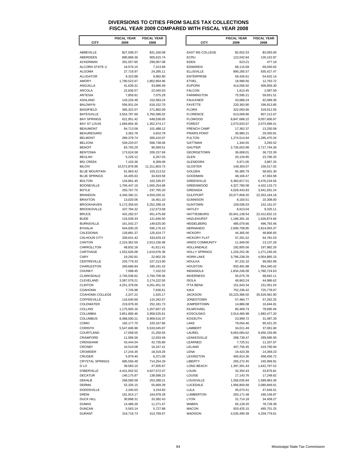### **DIVERSIONS TO CITIES FROM SALES TAX COLLECTIONS FISCAL YEAR 2009 COMPARED WITH FISCAL YEAR 2008**

| <b>CITY</b>                                 | <b>FISCAL YEAR</b><br>2009 | <b>FISCAL YEAR</b><br>2008 | <b>CITY</b>                            | <b>FISCAL YEAR</b><br>2009 | <b>FISCAL YEAR</b><br>2008 |
|---------------------------------------------|----------------------------|----------------------------|----------------------------------------|----------------------------|----------------------------|
|                                             |                            |                            |                                        |                            |                            |
| ABBEVILLE                                   | \$27,508.37                | \$31,160.08                | EAST MS COLLEGE                        | \$2,652.53                 | \$3,093.60                 |
| ABERDEEN                                    | 890,868.36                 | 905,615.74                 | ECRU                                   | 122,042.84                 | 126, 152.87                |
| <b>ACKERMAN</b>                             | 291,557.85                 | 299,067.08                 | <b>EDEN</b>                            | 623.21                     | 477.16                     |
| ALCORN STATE U                              | 19,576.15                  | 7,313.99                   | <b>EDWARDS</b>                         | 68,115.69                  | 69,040.62                  |
| <b>ALGOMA</b>                               | 27,716.97                  | 24,285.11                  | <b>ELLISVILLE</b>                      | 890,265.57                 | 935,427.47                 |
| <b>ALLIGATOR</b>                            | 9,323.88                   | 9,982.80                   | <b>ENTERPRISE</b>                      | 59,426.61                  | 54,932.14                  |
| <b>AMORY</b>                                | 1,790,522.67               | 1,802,964.96               | <b>ETHEL</b>                           | 18,990.56                  | 12,763.72                  |
| ANGUILLA<br><b>ARCOLA</b>                   | 41,639.31<br>22,836.57     | 43,686.49<br>22,040.03     | <b>EUPORA</b><br><b>FALCON</b>         | 414,056.92<br>1,613.45     | 406,856.30<br>2,087.59     |
| <b>ARTESIA</b>                              | 7,859.91                   | 7,075.29                   | <b>FARMINGTON</b>                      | 75,595.21                  | 59,651.51                  |
| ASHLAND                                     | 143,226.48                 | 152,583.24                 | <b>FAULKNER</b>                        | 43,688.24                  | 62.089.36                  |
| <b>BALDWYN</b>                              | 556,931.04                 | 618,152.70                 | <b>FAYETTE</b>                         | 220,363.90                 | 196,813.85                 |
| <b>BASSFIELD</b>                            | 365,322.07                 | 271,892.09                 | <b>FLORA</b>                           | 322,063.66                 | 318,912.55                 |
| <b>BATESVILLE</b>                           | 3,554,787.69               | 3,760,386.02               | <b>FLORENCE</b>                        | 613,069.86                 | 607,212.67                 |
| <b>BAY SPRINGS</b>                          | 621,951.42                 | 648,538.65                 | <b>FLOWOOD</b>                         | 8,847,688.22               | 9,057,606.97               |
| <b>BAY ST LOUIS</b><br><b>BEAUMONT</b>      | 1,669,804.35<br>94,713.58  | 1,352,474.17<br>101,488.12 | <b>FOREST</b><br>FRENCH CAMP           | 2,073,933.07<br>17,362.37  | 2,073,596.41<br>13,250.58  |
| <b>BEAUREGARD</b>                           | 3,362.78                   | 4,810.78                   | <b>FRIARS POINT</b>                    | 30,980.21                  | 29,350.91                  |
| <b>BELMONT</b>                              | 289,378.74                 | 300,410.07                 | <b>FULTON</b>                          | 1,274,514.94               | 1,285,470.34               |
| <b>BELZONI</b>                              | 539,220.07                 | 568,738.06                 | GATTMAN                                | 1,344.55                   | 3,293.52                   |
| <b>BENOIT</b>                               | 83,793.29                  | 90,069.51                  | GAUTIER                                | 2,735,653.98               | 2,717,744.36               |
| <b>BENTONIA</b>                             | 173,624.58                 | 209,157.69                 | <b>GEORGETOWN</b>                      | 36,608.01                  | 36,723.39                  |
| <b>BEULAH</b>                               | 5,226.12                   | 6,267.03                   | <b>GLEN</b>                            | 20,134.85                  | 23,766.25                  |
| <b>BIG CREEK</b>                            | 7,103.36                   | 8.309.09                   | <b>GLENDORA</b>                        | 5,971.05                   | 3,867.25                   |
| <b>BILOXI</b>                               | 10,572,878.96              | 11,311,803.73              | <b>GLOSTER</b>                         | 148,303.07                 | 156,517.02                 |
| <b>BLUE MOUNTAIN</b><br><b>BLUE SPRINGS</b> | 91,963.42                  | 103,213.52                 | <b>GOLDEN</b>                          | 65,385.79                  | 58,601.30                  |
| <b>BOLTON</b>                               | 34,405.63<br>134,891.45    | 34,819.58<br>163,335.97    | GOODMAN<br>GREENVILLE                  | 48,166.47<br>6,383,817.51  | 47,063.58<br>6,476,234.56  |
| <b>BOONEVILLE</b>                           | 1,706,447.19               | 1,565,254.68               | <b>GREENWOOD</b>                       | 4,327,780.08               | 4,422,133.72               |
| <b>BOYLE</b>                                | 250,767.75                 | 237,765.20                 | GRENADA                                | 4,029,443.83               | 3,941,591.24               |
| <b>BRANDON</b>                              | 4,346,392.21               | 4,559,250.31               | <b>GULFPORT</b>                        | 20,577,858.20              | 22,353,184.18              |
| <b>BRAXTON</b>                              | 13,020.06                  | 16,451.10                  | <b>GUNNISON</b>                        | 8,150.51                   | 10,308.00                  |
| <b>BROOKHAVEN</b>                           | 5,172,359.50               | 5,252,298.16               | <b>GUNTOWN</b>                         | 159,036.03                 | 152,161.07                 |
| <b>BROOKSVILLE</b>                          | 107,784.32                 | 112,573.58                 | HATLEY                                 | 8,613.04                   | 9,325.11                   |
| <b>BRUCE</b>                                | 432,282.57                 | 451,475.68                 | <b>HATTIESBURG</b>                     | 20,941,138.54              | 22,412,832.15              |
| <b>BUDE</b><br><b>BURNSVILLE</b>            | 116,039.33<br>161,542.27   | 121,646.50<br>149,625.00   | <b>HAZLEHURST</b><br><b>HEIDELBERG</b> | 1,186,391.16<br>485,079.66 | 1,026,874.66<br>496,793.46 |
| <b>BYHALIA</b>                              | 544,000.25                 | 595,176.10                 | <b>HERNANDO</b>                        | 2,606,708.85               | 2,814,093.37               |
| CALEDONIA                                   | 128,881.37                 | 125,424.77                 | <b>HICKORY</b>                         | 44,365.00                  | 48,806.65                  |
| <b>CALHOUN CITY</b>                         | 339,631.42                 | 333,629.15                 | <b>HICKORY FLAT</b>                    | 57,291.52                  | 64,781.03                  |
| CANTON                                      | 2,224,362.59               | 2,913,156.48               | <b>HINDS COMMUNITY</b>                 | 11,949.00                  | 13,137.26                  |
| CARROLLTON                                  | 48,832.18                  | 41,811.41                  | HOLLANDALE                             | 182,805.56                 | 197,982.26                 |
| CARTHAGE                                    | 1,552,626.08               | 1,619,076.39               | <b>HOLLY SPRINGS</b>                   | 1,226,252.36               | 1,271,246.45               |
| CARY<br>CENTREVILLE                         | 19,292.81<br>226,779.33    | 22,902.29<br>227,313.90    | <b>HORN LAKE</b><br><b>HOULKA</b>      | 3,796,238.29<br>97,232.10  | 4,054,885.15<br>99,062.96  |
| CHARLESTON                                  | 340,686.84                 | 340,191.42                 | <b>HOUSTON</b>                         | 933,491.88                 | 954,340.42                 |
| <b>CHUNKY</b>                               | 7,098.45                   | 7,102.53                   | <b>INDIANOLA</b>                       | 1,834,246.09               | 1,780,724.63               |
| CLARKSDALE                                  | 2,745,538.92               | 2,794,709.56               | <b>INVERNESS</b>                       | 55,075.78                  | 68,942.11                  |
| CLEVELAND                                   | 3,387,579.21               | 3,174,222.50               | <b>ISOLA</b>                           | 49,963.24                  | 44,986.62                  |
| <b>CLINTON</b>                              | 4,251,378.06               | 4,261,451.31               | <b>ITTA BENA</b>                       | 151,643.34                 | 151,051.54                 |
| <b>COAHOMA</b>                              | 7,745.98                   | 7,936.61                   | <b>IUKA</b>                            | 752,236.42                 | 725,778.07                 |
| COAHOMA COLLEGE                             | 2,247.22                   | 1,525.17                   | <b>JACKSON</b>                         | 33,223,386.50              | 35,529,581.90              |
| COFFEEVILLE                                 | 116,640.69                 | 115,342.67                 | <b>JONESTOWN</b>                       | 57,484.77                  | 57,262.25                  |
| <b>COLDWATER</b><br><b>COLLINS</b>          | 219,978.30<br>1,175,920.16 | 252,181.73<br>1,207,607.23 | <b>JUMPERTOWN</b><br>KILMICHAEL        | 14,886.08<br>80,409.74     | 16,844.81<br>78,695.94     |
| COLUMBIA                                    | 3,851,869.46               | 3,958,525.61               | KOSCIUSKO                              | 2,014,485.98               | 1,983,477.20               |
| <b>COLUMBUS</b>                             | 8,388,500.21               | 8,909,516.37               | <b>KOSSUTH</b>                         | 23,999.72                  | 31,087.29                  |
| COMO                                        | 192,177.70                 | 220,167.86                 | LAKE                                   | 79,054.46                  | 80,421.25                  |
| <b>CORINTH</b>                              | 5,547,606.96               | 5,533,045.87               | LAMBERT                                | 34,011.49                  | 37,061.60                  |
| COURTLAND                                   | 17,058.55                  | 21,250.55                  | LAUREL                                 | 9,063,084.62               | 9,450,159.96               |
| CRAWFORD                                    | 11,586.56                  | 12,933.49                  | LEAKESVILLE                            | 288,739.47                 | 289,585.50                 |
| CRENSHAW                                    | 43,444.04                  | 42,735.80                  | LEARNED                                | 7,725.51                   | 11,337.67                  |
| <b>CROSBY</b><br>CROWDER                    | 10,510.08<br>17,244.35     | 16,247.41                  | LELAND<br>LENA                         | 407,755.45                 | 419,790.94<br>14,369.23    |
| <b>CRUGER</b>                               | 5,979.40                   | 18,319.26<br>6,371.09      | LEXINGTON                              | 19,423.39<br>465,814.36    | 458,456.72                 |
| <b>CRYSTAL SPRINGS</b>                      | 685,556.48                 | 714,254.29                 | LIBERTY                                | 265,272.45                 | 245,999.91                 |
| D LO                                        | 39,583.10                  | 47,505.87                  | LONG BEACH                             | 1,397,391.44               | 1,642,797.52               |
| <b>D'IBERVILLE</b>                          | 4,431,002.52               | 4,627,572.07               | LOUIN                                  | 32,354.43                  | 33,876.81                  |
| <b>DECATUR</b>                              | 140,175.87                 | 138,598.23                 | <b>LOUISE</b>                          | 17,143.76                  | 17,248.62                  |
| DEKALB                                      | 268,580.58                 | 253,288.21                 | <b>LOUISVILLE</b>                      | 1,556,035.84               | 1,589,963.36               |
| <b>DERMA</b>                                | 52,335.15                  | 55,669.39                  | LUCEDALE                               | 1,956,800.68               | 2,080,849.01               |
| <b>DODDSVILLE</b>                           | 2,340.03                   | 3,154.83                   | LULA                                   | 45,073.41                  | 47,646.51                  |
| <b>DREW</b><br><b>DUCK HILL</b>             | 161,914.17<br>30,898.31    | 164,978.28<br>33,392.43    | <b>LUMBERTON</b><br><b>LYON</b>        | 283,171.48<br>31,714.18    | 186,106.87<br>34,458.27    |
| <b>DUMAS</b>                                | 14,486.29                  | 11,271.47                  | MABEN                                  | 65,129.20                  | 78,728.39                  |
| <b>DUNCAN</b>                               | 5,563.14                   | 5,727.88                   | <b>MACON</b>                           | 503,425.15                 | 495,701.25                 |
| <b>DURANT</b>                               | 319,716.73                 | 313,709.67                 | <b>MADISON</b>                         | 4,535,490.39               | 4,259,779.61               |
|                                             |                            |                            |                                        |                            |                            |

|                   | <b>FISCAL YEAR</b>        | <b>FISCAL YEAR</b>        |
|-------------------|---------------------------|---------------------------|
| CITY              | 2009                      | 2008                      |
|                   |                           |                           |
|                   | \$27,508.37               | \$31,160.08               |
|                   | 890,868.36                | 905,615.74                |
|                   | 291,557.85                | 299,067.08                |
| <b>STATE U</b>    | 19,576.15                 | 7,313.99                  |
|                   | 27,716.97                 | 24,285.11                 |
|                   | 9,323.88                  | 9,982.80                  |
|                   | 1,790,522.67              | 1,802,964.96              |
|                   | 41,639.31                 | 43,686.49                 |
|                   | 22,836.57                 | 22,040.03                 |
|                   | 7,859.91                  | 7,075.29                  |
|                   | 143,226.48<br>556,931.04  | 152,583.24<br>618,152.70  |
|                   | 365,322.07                | 271,892.09                |
|                   | 3,554,787.69              | 3,760,386.02              |
|                   | 621,951.42                | 648,538.65                |
|                   | 1,669,804.35              | 1,352,474.17              |
|                   | 94,713.58                 | 101,488.12                |
|                   | 3,362.78                  | 4,810.78                  |
|                   | 289,378.74                | 300,410.07                |
|                   | 539,220.07                | 568,738.06                |
|                   | 83,793.29                 | 90,069.51                 |
|                   | 173,624.58                | 209,157.69                |
|                   | 5,226.12                  | 6,267.03                  |
|                   | 7,103.36                  | 8,309.09                  |
|                   | 10,572,878.96             | 11,311,803.73             |
|                   | 91,963.42                 | 103,213.52                |
|                   | 34,405.63                 | 34,819.58                 |
|                   | 134,891.45                | 163,335.97                |
|                   | 1,706,447.19              | 1,565,254.68              |
|                   | 250,767.75                | 237,765.20                |
|                   | 4,346,392.21              | 4,559,250.31              |
|                   | 13,020.06                 | 16,451.10                 |
|                   | 5,172,359.50              | 5,252,298.16              |
|                   | 107,784.32                | 112,573.58                |
|                   | 432,282.57                | 451,475.68                |
|                   | 116,039.33                | 121,646.50                |
|                   | 161,542.27                | 149,625.00                |
|                   | 544,000.25                | 595,176.10                |
|                   | 128,881.37                | 125,424.77                |
|                   | 339,631.42                | 333,629.15                |
|                   | 2,224,362.59<br>48,832.18 | 2,913,156.48<br>41,811.41 |
|                   | 1,552,626.08              | 1,619,076.39              |
|                   | 19,292.81                 | 22,902.29                 |
|                   | 226,779.33                | 227,313.90                |
|                   | 340,686.84                | 340,191.42                |
|                   | 7,098.45                  | 7,102.53                  |
|                   | 2,745,538.92              | 2,794,709.56              |
|                   | 3,387,579.21              | 3,174,222.50              |
|                   | 4,251,378.06              | 4,261,451.31              |
|                   | 7,745.98                  | 7,936.61                  |
| MA COLLEGE        | 2,247.22                  | 1,525.17                  |
|                   | 116,640.69                | 115,342.67                |
|                   | 219,978.30                | 252,181.73                |
|                   | 1,175,920.16              | 1,207,607.23              |
|                   | 3,851,869.46              | 3,958,525.61              |
|                   | 8,388,500.21              | 8,909,516.37              |
|                   | 192,177.70                | 220,167.86                |
|                   | 5,547,606.96              | 5,533,045.87              |
|                   | 17,058.55                 | 21,250.55                 |
|                   | 11,586.56                 | 12,933.49                 |
|                   | 43,444.04                 | 42,735.80                 |
|                   | 10,510.08                 | 16,247.41                 |
|                   | 17,244.35                 | 18,319.26                 |
|                   | 5,979.40                  | 6,371.09                  |
| <b>IL SPRINGS</b> | 685,556.48                | 714,254.29                |
|                   | 39,583.10                 | 47,505.87                 |
|                   | 4,431,002.52              | 4,627,572.07              |
|                   | 140,175.87                | 138,598.23                |
|                   | 268,580.58                | 253,288.21                |
|                   | 52,335.15                 | 55,669.39                 |
|                   | 2,340.03                  | 3,154.83                  |
|                   | 161,914.17                | 164,978.28                |
|                   | 30,898.31                 | 33,392.43                 |
|                   | 14,486.29                 | 11,271.47                 |
|                   | 5,563.14                  | 5,727.88                  |
|                   | 319,716.73                | 313,709.67                |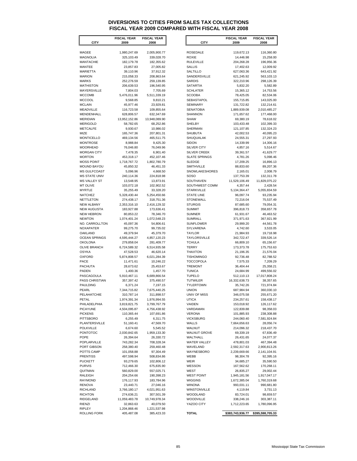### **DIVERSIONS TO CITIES FROM SALES TAX COLLECTIONS FISCAL YEAR 2009 COMPARED WITH FISCAL YEAR 2008**

| <b>CITY</b>          | <b>FISCAL YEAR</b><br>2009 | <b>FISCAL YEAR</b><br>2008 | <b>CITY</b>                  | <b>FISCAL YEAR</b><br>2009 | <b>FISCAL YEAR</b><br>2008 |
|----------------------|----------------------------|----------------------------|------------------------------|----------------------------|----------------------------|
| MAGEE                | 1,980,247.69               | 2,005,900.77               | <b>ROSEDALE</b>              | 119,672.13                 | 116,360.80                 |
| MAGNOLIA             | 325,103.49                 | 339,028.70                 | <b>ROXIE</b>                 | 14,446.98                  | 15,258.00                  |
| MANTACHIE            | 182,179.78                 | 182,355.62                 | <b>RULEVILLE</b>             | 204,268.28                 | 196,956.36                 |
| MANTEE               | 23,857.83                  | 27,005.82                  | <b>SALLIS</b>                | 17,402.63                  | 12,009.92                  |
| MARIETTA             | 39,110.96                  | 37,912.32                  | <b>SALTILLO</b>              | 627,063.36                 | 643,421.92                 |
| MARION               | 215,058.33                 | 208,863.64                 | SANDERSVILLE                 | 621,245.92                 | 563,103.13                 |
| MARKS                | 252,276.59                 | 259,139.85                 | <b>SARDIS</b>                | 322,210.96                 | 298,126.39                 |
| MATHISTON            | 206,639.53                 | 196,540.95                 | SATARTIA                     | 5,832.20                   | 5,582.89                   |
| MAYERSVILLE          | 7,804.03                   | 7,705.69                   | <b>SCHLATER</b>              | 15,365.12                  | 14,753.56                  |
| MCCOMB               | 5,476,011.96               | 5,511,339.19               | <b>SCOOBA</b>                | 78,425.05                  | 82,534.06                  |
| MCCOOL               | 9,568.85                   | 9,810.21                   | SEBASTAPOL                   | 155,715.85                 | 143,025.00                 |
| MCLAIN               | 45,977.46                  | 23,929.81                  | <b>SEMINARY</b>              | 131,722.82                 | 132,214.61                 |
| MEADVILLE            | 116,723.58                 | 109,855.64                 | <b>SENATOBIA</b>             | 1,889,939.08               | 2,010,485.27               |
| MENDENHALL           | 628,806.57                 | 632,347.69                 | SHANNON                      | 171,657.62                 | 177,468.00                 |
| MERIDIAN             | 13,952,152.86              | 13,948,089.90              | <b>SHAW</b>                  | 69,380.19                  | 78,618.02                  |
| MERIGOLD             | 58,782.65                  | 68,252.86                  | SHELBY                       | 103,433.48                 | 102,399.33                 |
| METCALFE<br>MIZE     | 9,930.67<br>165,747.36     | 10,986.02<br>207,801.31    | SHERMAN<br>SHUBUTA           | 121,107.85<br>42,002.53    | 132,324.23<br>40,095.23    |
| MONTICELLO           | 469,134.56                 | 465,511.75                 | SHUQUALAK                    | 24,555.31                  | 27,297.93                  |
| MONTROSE             | 8,988.84                   | 9,425.30                   | SIDON                        | 14,339.99                  | 14,306.16                  |
| MOORHEAD             | 76,046.80                  | 76,049.96                  | SILVER CITY                  | 4,857.16                   | 5,514.67                   |
| MORGAN CITY          | 7,478.35                   | 6,901.40                   | <b>SILVER CREEK</b>          | 39,361.57                  | 41,629.77                  |
| MORTON               | 453,318.17                 | 452,107.46                 | <b>SLATE SPRINGS</b>         | 4,781.26                   | 5,098.46                   |
| MOSS POINT           | 1,718,767.72               | 1,802,780.79               | <b>SLEDGE</b>                | 17,209.25                  | 16,896.13                  |
| MOUND BAYOU          | 45,850.32                  | 46,451.33                  | SMITHVILLE                   | 88,833.60                  | 89,207.36                  |
| MS GULFCOAST         | 5,096.96                   | 4,668.50                   | SNOWLAKESHORES               | 2,165.01                   | 2,008.79                   |
| MS STATE UNIV        | 240,114.36                 | 224,818.98                 | SOSO                         | 137,753.39                 | 132,311.78                 |
| <b>MS VALLEY ST</b>  | 13,548.95                  | 13,873.91                  | SOUTHAVEN                    | 11,529,106.49              | 11,829,075.22              |
| MT OLIVE             | 103,072.18                 | 102,902.52                 | SOUTHWEST COMM               | 4,357.44                   | 2,428.54                   |
| MYRTLE               | 35,255.49                  | 33,328.20                  | STARKVILLE                   | 5,134,364.47               | 5,055,834.59               |
| NATCHEZ              | 5,328,430.44               | 5,254,450.66               | <b>STATE LINE</b>            | 96,097.74                  | 93,235.94                  |
| <b>NETTLETON</b>     | 274,438.17                 | 318,751.36                 | <b>STONEWALL</b>             | 72,216.04                  | 75,537.49                  |
| NEW ALBANY           | 2,353,316.10               | 2,416,129.32               | <b>STURGIS</b>               | 87,685.60                  | 79,054.31                  |
| NEW AUGUSTA          | 183,927.88                 | 173,636.41                 | <b>SUMMIT</b>                | 396,818.73                 | 358,657.78                 |
| NEW HEBRON           | 80,853.22                  | 78,346.70                  | <b>SUMNER</b>                | 61,931.67                  | 46,463.52                  |
| NEWTON               | 1,074,401.24               | 1,072,548.23               | SUMRALL                      | 371,971.63                 | 367,921.99                 |
| NO. CARROLLTON       | 45,097.36                  | 54,806.61                  | SUNFLOWER                    | 29,999.20                  | 44,561.78                  |
| NOXAPATER<br>OAKLAND | 99,275.70<br>49,379.94     | 99,735.02<br>45,379.70     | SYLVARENA<br><b>TAYLOR</b>   | 4,742.60<br>21,984.93      | 3,533.05<br>19,718.98      |
| OCEAN SPRINGS        | 4,595,444.27               | 4,857,120.23               | <b>TAYLORSVILLE</b>          | 342,722.47                 | 339,526.14                 |
| OKOLONA              | 279,858.04                 | 281,409.77                 | <b>TCHULA</b>                | 66,809.10                  | 65,156.67                  |
| <b>OLIVE BRANCH</b>  | 6,724,589.32               | 6,514,935.58               | <b>TERRY</b>                 | 173,373.78                 | 175,753.63                 |
| OSYKA                | 47,528.53                  | 46,620.14                  | THAXTON                      | 21,196.35                  | 21,576.04                  |
| <b>OXFORD</b>        | 5,874,808.57               | 6,021,284.39               | <b>TISHOMINGO</b>            | 92,736.48                  | 82,788.52                  |
| PACE                 | 11,471.61                  | 10,246.22                  | <b>TOCCOPOLA</b>             | 7,575.33                   | 7,209.29                   |
| PACHUTA              | 28,673.62                  | 25,453.67                  | <b>TREMONT</b>               | 36,404.44                  | 25,358.21                  |
| PADEN                | 1,400.36                   | 1,457.70                   | <b>TUNICA</b>                | 24,684.99                  | 499,556.02                 |
| PASCAGOULA           | 5,910,467.11               | 6,689,866.54               | <b>TUPELO</b>                | 512,110.13                 | 17,017,808.24              |
| PASS CHRISTIAN       | 357,397.42                 | 375,490.57                 | <b>TUTWILER</b>              | 16,332,638.73              | 38,357.65                  |
| PAULDING             | 6,371.24                   | 7,197.15                   | <b>TYLERTOWN</b>             | 35,742.26                  | 721,974.84                 |
| PEARL                | 7,344,715.82               | 7,675,440.25               | <b>UNION</b>                 | 687,984.94                 | 360,030.10                 |
| PELAHATCHIE          | 310,787.14                 | 311,898.57                 | UNIV OF MISS                 | 346,075.58                 | 255,671.20                 |
| PETAL                | 1,974,391.34               | 1,976,994.55               | UTICA                        | 234,257.61                 | 158,438.17                 |
| PHILADELPHIA         | 3,819,821.75               | 3,799,767.79               | VAIDEN                       | 153,018.92                 | 126,117.62                 |
| PICAYUNE<br>PICKENS  | 4,504,095.87               | 4,756,438.92               | VARDAMAN                     | 122,839.88<br>101,885.93   | 98,358.03<br>238,308.88    |
| PITTSBORO            | 110,365.44<br>6,255.49     | 107,691.86<br>6,311.75     | VERONA<br><b>VICKSBURG</b>   | 244,060.40                 | 7,581,924.84               |
| PLANTERSVILLE        | 51,160.41                  | 47,569.70                  | WALLS                        | 7,664,656.63               | 28,056.74                  |
| POLKVILLE            | 6,674.60                   | 5,545.52                   | WALNUT                       | 214,096.32                 | 218,437.70                 |
| PONTOTOC             | 2,030,842.65               | 1,959,133.30               | <b>WALNUT GROVE</b>          | 69,339.19                  | 67,836.49                  |
| POPE                 | 26,394.64                  | 26,330.72                  | WALTHALL                     | 26,431.65                  | 24,077.37                  |
| POPLARVILLE          | 743,282.34                 | 708,328.34                 | WATER VALLEY                 | 478,801.03                 | 467,394.48                 |
| PORT GIBSON          | 258,380.40                 | 259,460.48                 | WAVELAND                     | 2,592,317.63               | 2,900,813.26               |
| POTTS CAMP           | 101,058.88                 | 97,304.49                  | WAYNESBORO                   | 2,239,669.66               | 2,141,104.91               |
| PRENTISS             | 497,598.94                 | 508,834.86                 | WEBB                         | 98,304.78                  | 92,395.16                  |
| PUCKETT              | 93,279.65                  | 102,806.12                 | WEIR                         | 34,685.27                  | 35,590.50                  |
| PURVIS               | 712,466.30                 | 675,835.90                 | WESSON                       | 167,562.62                 | 170,268.11                 |
| QUITMAN              | 560,829.00                 | 557,025.71                 | <b>WEST</b>                  | 26,835.27                  | 29,002.44                  |
| RALEIGH              | 204,254.66                 | 190,398.23                 | <b>WEST POINT</b>            | 1,945,181.56               | 1,917,047.17               |
| RAYMOND              | 176,117.93                 | 183,784.96                 | <b>WIGGINS</b>               | 1,672,385.04               | 1,760,319.68               |
| RENOVA               | 23,440.71                  | 27,046.16                  | <b>WINONA</b>                | 993,031.11                 | 990,681.80                 |
| RICHLAND             | 3,766,180.17               | 4,021,951.63               | WINSTONVILLE                 | 4,119.84                   | 3,731.13                   |
| RICHTON<br>RIDGELAND | 274,636.21                 | 307,501.39                 | WOODLAND<br><b>WOODVILLE</b> | 83,724.01                  | 98,659.57                  |
| rienzi               | 11,059,483.78<br>32,863.63 | 10,749,978.34<br>40,079.50 | YAZOO CITY                   | 338,246.16<br>1,712,223.65 | 303,387.11<br>1,780,096.95 |
| RIPLEY               | 1,204,868.46               | 1,221,537.98               |                              |                            |                            |
| ROLLING FORK         | 405,487.08                 | 385,423.33                 | TOTAL                        | \$383,743,936.77           | \$395,598,705.33           |
|                      |                            |                            |                              |                            |                            |

| <b>FISCAL YEAR</b>         | <b>FISCAL YEAR</b>          |                                     | <b>FISCAL YEAR</b>          | <b>FISCAL YEAR</b>         |
|----------------------------|-----------------------------|-------------------------------------|-----------------------------|----------------------------|
| 2009                       | 2008                        | <b>CITY</b>                         | 2009                        | 2008                       |
| 1,980,247.69               | 2,005,900.77                | <b>ROSEDALE</b>                     | 119,672.13                  | 116,360.80                 |
| 325,103.49                 | 339,028.70                  | <b>ROXIE</b>                        | 14,446.98                   | 15,258.00                  |
| 182,179.78                 | 182,355.62                  | <b>RULEVILLE</b>                    | 204,268.28                  | 196,956.36                 |
| 23,857.83                  | 27,005.82                   | <b>SALLIS</b>                       | 17,402.63                   | 12,009.92                  |
| 39,110.96                  | 37,912.32                   | <b>SALTILLO</b>                     | 627,063.36                  | 643,421.92                 |
| 215,058.33<br>252,276.59   | 208,863.64<br>259,139.85    | SANDERSVILLE<br><b>SARDIS</b>       | 621,245.92<br>322,210.96    | 563,103.13<br>298,126.39   |
| 206,639.53                 | 196,540.95                  | SATARTIA                            | 5,832.20                    | 5,582.89                   |
| 7,804.03                   | 7,705.69                    | <b>SCHLATER</b>                     | 15,365.12                   | 14,753.56                  |
| 5,476,011.96               | 5,511,339.19                | <b>SCOOBA</b>                       | 78,425.05                   | 82,534.06                  |
| 9,568.85                   | 9,810.21                    | SEBASTAPOL                          | 155,715.85                  | 143,025.00                 |
| 45,977.46                  | 23,929.81                   | <b>SEMINARY</b>                     | 131,722.82                  | 132,214.61                 |
| 116,723.58<br>628,806.57   | 109,855.64<br>632,347.69    | <b>SENATOBIA</b><br>SHANNON         | 1,889,939.08<br>171,657.62  | 2,010,485.27<br>177,468.00 |
| 13,952,152.86              | 13,948,089.90               | <b>SHAW</b>                         | 69,380.19                   | 78,618.02                  |
| 58,782.65                  | 68,252.86                   | SHELBY                              | 103,433.48                  | 102,399.33                 |
| 9,930.67                   | 10,986.02                   | SHERMAN                             | 121,107.85                  | 132,324.23                 |
| 165,747.36                 | 207,801.31                  | <b>SHUBUTA</b>                      | 42,002.53                   | 40,095.23                  |
| 469,134.56                 | 465,511.75                  | SHUQUALAK                           | 24,555.31                   | 27,297.93                  |
| 8,988.84<br>76,046.80      | 9,425.30<br>76,049.96       | <b>SIDON</b><br>SILVER CITY         | 14,339.99<br>4,857.16       | 14,306.16<br>5,514.67      |
| 7,478.35                   | 6,901.40                    | SILVER CREEK                        | 39,361.57                   | 41,629.77                  |
| 453,318.17                 | 452,107.46                  | <b>SLATE SPRINGS</b>                | 4,781.26                    | 5,098.46                   |
| 1,718,767.72               | 1,802,780.79                | <b>SLEDGE</b>                       | 17,209.25                   | 16,896.13                  |
| 45,850.32                  | 46,451.33                   | SMITHVILLE                          | 88,833.60                   | 89,207.36                  |
| 5,096.96                   | 4,668.50                    | SNOWLAKESHORES                      | 2,165.01                    | 2,008.79                   |
| 240,114.36                 | 224,818.98                  | SOSO<br>SOUTHAVEN                   | 137,753.39<br>11,529,106.49 | 132,311.78                 |
| 13,548.95<br>103,072.18    | 13,873.91<br>102,902.52     | SOUTHWEST COMM                      | 4,357.44                    | 11,829,075.22<br>2,428.54  |
| 35,255.49                  | 33,328.20                   | <b>STARKVILLE</b>                   | 5,134,364.47                | 5,055,834.59               |
| 5,328,430.44               | 5,254,450.66                | <b>STATE LINE</b>                   | 96,097.74                   | 93,235.94                  |
| 274,438.17                 | 318,751.36                  | STONEWALL                           | 72,216.04                   | 75,537.49                  |
| 2,353,316.10               | 2,416,129.32                | <b>STURGIS</b>                      | 87,685.60                   | 79,054.31                  |
| 183,927.88                 | 173,636.41                  | <b>SUMMIT</b>                       | 396,818.73                  | 358,657.78                 |
| 80,853.22                  | 78,346.70                   | <b>SUMNER</b>                       | 61,931.67                   | 46,463.52                  |
| 1,074,401.24<br>45,097.36  | 1,072,548.23<br>54,806.61   | SUMRALL<br><b>SUNFLOWER</b>         | 371,971.63<br>29,999.20     | 367,921.99<br>44,561.78    |
| 99,275.70                  | 99,735.02                   | SYLVARENA                           | 4,742.60                    | 3,533.05                   |
| 49,379.94                  | 45,379.70                   | TAYLOR                              | 21,984.93                   | 19,718.98                  |
| 4,595,444.27               | 4,857,120.23                | TAYLORSVILLE                        | 342,722.47                  | 339,526.14                 |
| 279,858.04                 | 281,409.77                  | TCHULA                              | 66,809.10                   | 65,156.67                  |
| 6,724,589.32               | 6,514,935.58                | TERRY                               | 173,373.78                  | 175,753.63                 |
| 47,528.53<br>5,874,808.57  | 46,620.14<br>6,021,284.39   | THAXTON<br><b>TISHOMINGO</b>        | 21,196.35<br>92,736.48      | 21,576.04<br>82,788.52     |
| 11,471.61                  | 10,246.22                   | <b>TOCCOPOLA</b>                    | 7,575.33                    | 7,209.29                   |
| 28,673.62                  | 25,453.67                   | <b>TREMONT</b>                      | 36,404.44                   | 25,358.21                  |
| 1,400.36                   | 1,457.70                    | TUNICA                              | 24,684.99                   | 499,556.02                 |
| 5,910,467.11               | 6,689,866.54                | TUPELO                              | 512,110.13                  | 17,017,808.24              |
| 357,397.42                 | 375,490.57                  | <b>TUTWILER</b><br><b>TYLERTOWN</b> | 16,332,638.73               | 38,357.65                  |
| 6,371.24<br>7,344,715.82   | 7,197.15<br>7,675,440.25    | <b>UNION</b>                        | 35,742.26<br>687,984.94     | 721,974.84<br>360,030.10   |
| 310,787.14                 | 311,898.57                  | <b>UNIV OF MISS</b>                 | 346,075.58                  | 255,671.20                 |
| 1,974,391.34               | 1,976,994.55                | UTICA                               | 234,257.61                  | 158,438.17                 |
| 3,819,821.75               | 3,799,767.79                | VAIDEN                              | 153,018.92                  | 126,117.62                 |
| 4,504,095.87               | 4,756,438.92                | VARDAMAN                            | 122,839.88                  | 98,358.03                  |
| 110,365.44                 | 107,691.86                  | VERONA                              | 101,885.93                  | 238,308.88                 |
| 6,255.49<br>51,160.41      | 6,311.75<br>47,569.70       | <b>VICKSBURG</b><br>WALLS           | 244,060.40<br>7,664,656.63  | 7,581,924.84<br>28,056.74  |
| 6,674.60                   | 5,545.52                    | WALNUT                              | 214,096.32                  | 218,437.70                 |
| 2,030,842.65               | 1,959,133.30                | WALNUT GROVE                        | 69,339.19                   | 67,836.49                  |
| 26,394.64                  | 26,330.72                   | WALTHALL                            | 26,431.65                   | 24,077.37                  |
| 743,282.34                 | 708,328.34                  | WATER VALLEY                        | 478,801.03                  | 467,394.48                 |
| 258,380.40                 | 259,460.48                  | WAVELAND                            | 2,592,317.63                | 2,900,813.26               |
| 101,058.88                 | 97,304.49                   | WAYNESBORO                          | 2,239,669.66                | 2,141,104.91               |
| 497,598.94<br>93,279.65    | 508,834.86<br>102,806.12    | WEBB<br>WEIR                        | 98,304.78<br>34,685.27      | 92,395.16<br>35,590.50     |
| 712,466.30                 | 675,835.90                  | WESSON                              | 167,562.62                  | 170,268.11                 |
| 560,829.00                 | 557,025.71                  | WEST                                | 26,835.27                   | 29,002.44                  |
| 204,254.66                 | 190,398.23                  | <b>WEST POINT</b>                   | 1,945,181.56                | 1,917,047.17               |
| 176,117.93                 | 183,784.96                  | <b>WIGGINS</b>                      | 1,672,385.04                | 1,760,319.68               |
| 23,440.71                  | 27,046.16                   | <b>WINONA</b>                       | 993,031.11                  | 990,681.80                 |
| 3,766,180.17<br>274,636.21 | 4,021,951.63                | WINSTONVILLE<br>WOODLAND            | 4,119.84                    | 3,731.13                   |
| 11,059,483.78              | 307,501.39<br>10,749,978.34 | <b>WOODVILLE</b>                    | 83,724.01<br>338,246.16     | 98,659.57<br>303,387.11    |
| 32,863.63                  | 40,079.50                   | YAZOO CITY                          | 1,712,223.65                | 1,780,096.95               |
| 1,204,868.46               | 1,221,537.98                |                                     |                             |                            |
| 405,487.08                 | 385,423.33                  | <b>TOTAL</b>                        | \$383,743,936.77            | \$395,598,705.33           |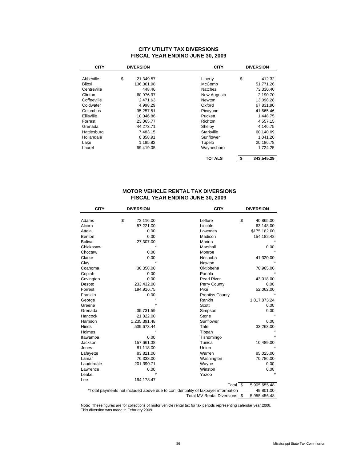### **CITY UTILITY TAX DIVERSIONS FISCAL YEAR ENDING JUNE 30, 2009**

| <b>CITY</b><br><b>DIVERSION</b> |    |            | <b>CITY</b>   | <b>DIVERSION</b> |  |
|---------------------------------|----|------------|---------------|------------------|--|
|                                 |    |            |               |                  |  |
| Abbeville                       | \$ | 21,349.57  | Liberty       | \$<br>412.32     |  |
| Biloxi                          |    | 136,361.98 | McComb        | 51,771.26        |  |
| Centreville                     |    | 448.46     | Natchez       | 73,330.40        |  |
| Clinton                         |    | 60,976.97  | New Augusta   | 2,190.70         |  |
| Coffeeville                     |    | 2,471.63   | Newton        | 13,098.28        |  |
| Coldwater                       |    | 4.998.29   | Oxford        | 67,831.90        |  |
| Columbus                        |    | 95.257.51  | Picayune      | 41,665.46        |  |
| Ellisville                      |    | 10,046.86  | Puckett       | 1,448.75         |  |
| Forrest                         |    | 23.065.77  | Richton       | 4.557.15         |  |
| Grenada                         |    | 44.273.71  | Shelby        | 4.146.75         |  |
| Hattiesburg                     |    | 7,483.15   | Starkville    | 60,140.09        |  |
| Hollandale                      |    | 6,858.91   | Sunflower     | 1,041.20         |  |
| Lake                            |    | 1,185.82   | Tupelo        | 20,186.78        |  |
| Laurel                          |    | 69,419.05  | Waynesboro    | 1,724.25         |  |
|                                 |    |            | <b>TOTALS</b> | \$<br>343.545.29 |  |

## **MOTOR VEHICLE RENTAL TAX DIVERSIONS FISCAL YEAR ENDING JUNE 30, 2009**

| <b>CITY</b>    | <b>DIVERSION</b><br><b>CITY</b> |              |                                                                                   | <b>DIVERSION</b> |              |
|----------------|---------------------------------|--------------|-----------------------------------------------------------------------------------|------------------|--------------|
|                |                                 |              |                                                                                   |                  |              |
| Adams          | \$                              | 73,116.00    | Leflore                                                                           | \$               | 40,865.00    |
| Alcorn         |                                 | 57,221.00    | Lincoln                                                                           |                  | 63,148.00    |
| Attala         |                                 | 0.00         | Lowndes                                                                           |                  | \$175,182.00 |
| Benton         |                                 | 0.00         | Madison                                                                           |                  | 154,182.42   |
| <b>Bolivar</b> |                                 | 27,307.00    | Marion                                                                            |                  |              |
| Chickasaw      |                                 |              | Marshall                                                                          |                  | 0.00         |
| Choctaw        |                                 | 0.00         | Monroe                                                                            |                  |              |
| Clarke         |                                 | 0.00         | Neshoba                                                                           |                  | 41,320.00    |
| Clay           |                                 |              | Newton                                                                            |                  |              |
| Coahoma        |                                 | 30,358.00    | Oktibbeha                                                                         |                  | 70,965.00    |
| Copiah         |                                 | 0.00         | Panola                                                                            |                  |              |
| Covington      |                                 | 0.00         | <b>Pearl River</b>                                                                |                  | 43,018.00    |
| Desoto         |                                 | 233,432.00   | Perry County                                                                      |                  | 0.00         |
| Forrest        |                                 | 194,916.75   | Pike                                                                              |                  | 52,062.00    |
| Franklin       |                                 | 0.00         | <b>Prentiss County</b>                                                            |                  |              |
| George         |                                 |              | Rankin                                                                            |                  | 1,817,873.24 |
| Greene         |                                 |              | Scott                                                                             |                  | 0.00         |
| Grenada        |                                 | 39,731.59    | Simpson                                                                           |                  | 0.00         |
| Hancock        |                                 | 21,822.00    | Stone                                                                             |                  |              |
| Harrison       |                                 | 1,235,391.48 | Sunflower                                                                         |                  | 0.00         |
| Hinds          |                                 | 539,673.44   | Tate                                                                              |                  | 33,263.00    |
| Holmes         |                                 |              | Tippah                                                                            |                  |              |
| Itawamba       |                                 | 0.00         | Tishomingo                                                                        |                  |              |
| Jackson        |                                 | 157,661.38   | Tunica                                                                            |                  | 10,489.00    |
| Jones          |                                 | 81,118.00    | Union                                                                             |                  |              |
| Lafayette      |                                 | 83,821.00    | Warren                                                                            |                  | 85,025.00    |
| Lamar          |                                 | 76,338.00    | Washington                                                                        |                  | 70,786.00    |
| Lauderdale     |                                 | 201,390.71   | Wayne                                                                             |                  | 0.00         |
| Lawrence       |                                 | 0.00         | Winston                                                                           |                  | 0.00         |
| Leake          |                                 |              | Yazoo                                                                             |                  |              |
| Lee            |                                 | 194,178.47   |                                                                                   |                  |              |
|                |                                 |              | Total \$                                                                          |                  | 5,905,655.48 |
|                |                                 |              | *Total payments not included above due to confidentiality of taxpayer information |                  | 49,801.00    |
|                | Total MV Rental Diversions \$   | 5,955,456.48 |                                                                                   |                  |              |

Note: These figures are for collections of motor vehicle rental tax for tax periods representing calendar year 2008. This diversion was made in February 2009.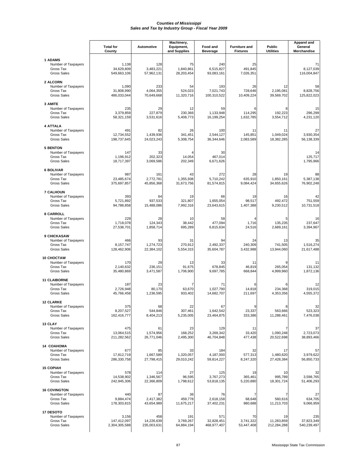|                                                                               | <b>Total for</b><br>County            | Automotive                       | Machinery,<br>Equipment,<br>and Supplies | Food and<br><b>Beverage</b>      | <b>Furniture and</b><br><b>Fixtures</b>    | <b>Public</b><br><b>Utilities</b> | Apparel and<br>General<br>Merchandise |
|-------------------------------------------------------------------------------|---------------------------------------|----------------------------------|------------------------------------------|----------------------------------|--------------------------------------------|-----------------------------------|---------------------------------------|
| <b>1 ADAMS</b><br>Number of Taxpayers<br>Gross Tax<br><b>Gross Sales</b>      | 1,138<br>34,629,809<br>549,663,106    | 128<br>3,483,221<br>57,962,131   | 75<br>1,840,861<br>28,203,454            | 240<br>6,515,827<br>93,083,161   | 25<br>491,845<br>7,026,351                 |                                   | 71<br>8,127,039<br>116,004,847        |
| 2 ALCORN<br>Number of Taxpayers<br>Gross Tax<br><b>Gross Sales</b>            | 1,090<br>31,808,990<br>486,033,044    | 233<br>4,064,355<br>70,649,668   | 54<br>524,023<br>11,320,716              | 193<br>7,021,743<br>100,310,522  | 26<br>728,646<br>10,409,224                | 12<br>2,195,081<br>39,569,702     | 58<br>8,828,756<br>125,822,023        |
| 3 AMITE<br>Number of Taxpayers<br>Gross Tax<br><b>Gross Sales</b>             | 235<br>3,379,859<br>58,321,159        | 29<br>227,879<br>3,531,616       | 12<br>230,366<br>5,408,773               | 59<br>1,133,948<br>16,199,254    | 6<br>114,295<br>1,632,785                  | 8<br>192,223<br>3,554,712         | 15<br>296,299<br>4,231,120            |
| <b>4 ATTALA</b><br>Number of Taxpayers<br>Gross Tax<br><b>Gross Sales</b>     | 491<br>12,734,552<br>198,737,645      | 82<br>1,439,936<br>24,023,243    | 26<br>341,451<br>5,308,754               | 100<br>2,544,127<br>36,344,646   | 11<br>145,851<br>2,083,589                 | 11<br>1,049,024<br>18,382,285     | 27<br>3,930,354<br>56,138,339         |
| <b>5 BENTON</b><br>Number of Taxpayers<br>Gross Tax<br><b>Gross Sales</b>     | 147<br>1,196,912<br>18,717,397        | 33<br>202,323<br>3,069,586       | 14,054<br>202,349                        | 30<br>467,014<br>6,671,626       |                                            |                                   | 14<br>125,717<br>1,795,966            |
| <b>6 BOLIVAR</b><br>Number of Taxpayers<br>Gross Tax<br><b>Gross Sales</b>    | 987<br>23,485,674<br>375,697,857      | 161<br>2,772,781<br>45,856,368   | 43<br>1,355,938<br>31,673,756            | 272<br>5,710,242<br>81,574,815   | 28<br>635,910<br>9,084,424                 | 19<br>1,850,161<br>34,655,626     | 88<br>5,387,138<br>76,902,248         |
| <b>7 CALHOUN</b><br>Number of Taxpayers<br>Gross Tax<br><b>Gross Sales</b>    | 393<br>5,721,892<br>94,788,858        | 64<br>937,533<br>15,488,086      | 19<br>321,807<br>7,992,316               | 66<br>1,655,054<br>23,643,615    | 19<br>98,517<br>1,407,388                  | 16<br>492.472<br>9,230,512        | 42<br>751,559<br>10,731,518           |
| 8 CARROLL<br>Number of Taxpayers<br>Gross Tax<br><b>Gross Sales</b>           | 229<br>1,718,078<br>27,538,701        | 28<br>124,343<br>1,858,714       | 10<br>38,442<br>695,289                  | 58<br>477,094<br>6,815,634       | $\overline{\mathbf{A}}$<br>1,716<br>24,516 | 5<br>135,235<br>2,689,161         | 16<br>237,647<br>3,394,967            |
| 9 CHICKASAW<br>Number of Taxpayers<br>Gross Tax<br><b>Gross Sales</b>         | 466<br>8,157,747<br>128,462,906       | 93<br>1,274,723<br>22,384,102    | 31<br>270,912<br>5,554,315               | 94<br>2,492,337<br>35,604,787    | 24<br>240,309<br>3,432,988                 | 13<br>741,505<br>13,944,060       | 35<br>1,516,274<br>21,617,488         |
| 10 CHOCTAW<br>Number of Taxpayers<br>Gross Tax<br><b>Gross Sales</b>          | 170<br>2,140,632<br>35,480,869        | 29<br>236,151<br>3,471,587       | 13<br>91,675<br>1,706,900                | 33<br>678,845<br>9,697,785       | 11<br>46,819<br>668,844                    | 265,054<br>4,999,960              | 11<br>131,132<br>1,872,136            |
| <b>11 CLAIBORNE</b><br>Number of Taxpayers<br>Gross Tax<br><b>Gross Sales</b> | 187<br>2,726,948<br>45,766,458        | 23<br>80,170<br>1,236,595        | 7<br>63,670<br>933,402                   | 71<br>1,027,790<br>14,682,707    | 6<br>14,818<br>211,697                     | 6<br>234,368<br>4,353,356         | 12<br>319,015<br>4,555,372            |
| <b>12 CLARKE</b><br>Number of Taxpayers<br>Gross Tax<br><b>Gross Sales</b>    | 375<br>8,207,527<br>162,416,777       | 68<br>544,846<br>8,404,213       | 22<br>307,461<br>5,235,005               | 67<br>1,642,542<br>23,464,875    | <b>q</b><br>23,337<br>333,386              | 8<br>563,666<br>11,288,461        | 32<br>523,323<br>7,476,038            |
| 13 CLAY<br>Number of Taxpayers<br>Gross Tax<br><b>Gross Sales</b>             | 475<br>13,064,515<br>211,282,562      | 61<br>1,574,956<br>26,771,046    | 23<br>168,252<br>2,495,300               | 129<br>3,269,342<br>46,704,848   | 11<br>33,420<br>477,438                    | 1,090,248<br>20,522,698           | 37<br>2,723,073<br>38,893,466         |
| 14 COAHOMA<br>Number of Taxpayers<br>Gross Tax<br><b>Gross Sales</b>          | 677<br>17,812,719<br>286,330,758      | 85<br>1,667,589<br>27,798,415    | 33<br>1,320,057<br>29,010,242            | 184<br>4,187,000<br>59,814,227   | 32<br>577,313<br>8,247,320                 | 17<br>1,480,620<br>27,428,384     | 57<br>3,979,622<br>56,850,733         |
| <b>15 COPIAH</b><br>Number of Taxpayers<br>Gross Tax<br><b>Gross Sales</b>    | 578<br>14,538,902<br>242,945,306      | 114<br>1,346,567<br>22,366,809   | 27<br>96,595<br>1,798,612                | 125<br>3,767,273<br>53,818,135   | 19<br>365,461<br>5,220,880                 | 10<br>995,789<br>18,301,724       | 32<br>3,598,765<br>51,406,293         |
| <b>16 COVINGTON</b><br>Number of Taxpayers<br>Gross Tax<br><b>Gross Sales</b> | 440<br>9,884,474<br>178,303,815       | 87<br>2,417,382<br>43,654,989    | 36<br>459,778<br>11,675,217              | 76<br>2,618,158<br>37,402,231    | 7<br>68,648<br>980,688                     | 560,616<br>11,213,703             | 27<br>634,705<br>9,066,959            |
| 17 DESOTO<br>Number of Taxpayers<br>Gross Tax<br><b>Gross Sales</b>           | 3,156<br>147,412,097<br>2,304,305,588 | 458<br>14,226,639<br>235,003,631 | 191<br>3,769,267<br>64,884,194           | 571<br>32,828,451<br>468,977,407 | 70<br>3,741,322<br>53,447,408              | 19<br>11,283,859<br>212,284,288   | 235<br>37,823,349<br>540,239,497      |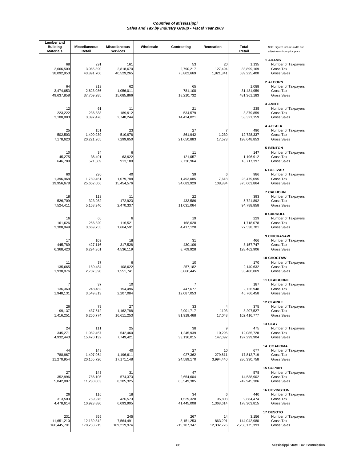| Lumber and<br><b>Building</b><br><b>Materials</b> | <b>Miscellaneous</b><br>Retail   | <b>Miscellaneous</b><br><b>Services</b> | Wholesale | Contracting                       | Recreation                        | Total<br>Retail                       | Note: Figures include audits and<br>adjustments from prior years.             |
|---------------------------------------------------|----------------------------------|-----------------------------------------|-----------|-----------------------------------|-----------------------------------|---------------------------------------|-------------------------------------------------------------------------------|
| 68<br>2,666,509<br>38,092,953                     | 291<br>3,065,390<br>43,891,700   | 161<br>2,818,670<br>40,529,265          |           | 53<br>2,790,217<br>75,802,669     | 20<br>127,494<br>1,821,341        | 1,135<br>33,899,169<br>539,225,400    | <b>1 ADAMS</b><br>Number of Taxpayers<br>Gross Tax<br><b>Gross Sales</b>      |
| 64<br>3,474,653<br>49,637,858                     | 319<br>2,623,086<br>37,709,285   | 62<br>1,056,011<br>15,085,866           |           | 65<br>781,108<br>18,210,732       |                                   | 1,088<br>31,481,959<br>481,361,183    | 2 ALCORN<br>Number of Taxpayers<br>Gross Tax<br><b>Gross Sales</b>            |
| 12<br>223,222<br>3,188,883                        | 61<br>236,833<br>3,397,476       | 11<br>189,912<br>2,748,244              |           | 21<br>534,579<br>14,424,021       |                                   | 235<br>3,379,859<br>58,321,159        | 3 AMITE<br>Number of Taxpayers<br>Gross Tax<br><b>Gross Sales</b>             |
| 25<br>502,503<br>7,178,620                        | 151<br>1,400,939<br>20,221,265   | 23<br>510,976<br>7,299,650              |           | 27<br>861,942<br>21,650,883       | $\overline{7}$<br>1,230<br>17,573 | 490<br>12,728,337<br>198,648,853      | <b>4 ATTALA</b><br>Number of Taxpayers<br>Gross Tax<br><b>Gross Sales</b>     |
| 10<br>45,275<br>646,789                           | 34<br>36,491<br>521,309          | 63,922<br>913,180                       |           | 11<br>121,057<br>2,736,964        |                                   | 147<br>1,196,912<br>18,717,397        | <b>5 BENTON</b><br>Number of Taxpayers<br>Gross Tax<br><b>Gross Sales</b>     |
| 60<br>1,396,968<br>19,956,678                     | 230<br>1,789,461<br>25,652,606   | 40<br>1,079,788<br>15,454,576           |           | 39<br>1,493,085<br>34,683,929     | 6<br>7,618<br>108,834             | 986<br>23,479,095<br>375,603,864      | <b>6 BOLIVAR</b><br>Number of Taxpayers<br>Gross Tax<br><b>Gross Sales</b>    |
| 18<br>526,709<br>7,524,411                        | 113<br>323,982<br>5,158,940      | 11<br>172,923<br>2,470,337              |           | 22<br>433,586<br>11,031,064       |                                   | 393<br>5,721,892<br>94,788,858        | <b>7 CALHOUN</b><br>Number of Taxpayers<br>Gross Tax<br><b>Gross Sales</b>    |
| 16<br>161,626<br>2,308,949                        | 66<br>256,820<br>3,669,755       | 6<br>116,521<br>1,664,591               |           | 19<br>168,628<br>4,417,120        |                                   | 229<br>1,718,078<br>27,538,701        | 8 CARROLL<br>Number of Taxpayers<br>Gross Tax<br><b>Gross Sales</b>           |
| 17<br>445,789<br>6,368,420                        | 109<br>427,116<br>6,294,361      | 18<br>317,528<br>4,536,119              |           | 31<br>430,106<br>8,709,928        |                                   | 466<br>8,157,747<br>128,462,906       | 9 CHICKASAW<br>Number of Taxpayers<br>Gross Tax<br><b>Gross Sales</b>         |
| 11<br>135,665<br>1,938,076                        | 37<br>189,484<br>2,707,390       | 108,622<br>1,551,741                    |           | 10<br>257,182<br>6,866,445        |                                   | 170<br>2,140,632<br>35,480,869        | 10 CHOCTAW<br>Number of Taxpayers<br>Gross Tax<br><b>Gross Sales</b>          |
| 136,369<br>1,948,131                              | 37<br>248,482<br>3,549,813       | 10<br>154,496<br>2,207,084              |           | 447,677<br>12,087,053             |                                   | 187<br>2,726,948<br>45,766,458        | <b>11 CLAIBORNE</b><br>Number of Taxpayers<br>Gross Tax<br><b>Gross Sales</b> |
| 26<br>99,137<br>1,416,251                         | 79<br>437,512<br>6,250,774       | 27<br>1,162,788<br>16,611,253           |           | 33<br>2,901,717<br>81,919,468     | 1193<br>17,048                    | 375<br>8,207,527<br>162,416,777       | <b>12 CLARKE</b><br>Number of Taxpayers<br>Gross Tax<br><b>Gross Sales</b>    |
| 24<br>345,271<br>4,932,443                        | 111<br>1,082,467<br>15,470,132   | 25<br>542,460<br>7,749,421              |           | 38<br>1,245,939<br>33,136,015     | 9<br>10,296<br>147,092            | 475<br>12,085,728<br>197,299,904      | 13 CLAY<br>Number of Taxpayers<br>Gross Tax<br><b>Gross Sales</b>             |
| 44<br>788,967<br>11,270,954                       | 148<br>1,407,964<br>20,155,720   | 40<br>1,196,611<br>17,171,148           |           | 27<br>927,362<br>24,589,170       | 10<br>279,611<br>3,994,440        | 677<br>17,812,719<br>286,330,758      | 14 COAHOMA<br>Number of Taxpayers<br>Gross Tax<br><b>Gross Sales</b>          |
| 27<br>352,996<br>5,042,807                        | 143<br>786,105<br>11,230,063     | 31<br>574,373<br>8,205,325              |           | 47<br>2,654,604<br>65,549,385     |                                   | 578<br>14,538,902<br>242,945,306      | <b>15 COPIAH</b><br>Number of Taxpayers<br>Gross Tax<br><b>Gross Sales</b>    |
| 26<br>313,503<br>4,478,614                        | 116<br>759,975<br>10,923,880     | 18<br>426,573<br>6,093,905              |           | 34<br>1,529,328<br>41,445,008     | 6<br>95,803<br>1,368,614          | 440<br>9,884,474<br>178,303,815       | <b>16 COVINGTON</b><br>Number of Taxpayers<br>Gross Tax<br><b>Gross Sales</b> |
| 231<br>11,651,210<br>166,445,701                  | 855<br>12,139,842<br>178,233,215 | 245<br>7,564,491<br>109,219,974         |           | 267<br>8,151,253<br>215, 107, 347 | 14<br>863,291<br>12,332,726       | 3,156<br>144,042,980<br>2,256,175,393 | 17 DESOTO<br>Number of Taxpayers<br>Gross Tax<br><b>Gross Sales</b>           |
|                                                   |                                  |                                         |           |                                   |                                   |                                       |                                                                               |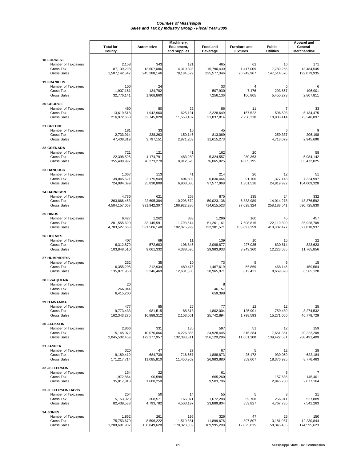|                                                                                     |                                       | Machinery,                         |                                  |                                    |                                         | <b>Apparel and</b>                |                                  |
|-------------------------------------------------------------------------------------|---------------------------------------|------------------------------------|----------------------------------|------------------------------------|-----------------------------------------|-----------------------------------|----------------------------------|
|                                                                                     | <b>Total for</b><br>County            | Automotive                         | Equipment,<br>and Supplies       | Food and<br><b>Beverage</b>        | <b>Furniture and</b><br><b>Fixtures</b> | <b>Public</b><br><b>Utilities</b> | General<br>Merchandise           |
| <b>18 FORREST</b><br>Number of Taxpayers<br>Gross Tax<br><b>Gross Sales</b>         | 2,158<br>87,139,298<br>1,507,142,542  | 343<br>13,607,086<br>245,288,146   | 121<br>4,319,398<br>78,184,622   | 465<br>15,790,430<br>225,577,346   | 62<br>1,417,009<br>20,242,967           | 16<br>7,789,256<br>147,514,576    | 171<br>13,484,545<br>192,079,935 |
| <b>19 FRANKLIN</b><br>Number of Taxpayers<br>Gross Tax<br><b>Gross Sales</b>        | 150<br>1,907,161<br>32,776,141        | 24<br>134,702<br>1,968,860         |                                  | 33<br>507,930<br>7,256,136         | 4<br>7,476<br>106,805                   | 6<br>293,857<br>5,450,273         | 196,901<br>2,807,811             |
| 20 GEORGE<br>Number of Taxpayers<br>Gross Tax<br><b>Gross Sales</b>                 | 460<br>13,619,518<br>216,972,658      | 80<br>1,942,960<br>32,745,028      | 22<br>625,131<br>11,558,187      | 86<br>2,228,649<br>31,837,814      | 11<br>157,522<br>2,250,318              | 7<br>596,503<br>10,903,414        | 33<br>5,134,475<br>73,346,897    |
| 21 GREENE<br>Number of Taxpayers<br>Gross Tax<br><b>Gross Sales</b>                 | 181<br>2,733,914<br>47,408,319        | 33<br>238,263<br>3,797,151         | 10<br>150,146<br>2,871,209       | 45<br>813,069<br>11,615,273        |                                         | 6<br>259,337<br>4,718,079         | 206,198<br>2,945,690             |
| 22 GRENADA<br>Number of Taxpayers<br>Gross Tax<br><b>Gross Sales</b>                | 721<br>22,398,596<br>355,499,997      | 121<br>4,174,791<br>78,373,278     | 41<br>483,280<br>8,912,520       | 162<br>5,324,557<br>76,065,025     | 20<br>280,363<br>4,005,195              |                                   | 58<br>5,984,142<br>85,472,025    |
| 23 HANCOCK<br>Number of Taxpayers<br>Gross Tax<br><b>Gross Sales</b>                | 1,067<br>39,045,521<br>724,084,099    | 113<br>2,175,949<br>35,830,809     | 41<br>404,302<br>6,903,080       | 214<br>6,830,464<br>97,577,968     | 26<br>91,106<br>1,301,516               | 12<br>1,377,143<br>24,819,992     | 51<br>7,324,997<br>104,609,328   |
| <b>24 HARRISON</b><br>Number of Taxpayers<br>Gross Tax<br><b>Gross Sales</b>        | 4,736<br>263,866,453<br>4,504,157,067 | 621<br>22,695,304<br>391,942,307   | 268<br>10,208,579<br>166,922,280 | 875<br>50,023,136<br>714,615,523   | 135<br>6,833,989<br>97,628,324          | 24<br>14,014,278<br>258,188,541   | 332<br>48,376,592<br>690,725,830 |
| 25 HINDS<br>Number of Taxpayers<br>Gross Tax<br><b>Gross Sales</b>                  | 6,427<br>281,555,690<br>4,783,527,668 | 1,262<br>33,145,591<br>581,506,148 | 383<br>11,793,614<br>192,075,999 | 1,296<br>51,261,161<br>732,301,571 | 160<br>7,608,815<br>108,697,259         | 45<br>22,119,390<br>410,302,477   | 457<br>36,928,709<br>527,018,937 |
| <b>26 HOLMES</b><br>Number of Taxpayers<br>Gross Tax<br><b>Gross Sales</b>          | 407<br>6,312,879<br>103,848,510       | 69<br>572,683<br>9,061,332         | 11<br>196,846<br>4,388,595       | 139<br>2,098,877<br>29,983,933     | 10<br>227,035<br>3,243,360              | 15<br>630,814<br>12,223,085       | 22<br>823,623<br>11,765,856      |
| 27 HUMPHREYS<br>Number of Taxpayers<br>Gross Tax<br><b>Gross Sales</b>              | 232<br>6,355,295<br>135,871,958       | 35<br>212,934<br>3,246,469         | 10<br>489.475<br>12,631,330      | 73<br>1,467,619<br>20,965,971      | 56,869<br>812,421                       | 6<br>468,145<br>8,669,828         | 15<br>459,564<br>6,565,128       |
| 28 ISSAQUENA<br>Number of Taxpayers<br>Gross Tax<br><b>Gross Sales</b>              | 20<br>266,944<br>6,415,200            |                                    |                                  | 46,157<br>659,398                  |                                         |                                   |                                  |
| <b>29 ITAWAMBA</b><br>Number of Taxpayers<br>Gross Tax<br><b>Gross Sales</b>        | 477<br>9,773,433<br>162,343,275       | 85<br>981,515<br>16,888,312        | 26<br>88,813<br>2,103,561        | 77<br>1,802,004<br>25,742,894      | 12<br>125,901<br>1,798,593              | 12<br>759,489<br>15,271,060       | 25<br>3,274,532<br>46,778,729    |
| <b>30 JACKSON</b><br>Number of Taxpayers<br>Gross Tax<br><b>Gross Sales</b>         | 2,866<br>115,145,072<br>2,045,502,459 | 331<br>10,070,066<br>173,277,957   | 136<br>4,226,366<br>132,088,311  | 597<br>24,928,445<br>356,120,296   | 51<br>816,284<br>11,661,200             | 12<br>7,651,361<br>139,422,581    | 159<br>20,222,209<br>288,491,409 |
| 31 JASPER<br>Number of Taxpayers<br>Gross Tax<br><b>Gross Sales</b>                 | 320<br>9,189,419<br>171,217,714       | 47<br>684.739<br>11,085,810        | 27<br>716,667<br>11,450,962      | 67<br>1,888,873<br>26,983,880      | 5<br>25,172<br>359,607                  | 12<br>939.050<br>18,376,995       | 28<br>622.184<br>8,776,463       |
| 32 JEFFERSON<br>Number of Taxpayers<br>Gross Tax<br><b>Gross Sales</b>              | 134<br>1,972,864<br>35,017,818        | 22<br>90,599<br>1,608,250          |                                  | 61<br>665,260<br>9,503,706         |                                         | 6<br>157,636<br>2,945,780         | 145,401<br>2,077,164             |
| <b>33 JEFFERSON DAVIS</b><br>Number of Taxpayers<br>Gross Tax<br><b>Gross Sales</b> | 254<br>5,153,023<br>82,439,538        | 50<br>308,571<br>4,793,782         | 14<br>165,071<br>4,503,197       | 55<br>1,672,288<br>23,889,804      | 5<br>59,768<br>853,827                  | 8<br>256,911<br>4,767,736         | 21<br>527,889<br>7,541,263       |
| 34 JONES<br>Number of Taxpayers<br>Gross Tax<br><b>Gross Sales</b>                  | 1,852<br>75,753,670<br>1,208,691,902  | 261<br>8,596,222<br>150,849,628    | 196<br>11,510,881<br>170,323,359 | 326<br>11,899,676<br>169,995,208   | 47<br>897,807<br>12,825,815             | 25<br>3,181,987<br>58,345,455     | 150<br>12,230,844<br>174,595,623 |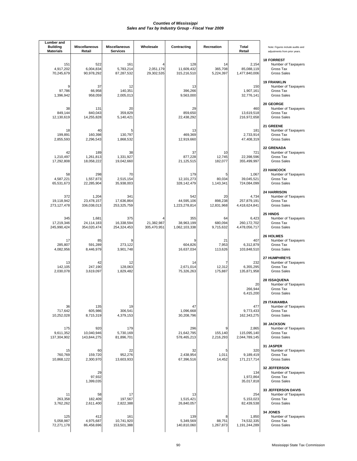| Lumber and<br><b>Building</b><br><b>Materials</b> | <b>Miscellaneous</b><br>Retail     | <b>Miscellaneous</b><br><b>Services</b> | Wholesale                 | Contracting                        | Recreation                  | Total<br>Retail                         | Note: Figures include audits and<br>adjustments from prior years.                   |
|---------------------------------------------------|------------------------------------|-----------------------------------------|---------------------------|------------------------------------|-----------------------------|-----------------------------------------|-------------------------------------------------------------------------------------|
| 151<br>4,917,202<br>70,245,679                    | 522<br>6,004,834<br>90,978,292     | 161<br>5,783,214<br>87,287,532          | 2,051,179<br>29,302,535   | 128<br>11,609,432<br>315,216,510   | 14<br>365,708<br>5,224,397  | 2,154<br>85,088,119<br>1,477,840,006    | <b>18 FORREST</b><br>Number of Taxpayers<br>Gross Tax<br><b>Gross Sales</b>         |
| 9<br>97,786<br>1,396,942                          | 37<br>66,958<br>958,059            | 12<br>140,351<br>2,005,013              |                           | 13<br>396,266<br>9,563,000         |                             | 150<br>1,907,161<br>32,776,141          | <b>19 FRANKLIN</b><br>Number of Taxpayers<br>Gross Tax<br><b>Gross Sales</b>        |
| 38<br>849,144<br>12,130,619                       | 131<br>840,043<br>14,255,828       | 20<br>359,829<br>5,140,421              |                           | 29<br>859,650<br>22,438,292        |                             | 460<br>13,619,518<br>216,972,658        | 20 GEORGE<br>Number of Taxpayers<br>Gross Tax<br><b>Gross Sales</b>                 |
| 18<br>199,891<br>2,855,593                        | 40<br>160,398<br>2,296,543         | 130,797<br>1,868,532                    |                           | 13<br>469,369<br>12,919,660        |                             | 181<br>2,733,914<br>47,408,319          | 21 GREENE<br>Number of Taxpayers<br>Gross Tax<br><b>Gross Sales</b>                 |
| 42<br>1,210,497<br>17,292,808                     | 189<br>1,261,813<br>18,058,222     | 38<br>1,331,927<br>19,042,660           |                           | 37<br>877,228<br>21,125,515        | 10<br>12,745<br>182,077     | 721<br>22,398,596<br>355,499,997        | 22 GRENADA<br>Number of Taxpayers<br>Gross Tax<br><b>Gross Sales</b>                |
| 58<br>4,587,221<br>65,531,673                     | 298<br>1,557,873<br>22,285,904     | 70<br>2,515,154<br>35,938,003           |                           | 179<br>12,101,273<br>328, 142, 479 | 5<br>80,034<br>1,143,341    | 1,067<br>39,045,521<br>724,084,099      | 23 HANCOCK<br>Number of Taxpayers<br>Gross Tax<br><b>Gross Sales</b>                |
| 372<br>19,118,942<br>273,127,478                  | 1,204<br>23,478,157<br>336,038,013 | 341<br>17,636,864<br>253,325,759        |                           | 542<br>44,595,106<br>1,223,278,814 | 20<br>898,238<br>12,831,968 | 4,734<br>257,879,191<br>4,418,624,841   | <b>24 HARRISON</b><br>Number of Taxpayers<br>Gross Tax<br><b>Gross Sales</b>        |
| 345<br>17,219,346<br>245,990,424                  | 1,681<br>24,114,183<br>354,020,474 | 375<br>16,338,594<br>254,324,453        | 21,382,987<br>305,470,951 | 355<br>38,963,199<br>1,062,103,338 | 64<br>680,094<br>9,715,632  | 6,423<br>260, 172, 702<br>4,478,056,717 | 25 HINDS<br>Number of Taxpayers<br>Gross Tax<br><b>Gross Sales</b>                  |
| 17<br>285,807<br>4,082,956                        | 85<br>591,289<br>8,446,979         | 273,122<br>3,901,748                    |                           | 604,826<br>16,637,034              | 21<br>7,953<br>113,626      | 407<br>6,312,879<br>103,848,510         | <b>26 HOLMES</b><br>Number of Taxpayers<br>Gross Tax<br><b>Gross Sales</b>          |
| 13<br>142,105<br>2,030,078                        | 42<br>247,190<br>3,619,097         | 12<br>128,063<br>1,829,482              |                           | 14<br>2,671,014<br>75,326,263      | 7<br>12,312<br>175,887      | 232<br>6,355,295<br>135,871,958         | 27 HUMPHREYS<br>Number of Taxpayers<br>Gross Tax<br><b>Gross Sales</b>              |
|                                                   |                                    |                                         |                           |                                    |                             | 20<br>266,944<br>6,415,200              | 28 ISSAQUENA<br>Number of Taxpayers<br>Gross Tax<br><b>Gross Sales</b>              |
| 36<br>717,642<br>10,252,028                       | 135<br>605,986<br>8,715,319        | 19<br>306,541<br>4,379,153              |                           | 47<br>1,096,668<br>30,208,796      |                             | 477<br>9,773,433<br>162,343,275         | <b>29 ITAWAMBA</b><br>Number of Taxpayers<br>Gross Tax<br><b>Gross Sales</b>        |
| 175<br>9,611,352<br>137,304,902                   | 920<br>10,040,946<br>143,844,275   | 179<br>5,730,169<br>81,896,701          |                           | 296<br>21,642,795<br>578,465,213   | 9<br>155,140<br>2,216,293   | 2,865<br>115,095,140<br>2,044,789,145   | <b>30 JACKSON</b><br>Number of Taxpayers<br>Gross Tax<br><b>Gross Sales</b>         |
| 15<br>760,769<br>10,868,122                       | 60<br>159,720<br>2,300,970         | 22<br>952,276<br>13,603,933             |                           | 32<br>2,438,954<br>67,396,516      | 5<br>1,011<br>14,452        | 320<br>9,189,419<br>171,217,714         | 31 JASPER<br>Number of Taxpayers<br>Gross Tax<br><b>Gross Sales</b>                 |
|                                                   | 29<br>97,932<br>1,399,035          |                                         |                           |                                    |                             | 134<br>1,972,864<br>35,017,818          | 32 JEFFERSON<br>Number of Taxpayers<br>Gross Tax<br><b>Gross Sales</b>              |
| 11<br>263,358<br>3,762,262                        | 58<br>182,409<br>2,611,400         | 17<br>197,567<br>2,822,388              |                           | 13<br>1,515,421<br>26,840,057      |                             | 254<br>5,153,023<br>82,439,538          | <b>33 JEFFERSON DAVIS</b><br>Number of Taxpayers<br>Gross Tax<br><b>Gross Sales</b> |
| 125<br>5,058,987<br>72,271,178                    | 412<br>4,975,687<br>86,458,696     | 161<br>10,741,920<br>153,501,388        |                           | 139<br>5,349,569<br>140,810,060    | 8<br>88,751<br>1,267,873    | 1,850<br>74,532,335<br>1,191,244,289    | 34 JONES<br>Number of Taxpayers<br>Gross Tax<br><b>Gross Sales</b>                  |
|                                                   |                                    |                                         |                           |                                    |                             |                                         |                                                                                     |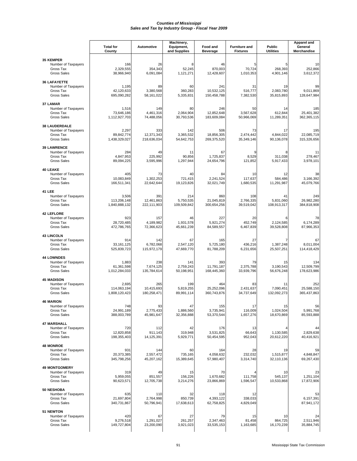|                                                                                | <b>Total for</b><br>County            | Automotive                       | Machinery,<br>Equipment,<br>and Supplies | Food and<br><b>Beverage</b>      | <b>Furniture and</b><br><b>Fixtures</b> | <b>Public</b><br><b>Utilities</b> | Apparel and<br>General<br>Merchandise |
|--------------------------------------------------------------------------------|---------------------------------------|----------------------------------|------------------------------------------|----------------------------------|-----------------------------------------|-----------------------------------|---------------------------------------|
| <b>35 KEMPER</b><br>Number of Taxpayers<br>Gross Tax<br><b>Gross Sales</b>     | 166<br>2,329,555<br>38.966.940        | 26<br>354,343<br>6,091,084       | 8<br>52,245<br>1,121,271                 | 46<br>870,003<br>12,428,607      | 5<br>70,724<br>1,010,353                | 5<br>268.393<br>4,901,146         | 10<br>252,866<br>3,612,372            |
| <b>36 LAFAYETTE</b><br>Number of Taxpayers<br>Gross Tax<br><b>Gross Sales</b>  | 1,195<br>42,120,633<br>695,090,282    | 89<br>3,380,568<br>58, 161, 022  | 60<br>360,283<br>5,335,831               | 241<br>10,532,125<br>150,458,788 | 31<br>516,777<br>7,382,530              | 19<br>2,083,780<br>35,815,893     | 99<br>9,011,869<br>128,647,984        |
| 37 LAMAR<br>Number of Taxpayers<br>Gross Tax<br><b>Gross Sales</b>             | 1,516<br>73,646,186<br>1,112,927,703  | 149<br>4,461,316<br>74,488,056   | 80<br>2,064,904<br>30,793,536            | 246<br>12,852,648<br>183,609,084 | 50<br>3,567,628<br>50,966,069           | 14<br>612,844<br>11,289,351       | 185<br>25,401,382<br>362,365,115      |
| <b>38 LAUDERDALE</b><br>Number of Taxpayers<br>Gross Tax<br><b>Gross Sales</b> | 2,297<br>89,842,774<br>1,438,329,027  | 333<br>12,371,343<br>218,636,034 | 142<br>3,365,532<br>54,642,753           | 506<br>18,856,305<br>269,375,520 | 73<br>2,474,442<br>35,349,146           | 17<br>4,844,022<br>90,136,078     | 195<br>22,085,719<br>315,326,656      |
| <b>39 LAWRENCE</b><br>Number of Taxpayers<br>Gross Tax<br><b>Gross Sales</b>   | 284<br>4,847,953<br>89,094,225        | 49<br>225.992<br>3,595,996       | 11<br>90.856<br>1,297,944                | 67<br>1,725,837<br>24,654,796    | 9<br>8,529<br>121,852                   | 8<br>311,038<br>5,917,433         | 11<br>278,467<br>3,978,101            |
| <b>40 LEAKE</b><br>Number of Taxpayers<br>Gross Tax<br><b>Gross Sales</b>      | 405<br>10,083,849<br>166,511,341      | 73<br>1,302,253<br>22,642,644    | 40<br>721.415<br>19,123,826              | 84<br>2,241,524<br>32,021,749    | 10<br>117,637<br>1,680,535              | 12<br>584.486<br>11,291,987       | 38<br>3,166,392<br>45,079,766         |
| <b>41 LEE</b><br>Number of Taxpayers<br>Gross Tax<br><b>Gross Sales</b>        | 3,506<br>113,206,148<br>1,840,888,132 | 391<br>12,461,863<br>222,111,903 | 214<br>5,750,535<br>109,509,842          | 860<br>21,045,819<br>300,654,256 | 108<br>2.766.335<br>39.519.042          | 41<br>5.831.060<br>108,913,317    | 249<br>26,982,280<br>384,818,908      |
| <b>42 LEFLORE</b><br>Number of Taxpayers<br>Gross Tax<br><b>Gross Sales</b>    | 923<br>28,720,485<br>472,786,765      | 157<br>4,189,982<br>72,366,623   | 46<br>1,931,578<br>45,661,239            | 227<br>5,921,274<br>84,589,557   | 20<br>452,749<br>6,467,839              | 6<br>2,124,585<br>39,528,808      | 78<br>6,174,289<br>87,966,353         |
| <b>43 LINCOLN</b><br>Number of Taxpayers<br>Gross Tax<br><b>Gross Sales</b>    | 914<br>33, 161, 125<br>525,839,723    | 142<br>6,782,068<br>115,972,179  | 67<br>2,547,120<br>47,669,770            | 165<br>5,725,180<br>81,788,209   | 27<br>436,216<br>6,231,656              | 7<br>1,387,248<br>25,507,251      | 67<br>8,011,004<br>114,418,429        |
| <b>44 LOWNDES</b><br>Number of Taxpayers<br>Gross Tax<br><b>Gross Sales</b>    | 1,883<br>61,361,598<br>1,012,284,033  | 238<br>7,674,125<br>135,784,614  | 141<br>2,759,243<br>50,198,951           | 393<br>11,791,187<br>168,445,360 | 79<br>2,375,788<br>33,939,796           | 15<br>3,190,543<br>56,676,248     | 134<br>12,509,799<br>178,623,986      |
| <b>45 MADISON</b><br>Number of Taxpayers<br>Gross Tax<br><b>Gross Sales</b>    | 2,695<br>114,063,194<br>1,808,120,423 | 265<br>10,415,693<br>180,258,471 | 199<br>5,819,255<br>89,991,114           | 464<br>25,252,096<br>360,743,876 | 83<br>2,431,637<br>34.737.649           | 11<br>7,090,451<br>132,092,273    | 252<br>25,588,150<br>365,437,863      |
| <b>46 MARION</b><br>Number of Taxpayers<br>Gross Tax<br>Gross Sales            | 748<br>24,991,189<br>388,003,789      | 93<br>2,775,433<br>45,981,647    | 47<br>1,886,560<br>32,356,888            | 155<br>3,735,941<br>53,370,544   | 17<br>116,009<br>1,657,276              | 15<br>1,024,504<br>18,670,869     | 56<br>5,991,768<br>85,593,888         |
| <b>47 MARSHALL</b><br>Number of Taxpayers<br>Gross Tax<br><b>Gross Sales</b>   | 720<br>12,820,858<br>198,355,403      | 112<br>911,143<br>14,125,391     | 42<br>319,948<br>5,929,771               | 176<br>3,531,825<br>50,454,595   | 13<br>66,643<br>952,043                 | 1,130,585<br>20,612,220           | 44<br>2,829,638<br>40,416,921         |
| <b>48 MONROE</b><br>Number of Taxpayers<br>Gross Tax<br><b>Gross Sales</b>     | 931<br>20,373,385<br>345,798,256      | 144<br>2,557,472<br>45,207,162   | 60<br>735,165<br>15,389,645              | 164<br>4,058,632<br>57,980,407   | 28<br>232,032<br>3,314,740              | 19<br>1,515,877<br>32,110,136     | 59<br>4,848,847<br>69,267,430         |
| <b>49 MONTGOMERY</b><br>Number of Taxpayers<br>Gross Tax<br><b>Gross Sales</b> | 319<br>5,959,055<br>90,623,571        | 49<br>851,557<br>12,705,738      | 15<br>156,226<br>3,214,276               | 70<br>1,670,682<br>23,866,869    | 111,758<br>1,596,547                    | 10<br>545,137<br>10,533,868       | 23<br>1,251,104<br>17,872,906         |
| 50 NESHOBA<br>Number of Taxpayers<br>Gross Tax<br><b>Gross Sales</b>           | 635<br>21,697,804<br>340,731,867      | 110<br>2,764,998<br>50,796,941   | 32<br>850,739<br>17,638,613              | 118<br>4,393,122<br>62,758,825   | 12<br>338,033<br>4,829,049              |                                   | 53<br>6,157,391<br>87,941,172         |
| <b>51 NEWTON</b><br>Number of Taxpayers<br>Gross Tax<br><b>Gross Sales</b>     | 420<br>9,276,518<br>149,727,804       | 67<br>1,291,027<br>23,200,090    | 27<br>261,257<br>3,921,023               | 79<br>2,347,463<br>33,535,153    | 15<br>81,458<br>1,163,685               | 10<br>864,725<br>16,170,239       | 24<br>2,511,946<br>35,884,745         |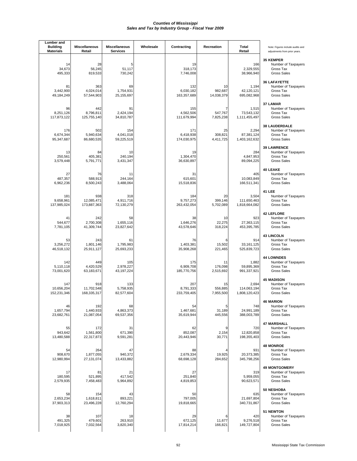| <b>Lumber</b> and<br><b>Building</b><br><b>Materials</b> | <b>Miscellaneous</b><br>Retail   | <b>Miscellaneous</b><br>Services | Wholesale | Contracting                     | Recreation                  | <b>Total</b><br>Retail                | Note: Figures include audits and<br>adjustments from prior years.              |
|----------------------------------------------------------|----------------------------------|----------------------------------|-----------|---------------------------------|-----------------------------|---------------------------------------|--------------------------------------------------------------------------------|
| 14<br>34,673<br>495,333                                  | 28<br>56,245<br>819,533          | 5<br>51,117<br>730,242           |           | 19<br>318,173<br>7,746,008      |                             | 166<br>2,329,555<br>38,966,940        | 35 KEMPER<br>Number of Taxpayers<br>Gross Tax<br>Gross Sales                   |
| 81<br>3,442,900<br>49,184,249                            | 363<br>4,024,014<br>57,544,903   | 69<br>1,754,931<br>25,155,697    |           | 132<br>6,030,182<br>163,357,689 | 10<br>982,687<br>14,038,379 | 1,194<br>42,120,121<br>695,082,968    | <b>36 LAFAYETTE</b><br>Number of Taxpayers<br>Gross Tax<br><b>Gross Sales</b>  |
| 96<br>8.251.126<br>117,873,122                           | 442<br>8.796.811<br>125,755,140  | 91<br>2,424,194<br>34,810,787    |           | 155<br>4,562,506<br>111,679,994 | 7<br>547,767<br>7,825,238   | 1,515<br>73,543,132<br>1,111,455,497  | 37 LAMAR<br>Number of Taxpayers<br>Gross Tax<br><b>Gross Sales</b>             |
| 176<br>6,674,344<br>95,347,687                           | 502<br>5,940,634<br>86,680,535   | 154<br>4,041,018<br>59,225,519   |           | 171<br>6,418,938<br>174,030,975 | 25<br>308,821<br>4,411,725  | 2,294<br>87,381,124<br>1,403,162,632  | <b>38 LAUDERDALE</b><br>Number of Taxpayers<br>Gross Tax<br><b>Gross Sales</b> |
| 13<br>250,561<br>3,579,448                               | 84<br>405,381<br>5,791,771       | 10<br>240,194<br>3,431,347       |           | 19<br>1,304,470<br>36,630,897   |                             | 284<br>4,847,953<br>89,094,225        | <b>39 LAWRENCE</b><br>Number of Taxpayers<br>Gross Tax<br><b>Gross Sales</b>   |
| 27<br>487,357<br>6,962,236                               | 76<br>588,913<br>8,500,243       | 11<br>244,164<br>3,488,064       |           | 31<br>615,601<br>15,518,836     |                             | 405<br>10,083,849<br>166,511,341      | <b>40 LEAKE</b><br>Number of Taxpayers<br>Gross Tax<br><b>Gross Sales</b>      |
| 181<br>9,658,961<br>137,985,024                          | 938<br>12,085,471<br>173,887,363 | 318<br>4,911,716<br>72,130,279   |           | 184<br>9,757,273<br>263,432,054 | 20<br>399,146<br>5,702,089  | 3,504<br>111,650,463<br>1,818,664,082 | 41 LEE<br>Number of Taxpayers<br>Gross Tax<br><b>Gross Sales</b>               |
| 41<br>544,677<br>7,781,105                               | 242<br>2,700,308<br>41,309,744   | 58<br>1,655,116<br>23,827,642    |           | 38<br>1,646,276<br>43,578,646   | 10<br>22,275<br>318,224     | 923<br>27,363,115<br>453,395,785      | <b>42 LEFLORE</b><br>Number of Taxpayers<br>Gross Tax<br><b>Gross Sales</b>    |
| 53<br>3,256,272<br>46,518,132                            | 243<br>1,801,146<br>25,911,127   | 61<br>1,795,983<br>25,693,233    |           | 76<br>1,403,381<br>35,908,268   | 6<br>15,502<br>221,465      | 914<br>33, 161, 125<br>525,839,723    | <b>43 LINCOLN</b><br>Number of Taxpayers<br>Gross Tax<br><b>Gross Sales</b>    |
| 142<br>5,110,118<br>73,001,620                           | 449<br>4,420,529<br>63,183,671   | 105<br>2.978.227<br>43, 197, 224 |           | 175<br>6,909,708<br>185,770,756 | 11<br>176,098<br>2,515,692  | 1,882<br>59,895,369<br>991,337,921    | <b>44 LOWNDES</b><br>Number of Taxpayers<br>Gross Tax<br><b>Gross Sales</b>    |
| 147<br>10,656,204<br>152,231,346                         | 918<br>11,702,548<br>168,335,317 | 133<br>5,758,935<br>82,577,604   |           | 207<br>8,791,333<br>233,759,405 | 15<br>556,885<br>7,955,500  | 2,694<br>114,063,194<br>1,808,120,423 | <b>45 MADISON</b><br>Number of Taxpayers<br>Gross Tax<br><b>Gross Sales</b>    |
| 46<br>1,657,794<br>23,682,761                            | 192<br>1,440,933<br>21,087,054   | 68<br>4,863,373<br>69,537,356    |           | 54<br>1,467,681<br>35,619,944   | 5<br>31,189<br>445,556      | 748<br>24,991,189<br>388,003,789      | <b>46 MARION</b><br>Number of Taxpayers<br>Gross Tax<br><b>Gross Sales</b>     |
| 55<br>943,642<br>13,480,588                              | 172<br>1,561,800<br>22,317,873   | 31<br>671,390<br>9,591,281       |           | 62<br>852,087<br>20,443,946     | 9<br>2,154<br>30,771        | 720<br>12,820,858<br>198,355,403      | <b>47 MARSHALL</b><br>Number of Taxpayers<br>Gross Tax<br><b>Gross Sales</b>   |
| 54<br>908,670<br>12,980,994                              | 264<br>1,877,055<br>27,131,074   | 47<br>940,372<br>13,433,882      |           | 88<br>2,679,334<br>68,698,128   | 19,925<br>284,652           | 931<br>20,373,385<br>345,798,256      | <b>48 MONROE</b><br>Number of Taxpayers<br>Gross Tax<br><b>Gross Sales</b>     |
| 17<br>180,595<br>2,579,935                               | 81<br>521,895<br>7,458,483       | 21<br>417,542<br>5,964,892       |           | 27<br>251,840<br>4,819,853      |                             | 319<br>5,959,055<br>90,623,571        | <b>49 MONTGOMERY</b><br>Number of Taxpayers<br>Gross Tax<br><b>Gross Sales</b> |
| 58<br>2,653,234<br>37,903,313                            | 154<br>1,618,811<br>23,496,228   | 43<br>893,221<br>12,760,294      |           | 50<br>797,005<br>19,818,665     |                             | 635<br>21,697,804<br>340,731,867      | 50 NESHOBA<br>Number of Taxpayers<br>Gross Tax<br><b>Gross Sales</b>           |
| 38<br>491,325<br>7,018,925                               | 107<br>479,601<br>7,032,564      | 18<br>263,910<br>3,820,340       |           | 29<br>672,125<br>17,814,214     | 6<br>11,677<br>166,821      | 420<br>9,276,518<br>149,727,804       | 51 NEWTON<br>Number of Taxpayers<br>Gross Tax<br><b>Gross Sales</b>            |
|                                                          |                                  |                                  |           |                                 |                             |                                       |                                                                                |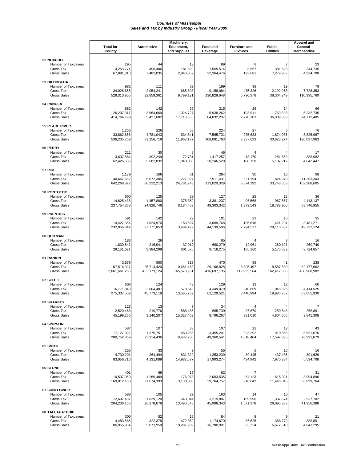|                                                                                  |                                       | Machinery,                       |                                  |                                  |                                         |                                   | <b>Apparel and</b>               |
|----------------------------------------------------------------------------------|---------------------------------------|----------------------------------|----------------------------------|----------------------------------|-----------------------------------------|-----------------------------------|----------------------------------|
|                                                                                  | <b>Total for</b><br>County            | <b>Automotive</b>                | Equipment,<br>and Supplies       | Food and<br><b>Beverage</b>      | <b>Furniture and</b><br><b>Fixtures</b> | <b>Public</b><br><b>Utilities</b> | General<br>Merchandise           |
| <b>52 NOXUBEE</b><br>Number of Taxpayers<br>Gross Tax<br><b>Gross Sales</b>      | 295<br>4,253,774<br>67,891,010        | 44<br>498,406<br>7,482,035       | 13<br>181,520<br>2,946,352       | 89<br>1,565,514<br>22,364,476    | 8<br>8,657<br>123,681                   | 7<br>381,623<br>7,279,983         | 23<br>344,735<br>4,924,700       |
| <b>53 OKTIBBEHA</b><br>Number of Taxpayers<br>Gross Tax<br><b>Gross Sales</b>    | 982<br>34,028,655<br>529,310,905      | 111<br>2,054,241<br>32,859,361   | 69<br>665,893<br>9,799,121       | 199<br>9,158,084<br>130,829,648  | 38<br>475,326<br>6,790,378              | 19<br>2,192,963<br>38,364,249     | 79<br>7,728,353<br>110,395,760   |
| <b>54 PANOLA</b><br>Number of Taxpayers<br>Gross Tax<br><b>Gross Sales</b>       | 882<br>26,207,317<br>414,764,799      | 142<br>3.664.669<br>65,427,682   | 35<br>1,024,727<br>17,713,356    | 215<br>5,938,262<br>84,832,237   | 26<br>193,911<br>2,770,163              | 14<br>1,769,393<br>36,009,838     | 66<br>5,232,735<br>74,712,485    |
| <b>55 PEARL RIVER</b><br>Number of Taxpayers<br>Gross Tax<br><b>Gross Sales</b>  | 1,253<br>33,862,868<br>536,235,769    | 226<br>4,781,043<br>83,256,719   | 58<br>634,841<br>11,962,177      | 224<br>7,565,731<br>108,081,763  | 27<br>275,633<br>3,937,623              | 1,674,936<br>30,623,274           | 76<br>8,826,987<br>126,097,963   |
| 56 PERRY<br>Number of Taxpayers<br>Gross Tax<br><b>Gross Sales</b>               | 211<br>3,637,584<br>62,426,606        | 30<br>392,249<br>5,682,832       | 8<br>72,731<br>1,040,008         | 46<br>1,417,257<br>20,246,520    | 13,170<br>188,150                       | 281.650<br>5,187,917              | 17<br>338,982<br>4,842,447       |
| 57 PIKE<br>Number of Taxpayers<br>Gross Tax<br><b>Gross Sales</b>                | 1,179<br>40,647,662<br>642,268,822    | 166<br>5,072,305<br>88,222,213   | 61<br>1,227,927<br>24,781,243    | 284<br>7,911,431<br>113,020,329  | 30<br>621,194<br>8,874,192              | 16<br>1,824,970<br>33,748,653     | 98<br>11,363,303<br>162,288,605  |
| <b>58 PONTOTOC</b><br>Number of Taxpayers<br>Gross Tax<br><b>Gross Sales</b>     | 660<br>14,625,438<br>237,754,368      | 125<br>1,457,800<br>24,820,746   | 29<br>375,359<br>8,184,459       | 127<br>3,381,237<br>48,303,342   | 28<br>96,568<br>1,379,543               | 13<br>967,557<br>18,783,900       | 36<br>4,113,137<br>58,746,955    |
| <b>59 PRENTISS</b><br>Number of Taxpayers<br>Gross Tax<br><b>Gross Sales</b>     | 591<br>14,427,354<br>232,056,844      | 142<br>1,624,970<br>27,771,853   | 29<br>153,597<br>3,484,472       | 101<br>3,089,768<br>44,139,506   | 23<br>195,616<br>2,794,517              | 16<br>1,421,204<br>28,110,337     | 35<br>3,481,271<br>49,732,124    |
| 60 QUITMAN<br>Number of Taxpayers<br>Gross Tax<br><b>Gross Sales</b>             | 183<br>1,830,543<br>29,151,691        | 26<br>216,941<br>3,384,299       | 37,910<br>601,575                | 65<br>680,279<br>9,718,275       | 12,961<br>185,160                       | 280,123<br>5,175,082              | 16<br>260,740<br>3,724,857       |
| <b>61 RANKIN</b><br>Number of Taxpayers<br>Gross Tax<br><b>Gross Sales</b>       | 3,579<br>167,516,327<br>2,661,661,250 | 590<br>25,714,420<br>453,173,124 | 313<br>10,651,453<br>165,578,931 | 470<br>29,168,828<br>416,697,135 | 98<br>8,395,497<br>119,935,564          | 41<br>8,587,630<br>162,412,506    | 238<br>32,177,662<br>458,968,982 |
| 62 SCOTT<br>Number of Taxpayers<br>Gross Tax<br><b>Gross Sales</b>               | 608<br>16,771,849<br>275,337,509      | 124<br>2,604,487<br>45,773,118   | 43<br>578,643<br>13,585,762      | 129<br>4,349,070<br>62,129,521   | 13<br>240,869<br>3,440,994              | 12<br>1,048,325<br>19,985,762     | 60<br>4,414,525<br>63,055,930    |
| <b>63 SHARKEY</b><br>Number of Taxpayers<br>Gross Tax<br><b>Gross Sales</b>      | 123<br>2,520,468<br>45,199,266        | 13<br>219,776<br>3,140,207       | 7<br>588,485<br>15,327,469       | 34<br>685,739<br>9,796,267       | 26,670<br>381,010                       | 259,548<br>4,804,656              | 268,891<br>3,841,308             |
| <b>64 SIMPSON</b><br>Number of Taxpayers<br>Gross Tax<br><b>Gross Sales</b>      | 587<br>17,127,092<br>280,752,069      | 107<br>1,375,751<br>23,314,436   | 33<br>450,285<br>9,437,730       | 107<br>3,455,241<br>49,360,541   | 22<br>323,292<br>4,618,464              | 12<br>919,855<br>17,597,895       | 43<br>5,531,676<br>78,991,879    |
| 65 SMITH<br>Number of Taxpayers<br>Gross Tax<br><b>Gross Sales</b>               | 255<br>4,730,291<br>83,056,716        | 33<br>264,494<br>4,131,089       | 831,322<br>14,982,577            | 55<br>1.253.230<br>17,903,274    | 30,445<br>434,942                       | 16<br>437,436<br>7,970,384        | 16<br>391.629<br>5,594,708       |
| 66 STONE<br>Number of Taxpayers<br>Gross Tax<br><b>Gross Sales</b>               | 401<br>10,537,050<br>169,012,130      | 69<br>1,266,489<br>21,674,393    | 17<br>176,978<br>3,130,880       | 62<br>2,083,535<br>29,764,757    | 7<br>64,123<br>916,042                  | 615,921<br>11,446,045             | 31<br>3,994,896<br>56,899,764    |
| 67 SUNFLOWER<br>Number of Taxpayers<br>Gross Tax<br><b>Gross Sales</b>           | 588<br>12,697,407<br>204,236,166      | 105<br>1,639,120<br>26,278,678   | 27<br>640,044<br>13,490,548      | 163<br>3,219,887<br>45,998,343   | 14<br>109,996<br>1,571,378              | 10<br>1,387,674<br>26,095,388     | 47<br>2,937,182<br>41,956,388    |
| <b>68 TALLAHATCHIE</b><br>Number of Taxpayers<br>Gross Tax<br><b>Gross Sales</b> | 305<br>4,483,585<br>86,955,954        | 52<br>322,378<br>5,073,950       | 15<br>472,362<br>10,297,909      | 84<br>1,174,670<br>16,780,991    | 8<br>36,625<br>523,224                  | 368,779<br>6,677,510              | 21<br>338,891<br>4,841,295       |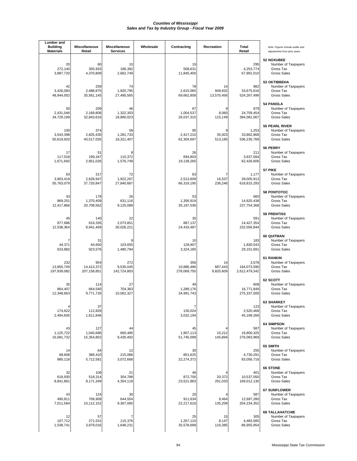| <b>Lumber</b> and<br><b>Building</b><br><b>Materials</b> | <b>Miscellaneous</b><br>Retail   | <b>Miscellaneous</b><br><b>Services</b> | Wholesale | Contracting                      | Recreation                  | Total<br>Retail                       | Note: Figures include audits and<br>adjustments from prior years.                |
|----------------------------------------------------------|----------------------------------|-----------------------------------------|-----------|----------------------------------|-----------------------------|---------------------------------------|----------------------------------------------------------------------------------|
| 20<br>272,140<br>3,887,720                               | 60<br>305,933<br>4,370,809       | 10<br>186,392<br>2,662,749              |           | 19<br>508,631<br>11,845,400      |                             | 295<br>4,253,774<br>67,891,010        | <b>52 NOXUBEE</b><br>Number of Taxpayers<br>Gross Tax<br><b>Gross Sales</b>      |
| 42<br>3,426,083<br>48,944,002                            | 259<br>2,488,875<br>35,561,145   | 74<br>1,920,795<br>27,490,565           |           | 78<br>2,615,065<br>69,662,808    | 14<br>949,932<br>13,570,456 | 982<br>33,675,616<br>524,267,499      | <b>53 OKTIBBEHA</b><br>Number of Taxpayers<br>Gross Tax<br><b>Gross Sales</b>    |
| 50<br>2,431,046<br>34,729,199                            | 209<br>2,169,808<br>32,843,616   | 46<br>1,322,303<br>18,890,023           |           | 67<br>1,004,537<br>26,037,315    | 9<br>8,060<br>115,149       | 879<br>24,759,454<br>394,081,067      | <b>54 PANOLA</b><br>Number of Taxpayers<br>Gross Tax<br><b>Gross Sales</b>       |
| 100<br>3,543,398<br>50,619,920                           | 374<br>2,825,430<br>40,517,035   | 58<br>1,281,733<br>18,321,407           |           | 95<br>2,417,210<br>62,304,697    | 9<br>35,923<br>513,185      | 1,253<br>33,862,868<br>536,235,769    | 55 PEARL RIVER<br>Number of Taxpayers<br>Gross Tax<br><b>Gross Sales</b>         |
| 17<br>117,018<br>1,671,692                               | 51<br>199,347<br>2,851,026       | 110,372<br>1,576,749                    |           | 26<br>694,803<br>19,139,260      |                             | 211<br>3,637,584<br>62,426,606        | 56 PERRY<br>Number of Taxpayers<br>Gross Tax<br><b>Gross Sales</b>               |
| 63<br>3,903,419<br>55,763,079                            | 317<br>2,628,947<br>37,720,847   | 72<br>1,922,267<br>27,840,687           |           | 63<br>2,513,609<br>66,319,195    | 7<br>16,537<br>236,246      | 1,177<br>39.005.913<br>618,815,293    | 57 PIKE<br>Number of Taxpayers<br>Gross Tax<br><b>Gross Sales</b>                |
| 43<br>869,251<br>12,417,866                              | 178<br>1,370,409<br>20,708,562   | 26<br>631,116<br>9,125,089              |           | 53<br>1,356,919<br>35,197,036    |                             | 660<br>14,625,438<br>237,754,368      | 58 PONTOTOC<br>Number of Taxpayers<br>Gross Tax<br><b>Gross Sales</b>            |
| 45<br>877,686<br>12,538,364                              | 140<br>616,335<br>8,941,469      | 22<br>2,073,851<br>30,026,221           |           | 35<br>887,137<br>24,433,487      |                             | 591<br>14,427,354<br>232,056,844      | <b>59 PRENTISS</b><br>Number of Taxpayers<br>Gross Tax<br><b>Gross Sales</b>     |
| 44,371<br>633,882                                        | 31<br>64,650<br>923,576          | 103,655<br>1,480,794                    |           | 10<br>128,907<br>3,324,185       |                             | 183<br>1,830,543<br>29,151,691        | 60 QUITMAN<br>Number of Taxpayers<br>Gross Tax<br><b>Gross Sales</b>             |
| 232<br>13,855,749<br>197,939,082                         | 954<br>14,413,372<br>207,158,851 | 272<br>9,535,045<br>142,724,803         |           | 356<br>10,886,486<br>278,069,750 | 14<br>687.443<br>9,820,609  | 3,578<br>164,073,590<br>2,612,479,342 | <b>61 RANKIN</b><br>Number of Taxpayers<br>Gross Tax<br><b>Gross Sales</b>       |
| 35<br>864,407<br>12,348,663                              | 114<br>664,540<br>9,771,726      | 27<br>704,363<br>10,062,327             |           | 49<br>1,289,176<br>34,991,743    |                             | 608<br>16,771,849<br>275,337,509      | 62 SCOTT<br>Number of Taxpayers<br>Gross Tax<br><b>Gross Sales</b>               |
| 174,622<br>2,494,605                                     | 37<br>112,829<br>1,611,846       |                                         |           | 130,024<br>3,032,194             |                             | 123<br>2,520,468<br>45,199,266        | <b>63 SHARKEY</b><br>Number of Taxpayers<br>Gross Tax<br><b>Gross Sales</b>      |
| 43<br>1,125,722<br>16,081,732                            | 127<br>1,040,686<br>15,354,802   | 44<br>660,485<br>9,435,492              |           | 45<br>1,907,113<br>51,745,099    | 4<br>10,212<br>145,894      | 587<br>16,800,325<br>276,083,969      | <b>64 SIMPSON</b><br>Number of Taxpayers<br>Gross Tax<br><b>Gross Sales</b>      |
| 14<br>68,608<br>980,118                                  | 64<br>386,410<br>5,712,581       | 12<br>215,086<br>3,072,668              |           | 30<br>851,625<br>22,274,372      |                             | 255<br>4,730,291<br>83,056,716        | 65 SMITH<br>Number of Taxpayers<br>Gross Tax<br><b>Gross Sales</b>               |
| 32<br>618,930<br>8,841,861                               | 108<br>518,314<br>8,171,349      | 21<br>304,788<br>4,354,118              |           | 46<br>872,700<br>23,521,883      | 20,372<br>291,033           | 401<br>10,537,050<br>169,012,130      | <b>66 STONE</b><br>Number of Taxpayers<br>Gross Tax<br><b>Gross Sales</b>        |
| 43<br>490,811<br>7,011,584                               | 124<br>706,909<br>10,112,152     | 30<br>644,554<br>9,367,065              |           | 20<br>911,634<br>22,217,616      | 9,464<br>135,208            | 587<br>12,697,280<br>204,234,352      | <b>67 SUNFLOWER</b><br>Number of Taxpayers<br>Gross Tax<br><b>Gross Sales</b>    |
| 12<br>107,712<br>1,538,741                               | 57<br>271,531<br>3,879,016       | 7<br>115,376<br>1,648,231               |           | 25<br>1,267,110<br>35,578,698    | 15<br>8,147<br>116,385      | 305<br>4,483,585<br>86,955,954        | <b>68 TALLAHATCHIE</b><br>Number of Taxpayers<br>Gross Tax<br><b>Gross Sales</b> |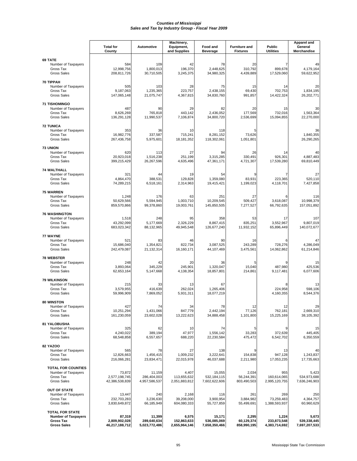|                                                                                                | <b>Total for</b><br>County                | Automotive                             | Machinery,<br>Equipment,<br>and Supplies | Food and<br><b>Beverage</b>              | <b>Furniture and</b><br><b>Fixtures</b> | <b>Public</b><br><b>Utilities</b>     | Apparel and<br>General<br>Merchandise |
|------------------------------------------------------------------------------------------------|-------------------------------------------|----------------------------------------|------------------------------------------|------------------------------------------|-----------------------------------------|---------------------------------------|---------------------------------------|
| 69 TATE<br>Number of Taxpayers<br>Gross Tax<br><b>Gross Sales</b>                              | 584<br>12,998,756<br>208,811,726          | 109<br>1,800,013<br>30,710,505         | 42<br>196,370<br>3,245,375               | 78<br>2,448,625<br>34,980,325            | 20<br>310,792<br>4,439,889              | 7<br>899.678<br>17,529,060            | 49<br>4,179,164<br>59,622,952         |
| 70 TIPPAH<br>Number of Taxpayers<br>Gross Tax<br><b>Gross Sales</b>                            | 505<br>9,187,063<br>147,065,148           | 103<br>1,235,365<br>21,075,747         | 28<br>223,757<br>4,367,815               | 75<br>2,438,155<br>34,830,760            | 15<br>69,430<br>991,857                 | 14<br>702,753<br>14,422,324           | 20<br>1,834,195<br>26,202,771         |
| <b>71 TISHOMINGO</b><br>Number of Taxpayers<br>Gross Tax<br><b>Gross Sales</b>                 | 487<br>8,626,269<br>136,291,128           | 90<br>765,818<br>11,990,537            | 29<br>443,142<br>7,106,874               | 82<br>2,436,052<br>34,800,720            | 20<br>177,569<br>2,536,699              | 15<br>732,016<br>15,094,855           | 30<br>1,563,364<br>22,270,000         |
| <b>72 TUNICA</b><br>Number of Taxpayers<br>Gross Tax<br><b>Gross Sales</b>                     | 353<br>16,982,776<br>267,436,758          | 36<br>337,587<br>5,975,601             | 10<br>715,241<br>18, 181, 352            | 118<br>8,281,152<br>118,302,061          | 5<br>73,626<br>1,051,801                |                                       | 36<br>1,840,355<br>26,290,265         |
| <b>73 UNION</b><br>Number of Taxpayers<br>Gross Tax<br><b>Gross Sales</b>                      | 620<br>20.923.018<br>399,215,429          | 113<br>1,516,238<br>26,267,596         | 27<br>251,199<br>4,635,496               | 94<br>3,315,285<br>47,361,171            | 26<br>330,491<br>4,721,307              | 14<br>926,301<br>17,539,280           | 40<br>4,887,483<br>69,810,449         |
| <b>74 WALTHALL</b><br>Number of Taxpayers<br>Gross Tax<br><b>Gross Sales</b>                   | 321<br>4,864,470<br>74,289,215            | 44<br>388,531<br>6,518,161             | 19<br>129,828<br>2,314,963               | 54<br>1,359,080<br>19,415,421            | 9<br>83,931<br>1,199,023                | 223,365<br>4.118.701                  | 27<br>520,110<br>7,427,858            |
| 75 WARREN<br>Number of Taxpayers<br>Gross Tax<br><b>Gross Sales</b>                            | 1,248<br>50,629,566<br>859,570,866        | 176<br>5,594,945<br>99,378,860         | 63<br>1,003,710<br>19,003,761            | 251<br>10,209,545<br>145,850,505         | 27<br>509,427<br>7,277,527              | 3,618,087<br>66,792,635               | 116<br>10,998,379<br>157,051,892      |
| <b>76 WASHINGTON</b><br>Number of Taxpayers<br>Gross Tax<br><b>Gross Sales</b>                 | 1,518<br>43,292,099<br>683,023,342        | 248<br>5,177,669<br>88,132,965         | 95<br>2,326,229<br>49,945,548            | 358<br>8,867,415<br>126,677,240          | 53<br>835,251<br>11,932,152             | 17<br>3,552,967<br>65,896,449         | 107<br>9,807,019<br>140,072,677       |
| 77 WAYNE<br>Number of Taxpayers<br>Gross Tax<br><b>Gross Sales</b>                             | 521<br>15,686,040<br>242,479,087          | 83<br>1,354,821<br>21,132,314          | 46<br>822,734<br>16,160,171              | 90<br>3,087,525<br>44,107,469            | 16<br>243,289<br>3,475,561              | 728,276<br>14,062,862                 | 47<br>4,286,049<br>61,214,846         |
| <b>78 WEBSTER</b><br>Number of Taxpayers<br>Gross Tax<br>Gross Sales                           | 248<br>3.893.064<br>62,653,164            | 42<br>345.229<br>5,147,668             | 20<br>245,901<br>4,138,354               | 36<br>1,320,047<br>18,857,801            | 15,040<br>214,861                       | 487,980<br>9,117,481                  | 15<br>425.536<br>6,077,606            |
| <b>79 WILKINSON</b><br>Number of Taxpayers<br>Gross Tax<br><b>Gross Sales</b>                  | 215<br>3,579,955<br>59,996,909            | 33<br>416,639<br>7.869.052             | 13<br>262,024<br>5,931,311               | 67<br>1.265.406<br>18,077,219            |                                         | 224,958<br>4,160,355                  | 13<br>598.106<br>8,544,376            |
| 80 WINSTON<br>Number of Taxpayers<br>Gross Tax<br>Gross Sales                                  | 427<br>10,251,294<br>161,230,059          | 74<br>1,431,066<br>23,602,028          | 34<br>847,779<br>13,222,623              | 78<br>2,442,194<br>34,888,458            | 12<br>77,126<br>1,101,800               | 12<br>762,181<br>15,225,169           | 29<br>2,669,310<br>38,105,392         |
| <b>81 YALOBUSHA</b><br>Number of Taxpayers<br>Gross Tax<br><b>Gross Sales</b>                  | 325<br>4,240,022<br>68,548,858            | 62<br>389,194<br>6,557,657             | 10<br>47,977<br>688,220                  | 74<br>1,556,142<br>22,230,584            | 5<br>33,283<br>475,472                  | 372,639<br>6,542,702                  | 15<br>445,405<br>6,350,559            |
| <b>82 YAZOO</b><br>Number of Taxpayers<br>Gross Tax<br><b>Gross Sales</b>                      | 565<br>12,826,663<br>216,066,281          | 78<br>1,456,415<br>23,834,471          | 27<br>1,009,232<br>22,015,978            | 138<br>3,222,641<br>46,037,688           | 154,838<br>2,211,980                    | 13<br>947,128<br>17,053,235           | 40<br>1,243,837<br>17,735,663         |
| <b>TOTAL FOR COUNTIES</b><br>Number of Taxpayers<br>Gross Tax<br><b>Gross Sales</b>            | 73,872<br>2,577,198,745<br>42,386,538,839 | 11,159<br>286,404,003<br>4,957,586,537 | 4,407<br>113,655,632<br>2,051,883,812    | 15,055<br>532, 184, 115<br>7,602,622,606 | 2,034<br>56,244,391<br>803,490,503      | 955<br>160,614,065<br>2,995,120,755   | 5,423<br>534,973,688<br>7,636,246,903 |
| <b>OUT OF STATE</b><br>Number of Taxpayers<br>Gross Tax<br><b>Gross Sales</b>                  | 13,447<br>232,703,283<br>3,830,649,872    | 240<br>3,236,630<br>66,185,949         | 2,168<br>39,208,000<br>604,080,333       | 116<br>3,900,954<br>55,727,859           | 261<br>3,884,982<br>55,499,691          | 269<br>73,259,483<br>1,388,593,937    | 250<br>4,364,757<br>60,960,629        |
| <b>TOTAL FOR STATE</b><br><b>Number of Taxpayers</b><br><b>Gross Tax</b><br><b>Gross Sales</b> | 87,319<br>2,809,902,028<br>46,217,188,712 | 11,399<br>289,640,634<br>5,023,772,486 | 6,575<br>152,863,633<br>2,655,964,146    | 15,171<br>536,085,069<br>7,658,350,466   | 2,295<br>60,129,374<br>858,990,195      | 1,224<br>233,873,548<br>4,383,714,692 | 5,673<br>539,338,445<br>7,697,207,533 |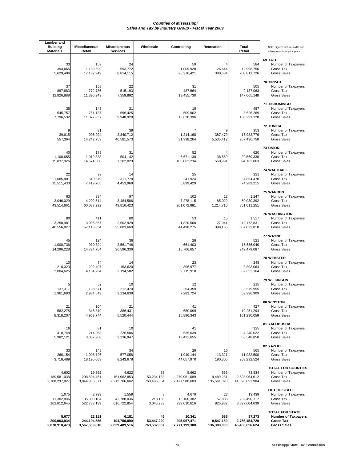| Lumber and<br><b>Building</b><br><b>Materials</b> | <b>Miscellaneous</b><br>Retail         | Miscellaneous<br><b>Services</b>      | Wholesale                       | Contracting                            | Recreation                      | Total<br>Retail                           | Note: Figures include audits and<br>adjustments from prior years.                              |
|---------------------------------------------------|----------------------------------------|---------------------------------------|---------------------------------|----------------------------------------|---------------------------------|-------------------------------------------|------------------------------------------------------------------------------------------------|
| 33<br>394,065<br>5,629,496                        | 159<br>1,139,699<br>17,182,949         | 24<br>593,772<br>8,814,115            |                                 | 59<br>1,009,928<br>26,276,421          | 26,644<br>380,634               | 584<br>12,998,756<br>208,811,726          | 69 TATE<br>Number of Taxpayers<br>Gross Tax<br><b>Gross Sales</b>                              |
| 37<br>897,883<br>12,826,888                       | 158<br>772,786<br>11,390,249           | 22<br>515,193<br>7,359,892            |                                 | 31<br>487,664<br>13,455,730            |                                 | 505<br>9,187,063<br>147,065,148           | <b>70 TIPPAH</b><br>Number of Taxpayers<br>Gross Tax<br><b>Gross Sales</b>                     |
| 35<br>545,757<br>7,796,532                        | 143<br>754,137<br>11,077,837           | 21<br>696,425<br>9,948,928            |                                 | 19<br>509,902<br>13,638,396            |                                 | 487<br>8,626,269<br>136,291,128           | <b>71 TISHOMINGO</b><br>Number of Taxpayers<br>Gross Tax<br><b>Gross Sales</b>                 |
| 9<br>39,015<br>557,364                            | 81<br>996,994<br>14,242,759            | 39<br>2,840,712<br>40,581,573         |                                 | 1,214,168<br>31,938,264                | 387,479<br>5,535,412            | 353<br>16,982,776<br>267,436,758          | <b>72 TUNICA</b><br>Number of Taxpayers<br>Gross Tax<br><b>Gross Sales</b>                     |
| 40<br>1,108,655<br>15,837,926                     | 179<br>1,019,833<br>14,574,380         | 31<br>504,142<br>7,202,029            |                                 | 52<br>6,671,138<br>185,662,234         | 38,569<br>550,991               | 620<br>20,569,338<br>394, 162, 863        | <b>73 UNION</b><br>Number of Taxpayers<br>Gross Tax<br><b>Gross Sales</b>                      |
| 22<br>1,085,801<br>15,511,430                     | 99<br>519,379<br>7,419,705             | 14<br>311,778<br>4,453,969            |                                 | 25<br>241,924<br>5,899,429             |                                 | 321<br>4,864,470<br>74,289,215            | <b>74 WALTHALL</b><br>Number of Taxpayers<br>Gross Tax<br><b>Gross Sales</b>                   |
| 63<br>3,046,029<br>43,514,661                     | 334<br>4,202,614<br>60,037,292         | 97<br>3.484.506<br>49,816,423         |                                 | 102<br>7,278,115<br>201,072,981        | 12<br>85,029<br>1,214,710       | 1,247<br>50,030,392<br>851,011,251        | 75 WARREN<br>Number of Taxpayers<br>Gross Tax<br><b>Gross Sales</b>                            |
| 80<br>3,258,981<br>46,556,827                     | 411<br>3,995,867<br>57,118,854         | 80<br>2,502,928<br>35,803,660         |                                 | 53<br>1,820,560<br>44,498,275          | 15<br>27,941<br>399,165         | 1,517<br>42,172,831<br>667,033,818        | <b>76 WASHINGTON</b><br>Number of Taxpayers<br>Gross Tax<br><b>Gross Sales</b>                 |
| 45<br>1,000,736<br>14,296,228                     | 124<br>939,324<br>14,724,754           | 36<br>2,561,746<br>36,596,336         |                                 | 28<br>661,403<br>16,706,657            |                                 | 521<br>15,686,040<br>242,479,087          | 77 WAYNE<br>Number of Taxpayers<br>Gross Tax<br><b>Gross Sales</b>                             |
| 10<br>210,323<br>3,004,625                        | 74<br>292,407<br>4,184,264             | 14<br>153,620<br>2,194,582            |                                 | 23<br>396,977<br>9,715,918             |                                 | 248<br>3,893,064<br>62,653,164            | <b>78 WEBSTER</b><br>Number of Taxpayers<br>Gross Tax<br><b>Gross Sales</b>                    |
| 137,317<br>1,961,680                              | 52<br>198,671<br>2,934,549             | 10<br>212,470<br>3,234,639            |                                 | 12<br>264.359<br>7.283.724             |                                 | 215<br>3,579,955<br>59,996,909            | <b>79 WILKINSON</b><br>Number of Taxpayers<br>Gross Tax<br><b>Gross Sales</b>                  |
| 21<br>582,275<br>8,318,207                        | 104<br>345,819<br>4,963,744            | 21<br>386,431<br>5,520,444            |                                 | 41<br>680,099<br>15,896,343            |                                 | 427<br>10,251,294<br>161,230,059          | 80 WINSTON<br>Number of Taxpayers<br>Gross Tax<br><b>Gross Sales</b>                           |
| 16<br>418,748<br>5,982,121                        | 81<br>214,053<br>3,057,908             | 10<br>226,586<br>3,236,947            |                                 | 41<br>535,639<br>13,421,655            |                                 | 325<br>4,240,022<br>68,548,858            | 81 YALOBUSHA<br>Number of Taxpayers<br>Gross Tax<br><b>Gross Sales</b>                         |
| 33<br>260,154<br>3,716,489                        | 148<br>1,098,726<br>18,195,063         | 34<br>577,058<br>8,243,678            |                                 | 29<br>1,949,144<br>44,057,970          | 16<br>13,321<br>190,305         | 565<br>11,932,500<br>203,292,524          | <b>82 YAZOO</b><br>Number of Taxpayers<br>Gross Tax<br><b>Gross Sales</b>                      |
| 4,602<br>189,581,038<br>2,708,297,827             | 19,352<br>208,894,451<br>3,044,886,671 | 4,622<br>151,962,853<br>2,212,766,662 | 38<br>53,234,133<br>760,486,854 | 5,662<br>279,961,089<br>7,477,588,683  | 563<br>9,489,281<br>135,561,020 | 73,834<br>2,523,964,612<br>41,626,051,984 | <b>TOTAL FOR COUNTIES</b><br>Number of Taxpayers<br>Gross Tax<br><b>Gross Sales</b>            |
| 1,075<br>11,382,896<br>162,612,645                | 2,799<br>35,300,104<br>522,783,139     | 1,559<br>42,788,036<br>616,722,854    | 8<br>213,166<br>3,045,233       | 4,679<br>15,106,382<br>293,610,616     | 23<br>57,888<br>826,982         | 13,439<br>232,490,117<br>3,827,604,639    | <b>OUT OF STATE</b><br>Number of Taxpayers<br>Gross Tax<br><b>Gross Sales</b>                  |
| 5,677<br>200,963,934<br>2,870,910,473             | 22,151<br>244,194,556<br>3,567,669,810 | 6,181<br>194,750,890<br>2,829,489,516 | 46<br>53,447,299<br>763,532,087 | 10,341<br>295,067,471<br>7,771,199,300 | 586<br>9,547,169<br>136,388,003 | 87,273<br>2,756,454,729<br>45,453,656,624 | <b>TOTAL FOR STATE</b><br><b>Number of Taxpayers</b><br><b>Gross Tax</b><br><b>Gross Sales</b> |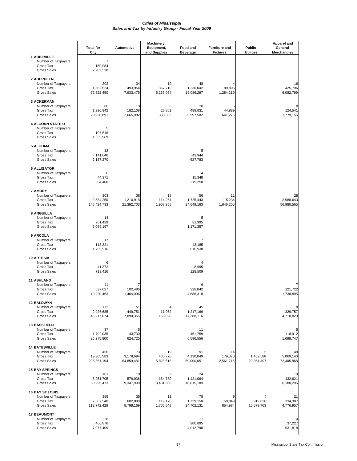|                                                                                   | <b>Total for</b><br>City         | Automotive                    | Machinery,<br>Equipment,<br>and Supplies | Food and<br><b>Beverage</b>   | <b>Furniture and</b><br><b>Fixtures</b> | Public<br><b>Utilities</b> | <b>Apparel and</b><br>General<br>Merchandise |
|-----------------------------------------------------------------------------------|----------------------------------|-------------------------------|------------------------------------------|-------------------------------|-----------------------------------------|----------------------------|----------------------------------------------|
| <b>1 ABBEVILLE</b><br>Number of Taxpayers<br>Gross Tax<br><b>Gross Sales</b>      | 7<br>150,084<br>2,289,538        |                               |                                          |                               |                                         |                            |                                              |
| 2 ABERDEEN<br>Number of Taxpayers<br>Gross Tax<br><b>Gross Sales</b>              | 202<br>4,582,624<br>72,622,450   | 34<br>493,954<br>7,933,475    | 12<br>367,710<br>5,269,064               | 48<br>1,336,042<br>19,086,297 | 89,895<br>1,284,219                     |                            | 16<br>425,796<br>6,082,799                   |
| <b>3 ACKERMAN</b><br>Number of Taxpayers<br>Gross Tax<br><b>Gross Sales</b>       | 80<br>1,396,942<br>20,920,891    | 13<br>182,108<br>2,665,082    | 6<br>26,861<br>388,605                   | 20<br>489.831<br>6,997,582    | 5<br>44.889<br>641,276                  |                            | 124,541<br>1,779,156                         |
| <b>4 ALCORN STATE U</b><br>Number of Taxpayers<br>Gross Tax<br><b>Gross Sales</b> | 5<br>107,518<br>1,535,969        |                               |                                          |                               |                                         |                            |                                              |
| <b>5 ALGOMA</b><br>Number of Taxpayers<br>Gross Tax<br><b>Gross Sales</b>         | 13<br>141,046<br>2,137,270       |                               |                                          | 5<br>43,944<br>627,783        |                                         |                            |                                              |
| <b>6 ALLIGATOR</b><br>Number of Taxpayers<br>Gross Tax<br><b>Gross Sales</b>      | 6<br>44,371<br>664,400           |                               |                                          | 15,348<br>219,258             |                                         |                            |                                              |
| <b>7 AMORY</b><br>Number of Taxpayers<br>Gross Tax<br><b>Gross Sales</b>          | 303<br>9,584,250<br>145,424,733  | 38<br>1,210,918<br>21,392,703 | 18<br>114,264<br>1,908,955               | 56<br>1,725,443<br>24,649,163 | 11<br>115,234<br>1,646,205              |                            | 28<br>3,988,643<br>56,980,565                |
| 8 ANGUILLA<br>Number of Taxpayers<br>Gross Tax<br><b>Gross Sales</b>              | 14<br>201,429<br>3,099,197       |                               |                                          | 5<br>81,995<br>1,171,357      |                                         |                            |                                              |
| 9 ARCOLA<br>Number of Taxpayers<br>Gross Tax<br><b>Gross Sales</b>                | 17<br>113,321<br>1,756,916       |                               |                                          | 7<br>43,185<br>616,938        |                                         |                            |                                              |
| <b>10 ARTESIA</b><br>Number of Taxpayers<br>Gross Tax<br><b>Gross Sales</b>       | 6<br>41,373<br>713,416           |                               |                                          | 8,995<br>128,509              |                                         |                            |                                              |
| <b>11 ASHLAND</b><br>Number of Taxpayers<br>Gross Tax<br><b>Gross Sales</b>       | 41<br>697,027<br>10,220,453      | 102,486<br>1,464,096          |                                          | 328,042<br>4,686,318          |                                         |                            | 121,722<br>1,738,895                         |
| <b>12 BALDWYN</b><br>Number of Taxpayers<br>Gross Tax<br><b>Gross Sales</b>       | 173<br>2,926,685<br>45,217,074   | 51<br>449,751<br>7,898,355    | 4<br>11,062<br>158,028                   | 45<br>1,217,169<br>17,388,116 |                                         |                            | 8<br>329,757<br>4,710,820                    |
| 13 BASSFIELD<br>Number of Taxpayers<br>Gross Tax<br><b>Gross Sales</b>            | 37<br>1,792,035<br>26,275,800    | 5<br>43,730<br>624,725        |                                          | 11<br>461,759<br>6,596,556    |                                         |                            | 118,912<br>1,698,747                         |
| <b>14 BATESVILLE</b><br>Number of Taxpayers<br>Gross Tax<br><b>Gross Sales</b>    | 456<br>19,305,583<br>296,361,194 | 73<br>3,178,694<br>54,859,481 | 19<br>405,776<br>5,828,618               | 91<br>4,130,049<br>59,000,651 | 14<br>179,320<br>2,561,715              | 1,402,588<br>29,364,497    | 48<br>5,069,140<br>72,405,868                |
| <b>15 BAY SPRINGS</b><br>Number of Taxpayers<br>Gross Tax<br><b>Gross Sales</b>   | 101<br>3,251,705<br>50,295,473   | 19<br>579,036<br>9,347,909    | 9<br>164,789<br>3,481,668                | 24<br>1,121,064<br>16,015,189 |                                         |                            | 10<br>432,621<br>6,180,296                   |
| <b>16 BAY ST LOUIS</b><br>Number of Taxpayers<br>Gross Tax<br><b>Gross Sales</b>  | 359<br>7,567,540<br>112,742,429  | 35<br>602,090<br>8,798,169    | 11<br>119,170<br>1,705,648               | 75<br>1,729,150<br>24,702,131 | 9<br>59,849<br>854,984                  | 919,820<br>16,679,763      | 21<br>334,387<br>4,776,957                   |
| <b>17 BEAUMONT</b><br>Number of Taxpayers<br>Gross Tax<br>Gross Sales             | 28<br>466,876<br>7,077,409       |                               |                                          | 11<br>280,895<br>4,012,790    |                                         |                            | 37,227<br>531,818                            |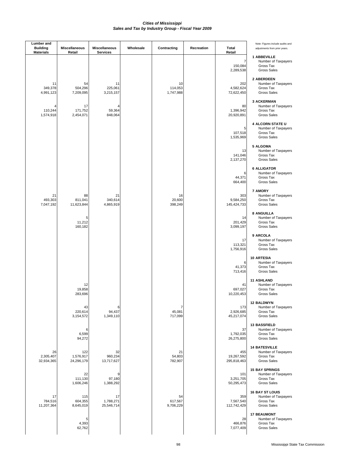| Lumber and<br><b>Building</b><br><b>Materials</b> | Miscellaneous<br>Retail        | Miscellaneous<br><b>Services</b> | Wholesale | Contracting                | Recreation | <b>Total</b><br>Retail           | Note: Figures include audits and<br>adjustments from prior years.                |
|---------------------------------------------------|--------------------------------|----------------------------------|-----------|----------------------------|------------|----------------------------------|----------------------------------------------------------------------------------|
|                                                   |                                |                                  |           |                            |            | 7<br>150,084<br>2,289,538        | 1 ABBEVILLE<br>Number of Taxpayers<br>Gross Tax<br><b>Gross Sales</b>            |
| 11<br>349,378<br>4,991,123                        | 54<br>504,296<br>7,209,095     | 11<br>225,061<br>3,215,157       |           | 10<br>114,053<br>1,747,988 |            | 202<br>4,582,624<br>72,622,450   | 2 ABERDEEN<br>Number of Taxpayers<br>Gross Tax<br><b>Gross Sales</b>             |
| 110,244<br>1,574,918                              | 17<br>171,752<br>2,454,071     | 4<br>59,364<br>848,064           |           |                            |            | 80<br>1,396,942<br>20,920,891    | <b>3 ACKERMAN</b><br>Number of Taxpayers<br>Gross Tax<br><b>Gross Sales</b>      |
|                                                   |                                |                                  |           |                            |            | 5<br>107,518<br>1,535,969        | 4 ALCORN STATE U<br>Number of Taxpayers<br>Gross Tax<br><b>Gross Sales</b>       |
|                                                   |                                |                                  |           |                            |            | 13<br>141,046<br>2,137,270       | <b>5 ALGOMA</b><br>Number of Taxpayers<br>Gross Tax<br><b>Gross Sales</b>        |
|                                                   |                                |                                  |           |                            |            | 6<br>44,371<br>664,400           | <b>6 ALLIGATOR</b><br>Number of Taxpayers<br>Gross Tax<br><b>Gross Sales</b>     |
| 21<br>493,303<br>7,047,192                        | 88<br>811,041<br>11,623,844    | 21<br>340,614<br>4,865,919       |           | 16<br>20,600<br>398,249    |            | 303<br>9,584,250<br>145,424,733  | <b>7 AMORY</b><br>Number of Taxpayers<br>Gross Tax<br><b>Gross Sales</b>         |
|                                                   | 5<br>11,212<br>160,182         |                                  |           |                            |            | 14<br>201,429<br>3,099,197       | 8 ANGUILLA<br>Number of Taxpayers<br>Gross Tax<br><b>Gross Sales</b>             |
|                                                   |                                |                                  |           |                            |            | 17<br>113,321<br>1,756,916       | 9 ARCOLA<br>Number of Taxpayers<br>Gross Tax<br><b>Gross Sales</b>               |
|                                                   |                                |                                  |           |                            |            | 6<br>41,373<br>713,416           | <b>10 ARTESIA</b><br>Number of Taxpayers<br>Gross Tax<br><b>Gross Sales</b>      |
|                                                   | 12<br>19,858<br>283,696        |                                  |           |                            |            | 41<br>697,027<br>10,220,453      | <b>11 ASHLAND</b><br>Number of Taxpayers<br>Gross Tax<br><b>Gross Sales</b>      |
|                                                   | 43<br>220,614<br>3,154,572     | 6<br>94,437<br>1,349,110         |           | 7<br>45,081<br>717,099     |            | 173<br>2,926,685<br>45,217,074   | <b>12 BALDWYN</b><br>Number of Taxpayers<br>Gross Tax<br><b>Gross Sales</b>      |
|                                                   | 6<br>6,599<br>94,272           |                                  |           |                            |            | 37<br>1,792,035<br>26,275,800    | 13 BASSFIELD<br>Number of Taxpayers<br>Gross Tax<br><b>Gross Sales</b>           |
| 26<br>2,305,407<br>32,934,365                     | 122<br>1,576,917<br>24,296,179 | 32<br>960,234<br>13,717,627      |           | 21<br>54,803<br>782,907    |            | 455<br>19,267,592<br>295,818,463 | <b>14 BATESVILLE</b><br>Number of Taxpayers<br>Gross Tax<br><b>Gross Sales</b>   |
|                                                   | 22<br>111,130<br>1,606,246     | 9<br>97,180<br>1,388,292         |           |                            |            | 101<br>3,251,705<br>50,295,473   | <b>15 BAY SPRINGS</b><br>Number of Taxpayers<br>Gross Tax<br><b>Gross Sales</b>  |
| 17<br>784,516<br>11,207,364                       | 115<br>604,355<br>8,645,019    | 17<br>1,788,271<br>25,546,714    |           | 54<br>617,567<br>9,706,229 |            | 359<br>7,567,540<br>112,742,429  | <b>16 BAY ST LOUIS</b><br>Number of Taxpayers<br>Gross Tax<br><b>Gross Sales</b> |
|                                                   | 5<br>4,393<br>62,762           |                                  |           |                            |            | 28<br>466,876<br>7,077,409       | <b>17 BEAUMONT</b><br>Number of Taxpayers<br>Gross Tax<br><b>Gross Sales</b>     |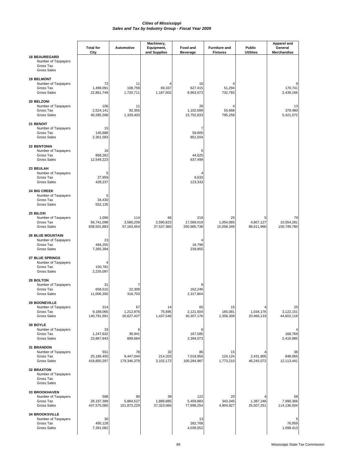|                                                                                   | <b>Total for</b>                   | Automotive                     | Machinery,<br>Equipment,      | Food and                         | <b>Furniture and</b>          | <b>Public</b>                | <b>Apparel and</b><br>General   |
|-----------------------------------------------------------------------------------|------------------------------------|--------------------------------|-------------------------------|----------------------------------|-------------------------------|------------------------------|---------------------------------|
|                                                                                   | City                               |                                | and Supplies                  | <b>Beverage</b>                  | <b>Fixtures</b>               | <b>Utilities</b>             | Merchandise                     |
| <b>18 BEAUREGARD</b><br>Number of Taxpayers<br>Gross Tax<br><b>Gross Sales</b>    |                                    |                                |                               |                                  |                               |                              |                                 |
| <b>19 BELMONT</b><br>Number of Taxpayers<br>Gross Tax<br><b>Gross Sales</b>       | 72<br>1,496,091<br>22,861,749      | 11<br>108,759<br>1,720,711     | 69,337<br>1,187,002           | 16<br>627,415<br>8,963,073       | 51,294<br>732,783             |                              | 170,741<br>2,439,166            |
| 20 BELZONI<br>Number of Taxpayers<br>Gross Tax<br><b>Gross Sales</b>              | 106<br>2,524,141<br>40,285,268     | 11<br>92,355<br>1,329,403      |                               | 26<br>1,102,699<br>15,752,833    | 55,668<br>795,258             |                              | 13<br>379,480<br>5,421,072      |
| 21 BENOIT<br>Number of Taxpayers<br>Gross Tax<br><b>Gross Sales</b>               | 15<br>145,888<br>2,361,583         |                                |                               | 7<br>59,605<br>851,504           |                               |                              |                                 |
| <b>22 BENTONIA</b><br>Number of Taxpayers<br>Gross Tax<br><b>Gross Sales</b>      | 16<br>868,262<br>12,549,223        |                                |                               | 5<br>44,625<br>637,499           |                               |                              |                                 |
| 23 BEULAH<br>Number of Taxpayers<br>Gross Tax<br><b>Gross Sales</b>               | 5<br>27,959<br>428,237             |                                |                               | 8,633<br>123,333                 |                               |                              |                                 |
| 24 BIG CREEK<br>Number of Taxpayers<br>Gross Tax<br><b>Gross Sales</b>            | 5<br>34,430<br>552,135             |                                |                               |                                  |                               |                              |                                 |
| 25 BILOXI<br>Number of Taxpayers<br>Gross Tax<br><b>Gross Sales</b>               | 1,096<br>56,741,098<br>838,501,883 | 114<br>3,586,259<br>57,163,454 | 66<br>2,590,823<br>37,537,360 | 218<br>17,569,019<br>250,985,738 | 25<br>1,054,085<br>15,058,349 | 5<br>4,807,127<br>88,611,966 | 79<br>10,554,281<br>150,749,780 |
| <b>26 BLUE MOUNTAIN</b><br>Number of Taxpayers<br>Gross Tax<br><b>Gross Sales</b> | 23<br>484,255<br>7,265,394         |                                |                               | 16,796<br>239,955                |                               |                              |                                 |
| 27 BLUE SPRINGS<br>Number of Taxpayers<br>Gross Tax<br><b>Gross Sales</b>         | 150,781<br>2,235,097               |                                |                               |                                  |                               |                              |                                 |
| 28 BOLTON<br>Number of Taxpayers<br>Gross Tax<br><b>Gross Sales</b>               | 31<br>658,515<br>11,006,350        | 22,309<br>318,703              |                               | 9<br>162,246<br>2,317,804        |                               |                              |                                 |
| <b>29 BOONEVILLE</b><br>Number of Taxpayers<br>Gross Tax<br><b>Gross Sales</b>    | 314<br>9,188,065<br>140,791,691    | 67<br>1,212,976<br>20,627,437  | 14<br>75,695<br>1,437,546     | 65<br>2,121,504<br>30,307,176    | 15<br>165,081<br>2,358,309    | 4<br>1,034,176<br>20,466,133 | 25<br>3,122,151<br>44,602,118   |
| 30 BOYLE<br>Number of Taxpayers<br>Gross Tax<br><b>Gross Sales</b>                | 33<br>1,247,632<br>23,867,843      | 6<br>36,941<br>899,664         |                               | 6<br>167,585<br>2,394,073        |                               |                              | 168,769<br>2,410,985            |
| 31 BRANDON<br>Number of Taxpayers<br>Gross Tax<br><b>Gross Sales</b>              | 551<br>25,189,450<br>418,850,297   | 78<br>9,447,044<br>179,346,379 | 32<br>214,203<br>3,102,172    | 86<br>7,019,956<br>100,284,987   | 15<br>124,124<br>1,773,210    | 2,431,905<br>46,245,072      | 36<br>848,065<br>12,113,441     |
| <b>32 BRAXTON</b><br>Number of Taxpayers<br>Gross Tax<br><b>Gross Sales</b>       |                                    |                                |                               |                                  |                               |                              |                                 |
| 33 BROOKHAVEN<br>Number of Taxpayers<br>Gross Tax<br><b>Gross Sales</b>           | 588<br>28,197,389<br>437,575,080   | 90<br>5,884,527<br>101,873,229 | 39<br>1,889,885<br>37,323,066 | 122<br>5,459,883<br>77,998,254   | 20<br>343,345<br>4,904,927    | 1,387,248<br>25,507,251      | 58<br>7,990,366<br>114,136,004  |
| <b>34 BROOKSVILLE</b><br>Number of Taxpayers<br>Gross Tax<br><b>Gross Sales</b>   | 30<br>495,128<br>7,391,082         |                                |                               | 13<br>282,768<br>4,039,552       |                               |                              | 76,959<br>1,099,413             |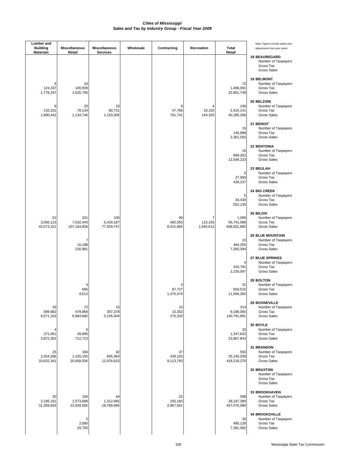| <b>Lumber</b> and<br><b>Building</b><br><b>Materials</b> | <b>Miscellaneous</b><br>Retail  | <b>Miscellaneous</b><br><b>Services</b> | Wholesale | Contracting                | Recreation                | Total<br>Retail                    | Note: Figures include audits and<br>adjustments from prior years.                 |
|----------------------------------------------------------|---------------------------------|-----------------------------------------|-----------|----------------------------|---------------------------|------------------------------------|-----------------------------------------------------------------------------------|
|                                                          |                                 |                                         |           |                            |                           |                                    | <b>18 BEAUREGARD</b><br>Number of Taxpayers<br>Gross Tax<br><b>Gross Sales</b>    |
| 6<br>124,337<br>1,776,247                                | 16<br>100,939<br>1,525,756      |                                         |           |                            |                           | 72<br>1,496,091<br>22,861,749      | <b>19 BELMONT</b><br>Number of Taxpayers<br>Gross Tax<br><b>Gross Sales</b>       |
| 8<br>132,331<br>1,890,442                                | 20<br>78,134<br>1,134,746       | 10<br>80,731<br>1,153,305               |           | 6<br>47,766<br>761,741     | 10,102<br>144,325         | 106<br>2,524,141<br>40,285,268     | 20 BELZONI<br>Number of Taxpayers<br>Gross Tax<br><b>Gross Sales</b>              |
|                                                          |                                 |                                         |           |                            |                           | 15<br>145,888<br>2,361,583         | 21 BENOIT<br>Number of Taxpayers<br>Gross Tax<br><b>Gross Sales</b>               |
|                                                          |                                 |                                         |           |                            |                           | 16<br>868,262<br>12,549,223        | <b>22 BENTONIA</b><br>Number of Taxpayers<br>Gross Tax<br><b>Gross Sales</b>      |
|                                                          |                                 |                                         |           |                            |                           | 5<br>27,959<br>428,237             | 23 BEULAH<br>Number of Taxpayers<br>Gross Tax<br><b>Gross Sales</b>               |
|                                                          |                                 |                                         |           |                            |                           | 5<br>34,430<br>552,135             | 24 BIG CREEK<br>Number of Taxpayers<br>Gross Tax<br><b>Gross Sales</b>            |
| 52<br>3,050,123<br>43,573,151                            | 331<br>7,502,443<br>107,184,856 | 100<br>5,429,187<br>77,559,747          |           | 99<br>482,555<br>8,431,865 | 7<br>115,193<br>1,645,613 | 1,096<br>56,741,098<br>838,501,883 | 25 BILOXI<br>Number of Taxpayers<br>Gross Tax<br><b>Gross Sales</b>               |
|                                                          | 7<br>15,188<br>216,981          |                                         |           |                            |                           | 23<br>484,255<br>7,265,394         | <b>26 BLUE MOUNTAIN</b><br>Number of Taxpayers<br>Gross Tax<br><b>Gross Sales</b> |
|                                                          |                                 |                                         |           |                            |                           | 4<br>150,781<br>2,235,097          | <b>27 BLUE SPRINGS</b><br>Number of Taxpayers<br>Gross Tax<br><b>Gross Sales</b>  |
|                                                          | 665<br>9,512                    |                                         |           | 87,727<br>1,375,479        |                           | 31<br>658,515<br>11,006,350        | 28 BOLTON<br>Number of Taxpayers<br>Gross Tax<br><b>Gross Sales</b>               |
| 26<br>599,982<br>8,571,163                               | 72<br>479,868<br>6,984,682      | 15<br>357,378<br>5,105,404              |           | 10<br>15,302<br>275,332    |                           | 314<br>9,188,065<br>140,791,691    | <b>29 BOONEVILLE</b><br>Number of Taxpayers<br>Gross Tax<br><b>Gross Sales</b>    |
| 4<br>271,061<br>3,872,302                                | 6<br>49,890<br>712,723          |                                         |           |                            |                           | 33<br>1,247,632<br>23,867,843      | 30 BOYLE<br>Number of Taxpayers<br>Gross Tax<br>Gross Sales                       |
| 25<br>2,354,266<br>33,632,341                            | 184<br>1,425,155<br>20,458,556  | 42<br>845,364<br>12,076,623             |           | 47<br>430,103<br>9,113,783 |                           | 550<br>25,145,208<br>418,218,270   | <b>31 BRANDON</b><br>Number of Taxpayers<br>Gross Tax<br><b>Gross Sales</b>       |
|                                                          |                                 |                                         |           |                            |                           |                                    | <b>32 BRAXTON</b><br>Number of Taxpayers<br>Gross Tax<br><b>Gross Sales</b>       |
| 30<br>2,195,191<br>31,359,843                            | 156<br>1,573,688<br>22,639,055  | 44<br>1,312,665<br>18,788,685           |           | 22<br>155,183<br>2,967,561 |                           | 588<br>28,197,389<br>437,575,080   | <b>33 BROOKHAVEN</b><br>Number of Taxpayers<br>Gross Tax<br>Gross Sales           |
|                                                          | 5<br>2,080<br>29,755            |                                         |           |                            |                           | 30<br>495,128<br>7,391,082         | <b>34 BROOKSVILLE</b><br>Number of Taxpayers<br>Gross Tax<br><b>Gross Sales</b>   |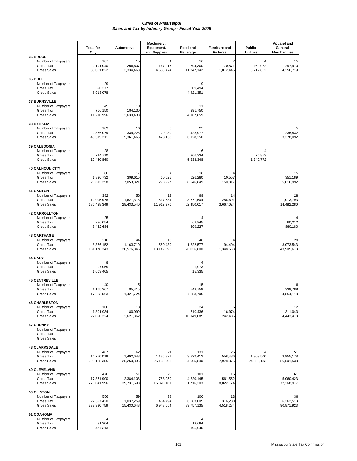|                                                                                  | <b>Total for</b><br>City         | <b>Automotive</b>             | Machinery,<br>Equipment,<br>and Supplies | Food and<br><b>Beverage</b>    | <b>Furniture and</b><br><b>Fixtures</b> | Public<br><b>Utilities</b> | <b>Apparel and</b><br>General<br>Merchandise |
|----------------------------------------------------------------------------------|----------------------------------|-------------------------------|------------------------------------------|--------------------------------|-----------------------------------------|----------------------------|----------------------------------------------|
| 35 BRUCE<br>Number of Taxpayers<br>Gross Tax<br><b>Gross Sales</b>               | 107<br>2,191,040<br>35,051,822   | 15<br>206,607<br>3,334,468    | 147,015<br>4,658,474                     | 16<br>794,300<br>11,347,142    | 7<br>70,871<br>1,012,445                | 4<br>169,022<br>3,212,852  | 15<br>297,970<br>4,256,719                   |
| 36 BUDE<br>Number of Taxpayers<br>Gross Tax<br><b>Gross Sales</b>                | 29<br>590,377<br>8,913,078       |                               |                                          | 9<br>309,494<br>4,421,351      |                                         |                            |                                              |
| <b>37 BURNSVILLE</b><br>Number of Taxpayers<br>Gross Tax<br><b>Gross Sales</b>   | 45<br>756,150<br>11,216,996      | 10<br>184,130<br>2,630,438    |                                          | 11<br>291,750<br>4,167,859     |                                         |                            |                                              |
| <b>38 BYHALIA</b><br>Number of Taxpayers<br>Gross Tax<br><b>Gross Sales</b>      | 109<br>2,866,079<br>43,315,211   | 16<br>339,228<br>5,361,465    | ี<br>29,930<br>428,158                   | 25<br>428,977<br>6,128,250     |                                         |                            | 5<br>236,532<br>3,378,092                    |
| <b>39 CALEDONIA</b><br>Number of Taxpayers<br>Gross Tax<br><b>Gross Sales</b>    | 28<br>714,710<br>10,460,860      |                               |                                          | 6<br>366,334<br>5,233,348      |                                         | 76,853<br>1,340,772        |                                              |
| <b>40 CALHOUN CITY</b><br>Number of Taxpayers<br>Gross Tax<br><b>Gross Sales</b> | 86<br>1,820,732<br>28,613,258    | 17<br>399,615<br>7,053,821    | 20,525<br>293,227                        | 18<br>626,280<br>8,946,849     | 10,557<br>150,817                       |                            | 15<br>351,189<br>5,016,992                   |
| <b>41 CANTON</b><br>Number of Taxpayers<br>Gross Tax<br><b>Gross Sales</b>       | 382<br>12,005,978<br>186,428,349 | 56<br>1,621,318<br>28,433,540 | 13<br>517,584<br>11,912,370              | 99<br>3,671,504<br>52,450,017  | 14<br>256,691<br>3,667,024              |                            | 28<br>1.013.793<br>14,482,280                |
| <b>42 CARROLLTON</b><br>Number of Taxpayers<br>Gross Tax<br><b>Gross Sales</b>   | 25<br>236,054<br>3,452,684       |                               |                                          | 62,945<br>899,227              |                                         |                            | 60,212<br>860,180                            |
| <b>43 CARTHAGE</b><br>Number of Taxpayers<br>Gross Tax<br><b>Gross Sales</b>     | 216<br>8,376,152<br>131,178,343  | 44<br>1,163,710<br>20,576,845 | 16<br>550,430<br>13,142,692              | 48<br>1,822,577<br>26,036,800  | 94,404<br>1,348,633                     |                            | 29<br>3,073,543<br>43,905,673                |
| 44 CARY<br>Number of Taxpayers<br>Gross Tax<br><b>Gross Sales</b>                | 8<br>97,059<br>1,603,405         |                               |                                          | 4<br>1,073<br>15,335           |                                         |                            |                                              |
| <b>45 CENTREVILLE</b><br>Number of Taxpayers<br>Gross Tax<br><b>Gross Sales</b>  | 40<br>1,165,267<br>17,283,063    | 5<br>85,415<br>1,421,724      |                                          | 15<br>549,759<br>7,853,705     |                                         |                            | 6<br>339,788<br>4,854,118                    |
| <b>46 CHARLESTON</b><br>Number of Taxpayers<br>Gross Tax<br><b>Gross Sales</b>   | 106<br>1,801,934<br>27,090,224   | 13<br>180,999<br>2,621,862    |                                          | 24<br>710,436<br>10,149,085    | 6<br>16,974<br>242,486                  |                            | 12<br>311.043<br>4,443,478                   |
| <b>47 CHUNKY</b><br>Number of Taxpayers<br>Gross Tax<br><b>Gross Sales</b>       |                                  |                               |                                          |                                |                                         |                            |                                              |
| <b>48 CLARKSDALE</b><br>Number of Taxpayers<br>Gross Tax<br><b>Gross Sales</b>   | 487<br>14,750,019<br>229,185,355 | 62<br>1,492,648<br>25,260,306 | 21<br>1,135,821<br>25,108,093            | 131<br>3,822,412<br>54,605,840 | 26<br>558,486<br>7,978,375              | 1,309,500<br>24,325,183    | 51<br>3,955,178<br>56,501,538                |
| <b>49 CLEVELAND</b><br>Number of Taxpayers<br>Gross Tax<br><b>Gross Sales</b>    | 476<br>17,861,900<br>275,041,996 | 51<br>2,384,108<br>39,731,598 | 20<br>758,950<br>16,820,161              | 101<br>4,320,145<br>61,716,303 | 15<br>561,552<br>8,022,174              |                            | 61<br>5,060,423<br>72,268,977                |
| 50 CLINTON<br>Number of Taxpayers<br>Gross Tax<br><b>Gross Sales</b>             | 556<br>22,597,420<br>333,990,759 | 59<br>1,037,259<br>15,430,648 | 38<br>484,794<br>6,948,654               | 100<br>6,283,005<br>89,757,135 | 13<br>316,280<br>4,518,284              |                            | 36<br>6,362,513<br>90,871,923                |
| <b>51 COAHOMA</b><br>Number of Taxpayers<br>Gross Tax<br><b>Gross Sales</b>      | 31,304<br>477,313                |                               |                                          | 4<br>13,694<br>195,640         |                                         |                            |                                              |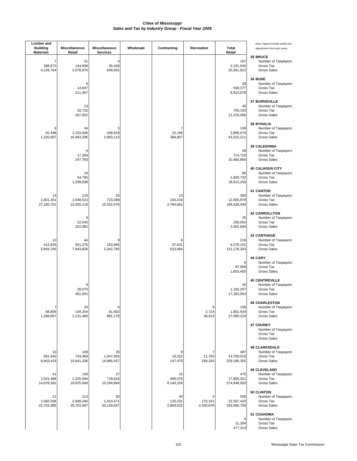| <b>Lumber</b> and<br><b>Building</b><br><b>Materials</b> | <b>Miscellaneous</b><br>Retail | Miscellaneous<br><b>Services</b> | Wholesale | Contracting                | Recreation           | <b>Total</b><br>Retail            | Note: Figures include audits and<br>adjustments from prior years.                |
|----------------------------------------------------------|--------------------------------|----------------------------------|-----------|----------------------------|----------------------|-----------------------------------|----------------------------------------------------------------------------------|
| 7<br>288,873<br>4,126,764                                | 31<br>144,698<br>2,078,975     | 4<br>45,436<br>649,091           |           |                            |                      | 107<br>2,191,040<br>35,051,822    | 35 BRUCE<br>Number of Taxpayers<br>Gross Tax<br><b>Gross Sales</b>               |
|                                                          | 9<br>14,697<br>211,467         |                                  |           |                            |                      | 29<br>590,377<br>8,913,078        | 36 BUDE<br>Number of Taxpayers<br>Gross Tax<br><b>Gross Sales</b>                |
|                                                          | 13<br>18,732<br>267,602        |                                  |           |                            |                      | 45<br>756,150<br>11,216,996       | <b>37 BURNSVILLE</b><br>Number of Taxpayers<br>Gross Tax<br><b>Gross Sales</b>   |
| 9<br>92,448<br>1,320,697                                 | 34<br>1,153,506<br>16,483,296  | 5<br>208,818<br>2,983,113        |           | 7<br>15,196<br>384,807     |                      | 109<br>2,866,079<br>43,315,211    | <b>38 BYHALIA</b><br>Number of Taxpayers<br>Gross Tax<br><b>Gross Sales</b>      |
|                                                          | 6<br>17,344<br>247,783         |                                  |           |                            |                      | 28<br>714,710<br>10,460,860       | <b>39 CALEDONIA</b><br>Number of Taxpayers<br>Gross Tax<br><b>Gross Sales</b>    |
|                                                          | 19<br>54,795<br>1,299,038      |                                  |           |                            |                      | 86<br>1,820,732<br>28,613,258     | <b>40 CALHOUN CITY</b><br>Number of Taxpayers<br>Gross Tax<br><b>Gross Sales</b> |
| 14<br>1,901,251<br>27,160,701                            | 116<br>1,048,523<br>15,055,118 | 25<br>723,288<br>10,332,676      |           | 13<br>183,216<br>2,784,661 |                      | 382<br>12,005,978<br>186,428,349  | <b>41 CANTON</b><br>Number of Taxpayers<br>Gross Tax<br><b>Gross Sales</b>       |
|                                                          | 9<br>22,545<br>322,082         |                                  |           |                            |                      | 25<br>236,054<br>3,452,684        | <b>42 CARROLLTON</b><br>Number of Taxpayers<br>Gross Tax<br><b>Gross Sales</b>   |
| 10<br>412,635<br>5,894,790                               | 44<br>551,275<br>7,943,826     | 9<br>163,995<br>2,342,795        |           | 6<br>37,631<br>633,684     |                      | 216<br>8,376,152<br>131, 178, 343 | <b>43 CARTHAGE</b><br>Number of Taxpayers<br>Gross Tax<br><b>Gross Sales</b>     |
|                                                          |                                |                                  |           |                            |                      | 8<br>97,059<br>1,603,405          | 44 CARY<br>Number of Taxpayers<br>Gross Tax<br><b>Gross Sales</b>                |
|                                                          | 8<br>28,070<br>401,001         |                                  |           |                            |                      | 40<br>1,165,267<br>17,283,063     | <b>45 CENTREVILLE</b><br>Number of Taxpayers<br>Gross Tax<br><b>Gross Sales</b>  |
| $\overline{7}$<br>88,806<br>1,268,657                    | 26<br>149,204<br>2,131,489     | 6<br>61,682<br>881,179           |           |                            | 6<br>2,724<br>38,914 | 106<br>1,801,934<br>27,090,224    | <b>46 CHARLESTON</b><br>Number of Taxpayers<br>Gross Tax<br><b>Gross Sales</b>   |
|                                                          |                                |                                  |           |                            |                      |                                   | <b>47 CHUNKY</b><br>Number of Taxpayers<br>Gross Tax<br><b>Gross Sales</b>       |
| 33<br>662,440<br>9,463,419                               | 109<br>743,469<br>10,641,336   | 35<br>1,047,955<br>14,985,457    |           | 8<br>10,322<br>147,470     | 11,783<br>168,332    | 487<br>14,750,019<br>229,185,355  | <b>48 CLARKSDALE</b><br>Number of Taxpayers<br>Gross Tax<br><b>Gross Sales</b>   |
| 41<br>1,041,488<br>14,878,391                            | 140<br>1,325,594<br>19,025,949 | 27<br>718,616<br>10,294,984      |           | 15<br>405,076<br>8,140,328 |                      | 475<br>17,855,321<br>274,948,003  | <b>49 CLEVELAND</b><br>Number of Taxpayers<br>Gross Tax<br><b>Gross Sales</b>    |
| 21<br>1,592,038<br>22,743,385                            | 213<br>2,499,246<br>35,703,487 | 30<br>1,410,471<br>20,149,567    |           | 40<br>133,231<br>2,669,622 | 170,161<br>2,430,876 | 556<br>22,597,420<br>333,990,759  | 50 CLINTON<br>Number of Taxpayers<br>Gross Tax<br><b>Gross Sales</b>             |
|                                                          |                                |                                  |           |                            |                      | 4<br>31,304<br>477,313            | 51 COAHOMA<br>Number of Taxpayers<br>Gross Tax<br><b>Gross Sales</b>             |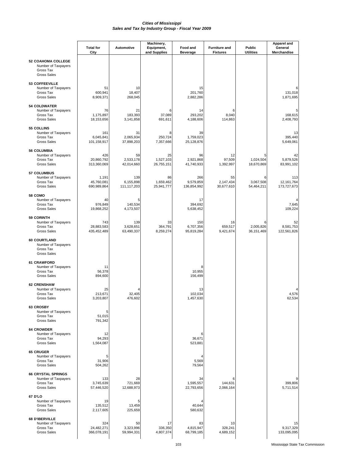|                                                                                     | <b>Total for</b><br>City           | <b>Automotive</b>               | Machinery,<br>Equipment,<br>and Supplies | Food and<br><b>Beverage</b>     | <b>Furniture and</b><br><b>Fixtures</b> | <b>Public</b><br><b>Utilities</b> | Apparel and<br>General<br>Merchandise |
|-------------------------------------------------------------------------------------|------------------------------------|---------------------------------|------------------------------------------|---------------------------------|-----------------------------------------|-----------------------------------|---------------------------------------|
| <b>52 COAHOMA COLLEGE</b><br>Number of Taxpayers<br>Gross Tax<br><b>Gross Sales</b> |                                    |                                 |                                          |                                 |                                         |                                   |                                       |
| 53 COFFEEVILLE<br>Number of Taxpayers<br>Gross Tax<br><b>Gross Sales</b>            | 51<br>600,941<br>8,909,371         | 10<br>18,407<br>268,045         |                                          | 15<br>201,760<br>2,882,286      |                                         |                                   | 131,018<br>1,871,695                  |
| <b>54 COLDWATER</b><br>Number of Taxpayers<br>Gross Tax<br><b>Gross Sales</b>       | 76<br>1,175,897<br>18,153,656      | 21<br>183,393<br>3,141,858      | 37,089<br>691,611                        | 14<br>293,202<br>4,188,606      | 8,040<br>114,863                        |                                   | 168,615<br>2,408,793                  |
| 55 COLLINS<br>Number of Taxpayers<br>Gross Tax<br><b>Gross Sales</b>                | 161<br>6,045,841<br>101,158,917    | 31<br>2,065,934<br>37,898,203   | 8<br>250,724<br>7,357,666                | 39<br>1,759,023<br>25,128,876   |                                         |                                   | 13<br>395,440<br>5,649,061            |
| 56 COLUMBIA<br>Number of Taxpayers<br>Gross Tax<br><b>Gross Sales</b>               | 426<br>20,860,792<br>313,360,069   | 59<br>2,533,178<br>42,014,660   | 25<br>1,527,103<br>26,755,151            | 96<br>2,921,868<br>41,740,933   | 12<br>97,509<br>1,392,997               | 5<br>1,024,504<br>18,670,869      | 42<br>5,879,526<br>83,991,102         |
| <b>57 COLUMBUS</b><br>Number of Taxpayers<br>Gross Tax<br><b>Gross Sales</b>        | 1,191<br>45,760,081<br>690,989,864 | 139<br>6,155,898<br>111,117,203 | 86<br>1,659,462<br>25,941,777            | 266<br>9,579,859<br>136,854,992 | 55<br>2,147,434<br>30,677,610           | 6<br>3.067.508<br>54,464,211      | 113<br>12, 161, 764<br>173,727,673    |
| 58 COMO<br>Number of Taxpayers<br>Gross Tax<br><b>Gross Sales</b>                   | 40<br>976,849<br>19,868,252        | 5<br>140,534<br>4,173,507       |                                          | 17<br>394,692<br>5,638,452      |                                         |                                   | 7,645<br>109,224                      |
| <b>59 CORINTH</b><br>Number of Taxpayers<br>Gross Tax<br><b>Gross Sales</b>         | 743<br>28,883,583<br>435,452,489   | 139<br>3,628,651<br>63,490,337  | 33<br>364,791<br>8,259,274               | 150<br>6,707,356<br>95,819,284  | 16<br>659,517<br>9,421,674              | 6<br>2,005,826<br>36, 151, 469    | 52<br>8,581,753<br>122,561,826        |
| <b>60 COURTLAND</b><br>Number of Taxpayers<br>Gross Tax<br><b>Gross Sales</b>       |                                    |                                 |                                          |                                 |                                         |                                   |                                       |
| 61 CRAWFORD<br>Number of Taxpayers<br>Gross Tax<br><b>Gross Sales</b>               | 11<br>56,378<br>894,600            |                                 |                                          | 8<br>10,955<br>156,499          |                                         |                                   |                                       |
| <b>62 CRENSHAW</b><br>Number of Taxpayers<br>Gross Tax<br><b>Gross Sales</b>        | 25<br>213,671<br>3,203,807         | 32,405<br>476,602               |                                          | 13<br>102,034<br>1,457,630      |                                         |                                   | 4,576<br>62,534                       |
| <b>63 CROSBY</b><br>Number of Taxpayers<br>Gross Tax<br><b>Gross Sales</b>          | 5<br>51,015<br>791,342             |                                 |                                          |                                 |                                         |                                   |                                       |
| <b>64 CROWDER</b><br>Number of Taxpayers<br>Gross Tax<br><b>Gross Sales</b>         | 12<br>94,293<br>1,564,087          |                                 |                                          | 6<br>36,671<br>523,881          |                                         |                                   |                                       |
| <b>65 CRUGER</b><br>Number of Taxpayers<br>Gross Tax<br><b>Gross Sales</b>          | 5<br>31,906<br>504,262             |                                 |                                          | 5,569<br>79,564                 |                                         |                                   |                                       |
| <b>66 CRYSTAL SPRINGS</b><br>Number of Taxpayers<br>Gross Tax<br><b>Gross Sales</b> | 133<br>3,745,639<br>57,446,520     | 28<br>721,669<br>12,688,973     |                                          | 34<br>1,595,557<br>22,793,656   | 144,631<br>2,066,164                    |                                   | 399,806<br>5,711,514                  |
| 67 D'LO<br>Number of Taxpayers<br>Gross Tax<br><b>Gross Sales</b>                   | 19<br>135,512<br>2,117,605         | 13,459<br>225,659               |                                          | 40,644<br>580,632               |                                         |                                   |                                       |
| 68 D'IBERVILLE<br>Number of Taxpayers<br>Gross Tax<br><b>Gross Sales</b>            | 324<br>24,482,271<br>366,078,191   | 50<br>3,323,996<br>59,994,331   | 17<br>336,350<br>4,807,374               | 83<br>4,815,947<br>68,799,185   | 10<br>328,241<br>4,689,152              |                                   | 15<br>9,317,329<br>133,095,095        |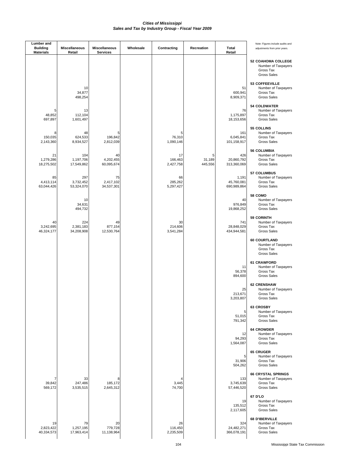| <b>Lumber</b> and<br><b>Building</b><br><b>Materials</b> | <b>Miscellaneous</b><br>Retail | Miscellaneous<br><b>Services</b> | Wholesale | Contracting                | Recreation             | Total<br>Retail                    | Note: Figures include audits and<br>adjustments from prior years.                   |
|----------------------------------------------------------|--------------------------------|----------------------------------|-----------|----------------------------|------------------------|------------------------------------|-------------------------------------------------------------------------------------|
|                                                          |                                |                                  |           |                            |                        |                                    | <b>52 COAHOMA COLLEGE</b><br>Number of Taxpayers<br>Gross Tax<br><b>Gross Sales</b> |
|                                                          | 10<br>34,877<br>498,254        |                                  |           |                            |                        | 51<br>600,941<br>8,909,371         | 53 COFFEEVILLE<br>Number of Taxpayers<br>Gross Tax<br><b>Gross Sales</b>            |
| 48,852<br>697,897                                        | 13<br>112,104<br>1,601,497     |                                  |           |                            |                        | 76<br>1,175,897<br>18,153,656      | <b>54 COLDWATER</b><br>Number of Taxpayers<br>Gross Tax<br><b>Gross Sales</b>       |
| 8<br>150,035<br>2,143,360                                | 48<br>624,533<br>8,934,527     | 5<br>196,842<br>2,812,039        |           | 5<br>76,310<br>1,090,146   |                        | 161<br>6,045,841<br>101,158,917    | 55 COLLINS<br>Number of Taxpayers<br>Gross Tax<br><b>Gross Sales</b>                |
| 21<br>1,279,286<br>18,275,502                            | 104<br>1,197,706<br>17,549,862 | 40<br>4,202,455<br>60,095,674    |           | 17<br>166,463<br>2,427,758 | 5<br>31,189<br>445,556 | 426<br>20,860,792<br>313,360,069   | <b>56 COLUMBIA</b><br>Number of Taxpayers<br>Gross Tax<br><b>Gross Sales</b>        |
| 85<br>4,413,114<br>63,044,426                            | 297<br>3,732,452<br>53,324,070 | 75<br>2,417,102<br>34,537,301    |           | 66<br>285,262<br>5,297,427 |                        | 1,191<br>45,760,081<br>690,989,864 | 57 COLUMBUS<br>Number of Taxpayers<br>Gross Tax<br><b>Gross Sales</b>               |
|                                                          | 10<br>34,631<br>494,732        |                                  |           |                            |                        | 40<br>976,849<br>19,868,252        | 58 COMO<br>Number of Taxpayers<br>Gross Tax<br><b>Gross Sales</b>                   |
| 40<br>3,242,695<br>46,324,177                            | 224<br>2,381,183<br>34,208,908 | 49<br>877,154<br>12,530,764      |           | 30<br>214,606<br>3,541,284 |                        | 741<br>28,848,029<br>434,944,581   | <b>59 CORINTH</b><br>Number of Taxpayers<br>Gross Tax<br><b>Gross Sales</b>         |
|                                                          |                                |                                  |           |                            |                        |                                    | 60 COURTLAND<br>Number of Taxpayers<br>Gross Tax<br><b>Gross Sales</b>              |
|                                                          |                                |                                  |           |                            |                        | 11<br>56,378<br>894,600            | 61 CRAWFORD<br>Number of Taxpayers<br>Gross Tax<br><b>Gross Sales</b>               |
|                                                          |                                |                                  |           |                            |                        | 25<br>213,671<br>3,203,807         | <b>62 CRENSHAW</b><br>Number of Taxpayers<br>Gross Tax<br><b>Gross Sales</b>        |
|                                                          |                                |                                  |           |                            |                        | 5<br>51,015<br>791,342             | 63 CROSBY<br>Number of Taxpayers<br>Gross Tax<br><b>Gross Sales</b>                 |
|                                                          |                                |                                  |           |                            |                        | 12<br>94,293<br>1,564,087          | <b>64 CROWDER</b><br>Number of Taxpayers<br>Gross Tax<br><b>Gross Sales</b>         |
|                                                          |                                |                                  |           |                            |                        | 5<br>31,906<br>504,262             | <b>65 CRUGER</b><br>Number of Taxpayers<br>Gross Tax<br><b>Gross Sales</b>          |
| 39,842<br>569,172                                        | 33<br>247,486<br>3,535,515     | 8<br>185,172<br>2,645,312        |           | 4<br>3,445<br>74,700       |                        | 133<br>3,745,639<br>57,446,520     | <b>66 CRYSTAL SPRINGS</b><br>Number of Taxpayers<br>Gross Tax<br><b>Gross Sales</b> |
|                                                          |                                |                                  |           |                            |                        | 19<br>135,512<br>2,117,605         | 67 D'LO<br>Number of Taxpayers<br>Gross Tax<br><b>Gross Sales</b>                   |
| 19<br>2,823,422<br>40,334,573                            | 79<br>1,257,195<br>17,963,414  | 20<br>779,728<br>11,138,964      |           | 26<br>116,450<br>2,235,509 |                        | 324<br>24,482,271<br>366,078,191   | 68 D'IBERVILLE<br>Number of Taxpayers<br>Gross Tax<br><b>Gross Sales</b>            |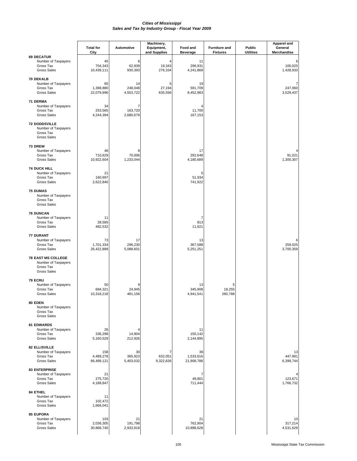|                                                                                     | <b>Total for</b>               | Automotive                             | Machinery,<br>Equipment, | Food and                      | <b>Furniture and</b>   | <b>Public</b>    | <b>Apparel and</b><br>General |
|-------------------------------------------------------------------------------------|--------------------------------|----------------------------------------|--------------------------|-------------------------------|------------------------|------------------|-------------------------------|
| <b>69 DECATUR</b>                                                                   | City                           |                                        | and Supplies             | <b>Beverage</b>               | <b>Fixtures</b>        | <b>Utilities</b> | Merchandise                   |
| Number of Taxpayers<br>Gross Tax<br><b>Gross Sales</b>                              | 45<br>704,343<br>10,439,111    | 6<br>62,939<br>930,393                 | 19,343<br>276,334        | 11<br>296,931<br>4,241,868    |                        |                  | 100,025<br>1,428,933          |
| 70 DEKALB<br>Number of Taxpayers<br>Gross Tax<br><b>Gross Sales</b>                 | 65<br>1,398,880<br>22,079,996  | 14<br>248,048<br>4,553,722             | 5<br>27,194<br>635,556   | 19<br>591,709<br>8,452,983    |                        |                  | 247,060<br>3,529,437          |
| 71 DERMA<br>Number of Taxpayers<br>Gross Tax<br><b>Gross Sales</b>                  | 34<br>253,565<br>4,244,394     | $\overline{7}$<br>163,720<br>2,680,679 |                          | 4<br>11,700<br>167,153        |                        |                  |                               |
| <b>72 DODDSVILLE</b><br>Number of Taxpayers<br>Gross Tax<br><b>Gross Sales</b>      |                                |                                        |                          |                               |                        |                  |                               |
| 73 DREW<br>Number of Taxpayers<br>Gross Tax<br><b>Gross Sales</b>                   | 46<br>710,629<br>10,922,604    | 8<br>70,006<br>1,233,044               |                          | 17<br>292,648<br>4,180,689    |                        |                  | 91,021<br>1,300,307           |
| <b>74 DUCK HILL</b><br>Number of Taxpayers<br>Gross Tax<br><b>Gross Sales</b>       | 21<br>160,697<br>2,622,840     |                                        |                          | 5<br>51,934<br>741,922        |                        |                  |                               |
| <b>75 DUMAS</b><br>Number of Taxpayers<br>Gross Tax<br><b>Gross Sales</b>           |                                |                                        |                          |                               |                        |                  |                               |
| <b>76 DUNCAN</b><br>Number of Taxpayers<br>Gross Tax<br><b>Gross Sales</b>          | 11<br>28,585<br>482,532        |                                        |                          | 7<br>813<br>11,621            |                        |                  |                               |
| 77 DURANT<br>Number of Taxpayers<br>Gross Tax<br><b>Gross Sales</b>                 | 73<br>1,701,334<br>26,422,889  | 17<br>296,230<br>5,088,601             |                          | 13<br>367,588<br>5,251,251    |                        |                  | 6<br>259,025<br>3,700,359     |
| <b>78 EAST MS COLLEGE</b><br>Number of Taxpayers<br>Gross Tax<br><b>Gross Sales</b> |                                |                                        |                          |                               |                        |                  |                               |
| 79 ECRU<br>Number of Taxpayers<br>Gross Tax<br><b>Gross Sales</b>                   | 50<br>684,321<br>10,318,218    | 24,945<br>481,156                      |                          | 13<br>345,908<br>4,941,541    | 5<br>18,255<br>260,788 |                  |                               |
| 80 EDEN<br>Number of Taxpayers<br>Gross Tax<br><b>Gross Sales</b>                   |                                |                                        |                          |                               |                        |                  |                               |
| <b>81 EDWARDS</b><br>Number of Taxpayers<br>Gross Tax<br><b>Gross Sales</b>         | 26<br>336,298<br>5,160,529     | 14,904<br>212,926                      |                          | 11<br>150,142<br>2,144,895    |                        |                  |                               |
| <b>82 ELLISVILLE</b><br>Number of Taxpayers<br>Gross Tax<br><b>Gross Sales</b>      | 158<br>4,489,278<br>66,499,121 | 30<br>365,923<br>5,403,032             | 632,051<br>9,322,826     | 39<br>1,533,616<br>21,908,788 |                        |                  | 13<br>447,991<br>6,399,744    |
| <b>83 ENTERPRISE</b><br>Number of Taxpayers<br>Gross Tax<br><b>Gross Sales</b>      | 21<br>275,720<br>4,188,847     |                                        |                          | 7<br>49,801<br>711,444        |                        |                  | 123,671<br>1,766,732          |
| 84 ETHEL<br>Number of Taxpayers<br>Gross Tax<br><b>Gross Sales</b>                  | 11<br>102,472<br>1,666,041     |                                        |                          |                               |                        |                  |                               |
| 85 EUPORA<br>Number of Taxpayers<br>Gross Tax<br><b>Gross Sales</b>                 | 103<br>2,036,305<br>30,868,740 | 21<br>191,798<br>2,933,918             |                          | 21<br>762,904<br>10,898,628   |                        |                  | 10<br>317,214<br>4,531,629    |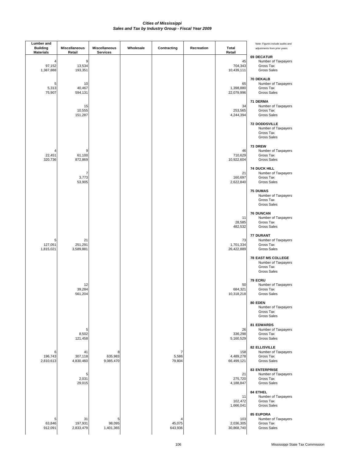| Lumber and<br><b>Building</b><br><b>Materials</b> | Miscellaneous<br>Retail    | <b>Miscellaneous</b><br><b>Services</b> | Wholesale | Contracting            | Recreation | <b>Total</b><br>Retail         | Note: Figures include audits and<br>adjustments from prior years.                   |
|---------------------------------------------------|----------------------------|-----------------------------------------|-----------|------------------------|------------|--------------------------------|-------------------------------------------------------------------------------------|
| 97,152<br>1,387,888                               | 9<br>13,534<br>193,351     |                                         |           |                        |            | 45<br>704,343<br>10,439,111    | <b>69 DECATUR</b><br>Number of Taxpayers<br>Gross Tax<br><b>Gross Sales</b>         |
| 5<br>5,313<br>75,907                              | 10<br>40,467<br>594,131    |                                         |           |                        |            | 65<br>1,398,880<br>22,079,996  | 70 DEKALB<br>Number of Taxpayers<br>Gross Tax<br><b>Gross Sales</b>                 |
|                                                   | 15<br>10,555<br>151,287    |                                         |           |                        |            | 34<br>253,565<br>4,244,394     | 71 DERMA<br>Number of Taxpayers<br>Gross Tax<br><b>Gross Sales</b>                  |
|                                                   |                            |                                         |           |                        |            |                                | <b>72 DODDSVILLE</b><br>Number of Taxpayers<br>Gross Tax<br><b>Gross Sales</b>      |
| 22,451<br>320,736                                 | 9<br>61,100<br>872,869     |                                         |           |                        |            | 46<br>710,629<br>10,922,604    | 73 DREW<br>Number of Taxpayers<br>Gross Tax<br><b>Gross Sales</b>                   |
|                                                   | 7<br>3,773<br>53,905       |                                         |           |                        |            | 21<br>160,697<br>2,622,840     | <b>74 DUCK HILL</b><br>Number of Taxpayers<br>Gross Tax<br>Gross Sales              |
|                                                   |                            |                                         |           |                        |            |                                | <b>75 DUMAS</b><br>Number of Taxpayers<br>Gross Tax<br><b>Gross Sales</b>           |
|                                                   |                            |                                         |           |                        |            | 11<br>28,585<br>482,532        | <b>76 DUNCAN</b><br>Number of Taxpayers<br>Gross Tax<br>Gross Sales                 |
| 5<br>127,051<br>1,815,021                         | 21<br>251,291<br>3,589,881 |                                         |           |                        |            | 73<br>1,701,334<br>26,422,889  | 77 DURANT<br>Number of Taxpayers<br>Gross Tax<br><b>Gross Sales</b>                 |
|                                                   |                            |                                         |           |                        |            |                                | <b>78 EAST MS COLLEGE</b><br>Number of Taxpayers<br>Gross Tax<br><b>Gross Sales</b> |
|                                                   | 12<br>39,284<br>561,204    |                                         |           |                        |            | 50<br>684,321<br>10,318,218    | 79 ECRU<br>Number of Taxpayers<br>Gross Tax<br>Gross Sales                          |
|                                                   |                            |                                         |           |                        |            |                                | 80 EDEN<br>Number of Taxpayers<br>Gross Tax<br><b>Gross Sales</b>                   |
|                                                   | 5<br>8,502<br>121,458      |                                         |           |                        |            | 26<br>336,298<br>5,160,529     | 81 EDWARDS<br>Number of Taxpayers<br>Gross Tax<br><b>Gross Sales</b>                |
| 6<br>196,743<br>2,810,613                         | 41<br>307,118<br>4,830,460 | 8<br>635,983<br>9,085,470               |           | 7<br>5,586<br>79,804   |            | 158<br>4,489,278<br>66,499,121 | <b>82 ELLISVILLE</b><br>Number of Taxpayers<br>Gross Tax<br><b>Gross Sales</b>      |
|                                                   | 5<br>2,031<br>29,015       |                                         |           |                        |            | 21<br>275,720<br>4,188,847     | <b>83 ENTERPRISE</b><br>Number of Taxpayers<br>Gross Tax<br><b>Gross Sales</b>      |
|                                                   |                            |                                         |           |                        |            | 11<br>102,472<br>1,666,041     | 84 ETHEL<br>Number of Taxpayers<br>Gross Tax<br><b>Gross Sales</b>                  |
| 5<br>63,846<br>912,091                            | 31<br>197,931<br>2,833,479 | 5<br>98,095<br>1,401,365                |           | 4<br>45,075<br>643,936 |            | 103<br>2,036,305<br>30,868,740 | 85 EUPORA<br>Number of Taxpayers<br>Gross Tax<br><b>Gross Sales</b>                 |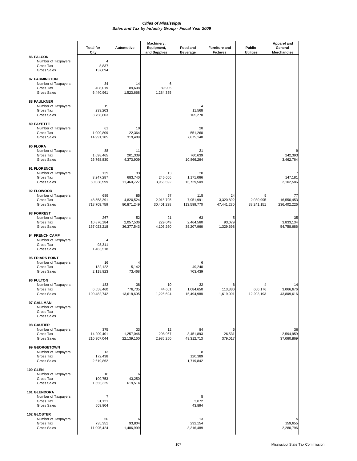|                                                                                  | <b>Total for</b><br>City         | Automotive                    | Machinery,<br>Equipment,<br>and Supplies | Food and<br><b>Beverage</b>     | <b>Furniture and</b><br><b>Fixtures</b> | Public<br><b>Utilities</b>   | Apparel and<br>General<br>Merchandise |
|----------------------------------------------------------------------------------|----------------------------------|-------------------------------|------------------------------------------|---------------------------------|-----------------------------------------|------------------------------|---------------------------------------|
| <b>86 FALCON</b><br>Number of Taxpayers<br>Gross Tax<br><b>Gross Sales</b>       | 8,837<br>137,094                 |                               |                                          |                                 |                                         |                              |                                       |
| <b>87 FARMINGTON</b><br>Number of Taxpayers<br>Gross Tax<br><b>Gross Sales</b>   | 34<br>408,019<br>6,440,961       | 14<br>89,608<br>1,523,668     | 6<br>89,905<br>1,284,355                 |                                 |                                         |                              |                                       |
| <b>88 FAULKNER</b><br>Number of Taxpayers<br>Gross Tax<br><b>Gross Sales</b>     | 15<br>233,203<br>3,758,803       |                               |                                          | 4<br>11,568<br>165,270          |                                         |                              |                                       |
| <b>89 FAYETTE</b><br>Number of Taxpayers<br>Gross Tax<br><b>Gross Sales</b>      | 61<br>1,000,809<br>14,991,105    | 10<br>22,364<br>319,489       |                                          | 28<br>551,260<br>7,875,140      |                                         |                              |                                       |
| 90 FLORA<br>Number of Taxpayers<br>Gross Tax<br><b>Gross Sales</b>               | 88<br>1,698,465<br>26,768,830    | 11<br>201,339<br>4,373,909    |                                          | 21<br>760,639<br>10,866,264     |                                         |                              | 242,393<br>3,462,764                  |
| 91 FLORENCE<br>Number of Taxpayers<br>Gross Tax<br><b>Gross Sales</b>            | 139<br>3,247,287<br>50,038,599   | 33<br>683,740<br>11,460,727   | 13<br>246,656<br>3,956,592               | 20<br>1,171,066<br>16,729,509   |                                         |                              | 147,181<br>2,102,586                  |
| 92 FLOWOOD<br>Number of Taxpayers<br>Gross Tax<br><b>Gross Sales</b>             | 689<br>48,553,291<br>718,709,759 | 85<br>4,820,524<br>80,871,249 | 67<br>2,018,795<br>30,401,238            | 115<br>7,951,991<br>113,599,770 | 24<br>3,320,892<br>47,441,280           | 5<br>2,030,995<br>38,241,151 | 77<br>16,550,453<br>236,402,226       |
| 93 FORREST<br>Number of Taxpayers<br>Gross Tax<br><b>Gross Sales</b>             | 267<br>10,876,184<br>167,023,218 | 52<br>2,057,536<br>36,377,543 | 21<br>229,049<br>4,106,260               | 63<br>2,464,560<br>35,207,966   | 5<br>93,079<br>1,329,698                |                              | 35<br>3,833,134<br>54,758,686         |
| 94 FRENCH CAMP<br>Number of Taxpayers<br>Gross Tax<br><b>Gross Sales</b>         | 98,311<br>1,463,518              |                               |                                          |                                 |                                         |                              |                                       |
| <b>95 FRIARS POINT</b><br>Number of Taxpayers<br>Gross Tax<br><b>Gross Sales</b> | 16<br>132,122<br>2,118,923       | 5,142<br>73,468               |                                          | 6<br>49,240<br>703,439          |                                         |                              |                                       |
| 96 FULTON<br>Number of Taxpayers<br>Gross Tax<br><b>Gross Sales</b>              | 183<br>6,558,460<br>100,482,742  | 38<br>776,735<br>13,618,605   | 10<br>44,661<br>1,225,694                | 32<br>1,084,650<br>15,494,988   | 6<br>113,330<br>1,619,001               | 600,176<br>12,203,193        | 14<br>3,066,676<br>43,809,616         |
| 97 GALLMAN<br>Number of Taxpayers<br>Gross Tax<br><b>Gross Sales</b>             |                                  |                               |                                          |                                 |                                         |                              |                                       |
| 98 GAUTIER<br>Number of Taxpayers<br>Gross Tax<br><b>Gross Sales</b>             | 375<br>14,209,401<br>210,307,044 | 33<br>1,257,046<br>22,139,160 | 12<br>208,967<br>2,985,250               | 84<br>3,451,893<br>49,312,713   | 5<br>26,531<br>379,017                  |                              | 36<br>2,594,959<br>37,060,869         |
| 99 GEORGETOWN<br>Number of Taxpayers<br>Gross Tax<br><b>Gross Sales</b>          | 13<br>172,438<br>2,619,862       |                               |                                          | 8<br>120,389<br>1,719,842       |                                         |                              |                                       |
| 100 GLEN<br>Number of Taxpayers<br>Gross Tax<br><b>Gross Sales</b>               | 16<br>109,753<br>1,656,325       | 6<br>43,250<br>619,514        |                                          |                                 |                                         |                              |                                       |
| 101 GLENDORA<br>Number of Taxpayers<br>Gross Tax<br><b>Gross Sales</b>           | 31,121<br>503,904                |                               |                                          | 5<br>3,072<br>43,894            |                                         |                              |                                       |
| 102 GLOSTER<br>Number of Taxpayers<br>Gross Tax<br><b>Gross Sales</b>            | 50<br>735,351<br>11,095,424      | 6<br>93,804<br>1,486,999      |                                          | 13<br>232,154<br>3,316,489      |                                         |                              | 5<br>159,655<br>2,280,796             |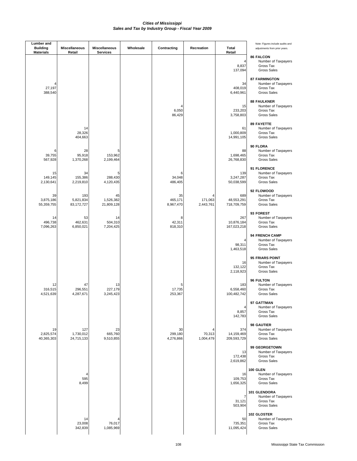| <b>Lumber</b> and<br><b>Building</b><br><b>Materials</b> | <b>Miscellaneous</b><br>Retail | <b>Miscellaneous</b><br><b>Services</b> | Wholesale | Contracting                | Recreation           | <b>Total</b><br>Retail           | Note: Figures include audits and<br>adjustments from prior years.              |
|----------------------------------------------------------|--------------------------------|-----------------------------------------|-----------|----------------------------|----------------------|----------------------------------|--------------------------------------------------------------------------------|
|                                                          |                                |                                         |           |                            |                      | 4<br>8,837<br>137,094            | <b>86 FALCON</b><br>Number of Taxpayers<br>Gross Tax<br><b>Gross Sales</b>     |
| 27,197<br>388,540                                        |                                |                                         |           |                            |                      | 34<br>408,019<br>6,440,961       | <b>87 FARMINGTON</b><br>Number of Taxpayers<br>Gross Tax<br><b>Gross Sales</b> |
|                                                          |                                |                                         |           | 6,050<br>86,429            |                      | 15<br>233,203<br>3,758,803       | <b>88 FAULKNER</b><br>Number of Taxpayers<br>Gross Tax<br><b>Gross Sales</b>   |
|                                                          | 14<br>28,326<br>404,663        |                                         |           |                            |                      | 61<br>1,000,809<br>14,991,105    | <b>89 FAYETTE</b><br>Number of Taxpayers<br>Gross Tax<br><b>Gross Sales</b>    |
| 6<br>39,755<br>567,928                                   | 28<br>95,918<br>1,370,268      | 5<br>153,962<br>2,199,464               |           |                            |                      | 88<br>1,698,465<br>26,768,830    | 90 FLORA<br>Number of Taxpayers<br>Gross Tax<br><b>Gross Sales</b>             |
| 15<br>149,145<br>2,130,641                               | 34<br>155,386<br>2,219,810     | 5<br>288,430<br>4,120,435               |           | 6<br>34,048<br>486,405     |                      | 139<br>3,247,287<br>50,038,599   | 91 FLORENCE<br>Number of Taxpayers<br>Gross Tax<br><b>Gross Sales</b>          |
| 39<br>3,875,186<br>55,359,755                            | 193<br>5,821,834<br>83,172,727 | 45<br>1,526,382<br>21,809,128           |           | 35<br>465,171<br>8,967,470 | 171,063<br>2,443,761 | 689<br>48,553,291<br>718,709,759 | 92 FLOWOOD<br>Number of Taxpayers<br>Gross Tax<br><b>Gross Sales</b>           |
| 14<br>496,738<br>7,096,263                               | 53<br>462,631<br>6,850,021     | 14<br>504,310<br>7,204,425              |           | 8<br>42,311<br>818,310     |                      | 267<br>10,876,184<br>167,023,218 | 93 FOREST<br>Number of Taxpayers<br>Gross Tax<br><b>Gross Sales</b>            |
|                                                          |                                |                                         |           |                            |                      | 4<br>98,311<br>1,463,518         | 94 FRENCH CAMP<br>Number of Taxpayers<br>Gross Tax<br><b>Gross Sales</b>       |
|                                                          |                                |                                         |           |                            |                      | 16<br>132,122<br>2,118,923       | 95 FRIARS POINT<br>Number of Taxpayers<br>Gross Tax<br><b>Gross Sales</b>      |
| 12<br>316,515<br>4,521,639                               | 47<br>296,551<br>4,287,671     | 13<br>227,179<br>3,245,423              |           | 5<br>17,735<br>253,367     |                      | 183<br>6,558,460<br>100,482,742  | 96 FULTON<br>Number of Taxpayers<br>Gross Tax<br><b>Gross Sales</b>            |
|                                                          |                                |                                         |           |                            |                      | 4<br>8,857<br>142,783            | 97 GATTMAN<br>Number of Taxpayers<br>Gross Tax<br><b>Gross Sales</b>           |
| 19<br>2,825,574<br>40,365,303                            | 127<br>1,730,012<br>24,715,133 | 23<br>665,760<br>9,510,855              |           | 30<br>299,180<br>4,276,866 | 70,313<br>1,004,479  | 374<br>14,159,469<br>209,593,729 | 98 GAUTIER<br>Number of Taxpayers<br>Gross Tax<br><b>Gross Sales</b>           |
|                                                          |                                |                                         |           |                            |                      | 13<br>172,438<br>2,619,862       | 99 GEORGETOWN<br>Number of Taxpayers<br>Gross Tax<br><b>Gross Sales</b>        |
|                                                          | 4<br>595<br>8,499              |                                         |           |                            |                      | 16<br>109,753<br>1,656,325       | 100 GLEN<br>Number of Taxpayers<br>Gross Tax<br><b>Gross Sales</b>             |
|                                                          |                                |                                         |           |                            |                      | 7<br>31,121<br>503,904           | 101 GLENDORA<br>Number of Taxpayers<br>Gross Tax<br><b>Gross Sales</b>         |
|                                                          | 14<br>23,008<br>342,839        | 76,017<br>1,085,969                     |           |                            |                      | 50<br>735,351<br>11,095,424      | 102 GLOSTER<br>Number of Taxpayers<br>Gross Tax<br>Gross Sales                 |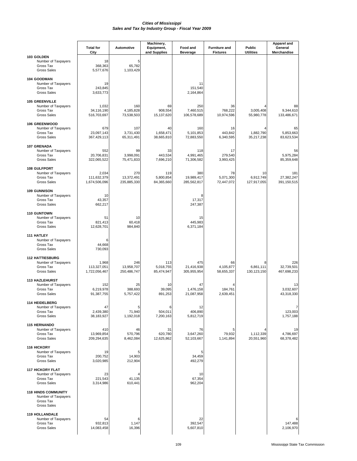|                                                                                      | <b>Total for</b><br>City              | Automotive                       | Machinery,<br>Equipment,<br>and Supplies | Food and<br><b>Beverage</b>      | <b>Furniture and</b><br><b>Fixtures</b> | Public<br><b>Utilities</b>      | Apparel and<br>General<br>Merchandise |
|--------------------------------------------------------------------------------------|---------------------------------------|----------------------------------|------------------------------------------|----------------------------------|-----------------------------------------|---------------------------------|---------------------------------------|
| 103 GOLDEN<br>Number of Taxpayers<br>Gross Tax<br><b>Gross Sales</b>                 | 18<br>368,363<br>5,577,676            | 5<br>65,782<br>1,103,429         |                                          |                                  |                                         |                                 |                                       |
| 104 GOODMAN<br>Number of Taxpayers<br>Gross Tax<br><b>Gross Sales</b>                | 19<br>243,845<br>3,633,773            |                                  |                                          | 11<br>151,540<br>2,164,864       |                                         |                                 |                                       |
| <b>105 GREENVILLE</b><br>Number of Taxpayers<br>Gross Tax<br><b>Gross Sales</b>      | 1,032<br>34,116,190<br>516,703,697    | 160<br>4,185,828<br>73,538,503   | 69<br>908,554<br>15,137,620              | 250<br>7,460,515<br>106,578,689  | 36<br>768,222<br>10,974,596             | 3,005,408<br>55,980,778         | 88<br>9,344,610<br>133,486,671        |
| <b>106 GREENWOOD</b><br>Number of Taxpayers<br>Gross Tax<br><b>Gross Sales</b>       | 679<br>23,097,143<br>367,429,113      | 107<br>3,731,430<br>65,311,491   | 40<br>1,658,471<br>38,665,810            | 160<br>5,101,853<br>72,883,550   | 16<br>443,842<br>6,340,595              | 1,882,790<br>35,217,238         | 65<br>5,853,663<br>83,623,534         |
| 107 GRENADA<br>Number of Taxpayers<br>Gross Tax<br><b>Gross Sales</b>                | 552<br>20,706,831<br>322,065,522      | 99<br>3,998,091<br>75,471,833    | 33<br>443,534<br>7,696,210               | 118<br>4,991,465<br>71,306,582   | 17<br>279,540<br>3,993,425              |                                 | 56<br>5,975,284<br>85,359,648         |
| 108 GULFPORT<br>Number of Taxpayers<br>Gross Tax<br><b>Gross Sales</b>               | 2,034<br>111,632,379<br>1,674,506,096 | 270<br>13,372,491<br>235,885,330 | 119<br>5,800,854<br>84,365,660           | 380<br>19,989,417<br>285,562,817 | 78<br>5,071,300<br>72,447,072           | 10<br>6,912,749<br>127,917,055  | 181<br>27,382,247<br>391,150,515      |
| <b>109 GUNNISON</b><br>Number of Taxpayers<br>Gross Tax<br><b>Gross Sales</b>        | 10<br>43,357<br>662,217               |                                  |                                          | 8<br>17,317<br>247,387           |                                         |                                 |                                       |
| 110 GUNTOWN<br>Number of Taxpayers<br>Gross Tax<br><b>Gross Sales</b>                | 51<br>821,413<br>12,628,701           | 10<br>60,418<br>984,840          |                                          | 15<br>445,983<br>6,371,184       |                                         |                                 |                                       |
| <b>111 HATLEY</b><br>Number of Taxpayers<br>Gross Tax<br><b>Gross Sales</b>          | 6<br>44,668<br>730,093                |                                  |                                          |                                  |                                         |                                 |                                       |
| <b>112 HATTIESBURG</b><br>Number of Taxpayers<br>Gross Tax<br><b>Gross Sales</b>     | 1,968<br>113,327,051<br>1,722,056,467 | 246<br>13,958,707<br>250,486,747 | 113<br>5,018,755<br>85,474,947           | 475<br>21,416,938<br>305,955,954 | 66<br>4,105,877<br>58,655,337           | 8<br>6,861,111<br>130, 123, 150 | 226<br>32,739,501<br>467,698,233      |
| <b>113 HAZLEHURST</b><br>Number of Taxpayers<br>Gross Tax<br><b>Gross Sales</b>      | 152<br>6,219,978<br>91,387,755        | 25<br>388.693<br>5,757,422       | 10<br>39,095<br>891,253                  | 47<br>1,476,158<br>21,087,958    | 184,761<br>2,639,451                    |                                 | 13<br>3,032,607<br>43,318,330         |
| 114 HEIDELBERG<br>Number of Taxpayers<br>Gross Tax<br><b>Gross Sales</b>             | 47<br>2,439,380<br>38,183,927         | 5<br>71,940<br>1,192,018         | 6<br>504,011<br>7,200,163                | 12<br>406,890<br>5,812,719       |                                         |                                 | 7<br>123,003<br>1,757,188             |
| <b>115 HERNANDO</b><br>Number of Taxpayers<br>Gross Tax<br><b>Gross Sales</b>        | 410<br>13,969,854<br>209,294,635      | 46<br>570,796<br>8,462,084       | 31<br>620,780<br>12,625,862              | 76<br>3,647,260<br>52,103,667    | 5<br>79,932<br>1,141,894                | 1,112,339<br>20,551,960         | 19<br>4,786,697<br>68,378,482         |
| 116 HICKORY<br>Number of Taxpayers<br>Gross Tax<br><b>Gross Sales</b>                | 19<br>200,752<br>3,020,985            | 5<br>14,903<br>212,904           |                                          | 5<br>34,459<br>492,279           |                                         |                                 |                                       |
| <b>117 HICKORY FLAT</b><br>Number of Taxpayers<br>Gross Tax<br><b>Gross Sales</b>    | 23<br>221,543<br>3,314,986            | 41,135<br>610,441                |                                          | 10<br>67,354<br>962,204          |                                         |                                 |                                       |
| <b>118 HINDS COMMUNITY</b><br>Number of Taxpayers<br>Gross Tax<br><b>Gross Sales</b> |                                       |                                  |                                          |                                  |                                         |                                 |                                       |
| <b>119 HOLLANDALE</b><br>Number of Taxpayers<br>Gross Tax<br><b>Gross Sales</b>      | 54<br>932,813<br>14,083,458           | 6<br>1,147<br>16,396             |                                          | 22<br>392,547<br>5,607,810       |                                         |                                 | 6<br>147,488<br>2,106,970             |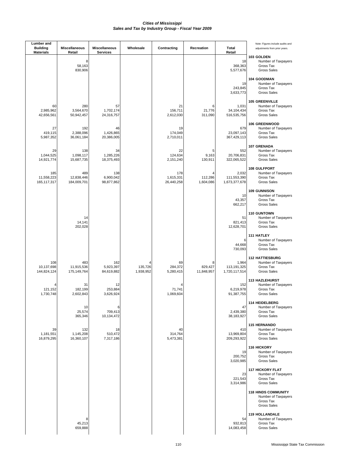| <b>Lumber</b> and<br><b>Building</b> | <b>Miscellaneous</b>             | <b>Miscellaneous</b>           | Wholesale            | Contracting                    | Recreation                 | Total                                 | Note: Figures include audits and<br>adjustments from prior years.                 |
|--------------------------------------|----------------------------------|--------------------------------|----------------------|--------------------------------|----------------------------|---------------------------------------|-----------------------------------------------------------------------------------|
| <b>Materials</b>                     | Retail<br>8<br>58,163<br>830,906 | <b>Services</b>                |                      |                                |                            | Retail<br>18<br>368,363<br>5,577,676  | 103 GOLDEN<br>Number of Taxpayers<br>Gross Tax<br><b>Gross Sales</b>              |
|                                      |                                  |                                |                      |                                |                            | 19<br>243,845<br>3,633,773            | 104 GOODMAN<br>Number of Taxpayers<br>Gross Tax<br><b>Gross Sales</b>             |
| 60<br>2,985,962<br>42,656,561        | 280<br>3,564,670<br>50,942,457   | 57<br>1,702,174<br>24,316,757  |                      | 21<br>156,711<br>2,612,030     | 6<br>21,776<br>311,090     | 1,031<br>34,104,434<br>516,535,756    | <b>105 GREENVILLE</b><br>Number of Taxpayers<br>Gross Tax<br><b>Gross Sales</b>   |
| 27<br>419,115<br>5,987,352           | 192<br>2,388,096<br>36,061,184   | 46<br>1,426,865<br>20,386,005  |                      | 19<br>174,049<br>2,710,011     |                            | 679<br>23,097,143<br>367,429,113      | <b>106 GREENWOOD</b><br>Number of Taxpayers<br>Gross Tax<br><b>Gross Sales</b>    |
| 29<br>1,044,525<br>14,921,774        | 138<br>1,098,117<br>15,687,735   | 34<br>1,285,226<br>18,375,493  |                      | 22<br>124,634<br>2,151,240     | 5<br>9,163<br>130,911      | 552<br>20,706,831<br>322,065,522      | <b>107 GRENADA</b><br>Number of Taxpayers<br>Gross Tax<br><b>Gross Sales</b>      |
| 185<br>11,558,223<br>165, 117, 317   | 489<br>12,838,446<br>184,009,701 | 138<br>6,900,042<br>98,877,862 |                      | 178<br>1,615,331<br>26,440,258 | 4<br>112,286<br>1,604,086  | 2,032<br>111,553,390<br>1,673,377,678 | 108 GULFPORT<br>Number of Taxpayers<br>Gross Tax<br><b>Gross Sales</b>            |
|                                      |                                  |                                |                      |                                |                            | 10<br>43,357<br>662,217               | <b>109 GUNNISON</b><br>Number of Taxpayers<br>Gross Tax<br><b>Gross Sales</b>     |
|                                      | 14<br>14,141<br>202,028          |                                |                      |                                |                            | 51<br>821,413<br>12,628,701           | 110 GUNTOWN<br>Number of Taxpayers<br>Gross Tax<br><b>Gross Sales</b>             |
|                                      |                                  |                                |                      |                                |                            | 6<br>44,668<br>730,093                | <b>111 HATLEY</b><br>Number of Taxpayers<br>Gross Tax<br><b>Gross Sales</b>       |
| 108<br>10,137,698<br>144,824,124     | 483<br>11,915,536<br>175,149,764 | 162<br>5,923,397<br>84,619,882 | 135,726<br>1,938,952 | 69<br>284,372<br>5,280,415     | 8<br>829,427<br>11,848,957 | 1,964<br>113,191,325<br>1,720,117,514 | <b>112 HATTIESBURG</b><br>Number of Taxpayers<br>Gross Tax<br><b>Gross Sales</b>  |
| 121,152<br>1,730,748                 | 31<br>182,199<br>2,602,843       | 12<br>253,884<br>3,626,924     |                      | 71,741<br>1,069,604            |                            | 152<br>6,219,978<br>91,387,755        | <b>113 HAZLEHURST</b><br>Number of Taxpayers<br>Gross Tax<br><b>Gross Sales</b>   |
|                                      | 10<br>25,574<br>365,346          | 6<br>709,413<br>10,134,472     |                      |                                |                            | 47<br>2,439,380<br>38,183,927         | 114 HEIDELBERG<br>Number of Taxpayers<br>Gross Tax<br>Gross Sales                 |
| 39<br>1,181,551<br>16,879,295        | 132<br>1,145,208<br>16,360,107   | 18<br>510,472<br>7,317,186     |                      | 40<br>314,764<br>5,473,381     |                            | 410<br>13,969,804<br>209,293,922      | <b>115 HERNANDO</b><br>Number of Taxpayers<br>Gross Tax<br><b>Gross Sales</b>     |
|                                      |                                  |                                |                      |                                |                            | 19<br>200,752<br>3,020,985            | 116 HICKORY<br>Number of Taxpayers<br>Gross Tax<br><b>Gross Sales</b>             |
|                                      |                                  |                                |                      |                                |                            | 23<br>221,543<br>3,314,986            | <b>117 HICKORY FLAT</b><br>Number of Taxpayers<br>Gross Tax<br><b>Gross Sales</b> |
|                                      |                                  |                                |                      |                                |                            |                                       | <b>118 HINDS COMMUNITY</b><br>Number of Taxpayers<br>Gross Tax<br>Gross Sales     |
|                                      | 8<br>45,213<br>659,888           |                                |                      |                                |                            | 54<br>932,813<br>14,083,458           | <b>119 HOLLANDALE</b><br>Number of Taxpayers<br>Gross Tax<br>Gross Sales          |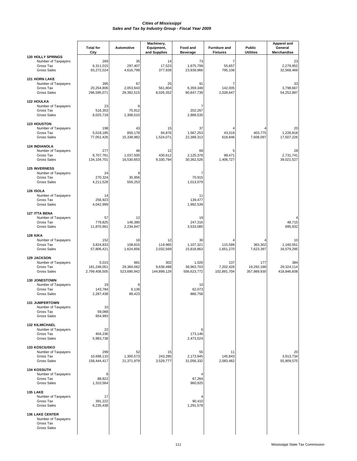|                                                                                    | <b>Total for</b><br>City              | <b>Automotive</b>                | Machinery,<br>Equipment,<br>and Supplies | Food and<br><b>Beverage</b>        | <b>Furniture and</b><br><b>Fixtures</b> | <b>Public</b><br><b>Utilities</b> | <b>Apparel and</b><br>General<br>Merchandise |
|------------------------------------------------------------------------------------|---------------------------------------|----------------------------------|------------------------------------------|------------------------------------|-----------------------------------------|-----------------------------------|----------------------------------------------|
| <b>120 HOLLY SPRINGS</b><br>Number of Taxpayers<br>Gross Tax<br><b>Gross Sales</b> | 269<br>6,311,015<br>93,272,024        | 35<br>297,407<br>4,616,799       | 14<br>17,523<br>377,939                  | 73<br>1,675,799<br>23,939,966      | 7<br>55,657<br>795,106                  |                                   | 23<br>2,279,952<br>32,568,469                |
| <b>121 HORN LAKE</b><br>Number of Taxpayers<br>Gross Tax<br><b>Gross Sales</b>     | 395<br>20,254,806<br>296,595,071      | 67<br>2,053,943<br>29,392,515    | 25<br>561,804<br>8,026,352               | 91<br>6,359,348<br>90,847,739      | 7<br>142,005<br>2,028,647               |                                   | 33<br>3,798,667<br>54,252,897                |
| <b>122 HOULKA</b><br>Number of Taxpayers<br>Gross Tax<br><b>Gross Sales</b>        | 23<br>516,353<br>8,025,718            | 6<br>75,912<br>1,308,010         |                                          | 7<br>202,267<br>2,889,535          |                                         |                                   |                                              |
| <b>123 HOUSTON</b><br>Number of Taxpayers<br>Gross Tax<br><b>Gross Sales</b>       | 198<br>5,018,185<br>77,051,426        | 43<br>850,178<br>15,338,982      | 15<br>94,876<br>1,524,071                | 37<br>1,567,253<br>22,389,313      | 43,319<br>618,846                       | 403,775<br>7,608,097              | 20<br>1,226,818<br>17,507,226                |
| <b>124 INDIANOLA</b><br>Number of Taxpayers<br>Gross Tax<br><b>Gross Sales</b>     | 277<br>8,707,761<br>134,104,701       | 46<br>1,037,500<br>16,530,653    | 12<br>430,612<br>9,330,794               | 69<br>2,125,378<br>30,362,526      | 5<br>98,471<br>1,406,727                |                                   | 28<br>2,731,741<br>39,021,527                |
| <b>125 INVERNESS</b><br>Number of Taxpayers<br>Gross Tax<br><b>Gross Sales</b>     | 24<br>270,324<br>4,211,528            | 35,956<br>556,253                |                                          | 70,915<br>1,013,079                |                                         |                                   |                                              |
| 126 ISOLA<br>Number of Taxpayers<br>Gross Tax<br><b>Gross Sales</b>                | 14<br>256,923<br>4,042,999            |                                  |                                          | 11<br>139,477<br>1,992,539         |                                         |                                   |                                              |
| <b>127 ITTA BENA</b><br>Number of Taxpayers<br>Gross Tax<br><b>Gross Sales</b>     | 57<br>779,825<br>11,870,961           | 12<br>146,380<br>2,234,947       |                                          | 19<br>247,316<br>3,533,085         |                                         |                                   | 48,715<br>695,932                            |
| <b>128 IUKA</b><br>Number of Taxpayers<br>Gross Tax<br><b>Gross Sales</b>          | 152<br>3,824,833<br>57,806,421        | 16<br>108,815<br>1,624,856       | 12<br>119,965<br>2,032,569               | 30<br>1,107,321<br>15,818,863      | 115,589<br>1,651,270                    | 363,302<br>7,623,397              | 10<br>1,160,551<br>16,579,295                |
| <b>129 JACKSON</b><br>Number of Taxpayers<br>Gross Tax<br><b>Gross Sales</b>       | 5,015<br>181,248,051<br>2,799,408,505 | 981<br>29,384,062<br>523,690,942 | 302<br>9,638,488<br>144,899,129          | 1,026<br>38,963,703<br>556,623,772 | 137<br>7,202,426<br>102.891.704         | 177<br>19,292,168<br>357,989,930  | 384<br>29,324,114<br>418,846,608             |
| <b>130 JONESTOWN</b><br>Number of Taxpayers<br>Gross Tax<br><b>Gross Sales</b>     | 19<br>143,784<br>2,287,438            | 6<br>6,136<br>89,423             |                                          | 10<br>62,073<br>886,758            |                                         |                                   |                                              |
| <b>131 JUMPERTOWN</b><br>Number of Taxpayers<br>Gross Tax<br><b>Gross Sales</b>    | 10<br>59,088<br>954,993               |                                  |                                          |                                    |                                         |                                   |                                              |
| <b>132 KILMICHAEL</b><br>Number of Taxpayers<br>Gross Tax<br><b>Gross Sales</b>    | 22<br>404,236<br>5,983,738            |                                  |                                          | 6<br>173,146<br>2,473,524          |                                         |                                   |                                              |
| <b>133 KOSCIUSKO</b><br>Number of Taxpayers<br>Gross Tax<br><b>Gross Sales</b>     | 299<br>10,698,110<br>158,444,417      | 52<br>1,300,573<br>21,371,979    | 15<br>243,285<br>3,529,777               | 55<br>2,173,945<br>31,056,332      | 11<br>145,843<br>2,083,482              |                                   | 20<br>3,913,734<br>55,909,575                |
| <b>134 KOSSUTH</b><br>Number of Taxpayers<br>Gross Tax<br><b>Gross Sales</b>       | 8<br>88,822<br>1,310,564              |                                  |                                          | 67,264<br>960,925                  |                                         |                                   |                                              |
| <b>135 LAKE</b><br>Number of Taxpayers<br>Gross Tax<br><b>Gross Sales</b>          | 17<br>391,222<br>6,235,438            |                                  |                                          | 90,410<br>1,291,578                |                                         |                                   |                                              |
| <b>136 LAKE CENTER</b><br>Number of Taxpayers<br>Gross Tax<br><b>Gross Sales</b>   |                                       |                                  |                                          |                                    |                                         |                                   |                                              |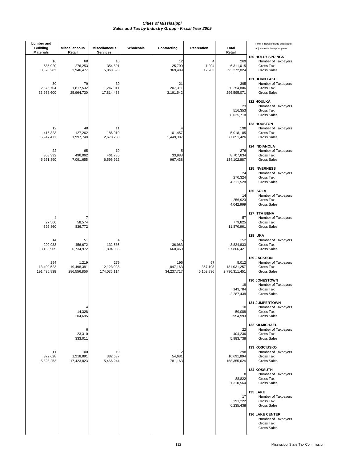| Lumber and<br><b>Building</b><br><b>Materials</b> | <b>Miscellaneous</b><br>Retail     | <b>Miscellaneous</b><br><b>Services</b> | Wholesale | Contracting                    | Recreation                 | <b>Total</b><br>Retail                | Note: Figures include audits and<br>adjustments from prior years.                  |
|---------------------------------------------------|------------------------------------|-----------------------------------------|-----------|--------------------------------|----------------------------|---------------------------------------|------------------------------------------------------------------------------------|
| 16<br>585,920<br>8,370,282                        | 68<br>276,253<br>3,946,477         | 16<br>354,801<br>5,068,593              |           | 12<br>25,700<br>369,489        | 1,204<br>17,203            | 269<br>6,311,015<br>93,272,024        | <b>120 HOLLY SPRINGS</b><br>Number of Taxpayers<br>Gross Tax<br><b>Gross Sales</b> |
| 30<br>2,375,704<br>33,938,600                     | 79<br>1,817,532<br>25,964,730      | 39<br>1,247,011<br>17,814,438           |           | 21<br>207,311<br>3,161,542     |                            | 395<br>20,254,806<br>296,595,071      | <b>121 HORN LAKE</b><br>Number of Taxpayers<br>Gross Tax<br><b>Gross Sales</b>     |
|                                                   |                                    |                                         |           |                                |                            | 23<br>516,353<br>8,025,718            | <b>122 HOULKA</b><br>Number of Taxpayers<br>Gross Tax<br><b>Gross Sales</b>        |
| 12<br>416,323<br>5,947,471                        | 48<br>127,262<br>1,997,748         | 11<br>186,919<br>2,670,280              |           | 101,457<br>1,449,387           |                            | 198<br>5,018,185<br>77,051,426        | <b>123 HOUSTON</b><br>Number of Taxpayers<br>Gross Tax<br><b>Gross Sales</b>       |
| 22<br>368,332<br>5,261,890                        | 65<br>496,062<br>7,091,655         | 19<br>461,785<br>6,596,922              |           | 5<br>33,988<br>967,438         |                            | 276<br>8,707,634<br>134,102,887       | <b>124 INDIANOLA</b><br>Number of Taxpayers<br>Gross Tax<br><b>Gross Sales</b>     |
|                                                   |                                    |                                         |           |                                |                            | 24<br>270,324<br>4,211,528            | <b>125 INVERNESS</b><br>Number of Taxpayers<br>Gross Tax<br><b>Gross Sales</b>     |
|                                                   |                                    |                                         |           |                                |                            | 14<br>256,923<br>4,042,999            | <b>126 ISOLA</b><br>Number of Taxpayers<br>Gross Tax<br><b>Gross Sales</b>         |
| 27,500<br>392,860                                 | 7<br>58,574<br>836,772             |                                         |           |                                |                            | 57<br>779,825<br>11,870,961           | <b>127 ITTA BENA</b><br>Number of Taxpayers<br>Gross Tax<br><b>Gross Sales</b>     |
| 14<br>220,983<br>3,156,905                        | 51<br>456,672<br>6,734,972         | 132,586<br>1,894,085                    |           | 5<br>36,963<br>660,460         |                            | 152<br>3,824,833<br>57,806,421        | <b>128 IUKA</b><br>Number of Taxpayers<br>Gross Tax<br><b>Gross Sales</b>          |
| 254<br>13,400,522<br>191,435,838                  | 1,219<br>19,498,381<br>286,556,856 | 279<br>12,123,028<br>174,036,114        |           | 196<br>1,847,163<br>34,237,717 | 57<br>357,198<br>5,102,836 | 5,012<br>181,031,257<br>2,796,311,451 | <b>129 JACKSON</b><br>Number of Taxpayers<br>Gross Tax<br><b>Gross Sales</b>       |
|                                                   |                                    |                                         |           |                                |                            | 19<br>143,784<br>2,287,438            | 130 JONESTOWN<br>Number of Taxpayers<br>Gross Tax<br><b>Gross Sales</b>            |
|                                                   | 4<br>14,328<br>204,695             |                                         |           |                                |                            | 10<br>59,088<br>954,993               | <b>131 JUMPERTOWN</b><br>Number of Taxpayers<br>Gross Tax<br><b>Gross Sales</b>    |
|                                                   | 6<br>23,310<br>333,011             |                                         |           |                                |                            | 22<br>404,236<br>5,983,738            | <b>132 KILMICHAEL</b><br>Number of Taxpayers<br>Gross Tax<br><b>Gross Sales</b>    |
| 11<br>372,628<br>5,323,252                        | 100<br>1,218,891<br>17,423,823     | 19<br>382,637<br>5,466,244              |           | 12<br>54,681<br>781,163        |                            | 298<br>10,691,894<br>158,355,624      | 133 KOSCIUSKO<br>Number of Taxpayers<br>Gross Tax<br><b>Gross Sales</b>            |
|                                                   |                                    |                                         |           |                                |                            | 8<br>88,822<br>1,310,564              | <b>134 KOSSUTH</b><br>Number of Taxpayers<br>Gross Tax<br><b>Gross Sales</b>       |
|                                                   |                                    |                                         |           |                                |                            | 17<br>391,222<br>6,235,438            | 135 LAKE<br>Number of Taxpayers<br>Gross Tax<br><b>Gross Sales</b>                 |
|                                                   |                                    |                                         |           |                                |                            |                                       | <b>136 LAKE CENTER</b><br>Number of Taxpayers<br>Gross Tax<br>Gross Sales          |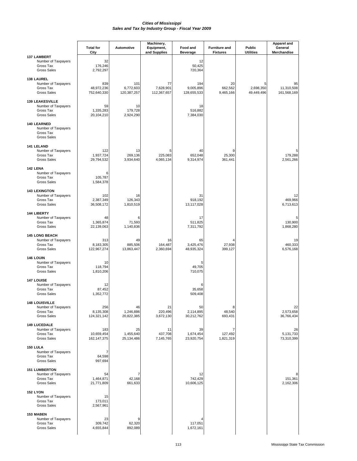|                                                                                  | <b>Total for</b>                   | Automotive                      | Machinery,<br>Equipment,       | Food and                        | <b>Furniture and</b>       | Public                       | <b>Apparel and</b><br>General   |
|----------------------------------------------------------------------------------|------------------------------------|---------------------------------|--------------------------------|---------------------------------|----------------------------|------------------------------|---------------------------------|
| <b>137 LAMBERT</b>                                                               | City                               |                                 | and Supplies                   | <b>Beverage</b>                 | <b>Fixtures</b>            | <b>Utilities</b>             | Merchandise                     |
| Number of Taxpayers<br>Gross Tax<br><b>Gross Sales</b>                           | 32<br>176,246<br>2,792,297         |                                 |                                | 12<br>50,425<br>720,364         |                            |                              |                                 |
| <b>138 LAUREL</b><br>Number of Taxpayers<br>Gross Tax<br><b>Gross Sales</b>      | 839<br>48,972,236<br>752,640,330   | 101<br>6,772,603<br>120,387,257 | 77<br>7,628,901<br>112,367,657 | 194<br>9,005,896<br>128,655,533 | 20<br>662,562<br>9,465,166 | 5<br>2,698,350<br>49,449,496 | 95<br>11,310,508<br>161,568,169 |
| <b>139 LEAKESVILLE</b><br>Number of Taxpayers<br>Gross Tax<br><b>Gross Sales</b> | 59<br>1,335,283<br>20,104,210      | 10<br>179,728<br>2,924,290      |                                | 18<br>516,882<br>7,384,030      |                            |                              |                                 |
| <b>140 LEARNED</b><br>Number of Taxpayers<br>Gross Tax<br><b>Gross Sales</b>     |                                    |                                 |                                |                                 |                            |                              |                                 |
| 141 LELAND<br>Number of Taxpayers<br>Gross Tax<br><b>Gross Sales</b>             | 122<br>1,937,724<br>29,794,532     | 13<br>269.136<br>3,934,640      | 5<br>225,083<br>4,065,134      | 40<br>652,048<br>9,314,974      | 9<br>25,300<br>361,441     |                              | 5<br>179,288<br>2,561,266       |
| 142 LENA<br>Number of Taxpayers<br>Gross Tax<br><b>Gross Sales</b>               | 6<br>105,787<br>1,584,378          |                                 |                                |                                 |                            |                              |                                 |
| <b>143 LEXINGTON</b><br>Number of Taxpayers<br>Gross Tax<br><b>Gross Sales</b>   | 102<br>2,387,349<br>36,508,172     | 16<br>126,343<br>1,810,519      |                                | 31<br>918,192<br>13,117,028     |                            |                              | 12<br>469,966<br>6,713,613      |
| <b>144 LIBERTY</b><br>Number of Taxpayers<br>Gross Tax<br><b>Gross Sales</b>     | 48<br>1,365,874<br>22,139,063      | 6<br>71,593<br>1,140,836        |                                | 17<br>511,825<br>7,311,792      |                            |                              | 5<br>130,900<br>1,868,280       |
| <b>145 LONG BEACH</b><br>Number of Taxpayers<br>Gross Tax<br><b>Gross Sales</b>  | 313<br>8,183,305<br>122,967,274    | 49<br>885,506<br>13,863,447     | 16<br>164,487<br>2,360,694     | 65<br>3,425,476<br>48,935,324   | 27,938<br>399,127          |                              | 19<br>460,333<br>6,576,168      |
| 146 LOUIN<br>Number of Taxpayers<br>Gross Tax<br><b>Gross Sales</b>              | 10<br>118,794<br>1,810,206         |                                 |                                | 5<br>49,705<br>710,075          |                            |                              |                                 |
| 147 LOUISE<br>Number of Taxpayers<br>Gross Tax<br><b>Gross Sales</b>             | 12<br>87,452<br>1,352,772          |                                 |                                | 6<br>35,658<br>509,408          |                            |                              |                                 |
| <b>148 LOUISVILLE</b><br>Number of Taxpayers<br>Gross Tax<br><b>Gross Sales</b>  | 256<br>8,135,308<br>124,321,142    | 46<br>1,246,886<br>20,822,385   | 21<br>220,496<br>3,672,130     | 50<br>2,114,895<br>30,212,762   | 8<br>48,540<br>693,431     |                              | 22<br>2,573,658<br>36,766,434   |
| <b>149 LUCEDALE</b><br>Number of Taxpayers<br>Gross Tax<br><b>Gross Sales</b>    | 183<br>10,659,454<br>162, 147, 375 | 25<br>1,455,640<br>25,134,486   | 11<br>437,708<br>7,145,765     | 39<br>1,674,454<br>23,920,754   | 7<br>127,492<br>1,821,319  |                              | 26<br>5,131,733<br>73,310,399   |
| 150 LULA<br>Number of Taxpayers<br>Gross Tax<br><b>Gross Sales</b>               | 7<br>64,598<br>997,694             |                                 |                                |                                 |                            |                              |                                 |
| <b>151 LUMBERTON</b><br>Number of Taxpayers<br>Gross Tax<br><b>Gross Sales</b>   | 54<br>1,464,871<br>21,771,809      | 7<br>42,168<br>661,633          |                                | 12<br>742,429<br>10,606,125     |                            |                              | 8<br>151,361<br>2,162,306       |
| 152 LYON<br>Number of Taxpayers<br>Gross Tax<br><b>Gross Sales</b>               | 15<br>173,011<br>2,567,961         |                                 |                                |                                 |                            |                              |                                 |
| 153 MABEN<br>Number of Taxpayers<br>Gross Tax<br><b>Gross Sales</b>              | 23<br>309,742<br>4,655,844         | 9<br>62,320<br>892,089          |                                | 117,051<br>1,672,161            |                            |                              |                                 |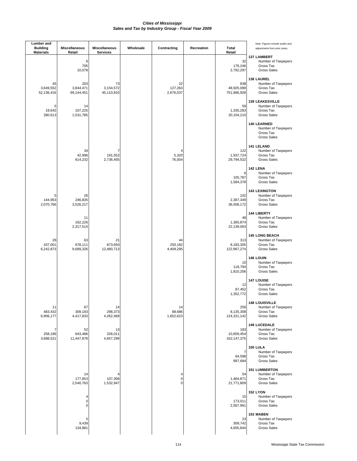| <b>Lumber</b> and<br><b>Building</b><br><b>Materials</b> | <b>Miscellaneous</b><br>Retail | Miscellaneous<br><b>Services</b> | Wholesale | Contracting                             | Recreation | <b>Total</b><br>Retail           | Note: Figures include audits and<br>adjustments from prior years.                |
|----------------------------------------------------------|--------------------------------|----------------------------------|-----------|-----------------------------------------|------------|----------------------------------|----------------------------------------------------------------------------------|
|                                                          | 6<br>705<br>10,078             |                                  |           |                                         |            | 32<br>176,246<br>2,792,297       | <b>137 LAMBERT</b><br>Number of Taxpayers<br>Gross Tax<br><b>Gross Sales</b>     |
| 45<br>3,649,552<br>52,136,416                            | 203<br>3,844,471<br>69,144,451 | 73<br>3,154,572<br>45,110,810    |           | 22<br>127,263<br>2,676,037              |            | 838<br>48,925,098<br>751,966,928 | <b>138 LAUREL</b><br>Number of Taxpayers<br>Gross Tax<br><b>Gross Sales</b>      |
| 5<br>19,642<br>280,613                                   | 14<br>107,225<br>1,531,785     |                                  |           |                                         |            | 59<br>1,335,283<br>20,104,210    | <b>139 LEAKESVILLE</b><br>Number of Taxpayers<br>Gross Tax<br><b>Gross Sales</b> |
|                                                          |                                |                                  |           |                                         |            |                                  | 140 LEARNED<br>Number of Taxpayers<br>Gross Tax<br><b>Gross Sales</b>            |
|                                                          | 34<br>42,996<br>614,232        | 7<br>191,552<br>2,736,455        |           | 5,320<br>76,004                         |            | 122<br>1,937,724<br>29,794,532   | 141 LELAND<br>Number of Taxpayers<br>Gross Tax<br><b>Gross Sales</b>             |
|                                                          |                                |                                  |           |                                         |            | 6<br>105,787<br>1,584,378        | 142 LENA<br>Number of Taxpayers<br>Gross Tax<br><b>Gross Sales</b>               |
| 5<br>144,953<br>2,070,766                                | 26<br>246,835<br>3,526,217     |                                  |           |                                         |            | 102<br>2,387,349<br>36,508,172   | <b>143 LEXINGTON</b><br>Number of Taxpayers<br>Gross Tax<br><b>Gross Sales</b>   |
|                                                          | 11<br>162,226<br>2,317,514     |                                  |           |                                         |            | 48<br>1,365,874<br>22,139,063    | 144 LIBERTY<br>Number of Taxpayers<br>Gross Tax<br><b>Gross Sales</b>            |
| 28<br>437,001<br>6,242,873                               | 63<br>678,111<br>9,689,326     | 21<br>873,650<br>12,480,713      |           | 44<br>250,182<br>4,409,295              |            | 313<br>8,183,305<br>122,967,274  | <b>145 LONG BEACH</b><br>Number of Taxpayers<br>Gross Tax<br><b>Gross Sales</b>  |
|                                                          |                                |                                  |           |                                         |            | 10<br>118,794<br>1,810,206       | 146 LOUIN<br>Number of Taxpayers<br>Gross Tax<br><b>Gross Sales</b>              |
|                                                          |                                |                                  |           |                                         |            | 12<br>87,452<br>1,352,772        | 147 LOUISE<br>Number of Taxpayers<br>Gross Tax<br><b>Gross Sales</b>             |
| 11<br>483,432<br>6,906,177                               | 67<br>309,193<br>4,417,833     | 14<br>298,373<br>4,262,469       |           | 14<br>88,686<br>1,652,623               |            | 256<br>8,135,308<br>124,321,142  | <b>148 LOUISVILLE</b><br>Number of Taxpayers<br>Gross Tax<br><b>Gross Sales</b>  |
| 7<br>258,196<br>3,688,521                                | 52<br>643,486<br>11,447,878    | 13<br>326,011<br>4,657,299       |           |                                         |            | 183<br>10,659,454<br>162,147,375 | <b>149 LUCEDALE</b><br>Number of Taxpayers<br>Gross Tax<br><b>Gross Sales</b>    |
|                                                          |                                |                                  |           |                                         |            | 7<br>64,598<br>997,694           | 150 LULA<br>Number of Taxpayers<br>Gross Tax<br><b>Gross Sales</b>               |
|                                                          | 14<br>177,853<br>2,540,763     | 107,306<br>1,532,947             |           | 4<br>$\mathsf{O}\xspace$<br>$\mathbf 0$ |            | 54<br>1,464,871<br>21,771,809    | <b>151 LUMBERTON</b><br>Number of Taxpayers<br>Gross Tax<br><b>Gross Sales</b>   |
|                                                          | 4<br>$\pmb{0}$<br>$\mathbf 0$  |                                  |           |                                         |            | 15<br>173,011<br>2,567,961       | 152 LYON<br>Number of Taxpayers<br>Gross Tax<br>Gross Sales                      |
|                                                          | 5<br>9,439<br>134,881          |                                  |           |                                         |            | 23<br>309,742<br>4,655,844       | 153 MABEN<br>Number of Taxpayers<br>Gross Tax<br><b>Gross Sales</b>              |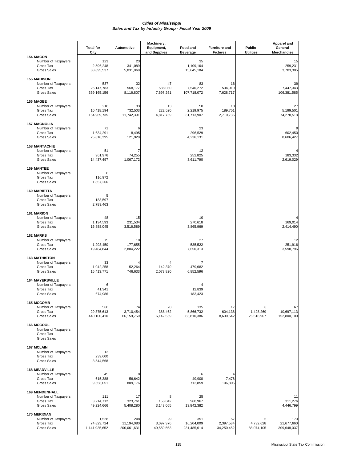|                                                                                  | <b>Total for</b><br>City             | Automotive                       | Machinery,<br>Equipment,<br>and Supplies | Food and<br><b>Beverage</b>      | <b>Furniture and</b><br><b>Fixtures</b> | Public<br><b>Utilities</b>   | <b>Apparel and</b><br>General<br>Merchandise |
|----------------------------------------------------------------------------------|--------------------------------------|----------------------------------|------------------------------------------|----------------------------------|-----------------------------------------|------------------------------|----------------------------------------------|
| <b>154 MACON</b><br>Number of Taxpayers<br>Gross Tax<br><b>Gross Sales</b>       | 123<br>2,596,248<br>38,895,537       | 23<br>341,089<br>5,031,068       |                                          | 35<br>1,109,164<br>15,845,184    |                                         |                              | 15<br>259,231<br>3,703,305                   |
| <b>155 MADISON</b><br>Number of Taxpayers<br>Gross Tax<br><b>Gross Sales</b>     | 537<br>25, 147, 783<br>369,165,156   | 32<br>568,177<br>8,116,807       | 47<br>538,030<br>7,697,261               | 83<br>7,540,272<br>107,718,072   | 16<br>534,010<br>7,628,717              |                              | 39<br>7,447,343<br>106,381,585               |
| <b>156 MAGEE</b><br>Number of Taxpayers<br>Gross Tax<br><b>Gross Sales</b>       | 216<br>10,418,194<br>154,969,735     | 33<br>732,503<br>11,742,391      | 13<br>222,520<br>4,817,769               | 50<br>2,219,975<br>31,713,907    | 10<br>189,751<br>2,710,736              |                              | 27<br>5,199,501<br>74,278,518                |
| <b>157 MAGNOLIA</b><br>Number of Taxpayers<br>Gross Tax<br><b>Gross Sales</b>    | 71<br>1,634,291<br>25,816,395        | 6<br>8,495<br>121,928            |                                          | 23<br>296,529<br>4,236,131       |                                         |                              | 602,450<br>8,606,427                         |
| <b>158 MANTACHIE</b><br>Number of Taxpayers<br>Gross Tax<br><b>Gross Sales</b>   | 51<br>961,976<br>14,437,497          | 74,255<br>1,067,172              |                                          | 12<br>252,825<br>3,611,790       |                                         |                              | 183,332<br>2,619,029                         |
| <b>159 MANTEE</b><br>Number of Taxpayers<br>Gross Tax<br><b>Gross Sales</b>      | 6<br>116,972<br>1,857,266            |                                  |                                          |                                  |                                         |                              |                                              |
| <b>160 MARIETTA</b><br>Number of Taxpayers<br>Gross Tax<br><b>Gross Sales</b>    | 5<br>183,597<br>2,789,463            |                                  |                                          |                                  |                                         |                              |                                              |
| <b>161 MARION</b><br>Number of Taxpayers<br>Gross Tax<br><b>Gross Sales</b>      | 48<br>1,134,593<br>16,888,045        | 15<br>231,534<br>3,516,589       |                                          | 10<br>270,618<br>3,865,969       |                                         |                              | 169,014<br>2,414,490                         |
| 162 MARKS<br>Number of Taxpayers<br>Gross Tax<br><b>Gross Sales</b>              | 75<br>1,293,450<br>19,484,844        | 10<br>177,655<br>2,804,222       |                                          | 27<br>535,522<br>7,650,313       |                                         |                              | 12<br>251,916<br>3,598,796                   |
| <b>163 MATHISTON</b><br>Number of Taxpayers<br>Gross Tax<br><b>Gross Sales</b>   | 33<br>1,042,258<br>15,413,771        | 52,264<br>746,633                | 142,370<br>2,073,820                     | 7<br>479,682<br>6,852,596        |                                         |                              |                                              |
| <b>164 MAYERSVILLE</b><br>Number of Taxpayers<br>Gross Tax<br><b>Gross Sales</b> | 6<br>41,341<br>674,986               |                                  |                                          | 12,839<br>183,423                |                                         |                              |                                              |
| <b>165 MCCOMB</b><br>Number of Taxpayers<br>Gross Tax<br><b>Gross Sales</b>      | 566<br>29,375,613<br>440,100,410     | 74<br>3,710,454<br>66,159,759    | 28<br>388,462<br>6,142,559               | 135<br>5,866,732<br>83,810,386   | 17<br>604,138<br>8,630,542              | 6<br>1,428,269<br>26,518,907 | 67<br>10,697,113<br>152,800,100              |
| 166 MCCOOL<br>Number of Taxpayers<br>Gross Tax<br><b>Gross Sales</b>             |                                      |                                  |                                          |                                  |                                         |                              |                                              |
| <b>167 MCLAIN</b><br>Number of Taxpayers<br>Gross Tax<br><b>Gross Sales</b>      | 12<br>239,600<br>3,544,568           |                                  |                                          |                                  |                                         |                              |                                              |
| <b>168 MEADVILLE</b><br>Number of Taxpayers<br>Gross Tax<br><b>Gross Sales</b>   | 45<br>615,388<br>9,558,051           | 8<br>56,642<br>809,176           |                                          | 6<br>49,900<br>712,859           | 7,476<br>106,805                        |                              |                                              |
| <b>169 MENDENHALL</b><br>Number of Taxpayers<br>Gross Tax<br><b>Gross Sales</b>  | 111<br>3,214,712<br>49,224,666       | 17<br>323,761<br>5,408,280       | 8<br>153,042<br>3,143,065                | 25<br>968,967<br>13,842,382      |                                         |                              | 11<br>311,276<br>4,446,799                   |
| <b>170 MERIDIAN</b><br>Number of Taxpayers<br>Gross Tax<br><b>Gross Sales</b>    | 1,528<br>74,823,724<br>1,141,935,652 | 208<br>11,194,080<br>200,061,631 | 99<br>3,097,376<br>49,550,563            | 351<br>16,204,009<br>231,485,614 | 57<br>2,397,534<br>34,250,452           | 6<br>4,732,628<br>88,074,105 | 173<br>21,677,660<br>309,648,037             |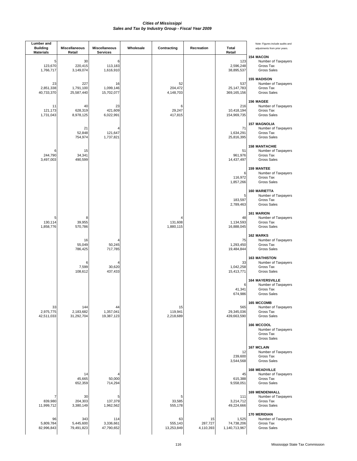| <b>Lumber</b> and<br><b>Building</b><br><b>Materials</b> | <b>Miscellaneous</b><br>Retail | <b>Miscellaneous</b><br>Services | Wholesale | Contracting                 | Recreation                 | Total<br>Retail                      | Note: Figures include audits and<br>adjustments from prior years.                |
|----------------------------------------------------------|--------------------------------|----------------------------------|-----------|-----------------------------|----------------------------|--------------------------------------|----------------------------------------------------------------------------------|
| 5<br>123,670<br>1,766,717                                | 30<br>220,415<br>3,149,074     | 6<br>113,183<br>1,616,910        |           |                             |                            | 123<br>2,596,248<br>38,895,537       | <b>154 MACON</b><br>Number of Taxpayers<br>Gross Tax<br><b>Gross Sales</b>       |
| 23<br>2,851,338<br>40,733,370                            | 227<br>1,791,100<br>25,587,440 | 16<br>1,099,146<br>15,702,077    |           | 52<br>204,472<br>4,148,703  |                            | 537<br>25, 147, 783<br>369,165,156   | <b>155 MADISON</b><br>Number of Taxpayers<br>Gross Tax<br><b>Gross Sales</b>     |
| 11<br>121,173<br>1,731,043                               | 40<br>628,319<br>8,978,125     | 23<br>421,609<br>6,022,991       |           | 6<br>29,247<br>417,815      |                            | 216<br>10,418,194<br>154,969,735     | 156 MAGEE<br>Number of Taxpayers<br>Gross Tax<br><b>Gross Sales</b>              |
|                                                          | 21<br>52,848<br>754,974        | 121,647<br>1,737,821             |           |                             |                            | 71<br>1,634,291<br>25,816,395        | <b>157 MAGNOLIA</b><br>Number of Taxpayers<br>Gross Tax<br><b>Gross Sales</b>    |
| 6<br>244,790<br>3,497,003                                | 15<br>34,341<br>490,599        |                                  |           |                             |                            | 51<br>961,976<br>14,437,497          | <b>158 MANTACHIE</b><br>Number of Taxpayers<br>Gross Tax<br><b>Gross Sales</b>   |
|                                                          |                                |                                  |           |                             |                            | 6<br>116,972<br>1,857,266            | <b>159 MANTEE</b><br>Number of Taxpayers<br>Gross Tax<br><b>Gross Sales</b>      |
|                                                          |                                |                                  |           |                             |                            | 5<br>183,597<br>2,789,463            | <b>160 MARIETTA</b><br>Number of Taxpayers<br>Gross Tax<br><b>Gross Sales</b>    |
| 130,114<br>1,858,776                                     | 8<br>39,955<br>570,786         |                                  |           | 131,608<br>1,880,115        |                            | 48<br>1,134,593<br>16,888,045        | <b>161 MARION</b><br>Number of Taxpayers<br>Gross Tax<br><b>Gross Sales</b>      |
|                                                          | 16<br>55,049<br>786,425        | 50,245<br>717,785                |           |                             |                            | 75<br>1,293,450<br>19,484,844        | 162 MARKS<br>Number of Taxpayers<br>Gross Tax<br><b>Gross Sales</b>              |
|                                                          | 6<br>7,599<br>108,612          | 4<br>30,620<br>437,433           |           |                             |                            | 33<br>1,042,258<br>15,413,771        | <b>163 MATHISTON</b><br>Number of Taxpayers<br>Gross Tax<br><b>Gross Sales</b>   |
|                                                          |                                |                                  |           |                             |                            | 6<br>41,341<br>674,986               | <b>164 MAYERSVILLE</b><br>Number of Taxpayers<br>Gross Tax<br><b>Gross Sales</b> |
| 33<br>2,975,775<br>42,511,033                            | 144<br>2,183,682<br>31,292,704 | 44<br>1,357,041<br>19,387,123    |           | 15<br>119,941<br>2,218,689  |                            | 565<br>29,345,036<br>439,663,590     | <b>165 MCCOMB</b><br>Number of Taxpayers<br>Gross Tax<br><b>Gross Sales</b>      |
|                                                          |                                |                                  |           |                             |                            |                                      | 166 MCCOOL<br>Number of Taxpayers<br>Gross Tax<br><b>Gross Sales</b>             |
|                                                          |                                |                                  |           |                             |                            | 12<br>239,600<br>3,544,568           | <b>167 MCLAIN</b><br>Number of Taxpayers<br>Gross Tax<br><b>Gross Sales</b>      |
|                                                          | 14<br>45,665<br>652,359        | 50,000<br>714,294                |           |                             |                            | 45<br>615,388<br>9,558,051           | <b>168 MEADVILLE</b><br>Number of Taxpayers<br>Gross Tax<br><b>Gross Sales</b>   |
| 7<br>839,980<br>11,999,712                               | 30<br>204,303<br>3,380,149     | 5<br>137,379<br>1,962,562        |           | 5<br>33,585<br>555,178      |                            | 111<br>3,214,712<br>49,224,666       | <b>169 MENDENHALL</b><br>Number of Taxpayers<br>Gross Tax<br><b>Gross Sales</b>  |
| 96<br>5,809,784<br>82,996,843                            | 343<br>5,445,600<br>79,491,823 | 114<br>3,336,661<br>47,790,652   |           | 63<br>555,143<br>13,253,849 | 15<br>287,727<br>4,110,393 | 1,525<br>74,738,206<br>1,140,713,967 | <b>170 MERIDIAN</b><br>Number of Taxpayers<br>Gross Tax<br><b>Gross Sales</b>    |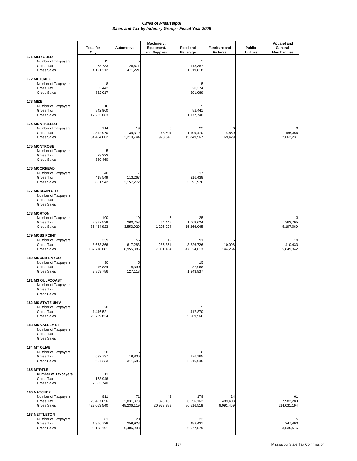| 171 MERIGOLD                                                                       | <b>Total for</b><br>City         | <b>Automotive</b>             | Machinery,<br>Equipment,<br>and Supplies | Food and<br><b>Beverage</b>    | <b>Furniture and</b><br><b>Fixtures</b> | Public<br><b>Utilities</b> | <b>Apparel and</b><br>General<br>Merchandise |  |
|------------------------------------------------------------------------------------|----------------------------------|-------------------------------|------------------------------------------|--------------------------------|-----------------------------------------|----------------------------|----------------------------------------------|--|
| Number of Taxpayers<br>Gross Tax<br><b>Gross Sales</b>                             | 15<br>278,733<br>4, 191, 212     | 5<br>26,671<br>471,221        |                                          | 5<br>113,387<br>1,619,818      |                                         |                            |                                              |  |
| <b>172 METCALFE</b><br>Number of Taxpayers<br>Gross Tax<br><b>Gross Sales</b>      | 8<br>53,442<br>832,017           |                               |                                          | 5<br>20,374<br>291,069         |                                         |                            |                                              |  |
| <b>173 MIZE</b><br>Number of Taxpayers<br>Gross Tax<br><b>Gross Sales</b>          | 16<br>842,960<br>12,283,083      |                               |                                          | 5<br>82,441<br>1,177,740       |                                         |                            |                                              |  |
| <b>174 MONTICELLO</b><br>Number of Taxpayers<br>Gross Tax<br><b>Gross Sales</b>    | 114<br>2,312,970<br>34,464,602   | 19<br>139,319<br>2,210,744    | 6<br>68,504<br>978,640                   | 23<br>1,109,470<br>15,849,567  | 6<br>4,860<br>69,429                    |                            | 9<br>186,356<br>2,662,231                    |  |
| <b>175 MONTROSE</b><br>Number of Taxpayers<br>Gross Tax<br><b>Gross Sales</b>      | 5<br>23,223<br>380,460           |                               |                                          |                                |                                         |                            |                                              |  |
| <b>176 MOORHEAD</b><br>Number of Taxpayers<br>Gross Tax<br><b>Gross Sales</b>      | 40<br>418,549<br>6,801,542       | 7<br>113,267<br>2,157,272     |                                          | 17<br>216,438<br>3,091,976     |                                         |                            |                                              |  |
| <b>177 MORGAN CITY</b><br>Number of Taxpayers<br>Gross Tax<br><b>Gross Sales</b>   |                                  |                               |                                          |                                |                                         |                            |                                              |  |
| <b>178 MORTON</b><br>Number of Taxpayers<br>Gross Tax<br><b>Gross Sales</b>        | 100<br>2,377,539<br>36,434,923   | 19<br>200,753<br>3,553,029    | 5<br>54,445<br>1,296,024                 | 25<br>1,068,624<br>15,266,045  |                                         |                            | 13<br>363,795<br>5,197,069                   |  |
| <b>179 MOSS POINT</b><br>Number of Taxpayers<br>Gross Tax<br><b>Gross Sales</b>    | 339<br>8,653,366<br>132,718,081  | 55<br>617,283<br>8,955,386    | 12<br>285,351<br>7,081,184               | 91<br>3,326,726<br>47,524,613  | 5<br>10,098<br>144,264                  |                            | 19<br>410,433<br>5,849,342                   |  |
| <b>180 MOUND BAYOU</b><br>Number of Taxpayers<br>Gross Tax<br><b>Gross Sales</b>   | 30<br>246,884<br>3,869,786       | 5<br>8,390<br>127,113         |                                          | 15<br>87,068<br>1,243,837      |                                         |                            |                                              |  |
| <b>181 MS GULFCOAST</b><br>Number of Taxpayers<br>Gross Tax<br><b>Gross Sales</b>  |                                  |                               |                                          |                                |                                         |                            |                                              |  |
| <b>182 MS STATE UNIV</b><br>Number of Taxpayers<br>Gross Tax<br><b>Gross Sales</b> | 20<br>1,446,521<br>20,729,834    |                               |                                          | 5<br>417,870<br>5,969,566      |                                         |                            |                                              |  |
| <b>183 MS VALLEY ST</b><br>Number of Taxpayers<br>Gross Tax<br><b>Gross Sales</b>  |                                  |                               |                                          |                                |                                         |                            |                                              |  |
| <b>184 MT OLIVE</b><br>Number of Taxpayers<br>Gross Tax<br><b>Gross Sales</b>      | 30<br>532,737<br>8,657,233       | 19,800<br>311,686             |                                          | 8<br>176,165<br>2,516,646      |                                         |                            |                                              |  |
| <b>185 MYRTLE</b><br><b>Number of Taxpayers</b><br>Gross Tax<br><b>Gross Sales</b> | 11<br>168,946<br>2,563,740       |                               |                                          |                                |                                         |                            |                                              |  |
| <b>186 NATCHEZ</b><br>Number of Taxpayers<br>Gross Tax<br><b>Gross Sales</b>       | 811<br>28,467,656<br>427,053,540 | 71<br>2,831,878<br>48,236,119 | 49<br>1,376,165<br>20,979,388            | 179<br>6,056,162<br>86,516,518 | 24<br>489,403<br>6,991,469              |                            | 61<br>7,982,280<br>114,031,194               |  |
| <b>187 NETTLETON</b><br>Number of Taxpayers<br>Gross Tax<br><b>Gross Sales</b>     | 81<br>1,366,728<br>23, 133, 191  | 20<br>259,928<br>6,406,993    |                                          | 23<br>488,431<br>6,977,579     |                                         |                            | 5<br>247,490<br>3,535,576                    |  |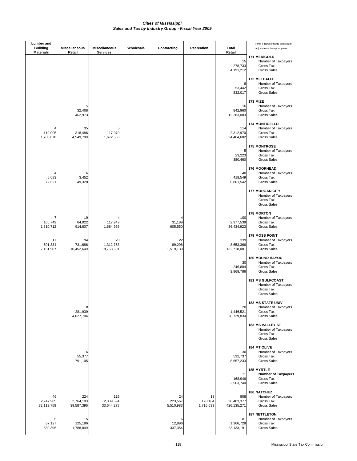| <b>Lumber</b> and<br><b>Building</b> | <b>Miscellaneous</b>           | <b>Miscellaneous</b>           | Wholesale | Contracting                | Recreation                 | Total                                | Note: Figures include audits and<br>adjustments from prior years.                 |
|--------------------------------------|--------------------------------|--------------------------------|-----------|----------------------------|----------------------------|--------------------------------------|-----------------------------------------------------------------------------------|
| <b>Materials</b>                     | Retail                         | <b>Services</b>                |           |                            |                            | Retail<br>15<br>278,733<br>4,191,212 | 171 MERIGOLD<br>Number of Taxpayers<br>Gross Tax<br><b>Gross Sales</b>            |
|                                      |                                |                                |           |                            |                            | 8<br>53,442<br>832,017               | <b>172 METCALFE</b><br>Number of Taxpayers<br>Gross Tax<br><b>Gross Sales</b>     |
|                                      | 5<br>32,408<br>462,973         |                                |           |                            |                            | 16<br>842,960<br>12,283,083          | <b>173 MIZE</b><br>Number of Taxpayers<br>Gross Tax<br><b>Gross Sales</b>         |
| 119,005<br>1,700,070                 | 35<br>318,486<br>4,549,799     | 5<br>117,079<br>1,672,563      |           |                            |                            | 114<br>2,312,970<br>34,464,602       | <b>174 MONTICELLO</b><br>Number of Taxpayers<br>Gross Tax<br><b>Gross Sales</b>   |
|                                      |                                |                                |           |                            |                            | 5<br>23,223<br>380,460               | <b>175 MONTROSE</b><br>Number of Taxpayers<br>Gross Tax<br><b>Gross Sales</b>     |
| Δ<br>5,083<br>72,621                 | 6<br>3,452<br>49,320           |                                |           |                            |                            | 40<br>418,549<br>6,801,542           | <b>176 MOORHEAD</b><br>Number of Taxpayers<br>Gross Tax<br><b>Gross Sales</b>     |
|                                      |                                |                                |           |                            |                            |                                      | <b>177 MORGAN CITY</b><br>Number of Taxpayers<br>Gross Tax<br>Gross Sales         |
| 105,749<br>1,510,712                 | 19<br>64,022<br>914,607        | 117,947<br>1,684,968           |           | 31,189<br>605,550          |                            | 100<br>2,377,539<br>36,434,923       | <b>178 MORTON</b><br>Number of Taxpayers<br>Gross Tax<br><b>Gross Sales</b>       |
| 17<br>501,334<br>7,161,907           | 94<br>731,686<br>10,452,649    | 20<br>1,312,753<br>18,753,601  |           | 22<br>89,296<br>1,519,139  |                            | 339<br>8,653,366<br>132,718,081      | <b>179 MOSS POINT</b><br>Number of Taxpayers<br>Gross Tax<br><b>Gross Sales</b>   |
|                                      |                                |                                |           |                            |                            | 30<br>246,884<br>3,869,786           | <b>180 MOUND BAYOU</b><br>Number of Taxpayers<br>Gross Tax<br><b>Gross Sales</b>  |
|                                      |                                |                                |           |                            |                            |                                      | <b>181 MS GULFCOAST</b><br>Number of Taxpayers<br>Gross Tax<br><b>Gross Sales</b> |
|                                      | 8<br>281,939<br>4,027,704      |                                |           |                            |                            | 20<br>1,446,521<br>20,729,834        | <b>182 MS STATE UNIV</b><br>Number of Taxpayers<br>Gross Tax<br>Gross Sales       |
|                                      |                                |                                |           |                            |                            |                                      | <b>183 MS VALLEY ST</b><br>Number of Taxpayers<br>Gross Tax<br><b>Gross Sales</b> |
|                                      | 6<br>55,377<br>791,105         |                                |           |                            |                            | 30<br>532,737<br>8,657,233           | 184 MT OLIVE<br>Number of Taxpayers<br>Gross Tax<br>Gross Sales                   |
|                                      |                                |                                |           |                            |                            | 11<br>168,946<br>2,563,740           | 185 MYRTLE<br><b>Number of Taxpayers</b><br>Gross Tax<br><b>Gross Sales</b>       |
| 46<br>2,247,965<br>32,113,759        | 224<br>2,764,103<br>39,587,396 | 116<br>2,339,594<br>33,644,278 |           | 24<br>223,567<br>5,510,983 | 13<br>120,164<br>1,716,639 | 808<br>28,403,377<br>426,135,271     | <b>186 NATCHEZ</b><br>Number of Taxpayers<br>Gross Tax<br>Gross Sales             |
| 6<br>37,127<br>530,396               | 15<br>125,186<br>1,788,849     |                                |           | 6<br>12,896<br>337,354     |                            | 81<br>1,366,728<br>23, 133, 191      | <b>187 NETTLETON</b><br>Number of Taxpayers<br>Gross Tax<br>Gross Sales           |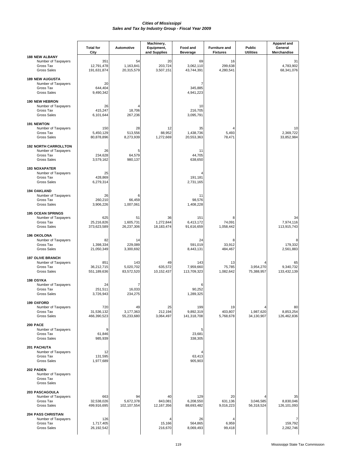|                                                                                       | <b>Total for</b><br>City         | <b>Automotive</b>              | Machinery,<br>Equipment,<br>and Supplies | Food and<br><b>Beverage</b>     | <b>Furniture and</b><br><b>Fixtures</b> | Public<br><b>Utilities</b> | <b>Apparel and</b><br>General<br>Merchandise |
|---------------------------------------------------------------------------------------|----------------------------------|--------------------------------|------------------------------------------|---------------------------------|-----------------------------------------|----------------------------|----------------------------------------------|
| <b>188 NEW ALBANY</b><br>Number of Taxpayers<br>Gross Tax<br><b>Gross Sales</b>       | 351<br>12,791,478<br>191,631,874 | 54<br>1,163,841<br>20,315,579  | 20<br>203,724<br>3,507,151               | 69<br>3,062,110<br>43,744,391   | 16<br>299,638<br>4,280,541              |                            | 31<br>4,783,902<br>68,341,076                |
| <b>189 NEW AUGUSTA</b><br>Number of Taxpayers<br>Gross Tax<br><b>Gross Sales</b>      | 20<br>644,404<br>9,490,342       |                                |                                          | 345,885<br>4,941,223            |                                         |                            |                                              |
| <b>190 NEW HEBRON</b><br>Number of Taxpayers<br>Gross Tax<br><b>Gross Sales</b>       | 26<br>415,247<br>6,101,644       | 18,706<br>267,236              |                                          | 10<br>216,705<br>3,095,791      |                                         |                            |                                              |
| <b>191 NEWTON</b><br>Number of Taxpayers<br>Gross Tax<br><b>Gross Sales</b>           | 150<br>5,450,129<br>80,878,896   | 28<br>513,556<br>8,273,939     | 12<br>88,952<br>1,272,669                | 35<br>1,438,736<br>20,553,363   | 5,493<br>78,471                         |                            | 10<br>2,369,722<br>33,852,984                |
| <b>192 NORTH CARROLLTON</b><br>Number of Taxpayers<br>Gross Tax<br><b>Gross Sales</b> | 26<br>234,628<br>3,579,162       | 5<br>64,579<br>980,137         |                                          | 11<br>44,705<br>638,650         |                                         |                            |                                              |
| <b>193 NOXAPATER</b><br>Number of Taxpayers<br>Gross Tax<br><b>Gross Sales</b>        | 25<br>428,869<br>6,279,314       |                                |                                          | 191,181<br>2,731,165            |                                         |                            |                                              |
| <b>194 OAKLAND</b><br>Number of Taxpayers<br>Gross Tax<br><b>Gross Sales</b>          | 26<br>260,210<br>3,906,226       | 66,459<br>1,007,061            |                                          | 11<br>98.576<br>1,408,228       |                                         |                            |                                              |
| <b>195 OCEAN SPRINGS</b><br>Number of Taxpayers<br>Gross Tax<br><b>Gross Sales</b>    | 625<br>25,216,826<br>373,623,589 | 51<br>1,605,731<br>26,237,306  | 36<br>1,272,844<br>18,183,474            | 151<br>6,413,172<br>91,616,659  | 74,091<br>1,058,442                     |                            | 34<br>7,974,116<br>113,915,743               |
| <b>196 OKOLONA</b><br>Number of Taxpayers<br>Gross Tax<br><b>Gross Sales</b>          | 82<br>1,398,334<br>21,050,349    | 14<br>229,089<br>3,300,692     |                                          | 24<br>591,019<br>8,443,131      | 8<br>33,912<br>484,467                  |                            | 8<br>179,332<br>2,561,883                    |
| <b>197 OLIVE BRANCH</b><br>Number of Taxpayers<br>Gross Tax<br><b>Gross Sales</b>     | 851<br>36,212,715<br>551,189,636 | 143<br>5,020,702<br>83,572,520 | 49<br>635,572<br>10,152,437              | 143<br>7,959,660<br>113,709,323 | 13<br>75,785<br>1,082,642               | 3,954,270<br>75,388,957    | 65<br>9,340,732<br>133,432,139               |
| 198 OSYKA<br>Number of Taxpayers<br>Gross Tax<br><b>Gross Sales</b>                   | 24<br>251,511<br>3,726,943       | 7<br>16,033<br>234,275         |                                          | 90,252<br>1,289,325             |                                         |                            |                                              |
| <b>199 OXFORD</b><br>Number of Taxpayers<br>Gross Tax<br><b>Gross Sales</b>           | 720<br>31,536,132<br>466,390,523 | 49<br>3,177,363<br>55,233,680  | 25<br>212,194<br>3,064,497               | 199<br>9,892,319<br>141,318,708 | 19<br>403,807<br>5,768,678              | 1,987,620<br>34,130,907    | 80<br>8,853,254<br>126,462,836               |
| <b>200 PACE</b><br>Number of Taxpayers<br>Gross Tax<br><b>Gross Sales</b>             | 9<br>61,846<br>985,939           |                                |                                          | 5<br>23,681<br>338,305          |                                         |                            |                                              |
| 201 PACHUTA<br>Number of Taxpayers<br>Gross Tax<br><b>Gross Sales</b>                 | 12<br>131,595<br>1,977,689       |                                |                                          | 63,413<br>905,903               |                                         |                            |                                              |
| 202 PADEN<br>Number of Taxpayers<br>Gross Tax<br><b>Gross Sales</b>                   |                                  |                                |                                          |                                 |                                         |                            |                                              |
| 203 PASCAGOULA<br>Number of Taxpayers<br>Gross Tax<br><b>Gross Sales</b>              | 663<br>32,538,026<br>499,916,695 | 94<br>5,672,378<br>102,107,554 | 40<br>843,081<br>12,167,356              | 129<br>6,208,550<br>88,693,482  | 20<br>631,136<br>9,016,223              | 3,046,585<br>56,318,524    | 35<br>8,830,046<br>126,101,093               |
| <b>204 PASS CHRISTIAN</b><br>Number of Taxpayers<br>Gross Tax<br><b>Gross Sales</b>   | 126<br>1,717,405<br>26,192,542   |                                | 4<br>15,166<br>216,670                   | 26<br>564,865<br>8,069,493      | 4<br>6,959<br>99,418                    |                            | 159,792<br>2,282,746                         |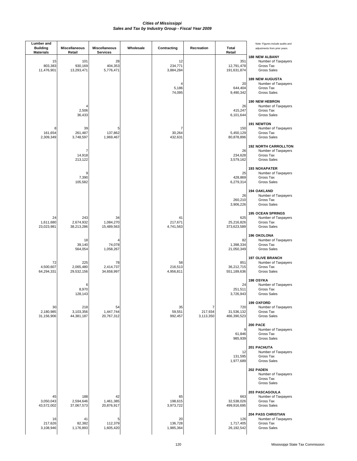| Lumber and<br><b>Building</b><br><b>Materials</b> | <b>Miscellaneous</b><br>Retail | Miscellaneous<br><b>Services</b> | Wholesale | Contracting                | Recreation                | Total<br>Retail                  | Note: Figures include audits and<br>adjustments from prior years.                     |
|---------------------------------------------------|--------------------------------|----------------------------------|-----------|----------------------------|---------------------------|----------------------------------|---------------------------------------------------------------------------------------|
| 15<br>803,383<br>11,476,901                       | 101<br>930,169<br>13,293,471   | 28<br>404,353<br>5,776,471       |           | 12<br>234,771<br>3,884,284 |                           | 351<br>12,791,478<br>191,631,874 | <b>188 NEW ALBANY</b><br>Number of Taxpayers<br>Gross Tax<br><b>Gross Sales</b>       |
|                                                   |                                |                                  |           | 5,186<br>74,095            |                           | 20<br>644,404<br>9,490,342       | <b>189 NEW AUGUSTA</b><br>Number of Taxpayers<br>Gross Tax<br><b>Gross Sales</b>      |
|                                                   | 2,506<br>36,433                |                                  |           |                            |                           | 26<br>415,247<br>6,101,644       | <b>190 NEW HEBRON</b><br>Number of Taxpayers<br>Gross Tax<br><b>Gross Sales</b>       |
| 8<br>161,654<br>2,309,349                         | 39<br>261,487<br>3,748,597     | 5<br>137,862<br>1,969,467        |           | 7<br>30,264<br>432,631     |                           | 150<br>5,450,129<br>80,878,896   | <b>191 NEWTON</b><br>Number of Taxpayers<br>Gross Tax<br><b>Gross Sales</b>           |
|                                                   | 7<br>14,918<br>213,122         |                                  |           |                            |                           | 26<br>234,628<br>3,579,162       | <b>192 NORTH CARROLLTON</b><br>Number of Taxpayers<br>Gross Tax<br><b>Gross Sales</b> |
|                                                   | 9<br>7,390<br>105,582          |                                  |           |                            |                           | 25<br>428,869<br>6,279,314       | <b>193 NOXAPATER</b><br>Number of Taxpayers<br>Gross Tax<br><b>Gross Sales</b>        |
|                                                   |                                |                                  |           |                            |                           | 26<br>260,210<br>3,906,226       | <b>194 OAKLAND</b><br>Number of Taxpayers<br>Gross Tax<br><b>Gross Sales</b>          |
| 24<br>1,611,680<br>23,023,981                     | 243<br>2,674,932<br>38,213,286 | 34<br>1,084,270<br>15,489,563    |           | 41<br>217,671<br>4,741,563 |                           | 625<br>25,216,826<br>373,623,589 | <b>195 OCEAN SPRINGS</b><br>Number of Taxpayers<br>Gross Tax<br><b>Gross Sales</b>    |
|                                                   | 18<br>39,140<br>564,054        | 4<br>74,078<br>1,058,267         |           |                            |                           | 82<br>1,398,334<br>21,050,349    | <b>196 OKOLONA</b><br>Number of Taxpayers<br>Gross Tax<br><b>Gross Sales</b>          |
| 72<br>4,500,607<br>64,294,331                     | 225<br>2,065,480<br>29,532,156 | 78<br>2,414,737<br>34,658,997    |           | 58<br>216,513<br>4,956,811 |                           | 851<br>36,212,715<br>551,189,636 | <b>197 OLIVE BRANCH</b><br>Number of Taxpayers<br>Gross Tax<br><b>Gross Sales</b>     |
|                                                   | 6<br>8,970<br>128,143          |                                  |           |                            |                           | 24<br>251,511<br>3,726,943       | 198 OSYKA<br>Number of Taxpayers<br>Gross Tax<br><b>Gross Sales</b>                   |
| 30<br>2,180,985<br>31,156,906                     | 218<br>3,103,356<br>44,381,187 | 54<br>1,447,744<br>20,767,312    |           | 35<br>59,551<br>992,457    | 7<br>217,934<br>3,113,350 | 720<br>31,536,132<br>466,390,523 | 199 OXFORD<br>Number of Taxpayers<br>Gross Tax<br><b>Gross Sales</b>                  |
|                                                   |                                |                                  |           |                            |                           | 9<br>61,846<br>985,939           | <b>200 PACE</b><br>Number of Taxpayers<br>Gross Tax<br><b>Gross Sales</b>             |
|                                                   |                                |                                  |           |                            |                           | 12<br>131,595<br>1,977,689       | 201 PACHUTA<br>Number of Taxpayers<br>Gross Tax<br><b>Gross Sales</b>                 |
|                                                   |                                |                                  |           |                            |                           |                                  | 202 PADEN<br>Number of Taxpayers<br>Gross Tax<br><b>Gross Sales</b>                   |
| 45<br>3,050,043<br>43,572,002                     | 188<br>2,594,646<br>37,067,573 | 42<br>1,461,385<br>20,876,917    |           | 65<br>198,615<br>3,973,722 |                           | 663<br>32,538,026<br>499,916,695 | 203 PASCAGOULA<br>Number of Taxpayers<br>Gross Tax<br>Gross Sales                     |
| 16<br>217,626<br>3,108,946                        | 41<br>82,382<br>1,176,893      | 5<br>112,379<br>1,605,420        |           | 20<br>136,728<br>1,985,364 |                           | 126<br>1,717,405<br>26,192,542   | <b>204 PASS CHRISTIAN</b><br>Number of Taxpayers<br>Gross Tax<br><b>Gross Sales</b>   |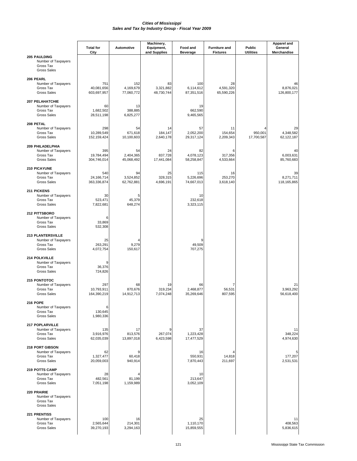|                                                                                    | <b>Total for</b>                 | Automotive                     | Machinery,<br>Equipment,      | Food and                       | <b>Furniture and</b>          | Public                | Apparel and<br>General         |
|------------------------------------------------------------------------------------|----------------------------------|--------------------------------|-------------------------------|--------------------------------|-------------------------------|-----------------------|--------------------------------|
|                                                                                    | City                             |                                | and Supplies                  | <b>Beverage</b>                | <b>Fixtures</b>               | <b>Utilities</b>      | Merchandise                    |
| 205 PAULDING<br>Number of Taxpayers<br>Gross Tax<br><b>Gross Sales</b>             |                                  |                                |                               |                                |                               |                       |                                |
| 206 PEARL<br>Number of Taxpayers<br>Gross Tax<br><b>Gross Sales</b>                | 751<br>40,081,656<br>603,697,957 | 152<br>4,169,679<br>77,060,772 | 83<br>3,321,882<br>48,730,744 | 100<br>6,114,612<br>87,351,516 | 28<br>4,591,320<br>65,590,226 |                       | 46<br>8,876,021<br>126,800,177 |
| <b>207 PELAHATCHIE</b><br>Number of Taxpayers<br>Gross Tax<br><b>Gross Sales</b>   | 60<br>1,682,502<br>28,511,198    | 13<br>388,885<br>6,825,277     |                               | 19<br>662,590<br>9,465,565     |                               |                       |                                |
| 208 PETAL<br>Number of Taxpayers<br>Gross Tax<br><b>Gross Sales</b>                | 298<br>10,289,549<br>152,159,424 | 54<br>671,618<br>10,100,603    | 14<br>184,147<br>2,640,178    | 57<br>2,052,200<br>29,317,124  | 11<br>154,654<br>2,209,343    | 950,001<br>17,700,587 | 29<br>4,348,582<br>62,122,187  |
| 209 PHILADELPHIA<br>Number of Taxpayers<br>Gross Tax<br><b>Gross Sales</b>         | 395<br>19,784,494<br>304,746,014 | 54<br>2,404,365<br>45,068,492  | 24<br>837,728<br>17,441,084   | 82<br>4,078,123<br>58,258,847  | 6<br>317,356<br>4,533,664     |                       | 40<br>6,003,631<br>85,760,683  |
| 210 PICAYUNE<br>Number of Taxpayers<br>Gross Tax<br><b>Gross Sales</b>             | 540<br>24,166,714<br>363,336,874 | 94<br>3,524,852<br>62,762,881  | 25<br>328,315<br>4,696,191    | 115<br>5,226,696<br>74,667,013 | 16<br>253,270<br>3,618,140    |                       | 39<br>8,271,711<br>118,165,865 |
| 211 PICKENS<br>Number of Taxpayers<br>Gross Tax<br><b>Gross Sales</b>              | 30<br>523,471<br>7,822,681       | 5<br>45,379<br>648,274         |                               | 10<br>232,618<br>3,323,115     |                               |                       |                                |
| 212 PITTSBORO<br>Number of Taxpayers<br>Gross Tax<br><b>Gross Sales</b>            | 6<br>33,869<br>532,308           |                                |                               |                                |                               |                       |                                |
| <b>213 PLANTERSVILLE</b><br>Number of Taxpayers<br>Gross Tax<br><b>Gross Sales</b> | 25<br>263,291<br>4,072,754       | 9,279<br>150,617               |                               | 9<br>49,509<br>707,275         |                               |                       |                                |
| 214 POLKVILLE<br>Number of Taxpayers<br>Gross Tax<br><b>Gross Sales</b>            | 9<br>36,376<br>724,826           |                                |                               |                                |                               |                       |                                |
| 215 PONTOTOC<br>Number of Taxpayers<br>Gross Tax<br><b>Gross Sales</b>             | 297<br>10,793,911<br>164,390,219 | 68<br>870,676<br>14,912,713    | 19<br>319,234<br>7,074,248    | 66<br>2,468,877<br>35,269,646  | 56,531<br>807,595             |                       | 21<br>3,963,292<br>56,618,400  |
| <b>216 POPE</b><br>Number of Taxpayers<br>Gross Tax<br><b>Gross Sales</b>          | 6<br>130,645<br>1,980,336        |                                |                               |                                |                               |                       |                                |
| 217 POPLARVILLE<br>Number of Taxpayers<br>Gross Tax<br><b>Gross Sales</b>          | 135<br>3,916,976<br>62,035,039   | 17<br>813,576<br>13,897,018    | 267,074<br>6,423,598          | 37<br>1,223,428<br>17,477,529  |                               |                       | 11<br>348,224<br>4,974,630     |
| 218 PORT GIBSON<br>Number of Taxpayers<br>Gross Tax<br><b>Gross Sales</b>          | 62<br>1,327,477<br>20,059,003    | 60,418<br>940,914              |                               | 16<br>550,931<br>7,870,443     | 14,818<br>211,697             |                       | 177,207<br>2,531,531           |
| 219 POTTS CAMP<br>Number of Taxpayers<br>Gross Tax<br><b>Gross Sales</b>           | 28<br>482,561<br>7,051,198       | 81,199<br>1,159,989            |                               | 10<br>213,647<br>3,052,109     |                               |                       |                                |
| 220 PRAIRIE<br>Number of Taxpayers<br>Gross Tax<br><b>Gross Sales</b>              |                                  |                                |                               |                                |                               |                       |                                |
| 221 PRENTISS<br>Number of Taxpayers<br>Gross Tax<br><b>Gross Sales</b>             | 100<br>2,565,644<br>39,270,193   | 16<br>214,301<br>3,294,163     |                               | 25<br>1,110,170<br>15,859,555  |                               |                       | 11<br>408,563<br>5,836,615     |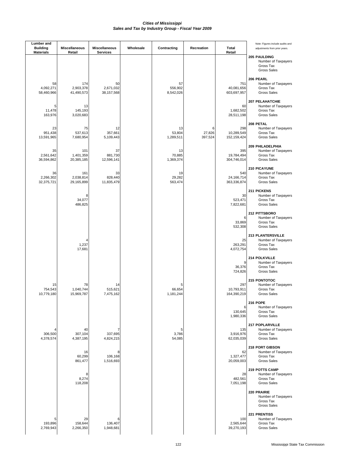| Lumber and<br><b>Building</b><br><b>Materials</b> | <b>Miscellaneous</b><br>Retail | Miscellaneous<br><b>Services</b> | Wholesale | Contracting                | Recreation             | <b>Total</b><br>Retail           | Note: Figures include audits and<br>adjustments from prior years.                  |
|---------------------------------------------------|--------------------------------|----------------------------------|-----------|----------------------------|------------------------|----------------------------------|------------------------------------------------------------------------------------|
|                                                   |                                |                                  |           |                            |                        |                                  | 205 PAULDING<br>Number of Taxpayers<br>Gross Tax<br><b>Gross Sales</b>             |
| 58<br>4,092,271<br>58,460,966                     | 174<br>2,903,378<br>41,490,573 | 50<br>2,671,032<br>38, 157, 568  |           | 57<br>556,902<br>8,542,026 |                        | 751<br>40,081,656<br>603,697,957 | 206 PEARL<br>Number of Taxpayers<br>Gross Tax<br><b>Gross Sales</b>                |
| 5<br>11,478<br>163,976                            | 13<br>145,193<br>3,020,683     |                                  |           |                            |                        | 60<br>1,682,502<br>28,511,198    | <b>207 PELAHATCHIE</b><br>Number of Taxpayers<br>Gross Tax<br><b>Gross Sales</b>   |
| 23<br>951,438<br>13,591,965                       | 75<br>537,613<br>7,680,954     | 12<br>357,661<br>5,109,443       |           | 13<br>53,804<br>1,289,511  | 6<br>27,826<br>397,524 | 298<br>10,289,549<br>152,159,424 | 208 PETAL<br>Number of Taxpayers<br>Gross Tax<br><b>Gross Sales</b>                |
| 35<br>2,561,642<br>36,594,862                     | 101<br>1,401,359<br>20,385,185 | 37<br>881,730<br>12,596,141      |           | 13<br>70,885<br>1,369,374  |                        | 395<br>19,784,494<br>304,746,014 | 209 PHILADELPHIA<br>Number of Taxpayers<br>Gross Tax<br><b>Gross Sales</b>         |
| 36<br>2,266,302<br>32,375,721                     | 161<br>2,038,814<br>29,165,899 | 33<br>828,440<br>11,835,479      |           | 19<br>29,282<br>563,474    |                        | 540<br>24,166,714<br>363,336,874 | 210 PICAYUNE<br>Number of Taxpayers<br>Gross Tax<br><b>Gross Sales</b>             |
|                                                   | 8<br>34,077<br>486,825         |                                  |           |                            |                        | 30<br>523,471<br>7,822,681       | 211 PICKENS<br>Number of Taxpayers<br>Gross Tax<br><b>Gross Sales</b>              |
|                                                   |                                |                                  |           |                            |                        | 6<br>33,869<br>532,308           | 212 PITTSBORO<br>Number of Taxpayers<br>Gross Tax<br><b>Gross Sales</b>            |
|                                                   | 4<br>1,237<br>17,681           |                                  |           |                            |                        | 25<br>263,291<br>4,072,754       | <b>213 PLANTERSVILLE</b><br>Number of Taxpayers<br>Gross Tax<br><b>Gross Sales</b> |
|                                                   |                                |                                  |           |                            |                        | 9<br>36,376<br>724,826           | 214 POLKVILLE<br>Number of Taxpayers<br>Gross Tax<br><b>Gross Sales</b>            |
| 15<br>754,543<br>10,779,180                       | 78<br>1,040,744<br>15,969,787  | 14<br>515,621<br>7,475,162       |           | 5<br>66,654<br>1,181,244   |                        | 297<br>10,793,911<br>164,390,219 | 215 PONTOTOC<br>Number of Taxpayers<br>Gross Tax<br><b>Gross Sales</b>             |
|                                                   |                                |                                  |           |                            |                        | 6<br>130,645<br>1,980,336        | <b>216 POPE</b><br>Number of Taxpayers<br>Gross Tax<br><b>Gross Sales</b>          |
| 306,500<br>4,378,574                              | 40<br>307,104<br>4,387,195     | 7<br>337,695<br>4,824,215        |           | 5<br>3,786<br>54,085       |                        | 135<br>3,916,976<br>62,035,039   | 217 POPLARVILLE<br>Number of Taxpayers<br>Gross Tax<br><b>Gross Sales</b>          |
|                                                   | 16<br>60,299<br>861,477        | 8<br>106,168<br>1,516,693        |           |                            |                        | 62<br>1,327,477<br>20,059,003    | 218 PORT GIBSON<br>Number of Taxpayers<br>Gross Tax<br><b>Gross Sales</b>          |
|                                                   | 8<br>8,274<br>118,208          |                                  |           |                            |                        | 28<br>482,561<br>7,051,198       | 219 POTTS CAMP<br>Number of Taxpayers<br>Gross Tax<br><b>Gross Sales</b>           |
|                                                   |                                |                                  |           |                            |                        |                                  | 220 PRAIRIE<br>Number of Taxpayers<br>Gross Tax<br>Gross Sales                     |
| 5<br>193,896<br>2,769,943                         | 29<br>158,644<br>2,266,350     | 6<br>136,407<br>1,948,681        |           |                            |                        | 100<br>2,565,644<br>39,270,193   | 221 PRENTISS<br>Number of Taxpayers<br>Gross Tax<br><b>Gross Sales</b>             |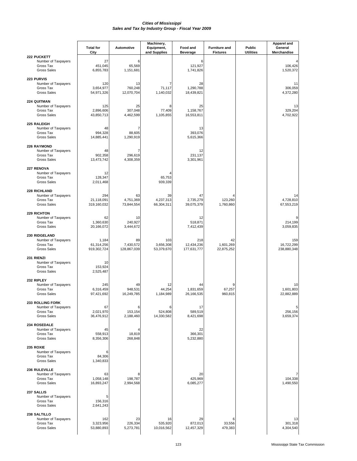|                                                                                   | <b>Total for</b><br>City           | <b>Automotive</b>              | Machinery,<br>Equipment,<br>and Supplies | Food and<br><b>Beverage</b>      | <b>Furniture and</b><br><b>Fixtures</b> | Public<br><b>Utilities</b> | <b>Apparel and</b><br>General<br>Merchandise |
|-----------------------------------------------------------------------------------|------------------------------------|--------------------------------|------------------------------------------|----------------------------------|-----------------------------------------|----------------------------|----------------------------------------------|
| 222 PUCKETT<br>Number of Taxpayers<br>Gross Tax<br><b>Gross Sales</b>             | 27<br>451,045<br>6,855,783         | 6<br>65,569<br>1,151,681       |                                          | 6<br>121,927<br>1,741,826        |                                         |                            | 106,426<br>1,520,372                         |
| <b>223 PURVIS</b><br>Number of Taxpayers<br>Gross Tax<br><b>Gross Sales</b>       | 120<br>3,654,977<br>54,971,326     | 13<br>760,248<br>12,070,704    | 7<br>71,117<br>1,140,032                 | 28<br>1,290,788<br>18,439,821    |                                         |                            | 11<br>306,059<br>4,372,280                   |
| 224 QUITMAN<br>Number of Taxpayers<br>Gross Tax<br><b>Gross Sales</b>             | 125<br>2,896,606<br>43,850,713     | 25<br>307,048<br>4,462,599     | 8<br>77,409<br>1,105,855                 | 25<br>1,158,767<br>16,553,811    |                                         |                            | 13<br>329,204<br>4,702,922                   |
| 225 RALEIGH<br>Number of Taxpayers<br>Gross Tax<br><b>Gross Sales</b>             | 48<br>994,328<br>14,885,441        | 7<br>88,605<br>1,290,919       |                                          | 13<br>393,076<br>5,615,366       |                                         |                            |                                              |
| 226 RAYMOND<br>Number of Taxpayers<br>Gross Tax<br><b>Gross Sales</b>             | 48<br>902,358<br>13,473,742        | 7<br>296,619<br>4,308,359      |                                          | 12<br>231,137<br>3,301,961       |                                         |                            |                                              |
| 227 RENOVA<br>Number of Taxpayers<br>Gross Tax<br><b>Gross Sales</b>              | 12<br>128,347<br>2,011,468         |                                | 65,753<br>939,339                        |                                  |                                         |                            |                                              |
| 228 RICHLAND<br>Number of Taxpayers<br>Gross Tax<br><b>Gross Sales</b>            | 294<br>21,118,091<br>319,160,032   | 63<br>4,751,369<br>73,844,554  | 39<br>4,237,313<br>66,304,311            | 47<br>2,735,279<br>39,075,379    | 123,260<br>1,760,860                    |                            | 14<br>4,728,810<br>67,553,219                |
| <b>229 RICHTON</b><br>Number of Taxpayers<br>Gross Tax<br><b>Gross Sales</b>      | 62<br>1,360,630<br>20,166,072      | 10<br>240,927<br>3,444,672     |                                          | 12<br>518,871<br>7,412,439       |                                         |                            | 9<br>214,199<br>3,059,835                    |
| 230 RIDGELAND<br>Number of Taxpayers<br>Gross Tax<br><b>Gross Sales</b>           | 1,184<br>61,314,256<br>919,302,724 | 89<br>7,430,572<br>128,867,039 | 103<br>3,656,308<br>53,379,670           | 218<br>12,434,236<br>177,631,777 | 42<br>1,601,269<br>22,875,252           |                            | 159<br>16,722,299<br>238,880,348             |
| 231 RIENZI<br>Number of Taxpayers<br>Gross Tax<br><b>Gross Sales</b>              | 10<br>153,924<br>2,525,487         |                                |                                          |                                  |                                         |                            |                                              |
| 232 RIPLEY<br>Number of Taxpayers<br>Gross Tax<br><b>Gross Sales</b>              | 245<br>6,316,459<br>97,421,692     | 49<br>948,531<br>16,249,785    | 12<br>44,254<br>1,184,989                | 44<br>1,831,659<br>26,166,535    | 67,257<br>960,815                       |                            | 10<br>1,601,803<br>22,882,889                |
| <b>233 ROLLING FORK</b><br>Number of Taxpayers<br>Gross Tax<br><b>Gross Sales</b> | 67<br>2,021,970<br>36,476,912      | 6<br>153,154<br>2,188,460      | 6<br>524,808<br>14,330,582               | 17<br>589,519<br>8,421,698       |                                         |                            | 5<br>256,156<br>3,659,374                    |
| 234 ROSEDALE<br>Number of Taxpayers<br>Gross Tax<br><b>Gross Sales</b>            | 45<br>558,913<br>8,356,306         | 18,819<br>268,848              |                                          | 22<br>366,301<br>5,232,880       |                                         |                            |                                              |
| 235 ROXIE<br>Number of Taxpayers<br>Gross Tax<br><b>Gross Sales</b>               | 6<br>84,306<br>1,340,833           |                                |                                          |                                  |                                         |                            |                                              |
| 236 RULEVILLE<br>Number of Taxpayers<br>Gross Tax<br><b>Gross Sales</b>           | 63<br>1,058,148<br>16,893,247      | 198,787<br>2,994,568           |                                          | 20<br>425,969<br>6,085,277       |                                         |                            | 104,338<br>1,490,550                         |
| 237 SALLIS<br>Number of Taxpayers<br>Gross Tax<br><b>Gross Sales</b>              | 5<br>156,316<br>2,641,243          |                                |                                          |                                  |                                         |                            |                                              |
| 238 SALTILLO<br>Number of Taxpayers<br>Gross Tax<br><b>Gross Sales</b>            | 162<br>3,323,956<br>53,880,893     | 23<br>226,334<br>5,273,781     | 16<br>535,920<br>10,016,562              | 29<br>872,013<br>12,457,329      | 6<br>33,556<br>479,383                  |                            | 13<br>301,318<br>4,304,540                   |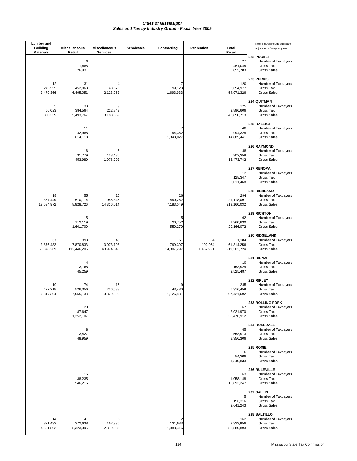| <b>Lumber</b> and<br><b>Building</b><br><b>Materials</b> | <b>Miscellaneous</b><br>Retail  | Miscellaneous<br><b>Services</b> | Wholesale | Contracting                 | Recreation                | <b>Total</b><br>Retail             | Note: Figures include audits and<br>adjustments from prior years.                 |
|----------------------------------------------------------|---------------------------------|----------------------------------|-----------|-----------------------------|---------------------------|------------------------------------|-----------------------------------------------------------------------------------|
|                                                          | 6<br>1,885<br>26,931            |                                  |           |                             |                           | 27<br>451,045<br>6,855,783         | 222 PUCKETT<br>Number of Taxpayers<br>Gross Tax<br><b>Gross Sales</b>             |
| 12<br>243,555<br>3,479,366                               | 31<br>452,063<br>6,495,051      | 148,676<br>2,123,952             |           | 7<br>99,123<br>1,693,933    |                           | 120<br>3,654,977<br>54,971,326     | 223 PURVIS<br>Number of Taxpayers<br>Gross Tax<br><b>Gross Sales</b>              |
| 5<br>56,023<br>800,339                                   | 33<br>384,564<br>5,493,767      | 9<br>222,849<br>3,183,562        |           |                             |                           | 125<br>2,896,606<br>43,850,713     | 224 QUITMAN<br>Number of Taxpayers<br>Gross Tax<br><b>Gross Sales</b>             |
|                                                          | 11<br>42,988<br>614,118         |                                  |           | 7<br>94,362<br>1,348,027    |                           | 48<br>994,328<br>14,885,441        | 225 RALEIGH<br>Number of Taxpayers<br>Gross Tax<br><b>Gross Sales</b>             |
|                                                          | 16<br>31,779<br>453,989         | 6<br>138,480<br>1,978,292        |           |                             |                           | 48<br>902,358<br>13,473,742        | 226 RAYMOND<br>Number of Taxpayers<br>Gross Tax<br><b>Gross Sales</b>             |
|                                                          |                                 |                                  |           |                             |                           | 12<br>128,347<br>2,011,468         | 227 RENOVA<br>Number of Taxpayers<br>Gross Tax<br><b>Gross Sales</b>              |
| 18<br>1,367,449<br>19,534,972                            | 55<br>610,114<br>8,828,726      | 25<br>956,345<br>14,316,014      |           | 26<br>490,262<br>7,183,049  |                           | 294<br>21,118,091<br>319,160,032   | <b>228 RICHLAND</b><br>Number of Taxpayers<br>Gross Tax<br><b>Gross Sales</b>     |
|                                                          | 15<br>112,119<br>1,601,700      |                                  |           | 5<br>20,752<br>550,270      |                           | 62<br>1,360,630<br>20,166,072      | <b>229 RICHTON</b><br>Number of Taxpayers<br>Gross Tax<br><b>Gross Sales</b>      |
| 67<br>3,876,482<br>55,378,269                            | 393<br>7,870,833<br>112,446,206 | 46<br>3,073,793<br>43,994,048    |           | 61<br>799,397<br>14,307,297 | 4<br>102,054<br>1,457,921 | 1,184<br>61,314,256<br>919,302,724 | 230 RIDGELAND<br>Number of Taxpayers<br>Gross Tax<br><b>Gross Sales</b>           |
|                                                          | 4<br>3,168<br>45,259            |                                  |           |                             |                           | 10<br>153,924<br>2,525,487         | 231 RIENZI<br>Number of Taxpayers<br>Gross Tax<br><b>Gross Sales</b>              |
| 19<br>477,218<br>6,817,394                               | 74<br>526,356<br>7,555,133      | 15<br>236,588<br>3,379,825       |           | 43,480<br>1,126,831         |                           | 245<br>6,316,459<br>97,421,692     | 232 RIPLEY<br>Number of Taxpayers<br>Gross Tax<br><b>Gross Sales</b>              |
|                                                          | 20<br>87,647<br>1,252,107       |                                  |           |                             |                           | 67<br>2,021,970<br>36,476,912      | <b>233 ROLLING FORK</b><br>Number of Taxpayers<br>Gross Tax<br><b>Gross Sales</b> |
|                                                          | 8<br>3,427<br>48,959            |                                  |           |                             |                           | 45<br>558,913<br>8,356,306         | 234 ROSEDALE<br>Number of Taxpayers<br>Gross Tax<br><b>Gross Sales</b>            |
|                                                          |                                 |                                  |           |                             |                           | 6<br>84,306<br>1,340,833           | 235 ROXIE<br>Number of Taxpayers<br>Gross Tax<br><b>Gross Sales</b>               |
|                                                          | 16<br>38,235<br>546,215         |                                  |           |                             |                           | 63<br>1,058,148<br>16,893,247      | 236 RULEVILLE<br>Number of Taxpayers<br>Gross Tax<br><b>Gross Sales</b>           |
|                                                          |                                 |                                  |           |                             |                           | 5<br>156,316<br>2,641,243          | 237 SALLIS<br>Number of Taxpayers<br>Gross Tax<br>Gross Sales                     |
| 14<br>321,432<br>4,591,892                               | 41<br>372,638<br>5,323,395      | 6<br>162,336<br>2,319,086        |           | 12<br>131,683<br>1,988,316  |                           | 162<br>3,323,956<br>53,880,893     | 238 SALTILLO<br>Number of Taxpayers<br>Gross Tax<br><b>Gross Sales</b>            |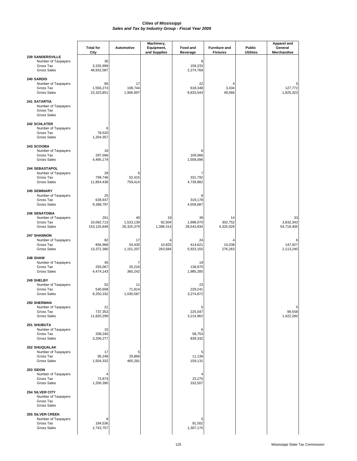|                                                                                   | <b>Total for</b><br>City         | Automotive                    | Machinery,<br>Equipment,<br>and Supplies | Food and<br><b>Beverage</b>   | <b>Furniture and</b><br><b>Fixtures</b> | Public<br><b>Utilities</b> | Apparel and<br>General<br>Merchandise |
|-----------------------------------------------------------------------------------|----------------------------------|-------------------------------|------------------------------------------|-------------------------------|-----------------------------------------|----------------------------|---------------------------------------|
| <b>239 SANDERSVILLE</b><br>Number of Taxpayers<br>Gross Tax<br><b>Gross Sales</b> | 30<br>3,335,999<br>48,932,087    |                               |                                          | 8<br>159,233<br>2,274,768     |                                         |                            |                                       |
| 240 SARDIS<br>Number of Taxpayers<br>Gross Tax<br><b>Gross Sales</b>              | 85<br>1,556,274<br>23,323,851    | 17<br>108,744<br>1,906,997    |                                          | 22<br>618,348<br>8,833,544    | 3,434<br>49,066                         |                            | 5<br>127,772<br>1,825,323             |
| 241 SATARTIA<br>Number of Taxpayers<br>Gross Tax<br><b>Gross Sales</b>            |                                  |                               |                                          |                               |                                         |                            |                                       |
| <b>242 SCHLATER</b><br>Number of Taxpayers<br>Gross Tax<br><b>Gross Sales</b>     | 6<br>78,520<br>1,204,357         |                               |                                          |                               |                                         |                            |                                       |
| 243 SCOOBA<br>Number of Taxpayers<br>Gross Tax<br><b>Gross Sales</b>              | 16<br>297,566<br>4,495,174       |                               |                                          | 6<br>109,066<br>1,558,096     |                                         |                            |                                       |
| 244 SEBASTAPOL<br>Number of Taxpayers<br>Gross Tax<br><b>Gross Sales</b>          | 29<br>799,746<br>11,854,438      | 6<br>52,415<br>759,414        |                                          | 7<br>331,792<br>4,739,882     |                                         |                            |                                       |
| <b>245 SEMINARY</b><br>Number of Taxpayers<br>Gross Tax<br><b>Gross Sales</b>     | 25<br>639,937<br>9,398,797       |                               |                                          | 6<br>319,178<br>4,559,687     |                                         |                            |                                       |
| <b>246 SENATOBIA</b><br>Number of Taxpayers<br>Gross Tax<br><b>Gross Sales</b>    | 261<br>10,092,713<br>153,125,648 | 40<br>1,533,139<br>26,325,379 | 19<br>92,504<br>1,398,314                | 39<br>1,998,070<br>28,543,834 | 14<br>302,752<br>4,325,026              |                            | 33<br>3,832,343<br>54,718,405         |
| <b>247 SHANNON</b><br>Number of Taxpayers<br>Gross Tax<br><b>Gross Sales</b>      | 82<br>856,968<br>13,372,380      | 17<br>54,430<br>1,151,207     | 10,825<br>263,584                        | 24<br>414,621<br>5,923,155    | 19,338<br>276,263                       |                            | 6<br>147,927<br>2,113,240             |
| 248 SHAW<br>Number of Taxpayers<br>Gross Tax<br><b>Gross Sales</b>                | 45<br>293,067<br>4,474,143       | 7<br>25,216<br>360,242        |                                          | 19<br>138,970<br>1,985,285    |                                         |                            |                                       |
| 249 SHELBY<br>Number of Taxpayers<br>Gross Tax<br><b>Gross Sales</b>              | 52<br>540,608<br>8,250,332       | 11<br>71,814<br>1,030,587     |                                          | 23<br>229,241<br>3,274,872    |                                         |                            |                                       |
| <b>250 SHERMAN</b><br>Number of Taxpayers<br>Gross Tax<br><b>Gross Sales</b>      | 21<br>737,353<br>11,820,299      |                               |                                          | 5<br>225,047<br>3,214,962     |                                         |                            | 5<br>99,558<br>1,422,260              |
| 251 SHUBUTA<br>Number of Taxpayers<br>Gross Tax<br><b>Gross Sales</b>             | 15<br>208,240<br>3,206,277       |                               |                                          | 6<br>58,753<br>839,332        |                                         |                            |                                       |
| <b>252 SHUQUALAK</b><br>Number of Taxpayers<br>Gross Tax<br><b>Gross Sales</b>    | 17<br>95,248<br>1,504,332        | 5<br>29,869<br>465,281        |                                          | 5<br>11,139<br>159,131        |                                         |                            |                                       |
| 253 SIDON<br>Number of Taxpayers<br>Gross Tax<br><b>Gross Sales</b>               | 73,874<br>1,206,390              |                               |                                          | 23,275<br>332,507             |                                         |                            |                                       |
| 254 SILVER CITY<br>Number of Taxpayers<br>Gross Tax<br><b>Gross Sales</b>         |                                  |                               |                                          |                               |                                         |                            |                                       |
| <b>255 SILVER CREEK</b><br>Number of Taxpayers<br>Gross Tax<br><b>Gross Sales</b> | 8<br>184,536<br>2,742,757        |                               |                                          | 5<br>91,502<br>1,307,170      |                                         |                            |                                       |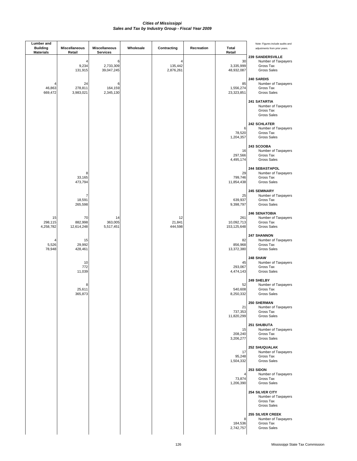| <b>Lumber</b> and<br><b>Building</b><br><b>Materials</b> | Miscellaneous<br>Retail     | <b>Miscellaneous</b><br><b>Services</b> | Wholesale | Contracting               | Recreation | Total<br>Retail                  | Note: Figures include audits and<br>adjustments from prior years.              |
|----------------------------------------------------------|-----------------------------|-----------------------------------------|-----------|---------------------------|------------|----------------------------------|--------------------------------------------------------------------------------|
|                                                          | 4<br>9,234<br>131,915       | 6<br>2,733,309<br>39,047,245            |           | 4<br>135,442<br>2,876,261 |            | 30<br>3,335,999<br>48,932,087    | 239 SANDERSVILLE<br>Number of Taxpayers<br>Gross Tax<br><b>Gross Sales</b>     |
| 46,863<br>669,472                                        | 24<br>278,811<br>3,983,021  | 6<br>164,159<br>2,345,130               |           |                           |            | 85<br>1,556,274<br>23,323,851    | 240 SARDIS<br>Number of Taxpayers<br>Gross Tax<br><b>Gross Sales</b>           |
|                                                          |                             |                                         |           |                           |            |                                  | 241 SATARTIA<br>Number of Taxpayers<br>Gross Tax<br><b>Gross Sales</b>         |
|                                                          |                             |                                         |           |                           |            | 6<br>78,520<br>1,204,357         | <b>242 SCHLATER</b><br>Number of Taxpayers<br>Gross Tax<br><b>Gross Sales</b>  |
|                                                          |                             |                                         |           |                           |            | 16<br>297,566<br>4,495,174       | 243 SCOOBA<br>Number of Taxpayers<br>Gross Tax<br><b>Gross Sales</b>           |
|                                                          | 8<br>33,165<br>473,794      |                                         |           |                           |            | 29<br>799,746<br>11,854,438      | 244 SEBASTAPOL<br>Number of Taxpayers<br>Gross Tax<br><b>Gross Sales</b>       |
|                                                          | 7<br>18,591<br>265,598      |                                         |           |                           |            | 25<br>639,937<br>9,398,797       | 245 SEMINARY<br>Number of Taxpayers<br>Gross Tax<br><b>Gross Sales</b>         |
| 15<br>298,115<br>4,258,782                               | 70<br>882,998<br>12,614,248 | 14<br>363,005<br>5,517,451              |           | 12<br>21,841<br>444,598   |            | 261<br>10,092,713<br>153,125,648 | <b>246 SENATOBIA</b><br>Number of Taxpayers<br>Gross Tax<br><b>Gross Sales</b> |
| 4<br>5,526<br>78,948                                     | 15<br>29,992<br>428,461     |                                         |           |                           |            | 82<br>856,968<br>13,372,380      | 247 SHANNON<br>Number of Taxpayers<br>Gross Tax<br><b>Gross Sales</b>          |
|                                                          | 10<br>772<br>11,039         |                                         |           |                           |            | 45<br>293,067<br>4,474,143       | 248 SHAW<br>Number of Taxpayers<br>Gross Tax<br><b>Gross Sales</b>             |
|                                                          | 8<br>25,611<br>365,873      |                                         |           |                           |            | 52<br>540,608<br>8,250,332       | 249 SHELBY<br>Number of Taxpayers<br>Gross Tax<br><b>Gross Sales</b>           |
|                                                          |                             |                                         |           |                           |            | 21<br>737,353<br>11,820,299      | <b>250 SHERMAN</b><br>Number of Taxpayers<br>Gross Tax<br><b>Gross Sales</b>   |
|                                                          |                             |                                         |           |                           |            | 15<br>208,240<br>3,206,277       | 251 SHUBUTA<br>Number of Taxpayers<br>Gross Tax<br><b>Gross Sales</b>          |
|                                                          |                             |                                         |           |                           |            | 17<br>95,248<br>1,504,332        | 252 SHUQUALAK<br>Number of Taxpayers<br>Gross Tax<br><b>Gross Sales</b>        |
|                                                          |                             |                                         |           |                           |            | 4<br>73,874<br>1,206,390         | 253 SIDON<br>Number of Taxpayers<br>Gross Tax<br><b>Gross Sales</b>            |
|                                                          |                             |                                         |           |                           |            |                                  | 254 SILVER CITY<br>Number of Taxpayers<br>Gross Tax<br><b>Gross Sales</b>      |
|                                                          |                             |                                         |           |                           |            | 8<br>184,536<br>2,742,757        | <b>255 SILVER CREEK</b><br>Number of Taxpayers<br>Gross Tax<br>Gross Sales     |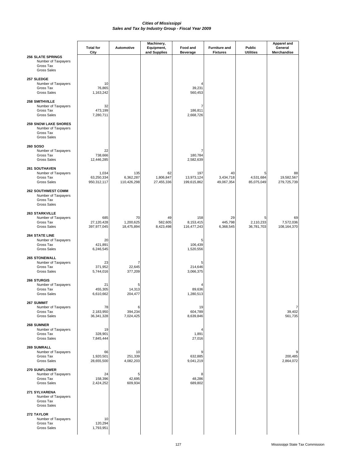|                                                                                       | <b>Total for</b><br>City           | Automotive                      | Machinery,<br>Equipment,<br>and Supplies | Food and<br><b>Beverage</b>      | <b>Furniture and</b><br><b>Fixtures</b> | Public<br><b>Utilities</b>   | <b>Apparel and</b><br>General<br>Merchandise |
|---------------------------------------------------------------------------------------|------------------------------------|---------------------------------|------------------------------------------|----------------------------------|-----------------------------------------|------------------------------|----------------------------------------------|
| <b>256 SLATE SPRINGS</b><br>Number of Taxpayers<br>Gross Tax<br><b>Gross Sales</b>    |                                    |                                 |                                          |                                  |                                         |                              |                                              |
| 257 SLEDGE<br>Number of Taxpayers<br>Gross Tax<br><b>Gross Sales</b>                  | 10<br>76,865<br>1,163,242          |                                 |                                          | 39,231<br>560,453                |                                         |                              |                                              |
| <b>258 SMITHVILLE</b><br>Number of Taxpayers<br>Gross Tax<br><b>Gross Sales</b>       | 32<br>473,199<br>7,280,711         |                                 |                                          | 7<br>186,811<br>2,668,726        |                                         |                              |                                              |
| <b>259 SNOW LAKE SHORES</b><br>Number of Taxpayers<br>Gross Tax<br><b>Gross Sales</b> |                                    |                                 |                                          |                                  |                                         |                              |                                              |
| <b>260 SOSO</b><br>Number of Taxpayers<br>Gross Tax<br><b>Gross Sales</b>             | 22<br>738,666<br>12,446,285        |                                 |                                          | 180,784<br>2,582,639             |                                         |                              |                                              |
| <b>261 SOUTHAVEN</b><br>Number of Taxpayers<br>Gross Tax<br><b>Gross Sales</b>        | 1,034<br>63,250,334<br>950,312,117 | 135<br>6,362,287<br>110,426,298 | 62<br>1,806,847<br>27,455,336            | 197<br>13,973,124<br>199,615,862 | 40<br>3,434,718<br>49,067,354           | 5<br>4,531,684<br>85,075,049 | 88<br>19,582,567<br>279,725,739              |
| <b>262 SOUTHWEST COMM</b><br>Number of Taxpayers<br>Gross Tax<br><b>Gross Sales</b>   |                                    |                                 |                                          |                                  |                                         |                              |                                              |
| <b>263 STARKVILLE</b><br>Number of Taxpayers<br>Gross Tax<br><b>Gross Sales</b>       | 685<br>27,120,428<br>397,977,045   | 70<br>1,200,625<br>18,475,894   | 49<br>582,605<br>8,423,498               | 158<br>8,153,415<br>116,477,243  | 29<br>445,798<br>6,368,545              | 5<br>2,110,233<br>36,781,703 | 69<br>7,572,036<br>108,164,370               |
| <b>264 STATE LINE</b><br>Number of Taxpayers<br>Gross Tax<br><b>Gross Sales</b>       | 20<br>421,891<br>6,246,545         |                                 |                                          | 5<br>106,439<br>1,520,556        |                                         |                              |                                              |
| <b>265 STONEWALL</b><br>Number of Taxpayers<br>Gross Tax<br><b>Gross Sales</b>        | 23<br>371,952<br>5,744,016         | 7<br>22,645<br>377,209          |                                          | 5<br>214,646<br>3,066,375        |                                         |                              |                                              |
| 266 STURGIS<br>Number of Taxpayers<br>Gross Tax<br><b>Gross Sales</b>                 | 21<br>455,305<br>6,610,662         | 5<br>14,313<br>204,477          |                                          | 89,636<br>1,280,513              |                                         |                              |                                              |
| <b>267 SUMMIT</b><br>Number of Taxpayers<br>Gross Tax<br><b>Gross Sales</b>           | 78<br>2,183,950<br>36,341,328      | 6<br>394,234<br>7,024,425       |                                          | 19<br>604,789<br>8,639,846       |                                         |                              | 7<br>39,402<br>561,735                       |
| 268 SUMNER<br>Number of Taxpayers<br>Gross Tax<br><b>Gross Sales</b>                  | 19<br>328,901<br>7,845,444         |                                 |                                          | 4<br>1,891<br>27,016             |                                         |                              |                                              |
| 269 SUMRALL<br>Number of Taxpayers<br>Gross Tax<br><b>Gross Sales</b>                 | 66<br>1,920,501<br>28,655,500      | 10<br>251,339<br>4,082,203      |                                          | 632,885<br>9,041,219             |                                         |                              | 200,485<br>2,864,072                         |
| 270 SUNFLOWER<br>Number of Taxpayers<br>Gross Tax<br><b>Gross Sales</b>               | 24<br>158,396<br>2,424,252         | 5<br>42,695<br>609,934          |                                          | 8<br>48,286<br>689,802           |                                         |                              |                                              |
| 271 SYLVARENA<br>Number of Taxpayers<br>Gross Tax<br><b>Gross Sales</b>               |                                    |                                 |                                          |                                  |                                         |                              |                                              |
| 272 TAYLOR<br>Number of Taxpayers<br>Gross Tax<br><b>Gross Sales</b>                  | 10<br>120,294<br>1,793,951         |                                 |                                          |                                  |                                         |                              |                                              |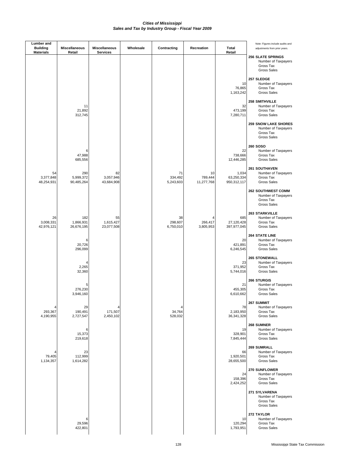| Lumber and<br><b>Building</b><br><b>Materials</b> | Miscellaneous<br>Retail        | Miscellaneous<br><b>Services</b> | Wholesale | Contracting                | Recreation                  | <b>Total</b><br>Retail             | Note: Figures include audits and<br>adjustments from prior years.                     |
|---------------------------------------------------|--------------------------------|----------------------------------|-----------|----------------------------|-----------------------------|------------------------------------|---------------------------------------------------------------------------------------|
|                                                   |                                |                                  |           |                            |                             |                                    | <b>256 SLATE SPRINGS</b><br>Number of Taxpayers<br>Gross Tax<br><b>Gross Sales</b>    |
|                                                   |                                |                                  |           |                            |                             | 10<br>76,865<br>1,163,242          | 257 SLEDGE<br>Number of Taxpayers<br>Gross Tax<br><b>Gross Sales</b>                  |
|                                                   | 11<br>21,892<br>312,745        |                                  |           |                            |                             | 32<br>473,199<br>7,280,711         | 258 SMITHVILLE<br>Number of Taxpayers<br>Gross Tax<br><b>Gross Sales</b>              |
|                                                   |                                |                                  |           |                            |                             |                                    | <b>259 SNOW LAKE SHORES</b><br>Number of Taxpayers<br>Gross Tax<br><b>Gross Sales</b> |
|                                                   | 6<br>47,988<br>685,556         |                                  |           |                            |                             | 22<br>738,666<br>12,446,285        | <b>260 SOSO</b><br>Number of Taxpayers<br>Gross Tax<br><b>Gross Sales</b>             |
| 54<br>3,377,848<br>48,254,931                     | 290<br>5,999,372<br>90,485,264 | 82<br>3,057,946<br>43,684,908    |           | 71<br>334,492<br>5,243,603 | 10<br>789,444<br>11,277,768 | 1,034<br>63,250,334<br>950,312,117 | <b>261 SOUTHAVEN</b><br>Number of Taxpayers<br>Gross Tax<br><b>Gross Sales</b>        |
|                                                   |                                |                                  |           |                            |                             |                                    | <b>262 SOUTHWEST COMM</b><br>Number of Taxpayers<br>Gross Tax<br><b>Gross Sales</b>   |
| 26<br>3,008,331<br>42,976,121                     | 182<br>1,866,931<br>26,676,195 | 55<br>1,615,427<br>23,077,508    |           | 38<br>298,607<br>6,750,010 | 266,417<br>3,805,953        | 685<br>27,120,428<br>397,977,045   | <b>263 STARKVILLE</b><br>Number of Taxpayers<br>Gross Tax<br><b>Gross Sales</b>       |
|                                                   | 6<br>20,726<br>296,099         |                                  |           |                            |                             | 20<br>421,891<br>6,246,545         | <b>264 STATE LINE</b><br>Number of Taxpayers<br>Gross Tax<br><b>Gross Sales</b>       |
|                                                   | 4<br>2,265<br>32,360           |                                  |           |                            |                             | 23<br>371,952<br>5,744,016         | <b>265 STONEWALL</b><br>Number of Taxpayers<br>Gross Tax<br><b>Gross Sales</b>        |
|                                                   | 5<br>276,230<br>3,946,160      |                                  |           |                            |                             | 21<br>455,305<br>6,610,662         | 266 STURGIS<br>Number of Taxpayers<br>Gross Tax<br><b>Gross Sales</b>                 |
| 293,367<br>4,190,955                              | 29<br>190,491<br>2,727,547     | 171,507<br>2,450,102             |           | 4<br>34,764<br>528,032     |                             | 78<br>2,183,950<br>36,341,328      | <b>267 SUMMIT</b><br>Number of Taxpayers<br>Gross Tax<br><b>Gross Sales</b>           |
|                                                   | 6<br>15,373<br>219,618         |                                  |           |                            |                             | 19<br>328,901<br>7,845,444         | 268 SUMNER<br>Number of Taxpayers<br>Gross Tax<br><b>Gross Sales</b>                  |
| 79,405<br>1,134,357                               | 23<br>112,999<br>1,614,282     |                                  |           |                            |                             | 66<br>1,920,501<br>28,655,500      | <b>269 SUMRALL</b><br>Number of Taxpayers<br>Gross Tax<br><b>Gross Sales</b>          |
|                                                   |                                |                                  |           |                            |                             | 24<br>158,396<br>2,424,252         | 270 SUNFLOWER<br>Number of Taxpayers<br>Gross Tax<br>Gross Sales                      |
|                                                   |                                |                                  |           |                            |                             |                                    | 271 SYLVARENA<br>Number of Taxpayers<br>Gross Tax<br>Gross Sales                      |
|                                                   | 6<br>29,596<br>422,801         |                                  |           |                            |                             | 10<br>120,294<br>1,793,951         | 272 TAYLOR<br>Number of Taxpayers<br>Gross Tax<br>Gross Sales                         |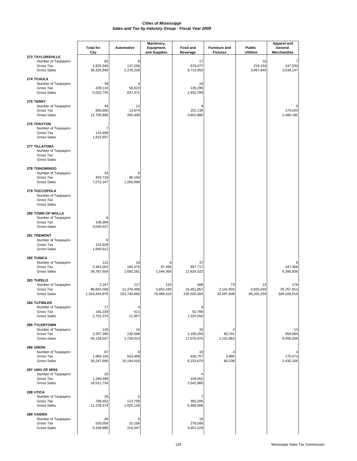|                                                                                | <b>Total for</b>                     | <b>Automotive</b>                | Machinery,                     | Food and                         | <b>Furniture and</b>          | Public                        | Apparel and<br>General           |
|--------------------------------------------------------------------------------|--------------------------------------|----------------------------------|--------------------------------|----------------------------------|-------------------------------|-------------------------------|----------------------------------|
|                                                                                | City                                 |                                  | Equipment,<br>and Supplies     | <b>Beverage</b>                  | <b>Fixtures</b>               | <b>Utilities</b>              | Merchandise                      |
| 273 TAYLORSVILLE<br>Number of Taxpayers<br>Gross Tax<br><b>Gross Sales</b>     | 83<br>1,825,340<br>30,320,990        | 8<br>137,256<br>2,278,228        |                                | 17<br>679,977<br>9,713,950       |                               | 16<br>219,154<br>3,967,840    | 247,530<br>3,536,147             |
| 274 TCHULA<br>Number of Taxpayers<br>Gross Tax<br><b>Gross Sales</b>           | 39<br>328,110<br>5,032,725           | 58,623<br>837,471                |                                | 24<br>135,295<br>1,932,789       |                               |                               |                                  |
| 275 TERRY<br>Number of Taxpayers<br>Gross Tax<br><b>Gross Sales</b>            | 44<br>855,806<br>12,759,868          | 12<br>13,974<br>205,499          |                                | 9<br>252,139<br>3,601,986        |                               |                               | 174.033<br>2,486,185             |
| 276 THAXTON<br>Number of Taxpayers<br>Gross Tax<br><b>Gross Sales</b>          | 7<br>115,498<br>1,815,807            |                                  |                                |                                  |                               |                               |                                  |
| 277 TILLATOBA<br>Number of Taxpayers<br>Gross Tax<br><b>Gross Sales</b>        |                                      |                                  |                                |                                  |                               |                               |                                  |
| 278 TISHOMINGO<br>Number of Taxpayers<br>Gross Tax<br><b>Gross Sales</b>       | 24<br>453,718<br>7,072,147           | 6<br>86,150<br>1,269,996         |                                |                                  |                               |                               |                                  |
| 279 TOCCOPOLA<br>Number of Taxpayers<br>Gross Tax<br><b>Gross Sales</b>        |                                      |                                  |                                |                                  |                               |                               |                                  |
| 280 TOWN OF WALLS<br>Number of Taxpayers<br>Gross Tax<br><b>Gross Sales</b>    | 8<br>199,364<br>3,049,527            |                                  |                                |                                  |                               |                               |                                  |
| 281 TREMONT<br>Number of Taxpayers<br>Gross Tax<br><b>Gross Sales</b>          | 8<br>101,828<br>1,666,612            |                                  |                                |                                  |                               |                               |                                  |
| <b>282 TUNICA</b><br>Number of Taxpayers<br>Gross Tax<br><b>Gross Sales</b>    | 121<br>2,463,362<br>36,787,609       | 18<br>165,475<br>2,692,281       | 97,495<br>1,544,358            | 37<br>897,717<br>12,824,522      |                               |                               | 6<br>447,366<br>6,390,938        |
| 283 TUPELO<br>Number of Taxpayers<br>Gross Tax<br><b>Gross Sales</b>           | 2,167<br>88,842,568<br>1,343,464,870 | 217<br>11,476,468<br>203,740,665 | 125<br>4,652,430<br>76,489,410 | 588<br>16,451,857<br>235,026,304 | 73<br>2,141,834<br>30,597,608 | 13<br>4,825,549<br>89,205,203 | 178<br>25,767,913<br>368,105,516 |
| <b>284 TUTWILER</b><br>Number of Taxpayers<br>Gross Tax<br><b>Gross Sales</b>  | 17<br>181,229<br>2,752,374           | 4<br>611<br>11,957               |                                | 9<br>92,789<br>1,325,556         |                               |                               |                                  |
| <b>285 TYLERTOWN</b><br>Number of Taxpayers<br>Gross Tax<br><b>Gross Sales</b> | 128<br>3,397,395<br>50,126,557       | 15<br>230,596<br>3,739,013       |                                | 32<br>1,195,256<br>17,075,075    | 80,701<br>1,152,883           |                               | 13<br>459,094<br>6,556,208       |
| 286 UNION<br>Number of Taxpayers<br>Gross Tax<br><b>Gross Sales</b>            | 67<br>1,869,100<br>30,247,906        | 553,499<br>10,194,416            |                                | 10<br>430,757<br>6,153,679       | 5,966<br>85,238               |                               | 170,473<br>2,435,326             |
| 287 UNIV OF MISS<br>Number of Taxpayers<br>Gross Tax<br><b>Gross Sales</b>     | 20<br>1,289,498<br>18,511,734        |                                  |                                | 108,002<br>1,542,886             |                               |                               |                                  |
| 288 UTICA<br>Number of Taxpayers<br>Gross Tax<br><b>Gross Sales</b>            | 26<br>768,452<br>11,378,374          | 5<br>113,759<br>1,625,128        |                                | 382,206<br>5,460,088             |                               |                               |                                  |
| 289 VAIDEN<br>Number of Taxpayers<br>Gross Tax<br><b>Gross Sales</b>           | 40<br>530,058<br>8,168,880           | 5<br>15,158<br>216,547           |                                | 19<br>276,586<br>3,951,229       |                               |                               |                                  |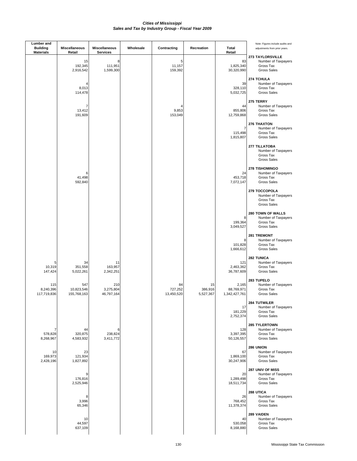### *Sales and Tax by Industry Group - Fiscal Year 2009 Cities of Mississippi*

| Lumber and<br><b>Building</b><br><b>Materials</b> | <b>Miscellaneous</b><br>Retail   | <b>Miscellaneous</b><br><b>Services</b> | Wholesale | Contracting                 | Recreation                 | Total<br>Retail                      | Note: Figures include audits and<br>adjustments from prior years.                 |
|---------------------------------------------------|----------------------------------|-----------------------------------------|-----------|-----------------------------|----------------------------|--------------------------------------|-----------------------------------------------------------------------------------|
|                                                   | 15<br>192,345<br>2,916,542       | 8<br>111,951<br>1,599,300               |           | 5<br>11,157<br>159,392      |                            | 83<br>1,825,340<br>30,320,990        | <b>273 TAYLORSVILLE</b><br>Number of Taxpayers<br>Gross Tax<br><b>Gross Sales</b> |
|                                                   | 4<br>8,013<br>114,478            |                                         |           |                             |                            | 39<br>328,110<br>5,032,725           | 274 TCHULA<br>Number of Taxpayers<br>Gross Tax<br><b>Gross Sales</b>              |
|                                                   | 7<br>13,412<br>191,609           |                                         |           | 4<br>9,853<br>153,049       |                            | 44<br>855,806<br>12,759,868          | 275 TERRY<br>Number of Taxpayers<br>Gross Tax<br>Gross Sales                      |
|                                                   |                                  |                                         |           |                             |                            | 7<br>115,498<br>1,815,807            | 276 THAXTON<br>Number of Taxpayers<br>Gross Tax<br><b>Gross Sales</b>             |
|                                                   |                                  |                                         |           |                             |                            |                                      | 277 TILLATOBA<br>Number of Taxpayers<br>Gross Tax<br><b>Gross Sales</b>           |
|                                                   | 6<br>41,498<br>592,840           |                                         |           |                             |                            | 24<br>453,718<br>7,072,147           | <b>278 TISHOMINGO</b><br>Number of Taxpayers<br>Gross Tax<br><b>Gross Sales</b>   |
|                                                   |                                  |                                         |           |                             |                            |                                      | 279 TOCCOPOLA<br>Number of Taxpayers<br>Gross Tax<br><b>Gross Sales</b>           |
|                                                   |                                  |                                         |           |                             |                            | 8<br>199,364<br>3,049,527            | 280 TOWN OF WALLS<br>Number of Taxpayers<br>Gross Tax<br>Gross Sales              |
|                                                   |                                  |                                         |           |                             |                            | 8<br>101,828<br>1,666,612            | 281 TREMONT<br>Number of Taxpayers<br>Gross Tax<br><b>Gross Sales</b>             |
| 5<br>10,319<br>147,424                            | 34<br>351,558<br>5,022,261       | 11<br>163,957<br>2,342,251              |           |                             |                            | 121<br>2,463,362<br>36,787,609       | 282 TUNICA<br>Number of Taxpayers<br>Gross Tax<br><b>Gross Sales</b>              |
| 115<br>8,240,396<br>117,719,836                   | 547<br>10,823,546<br>155,768,163 | 210<br>3,275,804<br>46,797,164          |           | 84<br>727,252<br>13,450,520 | 15<br>386,916<br>5,527,367 | 2,165<br>88,769,971<br>1,342,427,761 | 283 TUPELO<br>Number of Taxpayers<br>Gross Tax<br><b>Gross Sales</b>              |
|                                                   |                                  |                                         |           |                             |                            | 17<br>181,229<br>2,752,374           | <b>284 TUTWILER</b><br>Number of Taxpayers<br>Gross Tax<br><b>Gross Sales</b>     |
| 7<br>578,828<br>8,268,967                         | 44<br>320,875<br>4,583,932       | 6<br>238,824<br>3,411,772               |           |                             |                            | 128<br>3,397,395<br>50,126,557       | 285 TYLERTOWN<br>Number of Taxpayers<br>Gross Tax<br><b>Gross Sales</b>           |
| 10<br>169,973<br>2,428,196                        | 23<br>121,934<br>1,827,892       |                                         |           |                             |                            | 67<br>1,869,100<br>30,247,906        | 286 UNION<br>Number of Taxpayers<br>Gross Tax<br><b>Gross Sales</b>               |
|                                                   | 9<br>176,816<br>2,525,946        |                                         |           |                             |                            | 20<br>1,289,498<br>18,511,734        | 287 UNIV OF MISS<br>Number of Taxpayers<br>Gross Tax<br><b>Gross Sales</b>        |
|                                                   | 8<br>3,996<br>65,346             |                                         |           |                             |                            | 26<br>768,452<br>11,378,374          | 288 UTICA<br>Number of Taxpayers<br>Gross Tax<br>Gross Sales                      |
|                                                   | 10<br>44,597<br>637,109          |                                         |           |                             |                            | 40<br>530,058<br>8,168,880           | 289 VAIDEN<br>Number of Taxpayers<br>Gross Tax<br><b>Gross Sales</b>              |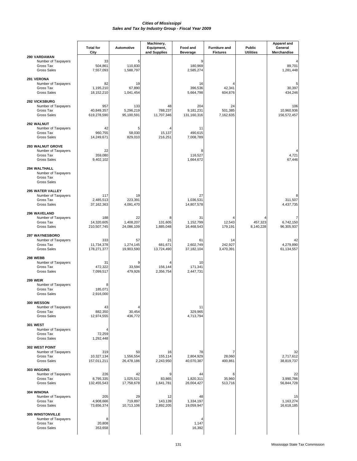## *Cities of Mississippi Sales and Tax by Industry Group - Fiscal Year 2009*

| 290 VARDAMAN                                                                      | <b>Total for</b><br>City         | Automotive                     | Machinery,<br>Equipment,<br>and Supplies | Food and<br><b>Beverage</b>     | <b>Furniture and</b><br><b>Fixtures</b> | Public<br><b>Utilities</b> | <b>Apparel and</b><br>General<br>Merchandise |
|-----------------------------------------------------------------------------------|----------------------------------|--------------------------------|------------------------------------------|---------------------------------|-----------------------------------------|----------------------------|----------------------------------------------|
| Number of Taxpayers<br>Gross Tax<br><b>Gross Sales</b>                            | 33<br>504,861<br>7,557,093       | 5<br>110,830<br>1,588,797      |                                          | 9<br>180,969<br>2,585,274       |                                         |                            | 89,701<br>1,281,448                          |
| 291 VERONA<br>Number of Taxpayers<br>Gross Tax<br><b>Gross Sales</b>              | 82<br>1,195,210<br>18,152,210    | 19<br>67,890<br>1,041,454      |                                          | 16<br>396,536<br>5,664,798      | 42,341<br>604,876                       |                            | 30,397<br>434,246                            |
| 292 VICKSBURG<br>Number of Taxpayers<br>Gross Tax<br><b>Gross Sales</b>           | 957<br>40,849,357<br>619,278,590 | 133<br>5,296,219<br>95,100,591 | 48<br>788,237<br>11,707,346              | 204<br>9,181,231<br>131,160,316 | 24<br>501,385<br>7,162,635              |                            | 106<br>10,960,936<br>156,572,457             |
| 292 WALNUT<br>Number of Taxpayers<br>Gross Tax<br><b>Gross Sales</b>              | 42<br>960,755<br>14,249,671      | 5<br>58,030<br>829,010         | 15,137<br>216,251                        | 11<br>490,615<br>7,008,789      |                                         |                            |                                              |
| 293 WALNUT GROVE<br>Number of Taxpayers<br>Gross Tax<br><b>Gross Sales</b>        | 22<br>359,080<br>9,402,102       |                                |                                          | 8<br>116,527<br>1,664,672       |                                         |                            | 4<br>4,721<br>67,446                         |
| 294 WALTHALL<br>Number of Taxpayers<br>Gross Tax<br><b>Gross Sales</b>            |                                  |                                |                                          |                                 |                                         |                            |                                              |
| <b>295 WATER VALLEY</b><br>Number of Taxpayers<br>Gross Tax<br><b>Gross Sales</b> | 117<br>2,485,513<br>37, 162, 363 | 19<br>223,391<br>4,091,470     |                                          | 27<br>1,036,531<br>14,807,578   |                                         |                            | 311,507<br>4,437,735                         |
| 296 WAVELAND<br>Number of Taxpayers<br>Gross Tax<br><b>Gross Sales</b>            | 188<br>14,320,605<br>210,507,745 | 22<br>1,408,207<br>24,086,109  | 8<br>131,605<br>1,885,048                | 31<br>1,152,799<br>16,468,543   | 12,543<br>179,191                       | 457,323<br>8,140,228       | 7<br>6,742,150<br>96,305,937                 |
| 297 WAYNESBORO<br>Number of Taxpayers<br>Gross Tax<br><b>Gross Sales</b>          | 333<br>11,734,378<br>178,271,377 | 57<br>1,274,145<br>19,903,590  | 21<br>681,671<br>13,724,490              | 61<br>2,602,749<br>37,182,104   | 14<br>242,927<br>3,470,391              |                            | 42<br>4,279,890<br>61,134,557                |
| 298 WEBB<br>Number of Taxpayers<br>Gross Tax<br><b>Gross Sales</b>                | 31<br>472,322<br>7,099,517       | 9<br>33,594<br>479,926         | 156,144<br>2,356,754                     | 10<br>171,341<br>2,447,731      |                                         |                            |                                              |
| <b>299 WEIR</b><br>Number of Taxpayers<br>Gross Tax<br><b>Gross Sales</b>         | 8<br>185,071<br>2,916,000        |                                |                                          |                                 |                                         |                            |                                              |
| <b>300 WESSON</b><br>Number of Taxpayers<br>Gross Tax<br><b>Gross Sales</b>       | 43<br>882,350<br>12,974,555      | 4<br>30,454<br>436,772         |                                          | 11<br>329.965<br>4,713,794      |                                         |                            |                                              |
| <b>301 WEST</b><br>Number of Taxpayers<br>Gross Tax<br><b>Gross Sales</b>         | 4<br>72,259<br>1,292,448         |                                |                                          |                                 |                                         |                            |                                              |
| 302 WEST POINT<br>Number of Taxpayers<br>Gross Tax<br><b>Gross Sales</b>          | 319<br>10,327,134<br>157,011,211 | 50<br>1,556,554<br>26,478,186  | 16<br>155,114<br>2,243,950               | 78<br>2,804,929<br>40,070,387   | 28,060<br>400,861                       |                            | 32<br>2,717,612<br>38,819,737                |
| 303 WIGGINS<br>Number of Taxpayers<br>Gross Tax<br><b>Gross Sales</b>             | 226<br>8,795,335<br>132,455,543  | 42<br>1,025,521<br>17,758,678  | 9<br>83,865<br>1,641,781                 | 44<br>1,820,311<br>26,004,427   | 6<br>35,960<br>513,716                  |                            | 22<br>3,990,786<br>56,844,728                |
| 304 WINONA<br>Number of Taxpayers<br>Gross Tax<br><b>Gross Sales</b>              | 205<br>4,908,666<br>73,656,374   | 29<br>719,897<br>10,713,106    | 12<br>143,139<br>2,892,205               | 48<br>1,334,197<br>19,059,947   |                                         |                            | 15<br>1,163,274<br>16,618,185                |
| <b>305 WINSTONVILLE</b><br>Number of Taxpayers<br>Gross Tax<br><b>Gross Sales</b> | 8<br>20,808<br>353,658           |                                |                                          | 4<br>1,147<br>16,392            |                                         |                            |                                              |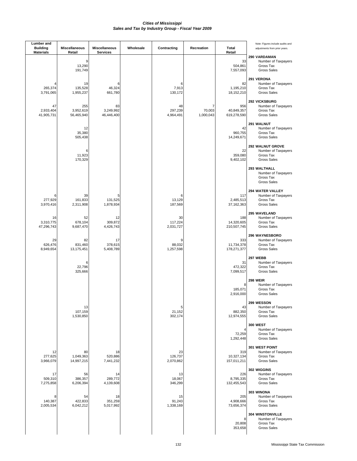### *Sales and Tax by Industry Group - Fiscal Year 2009 Cities of Mississippi*

| <b>Lumber</b> and<br><b>Building</b><br><b>Materials</b> | Miscellaneous<br>Retail        | Miscellaneous<br><b>Services</b> | Wholesale | Contracting                | Recreation                            | <b>Total</b><br>Retail           | Note: Figures include audits and<br>adjustments from prior years.                 |
|----------------------------------------------------------|--------------------------------|----------------------------------|-----------|----------------------------|---------------------------------------|----------------------------------|-----------------------------------------------------------------------------------|
|                                                          | 9<br>13,290<br>191,749         |                                  |           |                            |                                       | 33<br>504,861<br>7,557,093       | 290 VARDAMAN<br>Number of Taxpayers<br>Gross Tax<br><b>Gross Sales</b>            |
| 265,374<br>3,791,065                                     | 19<br>135,528<br>1,955,237     | 6<br>46,324<br>661,780           |           | 6<br>7,913<br>130,172      |                                       | 82<br>1,195,210<br>18,152,210    | 291 VERONA<br>Number of Taxpayers<br>Gross Tax<br><b>Gross Sales</b>              |
| 47<br>2,933,404<br>41,905,731                            | 255<br>3,952,619<br>56,465,940 | 83<br>3,249,992<br>46,446,400    |           | 48<br>297,239<br>4,964,491 | $\overline{7}$<br>70,003<br>1,000,043 | 956<br>40,849,357<br>619,278,590 | 292 VICKSBURG<br>Number of Taxpayers<br>Gross Tax<br><b>Gross Sales</b>           |
|                                                          | 12<br>35,380<br>505,438        |                                  |           |                            |                                       | 42<br>960,755<br>14,249,671      | 291 WALNUT<br>Number of Taxpayers<br>Gross Tax<br><b>Gross Sales</b>              |
|                                                          | 6<br>11,923<br>170,329         |                                  |           |                            |                                       | 22<br>359,080<br>9,402,102       | 292 WALNUT GROVE<br>Number of Taxpayers<br>Gross Tax<br><b>Gross Sales</b>        |
|                                                          |                                |                                  |           |                            |                                       |                                  | 293 WALTHALL<br>Number of Taxpayers<br>Gross Tax<br><b>Gross Sales</b>            |
| 277,929<br>3,970,416                                     | 39<br>161,833<br>2,311,908     | 5<br>131,525<br>1,878,934        |           | 6<br>13,129<br>187,569     |                                       | 117<br>2,485,513<br>37, 162, 363 | 294 WATER VALLEY<br>Number of Taxpayers<br>Gross Tax<br><b>Gross Sales</b>        |
| 16<br>3,310,775<br>47,296,743                            | 52<br>678,104<br>9,687,470     | 12<br>309,872<br>4,426,743       |           | 30<br>117,224<br>2,031,727 |                                       | 188<br>14,320,605<br>210,507,745 | 295 WAVELAND<br>Number of Taxpayers<br>Gross Tax<br><b>Gross Sales</b>            |
| 29<br>626,476<br>8,949,654                               | 82<br>831,460<br>13,175,451    | 17<br>378,615<br>5,408,789       |           | 9<br>88,032<br>1,257,598   |                                       | 333<br>11,734,378<br>178,271,377 | 296 WAYNESBORO<br>Number of Taxpayers<br>Gross Tax<br><b>Gross Sales</b>          |
|                                                          | 6<br>22,796<br>325,666         |                                  |           |                            |                                       | 31<br>472,322<br>7,099,517       | <b>297 WEBB</b><br>Number of Taxpayers<br>Gross Tax<br><b>Gross Sales</b>         |
|                                                          |                                |                                  |           |                            |                                       | 8<br>185,071<br>2,916,000        | 298 WEIR<br>Number of Taxpayers<br>Gross Tax<br><b>Gross Sales</b>                |
|                                                          | 13<br>107,159<br>1,530,850     |                                  |           | 5<br>21,152<br>302,174     |                                       | 43<br>882,350<br>12,974,555      | <b>299 WESSON</b><br>Number of Taxpayers<br>Gross Tax<br>Gross Sales              |
|                                                          |                                |                                  |           |                            |                                       | 4<br>72,259<br>1,292,448         | <b>300 WEST</b><br>Number of Taxpayers<br>Gross Tax<br>Gross Sales                |
| 12<br>277,625<br>3,966,079                               | 80<br>1,049,363<br>14,997,215  | 18<br>520,886<br>7,441,232       |           | 23<br>126,737<br>2,070,862 |                                       | 319<br>10,327,134<br>157,011,211 | 301 WEST POINT<br>Number of Taxpayers<br>Gross Tax<br><b>Gross Sales</b>          |
| 17<br>509,310<br>7,275,858                               | 56<br>386,357<br>6,206,394     | 14<br>289,772<br>4,139,608       |           | 13<br>18,067<br>346,299    |                                       | 226<br>8,795,335<br>132,455,543  | 302 WIGGINS<br>Number of Taxpayers<br>Gross Tax<br><b>Gross Sales</b>             |
| 8<br>140,387<br>2,005,534                                | 54<br>422,833<br>6,042,212     | 18<br>351,259<br>5,017,992       |           | 15<br>91,243<br>1,338,169  |                                       | 205<br>4,908,666<br>73,656,374   | 303 WINONA<br>Number of Taxpayers<br>Gross Tax<br>Gross Sales                     |
|                                                          |                                |                                  |           |                            |                                       | 8<br>20,808<br>353,658           | <b>304 WINSTONVILLE</b><br>Number of Taxpayers<br>Gross Tax<br><b>Gross Sales</b> |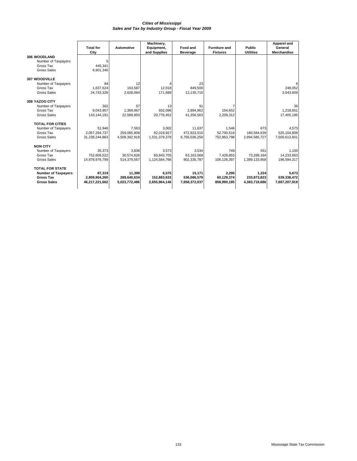### *Cities of Mississippi Sales and Tax by Industry Group - Fiscal Year 2009*

| 12<br>163.587 | and Supplies                 | <b>Beverage</b> | <b>Fixtures</b> | <b>Utilities</b> | <b>Merchandise</b> |
|---------------|------------------------------|-----------------|-----------------|------------------|--------------------|
|               |                              |                 |                 |                  |                    |
|               |                              |                 |                 |                  |                    |
|               |                              |                 |                 |                  |                    |
|               |                              |                 |                 |                  |                    |
|               |                              |                 |                 |                  |                    |
|               |                              |                 |                 |                  |                    |
|               |                              | 23              |                 |                  |                    |
|               | 12,018                       | 849,500         |                 |                  | 248,052            |
| 2,628,064     | 171,689                      | 12,135,710      |                 |                  | 3,543,609          |
|               |                              |                 |                 |                  |                    |
| 57            | 13                           | 91              | $\overline{7}$  |                  | 36                 |
| 1.369.967     | 932.096                      | 2.894.962       | 154.652         |                  | 1.218.651          |
| 22.569.950    | 20,776,452                   | 41,356,563      | 2,209,312       |                  | 17,405,195         |
|               |                              |                 |                 |                  |                    |
| 7,563         | 3,002                        | 11.637          | 1,546           | 673              | 4.573              |
| 259.065.808   | 92.019.927                   | 472.923.010     | 52,700,518      | 160.584.639      | 525.104.808        |
| 4,509,392,919 | 1,531,379,379                | 6,756,036,250   | 752,863,798     | 2,994,585,727    | 7,500,613,601      |
|               |                              |                 |                 |                  |                    |
| 3.836         | 3,573                        | 3,534           | 749             | 551              | 1,100              |
| 30.574.826    | 60.843.705                   | 63.163.568      | 7.428.855       | 73.289.184       | 14.233.663         |
| 514,379,567   | 1,124,584,766                | 902,335,787     | 106,126,397     | 1,389,133,958    | 196,594,317        |
|               |                              |                 |                 |                  |                    |
| 11.399        | 6.575                        | 15.171          |                 | 1.224            | 5.673              |
|               | 152.863.633                  | 536,086,579     | 60.129.374      | 233.873.823      | 539,338,472        |
|               | 2,655,964,146                | 7,658,372,037   | 858,990,195     | 4,383,719,686    | 7,697,207,918      |
|               | 289,640,634<br>5,023,772,486 |                 |                 | 2,295            |                    |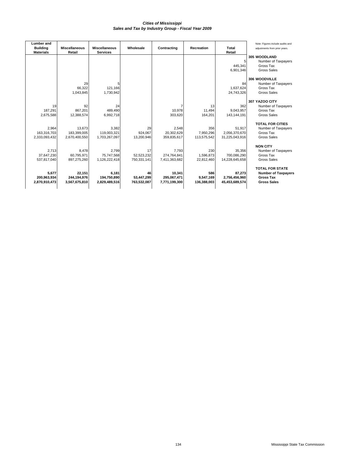## *Sales and Tax by Industry Group - Fiscal Year 2009 Cities of Mississippi*

| <b>Lumber</b> and<br><b>Building</b><br><b>Materials</b> | <b>Miscellaneous</b><br>Retail | <b>Miscellaneous</b><br><b>Services</b> | Wholesale   | Contracting       | <b>Recreation</b> | Total<br>Retail          | Note: Figures include audits and<br>adjustments from prior years. |
|----------------------------------------------------------|--------------------------------|-----------------------------------------|-------------|-------------------|-------------------|--------------------------|-------------------------------------------------------------------|
|                                                          |                                |                                         |             |                   |                   | 5                        | 305 WOODLAND<br>Number of Taxpayers                               |
|                                                          |                                |                                         |             |                   |                   | 445,341                  | Gross Tax                                                         |
|                                                          |                                |                                         |             |                   |                   | 6,901,346                | Gross Sales                                                       |
|                                                          |                                |                                         |             |                   |                   |                          |                                                                   |
|                                                          |                                |                                         |             |                   |                   |                          | 306 WOODVILLE                                                     |
|                                                          | 29                             | 5                                       |             |                   |                   | 84                       | Number of Taxpayers                                               |
|                                                          | 66,322                         | 121,166                                 |             |                   |                   | 1,637,624                | Gross Tax                                                         |
|                                                          | 1,043,845                      | 1,730,942                               |             |                   |                   | 24,743,326               | Gross Sales                                                       |
|                                                          |                                |                                         |             |                   |                   |                          |                                                                   |
|                                                          |                                |                                         |             |                   |                   |                          | 307 YAZOO CITY                                                    |
| 19                                                       | 92                             | 24                                      |             |                   | 13                | 362                      | Number of Taxpayers<br>Gross Tax                                  |
| 187,291<br>2,675,588                                     | 867,201<br>12,388,574          | 489,490<br>6,992,718                    |             | 10,978<br>303,620 | 11,494<br>164,201 | 9.043.957<br>143,144,191 | <b>Gross Sales</b>                                                |
|                                                          |                                |                                         |             |                   |                   |                          |                                                                   |
|                                                          |                                |                                         |             |                   |                   |                          | <b>TOTAL FOR CITIES</b>                                           |
| 2,964                                                    | 13,673                         | 3,382                                   | 29          | 2,548             | 356               | 51,917                   | Number of Taxpayers                                               |
| 163,316,703                                              | 183,399,005                    | 119,003,321                             | 924,067     | 20,302,629        | 7,950,296         | 2,056,370,670            | Gross Tax                                                         |
| 2,333,093,432                                            | 2,670,400,550                  | 1,703,267,097                           | 13,200,946  | 359,835,617       | 113,575,542       | 31,225,043,916           | <b>Gross Sales</b>                                                |
|                                                          |                                |                                         |             |                   |                   |                          |                                                                   |
|                                                          |                                |                                         |             |                   |                   |                          | <b>NON CITY</b>                                                   |
| 2,713                                                    | 8,478                          | 2,799                                   | 17          | 7,793             | 230               | 35,356                   | Number of Taxpayers                                               |
| 37,647,230                                               | 60,795,971                     | 75,747,568                              | 52,523,232  | 274,764,841       | 1,596,873         | 700,086,290              | Gross Tax                                                         |
| 537.817.040                                              | 897,275,260                    | 1,126,222,418                           | 750,331,141 | 7,411,363,682     | 22.812.460        | 14,228,645,658           | <b>Gross Sales</b>                                                |
|                                                          |                                |                                         |             |                   |                   |                          | <b>TOTAL FOR STATE</b>                                            |
| 5.677                                                    | 22.151                         | 6,181                                   | 46          | 10,341            | 586               | 87.273                   | <b>Number of Taxpayers</b>                                        |
| 200,963,934                                              | 244,194,976                    | 194,750,890                             | 53,447,299  | 295,067,471       | 9,547,169         | 2,756,456,960            | <b>Gross Tax</b>                                                  |
| 2,870,910,473                                            | 3,567,675,810                  | 2,829,489,516                           | 763,532,087 | 7,771,199,300     | 136,388,003       | 45,453,689,574           | <b>Gross Sales</b>                                                |
|                                                          |                                |                                         |             |                   |                   |                          |                                                                   |